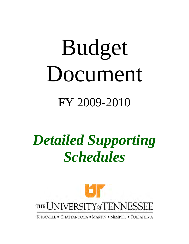## Budget Document

### FY 2009-2010

## *Detailed Supporting Schedules*



KNOXVILLE • CHATTANOOGA • MARTIN • MEMPHIS • TULLAHOMA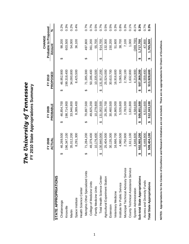| f Tennessee    | s Summar                              |
|----------------|---------------------------------------|
| The University | <b>J State Appropriations</b><br>2010 |

|                                      |   |                          |    |                            |    |                     |                        | CHANGE                         |         |
|--------------------------------------|---|--------------------------|----|----------------------------|----|---------------------|------------------------|--------------------------------|---------|
|                                      |   | <b>FY 2008</b><br>ACTUAL |    | PROBABLE<br><b>FY 2009</b> |    | PROPOSED<br>FY 2010 |                        | Probable to Proposed<br>Amount | ್       |
| STATE APPROPRIATIONS                 |   |                          |    |                            |    |                     |                        |                                |         |
| Chattanooga                          | ↔ | 46,269,500               | ↔  | 46,854,700                 | ക  | 46,952,900          | ക                      | 98,200                         | 0.2%    |
| Knoxville                            |   | 196,347,100              |    | 198,714,900                |    | 199,318,400         |                        | 603,500                        | 0.3%    |
| Martin                               |   | 35,012,200               |    | 33,946,800                 |    | 34,000,800          |                        | 54,000                         | 0.2%    |
| Space Institute                      |   | 8,291,300                |    | 8,389,400                  |    | 8,425,500           |                        | 36,100                         | 0.4%    |
| Health Science Center                |   |                          |    |                            |    |                     |                        |                                |         |
| Memphis Other Specialized Units      | ക | 71,284,200               | ക  | 70,897,500                 | ക  | 71,395,300          | ക                      | 497,800                        | 0.7%    |
| College of Medicine Units            |   | 49,379,400               |    | 49,825,200                 |    | 50,186,400          |                        | 361,200                        | 0.7%    |
| Family Medicine Units                |   | 10,176,400               |    | 10,279,800                 |    | 10,335,500          |                        | 55,700                         | 0.5%    |
| Total Health Science Center          | ഗ | 130,840,000              | ക  | 131,002,500                | မာ | 131,917,200         | $\boldsymbol{\varphi}$ | 914,700                        | 0.7%    |
| Agricultural Experiment Station      |   | 25,404,000               |    | 25,391,700                 |    | 25,524,000          |                        | 132,300                        | 0.5%    |
| Extension                            |   | 30,135,300               |    | 30,460,500                 |    | 30,610,700          |                        | 150,200                        | 0.5%    |
| Veterinary Medicine                  |   | 16,666,700               |    | 16,865,000                 |    | 16,916,600          |                        | 51,600                         | 0.3%    |
| Institute for Public Service         |   | 4,980,500                |    | 5,026,600                  |    | 5,065,300           |                        | 38,700                         | 0.8%    |
| Municipal Technical Advisory Service |   | 2,750,900                |    | 2,783,000                  |    | 2,790,100           |                        | 7,100                          | 0.3%    |
| County Technical Assistance Service  |   | 1,611,100                |    | 1,631,800                  |    | 1,632,800           |                        | 1,000                          | 0.1%    |
| System Administration                |   | 4,646,600                |    | 4,584,600                  |    | 4,214,900           |                        | (369, 700)                     | $-8.1%$ |
| Sub-total State Appropriations       |   | 502,955,200              | မာ | 505,651,500                | မာ | 507,369,200         | မာ                     | 1,717,700                      | 0.3%    |
| Access and Diversity Funds           |   | 6,448,900                |    | 6,511,600                  |    | 6,559,400           |                        | 47,800                         | 0.7%    |
| <b>Total State Appropriations</b>    | H | 509,404,100              | ↮  | 512,163,100                | ↮  | 513,928,600         | ↮                      | 1,765,500                      | 0.3%    |
|                                      |   |                          |    |                            |    |                     |                        |                                |         |

NOTES: Appropriations for the Centers of Excellence and Research Initiatives are not included. There are no appropriations for Chairs of Excellence. **NOTES: Appropriations for the Centers of Excellence and Research Initiatives are not included. There are no appropriations for Chairs of Excellence.**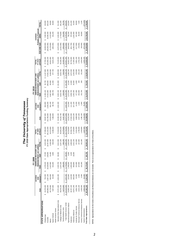The Untversity of Tennessee<br>FY 2010 State Appropriations Funding Summary **FY 2010 State Appropriations Funding Summary**  *The University of Tennessee* 

|                                      |                            |                  |                                       | FY 2009                               |    |            |                  |                   |                             | FY 2010         |                                                  |                 |                  |                     |                                |               |
|--------------------------------------|----------------------------|------------------|---------------------------------------|---------------------------------------|----|------------|------------------|-------------------|-----------------------------|-----------------|--------------------------------------------------|-----------------|------------------|---------------------|--------------------------------|---------------|
|                                      |                            | ACCESS<br>읗      | <b>AMERICAN</b><br><b>REINVESTM</b>   | <b>RECOVERY AND</b><br>ENT ACT (ARRA) |    |            | FY 2009<br>TOTAI |                   | <b>ACCESS</b><br><b>QNA</b> |                 | REINVESTMENT ACT (ARRA)<br>AMERICAN RECOVERY AND |                 | FY 2010<br>TOTA  |                     | Probable to Proposed<br>CHANGE |               |
|                                      | E&G                        | <b>DIVERSITY</b> | E&G                                   | A&D                                   |    | TOTA       | <b>APPROP</b>    | E&G               | DIVERSITY                   | E&G             | A&D                                              | TOTAL           | <b>APPROP</b>    | E&G AND A&D         | ARRA                           | <b>TOTAL</b>  |
| STATE APPROPRIATIONS                 |                            |                  |                                       |                                       |    |            |                  |                   |                             |                 |                                                  |                 |                  |                     |                                |               |
| Chattanooga                          |                            |                  | \$ 42,476,600 \$ 704,500 \$ 4,378,100 | 37,200                                |    | 4,415,300  | 47,596,400<br>Ġ, | 35,587,800<br>Ġ9  | 664,800                     | \$11,365,100    | 82,700<br>θĤ                                     | \$11,447,800    | 47,700,400<br>G  | (6,928,500)         | \$7,032,500                    | 104,000<br>θĤ |
| Knoxville                            | 180,086,000                | 2,467,100        | 18,628,900                            | 139,000                               |    | 18,767,900 | 201,321,000      | 151,786,600       | 2,328,200                   | 47,531,800      | 299,500                                          | 47,831,300      | 201,946,100      | 28,438,300)         | 29,063,400                     | 625,100       |
| Martin                               | 30,778,900                 | 594,600          | 3,167,900                             | 31,400                                |    | 3,199,300  | 34,572,800       | 25,633,800        | 561,100                     | 8,367,000       | 69,900                                           | 8,436,900       | 34,631,800       | (5, 178, 600)       | 5,237,600                      | 59,000        |
| Space Institute                      | 7,847,800                  | 94,000           | 541,600                               | 4,900                                 |    | 546,500    | 8,488,300        | 7,458,800         | 88,700                      | 966,700         | 11,000                                           | 977,700         | 8,525,200        | (394, 300)          | 431,200                        | 36,900        |
| Health Science Center                |                            |                  |                                       |                                       |    |            |                  |                   |                             |                 |                                                  |                 |                  |                     |                                |               |
| Memphis Other Specialized Units      | \$ 67,971,800 \$ 1,634,400 |                  | \$2,925,700                           | 86,300                                |    | 3,012,000  | 72,618,200<br>s, | 63,093,200        | \$1,542,400                 | 8,302,100       | \$191,800                                        | 8,493,900<br>မာ | 73,129,500<br>s, | (4, 970, 600)<br>s  | 5,481,900                      | 511,300       |
| College of Medicine Units            | 46,578,100                 |                  | 3,247,100                             |                                       |    | 3,247,100  | 49,825,200       | 44,162,700        |                             | 6,023,700       |                                                  | 6,023,700       | 50,186,400       | (2,415,400)         | 2,776,600                      | 361,200       |
| Family Medicine Units                | 9,673,600                  |                  | 606,200                               |                                       |    | 606,200    | 10,279,800       | 9,417,000         |                             | 918,500         |                                                  | 918,500         | 10,335,500       | (256, 600)          | 312,300                        | 55,700        |
| Total Health Science Center          | \$124,223,500              | \$1,634,400      | 6,779,000<br>G)                       | 86,300<br>↔                           | tA | 6.865.300  | \$132,723,200    | 116,672,900<br>မာ | 1.542.400                   | 15,244,300      | 191,800<br>s,                                    | \$15,436,100    | \$133.651.400    | (7.642.600)<br>tA   | 8,570,800<br>မာ                | 928,200<br>မာ |
| Agricultural Experiment Station      | 23,895,100                 | 120,800          | 1,496,600                             | 6.400                                 |    | ,503,000   | 25,518,900       | 23,252,000        | 114,000                     | 2,272,000       | 14,200                                           | 2,286,200       | 25,652,200       | (649,900)           | 783,200                        | 133,300       |
| Extension                            | 28,767,100                 | 118,000          | 1,693,400                             | 6,200                                 |    | ,699,600   | 30,584,700       | 27,952,000        | 111,400                     | 2,658,700       | 13,800                                           | 2,672,500       | 30,735,900       | 821,700             | 972,900                        | 151,200       |
| Veterinary Medicine                  | 15,871,200                 | 346,600          | 993,800                               | 18,300                                |    | ,012,100   | 17,229,900       | 14,624,200        | 327,100                     | 2,292,400       | 40,600                                           | 2,333,000       | 17,284,300       | (1,266,500)         | ,320,900                       | 54,400        |
| Institute for Public Service         | 4,804,700                  | 15,000           | 221,900                               |                                       |    | 221,900    | 5,041,600        | 4,688,000         | 14,200                      | 377,300         | 1,600                                            | 378,900         | 5,081,100        | (117,500)           | 157,000                        | 39,500        |
| Municipal Technical Advisory Service | 2,615,100                  | 2,000            | 167,900                               |                                       |    | 167,900    | 2,785,000        | 2,537,200         | 1,900                       | 252,900         | 200                                              | 253,100         | 2,792,200        | (78,000)            | 85,200                         | 7,200         |
| County Technical Assistance Service  | 1,530,500                  | 2,000            | 101,300                               |                                       |    | 101,300    | ,633,800         | 1,481,100         | 1,900                       | 151,700         | 200                                              | 151,900         | ,634,900         | (49,500)            | 50,600                         | 1,100         |
| System Administration                | 4,584,600                  | 82,900           |                                       |                                       |    |            | 4,667,500        | 4,214,900         | 78,200                      |                 |                                                  |                 | 4,293,100        | (374, 400)          |                                | (374, 400)    |
| <b>Total State Appropriations</b>    | \$467,481,100              | \$6,181,900      | \$38,170,400                          | \$ 329,700                            |    | 38,500,100 | \$512,163,100    | \$415,889,300     | 5,833,900                   | 91,479,900<br>ω | \$725,500                                        | \$92,205,400    | \$513,928,600    | (51, 939, 800)<br>÷ | \$53,705,300                   | \$1,765,500   |
|                                      |                            |                  |                                       |                                       |    |            |                  |                   |                             |                 |                                                  |                 |                  |                     |                                |               |

NOTES: Appropriations for the Centers of Excellence and Research Initiatives are not included. There are no appropriations for Chairs of Excellence. **NOTES: Appropriations for the Centers of Excellence and Research Initiatives are not included. There are no appropriations for Chairs of Excellence.**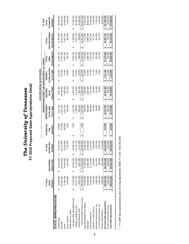## FY 2010 Proposed State Appropriations Detail **FY 2010 Proposed State Appropriations Detail** The University of Tennessee *The University of Tennessee*

|                                   |                  |                     |                                  |     |                  |                  |                                               |   | NON-RECURRING ADJUSTMENTS |    |                      |             |                    |    |                    |                   |
|-----------------------------------|------------------|---------------------|----------------------------------|-----|------------------|------------------|-----------------------------------------------|---|---------------------------|----|----------------------|-------------|--------------------|----|--------------------|-------------------|
|                                   |                  |                     |                                  |     |                  |                  | AMERICAN RECOVERY AND REINVESTMENT ACT (ARRA) |   |                           |    |                      |             |                    |    |                    | FY 2010           |
|                                   | FY 2010          |                     | FY 2010                          |     | <b>ESTIMATED</b> | IMPROVEMENT      |                                               |   | <b>RESTORE</b>            |    | <b>FEDERAL</b>       | <b>N101</b> |                    |    | TOTAL              | TOTAL             |
|                                   | BASE             | <b>RECURRING</b>    | <b>ESTIMATED</b>                 |     | Ë                | <b>STATE MOE</b> |                                               |   | BASE                      |    | <b>STABILIZATION</b> |             | <b>ARRA</b>        |    | NON-RECURRING      | ESTIMATED         |
|                                   | APPROP."         | REDUCTION           | APPROP.                          |     | WAIVERS          | TO FY 2006       |                                               |   | <b>REDUCTIONS</b>         |    | TO FY 2008           |             | <b>ADJUSTMENTS</b> |    | <b>ADJUSTMENTS</b> | APPROP.           |
| STATE APPROPRIATIONS              |                  |                     |                                  |     |                  |                  |                                               |   |                           |    |                      |             |                    |    |                    |                   |
| Chattanooga                       | 43,498,200<br>ఱ  | \$ (8,041,300)      | 35,456,900<br>↔                  | Θ   | 30,900           | မာ               | 3,220,700                                     | ↔ | 8,041,300                 | မာ | 103,100              | ↔           | 11,365,100         | မာ | 11,496,000         | 46,952,900<br>↔   |
| Knoxville                         | 184,657,200      | (33, 443, 400)      | 151,213,800                      |     | 572,800          |                  | 13,651,100                                    |   | 33,443,400                |    | 437,300              |             | 47,531,800         |    | 48,104,600         | 199,318,400       |
| Martin                            | 31,384,300       | (5,950,500)         | 25,433,800                       |     | 200,000          |                  | 2,342,100                                     |   | 5,950,500                 |    | 74,400               |             | 8,367,000          |    | 8,567,000          | 34,000,800        |
| Space Institute                   | 8,094,800        | (637, 600)          | 7,457,200                        |     | 1,600            |                  | 310,600                                       |   | 637,600                   |    | 18,500               |             | 966,700            |    | 968,300            | 8,425,500         |
| Health Science Center             |                  |                     |                                  |     |                  |                  |                                               |   |                           |    |                      |             |                    |    |                    |                   |
| Memphis Other Specialized Units   | 70,063,800       | (6,978,100)<br>မာ   | 63,085,700<br>Θ                  | t£. | 7,500            |                  | 1,164,700                                     |   | 6,978,100                 | £۵ | 59,300               |             | 8,302,100          |    | 8,309,600          | 71,395,300<br>မာ  |
| College of Medicine Units         | 48,277,100       | (4, 114, 400)       | 44,162,700                       |     |                  |                  | 1,798,800                                     |   | 4,114,400                 |    | 10,500               |             | 6,023,700          |    | 6,023,700          | 50,186,400        |
| Family Medicine Units             | 9,978,700        | (561,700)           | 9,417,000                        |     |                  |                  | 334,100                                       |   | 561,700                   |    | 22,700               |             | 918,500            |    | 918,500            | 10,335,500        |
| Sub-total Health Science Center   | 128,319,600<br>↮ | \$(11,654,200)      | 116,665,400<br>$\leftrightarrow$ | ↮   | 7,500            | ↮                | 3,297,600                                     | G | 11,654,200                | ↔  | 292,500              | ↮           | 15,244,300         | ↔  | 15,251,800         | 131,917,200<br>မာ |
| Agricultural Experiment Station   | 24,638,900       | (1,386,900)         | 23,252,000                       |     |                  |                  | 828,900                                       |   | ,386,900                  |    | 56,200               |             | 2,272,000          |    | 2,272,000          | 25,524,000        |
| Extension                         | 29,619,300       | (1,667,300)         | 27,952,000                       |     |                  |                  | 924,000                                       |   | ,667,300                  |    | 67,400               |             | 2,658,700          |    | 2,658,700          | 30,610,700        |
| Veterinary Medicine               | 16,325,600       | (1,701,400)         | 14,624,200                       |     |                  |                  | 553,800                                       |   | 1,701,400                 |    | 37,200               |             | 2,292,400          |    | 2,292,400          | 16,916,600        |
| Institute for Public Service      | 4,967,600        | (279, 600)          | 4,688,000                        |     |                  |                  | 86,600                                        |   | 279,600                   |    | 11,100               |             | 377,300            |    | 377,300            | 5,065,300         |
| Municipal Technical Adv. Svc.     | 2,688,500        | (151,300)           | 2,537,200                        |     |                  |                  | 95,500                                        |   | 151,300                   |    | 6,100                |             | 252,900            |    | 252,900            | 2,790,100         |
| County Technical Assist. Svc.     | 1,569,400        | (88, 300)           | 1,481,100                        |     |                  |                  | 59,800                                        |   | 88,300                    |    | 3,600                |             | 151,700            |    | 151,700            | 1,632,800         |
| System Administration             | 4,466,300        | (251, 400)          | 4,214,900                        |     |                  |                  |                                               |   |                           |    |                      |             |                    |    |                    | 4,214,900         |
| Sub-total State Appropriations    | 480,229,700<br>ക | (65, 253, 200)<br>ω | 414,976,500                      | ω   | 912,800          | မာ               | 25,370,700                                    |   | 65,001,800                | မာ | 1,107,400            |             | 91,479,900         | မာ | 92,392,700         | 507,369,200<br>ω  |
| Access and Diversity Funds        | 6,181,900<br>↮   | (348,000)           | 5,833,900<br>$\bullet$           |     |                  | ₩                | 363,100                                       | ക | 348,000                   | ↔  | 14,400               |             | 725,500            | ₩  | 725,500            | 6,559,400<br>↔    |
| <b>Total State Appropriations</b> | 486,411,600      | \$ (65,601,200)     | 420,810,400<br>ଇା                | ↮   | 912,800          |                  | 25,733,800                                    |   | 65,349,800                | ₩  | 1,121,800            |             | 92,205,400         | ↮  | 93,118,200         | 513,928,600<br>₩  |
|                                   |                  |                     |                                  |     |                  |                  |                                               |   |                           |    |                      |             |                    |    |                    |                   |

\* FY 2009 base appropriations plus recurring adjustments (\$505,777,100 - \$19,365,500) \* FY 2009 base appropriations plus recurring adjustments (\$505,777,100 - \$19,365,500)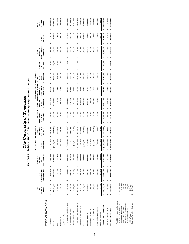# The University of Tennessee<br>FY 2009 Probable to FY 2010 Proposed State Appropriations Changes **FY 2009 Probable to FY 2010 Proposed State Appropriations Changes** *The University of Tennessee*

|                                   |                     |                                      |                         |                               | RECURRING FUNDING CHANGES  |                             |                                |                        | NON-RECURRING FUNDING CHANGES                 |                                   |                       |                                        |          |                 |                         |
|-----------------------------------|---------------------|--------------------------------------|-------------------------|-------------------------------|----------------------------|-----------------------------|--------------------------------|------------------------|-----------------------------------------------|-----------------------------------|-----------------------|----------------------------------------|----------|-----------------|-------------------------|
|                                   | FY 2009             |                                      |                         | <b>ADJUSTED</b>               |                            | <b>TOTAL</b>                |                                |                        | AMERICAN RECOVERY AND REINVESTMENT ACT (ARRA) |                                   |                       | <b>TOTAL</b>                           |          |                 | FY 2010                 |
|                                   | TOTAL               | LESS:                                |                         | FY 2010                       |                            | CHANGES IN                  | <b>IMPROVEMENT</b>             | RESTORE                | FEDERAL                                       | <b>TOTAL</b>                      | ESTIMATED             | CHANGES IN                             |          |                 | TOTAL                   |
|                                   | PROBABLE<br>APPROP. | NON-RECURRING<br><b>ADJUSTMENTS*</b> |                         | <b>APPROPRIATIONS</b><br>BASE | REDUCTION<br>13.21%        | RECURRING<br><b>FUNDING</b> | <b>STATE MOE</b><br>TO FY 2006 | REDUCTIONS<br>BASE     | <b>STABILIZATION</b><br>TO FY 2008            | <b>ADJUSTMENTS</b><br><b>ARRA</b> | WAIVERS<br>Ë          | <b>NON-RECURRING</b><br><b>FUNDING</b> |          | CHANGE<br>TOTAL | PROPOSED<br>APPROP.     |
| <b>STATE APPROPRIATIONS</b>       |                     |                                      |                         |                               |                            |                             |                                |                        |                                               |                                   |                       |                                        |          |                 |                         |
| Chattanooga                       | 46,854,700<br>↮     | $\theta$                             | $\theta$<br>(3,356,500) | 43,498,200                    | (8,041,300)<br>↮           | (8,041,300)<br>↮            | 3,220,700<br>$\theta$          | 8,041,300<br>$\Theta$  | 103,100<br>↮                                  | 11,365,100<br>G)                  | 130,900<br>↮          | 11,496,000<br>↮                        | $\theta$ | 98,200          | 46,952,900<br><b>GA</b> |
| Knoxville                         | 198,714,900         |                                      | (14,057,700)            | 184,657,200                   | (33,443,400)               | (33, 443, 400)              | 13,651,100                     | 33,443,400             | 137,300                                       | 47,531,800                        | 572,800               | 48,104,600                             |          | 503,500         | 199,318,400             |
| Martin                            | 33,946,800          |                                      | (2,562,500)             | 31,384,300                    | (5,950,500)                | (5,950,500)                 | 2,342,100                      | 5,950,500              | 74,400                                        | 8,367,000                         | 200,000               | 8,567,000                              |          | 54,000          | 34,000,800              |
| Space Institute                   | 8,389,400           |                                      | (294, 600)              | 8,094,800                     | (637,600)                  | (637, 600)                  | 310,600                        | 637,600                | 18,500                                        | 966,700                           | 1,600                 | 968,300                                |          | 36,100          | 8,425,500               |
| Health Science Center             |                     |                                      |                         |                               |                            |                             |                                |                        |                                               |                                   |                       |                                        |          |                 |                         |
| Memphis Other Specialized Units   | 70,897,500<br>↮     | ↮                                    | ↮<br>(833, 700)         | 70,063,800                    | (6,978,100)<br>G)          | (6,978,100)<br>θĐ           | 1,164,700<br>↮                 | 6,978,100<br>G)        | 159,300<br>θĐ                                 | 8,302,100<br><b>GA</b>            | 7,500<br><del>ی</del> | 8,309,600<br>မာ                        | ↮        | 497,800         | 71,395,300<br><b>GA</b> |
| College of Medicine Units         | 49,825,200          |                                      | (1,548,100)             | 48,277,100                    | (4, 114, 400)              | (4, 114, 400)               | 1,798,800                      | 4,114,400              | 110,500                                       | 6,023,700                         |                       | 6,023,700                              |          | 361,200         | 50,186,400              |
| Family Medicine Units             | 10,279,800          |                                      | (301, 100)              | 9,978,700                     | (561, 700)                 | (561,700)                   | 334,100                        | 561,700                | 22,700                                        | 918,500                           |                       | 918,500                                |          | 55,700          | 10,335,500              |
| Sub-total Health Science Center   | 131,002,500<br>↮    | $\boldsymbol{\varphi}$               | $\theta$<br>(2,682,900) | 128,319,600                   | (11,654,200)<br>မှ         | (11, 654, 200)<br>မာ        | 3,297,600<br>မာ                | 11,654,200<br>↔        | 292,500<br>မာ                                 | 15,244,300<br>↮                   | 7,500<br>↮            | 15,251,800<br>θĐ                       | ↮        | 914,700         | 131,917,200<br>မာ       |
| Agricultural Experiment Station   | 25,391,700          |                                      | (752, 800)              | 24,638,900                    | (1,386,900)                | (1,386,900)                 | 328,900                        | ,386,900               | 56,200                                        | 2,272,000                         |                       | 2,272,000                              |          | 132,300         | 25,524,000              |
| Extension                         | 30,460,500          |                                      | (841, 200)              | S<br>29,619,3                 | (1,667,300)                | (1,667,300)                 | 924,000                        | ,667,300               | 67,400                                        | 2,658,700                         |                       | 2,658,700                              |          | 50,200          | 30,610,700              |
| Veterinary Medicine               | 16,865,000          |                                      | (539, 400)              | 16,325,600                    | (1,701,400)                | (1,701,400)                 | 553,800                        | ,701,400               | 37,200                                        | 2,292,400                         |                       | 2,292,400                              |          | 51,600          | 16,916,600              |
| Institute for Public Service      | 5,026,600           |                                      | (59,000)                | 4,967,600                     | (279, 600)                 | (279, 600)                  | 86,600                         | 279,600                | 11,100                                        | 377,300                           |                       | 377,300                                |          | 38,700          | 5,065,300               |
| Municipal Technical Adv. Svc.     | 2,783,000           |                                      | (94,500)                | 2,688,500                     | (151, 300)                 | (151, 300)                  | 95,500                         | 151,300                | 6,100                                         | 252,900                           |                       | 252,900                                |          | 7,100           | 2,790,100               |
| County Technical Assist. Svc.     | 1,631,800           |                                      | (62, 400)               | 1,569,400                     | (88, 300)                  | (88, 300)                   | 59,800                         | 88,300                 | 3,600                                         | 151,700                           |                       | 151,700                                |          | 1,000           | 1,632,800               |
| System Administration             | 4,584,600           |                                      | (118,300)               | 4,466,300                     | (251, 400)                 | (251, 400)                  |                                |                        |                                               |                                   |                       |                                        |          | (369, 700)      | 4,214,900               |
| Sub-total State Appropriations    | 505,651,500<br>s,   | s,                                   | ↮<br>(25, 421, 800)     | g<br>480,229,7                | (65, 253, 200)<br><b>ی</b> | (65, 253, 200)              | 25,370,700<br><b>ی</b>         | 65,001,800<br><b>ی</b> | 1,107,400                                     | 91,479,900<br><b>ین</b>           | 912,800<br><b>ی</b>   | 92,392,700                             | s,       | 1,717,700       | 507,369,200<br>s,       |
| Access and Diversity Funds        | 6,511,600           |                                      | ↔<br>(329, 700)         | 6,181,900                     | (348,000)<br>G.            | (348,000)                   | 363,100<br>Ġf.                 | 348,000                | 14,400                                        | 725,500<br>GF.                    |                       | 725,500                                | Ġ.       | 47,800          | 6,559,400<br>Ġ.         |
| <b>Total State Appropriations</b> | 512,163,100         | s,                                   | ↮<br>(25, 751, 500)     | 486,411,600                   | (65,601,200)<br>₩          | (65, 601, 200)<br>⊌÷        | 25,733,800<br>٣                | 65,349,800<br>٣        | \$1,121,800                                   | 92,205,400<br>tĄ,                 | 912,800<br>٣Ĥ         | 93,118,200                             | Ġ,       | 1,765,500       | 513,928,600<br>ω        |
|                                   |                     |                                      |                         |                               |                            |                             |                                |                        |                                               |                                   |                       |                                        |          |                 |                         |

\* FY 2009 non-recurring adjustments:<br>MichYear Fruding Reversion<br>Cit. 1, 2008 Adjustments<br>Cit. 1, 2008 Adjustments<br>FY 2008 401k Maich Ircrease<br>Estmated Fee Waivers<br>Asparance Man Recurring Adjustments<br>Total Non-Recurring Adj FY 2009 non-recurring adjustments: Mid-Year Funding Reversion \$ (17,000,000) Claims Rate Adjustments (736,000) Oct. 1, 2008 \$400 Bonus 3,255,300 FY 2008 401k Match Increase 819,300 Estimated Fee Waivers 912,800 ARRA Funds 38,500,100 Total Non-Recurring Adjustments \$ 25,751,500

 $(\textbf{77,000,000})\ \textbf{0} \ \textbf{3}, \textbf{255,300} \ \textbf{8}, \textbf{300} \ \textbf{9}, \textbf{12,800} \ \textbf{16}, \textbf{300} \ \textbf{18}, \textbf{300} \ \textbf{18}, \textbf{500} \ \textbf{18}, \textbf{500} \ \textbf{100} \ \textbf{25}, \textbf{751}, \textbf{500} \ \textbf{25}, \textbf{751}, \textbf{500} \ \textbf{3}, \textbf{600} \ \textbf{4}, \textbf$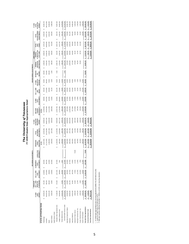## The University of Tennessee<br>FY 2009 Probable State Appropriations Detail **FY 2009 Probable State Appropriations Detail** *The University of Tennessee*

|                                   |                 |                            |                             | RECURRING            | <b>ADJUSTMENTS</b> |                           |                           |                               |                     |                    |                     |                       | NON-RECURRING ADJUSTMENTS |                             |                                 |               |                                      |                        |
|-----------------------------------|-----------------|----------------------------|-----------------------------|----------------------|--------------------|---------------------------|---------------------------|-------------------------------|---------------------|--------------------|---------------------|-----------------------|---------------------------|-----------------------------|---------------------------------|---------------|--------------------------------------|------------------------|
|                                   |                 | ANNUALIZE                  |                             |                      |                    |                           |                           | FY 2009                       |                     |                    |                     |                       |                           |                             | ARRA FUNDS                      |               |                                      | FY 2009                |
|                                   | FY 2009<br>BASE | JAN. 1, 2008<br>GROUP INS. | JULY 1, 2008<br><b>TCRS</b> | CLAIMS/PROP.<br>RATE | <b>LEGISLATIVE</b> | OPERATING<br><b>FUNDS</b> | RECURRING<br><b>TOTAL</b> | <b>ESTIMATED</b><br>RECURRING | MID-YEAR<br>FUNDING | CLAIMS<br>RATE     | OCT.1,2008<br>\$400 | 401k MATCH<br>FY 2008 | <b>ESTIMATED</b><br>쁥     | <b>REVERSION</b><br>FEDERAL | <b>STABILIZATION</b><br>FEDERAL | TOTAL<br>ARRA | <b>VON-RECURRING</b><br><b>TOTAL</b> | ESTIMATED<br>TOTAL     |
|                                   | APPROP."        | 7% INCREASE                | <b>ADJUSTMENT</b>           | <b>ADJUSTMENTS</b>   | AMENDMENT**        | REDUCTION                 | <b>ADJUSTMENTS</b>        | APPROP.                       | REVERSION ***       | <b>ADJUSTMENTS</b> | BONUS               | <b>INCREASE</b>       | WAIVERS                   | RESTORATION                 | TO FY 2008                      | <b>FUNDS</b>  | <b>ADJUSTMENTS</b>                   | APPROP.                |
| <b>STATE APPROPRIATIONS</b>       |                 |                            |                             |                      |                    | (4.1%                     |                           |                               | $(3.53\%)$          |                    |                     |                       |                           |                             |                                 |               |                                      |                        |
| Chattanooga                       | 46,033,200      | 231,300<br>Ĝ,              | (119,900)<br>S)             | (29, 400)<br>S,      |                    | (2,617,000)               | (2,535,000)<br>s,         | 43,498,200<br>ω,              | (1,539,900)<br>ω,   | (38, 800)<br>S,    | 333,300<br>S)       | 92,900<br>S,          | 130,900<br>s,             | s,<br>1,539,900<br>s,       | 2,838,200                       | \$4,378,100   | 3,356,500<br>S,                      | 46,854,700<br>ω,       |
| Knoxville                         | 195,397,500     | 939,700                    | (472, 300)                  | (96,700)             |                    | (11, 111, 000)            | (10,740,300)              | 184,657,200                   | (6,534,600)         | (143, 700)         | 1,213,800           | 320,500               | 572,800                   | 6,534,600                   | 12,094,300                      | 18,628,900    | 14,057,700                           | 198,714,900            |
| Martin                            | 33,231,400      | 189,100                    | (96, 600)                   | (13, 600)            |                    | (1,926,000)               | (1, 847, 100)             | 31,384,300                    | (1, 111, 400)       | (25, 300)          | 260,800             | 70,500                | 200,000                   | , 111, 400                  | 2,056,500                       | 3,167,900     | 2,562,500                            | 33,946,800             |
| Space Institute                   | 8,282,000       | 18,600                     | (16, 500)                   | (23, 300)            |                    | (166,000)                 | (187, 200)                | 8,094,800                     | (286,000)           | (6, 200)           | 35,100              | 8,500                 | 1,600                     | 286,000                     | 255,600                         | 541,600       | 294,600                              | 8,389,400              |
| Health Science Center             |                 |                            |                             |                      |                    |                           |                           |                               |                     |                    |                     |                       |                           |                             |                                 |               |                                      |                        |
| Memphis Other Specialized Units   | 71,168,300<br>Ģ | 574,000<br>G,              | (217, 100)<br>S,            | (37, 400)<br>S,      |                    | (1,424,000)<br>ω,         | (1, 104, 500)<br>S,       | 70,063,800<br>s,              | (2,484,700)<br>s,   | (54, 800)<br>G,    | 361,400<br>S,       | 78,600<br>S,          | 7,500<br>s,               | S,<br>2,484,700<br>s,       | s,<br>441,000                   | 2,925,700     | 833,700<br>s,                        | 70,897,500<br>S,       |
| College of Medicine Units         | 49,340,900      |                            | (83, 800)                   | 7,000                |                    | (987,000)                 | (1,063,800)               | 48,277,100                    | (1,703,400)         | (328, 600)         | 276,800             | 56,200                |                           | 1,703,400                   | 1,543,700                       | 3,247,100     | 1,548,100                            | 49,825,200             |
| Family Medicine Units             | 10,161,400      | 43,300                     | (25, 600)                   | 2,600                |                    | (203,000)                 | (182,700)                 | 9,978,700                     | (353, 100)          | (25,000)           | 59,900              | 13,100                |                           | 353,100                     | 253,100                         | 606,200       | 301,100                              | 10,279,800             |
| Sub-total Health Science Center   | \$ 130,670,600  | 617,300<br>s,              | (326, 500)<br>S)            | (27, 800)<br>s9      | s,                 | (2, 614, 000)             | (2,351,000)<br>S,         | 128,319,600<br>s,             | (4, 541, 200)<br>S, | (408, 400)<br>Ĝ,   | 698,100<br>Ĝ,       | 147,900<br>s,         | 7,500<br>ω,               | s,<br>4,541,200<br>s,       | ø<br>2,237,800                  | 6,779,000     | 2,682,900<br>s,                      | 131,002,500<br>ω,      |
| Agricultural Experiment Station   | 25,094,000      | 118,600                    | (55, 500)                   | (16, 200)            |                    | 502,000                   | (455, 100)                | 24,638,900                    | (872,000)           | (37,300)           | 133,000             | 32,500                |                           | 872,000                     | 624,600                         | 1,496,600     | 752,800                              | 25,391,700             |
| Extension                         | 30,095,000      | 201,700                    | (47, 700)                   | (27,700)             |                    | (602,000)                 | (475,700)                 | 29,619,300                    | (1,049,500)         | (32, 600)          | 183,500             | 46,400                |                           | ,049,500                    | 643,900                         | 1,693,400     | 841,200                              | 30,460,500             |
| Veterinary Medicine               | 16,631,600      | 83,200                     | (49, 700)                   | (6,500)              |                    | (333,000)                 | 306,000                   | 16,325,600                    | (577, 900)          | (13, 900)          | 10,500              | 26,900                |                           | 577,900                     | 415,900                         | 993,800       | 539,400                              | 16,865,000             |
| Institute for Public Service      | 4,980,000       | 23,200                     | (7,500)                     | (3,100)              | 75,000             | (100, 000)                | (12, 400)                 | 4,967,600                     | (175, 800)          | (7,000)            | 16,000              | 3,900                 |                           | 175,800                     | 46,100                          | 221,900       | 59,000                               | 5,026,600              |
| Municipal Technical Adv. Svc.     | 2,743,100       | 12,700                     | (11, 100)                   | (1, 200)             |                    | (55,000)                  | (54,600)                  | 2,688,500                     | (95, 200)           | (1,800)            | 19,200              | 4,400                 |                           | 95,200                      | 72,700                          | 167,900       | 94,500                               | 2,783,000              |
| County Technical Assist. Svc.     | 1,605,300       | 9,200                      | (12, 400)                   | (700)                |                    | (32,000)                  | (35,900)                  | 1,569,400                     | (55, 600)           | (1,600)            | 15,000              | 3,300                 |                           | 55,600                      | 45,700                          | 101,300       | 62,400                               | 1,631,800              |
| System Administration             | 4,564,500       | 110,800                    | (8,400)                     | (11,600)             |                    | (189,000)                 | (98, 200)                 | 4,466,300                     | (160, 900)          | (19, 400)          | 237,000             | 61,600                |                           |                             |                                 |               | 118,300                              | 4,584,600              |
| Sub-total State Appropriations    | \$499,328,200   | \$2,555,400                | $$$ $(1,224,100)$           | (257, 800)<br>u      | 75,000<br>s,       | (20, 247, 000)            | \$ (19,098,500)           | 480,229,700<br>u              | \$ (17,000,000)     | (736,000)<br>u     | \$ 3,255,300        | 819,300<br>u          | 912,800<br>u              | u<br>16,839,100<br>n        | 21,331,300                      | \$38,170,400  | 25,421,800<br>u                      | 505,651,500<br>u       |
| Access and Diversity Funds        | \$6,448,900     |                            |                             |                      |                    | (267,000)                 | (267,000)<br>ω,           | 6,181,900<br>Ģ                |                     |                    |                     |                       |                           |                             | <sub>69</sub><br>329,700        | 329,700       | 329,700<br>Ģ                         | 6,511,600<br><b>SA</b> |
| <b>Total State Appropriations</b> | \$ 505,777,100  |                            |                             |                      |                    | (20,514,000)              | \$ (19,365,500)           | 486,411,600                   |                     |                    |                     |                       |                           |                             | \$21,661,000                    | \$38,500,100  | 25,751,500<br>ᆈ                      | 512,163,100<br>๋ผ่     |
|                                   |                 |                            |                             |                      |                    |                           |                           |                               |                     |                    |                     |                       |                           |                             |                                 |               |                                      |                        |

\* FY 2008 base appropriations plus recurring adjustments (\$488,755, 100+\$30,573,100)<br>\*\* Center for Public Policy, \$75,000 (\$ec 12/17)<br>\*\*\* Mid-year reversion effective November 1, 2008 is a 3.5% non-recurring reduction. \* FY 2008 base appropriations plus recurring adjustments (\$468,755,100+\$30,573,100)

\*\* Center for Public Policy, \$75,000 (Sec 12/17) \*\*\* Mid-year reversion effective November 1, 2008 is a 3.53% non-recurring reduction.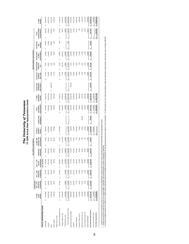The University of Tennessee<br>FY 2008 Actual State Appropriations Detail **FY 2008 Actual State Appropriations Detail** *The University of Tennessee*

|                                      |                   |                            |                            |                        | RECURRING ADJUSTMENTS     |                                    |                              |                    |                                  |                      |                                   |                                      |                                       | NON-RECURRING ADJUSTMENTS |                       |                                      |                   |
|--------------------------------------|-------------------|----------------------------|----------------------------|------------------------|---------------------------|------------------------------------|------------------------------|--------------------|----------------------------------|----------------------|-----------------------------------|--------------------------------------|---------------------------------------|---------------------------|-----------------------|--------------------------------------|-------------------|
|                                      |                   | ANNUALIZED                 |                            |                        |                           |                                    |                              |                    |                                  |                      |                                   |                                      |                                       |                           |                       |                                      |                   |
|                                      | FY 2008<br>BASE   | JAN. 1, 2007<br>GROUP INS. | JAN. 1, 2008<br>GROUP INS. | JULY 1, 2007<br>SALARY | <b>OPERATING</b>          | PROPERTY INS.<br><b>CLAIMS AND</b> | <b>DIVERSITY</b><br>ACCESS & | <b>LEGISLATIVE</b> | <b>RECURRING</b><br><b>TOTAL</b> | RECURRING<br>FY 2008 | <b>LEGISLATIVE</b><br>AM ENDM ENT | <b>401k MATCH</b><br><b>INCREASE</b> | PROFESSIONAL NON-RECURR.<br>PRIVILEGE | <b>CLAIMS</b>             | <b>ESTIMATED</b><br>Ë | <b>VON-RECURRING</b><br><b>TOTAL</b> | FY 2008           |
|                                      | <b>APPROP</b>     | 7% INCREASE                | 7% INCREASE                | 3% INCREASE            | <b>REASES</b><br>¥        | <b>ADJUSTMENTS</b>                 | REORG. <sup>*</sup>          | AMENDMENT **       | <b>ADJUSTMENTS</b>               | APPROP.              | AND OTHER ***                     | \$40 TO \$50                         | TAX                                   | <b>ADJUSTMENTS</b>        | <b>WAIVERS</b>        | <b>ADJUSTMENTS</b>                   | <b>APPROP</b>     |
| STATE APPROPRIATIONS                 |                   |                            |                            | (Incl. Benefits)       |                           |                                    |                              |                    |                                  |                      |                                   |                                      |                                       |                           |                       |                                      |                   |
| Chattanooga                          | 43,418,800<br>s   | 214,700<br>s               | 231,300<br>s,              | \$ 1,807,500           | 640,300                   | 24,600<br>s,                       | (304,000)                    |                    | 2,614,400<br>s                   | 46,033,200<br>s,     |                                   | 127,400<br>s,                        | 6,800<br>s,                           | (28, 800)<br>s,           | 130,900<br>U,         | 236,300<br>s,                        | 46,269,500<br>s,  |
| Knoxville                            | 182,887,900       | 875,900                    | 939,700                    | 8,077,200              | 3,544,100                 | 92,300                             | (1,019,600)                  |                    | 12,509,600                       | 195,397,500          |                                   | 439,200                              | 43,600                                | 106,000)                  | 572,800               | 949,600                              | 196,347,100       |
| Martin                               | 31,281,600        | 170,100                    | 189,100                    | 1,287,600              | 511,300                   | 19,700                             | (228,000)                    |                    | 1,949,800                        | 33,231,400           | 1,500,000<br>s                    | 96,600                               | 3,400                                 | (19, 200)                 | 200,000               | ,780,800                             | 35,012,200        |
| Space Institute                      | 7,895,100         | 18,000                     | 18,600                     | 230,100                | 158,100                   | 35,100                             | (73,000)                     |                    | 386,900                          | 8,282,000            |                                   | 11,700                               | 1,000                                 | (5,000)                   | 1,600                 | 9,300                                | 8,291,300         |
| <b>Health Science Center</b>         |                   |                            |                            |                        |                           |                                    |                              |                    |                                  |                      |                                   |                                      |                                       |                           |                       |                                      |                   |
| Memphis Other Specialized Units      | 67,567,700<br>s   | 537,000<br>S               | 574,000<br>S               | 2,209,800<br>s         | ,352,800                  | 31,300<br>S                        | (1, 104, 300)<br>o           |                    | 3,600,600<br>s,                  | 71,168,300<br>s      |                                   | 107,800                              | 41,200<br>s,                          | (40, 600)<br>s,           | 7,500                 | 115,900<br>S,                        | 71,284,200<br>s,  |
| College of Medicine Units            | 46,306,300        |                            |                            | 2,218,800              | 927,100                   | (111,300)                          |                              |                    | 3,034,600                        | 49,340,900           |                                   | 77,000                               | 165,700                               | 204,200)                  |                       | 38,500                               | 49,379,400        |
| Family Medicine Units                | 9,441,600         | 42,800                     | 43,300                     | 447,000                | 189,100                   | (2,400)                            |                              |                    | 719,800                          | 10,161,400           |                                   | 17,900                               | 10,900                                | (13, 800)                 |                       | 15,000                               | 10,176,400        |
| o<br>Sub-total Health Science Center | 123,315,600       | 579,800<br>S               | 617,300<br>s               | 4,875,600<br>ø         | 2,469,000<br>s            | (82, 400)<br>S                     | (1,104,300)<br>s             | S,                 | 7,355,000<br>u                   | 130,670,600<br>s     | s,                                | 202,700<br>s,                        | 217,800<br>s                          | (258, 600)                | 7,500<br>S            | 169,400<br>S                         | 130,840,000<br>s  |
| Agricultural Experiment Station      | 23,689,500        | 111,700                    | 118,600                    | 701,700                | 474,200                   | 24,300                             | (26,000)                     |                    | 1,404,500                        | 25,094,000           | 289,200                           | 44,600                               | 2,000                                 | (25, 800)                 |                       | 310,000                              | 25,404,000        |
| Extension                            | 28,326,900        | 182,400                    | 201,700                    | 815,100                | 567,100                   | 24,800                             | (23,000)                     |                    | 1,768,100                        | 30,095,000           |                                   | 63,600                               | 1,000                                 | (24, 300)                 |                       | 40,300                               | 30,135,300        |
| Veterinary Medicine                  | 15,630,400        | 77,700                     | 83,200                     | 689,100                | 312,900                   | 300                                | 162,000)                     |                    | 1,001,200                        | 16,631,600           |                                   | 36,900                               | 8,200                                 | (10,000)                  |                       | 35,100                               | 16,666,700        |
| Institute for Public Service         | 4,732,000         | 19,200                     | 23,200                     | 112,800                | 94,600                    | 3,200                              | (5,000)                      |                    | 248,000                          | 4,980,000            |                                   | 5,300                                | $\frac{8}{2}$                         | (5, 100)                  |                       | 500                                  | 4,980,500         |
| Municipal Technical Adv. Svc.        | 1,913,200         | 12,100                     | 12,700                     | 118,500                | 38,200                    | \$                                 | (2,000)                      | 650,000            | 829,900                          | 2,743,100            |                                   | 6,100                                | 3,100                                 | (1,400)                   |                       | 7,800                                | 2,750,900         |
| County Technical Assist. Svc.        | 1,473,400         | 8,100                      | 9,200                      | 87,000                 | 29,500                    | SOL                                | (2,000)                      |                    | 131,900                          | 1,605,300            |                                   | 4,500                                | 2,400                                 | (1, 100)                  |                       | 5,800                                | 1,611,100         |
| System Administration                | 4,190,700         | 104,700                    | 110,800                    | 160,200                | 83,900                    | 4,200                              | (00000)                      |                    | 373,800                          | 4,564,500            |                                   | 84,500                               | 11,900                                | (14, 300)                 |                       | 82,100                               | 4,646,600         |
| Sub-total State Appropriations       | 468,755,100<br>∽∣ | 2,374,400<br>u             | 2,555,400<br>n             | \$18,962,400           | 8,923,200<br><sub>w</sub> | 146,600<br>u                       | (3,038,900)<br>u             | 650,000<br>n       | 30,573,100<br>u                  | 499,328,200<br>u     | \$1,789,200                       | \$ 1,123,100                         | 301,500<br>n                          | (499, 600)<br>u           | 912,800<br>u          | 3,627,000<br>s                       | 502,955,200<br>u  |
| s,<br>Access and Diversity Funds     | 3,410,000         |                            |                            |                        |                           |                                    | 3,038,900<br>s,              |                    | 3,038,900                        | 6,448,900            |                                   |                                      |                                       |                           |                       |                                      | 6,448,900<br>ú    |
| <b>Total State Appropriations</b>    | 472,165,100<br>∽∥ |                            |                            |                        |                           |                                    |                              |                    | 33,612,000<br>๓่                 | 505,777,100          |                                   |                                      |                                       |                           |                       | 3,627,000<br> <br>∾                  | 509,404,100<br>∽∥ |
|                                      |                   |                            |                            | $-100$ and $-100$      |                           |                                    |                              |                    |                                  |                      |                                   |                                      |                                       |                           |                       |                                      |                   |

\* Transfers all Access and Diversity funds into a central location for identification purposes (\$3,410,000 Geier restricted funds and \$3,038,900 old Desegregation funds).

\*\* Senate amendments for MTAS services to municipal utilities, \$100,000; and municipal finance officers certification, \$550,000.

\* Tarsters all Access and Diversity furts into a central cation for identification prosess (\$3,410,000 Geler restricted funds and \$3,038,900 old Desegregation funds).<br>\*\* Senate amendmens for MTAS services to municipal line \*\*\* Governors ST.5 million for UT Madin adult and the location as astellite locations and \$200,000 for the Agricultural Experiment Station's Agricultural Experiment Station, Station's Agricultural Station, S2020,000 for th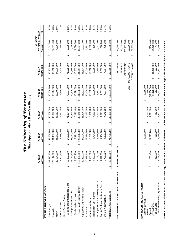|                                                       |                               |                                  | The University of Tennessee<br>State Appropriations Five-Year History |                                                 |                                                  |                                                 |       |
|-------------------------------------------------------|-------------------------------|----------------------------------|-----------------------------------------------------------------------|-------------------------------------------------|--------------------------------------------------|-------------------------------------------------|-------|
|                                                       | FY 2006                       | FY 2007                          | FY 2008                                                               | FY 2009                                         | FY 2010                                          | FY 2006 to FY 2010<br>CHANGE                    |       |
|                                                       | ACTUAL                        | ACTUAL                           | ACTUAL                                                                | PROBABLE                                        | PROPOSED                                         | Amount                                          | ಸಿ    |
| STATE APPROPRIATIONS                                  |                               |                                  |                                                                       |                                                 |                                                  |                                                 |       |
| Chattanooga                                           | 41,310,100<br>ക               | 43,788,200<br>↮                  | 46,269,500<br>↮                                                       | 46,854,700<br>↮                                 | 46,952,900<br>↮                                  | 5,642,800<br>↮                                  | 13.7% |
| Knoxville                                             | 172, 117,000                  | 184,467,600                      | 96,347,100                                                            | 198,714,900                                     | 199,318,400                                      | 27,201,400                                      | 15.8% |
| Martin                                                | 29,604,300                    | 31,672,300                       | 35,012,200                                                            | 33,946,800                                      | 34,000,800                                       | 4,396,500                                       | 14.9% |
| Space Institute                                       | 7,540,900                     | 7,919,600                        | 8,291,300                                                             | 8,389,400                                       | 8,425,500                                        | 884,600                                         | 11.7% |
| <b>Health Science Center</b>                          |                               |                                  |                                                                       |                                                 |                                                  |                                                 |       |
| Memphis Other Specialized Units                       | 33,089,700<br>↮               | 67,851,500<br>↮                  | 71,284,200<br>↮                                                       | 70,897,500<br>↮                                 | 71,395,300<br>↮                                  | 8,305,600<br>↮                                  | 13.2% |
| College of Medicine Units                             | 13, 139, 600                  | 46,073,700                       | 49,379,400                                                            | 49,825,200                                      | 50,186,400                                       | 7,046,800                                       | 16.3% |
| Family Medicine Units                                 | 7,660,700                     | 9,471,000                        | 10,176,400                                                            | 10,279,800                                      | 10,335,500                                       | 2,674,800                                       | 34.9% |
| Total Health Science Center                           | 3,890,000<br>$\tilde{t}$<br>↮ | 123,396,200<br>↮                 | 130,840,000<br>↮                                                      | 131,002,500<br>↮                                | 131,917,200<br>↮                                 | 18,027,200<br>↮                                 | 15.8% |
| Agricultural Experiment Station                       | 22,432,000                    | 24,024,900                       | 25,404,000                                                            | 25,391,700                                      | 25,524,000                                       | 3,092,000                                       | 13.8% |
| Extension                                             | 16,819,100                    | 28,414,300                       | 30,135,300                                                            | 30,460,500                                      | 30,610,700                                       | 3,791,600                                       | 14.1% |
| Veterinary Medicine                                   | 4,523,900                     | 15,705,600                       | 16,666,700                                                            | 16,865,000                                      | 16,916,600                                       | 2,392,700                                       | 16.5% |
| Institute for Public Service                          | 4,930,000                     | 4,734,600                        | 4,980,500                                                             | 5,026,600                                       | 5,065,300                                        | 135,300                                         | 2.7%  |
| Municipal Technical Advisory Service                  | 1,749,000                     | 1,928,300                        | 2,750,900                                                             | 2,783,000                                       | 2,790,100                                        | 1,041,100                                       | 59.5% |
| County Technical Assistance Service                   | 1,322,600                     | 1,484,900                        | 1,611,100                                                             | 1,631,800                                       | 1,632,800                                        | 310,200                                         | 23.5% |
| System Administration                                 | 3,775,000                     | 4,193,200                        | 4,646,600                                                             | 4,584,600                                       | 4,214,900                                        | 439,900                                         | 11.7% |
| <b>Total State Appropriations</b>                     | 440,013,900<br>↮              | 471,729,700<br>↮                 | 502,955,200<br>↔                                                      | 505,651,500<br>↔                                | 507,369,200<br>↔                                 | 67,355,300<br>↮                                 | 15.3% |
| DISTRIBUTION OF FIVE-YEAR CHANGE IN STATE API         | PROPRIATIONS:                 |                                  |                                                                       |                                                 | <b>SALARIES</b>                                  | 23,960,700<br>↔                                 |       |
|                                                       |                               |                                  |                                                                       |                                                 | <b>BENEFITS</b>                                  | 17,565,600                                      |       |
|                                                       |                               |                                  |                                                                       |                                                 | OPERATING                                        | (65, 437, 600)                                  |       |
|                                                       |                               |                                  |                                                                       |                                                 | ONE-TIME ADJUSTMENTS                             | 91,266,600                                      |       |
|                                                       |                               |                                  |                                                                       |                                                 | TOTAL CHANGE                                     | 67,355,300<br>↔                                 |       |
|                                                       |                               |                                  |                                                                       |                                                 |                                                  |                                                 |       |
| <b>NON-RECURRING ADJUSTMENTS:</b><br>Salaries (Bonus) |                               | 3,039,800<br>ക                   |                                                                       | 3,255,300<br>↮                                  |                                                  |                                                 |       |
| <b>Benefits</b>                                       |                               |                                  | 1,123,100<br>↮                                                        | 819,300                                         |                                                  |                                                 |       |
| <b>ARRA Funds</b><br>Operating                        | 256,400<br>↔                  | (1,025,700)                      | 1,591,100                                                             | (17, 736, 000)<br>38,170,400                    | 91,479,900<br>↮                                  | (256, 400)<br>91,479,900<br>↮                   |       |
| Total Non-recurring Adjustments<br>Fee Waivers        | 1,126,100<br>869,700          | 2,974,600<br>960,500<br>$\Theta$ | 3,627,000<br>912,800<br>$\boldsymbol{\Theta}$                         | 25,421,800<br>912,800<br>$\boldsymbol{\varphi}$ | 912,800<br>92,392,700<br>$\pmb{\leftrightarrow}$ | 91,266,600<br>43,100<br>$\pmb{\leftrightarrow}$ |       |
|                                                       |                               |                                  |                                                                       |                                                 |                                                  |                                                 |       |

NOTES: Appropriations for Access and Diversity, Centers of Excellence, and Research Initiatives are not included. There are no appropriations for Chairs of Excellence. **NOTES: Appropriations for Access and Diversity, Centers of Excellence, and Research Initiatives are not included. There are no appropriations for Chairs of Excellence.**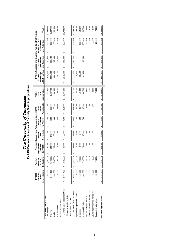|                                   |    | FY 2009                   |   | 2010<br>ŗ           |    | American Recovery and Reinvestment Act (ARRA) |    |                 |                          |          |                      |         |    | FY 2010               |    |                         |   |                        |   | FY 2010 Access and Diversity Funding Distribution |             |
|-----------------------------------|----|---------------------------|---|---------------------|----|-----------------------------------------------|----|-----------------|--------------------------|----------|----------------------|---------|----|-----------------------|----|-------------------------|---|------------------------|---|---------------------------------------------------|-------------|
|                                   |    | Recurring<br><b>State</b> |   | Recurring<br>13.21% |    | Improvement<br><b>State Moe</b>               |    | Restore<br>Base | Stabilization<br>Federal |          | <b>ARRA</b><br>Total |         |    | <b>State</b><br>Total |    | Scholarships<br>Student |   | Recruitment<br>Student |   | Faculty and Staff<br>Recruitment                  |             |
| STATE APPROPRIATIONS              |    | Appropriations            |   | Reductions          |    | to FY 2006                                    |    | Reductions      | to FY 2008               |          | Adjustments          |         |    | Appropriations        |    | and Fellowships         |   | and Retention          |   | and Retention                                     | Total       |
| Chattanooga                       |    | 704,500                   | ↮ | (39, 700)           | ↮  | 41,400                                        | မာ | 39,700          | ↮                        | 0091     | ↮                    | 82,700  | မာ | 747,500               | ↮  | 516,400                 | ↮ | 63,700                 | ↮ | 167,400                                           | \$747,500   |
| Knoxville                         |    | 2,467,100                 |   | (138, 900)          |    | 149,900                                       |    | 143,600         |                          | 6,000    |                      | 299,500 |    | 2,627,700             |    | 2,367,300               |   | 137,900                |   | 122,500                                           | 2,627,700   |
| Martin                            |    | 594,600                   |   | (33,500)            |    | 35,000                                        |    | 33,500          |                          | 1,400    |                      | 69,900  |    | 631,000               |    | 404,000                 |   | 167,000                |   | 60,000                                            | 631,000     |
| Space Institute                   |    | 94,000                    |   | (5,300)             |    | 5,500                                         |    | 5,300           |                          | 200      |                      | 11,000  |    | 99,700                |    | 59,700                  |   | 14,600                 |   | 25,400                                            | 99,700      |
| Health Science Center             |    |                           |   |                     |    |                                               |    |                 |                          |          |                      |         |    |                       |    |                         |   |                        |   |                                                   |             |
| Memphis Other Specialized Units   |    | 1,634,400                 | ↔ | (92,000)            | မာ | 96,000                                        | ↮  | 92,000          | ↔                        | 3,800    | မာ                   | 191,800 | မာ | 1,734,200             | မာ | 1,271,400               | ↮ | 360,000                | ↮ | 102,800                                           | \$1,734,200 |
| College of Medicine Units         |    |                           |   |                     |    |                                               |    |                 |                          |          |                      |         |    |                       |    |                         |   |                        |   |                                                   |             |
| Family Medicine Units             |    |                           |   |                     |    |                                               |    |                 |                          |          |                      |         |    |                       |    |                         |   |                        |   |                                                   |             |
| Total Health Science Center       | မာ | 1,634,400                 | ↮ | (92,000)            | ↮  | 96,000                                        | ക  | 92,000          | ↔                        | 800<br>ო | မာ                   | 191,800 | မာ | 1,734,200             | ↔  | 1,271,400               | ↮ | 360,000                | ↮ | 102,800                                           | \$1,734,200 |
| Agricultural Experiment Station   |    | 120,800                   |   | (6, 800)            |    | 7,100                                         |    | 6,800           |                          | 300      |                      | 14,200  |    | 128,200               |    | 128,200                 |   |                        |   |                                                   | 128,200     |
| Extension                         |    | 118,000                   |   | (6,600)             |    | 6,900                                         |    | 6,600           |                          | 300      |                      | 13,800  |    | 125,200               |    | 19,100                  |   |                        |   | 106,100                                           | 125,200     |
| Veterinary Medicine               |    | 346,600                   |   | 19,500)             |    | 20,300                                        |    | 19,500          |                          | 800      |                      | 40,600  |    | 367,700               |    | 41,400                  |   | 63,300                 |   | 263,000                                           | 367,700     |
| Institute for Public Service      |    | 15,000                    |   | (800)               |    | 800                                           |    | 800             |                          |          |                      | 1,600   |    | 15,800                |    |                         |   |                        |   | 15,800                                            | 15,800      |
| Municipal Technical Advisory Svc. |    | 2,000                     |   | (100)               |    | $\overline{0}$                                |    | $\overline{00}$ |                          |          |                      | 200     |    | 2,100                 |    |                         |   |                        |   | 2,100                                             | 2,100       |
| County Technical Assistance Svc.  |    | 2,000                     |   | (100)               |    | $\overline{0}$                                |    | $\overline{00}$ |                          |          |                      | 200     |    | 2,100                 |    |                         |   |                        |   | 2,100                                             | 2,100       |
| System Administration             |    | 82,900                    |   | (4,700)             |    |                                               |    |                 |                          |          |                      |         |    | 78,200                |    |                         |   |                        |   | 78,200                                            | 78,200      |
| Total State Appropriations        |    | 6,181,900                 |   | $$^{(348,000)}$$    | ↮  | 363,100                                       |    | \$348,000       | ↮                        | 14,400   | ↮                    | 725,500 | ↮  | 6,559,400             | ↮  | 4,807,500               | ↮ | 806,500                | ↮ | 945,400                                           | \$6,559,400 |

The University of Tennessee<br>FY 2010 Proposed Access and Diversity State Appropriations **FY 2010 Proposed Access and Diversity State Appropriations** *The University of Tennessee*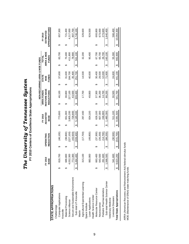|                                    |                          |           |   |                  |   |                            |    |                                   |   | <b>NON-RECURRING ARRA &amp; MOE FUNDS</b> |   |                     |   |                       |
|------------------------------------|--------------------------|-----------|---|------------------|---|----------------------------|----|-----------------------------------|---|-------------------------------------------|---|---------------------|---|-----------------------|
|                                    |                          | FY 2010   |   | <b>OPERATING</b> |   | <b>ADJUSTED</b><br>FY 2010 |    | RESTORE BASE<br><b>ARRA FUNDS</b> |   | STATE<br>MOE                              |   | ARRA & MOE<br>TOTAL |   | ESTIMATED<br>FY 2010  |
|                                    |                          | BASE      |   | REDUCTION        |   | BASE                       |    | <b>REDUCTIONS</b>                 |   | <b>FUNDS</b>                              |   | <b>FUNDS</b>        |   | <b>APPROPRIATIONS</b> |
| STATE APPROPRIATIONS               |                          |           |   |                  |   |                            |    |                                   |   |                                           |   |                     |   |                       |
| Chattanooga                        |                          |           |   |                  |   |                            |    |                                   |   |                                           |   |                     |   |                       |
| Computer Applications              |                          | 819,700   | ↮ | (46, 100)        | ↔ | 773,600                    | ക  | 46,100                            | ↔ | 37,600                                    | ക | 83,700              | ക | 857,300               |
| Knoxville                          |                          |           |   |                  |   |                            |    |                                   |   |                                           |   |                     |   |                       |
| Material Processing                |                          | 689,800   | ക | (38, 800)        | ↮ | 651,000                    | ക  | 38,800                            | ↮ | 31,600                                    | ഗ | 70,400              | ഗ | 721,400               |
| Science Alliance                   |                          | 4,032,300 |   | 227,100          |   | 3,805,200                  |    | 227,100                           |   | 84,700                                    |   | 411,800             |   | 4,217,000             |
| Secure and Sustainable Environment |                          | 772,300   |   | (43,500)         |   | 728,800                    |    | 43,500                            |   | 35,400                                    |   | 78,900              |   | 807,700               |
| Sub-total UT-Knoxville             | $\leftrightarrow$        | 5,494,400 | ↔ | (309, 400)       | ↔ | 5,185,000                  | ↔  | 309,400                           | ↔ | 251,700                                   | ↔ | 561,100             | ↮ | 5,746,100             |
| Martin                             |                          |           |   |                  |   |                            |    |                                   |   |                                           |   |                     |   |                       |
| Agricultural Experiential Learning |                          | 315,100   |   | (17,700)         |   | 297,400                    |    | 17,700                            |   | 14,500                                    |   | 32,200              |   | 329,600               |
| Space Institute                    |                          |           |   |                  |   |                            |    |                                   |   |                                           |   |                     |   |                       |
| Laser Applications                 |                          | 883,900   |   | (49, 800)        |   | 834,100                    |    | 49,800                            |   | 40,600                                    |   | 90,400              |   | 924,500               |
| Health Science Center              |                          |           |   |                  |   |                            |    |                                   |   |                                           |   |                     |   |                       |
| Molecular Resource Center          |                          | 663,400   | ക | (37,300)         | ക | 626,100                    | မာ | 37,300                            | ക | 30,400                                    | ക | 67,700              | ക | 693,800               |
| Neuroscience                       |                          | 643,500   |   | (36, 200)        |   | 607,300                    |    | 36,200                            |   | 29,500                                    |   | 65,700              |   | 673,000               |
| Pediatric Pharmacokinetics         |                          | 261,600   |   | (14, 700)        |   | 246,900                    |    | 14,700                            |   | 12,000                                    |   | 26,700              |   | 273,600               |
| Sub-total Health Science Center    | ↔                        | 1,568,500 | ↮ | (88, 200)        | ↮ | 1,480,300                  | ↮  | 88,200                            | ↔ | 71,900                                    | ↔ | 160,100             | ↮ | 1,640,400             |
| Veterinary Medicine                |                          |           |   |                  |   |                            |    |                                   |   |                                           |   |                     |   |                       |
| Livestock Diseases                 |                          | 541,600   |   | (30, 500)        |   | 511,100                    |    | 30,500                            |   | 24,800                                    |   | 55,300              |   | 566,400               |
| <b>Total State Appropriations</b>  | $\overline{\mathcal{L}}$ | 9,623,200 | ↮ | (541, 700)       | ↔ | 9,081,500                  | ↔  | 541,700                           | ↮ | 441,100                                   | ↮ | 982,800             | ↮ | 10,064,300            |
|                                    |                          |           |   |                  |   |                            |    |                                   |   |                                           |   |                     |   |                       |

ARRA (American Recovery and Reinvestment Act) federal stimulus funds<br>MOE (Maintenance of Effort) state matching funds ARRA (American Recovery and Reinvestment Act) federal stimulus funds MOE (Maintenance of Effort) state matching funds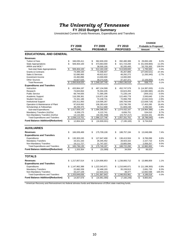#### *The University of Tennessee*

**FY 2010 Budget Summary**

Unrestricted Current Funds Revenues, Expenditures and Transfers

|                                          |                     |                     |                     | <b>CHANGE</b>               |           |
|------------------------------------------|---------------------|---------------------|---------------------|-----------------------------|-----------|
|                                          | <b>FY 2008</b>      | FY 2009             | FY 2010             | <b>Probable to Proposed</b> |           |
|                                          | <b>ACTUAL</b>       | <b>PROBABLE</b>     | <b>PROPOSED</b>     | Amount                      | %         |
| <b>EDUCATIONAL AND GENERAL</b>           |                     |                     |                     |                             |           |
| <b>Revenues</b>                          |                     |                     |                     |                             |           |
| <b>Tuition &amp; Fees</b>                | \$<br>346,035,411   | \$<br>362,830,200   | \$<br>392,480,389   | \$<br>29,650,189            | 8.2%      |
| <b>State Appropriations</b>              | \$<br>509,404,100   | \$<br>473,663,000   | \$<br>421,723,200   | (51,939,800)<br>\$          | $-11.0%$  |
| ARRA and MOE *                           |                     | 38,500,100          | 92,205,400          | 53,705,300                  | 139.5%    |
| Sub-total State Appropriations           | \$<br>509,404,100   | \$<br>512,163,100   | \$<br>513,928,600   | 1,765,500<br>\$             | 0.3%      |
| <b>Grants &amp; Contracts</b>            | 74,399,100          | 72,308,407          | 45,267,886          | (27,040,521)                | $-37.4%$  |
| Sales & Services                         | 52,690,993          | 49,622,612          | 48,292,272          | (1,330,340)                 | $-2.7%$   |
| Investment Income                        | 24,460,896          | 13,000,000          | 13,000,000          |                             |           |
| <b>Other Sources</b>                     | 43,927,525          | 39,273,426          | 37, 167, 371        | (2, 106, 055)               | $-5.4%$   |
| <b>Total Revenues</b>                    | \$<br>1,050,918,025 | \$1,049,197,745     | \$1,050,136,518     | \$<br>938,773               | 0.1%      |
| <b>Expenditures and Transfers</b>        |                     |                     |                     |                             |           |
| Instruction                              | \$<br>433,964,197   | \$<br>467,134,599   | \$<br>452,747,579   | \$(14, 387, 020)            | $-3.1%$   |
| Research                                 | 74,843,064          | 76,304,435          | 63,623,455          | (12,680,980)                | $-16.6%$  |
| <b>Public Service</b>                    | 68,744,835          | 71,585,295          | 71,226,144          | (359, 151)                  | $-0.5%$   |
| Academic Support                         | 116,336,361         | 119,872,138         | 122,465,778         | 2,593,640                   | 2.2%      |
| <b>Student Services</b>                  | 72,341,186          | 74,108,731          | 72,066,709          | (2,042,022)                 | $-2.8%$   |
| <b>Institutional Support</b>             | 105,311,063         | 119,595,267         | 106,756,549         | (12,838,718)                | $-10.7%$  |
| Operation & Maintenance of Plant         | 97,819,062          | 106,283,410         | 123,736,705         | 17,453,295                  | 16.4%     |
| Scholarships & Fellowships               | 48,299,375          | 59,512,688          | 61,809,248          | 2,296,560                   | 3.9%      |
| Sub-total Expenditures                   | 1,017,659,143<br>\$ | 1,094,396,563<br>\$ | \$1,074,432,167     | \$(19,964,396)              | $-1.8%$   |
| Mandatory Transfers (In)/Out             | 6,339,175           | 6,122,741           | 6,656,751           | 534,010                     | 8.7%      |
| Non-Mandatory Transfers (In)/Out         | 14,115,383          | (34, 391, 558)      | (23, 757, 217)      | 10,634,341                  | $-30.9%$  |
| <b>Total Expenditures and Transfers</b>  | \$1,038,113,701     | \$1,066,127,746     | \$1,057,331,701     | \$<br>(8,796,045)           | $-0.8%$   |
| <b>Fund Balance Addition/(Reduction)</b> | \$<br>12,804,324    | (16,930,001)<br>\$  | \$<br>(7, 195, 183) | \$<br>9,734,818             |           |
| <b>AUXILIARIES</b>                       |                     |                     |                     |                             |           |
| <b>Revenues</b>                          | \$<br>166,939,489   | \$<br>175,709,108   | \$<br>188,757,194   | \$<br>13,048,086            | 7.4%      |
|                                          |                     |                     |                     |                             |           |
| <b>Expenditures and Transfers</b>        |                     |                     |                     |                             |           |
| Expenditures                             | \$<br>130,303,245   | \$<br>127,647,408   | \$<br>136,413,504   | \$<br>8,766,096             | 6.9%      |
| <b>Mandatory Transfers</b>               | 16,321,163          | 26,345,452          | 28,503,162          | 2,157,710                   | 8.2%      |
| Non-Mandatory Transfers                  | 19,111,727          | 21,747,337          | 23,805,594          | 2,058,257                   | 9.5%      |
| <b>Total Expenditures and Transfers</b>  | \$<br>165,736,135   | \$<br>175,740,197   | \$<br>188,722,260   | \$<br>12,982,063            | 7.4%      |
| <b>Fund Balance Addition/(Reduction)</b> | \$<br>1,203,354     | \$<br>(31,089)      | \$<br>34,934        | \$<br>66,023                |           |
| <b>TOTALS</b>                            |                     |                     |                     |                             |           |
| <b>Revenues</b>                          | \$1,217,857,514     | \$1,224,906,853     | \$1,238,893,712     | \$<br>13,986,859            | 1.1%      |
| <b>Expenditures and Transfers</b>        |                     |                     |                     |                             |           |
| Expenditures                             | \$1,147,962,388     | \$1,222,043,971     | \$1,210,845,671     | \$(11, 198, 300)            | $-0.9%$   |
| <b>Mandatory Transfers</b>               | 22,660,339          | 32,468,193          | 35,159,913          | 2,691,720                   | 8.3%      |
| Non-Mandatory Transfers                  | 33,227,109          | (12,644,221)        | 48,377              | 12,692,598                  | $-100.4%$ |
| <b>Total Expenditures and Transfers</b>  | \$<br>1,203,849,836 | 1,241,867,943<br>\$ | 1,246,053,961<br>\$ | \$<br>4,186,018             | 0.3%      |
| <b>Fund Balance Addition/(Reduction)</b> | \$                  | \$                  | \$                  | \$                          |           |
|                                          | 14,007,678          | (16, 961, 090)      | (7, 160, 249)       | 9,800,841                   |           |

\* American Recovery and Reinvestment Act federal stimulus funds and Maintenance of Effort state matching funds.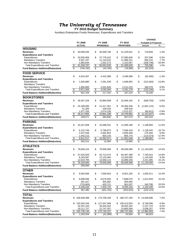#### *The University of Tennessee*

**FY 2010 Budget Summary**

Auxiliary Enterprises Funds Revenues, Expenditures and Transfers

|                                          |                       |               |                           |                 |    |                 |                 | <b>CHANGE</b>               |          |
|------------------------------------------|-----------------------|---------------|---------------------------|-----------------|----|-----------------|-----------------|-----------------------------|----------|
|                                          |                       | FY 2008       |                           | FY 2009         |    | FY 2010         |                 | <b>Probable to Proposed</b> |          |
|                                          |                       | <b>ACTUAL</b> |                           | <b>PROBABLE</b> |    | <b>PROPOSED</b> |                 | Amount                      | $\%$     |
| <b>HOUSING</b>                           |                       |               |                           |                 |    |                 |                 |                             |          |
| <b>Revenues</b>                          | \$                    | 40,608,035    | \$                        | 50,509,738      | \$ | 51,229,631      | \$              | 719,893                     | 1.4%     |
| <b>Expenditures and Transfers</b>        |                       |               |                           |                 |    |                 |                 |                             |          |
| Expenditures                             | \$                    | 33,935,956    | \$                        | 37.778.242      | \$ | 37,985,828      | \$              | 207,586                     | 0.5%     |
| <b>Mandatory Transfers</b>               |                       | 5,557,197     |                           | 11.143.015      |    | 11,999,231      |                 | 856,216                     | 7.7%     |
| Non-Mandatory Transfers                  |                       | 1,855,644     |                           | 1,632,273       |    | 1,323,567       |                 | (308, 706)                  | $-18.9%$ |
| <b>Total Expenditures and Transfers</b>  | \$                    | 41,348,797    | \$                        | 50,553,530      | \$ | 51,308,626      | \$              | 755,096                     | 1.5%     |
| <b>Fund Balance Addition/(Reduction)</b> | \$                    | (740, 762)    | \$                        | (43, 792)       | \$ | (78, 995)       | \$              | (35, 203)                   |          |
| <b>FOOD SERVICE</b>                      |                       |               |                           |                 |    |                 |                 |                             |          |
| <b>Revenues</b>                          | \$                    | 4,524,267     | \$                        | 4,410,388       | \$ | 4.348.388       | \$              | (62,000)                    | $-1.4%$  |
| <b>Expenditures and Transfers</b>        |                       |               |                           |                 |    |                 |                 |                             |          |
| Expenditures                             | \$                    | 1,920,880     | \$                        | 2,261,439       | \$ | 1,948,955       | \$              | (312, 484)                  | $-13.8%$ |
| <b>Mandatory Transfers</b>               |                       |               |                           |                 |    |                 |                 |                             |          |
| Non-Mandatory Transfers                  |                       | 1,950,683     |                           | 2,031,845       |    | 2,212,223       |                 | 180,378                     | 8.9%     |
| <b>Total Expenditures and Transfers</b>  | $\boldsymbol{\theta}$ | 3,871,563     | $\boldsymbol{\mathsf{s}}$ | 4,293,284       | \$ | 4,161,178       | \$              | (132, 106)                  | $-3.1%$  |
| <b>Fund Balance Addition/(Reduction)</b> | \$                    | 652,704       | \$                        | 117,104         | \$ | 187,210         | \$              | 70,106                      |          |
| <b>BOOKSTORES</b>                        |                       |               |                           |                 |    |                 |                 |                             |          |
| <b>Revenues</b>                          | \$                    | 26,457,226    | \$                        | 23,884,938      | \$ | 22,946,155      | \$              | (938, 783)                  | $-3.9%$  |
| <b>Expenditures and Transfers</b>        |                       |               |                           |                 |    |                 |                 |                             |          |
| Expenditures                             | \$                    | 24,189,095    | \$                        | 21,417,451      | \$ | 20,356,336      | \$              | (1,061,115)                 | $-5.0%$  |
| <b>Mandatory Transfers</b>               |                       | 51,305        |                           | 109,418         |    | 109,418         |                 |                             |          |
| Non-Mandatory Transfers                  |                       | 1,977,255     |                           | 2,074,239       |    | 2,013,327       |                 | (60, 912)                   | $-2.9%$  |
| <b>Total Expenditures and Transfers</b>  | \$                    | 26,217,655    | \$                        | 23,601,108      | \$ | 22,479,081      | \$              | (1, 122, 027)               | $-4.8%$  |
| <b>Fund Balance Addition/(Reduction)</b> | \$                    | 239,571       | \$                        | 283,830         | \$ | 467,074         | \$              | 183,244                     |          |
|                                          |                       |               |                           |                 |    |                 |                 |                             |          |
| <b>PARKING</b>                           |                       |               |                           |                 |    |                 |                 |                             |          |
| <b>Revenues</b>                          | \$                    | 10,167,828    | \$                        | 10,396,531      | \$ | 11,595,196      | \$              | 1,198,665                   | 11.5%    |
| <b>Expenditures and Transfers</b>        |                       |               |                           |                 |    |                 |                 |                             |          |
| Expenditures                             | \$                    | 6,122,749     | \$                        | 6,799,873       | \$ | 7,936,418       | \$              | 1,136,545                   | 16.7%    |
| <b>Mandatory Transfers</b>               |                       | 2,247,556     |                           | 2,662,954       |    | 2,839,448       |                 | 176,494                     | 6.6%     |
| Non-Mandatory Transfers                  |                       | 1,442,212     |                           | 920,144         |    | 805,770         |                 | (114, 374)                  | $-12.4%$ |
| <b>Total Expenditures and Transfers</b>  | \$                    | 9,812,517     | \$                        | 10,382,971      | \$ | 11,581,636      | \$              | 1,198,665                   | 11.5%    |
| <b>Fund Balance Addition/(Reduction)</b> | \$                    | 355,311       | \$                        | 13,560          | \$ | 13,560          | \$              |                             |          |
| <b>ATHLETICS</b>                         |                       |               |                           |                 |    |                 |                 |                             |          |
| <b>Revenues</b>                          | \$                    | 78,628,133    | \$                        | 79,506,589      | \$ | 90,636,589      | \$              | 11,130,000                  | 14.0%    |
| <b>Expenditures and Transfers</b>        |                       |               |                           |                 |    |                 |                 |                             |          |
| Expenditures                             | \$                    | 57,525,620    | \$                        | 52,713,474      | \$ | 60,497,389      | \$              | 7,783,915                   | 14.8%    |
| <b>Mandatory Transfers</b>               |                       | 8,183,667     |                           | 12,125,000      |    | 13,250,000      |                 | 1,125,000                   | 9.3%     |
| Non-Mandatory Transfers                  |                       | 12,619,795    |                           | 14,668,115      |    | 16,889,200      |                 | 2,221,085                   | 15.1%    |
| <b>Total Expenditures and Transfers</b>  | \$                    | 78,329,083    | \$                        | 79,506,589      | \$ | 90,636,589      | \$              | 11,130,000                  | 14.0%    |
| <b>Fund Balance Addition/(Reduction)</b> | \$                    | 299,050       | \$                        |                 | \$ |                 | \$              |                             |          |
| <b>OTHER</b>                             |                       |               |                           |                 |    |                 |                 |                             |          |
| <b>Revenues</b>                          | \$                    | 6,554,000     | \$                        | 7,000,924       | \$ | 8,001,235       | \$              | 1,000,311                   | 14.3%    |
| <b>Expenditures and Transfers</b>        |                       |               |                           |                 |    |                 |                 |                             |          |
| Expenditures                             | \$                    | 6,608,946     | \$                        | 6,676,929       | \$ | 7,688,578       | \$              | 1,011,649                   | 15.2%    |
| <b>Mandatory Transfers</b>               |                       | 281,437       |                           | 305,065         |    | 305,065         |                 |                             |          |
| Non-Mandatory Transfers                  |                       | (733, 863)    |                           | 420,721         |    | 561,507         |                 | 140,786                     | 33.5%    |
| <b>Total Expenditures and Transfers</b>  | \$                    | 6,156,520     | \$                        | 402,715,        | \$ | 8,555,150       | \$              | 1,152,435                   | 15.6%    |
| <b>Fund Balance Addition/(Reduction)</b> | \$                    | 397,480       | $\overline{\mathbb{S}}$   | (401, 791)      | \$ | (553, 915)      | \$              | (152, 124)                  |          |
|                                          |                       |               |                           |                 |    |                 |                 |                             |          |
| <b>TOTAL</b>                             |                       |               |                           |                 |    |                 |                 |                             |          |
| <b>Revenues</b>                          | \$                    | 166,939,489   | \$                        | 175,709,108     | \$ | 188,757,194     | \$              | 13,048,086                  | 7.4%     |
| <b>Expenditures and Transfers</b>        |                       |               |                           |                 |    |                 |                 |                             |          |
| Expenditures                             | \$                    | 130,303,245   | \$                        | 127,647,408     | S  | 136,413,504     | \$              | 8,766,096                   | 6.9%     |
| <b>Mandatory Transfers</b>               |                       | 16,321,163    |                           | 26,345,452      |    | 28,503,162      |                 | 2,157,710                   | 8.2%     |
| Non-Mandatory Transfers                  |                       | 19,111,727    |                           | 21,747,337      |    | 23,805,594      |                 | 2,058,257                   | 9.5%     |
| <b>Total Expenditures and Transfers</b>  | \$                    | 165,736,135   | \$                        | 175,740,197     | \$ | 188,722,260     | \$              | 12,982,063                  | 7.4%     |
| <b>Fund Balance Addition/(Reduction)</b> | \$                    | 1,203,354     | \$                        | (31,089)        | \$ | 34,934          | $\overline{\$}$ | 66,023                      |          |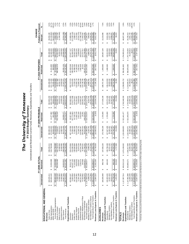## The University of Tennessee *The University of Tennessee* FY 2010 Budget Summary **FY 2010 Budget Summary**

Unrestricted and Restricted Current Funds Revenues, Expenditures and Transfers Unrestricted and Restricted Current Funds Revenues, Expenditures and Transfers

 $\begin{array}{r} 1.4\% \\ 8.3\% \\ 7.00.4\% \\ -1.2\% \end{array}$ 8.2%<br>-10.7%<br>139.3%  $1.7%$ <br>-2.7%  $-2.5%$ 2.3% 7.5%  $6.9%$ <br>  $6.2%$ <br>  $6.5%$ <br>  $7.4%$ 2.8% Tuition & Fees 346,035,411 \$ 346,035,411 \$ 362,830,200 \$ 362,830,200 \$ 392,480,389 \$ 392,480,389 \$ 29,650,189 \$ 8.2% State Appropriations 509,404,100 \$ 24,353,989 \$ 533,758,089 \$ 473,663,000 \$ 22,477,882 \$ 496,140,882 \$ 421,723,200 \$ 21,261,800 \$ 442,985,000 \$ (53,155,882) \$ -10.7% ARRA and MOE \* 38,500,100 441,100 38,941,200 92,205,400 982,800 93,188,200 54,247,000 139.3% Sub-total State Appropriations \$ 22,353,092,092,092,092,092,092,09 \$ 52,374,000 \$ 52,912,100 \$ 52,929,090 \$ 535,092,173,000 \$ 512,192,192,192,192,192,173,090 \$ 52,242,124,600 \$ 536,092,173,200 \$ 536,092,173,09 \$ 0.2%,173,0 Grants & Contracts 966,356,480 440,755,579 437,755,755,755,755,308,480 45,267,308,480 468,357,886 468,3964 513,687,239 1.7%;<br>Grants & Contracts 513,658,599 1.7%; Sales & Services 52,690,993 52,690,993 49,622,612 - 49,622,612 - 49,622,612 - 49,622,612 48,292,272 48,292,272 48,292,272 48,093 48,093 48,093 48,093 48,093 48,093 48,093 48,093 48,093 48,093 48,093 48,093 48,093 48,093 48 Other Sources 43,927,525 64,610,912 108,538,438 39,273,426 64,039,177 103,312,603 37,167,371 63,531,124 100,698,495 (2,614,108) -2.5% Total Revenue 1,050,918,025 \$ 455,321,381 \$ 1,506,239,406 \$ 1,049,197,745 \$ 519,716,477 \$ 1,568,914,222 \$ 1,050,136,518 \$ 554,161,802 \$ 1,604,298,320 \$ 35,384,098 \$ 2.3% INSTRUCTION \$ 575,964,197 \$ 524,47,576,767,572,745,745,745,7484,484,599,89 \$ 562,573,572,484 \$ 575,677,127 \$ 575,677,127 \$ 575,677,127 \$ 575,677,127 \$ 575,677,127 \$ 123,572,479 \$ 575,677,577,127 \$ 12,989,584 \$ 3.48 \$ 3.48 Research 74,843,064 140,437,145 215,209,304,35,435 19.214,077,12,077,12,079,098 197,12,098 197,12,09 197,145 198,079 197,145 197,146,979 197,145 197,146,979 197,145 198,079 197,145 198,079 197,119 197,119 197,119 197,119 1 Public Service 68,744,835 67,315,965,55 67,315,985,295 71,585,295 62,732,48,332,48,334,027 71,226,144 62,732,495 135,592,499 1,588,472 12% 1.2% Academic Support 116,336,361 119,854,894 11,994 11,994 11,994 135,138 125,459,138 125,468 136,602,441 5,270,364 136,602,241 12,694 11,994 14,1394 122,469,241 5,270,384 122,469,241 14,1364 14,136,464 14,1364 14,1364 14,1364 Student Services 73,941,186 3,634,047 75,975,234 74,108,731 1,522,194 1,523,09,925 74,108,731 72,009 73,034,047 73,939,050 73,034,047 75,975,034,047 73,031,2750, Institutional Support 105,311,063 2,4230,274 107,541,358 12,410,200 106,756,587 12,410,628 106,756,548 106,758,110 100,219,177 107,594,000 109,219,177 10.5% Operation & Maintenance of Plant 123,537,57,757,757,761 123,3164,531 123,795,831,062 106,291 145,469 145,319,07<br>Operation & Plant 123,57,57,57,57,57,57,57,57,57,68,310 106,258,310 106,258,3170,57,000 106,301 16.531,757,57, Scholarships & Fellowships 48,299,375 119,494,877 167,794,251 59,512,688 148,229,537 207,742,225 61,809,248 150,977,612 212,786,860 5,044,635 2.4% Sub-total Expenditures \$ 1,017,659,178,1437,174,37,177,414,177,414,177,414,177,414,177,432,17,672,17,57,483,19<br>Sub-total Sub-total States \$ 1,432,167,183,183,167,17,432,17,78,48,19,19,17,17,44,17,17,4,4,17,17,4,37,17,17,4 MandatoryTransfers (In)/Out 6.339,175 6.339,175 6.339,175 6.339,175 6.339,175 6.339,175 6.356,751 6.356,751 82% Mandatory Transfers (In)/Out 6,339,1756,339,1756,339,1756,122,7416,339,1756,122,7416,394,39,1566,7516,757,7771<br>Non-Mandatory Transfers (In)/Out 14,115,383 14,115,383 14,115,383 14,115,383 (34,391,558) (23,757,217) (23,757, Total Expenditures and Transfers 1,038,113,701 \$ 433,389,077 \$ 1,471,502,778 \$ 1,066,127,746 \$ 519,720,670 \$ 1,585,848,416 \$ 1,057,331,701 \$ 554,979,383 \$ 1,612,311,084 \$ 26,462,668 \$ 1.7% Revenues 167,299,09,000,000,000,000,000,000,000 \$ 178,709,000,000,000 \$ 178,99,000,000 \$ 178,99,000,000 \$ 178,00<br>A 190,000,000,000,000,000,000,000,000 \$ 190,000,000,000,000,000 \$ 13,223,09,000,000 \$ 13,223,09,000 \$ 13,22,0 expenditures a 139,01,21,817 \$ 130,01,000 \$ 130,01,000 \$ 136,000,000 \$ 136,000,000 \$ 138,304 \$ 138,304 \$ 138,40<br>138,300,000,000 \$ 138,400,000 \$ 138,400,000 \$ 136,400,000,000 \$ 1,900,000 \$ 138,404 \$ 138,400,000 \$ 6.9% \$ 6.9 MandatoryTransfers 16,321,163 16,321,163 16,321,163 26,345,452 26,345,452 26,345,452 28,503,162 28,503,162 2,157,710 8.2% Non-Mandatory Transfers 19,111,727 19,111,727 19,111,727 21,747,337 21,747,337 23,805,594 23,805,594 23,805,594 20,058,257 9.5% Total Expenditures and Transfers 165,732,881 \$ 166,197 \$ 175,740,197 \$ 177,495,197 \$ 188,722,288 \$ 10,000 \$ 10,000 \$ 1,000 \$ 1,000,000 \$ 1,000,000 \$ 1,000,000 \$ 1,9168,722,260 \$ 1,915,063 **Revenues** \$ 1,217,187,1514 \$ 456,51514 \$ 1,457,169,833,128,169,1194,154,194,194,194,194,194,194,194,169,18,104 \$ 1,231,218,124,185,514 \$ 1,294,512,185,514 \$ 1,294,514 \$ 1,894,895,512,956,512,956,512,185,514 \$ 4.65,1956,18 Expenditures \$ 433,855,812,962,8188 \$ 556,817,671,455,817,671,455,871 \$ 521,445,671 \$ 1,210,831,871 \$ 1,210,847,574,255,4745,671 \$ 1,767,054,059 \$ 1,210,847,574,235,4745,671 \$ 1,767,052,054,81 \$ 1,255,413 \$ 1.58,187,054,21 Mandatory Transfers 35,159,9139 32,460,339 22,460,339 32,468,193 32,468,193 32,468,193 35,159,913 35,159,913 3<br>Математур 35,159,913 35,159,913 35,159,913 32,468,193 32,468,193 32,468,193 32,468,193 32,468,193 35,159,913 3 Probable to Proposed Investment Income 24,460,896 24,460,896 13,000,000 - 13,000,000 13,000,000 13,000,000 - - **Probable to Proposed Unrestricted Restricted Total Unrestricted Restricted Total Unrestricted Restricted Total Amount %** CHANGE **CHANGE** 29,650,189<br>(53,155,882)<br>54,247,000<br>1091 118  $\begin{array}{c} \n 1,588,472 \\
 \hline\n 5,270,354 \\
 (2,031,275) \\
 (12,785,110)\n \end{array}$ 5,044,635<br>15,294,317<br>534,010<br>10,634,341 8,941,096<br>2,157,710 2,691,720<br>12,692,598  $(1,330,340)$  $(12, 230, 119)$  $(2,614,108)$ 17,453,316 66,023  $$24,235,413$ 35,384,098 12,985,044 8,921,430 **Revenues Less Expend. & Transfers** 12,804,324 \$ 21,932,304 \$ 34,736,628 \$ (16,930,001) \$ (4,193) \$ (16,934,194) \$ (7,195,183) \$ (817,581) \$ (8,012,764) \$ 8,921,430 \$ 13,223,086 13,157,063 RCO199 \$ 75.0116 \$ - \$ 75.0116 \$ 6801.162 \$ - \$ (6801.162) \$ 98,0202.11 \$ 71511725 \$ 1,81,00211 \$ \$ 34,934,084 \$ 48,607,184 8,587,239 26.462.66 Amount  $\omega$ မှာမှာ  $\omega$ မ  $\theta$ 261,846,979<br>135,922,499<br>136,602,241<br>73,599,650<br>709,219,177 392,480,389<br>442,985,000<br>93,188,200<br>536,173,200 48,292,272<br>13,000,000<br>100,698,495 212,786,860<br>1,629,411,550<br>6,656,751 28,503,162<br>23,805,594 35,159,913<br>48.377 23,757,217 190,622,260<br>34,934 575,677,127 123,757,017 (8,012,764 138,313,504 \$1,767,725,054 513,653,964 ,604,298,320 190,657,194 1,794,955,514 Total  $\omega$ Ø Ø FY 2010 PROPOSED **FY 2008 ACTUAL FY 2009 PROBABLE FY 2010 PROPOSED**  $\begin{array}{r}\n\text{$21,261,800} \\
\text{982,800} \\
\text{\text{\textsterling}}\n\end{array}$ 63,531,124<br>554,161,802 150,977,612<br>\$554,979,383  $(817, 581)$ 1,900,000 1,900,000 1,900,000 556,061,802 556,879,383 468.386.078 122,929,548 198,223,524 554979383 Restricted  $\theta$  $\omega$ Ø Ø ⊶<br>∽ 392,480,389<br>421,723,200<br>92,205,400<br>513,928,600 48,292,272<br>13,000,000<br>37,167,371 71,226,144<br>122,465,778<br>72,066,709<br>106,756,549 61,809,248<br>\$1,074,432,167<br>6,656,751<br>6,656,751 35,159,913<br>48.377 452,747,579 123,736,705  $(7, 195, 183)$ 188,757,194 188,722,260 34,934 \$1,238,893,712 \$1,210,845,671 63,623,455 Unrestricted 45,267,886 1,050,136,518 (23,757,217)<br>1.057,331.701 23,805,594  $\epsilon$ 274,077,088<br>134,334,027<br>131,331,887<br>131,380,925<br>72,005,287<br>106,303,701 32,468,193<br>(12,644,221) 362,830,200<br>496,140,882<br>38,941,200<br>535,082,082 207,742,225<br>\$1,614,117,233<br>6,122,741 129,372,408<br>26,345,452  $(31, 089)$ 49,622,612 13,000,000  $(34, 391, 558)$ (16,934,194) 177,434,108 \$1,746,348,330 \$1,743,489,641 505,066,725 03,312,603 562,692,083 177,465,197 568,914,222 585.848.416 1,747,337 Total မှ မှ  $\bullet$ Ø FY 2009 PROBABLE Ø  $(4, 193)$ 62,748,732<br>11,459,749<br>1,522,194<br>2,410,020 20,291 148,229,537<br>\$ 519,720,670 1,725,000 \$521,445,670 \$ 22,477,882 432.758.318 64,039,177 95,557,484 197,772,663 519.720.670 1,725,000 1,725,000 \$521,441,477 Restricted 519.716.47  $\theta$  $\omega$ e, 127,647,408<br>26,345,452<br>21,747,337 362,830,200<br>473,663,000<br>38,500,100<br>512,163,100 49,622,612<br>13,000,000<br>39,273,426 71,585,295<br>119,872,138<br>74,108,731<br>119,595,267 32,468,193<br>(12,644,221) 467,134,599<br>76,304,435 59,512,688<br>1,094,396,563<br>6,122,741 106,283,410 ,558)  $(31,089)$ 175,709,108 175,740,197 1,224,906,853 \$1,222,043,971 Unrestricted 72,308,407 ,049,197,745  $(16, 930, 001$  $.066.127.$  $(34, 391,$  $\omega$ မာမာ  $\epsilon$ |မာ Ø  $\theta$ 136,060,800<br>125,954,894<br>75,975,234<br>107,541,338 97,964,531<br>167,794,251<br>1,451,048,220<br>6,339,175 130,769,438<br>16,321,163 22,660,339<br>33.227.109 346,035,411<br>533,758,089 24,460,896<br>108,538,438 \$1,581,817,659 \$1,674,169,632 440,755,579 52,690,993 524,476,964 215,280,209 34,736,628 167,930,226 166,202,328 1,727,898 506,239,406 533,758,0  $,471,502,$ Total  $\omega$ Ø FY 2008 ACTUAL  $67.73$ <br>  $67.73$ <br>  $67.818$ <br>  $67.818$ <br>  $67.818$ <br>  $68.834.047$ <br>  $67.8230.274$ <br>  $145.469$ <br>  $149.4877$ <br>  $19.494.877$ <br>  $19.494.877$ 466,193 24,353,989 466,193<br>524,544 366,356,480 64,610,912 90,512,767 140,437,145 990,738 \$456,312,119 \$433,855,271 21,932,304 Restricted 455,321,38 433.389.07  $\omega$  $\omega$ ക G မာ  $\begin{array}{c} 433,964,197\\ 74,843,064\\ 68,744,835\\ 116,336,361\\ 72,341,186\\ 105,311,063\\ 105,311,063\\ 97,819,062 \end{array}$ 48,299,375<br>\$ 1,017,659,143<br>6,339,175 346,035,411<br>509,404,100 165,736,135<br>1,203,354 22,660,339<br>33,227,109 52,690,993<br>24,460,896 14,115,383 43,927,525 166,939,489 130,303,245  $16,321,163$ 1,217,857,514 \$1,147,962,388 509,404,100 74,399,100 \$1,050,918,025 12,804,324 Unrestricted  $\omega$ မှာမှာ  $\omega$ ⇔ Ø **EDUCATIONAL AND GENERAL EDUCATIONAL AND GENERAL** Revenues Less Expend. & Transfers Revenues Less Expend. & Transfers Mandatory Transfers (In)/Out<br>Non-Mandatory Transfers (In)/Out<br>Total Expenditures and Transfers Total Expenditures and Transfers Tuition & Fees<br>State Appropriations<br>ARRA and MOE \*<br>Sub-total State Appropriations Operation & Maintenance of Plant Expenditures and Transfers Expenditures and Transfers xpenditures and Transfers **Expenditures and Transfers Expenditures and Transfers Expenditures and Transfers** Scholarships & Fellowships<br>Sub-total Expenditures Mandatory Transfers<br>Non-Mandatory Transfers Mandatory Transfers<br>Non-Mandatory Transfers Sales & Services<br>Investment Income<br>Other Sources Research<br>Public Service<br>Academic Support<br>Student Services Institutional Support Grants & Contracts **AUXILIARIES AUXILIARIES** Total Revenue Expenditures Expenditures Instruction **TOTALS** Revenues **Revenues** Revenues Revenues

\* American Recovery and Reinvestment Act federal stimulus funds and Maintenance of Effort state matching funds. " American Recovery and Reinvestment Act federal stimulus funds and Maintenance of Effort state matching funds

Non-Mandatory Transfers 33,227,27,27,27,327,27,109 33,227,109 33,227,109 33,227,109 48,377 12,693,109 12,692,109 48,377 12,693,109 12,092,109 48,377 12,093 12,092,139,227,109 48,377 12,093 48,377 12,092,12,092,12,092 12,09 Total Expenditures and Transfers \$ 433,8673,852,373,321,82,313,83,313,834,843,444,844 \$ 1,245,673,963,943 \$ 1,253 \$ 1,253 \$ 521,4545 \$ 1,231 \$ 1,231 \$ 1,231 \$ 3,613,961 \$ 566,879,384 \$ 568,933,468,933,458,933,44 \$ 3.2% \$ 3

\$521,445,670

Revenues Less Expending 181,584 \$ 14,000 \$ 14,000 \$ 14,000 \$ 16,000 \$ 16,000 \$ 16,000 \$ 16,000 \$ 16,000 \$ 16,000 \$ 16,000 \$ 16,000 \$ 16,000 \$ 16,000 \$ 16,000 \$ 16,000 \$ 16,000 \$ 16,000 \$ 16,000 \$ 16,000 \$ 16,000 \$ 16,000 \$

\$ (16,961,090)

36,464,526

\$1,637,705,106

 $$433,855,271$ \$ 22,456,848

\$1,203,849,836 14,007,678

 $\epsilon$ 

Revenues Less Expend. & Transfers

Total Expenditures and Transfers

\$1,241,867,943

e.

8,987,453

 $\epsilon$ 

 $(7, 977, 830)$ 

 $\omega$ 

 $\omega$ 

 $(7, 160, 249)$ 

 $(16,965,283)$ 

 $\theta$ 

 $(4, 193)$ 

 $$1,763,313,613$ 

\$1,802,933,344

\$556,879,383  $(817,581)$ 

\$1,246,053,961

39,619,731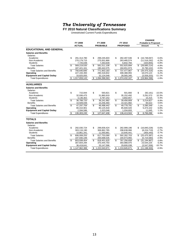#### *The University of Tennessee*

**FY 2010 Natural Classifications Summary**

Unrestricted Current Funds Expenditures

|                                     |                     |                     |                     |     | <b>CHANGE</b>               |          |
|-------------------------------------|---------------------|---------------------|---------------------|-----|-----------------------------|----------|
|                                     | FY 2008             | FY 2009             | FY 2010             |     | <b>Probable to Proposed</b> |          |
|                                     | <b>ACTUAL</b>       | <b>PROBABLE</b>     | <b>PROPOSED</b>     |     | Amount                      | %        |
| <b>EDUCATIONAL AND GENERAL</b>      |                     |                     |                     |     |                             |          |
| <b>Salaries and Benefits</b>        |                     |                     |                     |     |                             |          |
| <b>Salaries</b>                     |                     |                     |                     |     |                             |          |
| Academic                            | \$<br>291,314,780   | \$<br>299.245.603   | \$<br>282,497,536   | \$  | (16,748,067)                | $-5.6%$  |
| Non-Academic                        | 270,179,715         | 275,001,866         | 263,485,574         |     | (11, 516, 292)              | $-4.2%$  |
| <b>Students</b>                     | 7,725,039           | 7,263,639           | 6,842,784           |     | (420, 855)                  | $-5.8%$  |
| <b>Total Salaries</b>               | \$<br>569,219,535   | \$<br>581,511,108   | \$<br>552,825,894   | \$  | (28, 685, 214)              | $-4.9%$  |
| <b>Benefits</b>                     | 187,421,161         | 190,442,075         | 184,651,973         |     | (5,790,102)                 | $-3.0%$  |
| <b>Total Salaries and Benefits</b>  | \$<br>756,640,695   | \$<br>771.953.183   | \$<br>737.477.867   | \$. | (34, 475, 316)              | $-4.5%$  |
| Operating                           | 227,193,393         | 290,318,832         | 308,388,955         |     | 18,070,123                  | 6.2%     |
| <b>Equipment and Capital Outlay</b> | 33,825,055          | 32,124,548          | 28,565,345          |     | (3,559,203)                 | $-11.1%$ |
| <b>Total Expenditures</b>           | \$<br>1,017,659,143 | \$1,094,396,563     | \$<br>1,074,432,167 | S   | (19,964,396)                | $-1.8%$  |
|                                     |                     |                     |                     |     |                             |          |
| <b>AUXILIARIES</b>                  |                     |                     |                     |     |                             |          |
| <b>Salaries and Benefits</b>        |                     |                     |                     |     |                             |          |
| Salaries                            |                     |                     |                     |     |                             |          |
| Academic                            | \$<br>715,944       | \$<br>593,821       | \$<br>501,660       | \$  | (92, 161)                   | $-15.5%$ |
| Non-Academic                        | 32,936,475          | 31,860,919          | 35, 152, 492        |     | 3,291,573                   | 10.3%    |
| <b>Students</b>                     | 3,136,302           | 3,787,242           | 3,802,657           |     | 15,415                      | 0.4%     |
| <b>Total Salaries</b>               | \$<br>36,788,720    | \$<br>36,241,982    | \$<br>39,456,809    | \$  | 3,214,827                   | 8.9%     |
| <b>Benefits</b>                     | 10,509,039          | 10,256,460          | 10,321,982          |     | 65,522                      | 0.6%     |
| <b>Total Salaries and Benefits</b>  | \$<br>47,297,759    | \$<br>46.498.442    | \$<br>49.778.791    | \$  | 3.280.349                   | 7.1%     |
| Operating                           | 80,410,901          | 80,125,918          | 85,600,020          |     | 5,474,102                   | 6.8%     |
| <b>Equipment and Capital Outlay</b> | 2,594,586           | 1,023,048           | 1,034,693           |     | 11,645                      | 1.1%     |
| <b>Total Expenditures</b>           | \$<br>130,303,245   | \$<br>127,647,408   | \$<br>136,413,504   | \$  | 8,766,096                   | 6.9%     |
| <b>TOTALS</b>                       |                     |                     |                     |     |                             |          |
| <b>Salaries and Benefits</b>        |                     |                     |                     |     |                             |          |
| <b>Salaries</b>                     |                     |                     |                     |     |                             |          |
| Academic                            | \$<br>292,030,724   | \$<br>299.839.424   | \$<br>282,999,196   | \$  | (16,840,228)                | $-5.6%$  |
| Non-Academic                        | 303,116,190         | 306,862,785         | 298,638,066         |     | (8,224,719)                 | $-2.7%$  |
| <b>Students</b>                     | 10,861,341          | 11,050,881          | 10,645,441          |     | (405, 440)                  | $-3.7%$  |
| <b>Total Salaries</b>               | \$<br>606.008.255   | \$<br>617.753.090   | \$<br>592.282.703   | \$  | (25, 470, 387)              | $-4.1%$  |
| <b>Benefits</b>                     | 197,930,199         | 200,698,535         | 194,973,955         |     | (5,724,580)                 | $-2.9%$  |
| <b>Total Salaries and Benefits</b>  | \$<br>803.938.454   | \$<br>818.451.625   | \$<br>787.256.658   |     | (31.194.967)                | $-3.8%$  |
| Operating                           | 307,604,294         | 370,444,750         | 393,988,975         |     | 23,544,225                  | 6.4%     |
| <b>Equipment and Capital Outlay</b> | 36,419,641          | 33,147,596          | 29,600,038          |     | (3,547,558)                 | $-10.7%$ |
| <b>Total Expenditures</b>           | 1,147,962,388       | \$<br>1,222,043,971 | \$<br>1,210,845,671 | \$  | (11, 198, 300)              | $-0.9%$  |
|                                     |                     |                     |                     |     |                             |          |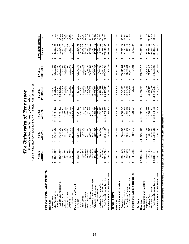Current Funds Revenues, Expenditures and Transfers - UNRESTRICTED Current Funds Revenues, Expenditures and Transfers - UNRESTRICTED

 $4.7\%$ <br>25.3%  $17.2%$ <br>21.5%<br>40.9% 32.7%<br>20.7% 31.8%  $-4.2%$ 16.8%  $-38.2%$  $9.6%$ 0.6% 10.1% 16.5% 16.0% 24.4% 50.5% 18.8% 31.9% 27.5% 148.3% 4.1% 33.5% 18.6% 21.4% 121.1%  $-99.7%$ 20.8% Tuition & Fees 297,774,514 \$ 318,173,954 \$ 346,035,411 \$ 362,830,200 \$ 392,480,389 \$ 94,705,875 \$ 31.8% Sexta (002/082191) \$ 5002/02/1,294 \$ 5000/09/02/03,1029 \$ 500,663,000,102/1,24 \$ 500,660,000 \$ 500,670,000 \$ 50 100.0% ARRA and MOE \* 38,500,100 92,205,400 92,205,400 100.0% Sub-total State Appropriations 440,013,900 \$ 471,729,700 \$ 509,404,100 \$ 512,163,100 \$ 513,928,600 \$ 73,914,700 \$ 16.8% Grants & Contracts 73,224,279 73,238,980 74,399,100 72,308,407 45,267,886 (27,956,393) -38.2% Sales & Services 44,079,0379,0376,079,037,652 52,690,993 52,690,993 52,632,612 48,292,572 48,292,272 47,213,235 Investment Income 12,923,895 22,178,708 24,460,896 13,000,000 13,000,000 76,105 0.6% Other Sources 33,743,986 37,271,873 43,927,525 39,273,426 37,167,371 3,423,385 10.1% Total Revenues 901,759,611 \$ 967,360,797 \$ 1,050,918,025 \$ 1,049,197,745 \$ 1,050,136,518 \$ 148,376,907 \$ 16.5% Instruction 3 \$ 425.747.477.477.477.407 \$ \$ 50.87.407.407.407 \$ \$ \$ 47.47.47.475.703,069.030 \$ \$ 62.4747.474,47 Research 60,795,710 63,444,729 74,843,064 76,304,435 63,623,455 2,827,745 4.7% Public Service 56,852,576 61,949,805 68,744,835 71,585,295 71,226,144 14,373,568 25.3% Academic Support 98,446,460 107,197,670 116,336,361 119,872,138 122,465,778 24,019,318 24.4% Student Services 61,493,893,893 66,131,562 66,131,562 72,341,186 74,108,731 74,108,731 72,066,709 72,066,709 10,572,816 17.2% Institutional Support 87,899,725,859,595,263,067,772,959,595,273,063 105,311,063 121.89;249 106,254,074,063 10<br>Institutional Support 87,897,000 106,772,063,000 106,311,063 12.59,249,897,273,898,249 18,897,249,249 12.89,24 Operation & Maintenance of Plant 87,793,430 94,297,994,378 94,297,978 94,297,994,900 123,430 123,430 123,430 94,283,430 123,575 40.9% Scholarships & Fellowships 46,563,050 45,972,269 48,299,375 59,512,688 61,809,248 15,246,198 32.7% Sub-total Expenditures 890,067,544 \$ 946,168,700 \$ 1,017,659,143 \$ 1,094,396,563 \$ 1,074,432,167 \$ 184,364,623 \$ 20.7% Mandatory Transfers (In)/Out 4,423,113 5,614,004 6,339,175 6,122,741 6,656,751 2,233,638 50.5% 452.0% Non-Mandatory Transfers (In)/Out (4,303,563) (172,214) 14,115,383 (34,391,558) (23,757,217) (19,453,654) 452.0% %% The Superval Expenditures and Transfers 197,011,001 \$ 1,038,1101,137,010 \$ 1,059,107,031,87,000 \$ 1,091,07,000 \$ 1,007 \$ 1,007,144,607 \$ 1,007 \$ 1,007 \$ 1,007 \$ 1,067 \$ 1,067 \$ 1,057,144,607 \$ 167,144,607 \$ 18.701,157, **Revenues** 143,131,471 \$ 169,375,983 \$ 166,939,489 \$ 175,709,108 \$ 188,757,194 \$ 45,625,723 \$ 31.9% Expenditures 109,000,000 \$ 126,454,457,478 \$ 127,403,404,266 \$ 130,4744,026 \$ 136,426,413,502,504 \$ 27.5% \$ 27 Mandatory Transfers 11,478,696 14,247,196 16,321,163 26,345,452 28,503,162 17,024,466 148.3% Non-Mandatory Transfers 22,875,175 26,480,777 19,111,727 21,747,337 23,805,594 930,419 4.1% Total Expenditures and Transfers 141,377,350 \$ 167,172,240 \$ 165,736,135 \$ 175,740,197 \$ 188,722,260 \$ 47,344,910 \$ 33.5% **Revenues** 1,044,891,082 \$ 1,136,736,780 \$ 1,217,857,514 \$ 1,224,906,853 \$ 1,238,893,712 \$ 194,002,630 \$ 18.6% الله 2095,121,023 \$ 1,072,020,021,023,020,020,020,020,023,092,020,020,000 \$ 21.75,092,000,000 \$ 21.4% \$ 21.4% Mandatory Transfers 19,258,103 15,901,801,801,200 22,660,339 32,660,339 32,468,193 35,159,913 35,159,913 19,258,103 121.1% Non-Mandatory Transfers 18,571,612 26,308,563 33,227,109 (12,644,221) 48,377 (18,523,235) -99.7% Total Expenditures and Transfers 1,031,564,444 \$ 1,118,782,730 \$ 1,203,849,836 \$ 1,241,867,943 \$ 1,246,053,961 \$ 214,489,517 \$ 20.8% FIVE-YEAR CHANGE **FIVE-YEAR CHANGE**  $\epsilon$ **ACTUAL ACTUAL ACTUAL PROBABLE PROPOSED Amount %** 73,914,700<br>(27,956,393) 29,390,026<br>17,024,466 213,754,648<br>19,258,103  $(18, 290, 700)$  $(19, 453, 654)$  $(18, 767, 700)$ **Fund Balance Addition/(Reduction)** 11,572,517 \$ 15,750,307 \$ \$ 15,750,304,324 \$ (16,760,185,183) \$ (18,767,700)  $(1,719,187)$ **Fund Balance Balance Addition in the South Control of the Second of the Construction of the Second Second Construction of the Second Second Second Second Second Second Second Second Second Second Second Second Second Sec**  $(20, 486, 887)$ **Fund Balance Addition/(Reduction)** 13,326,638 \$ 17,954,050 \$ 14,007,678 \$ (16,961,090) \$ (7,160,249) \$ (20,486,887) \$ 94,705,875 92,205,400 4,213,235 76,105 3,423,385 62,484,402 2,827,745 14,373,568 24,019,318 10,572,816 18,897,300 35,943,275 15,246,198 184,364,623 2,233,638 45,625,723 930,419 194,002,630  $(18, 523, 235)$ 148,376,90 167.144.60 214,489,51 Amount  $\theta$ s ↔ မာ မာ မာမာ ക မာ 136,413,504<br>28,503,162<br>23,805,594 392,480,389<br>421,723,200 45,267,886<br>48,292,272<br>13,000,000 71,226,144<br>122,465,778<br>12,066,709<br>106,756,549<br>123,736,705  $(23,757,217)$  $(7, 160, 249)$ 452,747,579  $(7, 195, 183)$ 92,205,400 513,928,600 63,623,455 61,809,248 \$\,074,432,167<br>6,656,751 188,757,194 34,934 \$1,238,893,712 \$1,210,845,671 35,159,913 PROPOSED 48.377 1,246,053,961 37,167,37 050,136,51 057.331.70 FY 2010 **FY 2006 FY 2007 FY 2008 FY 2009 FY 2010** မှာ မှာ Ġ,  $\epsilon$ မာ  $\theta$  $\theta$ ٠r ക 6, 122, 741<br>(34, 391, 558)  $(16, 961, 090)$  $(31,089)$ 473,663,000 38,500,100 49,622,612 13,000,000 467, 134, 599 76,304,435 71,585,295 119,872,138 106,283,410 \$1,094,396,563 175,709,108 127,647,408 26,345,452 \$1,224,906,853 32,468,193  $(12, 644, 221)$  $$1,241,867,943$ PROBABLE 362,830,200 512,163,100 72,308,407 39,273,426 ,049,197,745 74,108,731 119,595,267 59,512,688 ,066,127,746  $(16,930,001$ 21.747.337  $$1,222,043,971$ FY 2009 ⇔  $\theta$ မှာမှာ  $\theta$  $\theta$ ക ↔  $\theta$ 346,035,411<br>509,404,100 509,404,100 74,399,100 24,460,896 43,927,525 433,964,197 74,843,064 68,744,835 72,341,186 05,311,063 97,819,062 48.299.375 1.017.659.143 6,339,175 14,115,383 166,939,489 130,303,245 16,321,163 1,203,354  $$1,217,857,514$ \$1,147,962,388<br>22,660,339 33,227,109 ,203,849,836 14,007,678 52,690,993 16,336,361 12,804,324 19.111.727 ,038,113,70 FY 2008 ACTUAL မာ ↮ မာ မာ မာ G, 318,173,954<br>471,729,700 44,767,582<br>22,178,708 946,168,700<br>5,614,004  $(172, 214)$ 412,401,825 63,444,729 61,949,805 107,197,670 94,773,463 94,297,378 169,375,983 126,444,266 14,247,196 2,203,743 \$1,136,736,780 \$1,072,612,966<br>19,861,200 26,308,563 17,954,050 471,729,700 73,238,980 37,271,873 66,131,562 45,972,269 15,750,307 118,782,730 26,480,777 967,360,79 951.610.49 FY 2007 ACTUAL မာမာ မာ  $\theta$ ↔  $\theta$ ക œ ക 440,013,900 60,795,710 87,859,249 87,793,430 4,423,113  $(4,303,563)$ 107,023,478 11,478,696 997,091,023 15,901,810 18,571,612 ,031,564,444 13,326,638 297,774,514 440,013,900 73,224,279 44,079,037 12,923,895 33,743,986 390,263,177 56,852,576 98,446,460 61,493,893 46,563,050 890,067,544 187.094 11,572,517 143, 131, 471 22.875.175 \$1,044,891,082 1,754,121 901,759,61 FY 2006 ACTUAL 890. မာမာ ↔  $\leftrightarrow$ Ø ↔  $\theta$ မှ ↔ ↮ ക  $\boldsymbol{\varphi}$ **EDUCATIONAL AND GENERAL** EDUCATIONAL AND GENERAL Fund Balance Addition/(Reduction) Fund Balance Addition/(Reduction) Fund Balance Addition/(Reduction) Total Expenditures and Transfers Total Expenditures and Transfers Total Expenditures and Transfers Operation & Maintenance of Plant Non-Mandatory Transfers (In)/Out Sub-total State Appropriations Expenditures and Transfers **Expenditures and Transfers Expenditures and Transfers Expenditures and Transfers Expenditures and Transfers Expenditures and Transfers** Mandatory Transfers (In)/Out Scholarships & Fellowships Non-Mandatory Transfers Non-Mandatory Transfers Sub-total Expenditures State Appropriations Mandatory Transfers Mandatory Transfers Institutional Support Grants & Contracts Investment Income Academic Support **AUXILIARIES** ARRA and MOE \* **AUXILIARIES Total Revenues** Sales & Services Student Services **Tuition & Fees** Other Sources Public Service Expenditures Expenditures **TOTALS** Instruction Revenues **Revenues** Research Revenues Revenues

\* American Recovery and Reinvestment Act federal stimulus funds and Maintenance of Effort state matching funds \* American Recovery and Reinvestment Act federal stimulus funds and Maintenance of Effort state matching funds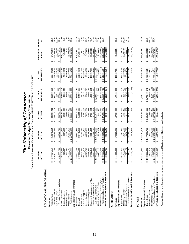Current Funds Revenues, Expenditures and Transfers - UNRESTRICTED AND RESTRICTED Current Funds Revenues, Expenditures and Transfers - UNRESTRICTED AND RESTRICTED

|                                                                      | FY 2006<br>ACTUAI                                      | FY 2007<br><b>ACTUAL</b>               | FY 2008<br>ACTUAL                                    | PROBABLE<br>$FY$ 2009              | PROPOSED<br>FY 2010                                  | FIVE-YEAR CHANGE<br>Amount                              | ಸಿ                 |
|----------------------------------------------------------------------|--------------------------------------------------------|----------------------------------------|------------------------------------------------------|------------------------------------|------------------------------------------------------|---------------------------------------------------------|--------------------|
| র<br>EDUCATIONAL AND GENE                                            |                                                        |                                        |                                                      |                                    |                                                      |                                                         |                    |
| Revenues                                                             |                                                        |                                        |                                                      |                                    |                                                      |                                                         |                    |
| Tuition & Fees                                                       | 297,774,514<br>↮                                       | 318, 173, 954<br>မာမာ                  | 346,035,411<br>မာ မာ                                 | 362,830,200<br>မာမာ                | 392,480,389<br>↮                                     | 94,705,875<br>မာမာ                                      | 31.8%              |
| State Appropriations                                                 | 454,953,286                                            | 488,060,711                            | 533,758,089                                          | 496,140,882                        | 442,985,000<br>$\Theta$                              | 11,968,286)                                             | $-2.6%$            |
| ARRA and MOE *                                                       |                                                        |                                        |                                                      | 38,941,200                         | 93,188,200                                           | 93,188,200                                              | 100.0%             |
| Sub-total State Appropriations<br>Grants & Contracts                 | 454,953,286<br>395,474,895<br>↮                        | 488,060,711<br>412,223,241<br>↔        | 440,755,579<br>533,758,089<br>$\boldsymbol{\varphi}$ | 505,066,725<br>535,082,082<br>↔    | 536,173,200<br>513,653,964<br>$\boldsymbol{\varphi}$ | 81,219,914<br>118,179,069<br>↔                          | 17.9%              |
| Sales & Services                                                     | 44,079,037                                             | 44,767,582                             | 52,690,993                                           | 49,622,612                         | 48,292,272                                           | 4,213,235                                               | 29.9%<br>9.6%      |
| Investment Income                                                    | 12,923,895                                             | 22,178,708                             | 24,460,896                                           | 13,000,000                         | 13,000,000                                           | 76,105                                                  | 0.6%               |
| Other Sources                                                        | 101,700,595                                            | 101,617,860                            | 108,538,438                                          | 103,312,603                        | 100,698,495                                          | (1,002,100)                                             | $-1.0%$            |
| <b>Total Revenues</b>                                                | 1,306,906,222<br>$\Theta$                              | ,387,022,055<br>$ \bullet $            | 1,506,239,406<br>$\bullet$                           | 568,914,222<br>$ \bullet $         | 1,604,298,320<br><del>ره</del>                       | 297,392,098<br>$ \boldsymbol{\omega} $                  | 22.8%              |
| Expenditures and Transfers                                           |                                                        |                                        |                                                      |                                    |                                                      |                                                         |                    |
| Instruction                                                          | 469,302,704<br>↔                                       | 495,687,861<br>↮                       | 524,476,964<br>↮                                     | 562,692,083<br>↮                   | 575,677,127<br>↮                                     | 06,374,423<br>↮                                         | 22.7%              |
| Research                                                             | 207,162,503                                            | 206,443,659                            | 215,280,209                                          | 274,077,098                        | 261,846,979                                          | 54,684,476                                              | 26.4%              |
| Public Service                                                       | 130,814,382                                            | 132,509,042                            | 136,060,800                                          | 134,334,027                        | 135,922,499                                          | 5,108,117                                               | 3.9%               |
| Academic Support                                                     | 109,783,867                                            | 17,524,400                             | 125,954,894                                          | 131,331,887                        | 136,602,241                                          | 26,818,374                                              | 24.4%              |
| Student Services                                                     | 65,323,780                                             | 69,715,683                             | 75,975,234                                           | 75,630,925                         | 73,599,650                                           | 8,275,870                                               | 12.7%              |
| Institutional Support                                                | 89,958,489                                             | 96,705,936                             | 107,541,338                                          | 122,005,287                        | 109,219,177                                          | 19,260,688                                              | 21.4%              |
| Operation & Maintenance of Plant                                     | 87,927,318                                             | 94,354,304                             | 97,964,531                                           | 106,303,701                        | 123,757,017                                          | 35,829,699                                              | 40.7%              |
| Scholarships & Fellowships                                           | 120,385,863                                            | 137,798,736                            | 167.794.251                                          | 207,742,225                        | 212.786.860                                          | 92.400.997                                              | 76.8%              |
| Sub-total Expenditures                                               | \$1,280,658,906                                        | 1,350,739,620<br>ക                     | \$1,451,048,220                                      | 614,117,233<br>$\Theta$            | 1,629,411,550<br>$\Theta$                            | 348,752,644<br>$\boldsymbol{\varphi}$                   | 27.2%              |
| Mandatory Transfers (In)/Out                                         | 4,423,113                                              | 5.614,004                              | 6,339,175                                            | 6,122,741                          | 6,656,751                                            | 2.233,638                                               | 50.5%              |
| Total Expenditures and Transfers<br>Non-Mandatory Transfers (In)/Out | (4,303,563)<br>1,280,778,456<br>$\boldsymbol{\varphi}$ | (172, 214)<br>,356,181,410<br>$\Theta$ | 14,115,383<br>1,471,502,778<br>∣⇔                    | (34, 391, 558)<br>585,848,416<br>↔ | (23, 757, 217)<br>1,612,311,084<br>$\Theta$          | (19, 453, 654)<br>331,532,628<br>$\boldsymbol{\varphi}$ | 452.0%<br>25.9%    |
|                                                                      |                                                        |                                        |                                                      |                                    |                                                      |                                                         |                    |
| Revenues Less Expend. & Transfer                                     | 26,127,765<br>↔                                        | 30,840,645<br>$\theta$                 | 34,736,628<br>$\Theta$                               | (16, 934, 194)<br>$\Theta$         | (8,012,764)<br>↔                                     | (34, 140, 529)<br>$\Theta$                              |                    |
| <b>AUXILIARIES</b>                                                   |                                                        |                                        |                                                      |                                    |                                                      |                                                         |                    |
| Revenues                                                             | 144, 101, 340<br>↮                                     | 170,729,251<br>↔                       | 167,930,226<br>↮                                     | 177, 434, 108<br>↔                 | 190,657,194<br>↮                                     | 46,555,854<br>↮                                         | 32.3%              |
| Expenditures and Transfers                                           |                                                        |                                        |                                                      |                                    |                                                      |                                                         |                    |
| Expenditures                                                         | 107,533,326<br>↮                                       | 127,062,136<br>↮                       | 130,769,438<br>↮                                     | 129,372,408<br>↮                   | 138,313,504<br>↮                                     | 30,780,178<br>↮                                         | 28.6%              |
| Mandatory Transfers                                                  | 11,478,696                                             | 14,247,196                             | 16,321,163                                           | 26,345,452                         | 28,503,162                                           | 17,024,466                                              | 148.3%             |
| Non-Mandatory Transfers                                              | 22,875,175                                             | 26,480,777                             | 19,111,727                                           | 21,747,337                         | 23,805,594                                           | 930.419                                                 | 4.1%               |
| Total Expenditures and Transfers                                     | 41,887,197<br>$\boldsymbol{\omega}$                    | 67,790,009<br>$\bullet$                | 66,202,328<br>$\boldsymbol{\varphi}$                 | 77,465,197<br>$\Theta$             | 092,522,90<br>$\bullet$                              | 48,735,063<br>$\leftrightarrow$                         | 34.3%              |
| Revenues Less Expend. & Transfer                                     | 2,214,143<br>$\boldsymbol{\varphi}$                    | 2,939,142<br>$\theta$                  | 1,727,898<br>$\leftrightarrow$                       | (31,089)<br>$\boldsymbol{\varphi}$ | 34,934<br>$\leftrightarrow$                          | (2, 179, 209)<br>$\theta$                               |                    |
| <b>TOTALS</b>                                                        |                                                        |                                        |                                                      |                                    |                                                      |                                                         |                    |
| Revenues                                                             | 1,451,007,561                                          | 1,557,751,306<br>↔                     | 1,674,169,632<br>↮                                   | \$1,746,348,330                    | \$1,794,955,514                                      | 343, 947, 953<br>↮                                      | 23.7%              |
| Expenditures and Transfers                                           |                                                        |                                        |                                                      |                                    |                                                      |                                                         |                    |
| Expenditures                                                         | 1,388,192,231<br>မာ                                    | 1,477,801,756<br>မာ                    | 1,581,817,659<br>↔                                   | 1,743,489,641<br>↔                 | 1,767,725,054<br>↔                                   | 379,532,823<br>↔                                        | 27.3%              |
| Non-Mandatory Transfers<br>Mandatory Transfers                       | 15,901,810<br>18,571,612                               | 19,861,200<br>26,308,563               | 22,660,339                                           | (12,644,221)<br>32,468,193         | 35, 159, 913<br>48,377                               | (18, 523, 235)<br>19,258,103                            | 121.1%<br>$-99.7%$ |
| Total Expenditures and Transfers                                     | ,422,665,653                                           | 1,523,971,519                          | 33,227,109<br>1,637,705,106                          | 1,763,313,613                      | 1,802,933,344                                        | 380,267,691                                             | 26.7%              |
| Revenues Less Expend. & Transfer                                     | 28,341,908<br>မှာ မှာ                                  | 33,779,787<br>$\frac{1}{2}$            | 36,464,526<br>$\theta$                               | (16,965,283)<br>$\frac{1}{2}$      | (7, 977, 830)<br>မှာ မှာ                             | (36, 319, 738)<br>$\frac{1}{2}$                         |                    |

\* American Recovery and Reinvestment Act federal stimulus funds and Maintenance of Effort state matching funds \* American Recovery and Reinvestment Act federal stimulus funds and Maintenance of Effort state matching funds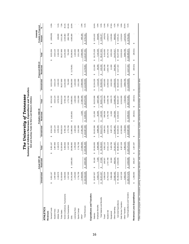|                                  |                        |                                     | Summary of Athletics Revenues, Expenditures and Transfers | The University of Tennessee<br>E&G and Auxiliary Funds for Men's and Women's Athletics |                       |                         |                    |                                     |                        |                                |          |
|----------------------------------|------------------------|-------------------------------------|-----------------------------------------------------------|----------------------------------------------------------------------------------------|-----------------------|-------------------------|--------------------|-------------------------------------|------------------------|--------------------------------|----------|
|                                  |                        | Actual 2007-08                      |                                                           |                                                                                        | Probable 2008-09      |                         |                    | Proposed 2009-10                    |                        | Probable to Proposed<br>CHANGE |          |
|                                  | Unrestricted           | Restricted                          | Total                                                     | Unrestricted                                                                           | Restricted            | Total                   | Unrestricted       | Restricted                          | Total                  | Amount                         | వ్       |
| <b>ATHLETICS</b>                 |                        |                                     |                                                           |                                                                                        |                       |                         |                    |                                     |                        |                                |          |
| Revenues                         |                        |                                     |                                                           |                                                                                        |                       |                         |                    |                                     |                        |                                |          |
| General Funds                    | 8,261,167<br>↮         |                                     | 8,261,167<br>↮                                            | 8,514,332<br>↮                                                                         |                       | 8,514,332<br>Θ          | 8,015,304<br>↮     |                                     | 8,015,304<br>↮         | (499, 028)<br>↮                | $-5.9%$  |
| Student Fees                     | 3,497,900              |                                     | 3,497,900                                                 | 3,523,124                                                                              |                       | 3,523,124               | 3,523,124          |                                     | 3,523,124              |                                |          |
| Athletic Fees                    | 2,130,576              |                                     | 2,130,576                                                 | 2,078,333                                                                              |                       | 2,078,333               | 2,184,333          |                                     | 2,184,333              | 106,000                        | 5.1%     |
| <b>Ticket Sales</b>              | 31,524,804             |                                     | 31,524,804                                                | 35,616,519                                                                             |                       | 35,616,519              | 38,227,800         |                                     | 38,227,800             | 2,611,281                      | 7.3%     |
| NCAA Conference, Tournaments     | 9,459,656              |                                     | 9,459,656                                                 | 9,799,136                                                                              |                       | 9,799,136               | 13,235,000         |                                     | 13,235,000             | 3,435,864                      | 35.1%    |
| Game Guarantees                  | 1,017,500              |                                     | 1,017,500                                                 | 1,773,706                                                                              |                       | 1,773,706               | 791,000            |                                     | 791,000                | (982, 706)                     | $-55.4%$ |
| Gifts                            | 24,341,909             | ღ<br>\$ 3,665,08                    | 28,006,992                                                | 21,680,000                                                                             | 3,003,801<br>$\theta$ | 24,683,801              | 26,090,000         | 3,178,801<br>မာ                     | 29,268,801             | 4,585,000                      | 18.6%    |
| Licensing Fees                   | 1,378,000              |                                     | 1,378,000                                                 | 1,320,000                                                                              |                       | 1,320,000               | 1,320,000          |                                     | 1,320,000              |                                |          |
| Sports Camps                     | 2,741,758              |                                     | 2,741,758                                                 | 2,011,589                                                                              |                       | 2,011,589               | 2,011,589          |                                     | 2,011,589              |                                |          |
| Other*                           | 17,663,056             |                                     | 17,663,056                                                | 17,351,200                                                                             | 4,200                 | 17,355,400              | 17,850,500         |                                     | 17,850,500             | 495,100                        | 2.9%     |
| <b>Total Revenues</b>            | \$102,016,326          | 3,665,083<br>$\boldsymbol{\varphi}$ | 105,681,409<br>$\boldsymbol{\varphi}$                     | 103,667,939<br>$\boldsymbol{\varphi}$                                                  | 3,008,001<br>s        | 106,675,940<br>s        | \$113,248,650      | 3,178,801<br>$\boldsymbol{\varphi}$ | \$116,427,451          | 9,751,511<br>Ø                 | 9.1%     |
| Expenditures and Transfers       |                        |                                     |                                                           |                                                                                        |                       |                         |                    |                                     |                        |                                |          |
| Salaries                         | 29,287,837<br>GB       | 30,168<br>$\boldsymbol{\varphi}$    | 29,318,005<br>မာ                                          | 29,102,696<br>မာ                                                                       | 121,000<br>↮          | 29,223,696<br>မာ        | 32, 154, 328<br>မာ | 121,000<br>မာ                       | 32,275,328<br>6        | 3,051,632<br>မာ                | 10.4%    |
| Employee Benefits                | 6,933,170              | 7,428                               | 6,940,598                                                 | 6,809,280                                                                              | 28,200                | 6,837,480               | 7,114,125          | 28,200                              | 7,142,325              | 304,845                        | 4.5%     |
| Total Salaries and Benefits      | 36,221,007<br>$\theta$ | 37,596<br>$\boldsymbol{\varphi}$    | 36,258,603<br>↔                                           | 35,911,976<br>$\boldsymbol{\varphi}$                                                   | 149,200<br>↮          | 36,061,176<br>↮         | 39,268,453<br>↔    | 149,200<br>$\boldsymbol{\varphi}$   | 39,417,653<br>$\Theta$ | 3,356,477<br>$\theta$          | 9.3%     |
| Travel                           | 9,383,534              | 168,597                             | 9,552,132                                                 | 8,864,031                                                                              | 596,038               | 9,460,069               | 8,823,055          | 596,038                             | 9,419,093              | (40,976)                       | $-0.4%$  |
| Student Aid                      | 10,753,315             | 2,757,799                           | 13,511,114                                                | 12,621,048                                                                             | 1,745,700             | 14,366,748              | 13,450,022         | 1,920,700                           | 15,370,722             | 1,003,974                      | 7.0%     |
| Equipment                        | 5,396,496              | $\mathbf{Q}$<br>24,30               | 5,420,796                                                 | 3,297,179                                                                              | 11,000                | 3,308,179               | 4,542,263          | 11,000                              | 4,553,263              | 1,245,084                      | 37.6%    |
| Other Operating                  | 23,682,462             | 468,544                             | 24,151,007                                                | 22,941,681                                                                             | 544,584               | 23,486,265              | 23,936,533         | 540,384                             | 24,476,917             | 990,652                        | 4.2%     |
| Sub-total Expenditures           | 85,436,815<br>မာ       | Ğ,<br>\$3,456,83                    | 88,893,651<br>↮                                           | 83,635,915<br>↮                                                                        | 3,046,522<br>မာ       | 86,682,437<br>မာ        | 90,020,326<br>မာ   | 3,217,322<br>$\theta$               | 93,237,648<br>↮        | 6,555,211<br>မာ                | 7.6%     |
| Debt Service Transfers           | 8,327,228              |                                     | 8,327,228                                                 | 12,310,000                                                                             |                       | 12,310,000              | 13,533,624         |                                     | 13,533,624             | 1,223,624                      | 9.9%     |
| Other Transfers                  | 6,953,233              |                                     | 6,953,233                                                 | 7,722,024                                                                              |                       | 7,722,024               | 9,694,700          |                                     | 9,694,700              | 1,972,676                      | 25.5%    |
| Total Expenditures and Transfers | \$ 100,717,276         | 3,456,836<br>Ø                      | \$104,174,112                                             | \$103,667,939                                                                          | 3,046,522<br>↮        | 106,714,461<br><b>S</b> | \$113,248,650      | 3,217,322<br>↮                      | \$116,465,972          | 9,751,511<br><b>SA</b>         | 9.1%     |
| Revenues Less Expenditures       | 1,299,050<br>မာ        | Ŀ<br>208,24<br>↮                    | 1,507,297<br>မာ                                           | ↮                                                                                      | (38,521)<br>↮         | (38, 521)<br>ക          | ↮                  | (38, 521)<br>↮                      | (38,521)<br>↮          | G)                             |          |

\* Other includes program sales, concessions, parking, broadcasting, television, radio, internet, endowments, royalties, advertisements, sponsorships, and miscellaneous other. \* Other includes program sales, concessions, parking, broadcasting, television, radio, internet, endowments, investments, royalties, advertisements, sponsorships, and miscellaneous other.

#### 16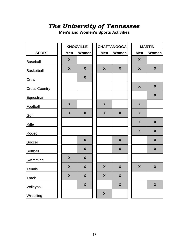#### *The University of Tennessee*

**Men's and Women's Sports Activities**

|                      |                    | <b>KNOXVILLE</b>   |                  | <b>CHATTANOOGA</b> |                    | <b>MARTIN</b>    |
|----------------------|--------------------|--------------------|------------------|--------------------|--------------------|------------------|
| <b>SPORT</b>         | Men                | Women              | Men              | Women              | Men                | <b>Women</b>     |
| <b>Baseball</b>      | $\boldsymbol{X}$   |                    |                  |                    | X                  |                  |
| <b>Basketball</b>    | X                  | X                  | $\boldsymbol{X}$ | $\boldsymbol{X}$   | $\boldsymbol{X}$   | $\boldsymbol{X}$ |
| Crew                 |                    | X                  |                  |                    |                    |                  |
| <b>Cross Country</b> |                    |                    |                  |                    | X                  | X                |
| Equestrian           |                    |                    |                  |                    |                    | X                |
| Football             | X                  |                    | X                |                    | $\boldsymbol{X}$   |                  |
| Golf                 | $\boldsymbol{X}$   | $\boldsymbol{X}$   | X                | $\boldsymbol{X}$   | $\boldsymbol{X}$   |                  |
| <b>Rifle</b>         |                    |                    |                  |                    | $\boldsymbol{X}$   | $\boldsymbol{X}$ |
| Rodeo                |                    |                    |                  |                    | X                  | X                |
| Soccer               |                    | X                  |                  | $\boldsymbol{X}$   |                    | $\boldsymbol{X}$ |
| Softball             |                    | X                  |                  | $\boldsymbol{X}$   |                    | X                |
| Swimming             | X                  | X                  |                  |                    |                    |                  |
| Tennis               | X                  | X                  | X                | $\boldsymbol{X}$   | $\pmb{\mathsf{X}}$ | $\boldsymbol{X}$ |
| <b>Track</b>         | $\pmb{\mathsf{X}}$ | X                  | X                | X                  |                    |                  |
| Volleyball           |                    | $\pmb{\mathsf{X}}$ |                  | $\pmb{\mathsf{X}}$ |                    | $\boldsymbol{X}$ |
| Wrestling            |                    |                    | $\boldsymbol{X}$ |                    |                    |                  |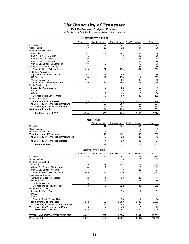#### *The University of Tennessee*

**FY 2010 Proposed Budgeted Positions** All Full-time and Part-time Positions (Excluding Student Employees)

|                                           |         | <b>UNRESTRICTED E &amp; G</b> |              |                 |       |
|-------------------------------------------|---------|-------------------------------|--------------|-----------------|-------|
|                                           | Faculty | Administrative                | Professional | Cler/Tech/Maint | Total |
| Knoxville                                 | 1,370   | 242                           | 482          | 1,498           | 3,592 |
| Space Institute                           | 30      | 12                            | 12           | 44              | 98    |
| <b>Health Science Center</b>              |         |                               |              |                 |       |
| Memphis                                   | 584     | 101                           | 261          | 704             | 1.650 |
| Family Practice - Jackson                 | 11      |                               | 3            | 45              | 59    |
| Family Practice - Knoxville               | 9       | 2                             | 2            | 41              | 54    |
| Family Practice - Memphis                 | 16      |                               | 2            | 30              | 48    |
| Clinical Ed. Center - Chattanooga         | 58      | 2                             | 5            | 8               | 73    |
| Clinical Ed. Center - Knoxville           | 15      | 2                             | 6            | 26              | 49    |
| Sub-total Health Science Center           | 693     | 107                           | 279          | 854             | 1.933 |
| Institute of Agriculture                  |         |                               |              |                 |       |
| <b>Agricultural Experiment Station</b>    | 92      | 15                            | 89           | 150             | 346   |
| <b>UT Extension</b>                       | 54      | 12                            | 278          | 211             | 555   |
| <b>Veterinary Medicine</b>                | 104     | 9                             | 29           | 187             | 329   |
| Sub-total Institute of Agriculture        | 250     | 36                            | 396          | 548             | 1,230 |
| <b>Public Service Units</b>               |         |                               |              |                 |       |
| Institute for Public Service              |         | 6                             | 22           | 12              | 40    |
| <b>MTAS</b>                               |         | 2                             | 39           | 12              | 53    |
| <b>CTAS</b>                               |         |                               | 29           | 8               | 38    |
| Sub-total Public Service Units            | $\sim$  | 9                             | 90           | 32              | 131   |
| <b>University Support</b>                 |         |                               |              |                 |       |
| <b>Total University of Tennessee</b>      | 2,343   | 406                           | 1.259        | 2,976           | 6,984 |
| The University of Tennessee at Chattanoog | 404     | 83                            | 159          | 318             | 964   |
| The University of Tennessee at Martin     | 287     | 62                            | 92           | 292             | 733   |
| <b>System Administration</b>              |         | 84                            | 239          | 316             | 639   |
| <b>Total Unrestricted E&amp;G</b>         | 3,034   | 635                           | 1.749        | 3,902           | 9,320 |

| <b>Total Unrestricted E&amp;G</b>          | 3,034 | 635                | 1.749        | 3,902           | 9,320 |
|--------------------------------------------|-------|--------------------|--------------|-----------------|-------|
|                                            |       | <b>AUXILIARIES</b> |              |                 |       |
|                                            |       | Administrative     | Professional | Cler/Tech/Maint | Total |
| Knoxville                                  |       | 47                 | 101          | 507             | 655   |
| Space Institute                            |       |                    |              |                 |       |
| <b>Health Science Center</b>               |       |                    |              | 35              | 37    |
| <b>Total University of Tennessee</b>       |       | 48                 | 102          | 545             | 695   |
| The University of Tennessee at Chattanooga |       |                    | 12           | 26              | 41    |
| The University of Tennessee at Martin      |       | 4                  | 10           | 43              | 57    |
| <b>Total Auxiliaries</b>                   |       | 55                 | 124          | 614             | 793   |

|                                           |                | <b>RESTRICTED E&amp;G</b> |              |                 |        |
|-------------------------------------------|----------------|---------------------------|--------------|-----------------|--------|
|                                           | Faculty        | Administrative            | Professional | Cler/Tech/Maint | Total  |
| Knoxville                                 | 149            | 46                        | 792          | 381             | 1,368  |
| Space Institute                           |                |                           | 8            | 5               | 13     |
| <b>Health Science Center</b>              |                |                           |              |                 |        |
| Memphis                                   | 349            | 13                        | 501          | 585             | 1,448  |
| Clinical Ed. Center - Chattanooga         | 54             | 2                         |              | 6               | 63     |
| Clinical Ed. Center - Knoxville           | 6              |                           | 8            | 23              | 37     |
| Sub-total Health Science Center           | 409            | 15                        | 510          | 614             | 1,548  |
| Institute of Agriculture                  |                |                           |              |                 |        |
| <b>Agricultural Experiment Station</b>    | $\overline{2}$ |                           | 18           | 23              | 44     |
| <b>UT Extension</b>                       | 5              |                           | 177          | 303             | 486    |
| <b>Veterinary Medicine</b>                | 6              |                           | 17           | 9               | 32     |
| Sub-total Institute of Agriculture        | 13             | 2                         | 212          | 335             | 562    |
| <b>Public Service Units</b>               |                |                           |              |                 |        |
| Institute for Public Service              |                |                           | 50           |                 | 52     |
| <b>MTAS</b>                               |                |                           | 4            |                 |        |
| <b>CTAS</b>                               |                |                           | 4            |                 |        |
| Sub-total Public Service Units            |                |                           | 58           |                 | 60     |
| <b>Total University of Tennessee</b>      | 572            | 63                        | 1,580        | 1,336           | 3,551  |
| The University of Tennessee at Chattanoog | 41             | 15                        | 56           | 90              | 202    |
| The University of Tennessee at Martin     | 5              | 4                         | 45           | 19              | 73     |
| <b>Total Restricted E&amp;G</b>           | 618            | 82                        | 1,681        | 1,445           | 3,826  |
| TOTAL UNIVERSITY SYSTEM POSITIONS         | 3,652          | 772                       | 3,554        | 5,961           | 13,939 |
| Percent of Total                          | 26.2%          | 5.5%                      | 25.5%        | 42.8%           | 100.0% |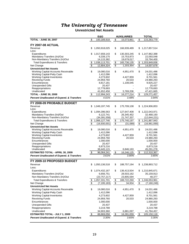#### *The University of Tennessee* **Unrestricted Net Assets**

| \$<br>\$<br><b>TOTAL - JUNE 30, 2007</b><br>\$<br>115,263,779<br>100,189,918<br>15,073,861<br><b>FY 2007-08 ACTUAL</b><br>\$<br>\$<br>1,050,918,025<br>166,939,489<br>\$<br>1,217,857,514<br>Revenue<br>Less:<br>\$<br>\$<br>\$<br>1,017,659,143<br>1,147,962,388<br>Expenditures<br>130,303,245<br>Mandatory Transfers (In)/Out<br>6,339,175<br>15,753,873<br>22,093,048<br>Non-Mandatory Transfers (In)/Out<br>14,115,382<br>19,679,017<br>33,794,400<br><b>Total Expenditures &amp; Transfers</b><br>1,038,113,701<br>\$<br>165,736,135<br>1,203,849,836<br>\$<br>\$<br>$\overline{\mathbf{s}}$<br>\$<br>\$<br>Net Change<br>12.804.324<br>1,203,354<br>14,007,678<br><b>Unrestricted Net Assets</b><br>\$<br>\$<br>\$<br><b>Working Capital-Accounts Receivable</b><br>19,080,016<br>4,951,470<br>24,031,486<br>Working Capital-Petty Cash<br>1,412,096<br>1,412,096<br><b>Working Capital-Inventories</b><br>4,273,602<br>4,427,959<br>8,701,561<br><b>Revolving Funds</b><br>24,959,760<br>20,533<br>24,980,293<br>Encumbrances<br>8,817,181<br>1,108,045<br>9,925,227<br><b>Unexpended Gifts</b><br>20,437<br>20,437<br>12,778,693<br>Reappropriations<br>12,778,693<br>Unallocated<br>41,652,458<br>5,769,206<br>47,421,665<br>\$<br>112,994,243<br>\$<br>\$<br><b>TOTAL - JUNE 30, 2008</b><br>16,277,214<br>129,271,457<br>4.01%<br>3.48%<br>3.94%<br><b>Percent Unallocated of Expend. &amp; Transfers</b><br>FY 2008-09 PROBABLE BUDGET<br>Revenue<br>1,049,197,745<br>\$<br>175,709,108<br>1,224,906,853<br>\$<br>\$<br>Less:<br>\$<br>Expenditures<br>\$<br>1,094,396,563<br>127,647,408<br>1,222,043,971<br>S<br>Mandatory Transfers (In)/Out<br>6,122,741<br>26,345,452<br>32,468,193<br>Non-Mandatory Transfers (In)/Out<br>(34, 391, 558)<br>21,747,337<br>(12,644,221)<br><b>Total Expenditures &amp; Transfers</b><br>1,066,127,746<br>\$<br>175,740,197<br>1,241,867,943<br>\$<br>\$<br>\$<br>\$<br>\$<br>Net Change<br>(16,930,001)<br>(16,961,090)<br>(31,089)<br><b>Unrestricted Net Assets</b><br>\$<br>\$<br>\$<br>Working Capital-Accounts Receivable<br>19,080,016<br>4,951,470<br>24,031,486<br><b>Working Capital-Petty Cash</b><br>1,412,096<br>1,412,096<br><b>Working Capital-Inventories</b><br>4,273,602<br>4,427,959<br>8,701,561<br><b>Revolving Funds</b><br>24,959,760<br>20,533<br>24,980,293<br>Encumbrances<br>1,000,000<br>1,000,000<br><b>Unexpended Gifts</b><br>20,437<br>20,437<br>Reappropriations<br>6,873,216<br>6,873,216<br>Unallocated<br>45,291,278<br>38,445,115<br>6,846,163<br>\$<br>\$<br>96,064,241<br>16,246,125<br>\$<br>112,310,367<br><b>ESTIMATED TOTAL - APRIL 30, 2009</b><br><b>Percent Unallocated of Expend. &amp; Transfers</b><br>3.61%<br>3.90%<br>3.65%<br>FY 2009-10 PROPOSED BUDGET<br>Revenue<br>\$<br>1,050,136,518<br>\$<br>188,757,194<br>1,238,893,712<br>\$<br>Less:<br>\$<br>1,210,845,671<br>Expenditures<br>\$<br>1,074,432,167<br>136,413,504<br>\$<br>Mandatory Transfers (In)/Out<br>28,503,162<br>6,656,751<br>35,159,913<br>Non-Mandatory Transfers (In)/Out<br>(23,757,217)<br>23,805,594<br>48,377<br>\$<br><b>Total Expenditures &amp; Transfers</b><br>\$<br>\$<br>1,246,053,961<br>1,057,331,701<br>188,722,260<br>\$<br>\$<br>\$<br>Net Change<br>(7,195,183)<br>34,934<br>(7, 160, 249)<br><b>Unrestricted Net Assets</b><br>\$<br>\$<br>\$<br>Working Capital-Accounts Receivable<br>19,080,016<br>4,951,470<br>24,031,486<br>Working Capital-Petty Cash<br>1,412,096<br>1,412,096<br><b>Working Capital-Inventories</b><br>4,273,602<br>4,427,959<br>8,701,561<br><b>Revolving Funds</b><br>24,959,760<br>20,533<br>24,980,293<br>Encumbrances<br>1,000,000<br>1,000,000<br><b>Unexpended Gifts</b><br>20,437<br>20,437<br>Reappropriations<br>3,219,788<br>3,219,788<br>Unallocated<br>34,903,360<br>6,881,097<br>41,784,457<br>\$<br><b>ESTIMATED TOTAL - JULY 1, 2009</b><br>16,281,059<br>\$<br>105,150,118<br>\$<br>88,869,058<br><b>Percent Unallocated of Expend. &amp; Transfers</b><br>3.30%<br>3.65%<br>3.35% |  | E&G | <b>AUXILIARIES</b> | <b>TOTAL</b> |
|---------------------------------------------------------------------------------------------------------------------------------------------------------------------------------------------------------------------------------------------------------------------------------------------------------------------------------------------------------------------------------------------------------------------------------------------------------------------------------------------------------------------------------------------------------------------------------------------------------------------------------------------------------------------------------------------------------------------------------------------------------------------------------------------------------------------------------------------------------------------------------------------------------------------------------------------------------------------------------------------------------------------------------------------------------------------------------------------------------------------------------------------------------------------------------------------------------------------------------------------------------------------------------------------------------------------------------------------------------------------------------------------------------------------------------------------------------------------------------------------------------------------------------------------------------------------------------------------------------------------------------------------------------------------------------------------------------------------------------------------------------------------------------------------------------------------------------------------------------------------------------------------------------------------------------------------------------------------------------------------------------------------------------------------------------------------------------------------------------------------------------------------------------------------------------------------------------------------------------------------------------------------------------------------------------------------------------------------------------------------------------------------------------------------------------------------------------------------------------------------------------------------------------------------------------------------------------------------------------------------------------------------------------------------------------------------------------------------------------------------------------------------------------------------------------------------------------------------------------------------------------------------------------------------------------------------------------------------------------------------------------------------------------------------------------------------------------------------------------------------------------------------------------------------------------------------------------------------------------------------------------------------------------------------------------------------------------------------------------------------------------------------------------------------------------------------------------------------------------------------------------------------------------------------------------------------------------------------------------------------------------------------------------------------------------------------------------------------------------------------------------------------------------------------------------------------------------------------------------------------------------------------------------------------------------------------------------------------------------------------------------------------------|--|-----|--------------------|--------------|
|                                                                                                                                                                                                                                                                                                                                                                                                                                                                                                                                                                                                                                                                                                                                                                                                                                                                                                                                                                                                                                                                                                                                                                                                                                                                                                                                                                                                                                                                                                                                                                                                                                                                                                                                                                                                                                                                                                                                                                                                                                                                                                                                                                                                                                                                                                                                                                                                                                                                                                                                                                                                                                                                                                                                                                                                                                                                                                                                                                                                                                                                                                                                                                                                                                                                                                                                                                                                                                                                                                                                                                                                                                                                                                                                                                                                                                                                                                                                                                                                                           |  |     |                    |              |
|                                                                                                                                                                                                                                                                                                                                                                                                                                                                                                                                                                                                                                                                                                                                                                                                                                                                                                                                                                                                                                                                                                                                                                                                                                                                                                                                                                                                                                                                                                                                                                                                                                                                                                                                                                                                                                                                                                                                                                                                                                                                                                                                                                                                                                                                                                                                                                                                                                                                                                                                                                                                                                                                                                                                                                                                                                                                                                                                                                                                                                                                                                                                                                                                                                                                                                                                                                                                                                                                                                                                                                                                                                                                                                                                                                                                                                                                                                                                                                                                                           |  |     |                    |              |
|                                                                                                                                                                                                                                                                                                                                                                                                                                                                                                                                                                                                                                                                                                                                                                                                                                                                                                                                                                                                                                                                                                                                                                                                                                                                                                                                                                                                                                                                                                                                                                                                                                                                                                                                                                                                                                                                                                                                                                                                                                                                                                                                                                                                                                                                                                                                                                                                                                                                                                                                                                                                                                                                                                                                                                                                                                                                                                                                                                                                                                                                                                                                                                                                                                                                                                                                                                                                                                                                                                                                                                                                                                                                                                                                                                                                                                                                                                                                                                                                                           |  |     |                    |              |
|                                                                                                                                                                                                                                                                                                                                                                                                                                                                                                                                                                                                                                                                                                                                                                                                                                                                                                                                                                                                                                                                                                                                                                                                                                                                                                                                                                                                                                                                                                                                                                                                                                                                                                                                                                                                                                                                                                                                                                                                                                                                                                                                                                                                                                                                                                                                                                                                                                                                                                                                                                                                                                                                                                                                                                                                                                                                                                                                                                                                                                                                                                                                                                                                                                                                                                                                                                                                                                                                                                                                                                                                                                                                                                                                                                                                                                                                                                                                                                                                                           |  |     |                    |              |
|                                                                                                                                                                                                                                                                                                                                                                                                                                                                                                                                                                                                                                                                                                                                                                                                                                                                                                                                                                                                                                                                                                                                                                                                                                                                                                                                                                                                                                                                                                                                                                                                                                                                                                                                                                                                                                                                                                                                                                                                                                                                                                                                                                                                                                                                                                                                                                                                                                                                                                                                                                                                                                                                                                                                                                                                                                                                                                                                                                                                                                                                                                                                                                                                                                                                                                                                                                                                                                                                                                                                                                                                                                                                                                                                                                                                                                                                                                                                                                                                                           |  |     |                    |              |
|                                                                                                                                                                                                                                                                                                                                                                                                                                                                                                                                                                                                                                                                                                                                                                                                                                                                                                                                                                                                                                                                                                                                                                                                                                                                                                                                                                                                                                                                                                                                                                                                                                                                                                                                                                                                                                                                                                                                                                                                                                                                                                                                                                                                                                                                                                                                                                                                                                                                                                                                                                                                                                                                                                                                                                                                                                                                                                                                                                                                                                                                                                                                                                                                                                                                                                                                                                                                                                                                                                                                                                                                                                                                                                                                                                                                                                                                                                                                                                                                                           |  |     |                    |              |
|                                                                                                                                                                                                                                                                                                                                                                                                                                                                                                                                                                                                                                                                                                                                                                                                                                                                                                                                                                                                                                                                                                                                                                                                                                                                                                                                                                                                                                                                                                                                                                                                                                                                                                                                                                                                                                                                                                                                                                                                                                                                                                                                                                                                                                                                                                                                                                                                                                                                                                                                                                                                                                                                                                                                                                                                                                                                                                                                                                                                                                                                                                                                                                                                                                                                                                                                                                                                                                                                                                                                                                                                                                                                                                                                                                                                                                                                                                                                                                                                                           |  |     |                    |              |
|                                                                                                                                                                                                                                                                                                                                                                                                                                                                                                                                                                                                                                                                                                                                                                                                                                                                                                                                                                                                                                                                                                                                                                                                                                                                                                                                                                                                                                                                                                                                                                                                                                                                                                                                                                                                                                                                                                                                                                                                                                                                                                                                                                                                                                                                                                                                                                                                                                                                                                                                                                                                                                                                                                                                                                                                                                                                                                                                                                                                                                                                                                                                                                                                                                                                                                                                                                                                                                                                                                                                                                                                                                                                                                                                                                                                                                                                                                                                                                                                                           |  |     |                    |              |
|                                                                                                                                                                                                                                                                                                                                                                                                                                                                                                                                                                                                                                                                                                                                                                                                                                                                                                                                                                                                                                                                                                                                                                                                                                                                                                                                                                                                                                                                                                                                                                                                                                                                                                                                                                                                                                                                                                                                                                                                                                                                                                                                                                                                                                                                                                                                                                                                                                                                                                                                                                                                                                                                                                                                                                                                                                                                                                                                                                                                                                                                                                                                                                                                                                                                                                                                                                                                                                                                                                                                                                                                                                                                                                                                                                                                                                                                                                                                                                                                                           |  |     |                    |              |
|                                                                                                                                                                                                                                                                                                                                                                                                                                                                                                                                                                                                                                                                                                                                                                                                                                                                                                                                                                                                                                                                                                                                                                                                                                                                                                                                                                                                                                                                                                                                                                                                                                                                                                                                                                                                                                                                                                                                                                                                                                                                                                                                                                                                                                                                                                                                                                                                                                                                                                                                                                                                                                                                                                                                                                                                                                                                                                                                                                                                                                                                                                                                                                                                                                                                                                                                                                                                                                                                                                                                                                                                                                                                                                                                                                                                                                                                                                                                                                                                                           |  |     |                    |              |
|                                                                                                                                                                                                                                                                                                                                                                                                                                                                                                                                                                                                                                                                                                                                                                                                                                                                                                                                                                                                                                                                                                                                                                                                                                                                                                                                                                                                                                                                                                                                                                                                                                                                                                                                                                                                                                                                                                                                                                                                                                                                                                                                                                                                                                                                                                                                                                                                                                                                                                                                                                                                                                                                                                                                                                                                                                                                                                                                                                                                                                                                                                                                                                                                                                                                                                                                                                                                                                                                                                                                                                                                                                                                                                                                                                                                                                                                                                                                                                                                                           |  |     |                    |              |
|                                                                                                                                                                                                                                                                                                                                                                                                                                                                                                                                                                                                                                                                                                                                                                                                                                                                                                                                                                                                                                                                                                                                                                                                                                                                                                                                                                                                                                                                                                                                                                                                                                                                                                                                                                                                                                                                                                                                                                                                                                                                                                                                                                                                                                                                                                                                                                                                                                                                                                                                                                                                                                                                                                                                                                                                                                                                                                                                                                                                                                                                                                                                                                                                                                                                                                                                                                                                                                                                                                                                                                                                                                                                                                                                                                                                                                                                                                                                                                                                                           |  |     |                    |              |
|                                                                                                                                                                                                                                                                                                                                                                                                                                                                                                                                                                                                                                                                                                                                                                                                                                                                                                                                                                                                                                                                                                                                                                                                                                                                                                                                                                                                                                                                                                                                                                                                                                                                                                                                                                                                                                                                                                                                                                                                                                                                                                                                                                                                                                                                                                                                                                                                                                                                                                                                                                                                                                                                                                                                                                                                                                                                                                                                                                                                                                                                                                                                                                                                                                                                                                                                                                                                                                                                                                                                                                                                                                                                                                                                                                                                                                                                                                                                                                                                                           |  |     |                    |              |
|                                                                                                                                                                                                                                                                                                                                                                                                                                                                                                                                                                                                                                                                                                                                                                                                                                                                                                                                                                                                                                                                                                                                                                                                                                                                                                                                                                                                                                                                                                                                                                                                                                                                                                                                                                                                                                                                                                                                                                                                                                                                                                                                                                                                                                                                                                                                                                                                                                                                                                                                                                                                                                                                                                                                                                                                                                                                                                                                                                                                                                                                                                                                                                                                                                                                                                                                                                                                                                                                                                                                                                                                                                                                                                                                                                                                                                                                                                                                                                                                                           |  |     |                    |              |
|                                                                                                                                                                                                                                                                                                                                                                                                                                                                                                                                                                                                                                                                                                                                                                                                                                                                                                                                                                                                                                                                                                                                                                                                                                                                                                                                                                                                                                                                                                                                                                                                                                                                                                                                                                                                                                                                                                                                                                                                                                                                                                                                                                                                                                                                                                                                                                                                                                                                                                                                                                                                                                                                                                                                                                                                                                                                                                                                                                                                                                                                                                                                                                                                                                                                                                                                                                                                                                                                                                                                                                                                                                                                                                                                                                                                                                                                                                                                                                                                                           |  |     |                    |              |
|                                                                                                                                                                                                                                                                                                                                                                                                                                                                                                                                                                                                                                                                                                                                                                                                                                                                                                                                                                                                                                                                                                                                                                                                                                                                                                                                                                                                                                                                                                                                                                                                                                                                                                                                                                                                                                                                                                                                                                                                                                                                                                                                                                                                                                                                                                                                                                                                                                                                                                                                                                                                                                                                                                                                                                                                                                                                                                                                                                                                                                                                                                                                                                                                                                                                                                                                                                                                                                                                                                                                                                                                                                                                                                                                                                                                                                                                                                                                                                                                                           |  |     |                    |              |
|                                                                                                                                                                                                                                                                                                                                                                                                                                                                                                                                                                                                                                                                                                                                                                                                                                                                                                                                                                                                                                                                                                                                                                                                                                                                                                                                                                                                                                                                                                                                                                                                                                                                                                                                                                                                                                                                                                                                                                                                                                                                                                                                                                                                                                                                                                                                                                                                                                                                                                                                                                                                                                                                                                                                                                                                                                                                                                                                                                                                                                                                                                                                                                                                                                                                                                                                                                                                                                                                                                                                                                                                                                                                                                                                                                                                                                                                                                                                                                                                                           |  |     |                    |              |
|                                                                                                                                                                                                                                                                                                                                                                                                                                                                                                                                                                                                                                                                                                                                                                                                                                                                                                                                                                                                                                                                                                                                                                                                                                                                                                                                                                                                                                                                                                                                                                                                                                                                                                                                                                                                                                                                                                                                                                                                                                                                                                                                                                                                                                                                                                                                                                                                                                                                                                                                                                                                                                                                                                                                                                                                                                                                                                                                                                                                                                                                                                                                                                                                                                                                                                                                                                                                                                                                                                                                                                                                                                                                                                                                                                                                                                                                                                                                                                                                                           |  |     |                    |              |
|                                                                                                                                                                                                                                                                                                                                                                                                                                                                                                                                                                                                                                                                                                                                                                                                                                                                                                                                                                                                                                                                                                                                                                                                                                                                                                                                                                                                                                                                                                                                                                                                                                                                                                                                                                                                                                                                                                                                                                                                                                                                                                                                                                                                                                                                                                                                                                                                                                                                                                                                                                                                                                                                                                                                                                                                                                                                                                                                                                                                                                                                                                                                                                                                                                                                                                                                                                                                                                                                                                                                                                                                                                                                                                                                                                                                                                                                                                                                                                                                                           |  |     |                    |              |
|                                                                                                                                                                                                                                                                                                                                                                                                                                                                                                                                                                                                                                                                                                                                                                                                                                                                                                                                                                                                                                                                                                                                                                                                                                                                                                                                                                                                                                                                                                                                                                                                                                                                                                                                                                                                                                                                                                                                                                                                                                                                                                                                                                                                                                                                                                                                                                                                                                                                                                                                                                                                                                                                                                                                                                                                                                                                                                                                                                                                                                                                                                                                                                                                                                                                                                                                                                                                                                                                                                                                                                                                                                                                                                                                                                                                                                                                                                                                                                                                                           |  |     |                    |              |
|                                                                                                                                                                                                                                                                                                                                                                                                                                                                                                                                                                                                                                                                                                                                                                                                                                                                                                                                                                                                                                                                                                                                                                                                                                                                                                                                                                                                                                                                                                                                                                                                                                                                                                                                                                                                                                                                                                                                                                                                                                                                                                                                                                                                                                                                                                                                                                                                                                                                                                                                                                                                                                                                                                                                                                                                                                                                                                                                                                                                                                                                                                                                                                                                                                                                                                                                                                                                                                                                                                                                                                                                                                                                                                                                                                                                                                                                                                                                                                                                                           |  |     |                    |              |
|                                                                                                                                                                                                                                                                                                                                                                                                                                                                                                                                                                                                                                                                                                                                                                                                                                                                                                                                                                                                                                                                                                                                                                                                                                                                                                                                                                                                                                                                                                                                                                                                                                                                                                                                                                                                                                                                                                                                                                                                                                                                                                                                                                                                                                                                                                                                                                                                                                                                                                                                                                                                                                                                                                                                                                                                                                                                                                                                                                                                                                                                                                                                                                                                                                                                                                                                                                                                                                                                                                                                                                                                                                                                                                                                                                                                                                                                                                                                                                                                                           |  |     |                    |              |
|                                                                                                                                                                                                                                                                                                                                                                                                                                                                                                                                                                                                                                                                                                                                                                                                                                                                                                                                                                                                                                                                                                                                                                                                                                                                                                                                                                                                                                                                                                                                                                                                                                                                                                                                                                                                                                                                                                                                                                                                                                                                                                                                                                                                                                                                                                                                                                                                                                                                                                                                                                                                                                                                                                                                                                                                                                                                                                                                                                                                                                                                                                                                                                                                                                                                                                                                                                                                                                                                                                                                                                                                                                                                                                                                                                                                                                                                                                                                                                                                                           |  |     |                    |              |
|                                                                                                                                                                                                                                                                                                                                                                                                                                                                                                                                                                                                                                                                                                                                                                                                                                                                                                                                                                                                                                                                                                                                                                                                                                                                                                                                                                                                                                                                                                                                                                                                                                                                                                                                                                                                                                                                                                                                                                                                                                                                                                                                                                                                                                                                                                                                                                                                                                                                                                                                                                                                                                                                                                                                                                                                                                                                                                                                                                                                                                                                                                                                                                                                                                                                                                                                                                                                                                                                                                                                                                                                                                                                                                                                                                                                                                                                                                                                                                                                                           |  |     |                    |              |
|                                                                                                                                                                                                                                                                                                                                                                                                                                                                                                                                                                                                                                                                                                                                                                                                                                                                                                                                                                                                                                                                                                                                                                                                                                                                                                                                                                                                                                                                                                                                                                                                                                                                                                                                                                                                                                                                                                                                                                                                                                                                                                                                                                                                                                                                                                                                                                                                                                                                                                                                                                                                                                                                                                                                                                                                                                                                                                                                                                                                                                                                                                                                                                                                                                                                                                                                                                                                                                                                                                                                                                                                                                                                                                                                                                                                                                                                                                                                                                                                                           |  |     |                    |              |
|                                                                                                                                                                                                                                                                                                                                                                                                                                                                                                                                                                                                                                                                                                                                                                                                                                                                                                                                                                                                                                                                                                                                                                                                                                                                                                                                                                                                                                                                                                                                                                                                                                                                                                                                                                                                                                                                                                                                                                                                                                                                                                                                                                                                                                                                                                                                                                                                                                                                                                                                                                                                                                                                                                                                                                                                                                                                                                                                                                                                                                                                                                                                                                                                                                                                                                                                                                                                                                                                                                                                                                                                                                                                                                                                                                                                                                                                                                                                                                                                                           |  |     |                    |              |
|                                                                                                                                                                                                                                                                                                                                                                                                                                                                                                                                                                                                                                                                                                                                                                                                                                                                                                                                                                                                                                                                                                                                                                                                                                                                                                                                                                                                                                                                                                                                                                                                                                                                                                                                                                                                                                                                                                                                                                                                                                                                                                                                                                                                                                                                                                                                                                                                                                                                                                                                                                                                                                                                                                                                                                                                                                                                                                                                                                                                                                                                                                                                                                                                                                                                                                                                                                                                                                                                                                                                                                                                                                                                                                                                                                                                                                                                                                                                                                                                                           |  |     |                    |              |
|                                                                                                                                                                                                                                                                                                                                                                                                                                                                                                                                                                                                                                                                                                                                                                                                                                                                                                                                                                                                                                                                                                                                                                                                                                                                                                                                                                                                                                                                                                                                                                                                                                                                                                                                                                                                                                                                                                                                                                                                                                                                                                                                                                                                                                                                                                                                                                                                                                                                                                                                                                                                                                                                                                                                                                                                                                                                                                                                                                                                                                                                                                                                                                                                                                                                                                                                                                                                                                                                                                                                                                                                                                                                                                                                                                                                                                                                                                                                                                                                                           |  |     |                    |              |
|                                                                                                                                                                                                                                                                                                                                                                                                                                                                                                                                                                                                                                                                                                                                                                                                                                                                                                                                                                                                                                                                                                                                                                                                                                                                                                                                                                                                                                                                                                                                                                                                                                                                                                                                                                                                                                                                                                                                                                                                                                                                                                                                                                                                                                                                                                                                                                                                                                                                                                                                                                                                                                                                                                                                                                                                                                                                                                                                                                                                                                                                                                                                                                                                                                                                                                                                                                                                                                                                                                                                                                                                                                                                                                                                                                                                                                                                                                                                                                                                                           |  |     |                    |              |
|                                                                                                                                                                                                                                                                                                                                                                                                                                                                                                                                                                                                                                                                                                                                                                                                                                                                                                                                                                                                                                                                                                                                                                                                                                                                                                                                                                                                                                                                                                                                                                                                                                                                                                                                                                                                                                                                                                                                                                                                                                                                                                                                                                                                                                                                                                                                                                                                                                                                                                                                                                                                                                                                                                                                                                                                                                                                                                                                                                                                                                                                                                                                                                                                                                                                                                                                                                                                                                                                                                                                                                                                                                                                                                                                                                                                                                                                                                                                                                                                                           |  |     |                    |              |
|                                                                                                                                                                                                                                                                                                                                                                                                                                                                                                                                                                                                                                                                                                                                                                                                                                                                                                                                                                                                                                                                                                                                                                                                                                                                                                                                                                                                                                                                                                                                                                                                                                                                                                                                                                                                                                                                                                                                                                                                                                                                                                                                                                                                                                                                                                                                                                                                                                                                                                                                                                                                                                                                                                                                                                                                                                                                                                                                                                                                                                                                                                                                                                                                                                                                                                                                                                                                                                                                                                                                                                                                                                                                                                                                                                                                                                                                                                                                                                                                                           |  |     |                    |              |
|                                                                                                                                                                                                                                                                                                                                                                                                                                                                                                                                                                                                                                                                                                                                                                                                                                                                                                                                                                                                                                                                                                                                                                                                                                                                                                                                                                                                                                                                                                                                                                                                                                                                                                                                                                                                                                                                                                                                                                                                                                                                                                                                                                                                                                                                                                                                                                                                                                                                                                                                                                                                                                                                                                                                                                                                                                                                                                                                                                                                                                                                                                                                                                                                                                                                                                                                                                                                                                                                                                                                                                                                                                                                                                                                                                                                                                                                                                                                                                                                                           |  |     |                    |              |
|                                                                                                                                                                                                                                                                                                                                                                                                                                                                                                                                                                                                                                                                                                                                                                                                                                                                                                                                                                                                                                                                                                                                                                                                                                                                                                                                                                                                                                                                                                                                                                                                                                                                                                                                                                                                                                                                                                                                                                                                                                                                                                                                                                                                                                                                                                                                                                                                                                                                                                                                                                                                                                                                                                                                                                                                                                                                                                                                                                                                                                                                                                                                                                                                                                                                                                                                                                                                                                                                                                                                                                                                                                                                                                                                                                                                                                                                                                                                                                                                                           |  |     |                    |              |
|                                                                                                                                                                                                                                                                                                                                                                                                                                                                                                                                                                                                                                                                                                                                                                                                                                                                                                                                                                                                                                                                                                                                                                                                                                                                                                                                                                                                                                                                                                                                                                                                                                                                                                                                                                                                                                                                                                                                                                                                                                                                                                                                                                                                                                                                                                                                                                                                                                                                                                                                                                                                                                                                                                                                                                                                                                                                                                                                                                                                                                                                                                                                                                                                                                                                                                                                                                                                                                                                                                                                                                                                                                                                                                                                                                                                                                                                                                                                                                                                                           |  |     |                    |              |
|                                                                                                                                                                                                                                                                                                                                                                                                                                                                                                                                                                                                                                                                                                                                                                                                                                                                                                                                                                                                                                                                                                                                                                                                                                                                                                                                                                                                                                                                                                                                                                                                                                                                                                                                                                                                                                                                                                                                                                                                                                                                                                                                                                                                                                                                                                                                                                                                                                                                                                                                                                                                                                                                                                                                                                                                                                                                                                                                                                                                                                                                                                                                                                                                                                                                                                                                                                                                                                                                                                                                                                                                                                                                                                                                                                                                                                                                                                                                                                                                                           |  |     |                    |              |
|                                                                                                                                                                                                                                                                                                                                                                                                                                                                                                                                                                                                                                                                                                                                                                                                                                                                                                                                                                                                                                                                                                                                                                                                                                                                                                                                                                                                                                                                                                                                                                                                                                                                                                                                                                                                                                                                                                                                                                                                                                                                                                                                                                                                                                                                                                                                                                                                                                                                                                                                                                                                                                                                                                                                                                                                                                                                                                                                                                                                                                                                                                                                                                                                                                                                                                                                                                                                                                                                                                                                                                                                                                                                                                                                                                                                                                                                                                                                                                                                                           |  |     |                    |              |
|                                                                                                                                                                                                                                                                                                                                                                                                                                                                                                                                                                                                                                                                                                                                                                                                                                                                                                                                                                                                                                                                                                                                                                                                                                                                                                                                                                                                                                                                                                                                                                                                                                                                                                                                                                                                                                                                                                                                                                                                                                                                                                                                                                                                                                                                                                                                                                                                                                                                                                                                                                                                                                                                                                                                                                                                                                                                                                                                                                                                                                                                                                                                                                                                                                                                                                                                                                                                                                                                                                                                                                                                                                                                                                                                                                                                                                                                                                                                                                                                                           |  |     |                    |              |
|                                                                                                                                                                                                                                                                                                                                                                                                                                                                                                                                                                                                                                                                                                                                                                                                                                                                                                                                                                                                                                                                                                                                                                                                                                                                                                                                                                                                                                                                                                                                                                                                                                                                                                                                                                                                                                                                                                                                                                                                                                                                                                                                                                                                                                                                                                                                                                                                                                                                                                                                                                                                                                                                                                                                                                                                                                                                                                                                                                                                                                                                                                                                                                                                                                                                                                                                                                                                                                                                                                                                                                                                                                                                                                                                                                                                                                                                                                                                                                                                                           |  |     |                    |              |
|                                                                                                                                                                                                                                                                                                                                                                                                                                                                                                                                                                                                                                                                                                                                                                                                                                                                                                                                                                                                                                                                                                                                                                                                                                                                                                                                                                                                                                                                                                                                                                                                                                                                                                                                                                                                                                                                                                                                                                                                                                                                                                                                                                                                                                                                                                                                                                                                                                                                                                                                                                                                                                                                                                                                                                                                                                                                                                                                                                                                                                                                                                                                                                                                                                                                                                                                                                                                                                                                                                                                                                                                                                                                                                                                                                                                                                                                                                                                                                                                                           |  |     |                    |              |
|                                                                                                                                                                                                                                                                                                                                                                                                                                                                                                                                                                                                                                                                                                                                                                                                                                                                                                                                                                                                                                                                                                                                                                                                                                                                                                                                                                                                                                                                                                                                                                                                                                                                                                                                                                                                                                                                                                                                                                                                                                                                                                                                                                                                                                                                                                                                                                                                                                                                                                                                                                                                                                                                                                                                                                                                                                                                                                                                                                                                                                                                                                                                                                                                                                                                                                                                                                                                                                                                                                                                                                                                                                                                                                                                                                                                                                                                                                                                                                                                                           |  |     |                    |              |
|                                                                                                                                                                                                                                                                                                                                                                                                                                                                                                                                                                                                                                                                                                                                                                                                                                                                                                                                                                                                                                                                                                                                                                                                                                                                                                                                                                                                                                                                                                                                                                                                                                                                                                                                                                                                                                                                                                                                                                                                                                                                                                                                                                                                                                                                                                                                                                                                                                                                                                                                                                                                                                                                                                                                                                                                                                                                                                                                                                                                                                                                                                                                                                                                                                                                                                                                                                                                                                                                                                                                                                                                                                                                                                                                                                                                                                                                                                                                                                                                                           |  |     |                    |              |
|                                                                                                                                                                                                                                                                                                                                                                                                                                                                                                                                                                                                                                                                                                                                                                                                                                                                                                                                                                                                                                                                                                                                                                                                                                                                                                                                                                                                                                                                                                                                                                                                                                                                                                                                                                                                                                                                                                                                                                                                                                                                                                                                                                                                                                                                                                                                                                                                                                                                                                                                                                                                                                                                                                                                                                                                                                                                                                                                                                                                                                                                                                                                                                                                                                                                                                                                                                                                                                                                                                                                                                                                                                                                                                                                                                                                                                                                                                                                                                                                                           |  |     |                    |              |
|                                                                                                                                                                                                                                                                                                                                                                                                                                                                                                                                                                                                                                                                                                                                                                                                                                                                                                                                                                                                                                                                                                                                                                                                                                                                                                                                                                                                                                                                                                                                                                                                                                                                                                                                                                                                                                                                                                                                                                                                                                                                                                                                                                                                                                                                                                                                                                                                                                                                                                                                                                                                                                                                                                                                                                                                                                                                                                                                                                                                                                                                                                                                                                                                                                                                                                                                                                                                                                                                                                                                                                                                                                                                                                                                                                                                                                                                                                                                                                                                                           |  |     |                    |              |
|                                                                                                                                                                                                                                                                                                                                                                                                                                                                                                                                                                                                                                                                                                                                                                                                                                                                                                                                                                                                                                                                                                                                                                                                                                                                                                                                                                                                                                                                                                                                                                                                                                                                                                                                                                                                                                                                                                                                                                                                                                                                                                                                                                                                                                                                                                                                                                                                                                                                                                                                                                                                                                                                                                                                                                                                                                                                                                                                                                                                                                                                                                                                                                                                                                                                                                                                                                                                                                                                                                                                                                                                                                                                                                                                                                                                                                                                                                                                                                                                                           |  |     |                    |              |
|                                                                                                                                                                                                                                                                                                                                                                                                                                                                                                                                                                                                                                                                                                                                                                                                                                                                                                                                                                                                                                                                                                                                                                                                                                                                                                                                                                                                                                                                                                                                                                                                                                                                                                                                                                                                                                                                                                                                                                                                                                                                                                                                                                                                                                                                                                                                                                                                                                                                                                                                                                                                                                                                                                                                                                                                                                                                                                                                                                                                                                                                                                                                                                                                                                                                                                                                                                                                                                                                                                                                                                                                                                                                                                                                                                                                                                                                                                                                                                                                                           |  |     |                    |              |
|                                                                                                                                                                                                                                                                                                                                                                                                                                                                                                                                                                                                                                                                                                                                                                                                                                                                                                                                                                                                                                                                                                                                                                                                                                                                                                                                                                                                                                                                                                                                                                                                                                                                                                                                                                                                                                                                                                                                                                                                                                                                                                                                                                                                                                                                                                                                                                                                                                                                                                                                                                                                                                                                                                                                                                                                                                                                                                                                                                                                                                                                                                                                                                                                                                                                                                                                                                                                                                                                                                                                                                                                                                                                                                                                                                                                                                                                                                                                                                                                                           |  |     |                    |              |
|                                                                                                                                                                                                                                                                                                                                                                                                                                                                                                                                                                                                                                                                                                                                                                                                                                                                                                                                                                                                                                                                                                                                                                                                                                                                                                                                                                                                                                                                                                                                                                                                                                                                                                                                                                                                                                                                                                                                                                                                                                                                                                                                                                                                                                                                                                                                                                                                                                                                                                                                                                                                                                                                                                                                                                                                                                                                                                                                                                                                                                                                                                                                                                                                                                                                                                                                                                                                                                                                                                                                                                                                                                                                                                                                                                                                                                                                                                                                                                                                                           |  |     |                    |              |
|                                                                                                                                                                                                                                                                                                                                                                                                                                                                                                                                                                                                                                                                                                                                                                                                                                                                                                                                                                                                                                                                                                                                                                                                                                                                                                                                                                                                                                                                                                                                                                                                                                                                                                                                                                                                                                                                                                                                                                                                                                                                                                                                                                                                                                                                                                                                                                                                                                                                                                                                                                                                                                                                                                                                                                                                                                                                                                                                                                                                                                                                                                                                                                                                                                                                                                                                                                                                                                                                                                                                                                                                                                                                                                                                                                                                                                                                                                                                                                                                                           |  |     |                    |              |
|                                                                                                                                                                                                                                                                                                                                                                                                                                                                                                                                                                                                                                                                                                                                                                                                                                                                                                                                                                                                                                                                                                                                                                                                                                                                                                                                                                                                                                                                                                                                                                                                                                                                                                                                                                                                                                                                                                                                                                                                                                                                                                                                                                                                                                                                                                                                                                                                                                                                                                                                                                                                                                                                                                                                                                                                                                                                                                                                                                                                                                                                                                                                                                                                                                                                                                                                                                                                                                                                                                                                                                                                                                                                                                                                                                                                                                                                                                                                                                                                                           |  |     |                    |              |
|                                                                                                                                                                                                                                                                                                                                                                                                                                                                                                                                                                                                                                                                                                                                                                                                                                                                                                                                                                                                                                                                                                                                                                                                                                                                                                                                                                                                                                                                                                                                                                                                                                                                                                                                                                                                                                                                                                                                                                                                                                                                                                                                                                                                                                                                                                                                                                                                                                                                                                                                                                                                                                                                                                                                                                                                                                                                                                                                                                                                                                                                                                                                                                                                                                                                                                                                                                                                                                                                                                                                                                                                                                                                                                                                                                                                                                                                                                                                                                                                                           |  |     |                    |              |
|                                                                                                                                                                                                                                                                                                                                                                                                                                                                                                                                                                                                                                                                                                                                                                                                                                                                                                                                                                                                                                                                                                                                                                                                                                                                                                                                                                                                                                                                                                                                                                                                                                                                                                                                                                                                                                                                                                                                                                                                                                                                                                                                                                                                                                                                                                                                                                                                                                                                                                                                                                                                                                                                                                                                                                                                                                                                                                                                                                                                                                                                                                                                                                                                                                                                                                                                                                                                                                                                                                                                                                                                                                                                                                                                                                                                                                                                                                                                                                                                                           |  |     |                    |              |
|                                                                                                                                                                                                                                                                                                                                                                                                                                                                                                                                                                                                                                                                                                                                                                                                                                                                                                                                                                                                                                                                                                                                                                                                                                                                                                                                                                                                                                                                                                                                                                                                                                                                                                                                                                                                                                                                                                                                                                                                                                                                                                                                                                                                                                                                                                                                                                                                                                                                                                                                                                                                                                                                                                                                                                                                                                                                                                                                                                                                                                                                                                                                                                                                                                                                                                                                                                                                                                                                                                                                                                                                                                                                                                                                                                                                                                                                                                                                                                                                                           |  |     |                    |              |
|                                                                                                                                                                                                                                                                                                                                                                                                                                                                                                                                                                                                                                                                                                                                                                                                                                                                                                                                                                                                                                                                                                                                                                                                                                                                                                                                                                                                                                                                                                                                                                                                                                                                                                                                                                                                                                                                                                                                                                                                                                                                                                                                                                                                                                                                                                                                                                                                                                                                                                                                                                                                                                                                                                                                                                                                                                                                                                                                                                                                                                                                                                                                                                                                                                                                                                                                                                                                                                                                                                                                                                                                                                                                                                                                                                                                                                                                                                                                                                                                                           |  |     |                    |              |
|                                                                                                                                                                                                                                                                                                                                                                                                                                                                                                                                                                                                                                                                                                                                                                                                                                                                                                                                                                                                                                                                                                                                                                                                                                                                                                                                                                                                                                                                                                                                                                                                                                                                                                                                                                                                                                                                                                                                                                                                                                                                                                                                                                                                                                                                                                                                                                                                                                                                                                                                                                                                                                                                                                                                                                                                                                                                                                                                                                                                                                                                                                                                                                                                                                                                                                                                                                                                                                                                                                                                                                                                                                                                                                                                                                                                                                                                                                                                                                                                                           |  |     |                    |              |
|                                                                                                                                                                                                                                                                                                                                                                                                                                                                                                                                                                                                                                                                                                                                                                                                                                                                                                                                                                                                                                                                                                                                                                                                                                                                                                                                                                                                                                                                                                                                                                                                                                                                                                                                                                                                                                                                                                                                                                                                                                                                                                                                                                                                                                                                                                                                                                                                                                                                                                                                                                                                                                                                                                                                                                                                                                                                                                                                                                                                                                                                                                                                                                                                                                                                                                                                                                                                                                                                                                                                                                                                                                                                                                                                                                                                                                                                                                                                                                                                                           |  |     |                    |              |
|                                                                                                                                                                                                                                                                                                                                                                                                                                                                                                                                                                                                                                                                                                                                                                                                                                                                                                                                                                                                                                                                                                                                                                                                                                                                                                                                                                                                                                                                                                                                                                                                                                                                                                                                                                                                                                                                                                                                                                                                                                                                                                                                                                                                                                                                                                                                                                                                                                                                                                                                                                                                                                                                                                                                                                                                                                                                                                                                                                                                                                                                                                                                                                                                                                                                                                                                                                                                                                                                                                                                                                                                                                                                                                                                                                                                                                                                                                                                                                                                                           |  |     |                    |              |
|                                                                                                                                                                                                                                                                                                                                                                                                                                                                                                                                                                                                                                                                                                                                                                                                                                                                                                                                                                                                                                                                                                                                                                                                                                                                                                                                                                                                                                                                                                                                                                                                                                                                                                                                                                                                                                                                                                                                                                                                                                                                                                                                                                                                                                                                                                                                                                                                                                                                                                                                                                                                                                                                                                                                                                                                                                                                                                                                                                                                                                                                                                                                                                                                                                                                                                                                                                                                                                                                                                                                                                                                                                                                                                                                                                                                                                                                                                                                                                                                                           |  |     |                    |              |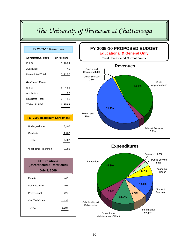#### *The University of Tennessee at Chattanooga*

| FY 2009-10 Revenues                                                        |               |
|----------------------------------------------------------------------------|---------------|
| <b>Unrestricted Funds</b>                                                  | (In Millions) |
| E & G                                                                      | \$108.4       |
| Auxiliaries                                                                | <u>7.9</u>    |
| <b>Unrestricted Total</b>                                                  | \$116.0       |
| <b>Restricted Funds</b>                                                    |               |
| E & G                                                                      | \$42.2        |
| Auxiliaries                                                                | 0.0           |
| <b>Restricted Total</b>                                                    | \$42.2        |
| <b>TOTAL FUNDS</b>                                                         | \$158.3       |
|                                                                            |               |
| <b>Fall 2008 Headcount Enrollment</b>                                      |               |
| Undergraduate                                                              | 8,405         |
| Graduate                                                                   | 1,402         |
| <b>TOTAL</b>                                                               | 9,807         |
| *First-Time Freshmen                                                       | 2,083         |
| <b>FTE Positions</b><br>(Unrestricted & Restricted)<br><b>July 1, 2009</b> |               |
|                                                                            |               |
| Faculty                                                                    | 445           |
| Administrative                                                             | 101           |
| Professional                                                               | 227           |
| Cler/Tech/Maint                                                            | 434           |
| <b>TOTAL</b>                                                               | 1,207         |



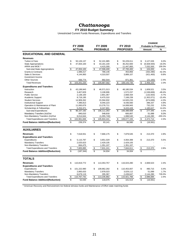#### **FY 2010 Budget Summary**

Unrestricted Current Funds Revenues, Expenditures and Transfers

|                                          |               |                |                   |                   |                         | <b>CHANGE</b>               |           |
|------------------------------------------|---------------|----------------|-------------------|-------------------|-------------------------|-----------------------------|-----------|
|                                          |               | <b>FY 2008</b> | FY 2009           | FY 2010           |                         | <b>Probable to Proposed</b> |           |
|                                          |               | <b>ACTUAL</b>  | <b>PROBABLE</b>   | <b>PROPOSED</b>   |                         | Amount                      | %         |
| <b>EDUCATIONAL AND GENERAL</b>           |               |                |                   |                   |                         |                             |           |
| <b>Revenues</b>                          |               |                |                   |                   |                         |                             |           |
| <b>Tuition &amp; Fees</b>                | \$            | 50,126,137     | \$<br>52,101,985  | \$<br>55,229,011  | \$                      | 3,127,026                   | 6.0%      |
| <b>State Appropriations</b>              | \$            | 47,004,100     | \$<br>43,181,100  | \$<br>36.252.600  | \$                      | (6,928,500)                 | $-16.0%$  |
| ARRA and MOE *                           |               |                | 4,415,300         | 11,447,800        |                         | 7,032,500                   | 159.3%    |
| Sub-total State Appropriations           | \$            | 47,004,100     | \$<br>47,596,400  | \$<br>47,700,400  | $\overline{\mathbf{e}}$ | 104,000                     | 0.2%      |
| <b>Grants &amp; Contracts</b>            |               | 1,089,217      | 786,146           | 453,856           |                         | (332, 290)                  | $-42.3%$  |
| Sales & Services                         |               | 4,144,993      | 4,310,507         | 3,889,107         |                         | (421, 400)                  | $-9.8%$   |
| Investment Income                        |               |                |                   |                   |                         |                             |           |
| <b>Other Sources</b>                     |               | 836,774        | 892,544           | 871,361           |                         | (21, 183)                   | $-2.4%$   |
| <b>Total Revenues</b>                    | \$            | 103,201,220    | \$<br>105,687,582 | \$<br>108,143,735 | \$                      | 2,456,153                   | 2.3%      |
| <b>Expenditures and Transfers</b>        |               |                |                   |                   |                         |                             |           |
| Instruction                              | \$            | 43,199,943     | \$<br>46,571,013  | \$<br>48,180,534  | \$                      | 1,609,521                   | 3.5%      |
| Research                                 |               | 3,407,829      | 3,108,906         | 1,572,237         |                         | (1,536,669)                 | $-49.4%$  |
| <b>Public Service</b>                    |               | 2,138,100      | 2,801,367         | 2,668,434         |                         | (132, 933)                  | $-4.7%$   |
| Academic Support                         |               | 8,718,195      | 8,470,310         | 7,168,239         |                         | (1,302,071)                 | $-15.4%$  |
| <b>Student Services</b>                  |               | 14,909,262     | 15,594,932        | 14,920,233        |                         | (674, 699)                  | $-4.3%$   |
| <b>Institutional Support</b>             |               | 7,396,813      | 8,040,223         | 8,436,560         |                         | 396,337                     | 4.9%      |
| Operation & Maintenance of Plant         |               | 11,083,679     | 13,276,711        | 14,008,943        |                         | 732,232                     | 5.5%      |
| Scholarships & Fellowships               |               | 5,253,371      | 8,247,801         | 9,433,428         |                         | 1,185,627                   | 14.4%     |
| Sub-total Expenditures                   | \$            | 96,107,192     | \$<br>106,111,263 | \$<br>106,388,608 | \$                      | 277,345                     | 0.3%      |
| Mandatory Transfers (In)/Out             |               | 840,010        | 548,918           | 600,007           |                         | 51,089                      | 9.3%      |
| Non-Mandatory Transfers (In)/Out         |               | 6,014,644      | (1,055,740)       | 1,088,540         |                         | 2,144,280                   | $-203.1%$ |
| <b>Total Expenditures and Transfers</b>  | \$            | 102,961,846    | \$<br>105,604,441 | \$<br>108,077,155 | \$                      | 2,472,714                   | 2.3%      |
| <b>Fund Balance Addition/(Reduction)</b> | \$            | 239,374        | \$<br>83,141      | \$<br>66,580      | \$                      | (16, 561)                   |           |
| <b>AUXILIARIES</b>                       |               |                |                   |                   |                         |                             |           |
| <b>Revenues</b>                          | \$            | 7,618,551      | \$<br>7.666.175   | \$<br>7.879.545   | \$                      | 213.370                     | 2.8%      |
| <b>Expenditures and Transfers</b>        |               |                |                   |                   |                         |                             |           |
| Expenditures                             | \$            | 5,115,797      | \$<br>3,851,029   | \$<br>4,064,399   | \$                      | 213,370                     | 5.5%      |
| <b>Mandatory Transfers</b>               |               | 2,025,623      | 2,429,105         | 2,429,105         |                         |                             |           |
| Non-Mandatory Transfers                  |               | 664,475        | 1,351,107         | 1,351,107         |                         |                             |           |
| <b>Total Expenditures and Transfers</b>  | \$            | 7,805,895      | \$<br>7,631,241   | \$<br>7,844,611   | \$                      | 213,370                     | 2.8%      |
| <b>Fund Balance Addition/(Reduction)</b> | $\mathbf{\$}$ | (187, 344)     | \$<br>34,934      | \$<br>34,934      | $\mathfrak{L}$          |                             |           |
| <b>TOTALS</b>                            |               |                |                   |                   |                         |                             |           |
|                                          |               |                |                   |                   |                         |                             |           |
| <b>Revenues</b>                          | \$            | 110,819,772    | \$<br>113,353,757 | \$<br>116,023,280 | \$                      | 2,669,523                   | 2.4%      |
| <b>Expenditures and Transfers</b>        |               |                |                   |                   |                         |                             |           |
| Expenditures                             | \$            | 101,222,990    | \$<br>109,962,292 | \$<br>110,453,007 | \$                      | 490.715                     | 0.4%      |
| <b>Mandatory Transfers</b>               |               | 2,865,633      | 2,978,023         | 3,029,112         |                         | 51,089                      | 1.7%      |
| Non-Mandatory Transfers                  |               | 6,679,119      | 295,367           | 2,439,647         |                         | 2,144,280                   | 726.0%    |
| <b>Total Expenditures and Transfers</b>  | \$            | 110,767,742    | \$<br>113,235,682 | \$<br>115,921,766 | \$                      | 2,686,084                   | 2.4%      |
| <b>Fund Balance Addition/(Reduction)</b> | \$            | 52,030         | \$<br>118,075     | \$<br>101,514     | \$                      | (16, 561)                   |           |

\* American Recovery and Reinvestment Act federal stimulus funds and Maintenance of Effort state matching funds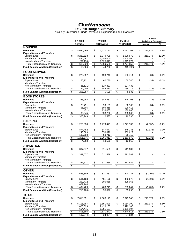**FY 2010 Budget Summary**

Auxiliary Enterprises Funds Revenues, Expenditures and Transfers

|                                          |                         |                |                 |                         |                 |                         | <b>CHANGE</b>               |         |
|------------------------------------------|-------------------------|----------------|-----------------|-------------------------|-----------------|-------------------------|-----------------------------|---------|
|                                          |                         | <b>FY 2008</b> | FY 2009         |                         | FY 2010         |                         | <b>Probable to Proposed</b> |         |
|                                          |                         | <b>ACTUAL</b>  | <b>PROBABLE</b> |                         | <b>PROPOSED</b> |                         | Amount                      | %       |
| <b>HOUSING</b>                           |                         |                |                 |                         |                 |                         |                             |         |
| <b>Revenues</b>                          | \$                      | 4,630,596      | \$<br>4,510,793 | \$                      | 4,727,763       | \$                      | 216,970                     | 4.8%    |
| <b>Expenditures and Transfers</b>        |                         |                |                 |                         |                 |                         |                             |         |
| Expenditures                             | \$                      | 3,228,623      | \$<br>1,879,708 | \$                      | 2,096,678       | \$                      | 216,970                     | 11.5%   |
| <b>Mandatory Transfers</b>               |                         | 1,480,497      | 1,655,000       |                         | 1,655,000       |                         |                             |         |
| Non-Mandatory Transfers                  |                         | (89, 190)      | 1,025,877       |                         | 1,025,877       |                         |                             |         |
| <b>Total Expenditures and Transfers</b>  | \$                      | 4,619,930      | \$<br>4,560,585 | \$                      | 4,777,555       | \$                      | 216,970                     | 4.8%    |
| <b>Fund Balance Addition/(Reduction)</b> | \$                      | 10,666         | \$<br>(49, 792) | \$                      | (49, 792)       | \$                      |                             |         |
| <b>FOOD SERVICE</b>                      |                         |                |                 |                         |                 |                         |                             |         |
| <b>Revenues</b>                          | \$                      | 270,957        | \$<br>193,748   | \$                      | 193,714         | \$                      | (34)                        | 0.0%    |
| <b>Expenditures and Transfers</b>        |                         |                |                 |                         |                 |                         |                             |         |
| Expenditures                             | \$                      | 65,121         | \$<br>60,780    | \$                      | 60,746          | \$                      | (34)                        | $-0.1%$ |
| <b>Mandatory Transfers</b>               |                         |                |                 |                         |                 |                         |                             |         |
| Non-Mandatory Transfers                  |                         | (1, 121)       | 127,433         |                         | 127,433         |                         |                             |         |
| <b>Total Expenditures and Transfers</b>  | $\boldsymbol{\theta}$   | 64,000         | \$<br>188,213   | \$                      | 188,179         | \$                      | (34)                        | 0.0%    |
| <b>Fund Balance Addition/(Reduction)</b> | $\overline{\mathbb{S}}$ | 206,957        | \$<br>5,535     | \$                      | 5,535           | \$                      |                             |         |
|                                          |                         |                |                 |                         |                 |                         |                             |         |
| <b>BOOKSTORES</b>                        |                         |                |                 |                         |                 |                         |                             |         |
| <b>Revenues</b>                          | \$                      | 386,994        | \$<br>349,237   | \$                      | 349,203         | \$                      | (34)                        | 0.0%    |
| <b>Expenditures and Transfers</b>        |                         |                |                 |                         |                 |                         |                             |         |
| Expenditures                             | \$                      | 28.791         | \$<br>90.199    | \$                      | 90,165          | \$                      | (34)                        | 0.0%    |
| <b>Mandatory Transfers</b>               |                         | 51,305         | 109,418         |                         | 109,418         |                         |                             |         |
| Non-Mandatory Transfers                  |                         | (51)           | 139,085         |                         | 139,085         |                         |                             |         |
| <b>Total Expenditures and Transfers</b>  | \$                      | 80,045         | \$<br>338,702   | \$                      | 338,668         | \$                      | (34)                        | 0.0%    |
| <b>Fund Balance Addition/(Reduction)</b> | $\overline{\mathbb{S}}$ | 306,949        | \$<br>10,535    | $\overline{\mathbb{S}}$ | 10,535          | $\overline{\mathbb{S}}$ |                             |         |
|                                          |                         |                |                 |                         |                 |                         |                             |         |
| <b>PARKING</b>                           |                         |                |                 |                         |                 |                         |                             |         |
| <b>Revenues</b>                          | \$                      | 1,255,838      | \$<br>1,279,471 | \$                      | 1,277,139       | \$                      | (2, 332)                    | $-0.2%$ |
| <b>Expenditures and Transfers</b>        |                         |                |                 |                         |                 |                         |                             |         |
| Expenditures                             | \$                      | 874,492        | \$<br>847,577   | \$                      | 845,245         | \$                      | (2, 332)                    | $-0.3%$ |
| <b>Mandatory Transfers</b>               |                         | 243,389        | 359,622         |                         | 359,622         |                         |                             |         |
| Non-Mandatory Transfers                  |                         | 133,693        | 58,712          |                         | 58,712          |                         |                             |         |
| <b>Total Expenditures and Transfers</b>  | \$                      | 1,251,575      | \$<br>1,265,911 | \$                      | 1,263,579       | \$                      | (2, 332)                    | $-0.2%$ |
|                                          | \$                      |                |                 |                         |                 | \$                      |                             |         |
| <b>Fund Balance Addition/(Reduction)</b> |                         | 4,263          | \$<br>13,560    | \$                      | 13,560          |                         |                             |         |
| <b>ATHLETICS</b>                         |                         |                |                 |                         |                 |                         |                             |         |
| <b>Revenues</b>                          | \$                      | 387,577        | \$<br>511,589   | \$                      | 511,589         | \$                      |                             |         |
| <b>Expenditures and Transfers</b>        |                         |                |                 |                         |                 |                         |                             |         |
| Expenditures                             | \$                      | 387,577        | \$<br>511,589   | \$                      | 511,589         | \$                      |                             |         |
| <b>Mandatory Transfers</b>               |                         |                |                 |                         |                 |                         |                             |         |
| Non-Mandatory Transfers                  |                         |                |                 |                         |                 |                         |                             |         |
| <b>Total Expenditures and Transfers</b>  | \$                      | 387,577        | \$<br>511,589   | \$                      | 511,589         | \$                      |                             |         |
| <b>Fund Balance Addition/(Reduction)</b> | $\overline{\mathbf{s}}$ |                | \$              | \$                      |                 | $\overline{\mathbb{S}}$ |                             |         |
|                                          |                         |                |                 |                         |                 |                         |                             |         |
| <b>OTHER</b>                             |                         |                |                 |                         |                 |                         |                             |         |
| <b>Revenues</b>                          | \$                      | 686,589        | \$<br>821,337   | \$                      | 820,137         | \$                      | (1,200)                     | $-0.1%$ |
| <b>Expenditures and Transfers</b>        |                         |                |                 |                         |                 |                         |                             |         |
| Expenditures                             | \$                      | 531,193        | \$<br>461,176   | \$                      | 459,976         | \$                      | (1,200)                     | $-0.3%$ |
| <b>Mandatory Transfers</b>               |                         | 250,432        | 305,065         |                         | 305,065         |                         |                             |         |
| Non-Mandatory Transfers                  |                         | 621,144        |                 |                         |                 |                         |                             |         |
| <b>Total Expenditures and Transfers</b>  | \$                      | 1,402,769      | \$<br>766,241   | \$                      | 765,041         | \$                      | (1, 200)                    | $-0.2%$ |
| <b>Fund Balance Addition/(Reduction)</b> | $\overline{\mathbb{S}}$ | (716, 180)     | \$<br>55,096    | $\overline{\$}$         | 55,096          | \$                      |                             |         |
|                                          |                         |                |                 |                         |                 |                         |                             |         |
| <b>TOTAL</b>                             |                         |                |                 |                         |                 |                         |                             |         |
| <b>Revenues</b>                          | \$                      | 7,618,551      | \$<br>7,666,175 | \$                      | 7,879,545       | \$                      | 213,370                     | 2.8%    |
| <b>Expenditures and Transfers</b>        |                         |                |                 |                         |                 |                         |                             |         |
| Expenditures                             | \$                      | 5,115,797      | \$<br>3,851,029 | \$                      | 4,064,399       | \$                      | 213,370                     | 5.5%    |
| <b>Mandatory Transfers</b>               |                         | 2,025,623      | 2,429,105       |                         | 2,429,105       |                         |                             |         |
| Non-Mandatory Transfers                  |                         | 664,475        | 1,351,107       |                         | 1,351,107       |                         |                             |         |
| <b>Total Expenditures and Transfers</b>  | \$                      | 7,805,895      | \$<br>7,631,241 | \$                      | 7,844,611       | \$                      | 213,370                     | 2.8%    |
| <b>Fund Balance Addition/(Reduction)</b> | \$                      | (187, 344)     | \$<br>34,934    | \$                      | 34,934          | \$                      |                             |         |
|                                          |                         |                |                 |                         |                 |                         |                             |         |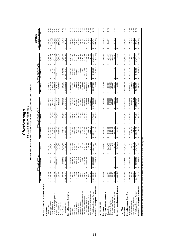| ă<br>ļ<br>į | É<br>٠,<br>٤<br>ġ<br>ㅎ<br>š<br>$\overline{ }$<br>201 |
|-------------|------------------------------------------------------|
|             |                                                      |

# **FY 2010 Budget Summary**<br>Unrestricted and Restricted Current Funds Revenues, Expenditures and Transfers Unrestricted and Restricted Current Funds Revenues, Expenditures and Transfers

|                                                |                                      | 08 ACTUAL<br>FY 20                  |                             |                        | FY 2009 PROBABLE       |                          |                          | FY 2010 PROPOSED       |                        | Probable to Proposed<br>CHANGE |              |
|------------------------------------------------|--------------------------------------|-------------------------------------|-----------------------------|------------------------|------------------------|--------------------------|--------------------------|------------------------|------------------------|--------------------------------|--------------|
|                                                | Unrestricted                         | estricted                           | Total                       | Unrestricted           | Restricted             | <b>Total</b>             | Unrestricted             | Restricted             | Total                  | Amount                         | ಸಿ           |
| EDUCATIONAL AND GENERAL                        |                                      |                                     |                             |                        |                        |                          |                          |                        |                        |                                |              |
| Revenues                                       |                                      |                                     |                             |                        |                        |                          |                          |                        |                        |                                |              |
| Tuition & Fees                                 | 50,126,137<br>↮                      |                                     | 50,126,137<br>မာမာ          | 52,101,985<br>မာမာ     |                        | 52,101,985<br>↮          | 55,229,011<br>↮          |                        | 55,229,011<br>မာမာ     | 3,127,026<br>↮                 | 6.0%         |
| <b>State Appropriations</b>                    | 47,004,100<br>$\Theta$               | 356,797<br>$\Theta$                 | 47,860,897                  | 43,181,100             | 819,700<br>↮           | 44,000,800<br>$\epsilon$ | 36,252,600<br>$\epsilon$ | 773,600<br>↮           | 37,026,200             | (6,974,600)<br>G               | $-15.9%$     |
| ARRA and MOE *                                 |                                      |                                     |                             | 4,415,300              | 37,600                 | 4,452,900                | 11.447.800               | 83,700                 | 11,531,500             | 7,078,600                      | 159.0%       |
| Sub-total State Appropriations                 | 47,004,100<br>$\boldsymbol{\varphi}$ | 856,797<br>↔                        | 47,860,897<br>G,            | 47,596,400<br>မာ       | 857,300                | 48,453,700               | 47,700,400<br>မာ         | 857,300                | 48,557,700<br>မာ       | 104,000<br>↮                   | 0.2%         |
| Grants & Contracts                             | 1,089,217                            | ,567,096<br>51,                     | 32,656,313                  | 786,146                | 32,972,476             | 33,758,622               | 453,856                  | 32,972,476             | 33,426,332             | (332, 290)                     | $-1.0%$      |
| Sales & Services                               | 4,144,993                            |                                     | 4,144,993                   | 4,310,507              |                        | 4,310,507                | 3,889,107                |                        | 3,889,107              | (421, 400)                     | $-9.8%$      |
| Investment Income                              |                                      |                                     |                             |                        |                        |                          |                          |                        |                        |                                |              |
| Other Sources                                  | 836,774                              | 7,760,949                           | 8,597,723                   | 892,544                | 8,386,238              | 9,278,782                | 871,361                  | 8,402,509              | 9,273,870              | (4, 912)                       | $-0.1%$      |
| <b>Total Revenues</b>                          | 103,201,220<br>Ģ                     | 40,184,842<br>$\boldsymbol{\omega}$ | 143,386,063<br>↮            | 105,687,582<br>↮       | 42,216,014<br>$\theta$ | \$147,903,596            | 108, 143, 735<br>↔       | 42,232,285<br>↮        | 150,376,020<br>s       | 2,472,424<br>↮                 | 1.7%         |
| Expenditures and Transfers                     |                                      |                                     |                             |                        |                        |                          |                          |                        |                        |                                |              |
| Instruction                                    | 43,199,943<br>↮                      | 5,991,719<br>↮                      | 49,191,662<br>↮             | 46,571,013<br>↮        | 5,066,746<br><b>GA</b> | 51,637,759<br>↮          | 48,180,534<br>G)         | 5,366,746<br><b>SA</b> | 53,547,280<br>↮        | 1,909,521<br>↮                 | 3.7%         |
| Research                                       | 3,407,829                            | 1,684,081                           | 8,091,910                   | 3,108,906              | 4,355,075              | 7,463,981                | 1,572,237                | 1,555,075              | 6,127,312              | 1,336,669)                     | $-17.9%$     |
| Public Service                                 | 2,138,100                            | 2,628,307                           | 4,766,407                   | 2,801,367              | 2,083,572              | 4,884,939                | 2,668,434                | 2,083,572              | 4,752,006              | (132, 933)                     | $-2.7%$      |
| Academic Support                               | 8,718,195                            | ,612,064                            | 10,330,259                  | 8,470,310              | 1,627,090              | 10,097,400               | 7,168,239                | 1,627,090              | 8,795,329              | 1,302,071                      | $-12.9%$     |
| Student Services                               | 14,909,262                           | 636,441                             | 15,545,703                  | 5,594,932              | 934,138                | 16,529,070               | 14,920,233               | 934,138                | 15,854,371             | (674, 699)                     | $-4.1%$      |
| Institutional Support                          | 7,396,813                            | 79,904                              | 7,476,717                   | 8,040,223              | 124,042                | 8,164,265                | 8,436,560                | 124,042                | 8,560,602              | 396,337                        | 4.9%         |
| Operation & Maintenance of Plant               | 11,083,679                           | 58,470                              | 11, 142, 148                | 13,276,711             | 15,000                 | 13,291,711               | 14,008,943               | 15,000                 | 14,023,943             | 732,232                        | 5.5%         |
| Scholarships & Fellowships                     | 5,253,371                            | 24,208,33                           | 29.461,703                  | 8.247,801              | 27,526,562             | 35,774,363               | 9.433.428                | 27,726,562             | 37,159,990             | 1,385,627                      | 3.9%         |
| Sub-total Expenditures                         | 96,107,192<br>$\theta$               | 39,899,318<br>$\Theta$              | 136,006,510<br>မာ           | 106, 111, 263<br>မာ    | 41,732,225<br>G,       | 147,843,488<br>Ø         | 106,388,608<br>မာ        | 42,432,225<br>မာ       | 148,820,833<br>မာ      | 977,345<br>↮                   | 0.7%         |
| Mandatory Transfers (In)/Out                   | 840,010                              |                                     | 840,010                     | 548,918                |                        | 548,918                  | 600,007                  |                        | 600,007                | 51,089                         | 9.3%         |
| Non-Mandatory Transfers (In)/Out               | 6,014,644                            |                                     | 6,014,644                   | (1,055,740)            |                        | (1,055,740)              | 1,088,540                |                        | 1,088,540              | 2,144,280                      | $-203.1%$    |
| Total Expenditures and Transfers               | 102,961,846<br>↮                     | 39,899,318<br>امه                   | 142,861,164<br>Ø            | 105,604,441<br>↮       | 41,732,225<br>↮        | \$147,336,666            | \$108,077,155            | 42,432,225<br>49       | 150,509,380<br>s       | 3,172,714<br>↮                 | 2.2%         |
| Revenues Less Expend. & Transfers              | 239,374<br>မာ                        | 285,525<br>↮                        | 524,899<br>↮                | 83,141<br>မာ           | 483,789<br>မာ          | 566,930<br>↮             | 66,580<br>↮              | (199, 940)             | (133, 360)<br>↮        | (700, 290)<br>↮                |              |
|                                                |                                      |                                     |                             |                        |                        |                          |                          |                        |                        |                                |              |
| <b>AUXILIARIES</b>                             |                                      |                                     |                             |                        |                        |                          |                          |                        |                        |                                |              |
| Revenues                                       | 7,618,551<br>$\Theta$                |                                     | 7,618,551<br>↮              | 7,666,175<br>မာ        |                        | 7,666,175<br>မာ          | 7,879,545<br>↮           |                        | 7,879,545<br>↮         | 213,370<br>↮                   | 2.8%         |
| Expenditures and Transfers                     |                                      |                                     |                             |                        |                        |                          |                          |                        |                        |                                |              |
| Expenditures                                   | 5,115,797<br>↮                       |                                     | 5,115,797<br>မာ             | 3,851,029<br>မာ        |                        | 3,851,029<br>↮           | 4,064,399<br>↮           |                        | 4,064,399<br>↮         | 213,370<br>↮                   | 5.5%         |
| Mandatory Transfers                            | 2,025,623                            |                                     | 2,025,623                   | 2,429,105<br>1,351.107 |                        | 2,429,105<br>1,351,107   | 2,429,105<br>1,351,107   |                        | 2,429,105<br>1,351,107 |                                |              |
| Non-Mandatory Transfers                        | 664,475                              |                                     | 664,475                     |                        |                        |                          |                          |                        |                        |                                |              |
| Total Expenditures and Transfers               | 7,805,895<br>↮                       | $\bullet$                           | 7,805,895                   | 7,631,241<br>↮         |                        | 7,631,241<br>မာ          | 7,844,611<br>↮           |                        | 7,844,611<br>↮         | 213,370<br>↮                   | 2.8%         |
| Revenues Less Expend. & Transfers              | (187, 344)<br>မာ                     | $\theta$                            | (187, 344)<br>↮             | 34,934<br>↮            | ↮                      | 34,934<br>↮              | 34,934<br>$\Theta$       | ↮                      | 34,934<br>↮            | ↮                              |              |
| <b>TOTALS</b>                                  |                                      |                                     |                             |                        |                        |                          |                          |                        |                        |                                |              |
| Revenues                                       | \$110,819,772                        | 40,184,842<br>↮                     | 151,004,614<br><del>ഗ</del> | \$113,353,757          | 42,216,014<br>↮        | 155,569,771<br>↔         | \$116,023,280            | 42,232,285<br>↮        | 158,255,565<br>↔       | 2,685,794<br>↮                 | 1.7%         |
| Expenditures and Transfers                     |                                      |                                     |                             |                        |                        |                          |                          |                        |                        |                                |              |
| Expenditures                                   | 101,222,990<br>မာ                    | 39,899,318<br>↮                     | 141, 122, 307<br>↮          | 109,962,292<br>မာ      | 41,732,225<br>↮        | 151,694,517<br>s         | 110,453,007<br>Ø         | 42,432,225<br>↮        | 152,885,232<br>s       | 1,190,715<br>↮                 | 0.8%<br>1.7% |
| Non-Mandatory Transfers<br>Mandatory Transfers | 6.679.119<br>2,865,633               |                                     | 6.679.119<br>2,865,633      | 2,978,023<br>295.367   |                        | 2,978,023<br>295.367     | 3,029,112<br>2.439.647   |                        | 3,029,112<br>2,439,647 | 51,089<br>2.144.280            | 726.0%       |
| Total Expenditures and Transfers               | 110,767,742<br>$\theta$              | 39,899,318<br>⊷                     | 150,667,060                 | 113,235,682<br>မာ      | 41,732,225<br>↮        | 154,967,907<br>ക         | 115,921,766<br>↮         | 42,432,225<br>↮        | 158,353,991<br>↮       | 3,386,084<br><b>SA</b>         | 2.2%         |
|                                                |                                      |                                     |                             |                        |                        |                          |                          |                        |                        |                                |              |
| Revenues Less Expend. & Transfers              | 52,030<br>G)                         | 285,525<br>$\theta$                 | 337,554<br>↮                | 118,075<br>G)          | 483,789<br>G           | 601,864<br>$\Theta$      | 101,514<br>G)            | (199, 940)<br>မာ       | (98, 426)<br>$\Theta$  | (700, 290)<br>မာ               |              |

\* American Recovery and Reinvestment Act federal stimulus funds and Maintenance of Effort state matching funds \* American Recovery and Reinvestment Act federal stimulus funds and Maintenance of Effort state matching funds

1.7%<br>726.0%<br>2.2%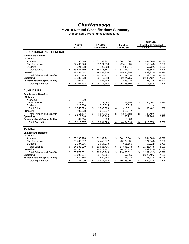#### **FY 2010 Natural Classifications Summary**

Unrestricted Current Funds Expenditures

|                                                 |                   |                   |                   | <b>CHANGE</b>                      |         |
|-------------------------------------------------|-------------------|-------------------|-------------------|------------------------------------|---------|
|                                                 | <b>FY 2008</b>    | FY 2009           | FY 2010           | <b>Probable to Proposed</b>        |         |
|                                                 | <b>ACTUAL</b>     | <b>PROBABLE</b>   | <b>PROPOSED</b>   | Amount                             | %       |
| <b>EDUCATIONAL AND GENERAL</b>                  |                   |                   |                   |                                    |         |
| <b>Salaries and Benefits</b><br><b>Salaries</b> |                   |                   |                   |                                    |         |
| Academic                                        | \$<br>30,136,826  | \$<br>31,159,941  | \$<br>30,215,861  | \$<br>(944,080)                    | $-3.0%$ |
| Non-Academic                                    | 22,463,326        | 23,174,983        | 22,419,935        | (755, 048)                         | $-3.3%$ |
| <b>Students</b>                                 | 924,298           | 703,663           | 645,941           | (57, 722)                          | $-8.2%$ |
| <b>Total Salaries</b>                           | \$<br>53,524,450  | \$<br>55,038,587  | \$<br>53,281,737  | \$<br>(1,756,850)                  | $-3.2%$ |
| <b>Benefits</b>                                 | 18,691,044        | 19,098,870        | 18,655,896        | (442, 974)                         | $-2.3%$ |
| <b>Total Salaries and Benefits</b>              | \$<br>72,215,493  | \$<br>74,137,457  | \$<br>71,937,633  | \$<br>(2, 199, 824)                | $-3.0%$ |
| Operating                                       | 22,283,278        | 30,479,318        | 32,624,755        | 2,145,437                          | 7.0%    |
| <b>Equipment and Capital Outlay</b>             | 1,608,421         | 1,494,488         | 1,826,220         | 331,732                            | 22.2%   |
| <b>Total Expenditures</b>                       | \$<br>96,107,192  | \$<br>106,111,263 | \$<br>106,388,608 | \$<br>277,345                      | 0.3%    |
| <b>AUXILIARIES</b>                              |                   |                   |                   |                                    |         |
| <b>Salaries and Benefits</b>                    |                   |                   |                   |                                    |         |
| <b>Salaries</b>                                 |                   |                   |                   |                                    |         |
| Academic                                        | \$<br>600         |                   |                   |                                    |         |
| Non-Academic                                    | 1,243,311         | \$<br>1,272,594   | \$<br>1,302,996   | \$<br>30,402                       | 2.4%    |
| <b>Students</b>                                 | 113,668           | 310,615           | 310,615           |                                    |         |
| <b>Total Salaries</b>                           | \$<br>1,357,579   | \$<br>1,583,209   | \$<br>1,613,611   | \$<br>30,402                       | 1.9%    |
| <b>Benefits</b>                                 | 406,608           | 312,577           | 312,577           |                                    |         |
| <b>Total Salaries and Benefits</b>              | \$<br>1,764,187   | \$<br>1,895,786   | \$<br>1,926,188   | \$<br>30.402                       | 1.6%    |
| Operating                                       | 3,319,646         | 1,950,243         | 2,133,211         | 182,968                            | 9.4%    |
| <b>Equipment and Capital Outlay</b>             | 31,964            | 5,000             | 5,000             |                                    |         |
| <b>Total Expenditures</b>                       | 5,115,797<br>\$   | \$<br>3,851,029   | \$<br>4,064,399   | 213,370<br>$\sqrt[6]{\frac{1}{2}}$ | 5.5%    |
| <b>TOTALS</b>                                   |                   |                   |                   |                                    |         |
| <b>Salaries and Benefits</b>                    |                   |                   |                   |                                    |         |
| <b>Salaries</b>                                 |                   |                   |                   |                                    |         |
| Academic                                        | \$<br>30,137,426  | \$<br>31,159,941  | \$<br>30,215,861  | \$<br>(944.080)                    | $-3.0%$ |
| Non-Academic                                    | 23,706,637        | 24,447,577        | 23,722,931        | (724, 646)                         | $-3.0%$ |
| <b>Students</b>                                 | 1,037,966         | 1,014,278         | 956,556           | (57, 722)                          | $-5.7%$ |
| <b>Total Salaries</b>                           | \$<br>54,882,029  | \$<br>56,621,796  | \$<br>54,895,348  | \$<br>(1,726,448)                  | $-3.0%$ |
| <b>Benefits</b>                                 | 19,097,652        | 19,411,447        | 18,968,473        | (442, 974)                         | $-2.3%$ |
| <b>Total Salaries and Benefits</b>              | \$<br>73,979,681  | \$<br>76,033,243  | \$<br>73,863,821  | \$<br>(2, 169, 422)                | $-2.9%$ |
| Operating                                       | 25,602,924        | 32,429,561        | 34,757,966        | 2,328,405                          | 7.2%    |
| <b>Equipment and Capital Outlay</b>             | 1,640,385         | 1,499,488         | 1,831,220         | 331,732                            | 22.1%   |
| <b>Total Expenditures</b>                       | 101,222,990<br>\$ | 109,962,292<br>\$ | \$<br>110,453,007 | \$<br>490,715                      | 0.4%    |
|                                                 |                   |                   |                   |                                    |         |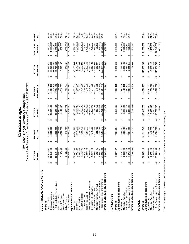|                                                                  |                         |                         |                         |                         |                        | Current Funds Revenues, Expenditures and Transfers - UNRESTRICTED<br>Five-Year Budget Summary Comparison |                        |                          |                        |                          |                                                       |                     |
|------------------------------------------------------------------|-------------------------|-------------------------|-------------------------|-------------------------|------------------------|----------------------------------------------------------------------------------------------------------|------------------------|--------------------------|------------------------|--------------------------|-------------------------------------------------------|---------------------|
|                                                                  |                         | FY 2006<br>ACTUAL       |                         | ACTUAL<br>FY 2007       |                        | FY 2008<br>ACTUAL                                                                                        |                        | PROBABLE<br>FY 2009      |                        | PROPOSED<br>FY 2010      | FIVE-YEAR CHANGE<br>Amount                            | వ్                  |
| EDUCATIONAL AND GENERAL                                          |                         |                         |                         |                         |                        |                                                                                                          |                        |                          |                        |                          |                                                       |                     |
| Tuition & Fees<br>Revenues                                       |                         | 41,671,907              |                         | 44,396,150              |                        |                                                                                                          |                        | 52,101,985               |                        | 55,229,011               | 13,557,104                                            | 32.5%               |
| State Appropriations<br>ARRA and MOE                             | မာ မာ                   | 41,310,100              | မာ မာ                   | 43,788,200              | မာ မာ                  | 50,126,137<br>47,004,100                                                                                 | မှာ မှာ                | 43,181,100<br>4,415,300  | မာ မာ                  | 11,447,800<br>36,252,600 | (5,057,500)<br>11,447,800<br>မာ-မာ                    | $-12.2%$<br>100.0%  |
| Sub-total State Appropriations<br>Grants & Contracts             | ↮                       | 41,310,100<br>825,241   | $\boldsymbol{\varphi}$  | 43,788,200<br>1,050,136 | $\boldsymbol{\varphi}$ | 47,004,100<br>1,089,217                                                                                  | $\boldsymbol{\varphi}$ | 47,596,400<br>786,146    | ↮                      | 47,700,000<br>453,856    | (371, 385)<br>6,390,300<br>$\boldsymbol{\varphi}$     | 15.5%<br>$-45.0%$   |
| Investment Income<br>Sales & Services                            |                         | 3,136,368               |                         | 3,352,992               |                        | 4,144,993                                                                                                |                        | 4,310,507                |                        | 3,889,107                | 752,739                                               | 24.0%               |
| Other Sources                                                    |                         | 1,104,865               |                         | 1,213,815               |                        | 836,774                                                                                                  |                        | 892,544                  |                        | 871,361                  | (233, 504)                                            | $-21.1%$            |
| Expenditures and Transfers<br><b>Total Revenues</b>              | ↮                       | 88,048,481              | ↮                       | 93,801,294              | ↮                      | 103,201,220                                                                                              | $\Theta$               | 105,687,582              | ↮                      | 108,143,735              | 20,095,254<br>↮                                       | 22.8%               |
| Instruction                                                      | ↮                       | 37,888,136              | ↮                       | 40,789,728              | ↮                      | 13, 199, 943                                                                                             | ↮                      | 46,571,013               | ↮                      | 18,180,534               | 10,292,398<br>↮                                       | 27.2%               |
| Research                                                         |                         | 2,936,428               |                         | 2,440,539               |                        | 3,407,829                                                                                                |                        | 3,108,906                |                        | 1,572,237                | (1,364,191)                                           | 46.5%               |
| Academic Support<br>Public Service                               |                         | 7,563,696<br>2,002,546  |                         | 7,899,478<br>2,108,890  |                        | 2,138,100<br>8,718,195                                                                                   |                        | 8,470,310<br>2,801,367   |                        | 7,168,239<br>2,668,434   | (395, 457)<br>665,888                                 | 33.3%<br>$-5.2%$    |
| <b>Student Services</b>                                          |                         | 11,913,779              |                         | 2,552,166               |                        | 14,909,262                                                                                               |                        | 5,594,932                |                        | 14,920,233               | 3,006,454                                             | 25.2%               |
| Institutional Support                                            |                         | 6,007,870               |                         | 6,855,977               |                        | 7,396,813                                                                                                |                        | 8,040,223                |                        | 8,436,560                | 2,428,690                                             | 40.4%               |
| Operation & Maintenance of Plant<br>Scholarships & Fellowships   |                         | 10,333,017<br>4,947,348 |                         | 4,940,728<br>0,524,052  |                        | 1,083,679<br>5,253,371                                                                                   |                        | 13,276,711<br>8,247,801  |                        | 14,008,943<br>9,433,428  | 3,675,926<br>4,486,080                                | 35.6%<br>90.7%      |
| Sub-total Expenditures                                           | ↮                       | 83,592,821              | ↮                       | 88,111,556              | $\boldsymbol{\varphi}$ | 96,107,192                                                                                               | $\Theta$               | 106, 111, 263            | ↮                      | 106,388,608              | 22,795,787<br>↮                                       | 27.3%               |
| Non-Mandatory Transfers (In)/Out<br>Mandatory Transfers (In)/Out |                         | 509,601<br>2,906,701    |                         | 4,088,269<br>582,422    |                        | 840,010<br>6,014,644                                                                                     |                        | (1,055,740)<br>548,918   |                        | 1,088,540<br>600,007     | (1,818,161)<br>90,406                                 | 17.7%<br>$-62.6%$   |
| Total Expenditures and Transfers                                 | $\boldsymbol{\omega}$   | 87,009,123              | $\boldsymbol{\varphi}$  | 92,782,247              | $\boldsymbol{\varphi}$ | 102,961,846                                                                                              | $\boldsymbol{\omega}$  | 105,604,441              | ⊷l                     | 108,077,155              | 21,068,032<br>↮                                       | 24.2%               |
| Revenues Less Expend. & Transfers                                | ↮                       | 1,039,358               | ↔                       | 1,019,046               | $\Theta$               | 239,374                                                                                                  | $\Theta$               | 83,141                   | $\boldsymbol{\varphi}$ | 66,580                   | (972, 778)<br>$\boldsymbol{\varphi}$                  |                     |
| <b>AUXILIARIES</b>                                               |                         |                         |                         |                         |                        |                                                                                                          |                        |                          |                        |                          |                                                       |                     |
| Expenditures and Transfers<br>Revenues                           | ↮                       | 6,637,737               | ↮                       | 7,309,754               | ↮                      | 7,618,551                                                                                                | ↮                      | 7,666,175                | ↮                      | 7,879,545                | 1,241,808<br>↮                                        | 18.7%               |
| Expenditures                                                     | ↮                       | 4,373,181               | ↮                       | 4,356,991               | ↮                      | 5,115,797                                                                                                | ↮                      | 3,851,029                | ↮                      | 4,064,399                | (308, 782)<br>↮                                       | $-7.1%$             |
| Non-Mandatory Transfers<br>Mandatory Transfers                   |                         | 1,135,245<br>,363,520   |                         | ,831,411<br>1,017,657   |                        | 664,475<br>2,025,623                                                                                     |                        | 2,429,105<br>1,351,107   |                        | 2,429,105<br>1,351,107   | ,065,585<br>215,862                                   | 78.1%               |
| Total Expenditures and Transfers                                 | $\qquad \qquad \bullet$ | 6,871,946               | $\pmb{\leftrightarrow}$ | ,206,059                | ↮                      | ,805,895                                                                                                 | \$                     | 7,631,241                | S                      | 7,844,611                | 972,665<br>S                                          | 19.0%<br>14.2%      |
| Revenues Less Expend. & Transfers                                | ↮                       | (234, 209)              | ↮                       | 103,695                 | ↮                      | (187, 344)                                                                                               | ↮                      | 34,934                   | ↮                      | 34,934                   | 269,143<br>↮                                          |                     |
| <b>TOTALS</b>                                                    |                         |                         |                         |                         |                        |                                                                                                          |                        |                          |                        |                          |                                                       |                     |
| Expenditures and Transfers<br>Revenues                           | ↮                       | 94,686,218              | ↮                       | 101,111,048             | ↮                      | 110,819,772                                                                                              | ↮                      | 113,353,757              | ↮                      | 116,023,280              | 21,337,062<br>↮                                       | 22.5%               |
| Mandatory Transfers<br>Expenditures                              | ↮                       | 87,966,002<br>1,873,120 | ↮                       | 92,468,548<br>2,413,833 | ↮                      | 101,222,990<br>2,865,633                                                                                 | ↮                      | 109,962,292<br>2,978,023 | ↮                      | 3,029,112<br>110,453,007 | 22,487,005<br>1,155,992<br>↮                          | 25.6%<br>61.7%      |
| Total Expenditures and Transfers<br>Non-Mandatory Transfers      | $\qquad \qquad \bullet$ | 93,881,069<br>4,041,946 | $\boldsymbol{\varphi}$  | 5,105,925<br>99,988,306 | $\Theta$<br>$\theta$   | 6,679,119<br>110,767,742                                                                                 | $\boldsymbol{\omega}$  | 113,235,682<br>295,367   | $\leftrightarrow$      | 115,921,766<br>2,439,647 | $(1,602,299)$<br>22,040,697<br>$\boldsymbol{\varphi}$ | $-39.6%$<br>$23.5%$ |
| Revenues Less Expend. & Transfers                                | $\Theta$                | 805,149                 | $\Theta$                | 1,122,741               |                        | 52,030                                                                                                   | $\boldsymbol{\varphi}$ | 118,075                  | $\boldsymbol{\varphi}$ | 101,514                  | (703, 635)<br>$\boldsymbol{\varphi}$                  |                     |

Chattanooga

\* American Recovery and Reinvestment Act federal stimulus funds and Maintenance of Effort state matching funds \* American Recovery and Reinvestment Act federal stimulus funds and Maintenance of Effort state matching funds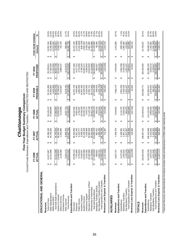| ā                                                                    |                                                   |                                               | ent Funds Revenues, Expenditures and Transfers - UNRESTRICTED AND RESTRICTED<br>Five-Year Budget Summary Comparison |                                                       |                                                    |                                       |                          |
|----------------------------------------------------------------------|---------------------------------------------------|-----------------------------------------------|---------------------------------------------------------------------------------------------------------------------|-------------------------------------------------------|----------------------------------------------------|---------------------------------------|--------------------------|
|                                                                      | FY 2006<br>ACTUAL                                 | FY 2007<br>ACTUAL                             | FY 2008<br>ACTUAL                                                                                                   | PROBABLE<br>FY 2009                                   | PROPOSED<br>FY 2010                                | FIVE-YEAR CHANGE<br>Amount            | వ్                       |
| EDUCATIONAL AND GENERAL                                              |                                                   |                                               |                                                                                                                     |                                                       |                                                    |                                       |                          |
| Revenues                                                             |                                                   |                                               |                                                                                                                     |                                                       |                                                    |                                       |                          |
| Tuition & Fees                                                       | 42,311,888<br>41,671,907<br>မှာ မှာ               | 44,705,500<br>44,396,150<br>မာမာ              | 50,126,137<br>47,860,897<br>မာမာ                                                                                    | 44,000,800<br>52,101,985<br>မှာ မှာ                   | 37,026,200<br>55,229,011<br>မှာ မှာ                | (5,285,688)<br>13,557,104<br>မှာ မှာ  | $-12.5%$<br>32.5%        |
| State Appropriations<br>ARRA and MOE                                 |                                                   |                                               |                                                                                                                     | 4,452,900                                             | 11,531,500                                         | 11,531,500                            | 100.0%                   |
| Sub-total State Appropriations                                       | 42,311,888<br>↮                                   | 44,705,800<br>↮                               | 47,860,87<br>$\boldsymbol{\varphi}$                                                                                 | 48,453,700<br>↮                                       | 48,557,700<br>$\boldsymbol{\varphi}$               | 6,245,812<br>$\boldsymbol{\varphi}$   | 14.8%                    |
| Grants & Contracts<br>Sales & Services                               | 3,136,368<br>24,489,953                           | 3,352,992<br>28,240,238                       | 4,144,993<br>32,656,313                                                                                             | 33,758,622                                            | 33,426,332<br>3,889,107                            | 8,936,379<br>752,739                  | 36.5%<br>24.0%           |
| Investment Income                                                    |                                                   |                                               |                                                                                                                     | 4,310,507                                             |                                                    |                                       |                          |
| Other Sources                                                        | 8,304,175                                         | 8,802,876                                     | 8,597,723                                                                                                           | 9,278,782                                             |                                                    |                                       | 11.7%                    |
| <b>Total Revenues</b>                                                | 119,914,291<br>e                                  | 129,497,756<br>$\Theta$                       | 143,386,063<br>↮                                                                                                    | 147,903,596<br>↮                                      | 9,273,870<br>150,376,020<br>↮                      | 969,695<br>30,461,729<br>↮            | 25.4%                    |
| Expenditures and Transfers                                           |                                                   |                                               |                                                                                                                     |                                                       |                                                    |                                       |                          |
| Instruction                                                          | 13,390,134<br>↮                                   | 16,464,858<br>↮                               | 49,191,662<br>↮                                                                                                     | 51,637,759<br>↮                                       | 53,547,280<br>↮                                    | 0,157,146<br>↮                        | 23.4%                    |
| Research                                                             | 7,701,880                                         | 5,521,243                                     | 8,091,910                                                                                                           | 7,463,981                                             | 6,127,312                                          | (1,574,568)                           | 20.4%                    |
| Academic Support<br>Public Service                                   | 5,793,844<br>9,426,057                            | 9,595,314<br>6,132,777                        | 10,330,259<br>4,766,407                                                                                             | 4,884,939<br>10,097,400                               | 4,752,006<br>8,795,329                             | (1,041,838)<br>(630, 728)             | $-18.0%$<br>$-6.7%$      |
| Student Services                                                     | 3,032,068                                         | 13,248,349                                    | 15,545,703                                                                                                          | 6,529,070                                             | 15,854,371                                         | 2,822,303                             | 21.7%                    |
| Institutional Support                                                | 6,132,482                                         | 7,016,069                                     | 7,476,717                                                                                                           | 8,164,265                                             | 8,560,602                                          | 2,428,120                             | 39.6%                    |
| Operation & Maintenance of Plant                                     | 10,462,560                                        | 10,563,918                                    | 11, 142, 148                                                                                                        | 13,291,711                                            | 14,023,943                                         | 3,561,383                             | 34.0%                    |
| Scholarships & Fellowships                                           | 21,726,902                                        | 25,542,549                                    | 29,461,703                                                                                                          | 35,774,363                                            | 37,159,990                                         | 5,433,088                             | 71.0%                    |
| Sub-total Expenditures                                               | 117,665,928<br>$\Theta$                           | 124,085,078<br>$\Theta$                       | 136,006,510<br>$\boldsymbol{\varphi}$                                                                               | 147,843,488<br>$\boldsymbol{\varphi}$                 | 148,820,833<br>$\boldsymbol{\varphi}$              | 31,154,905<br>$\Theta$                | 26.5%                    |
| Mandatory Transfers (In)/Out                                         | 509,601                                           | 582,422                                       | 840.010                                                                                                             | 548,918                                               | 600,007                                            | 90,406                                | 17.7%<br>$-62.6%$        |
| Total Expenditures and Transfers<br>Non-Mandatory Transfers (In)/Out | 121,082,230<br>2,906,701<br>$\boldsymbol{\omega}$ | 128,755,769<br>4,088,269<br>$\leftrightarrow$ | 6,014,644<br>142,861,164<br>$\Theta$                                                                                | (1,055,740)<br>147,336,666<br>$ \boldsymbol{\omega} $ | 1,088,540<br>150,509,380<br>$\blackleftrightarrow$ | (1,818,161)<br>29,427,150<br>$\Theta$ | 24.3%                    |
| Revenues Less Expend. & Transfers                                    | (1, 167, 938)<br>↔                                | 741,987<br>↔                                  | 524,899<br>↮                                                                                                        | 566,930<br>↮                                          | (133, 360)<br>↮                                    | 1,034,578<br>↮                        |                          |
| <b>AUXILIARIES</b>                                                   |                                                   |                                               |                                                                                                                     |                                                       |                                                    |                                       |                          |
| Revenues                                                             | 6,637,737<br>↮                                    | 7,309,754<br>↔                                | 7,618,551<br>↮                                                                                                      | 7,666,175<br>↔                                        | 7,879,545<br>↮                                     | 1,241,808<br>↔                        | 18.7%                    |
| <b>Expenditures and Transfers</b>                                    |                                                   |                                               |                                                                                                                     |                                                       |                                                    |                                       |                          |
| Expenditures                                                         | 4,373,181<br>↔                                    | 4,356,991<br>↮                                | 5,115,797<br>↮                                                                                                      | 3,851,029<br>↔                                        | 4,064,399<br>↮                                     | (308, 782)<br>↔                       | $-7.1%$                  |
| Mandatory Transfers                                                  | 1,363,520                                         | ,831,411                                      | 2,025,623                                                                                                           | 2,429,105                                             | 2,429,105                                          | 1,065,585                             | 78.1%                    |
| Total Expenditures and Transfers<br>Non-Mandatory Transfers          | 6,871,946<br>1,135,245<br>$\boldsymbol{\varphi}$  | .206,059<br>1,017,657<br>$\Theta$             | 664,475<br>,805,895<br>↮                                                                                            | 1,351,107<br>7,631,241<br>↮                           | 1,351,107<br>,844,61<br>↮                          | 972,665<br>215,862<br>↮               | 19.0%<br>14.2%           |
| Revenues Less Expend. & Transfers                                    | (234, 209)<br>↮                                   | 103,695<br>$\Theta$                           | (187, 344)<br>↮                                                                                                     | 34,934<br>↮                                           | 34,934<br>↮                                        | 269,143<br>↮                          |                          |
| <b>TOTALS</b>                                                        |                                                   |                                               |                                                                                                                     |                                                       |                                                    |                                       |                          |
| Revenues                                                             | 126,552,028<br>↮                                  | 136,807,510<br>↮                              | 151,004,614<br>↮                                                                                                    | 155,569,771<br>↮                                      | 158,255,565<br>↮                                   | 31,703,537<br>↔                       | 25.1%                    |
| Expenditures and Transfers                                           |                                                   |                                               |                                                                                                                     |                                                       |                                                    |                                       |                          |
| Expenditures                                                         | 122,039,109<br>↮                                  | 128,442,069<br>↮                              | 141,122,307<br>↮                                                                                                    | 151,694,517<br>↮                                      | 152,885,232<br>↮                                   | 30,846,123<br>↮                       | 25.3%                    |
| Non-Mandatory Transfers<br>Mandatory Transfers                       | 1,873,120<br>4,041,946                            | 2,413,833<br>5,105,925                        | 6,679,119<br>2,865,633                                                                                              | 2,978,023<br>295,367                                  | 3,029,112<br>2,439,647                             | (1,602,299)<br>1,155,992              | 61.7%<br>-39.6%<br>23.8% |
| Total Expenditures and Transfers                                     | 27,954,176<br>$\varphi$                           | 35,961,828<br>$\leftrightarrow$               | 150,667,060<br>$\boldsymbol{\varphi}$                                                                               | 54,967,907<br>$\bullet$                               | 58,353,991<br>$\boldsymbol{\omega}$                | 30,399,815<br>$\bullet$               |                          |
| Revenues Less Expend. & Transfers                                    | (1,402,147)<br>↮                                  | 845,682<br>$\Theta$                           | 337,554<br>↔                                                                                                        | 601,864<br>↔                                          | (98, 426)<br>↔                                     | 1,303,721<br>↔                        |                          |

Chattanooga

\* American Recovery and Reinvestment Act federal stimulus funds and Maintenance of Effort state matching funds \* American Recovery and Reinvestment Act federal stimulus funds and Maintenance of Effort state matching funds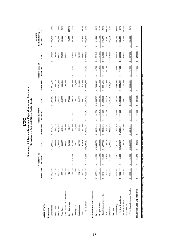|                                                                                                                                                                                             |                       | <b>Actual 2007-08</b>             |                       |                 | Probable 2008-09                 |                 |                 | Proposed 2009-10 |                 | Probable to Proposed<br>CHANGE       |            |
|---------------------------------------------------------------------------------------------------------------------------------------------------------------------------------------------|-----------------------|-----------------------------------|-----------------------|-----------------|----------------------------------|-----------------|-----------------|------------------|-----------------|--------------------------------------|------------|
|                                                                                                                                                                                             | Unrestricted          | Restricted                        | Total                 | Unrestricted    | Restricted                       | Total           | Unrestricted    | Restricted       | Total           | Amount                               | $\epsilon$ |
| <b>ATHLETICS</b>                                                                                                                                                                            |                       |                                   |                       |                 |                                  |                 |                 |                  |                 |                                      |            |
| Revenues                                                                                                                                                                                    |                       |                                   |                       |                 |                                  |                 |                 |                  |                 |                                      |            |
| General Funds                                                                                                                                                                               | \$4,407,580           |                                   | 4,407,580<br>$\theta$ | 4,474,148<br>↮  |                                  | 4,474,148<br>↮  | 4,077,184<br>မာ |                  | 4,077,184<br>↮  | (396, 964)<br>↮                      | $-9.0%$    |
| Student Fees                                                                                                                                                                                | 648,124               |                                   | 648,124               | 648,124         |                                  | 648,124         | 648,124         |                  | 648,124         |                                      |            |
| Athletic Fees                                                                                                                                                                               | 2,130,576             |                                   | 2,130,576             | 2,078,333       |                                  | 2,078,333       | 2,184,333       |                  | 2,184,333       | 106,000                              | 5.0%       |
| <b>Ticket Sales</b>                                                                                                                                                                         | 633,123               |                                   | 633,123               | 1,018,500       |                                  | 1,018,500       | 983,500         |                  | 983,500         | (35,000)                             | $-5.5%$    |
| NCAA Conference, Tournaments                                                                                                                                                                | 394,920               |                                   | 394,920               | 265,000         |                                  | 265,000         | 265,000         |                  | 265,000         |                                      |            |
| Game Guarantees                                                                                                                                                                             | 415,000               |                                   | 415,000               | 475,000         |                                  | 475,000         |                 |                  |                 | (475,000)                            | $-114.5%$  |
| Gifts                                                                                                                                                                                       | 344,135               | 678,283<br>↮                      | 1,022,419             | 420,000         | 728,801<br>↮                     | 1,148,801       | 480,000         | 728,801<br>↮     | 1,208,801       | 60,000                               | 5.9%       |
| Licensing Fees                                                                                                                                                                              | 78,000                |                                   | 78,000                | 20,000          |                                  | 20,000          | 20,000          |                  | 20,000          |                                      |            |
| Sports Camps                                                                                                                                                                                | 387,577               |                                   | 387,577               | 511,589         |                                  | 511,589         | 511,589         |                  | 511,589         |                                      |            |
| Other*                                                                                                                                                                                      | 512,393               |                                   | 512,393               | 432,000         |                                  | 432,000         | 520,600         |                  | 520,600         | 88,600                               | 17.3%      |
| <b>Total Revenues</b>                                                                                                                                                                       | \$9,951,428           | 678,283<br>$\bullet$              | \$10,629,712          | \$10,342,694    | 728,801<br>$\boldsymbol{\Theta}$ | \$11,071,495    | 9,690,330<br>\$ | 728,801<br>↮     | \$10,419,131    | (652, 364)<br>$\boldsymbol{\omega}$  | $-6.1%$    |
| Expenditures and Transfers                                                                                                                                                                  |                       |                                   |                       |                 |                                  |                 |                 |                  |                 |                                      |            |
| Salaries                                                                                                                                                                                    | 3,030,011<br>ക        | 26,883<br>↮                       | 3,056,894<br>မာ       | 3,013,910<br>မာ | 80,000<br>↮                      | 3,093,910<br>မာ | 2,882,342<br>မာ | 80,000<br>↮      | 2,962,342<br>မာ | (131,568)<br>မာ                      | $-4.3%$    |
| Employee Benefits                                                                                                                                                                           | 1,013,435             | 7,080                             | 1,020,515             | 964,451         | 25,600                           | 990,051         | 922,349         | 25,600           | 947,949         | (42, 102)                            | $-4.1%$    |
| Total Salaries and Benefits                                                                                                                                                                 | \$4,043,446           | 33,964<br>$\theta$                | 4,077,409<br>↔        | 3,978,361<br>↮  | 105,600<br>↮                     | \$4,083,961     | 3,804,691<br>↮  | 105,600<br>↮     | 3,910,291<br>↔  | (173, 670)<br>$\theta$               | $-4.3%$    |
| Travel                                                                                                                                                                                      | 703,872               | 76,979                            | 780,852               | 676,431         | 551,038                          | 1,227,469       | 522,389         | 551,038          | 1,073,427       | (154, 042)                           | $-19.7%$   |
| Student Aid                                                                                                                                                                                 | 2,863,556             | 317,228                           | 3,180,783             | 3,591,843       |                                  | 3,591,843       | 3,752,956       |                  | 3,752,956       | 161,113                              | 5.1%       |
| Equipment                                                                                                                                                                                   |                       |                                   |                       |                 |                                  |                 |                 |                  |                 |                                      |            |
| Other Operating                                                                                                                                                                             | 2,196,993             | 214,037                           | 2,411,030             | 1,911,059       | 110,684                          | 2,021,743       | 1,455,294       | 110,684          | 1,565,978       | (455, 765)                           | $-18.9%$   |
| Sub-total Expenditures                                                                                                                                                                      | 9,807,867<br>မာ       | 642,208<br>$\boldsymbol{\varphi}$ | \$10,450,074          | \$10,157,694    | 767,322<br>↮                     | \$10,925,016    | 9,535,330<br>မာ | 767,322<br>↮     | \$10,302,652    | (622, 364)<br>↮                      | $-6.0%$    |
| Debt Service Transfers                                                                                                                                                                      | 143,561               |                                   | 143,561               | 185,000         |                                  | 185,000         | 155,000         |                  | 155,000         | (30,000)                             | $-20.9%$   |
| Other Transfers                                                                                                                                                                             |                       |                                   |                       |                 |                                  |                 |                 |                  |                 |                                      |            |
| Total Expenditures and Transfers                                                                                                                                                            | 9,951,428<br>$\Theta$ | 642,208<br>$\leftrightarrow$      | \$10,593,636          | \$10,342,694    | 767,322<br>↮                     | \$11,110,016    | 9,690,330<br>↮  | 767,322<br>↮     | \$10,457,652    | (652, 364)<br>$\boldsymbol{\varphi}$ | $-6.2%$    |
| Revenues Less Expenditures                                                                                                                                                                  | $\circ$<br>↮          | 36,076<br>↮                       | 36,076<br>↮           | ↮               | (38, 521)<br>↮                   | (38, 521)<br>↮  | ↮               | (38,521)<br>↮    | (38,521)<br>↮   | ↮                                    |            |
| * Other includes program sales, concessions, parking, broadcasting, television, radio, internet, endowments, investments, royalties, advertisements, sponsorships, and miscellaneous other. |                       |                                   |                       |                 |                                  |                 |                 |                  |                 |                                      |            |

**UTC**<br>Summary of Athletics Revenues, Expenditures and Transfers<br>Unrestricted and Restricted E&G and Auxiliary Funds **Summary of Athletics Revenues, Expenditures and Transfers Unrestricted and Restricted E&G and Auxiliary Funds**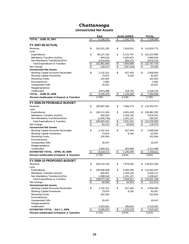#### **Unrestricted Net Assets**

|                                                       |                          | <b>E&amp;G</b> |                                        | <b>AUXILIARIES</b> |                         | <b>TOTAL</b> |
|-------------------------------------------------------|--------------------------|----------------|----------------------------------------|--------------------|-------------------------|--------------|
| <b>TOTAL - JUNE 30, 2007</b>                          | \$                       | 6,196,202      | \$                                     | 1,342,704          | \$                      | 7,538,906    |
|                                                       |                          |                |                                        |                    |                         |              |
| <b>FY 2007-08 ACTUAL</b>                              |                          |                |                                        |                    |                         |              |
| Revenue                                               | \$                       | 103,201,220    | \$                                     | 7,618,551          | \$                      | 110,819,772  |
| Less:                                                 |                          |                |                                        |                    |                         |              |
| Expenditures                                          | \$                       | 96,107,192     | \$                                     | 5,115,797          | \$                      | 101,222,990  |
| Mandatory Transfers (In)/Out                          |                          | 840,010        |                                        | 2,025,623          |                         | 2,865,633    |
| Non-Mandatory Transfers(In)/Out                       |                          | 6,014,644      |                                        | 664,475            |                         | 6,679,119    |
| <b>Total Expenditures &amp; Transfers</b>             | \$                       | 102,961,846    | \$                                     | 7,805,895          | \$                      | 110,767,742  |
| Net Change                                            | \$                       | 239,374        | $\overline{\mathcal{L}}$               | (187, 344)         | $\overline{\mathbf{e}}$ | 52,030       |
| <b>Unrestricted Net Assets</b>                        |                          |                |                                        |                    |                         |              |
| Working Capital-Accounts Receivable                   | \$                       | 2,132,151      | \$                                     | 827,443            | \$                      | 2,959,594    |
| <b>Working Capital-Inventories</b>                    |                          | 73,875         |                                        | 8,182              |                         | 82,057       |
| <b>Revolving Funds</b>                                |                          | 331,934        |                                        |                    |                         | 331,934      |
| Encumbrances                                          |                          | 2,692          |                                        |                    |                         | 2,692        |
| <b>Unexpended Gifts</b>                               |                          | 20,437         |                                        |                    |                         | 20,437       |
| Reappropriations                                      |                          |                |                                        |                    |                         |              |
| Unallocated                                           |                          | 3,874,488      |                                        | 319,734            |                         | 4,194,223    |
| <b>TOTAL - JUNE 30, 2008</b>                          | \$                       | 6,435,576      | \$                                     | 1,155,360          | \$                      | 7,590,936    |
| <b>Percent Unallocated of Expend. &amp; Transfers</b> |                          | 3.76%          |                                        | 4.10%              |                         | 3.79%        |
|                                                       |                          |                |                                        |                    |                         |              |
| FY 2008-09 PROBABLE BUDGET                            |                          |                |                                        |                    |                         |              |
| Revenue                                               | \$                       | 105,687,582    | \$                                     | 7,666,175          | \$                      | 113,353,757  |
| Less:                                                 |                          |                |                                        |                    |                         |              |
| Expenditures                                          | \$                       | 106,111,263    | \$                                     | 3,851,029          | \$                      | 109,962,292  |
| Mandatory Transfers (In)/Out                          |                          | 548,918        |                                        | 2,429,105          |                         | 2,978,023    |
| Non-Mandatory Transfers(In)/Out                       |                          | (1,055,740)    |                                        | 1,351,107          |                         | 295,367      |
| <b>Total Expenditures &amp; Transfers</b>             | \$                       | 105,604,441    | \$                                     | 7,631,241          | \$                      | 113,235,682  |
| Net Change                                            | \$                       | 83,141         | $\overline{\mathcal{L}}$               | 34,934             | $\bullet$               | 118,075      |
| <b>Unrestricted Net Assets</b>                        |                          |                |                                        |                    |                         |              |
| Working Capital-Accounts Receivable                   | \$                       | 2,132,151      | \$                                     | 827,443            | \$                      | 2,959,594    |
| <b>Working Capital-Inventories</b>                    |                          | 73,875         |                                        | 8,182              |                         | 82,057       |
| <b>Revolving Funds</b>                                |                          | 331,934        |                                        |                    |                         | 331,934      |
| Encumbrances                                          |                          |                |                                        |                    |                         |              |
| <b>Unexpended Gifts</b>                               |                          | 20,437         |                                        |                    |                         | 20,437       |
| Reappropriations                                      |                          |                |                                        |                    |                         |              |
| Unallocated                                           |                          | 3,960,321      |                                        | 354,668            |                         | 4,314,989    |
| <b>ESTIMATED TOTAL - APRIL 30, 2009</b>               | \$                       | 6,518,717      | $\frac{1}{2}$                          | 1,190,294          | $\frac{1}{2}$           | 7,709,011    |
| <b>Percent Unallocated of Expend. &amp; Transfers</b> |                          | 3.75%          |                                        | 4.65%              |                         | 3.81%        |
|                                                       |                          |                |                                        |                    |                         |              |
| FY 2009-10 PROPOSED BUDGET                            |                          |                |                                        |                    |                         |              |
| Revenue                                               | \$                       | 108,143,735    | \$                                     | 7,879,545          | \$                      | 116,023,280  |
| Less:                                                 |                          |                |                                        |                    |                         |              |
| Expenditures                                          | \$                       | 106,388,608    | \$                                     | 4,064,399          | \$                      | 110,453,007  |
| Mandatory Transfers (In)/Out                          |                          | 600,007        |                                        | 2,429,105          |                         | 3,029,112    |
| Non-Mandatory Transfers(In)/Out                       |                          | 1,088,540      |                                        | 1,351,107          |                         | 2,439,647    |
| <b>Total Expenditures &amp; Transfers</b>             | $\overline{\mathcal{E}}$ | 108,077,155    | $\frac{1}{2}$                          | 7,844,611          | \$                      | 115,921,766  |
| Net Change                                            | \$                       | 66,580         | $\overline{\boldsymbol{\mathfrak{s}}}$ | 34,934             | $\overline{\mathbf{e}}$ | 101,514      |
| <b>Unrestricted Net Assets</b>                        |                          |                |                                        |                    |                         |              |
| Working Capital-Accounts Receivable                   | \$                       | 2,132,151      | \$                                     | 827,443            | \$                      | 2,959,594    |
| <b>Working Capital-Inventories</b>                    |                          | 73,875         |                                        | 8,182              |                         | 82,057       |
| <b>Revolving Funds</b>                                |                          | 331,934        |                                        |                    |                         | 331,934      |
| Encumbrances                                          |                          |                |                                        |                    |                         |              |
| Unexpended Gifts                                      |                          | 20,437         |                                        |                    |                         | 20,437       |
| Reappropriations                                      |                          |                |                                        |                    |                         |              |
| Unallocated                                           |                          | 4,026,901      |                                        | 389,602            |                         | 4,416,503    |
|                                                       |                          | 6,585,297      |                                        |                    |                         |              |
| <b>ESTIMATED TOTAL - JULY 1, 2009</b>                 | \$                       |                | $\frac{\mathbb{S}}{2}$                 | 1,225,228          | \$                      | 7,810,525    |
| <b>Percent Unallocated of Expend. &amp; Transfers</b> |                          | 3.73%          |                                        | 4.97%              |                         | 3.81%        |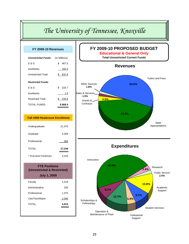#### *The University of Tennessee, Knoxville*

| FY 2009-10 Revenues                                                        |                |
|----------------------------------------------------------------------------|----------------|
| <b>Unrestricted Funds</b>                                                  | (In Millions)  |
| E & G                                                                      | \$467.5        |
| Auxiliaries                                                                | <u>165.3</u>   |
| <b>Unrestricted Total</b>                                                  | \$632.8        |
| <b>Restricted Funds</b>                                                    |                |
| E & G                                                                      | \$233.7        |
| Auxiliaries                                                                |                |
| <b>Restricted Total</b>                                                    | <u>\$235.6</u> |
| <b>TOTAL FUNDS</b>                                                         | \$868.4        |
|                                                                            |                |
| <b>Fall 2008 Headcount Enrollment</b>                                      |                |
| Undergraduate                                                              | 21.475         |
| Graduate                                                                   | 5.309          |
| Professional                                                               | 464            |
| <b>TOTAL</b>                                                               | 27,248         |
| * First-time Freshmen                                                      | 4,216          |
| <b>FTE Positions</b><br>(Unrestricted & Restricted)<br><b>July 1, 2009</b> |                |
| Faculty                                                                    | 1,519          |
| Administrative                                                             | 335            |
| Professional                                                               | 1,375          |
| Cler/Tech/Maint                                                            | <u>2,386</u>   |
| TOTAL                                                                      | 5,615          |
|                                                                            |                |



Institutional Support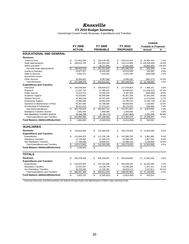#### *Knoxville*

#### **FY 2010 Budget Summary**

Unrestricted Current Funds Revenues, Expenditures and Transfers

|                                          |                   |              |                 |                   | <b>CHANGE</b>               |          |
|------------------------------------------|-------------------|--------------|-----------------|-------------------|-----------------------------|----------|
|                                          | <b>FY 2008</b>    |              | FY 2009         | FY 2010           | <b>Probable to Proposed</b> |          |
|                                          | <b>ACTUAL</b>     |              | <b>PROBABLE</b> | <b>PROPOSED</b>   | Amount                      | %        |
| <b>EDUCATIONAL AND GENERAL</b>           |                   |              |                 |                   |                             |          |
| <b>Revenues</b>                          |                   |              |                 |                   |                             |          |
| <b>Tuition &amp; Fees</b>                | \$<br>211,853,269 | \$           | 218,149,255     | \$<br>233,613,419 | \$<br>15,464,164            | 7.1%     |
| <b>State Appropriations</b>              | \$<br>198,919,700 | \$           | 182,553,100     | \$<br>154,114,800 | \$<br>(28, 438, 300)        | $-15.6%$ |
| ARRA and MOE *                           |                   |              | 18,767,900      | 47,831,300        | 29,063,400                  | 154.9%   |
| Sub-total State Appropriations           | \$<br>198,919,700 | \$           | 201.321.000     | \$<br>201,946,100 | \$<br>625,100               | 0.3%     |
| <b>Grants &amp; Contracts</b>            | 16,977,917        |              | 16,420,000      | 16,570,000        | 150,000                     | 0.9%     |
| Sales & Services                         | 9,462,371         |              | 7,533,197       | 6,975,159         | (558, 038)                  | $-7.4%$  |
| Investment Income                        |                   |              |                 |                   |                             |          |
| <b>Other Sources</b>                     | 10,354,821        |              | 9,387,569       | 8,445,292         | (942, 277)                  | $-10.0%$ |
| <b>Total Revenues</b>                    | \$<br>447,568,078 | \$           | 452,811,021     | \$<br>467,549,970 | \$<br>14,738,949            | 3.3%     |
| <b>Expenditures and Transfers</b>        |                   |              |                 |                   |                             |          |
| Instruction                              | \$<br>189,599,584 | \$           | 209,609,672     | \$<br>217,078,803 | \$<br>7,469,131             | 3.6%     |
| Research                                 | 21,207,752        |              | 27,366,321      | 16,048,010        | (11, 318, 311)              | $-41.4%$ |
| <b>Public Service</b>                    | 10,318,742        |              | 10,296,425      | 9,387,059         | (909, 366)                  | $-8.8%$  |
| Academic Support                         | 53,519,997        |              | 55,008,999      | 65, 351, 258      | 10,342,259                  | 18.8%    |
| <b>Student Services</b>                  | 44,360,249        |              | 44,421,445      | 43,207,929        | (1,213,516)                 | $-2.7%$  |
| <b>Institutional Support</b>             | 23,368,940        |              | 26,963,818      | 23,780,102        | (3, 183, 716)               | $-11.8%$ |
| Operation & Maintenance of Plant         | 50,367,845        |              | 52,708,694      | 59,839,659        | 7,130,965                   | 13.5%    |
| Scholarships & Fellowships               | 30,012,515        |              | 37,572,337      | 38,178,831        | 606,494                     | 1.6%     |
| Sub-total Expenditures                   | \$<br>422,755,623 | \$           | 463.947.711     | \$<br>472,871,651 | \$<br>8,923,940             | 1.9%     |
| Mandatory Transfers (In)/Out             | 1,681,565         |              | 1,949,404       | 1,949,583         | 179                         | 0.0%     |
| Non-Mandatory Transfers (In)/Out         | 18,446,208        |              | (8,740,172)     | (3,457,964)       | 5,282,208                   | $-60.4%$ |
| <b>Total Expenditures and Transfers</b>  | \$<br>442,883,396 | \$           | 457,156,943     | \$<br>471,363,270 | \$<br>14,206,327            | 3.1%     |
| <b>Fund Balance Addition/(Reduction)</b> | \$<br>4,684,683   | $\mathbb{S}$ | (4,345,922)     | \$<br>(3,813,300) | \$<br>532,622               |          |
| <b>AUXILIARIES</b>                       |                   |              |                 |                   |                             |          |
| <b>Revenues</b>                          | \$<br>144,810,006 | \$           | 152,355,036     | \$<br>165,279,635 | \$<br>12,924,599            | 8.5%     |
| <b>Expenditures and Transfers</b>        |                   |              |                 |                   |                             |          |
| Expenditures                             | \$<br>113,064,873 | \$           | 111,235,135     | \$<br>120,596,793 | \$<br>9,361,658             | 8.4%     |
| <b>Mandatory Transfers</b>               | 12,749,492        |              | 21,189,374      | 22,596,706        | 1,407,332                   | 6.6%     |
| Non-Mandatory Transfers                  | 17,759,598        |              | 19,930,527      | 22,086,136        | 2,155,609                   | 10.8%    |
| <b>Total Expenditures and Transfers</b>  | \$<br>143,573,963 | \$           | 152,355,036     | \$<br>165,279,635 | \$<br>12,924,599            | 8.5%     |
| <b>Fund Balance Addition/(Reduction)</b> | \$<br>1,236,043   | \$           |                 | \$                | \$                          |          |
| <b>TOTALS</b>                            |                   |              |                 |                   |                             |          |
|                                          |                   |              |                 |                   |                             |          |
| <b>Revenues</b>                          | \$<br>592,378,084 | \$           | 605,166,057     | \$<br>632,829,605 | \$<br>27,663,548            | 4.6%     |
| <b>Expenditures and Transfers</b>        |                   |              |                 |                   |                             |          |
| Expenditures                             | \$<br>535,820,495 | \$           | 575,182,846     | \$<br>593,468,444 | \$<br>18,285,598            | 3.2%     |
| <b>Mandatory Transfers</b>               | 14,431,057        |              | 23,138,778      | 24,546,289        | 1,407,511                   | 6.1%     |
| Non-Mandatory Transfers                  | 36,205,806        |              | 11,190,355      | 18,628,172        | 7,437,817                   | 66.5%    |
| <b>Total Expenditures and Transfers</b>  | \$<br>586,457,358 | \$           | 609,511,979     | \$<br>636,642,905 | \$<br>27,130,926            | 4.5%     |
| <b>Fund Balance Addition/(Reduction)</b> | \$<br>5,920,725   | \$           | (4,345,922)     | \$<br>(3,813,300) | \$<br>532,622               |          |

\* American Recovery and Reinvestment Act federal stimulus funds and Maintenance of Effort state matching funds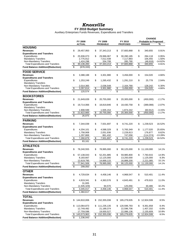#### *Knoxville*

#### **FY 2010 Budget Summary**

Auxiliary Enterprises Funds Revenues, Expenditures and Transfers

|                                          |                           |               |                         |                 |                          |                 |                       | <b>CHANGE</b>               |           |
|------------------------------------------|---------------------------|---------------|-------------------------|-----------------|--------------------------|-----------------|-----------------------|-----------------------------|-----------|
|                                          |                           | FY 2008       |                         | FY 2009         |                          | FY 2010         |                       | <b>Probable to Proposed</b> |           |
|                                          |                           | <b>ACTUAL</b> |                         | <b>PROBABLE</b> |                          | <b>PROPOSED</b> |                       | <b>Amount</b>               | %         |
| <b>HOUSING</b>                           |                           |               |                         |                 |                          |                 |                       |                             |           |
| <b>Revenues</b>                          | \$                        | 29,457,950    | \$                      | 37,343,213      | \$                       | 37,683,868      | \$                    | 340,655                     | 0.91%     |
| <b>Expenditures and Transfers</b>        |                           |               |                         |                 |                          |                 |                       |                             |           |
| Expenditures                             | \$                        | 25.936.073    | \$                      | 29,996,067      | \$                       | 30,280,185      | \$                    | 284,118                     | 0.95%     |
| <b>Mandatory Transfers</b>               |                           | 2,775,912     |                         | 7,012,438       |                          | 7,117,893       |                       | 105,455                     | 1.50%     |
| Non-Mandatory Transfers                  |                           | 1,424,298     |                         | 334,708         |                          | 285,790         |                       | (48, 918)                   | $-14.62%$ |
| <b>Total Expenditures and Transfers</b>  | \$                        | 30,136,283    | \$                      | 37,343,213      | \$                       | 37,683,868      | \$                    | 340,655                     | 0.91%     |
| <b>Fund Balance Addition/(Reduction)</b> | \$                        | (678, 333)    | \$                      |                 | \$                       |                 | \$                    |                             |           |
| <b>FOOD SERVICE</b>                      |                           |               |                         |                 |                          |                 |                       |                             |           |
| <b>Revenues</b>                          | \$                        | 3,388,188     | \$                      | 3,301,980       | \$                       | 3,456,000       | \$                    | 154,020                     | 4.66%     |
| <b>Expenditures and Transfers</b>        |                           |               |                         |                 |                          |                 |                       |                             |           |
| Expenditures                             | \$                        | 1,253,249     | \$                      | 1,265,432       | \$                       | 1,291,210       | \$                    | 25,778                      | 2.04%     |
| <b>Mandatory Transfers</b>               |                           |               |                         |                 |                          |                 |                       |                             |           |
| Non-Mandatory Transfers                  |                           | 2,014,365     |                         | 2,036,548       |                          | 2,164,790       |                       | 128,242                     | 6.30%     |
| <b>Total Expenditures and Transfers</b>  | $\overline{\mathfrak{s}}$ | 3,267,614     | $\overline{\$}$         | 3,301,980       | $\boldsymbol{\vartheta}$ | 3,456,000       | $\boldsymbol{\theta}$ | 154,020                     | 4.66%     |
| <b>Fund Balance Addition/(Reduction)</b> | \$                        | 120,574       | \$                      |                 | \$                       |                 | \$                    |                             |           |
| <b>BOOKSTORES</b>                        |                           |               |                         |                 |                          |                 |                       |                             |           |
| <b>Revenues</b>                          | \$                        | 21,649,639    | \$                      | 20,755,000      | \$                       | 20,305,000      | \$                    | (450,000)                   | $-2.17%$  |
| <b>Expenditures and Transfers</b>        |                           |               |                         |                 |                          |                 |                       |                             |           |
| Expenditures                             | \$                        | 19,714,066    | \$                      | 18,819,846      | \$                       | 18,430,758      | \$                    | (389,088)                   | $-2.07%$  |
| <b>Mandatory Transfers</b>               |                           |               |                         |                 |                          |                 |                       |                             |           |
| Non-Mandatory Transfers                  |                           | 1,908,599     |                         | 1,935,154       |                          | 1,874,242       |                       | (60, 912)                   | $-3.15%$  |
| <b>Total Expenditures and Transfers</b>  | \$                        | 21,622,665    | \$                      | 20,755,000      | \$                       | 20,305,000      | \$                    | (450,000)                   | $-2.17%$  |
| <b>Fund Balance Addition/(Reduction)</b> | \$                        | 26,975        | $\overline{\mathbb{S}}$ |                 | $\overline{\mathbb{S}}$  |                 | \$                    |                             |           |
| <b>PARKING</b>                           |                           |               |                         |                 |                          |                 |                       |                             |           |
| <b>Revenues</b>                          | \$                        | 7,344,039     | \$                      | 7,501,697       | \$                       | 8,741,220       | \$                    | 1,239,523                   | 16.52%    |
|                                          |                           |               |                         |                 |                          |                 |                       |                             |           |
| <b>Expenditures and Transfers</b>        |                           |               |                         |                 |                          |                 |                       |                             |           |
| Expenditures                             | \$                        | 4,204,101     | \$                      | 4,588,329       | \$                       | 5,765,349       | \$                    | 1,177,020                   | 25.65%    |
| <b>Mandatory Transfers</b>               |                           | 1,758,908     |                         | 2,051,936       |                          | 2,228,813       |                       | 176,877                     | 8.62%     |
| Non-Mandatory Transfers                  |                           | 1,297,869     |                         | 861,432         |                          | 747,058         |                       | (114, 374)                  | $-13.28%$ |
| <b>Total Expenditures and Transfers</b>  | \$                        | 7,260,879     | \$                      | 7,501,697       | \$                       | 8,741,220       | \$                    | 1,239,523                   | 16.52%    |
| <b>Fund Balance Addition/(Reduction)</b> | \$                        | 83,161        | \$                      |                 | \$                       |                 | \$                    |                             |           |
| <b>ATHLETICS</b>                         |                           |               |                         |                 |                          |                 |                       |                             |           |
| <b>Revenues</b>                          | \$                        | 78,240,555    | \$                      | 78,995,000      | \$                       | 90,125,000      | \$                    | 11,130,000                  | 14.1%     |
| <b>Expenditures and Transfers</b>        |                           |               |                         |                 |                          |                 |                       |                             |           |
| Expenditures                             | \$                        | 57,138,043    | \$                      | 52,201,885      | \$                       | 59,985,800      | \$                    | 7,783,915                   | 14.9%     |
| <b>Mandatory Transfers</b>               |                           | 8,183,667     |                         | 12,125,000      |                          | 13,250,000      |                       | 1,125,000                   | 9.3%      |
| Non-Mandatory Transfers                  |                           | 12,619,795    |                         | 14,668,115      |                          | 16,889,200      |                       | 2,221,085                   | 15.1%     |
| <b>Total Expenditures and Transfers</b>  | \$                        | 77,941,506    | $\sqrt[6]{\frac{2}{5}}$ | 78,995,000      | \$                       | 90,125,000      | \$                    | 11,130,000                  | 14.1%     |
| <b>Fund Balance Addition/(Reduction)</b> | \$                        | 299,050       | \$                      |                 | \$                       |                 | \$                    |                             |           |
| <b>OTHER</b>                             |                           |               |                         |                 |                          |                 |                       |                             |           |
| <b>Revenues</b>                          | \$                        | 4,729,634     | \$                      | 4,458,146       | \$                       | 4,968,547       | \$                    | 510,401                     | 11.4%     |
|                                          |                           |               |                         |                 |                          |                 |                       |                             |           |
| <b>Expenditures and Transfers</b>        |                           |               |                         |                 |                          |                 |                       |                             |           |
| Expenditures                             | \$                        | 4,819,341     | \$                      | 4,363,576       | \$                       | 4,843,491       | \$                    | 479,915                     | 11.0%     |
| <b>Mandatory Transfers</b>               |                           | 31,005        |                         |                 |                          |                 |                       |                             |           |
| Non-Mandatory Transfers                  |                           | (1,505,329)   |                         | 94,570          |                          | 125,056         |                       | 30,486                      | 32.2%     |
| <b>Total Expenditures and Transfers</b>  | \$                        | 3,345,017     | $\frac{1}{2}$           | 4,458,146       | $\frac{1}{2}$            | 4,968,547       | \$                    | 510,401                     | 11.4%     |
| <b>Fund Balance Addition/(Reduction)</b> | \$                        | 1,384,617     | $\overline{\$}$         |                 | \$                       |                 | \$                    |                             |           |
| <b>TOTAL</b>                             |                           |               |                         |                 |                          |                 |                       |                             |           |
| <b>Revenues</b>                          | \$                        | 144,810,006   | \$                      | 152,355,036     | \$                       | 165,279,635     | \$                    | 12,924,599                  | 8.5%      |
| <b>Expenditures and Transfers</b>        |                           |               |                         |                 |                          |                 |                       |                             |           |
| Expenditures                             | \$                        | 113,064,873   | \$                      | 111,235,135     | \$                       | 120,596,793     | \$                    | 9,361,658                   | 8.4%      |
| <b>Mandatory Transfers</b>               |                           | 12,749,492    |                         | 21,189,374      |                          | 22,596,706      |                       | 1,407,332                   | 6.6%      |
| Non-Mandatory Transfers                  |                           | 17,759,598    |                         | 19,930,527      |                          | 22,086,136      |                       | 2,155,609                   | 10.8%     |
| <b>Total Expenditures and Transfers</b>  | \$                        | 143,573,963   | \$                      | 152,355,036     | \$                       | 165,279,635     | \$                    | 12,924,599                  | 8.5%      |
| <b>Fund Balance Addition/(Reduction)</b> | \$                        | 1,236,043     | $\overline{\$}$         |                 | \$                       |                 | \$                    |                             |           |
|                                          |                           |               |                         |                 |                          |                 |                       |                             |           |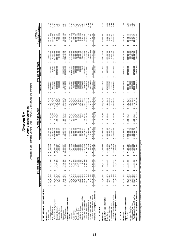## *Knoxville* **FY 2010 Budget Summar y**

Unrestricted and Restricted Current Funds Revenues, Expenditures and Transfers

|                                                             |                                | ₹<br><b>FY 2008 ACTL</b>       |                                 |                                | FY 2009 PROBABLE                |                                 |                               | FY 2010 PROPOSED               |                                | Probable to Proposed<br>CHANGE       |                                                                                                                                                                                                                                                                                                     |
|-------------------------------------------------------------|--------------------------------|--------------------------------|---------------------------------|--------------------------------|---------------------------------|---------------------------------|-------------------------------|--------------------------------|--------------------------------|--------------------------------------|-----------------------------------------------------------------------------------------------------------------------------------------------------------------------------------------------------------------------------------------------------------------------------------------------------|
|                                                             | Unrestricted                   | Restricted                     | Total                           | Unrestricted                   | Restricted                      | Total                           | Unrestricted                  | Restricted                     | Total                          | Amount                               | వ్                                                                                                                                                                                                                                                                                                  |
| EDUCATIONAL AND GENERAL                                     |                                |                                |                                 |                                |                                 |                                 |                               |                                |                                |                                      |                                                                                                                                                                                                                                                                                                     |
| Revenues                                                    |                                |                                |                                 |                                |                                 |                                 |                               |                                |                                |                                      |                                                                                                                                                                                                                                                                                                     |
| Tuition & Fees                                              | 211,853,269<br>မာမာ            |                                | 211,853,269<br>မာမာ             | 218, 149, 255<br>မာမာ          |                                 | 218,149,255<br>↮                | 233,613,419<br>မှာ မှာ        |                                | 233,613,419<br>↮               | 15,464,164<br>မှာ မှာ                | 7.1%                                                                                                                                                                                                                                                                                                |
| State Appropriations                                        | 198,919,700                    | 6,113,832<br>မာ                | 205,033,532                     | 182,553,100                    | 5,494,400<br>ΘĤ,                | 188,047,500<br>€                | 154,114,800                   | 5,185,000<br>↮                 | 159,299,800                    | (28, 747, 700)                       | $-15.3%$                                                                                                                                                                                                                                                                                            |
| ARRA and MOE *                                              |                                |                                |                                 | 18,767,900                     | 251,700                         | 19,019,600                      | 47,831,300                    | 561,100                        | 48,392,400                     | 29,372,800                           | 154.4%                                                                                                                                                                                                                                                                                              |
| Sub-total State Appropriations                              | 198,919,700<br>↮               | 6,113,832<br>150,074,242<br>Ø  | 205,033,532<br>မာ               | 201,321,000<br>မာ              | 5,746,100                       | 207,067,100<br>မာ               | 201,946,100<br>မာ             | 5,746,100                      | 207,692,200<br>မာ              | 625,100                              | 0.3%                                                                                                                                                                                                                                                                                                |
| Grants & Contracts                                          | 16,977,917                     |                                | 167,052,159                     | 16,420,000                     | 199,698,590                     | 216,118,590                     | 16,570,000                    | 202,050,000                    | 218,620,000                    | 2,501,410                            | 1.2%                                                                                                                                                                                                                                                                                                |
| Sales & Services                                            | 9,462,371                      |                                | 9,462,371                       | 7,533,197                      |                                 | 7,533,197                       | 6,975,159                     |                                | 6,975,159                      | 558,038                              | $-7.4%$                                                                                                                                                                                                                                                                                             |
| Investment Income                                           |                                |                                |                                 |                                |                                 |                                 |                               |                                |                                |                                      |                                                                                                                                                                                                                                                                                                     |
| <b>Total Revenues</b><br>Other Sources                      | 447,568,078<br>10,354,821<br>Ģ | 27,238,536<br>183,426,610<br>↔ | 630,994,688<br>37,593,357<br>မာ | 9,387,569<br>452,811,021<br>69 | 26,251,166<br>231,695,856<br>မာ | 35,638,735<br>684,506,877<br>မာ | 467,549,970<br>8,445,292<br>↮ | 233,696,100<br>25,900,000<br>↮ | 34,345,292<br>701,246,070<br>Ø | (1,293,443)<br>16,739,193<br>မာ      | $-3.6%$<br>2.4%                                                                                                                                                                                                                                                                                     |
|                                                             |                                |                                |                                 |                                |                                 |                                 |                               |                                |                                |                                      |                                                                                                                                                                                                                                                                                                     |
| Expenditures and Transfers                                  |                                |                                |                                 |                                |                                 |                                 |                               |                                |                                |                                      |                                                                                                                                                                                                                                                                                                     |
| Instruction                                                 | 189,599,584<br>မာ              | 8,793,195<br>69                | 198,392,779<br>မာ               | 209,609,672<br>↮               | 6,608,784<br>ĠĤ,                | 216,218,456<br>↮                | 217,078,803<br>မာ             | 6,665,483<br>↮                 | 223,744,286<br>မာ              | 7,525,830<br>69                      | 3.5%                                                                                                                                                                                                                                                                                                |
| Research                                                    | 21,207,752                     | 55,743,911                     | 86,951,663                      | 27,366,321                     | 03,257,591                      | 30,623,912                      | 16,048,010                    | 04,143,280                     | 20,191,290                     | 10,432,622                           | $-8.0\%$                                                                                                                                                                                                                                                                                            |
| Public Service                                              | 10,318,742                     | 27,162,892                     | 37,481,634                      | 10,296,425                     | 26,006,471                      | 36,302,896                      | 9,387,059                     | 26,229,591                     | 35,616,650                     | (686, 246)                           | $-1.9%$                                                                                                                                                                                                                                                                                             |
| Academic Support                                            | 53,519,997                     | 6,085,640                      | 59,605,637                      | 55,008,999                     | 5,918,776                       | 60,927,775                      | 65,351,258                    | 5,969,555                      | 71,320,813                     | 10,393,038                           |                                                                                                                                                                                                                                                                                                     |
| <b>Student Services</b>                                     | 44,360,249                     | 2,476,061                      | 46,836,309                      | 44,421,445                     | 87,056                          | 44,508,501                      | 43,207,929                    | 87,803                         | 43,295,732                     | (1,212,769)                          |                                                                                                                                                                                                                                                                                                     |
| Institutional Support                                       | 23,368,940                     | 90,567                         | 23,459,508                      | 26,963,818                     | 328,490                         | 27,292,308                      | 23,780,102                    | 331,308                        | 24,111,410                     | (3, 180, 898)                        |                                                                                                                                                                                                                                                                                                     |
| Operation & Maintenance of Plant                            | 50,367,845                     | 58,676                         | 50,426,520                      | 52,708,694                     | 5,267                           | 52,713,961                      | 59,839,659                    | 5,312                          | 59,844,971                     | 7,131,010                            |                                                                                                                                                                                                                                                                                                     |
| Scholarships & Fellowships                                  | 30,012,515                     | 70,563,504                     | 00,576,019                      | 37,572,337                     | 91,145,579                      | 28,717,916                      | 38,178,831                    | 91,927,553                     | 30,106,384                     | 1,388,468                            |                                                                                                                                                                                                                                                                                                     |
| Sub-total Expenditures                                      | 422,755,623<br>မာ              | 180,974,446<br>မာ              | 603,730,068<br>↮                | 463,947,711<br>↮               | 233,358,014<br>မာ               | 697,305,725<br>မာ               | 472,871,651<br>↮              | 235,359,885<br>မာ              | 708,231,536<br>မာ              | 10,925,811<br>↮                      |                                                                                                                                                                                                                                                                                                     |
| Mandatory Transfers (In)/Out                                | 1,681,565                      |                                | 1,681,565                       | 1,949,404                      |                                 | 1,949,404                       | 1,949,583                     |                                | 1,949,583                      |                                      | $\begin{array}{l} 7.1\% \\ 7.7\% \\ 7.1\% \\ 1.1\% \\ 1.1\% \\ 1.1\% \\ 1.0\% \\ 1.0\% \\ 1.0\% \\ 1.0\% \\ 1.0\% \\ 1.0\% \\ 1.0\% \\ 1.0\% \\ 1.0\% \\ 1.0\% \\ 1.0\% \\ 1.0\% \\ 1.0\% \\ 1.0\% \\ 1.0\% \\ 1.0\% \\ 1.0\% \\ 1.0\% \\ 1.0\% \\ 1.0\% \\ 1.0\% \\ 1.0\% \\ 1.0\% \\ 1.0\% \\ 1.$ |
| Non-Mandatory Transfers (In)/Out                            | 18,446,208                     |                                | 18,446,208                      | (8,740,172)                    |                                 | (8,740,172)                     | (3,457,964)                   |                                | (3,457,964)                    | 5,282,208                            | 60.4%                                                                                                                                                                                                                                                                                               |
| Total Expenditures and Transfers                            | 442,883,396<br>s               | 180,974,446<br>မာ              | 623,857,841                     | 457,156,943<br>မာ              | 233,358,014                     | 690,514,957<br>မာ               | 471,363,270<br>မာ             | 235,359,885<br>↮               | 706,723,155<br>↮               | 16,208,198<br>မာ                     | 2.3%                                                                                                                                                                                                                                                                                                |
| Revenues Less Expend. & Transfers                           | 4,684,683<br>မာ                | 2,452,164<br>မာ                | 7,136,846<br>↮                  | (4,345,922)<br>↮               | (1,662,158)<br>မာ               | (6,008,080)<br>မာ               | (3,813,300)<br>↮              | (1,663,785)<br>မာ              | (5,477,085)<br>↮               | 530,995<br>↮                         |                                                                                                                                                                                                                                                                                                     |
| <b>AUXILIARIES</b>                                          |                                |                                |                                 |                                |                                 |                                 |                               |                                |                                |                                      |                                                                                                                                                                                                                                                                                                     |
|                                                             |                                |                                |                                 |                                |                                 |                                 |                               |                                |                                |                                      |                                                                                                                                                                                                                                                                                                     |
| Revenues                                                    | 144,810,006<br>မာ              | 990,737.66<br>↮                | 145,800,743<br>↮                | 152,355,036<br>မာ              | 1,725,000<br>↮                  | 154,080,036<br>Ø                | 165,279,635<br>↮              | 1,900,000<br>↮                 | 167, 179, 635<br>မာ            | 13,099,599<br>↮                      | 8.5%                                                                                                                                                                                                                                                                                                |
| Expenditures and Transfers                                  |                                |                                |                                 |                                |                                 |                                 |                               |                                |                                |                                      |                                                                                                                                                                                                                                                                                                     |
| Expenditures                                                | 113,064,873<br>↮               | 466,193.2<br>↮                 | 113,531,066<br>↮                | 111,235,135<br>မာ              | 1,725,000<br>↮                  | 112,960,135<br>↮                | 120,596,793<br>↮              | 1,900,000<br>↮                 | 122,496,793<br>မာ              | 9,536,658<br>↮                       | 8.4%                                                                                                                                                                                                                                                                                                |
| Mandatory Transfers                                         | 12,749,492                     |                                | 12,749,492                      | 21,189,374                     |                                 | 21,189,374                      | 22,596,706                    |                                | 22,596,706                     | 1,407,332                            | 6.6%                                                                                                                                                                                                                                                                                                |
| Non-Mandatory Transfers                                     | 17,759,598                     |                                | 17,759,598                      | 19,930,527                     |                                 | 19,930,527                      | 22,086,136                    |                                | 22,086,136                     | 2,155,609                            | 10.8%<br>8.5%                                                                                                                                                                                                                                                                                       |
| Total Expenditures and Transfers                            | 143,573,963<br>↮               | 466,193.27<br>မာ               | 144,040,156<br>↮                | 152,355,036<br>↮               | 1,725,000<br>5                  | 154,080,036<br>Ø                | 165,279,635<br>s              | 1,900,000<br>s                 | 167, 179, 635<br>S             | 13,099,599<br>$\boldsymbol{\varphi}$ |                                                                                                                                                                                                                                                                                                     |
| Revenues Less Expend. & Transfers                           | 1,236,043<br>↮                 | 524,544.39<br>မာ               | 1,760,587                       |                                | G <sub>O</sub>                  | မာ                              | မာ                            | ↮                              | 69                             | ↮                                    |                                                                                                                                                                                                                                                                                                     |
| <b>TOTALS</b>                                               |                                |                                |                                 |                                |                                 |                                 |                               |                                |                                |                                      |                                                                                                                                                                                                                                                                                                     |
| Revenues                                                    | 592,378,084<br>↮               | 184,417,347<br>မာ              | 776,795,431<br>↮                | 605,166,057<br>မာ              | 233,420,856<br>မာ               | 838,586,913<br>မာ               | 632,829,605<br>↮              | 235,596,100<br>မာ              | 868,425,705<br>69              | 29,838,792<br>G                      | 3.6%                                                                                                                                                                                                                                                                                                |
| Expenditures and Transfers                                  |                                |                                |                                 |                                |                                 |                                 |                               |                                |                                |                                      |                                                                                                                                                                                                                                                                                                     |
| Expenditures                                                | 535,820,495<br>မာ              | 181,440,639<br>မာ              | 717,261,134                     | 575, 182, 846<br>မာ            | 235,083,014<br>မာ               | 810,265,860<br>မာ               | 593,468,444<br>မာ             | 237,259,885<br>မာ              | 830,728,329<br>မာ              | 20,462,469<br>မာ                     | $2.5\%$                                                                                                                                                                                                                                                                                             |
| Mandatory Transfers                                         | 14,431,057                     |                                | 14,431,057                      | 23,138,778                     |                                 | 23,138,778                      | 24,546,289                    |                                | 24,546,289                     | 1,407,511                            | 6.1%                                                                                                                                                                                                                                                                                                |
| Total Expenditures and Transfers<br>Non-Mandatory Transfers | 36,205,806<br>586,457,358      | 181,440,639<br>မာ              | 36,205,806<br>767,897,997       | 609,511,979<br>11,190,355      | 235,083,014<br>မာ               | 11,190,355<br>844,594,993<br>ω, | 636,642,905<br>18,628,172     | 237,259,885<br>↮               | 873,902,790<br>18,628,172<br>Ψ | 7,437,817<br>29,307,797              | 66.5%<br>3.5%                                                                                                                                                                                                                                                                                       |
|                                                             | ↮                              |                                |                                 | 5                              |                                 |                                 | 4                             |                                |                                | ↮                                    |                                                                                                                                                                                                                                                                                                     |
| Revenues Less Expend. & Transfers                           | 5,920,725<br>မာ                | 2,976,708                      | 8,897,434                       | (4,345,922)                    | (1,662,158)                     | (6,008,080)<br>မာ               | (3,813,300)<br>မာ             | (1,663,785)<br>မာ              | (5,477,085)<br>မာ              | 530,995<br>↮                         |                                                                                                                                                                                                                                                                                                     |

\* American Recovery and Reinvestment Act federal stimulus funds and Maintenance of Effort state matching funds \* American Recovery and Reinvestment Act federal stimulus funds and Maintenance of Effort state matching funds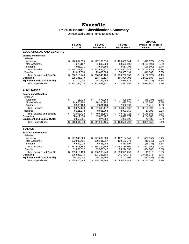#### *Knoxville*

#### **FY 2010 Natural Classifications Summary**

Unrestricted Current Funds Expenditures

|                                     |                               |                    |                   | <b>CHANGE</b>               |          |
|-------------------------------------|-------------------------------|--------------------|-------------------|-----------------------------|----------|
|                                     | <b>FY 2008</b>                | FY 2009            | FY 2010           | <b>Probable to Proposed</b> |          |
|                                     | <b>ACTUAL</b>                 | <b>PROBABLE</b>    | <b>PROPOSED</b>   | Amount                      | %        |
| <b>EDUCATIONAL AND GENERAL</b>      |                               |                    |                   |                             |          |
| <b>Salaries and Benefits</b>        |                               |                    |                   |                             |          |
| Salaries                            |                               |                    |                   |                             |          |
| Academic                            | \$<br>126,834,599             | \$127,105,316      | \$<br>126,686,344 | \$<br>(418, 972)            | $-0.3%$  |
| Non-Academic                        | 94,220,197                    | 91,896,308         | 88,698,200        | (3, 198, 108)               | $-3.5%$  |
| <b>Students</b>                     | 4,046,911                     | 3,654,598          | 3,517,798         | (136, 800)                  | $-3.7%$  |
| <b>Total Salaries</b>               | 225,101,707                   | \$<br>222,656,222  | 218,902,342<br>\$ | \$<br>(3,753,880)           | $-1.7%$  |
| <b>Benefits</b>                     | 71,812,034                    | 73,688,884         | 74,305,191        | 616,307                     | 0.8%     |
| <b>Total Salaries and Benefits</b>  | 296,913,740<br>\$             | 296,345,106<br>\$  | 293,207,533       | \$<br>(3, 137, 573)         | $-1.1%$  |
| Operating                           | 108,131,879                   | 153,453,117        | 165,984,702       | 12,531,585                  | 8.2%     |
| <b>Equipment and Capital Outlay</b> | 17,710,003                    | 14,149,488         | 13,679,416        | (470, 072)                  | $-3.3%$  |
| <b>Total Expenditures</b>           | 422,755,623<br>\$             | 463,947,711<br>\$  | 472,871,651<br>\$ | \$<br>8,923,940             | 1.9%     |
|                                     |                               |                    |                   |                             |          |
| <b>AUXILIARIES</b>                  |                               |                    |                   |                             |          |
| <b>Salaries and Benefits</b>        |                               |                    |                   |                             |          |
| Salaries                            |                               |                    |                   |                             |          |
| Academic                            | \$<br>711,728                 | \$<br>576,984      | \$<br>498,597     | \$<br>(78, 387)             | $-13.6%$ |
| Non-Academic                        | 29,660,294                    | 28,234,709         | 31,422,571        | 3,187,862                   | 11.3%    |
| <b>Students</b>                     | 2,505,128                     | 2,881,484          | 2,932,899         | 51,415                      | 1.8%     |
| <b>Total Salaries</b>               | \$<br>$\overline{32,877,149}$ | \$<br>31,693,177   | \$<br>34,854,067  | \$<br>3,160,890             | 10.0%    |
| <b>Benefits</b>                     | 9,221,278                     | 8,891,963          | 8,909,659         | 17,696                      | 0.2%     |
| <b>Total Salaries and Benefits</b>  | \$<br>42,098,428              | \$<br>40,585,140   | \$<br>43,763,726  | \$<br>3,178,586             | 7.8%     |
| Operating                           | 68,411,394                    | 69,675,487         | 75,810,074        | 6,134,587                   | 8.8%     |
| <b>Equipment and Capital Outlay</b> | 2,555,051                     | 974,508            | 1,022,993         | 48,485                      | 5.0%     |
| <b>Total Expenditures</b>           | 113,064,873<br>S              | 111,235,135<br>\$  | 120,596,793<br>\$ | \$<br>9,361,658             | 8.4%     |
|                                     |                               |                    |                   |                             |          |
| <b>TOTALS</b>                       |                               |                    |                   |                             |          |
| <b>Salaries and Benefits</b>        |                               |                    |                   |                             |          |
| <b>Salaries</b>                     |                               |                    |                   |                             |          |
| Academic                            | \$.<br>127,546,326            | 127,682,300<br>\$. | \$<br>127,184,941 | \$<br>(497, 359)            | $-0.4%$  |
| Non-Academic                        | 123,880,491                   | 120,131,017        | 120,120,771       | (10, 246)                   | 0.0%     |
| <b>Students</b>                     | 6,552,038                     | 6,536,082          | 6,450,697         | (85, 385)                   | $-1.3%$  |
| <b>Total Salaries</b>               | 257,978,856<br>\$             | \$254,349,399      | \$253,756,409     | \$<br>(592,990)             | $-0.2%$  |
| <b>Benefits</b>                     | 81,033,312                    | 82,580,847         | 83,214,850        | 634,003                     | 0.8%     |
| <b>Total Salaries and Benefits</b>  | 339,012,168<br>\$.            | \$ 336,930,246     | \$ 336,971,259    | \$<br>41,013                | 0.0%     |
| Operating                           | 176,543,274                   | 223,128,604        | 241,794,776       | 18,666,172                  | 8.4%     |
| <b>Equipment and Capital Outlay</b> | 20,265,054                    | 15,123,996         | 14,702,409        | (421, 587)                  | $-2.8%$  |
| <b>Total Expenditures</b>           | \$<br>535,820,495             | \$<br>575,182,846  | \$<br>593,468,444 | \$<br>18,285,598            | 3.2%     |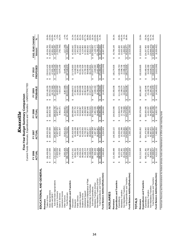|                                                                       |                                                          |                                                                 | Knoxville                                                                                                |                                             |                                                       |                                                     |                    |
|-----------------------------------------------------------------------|----------------------------------------------------------|-----------------------------------------------------------------|----------------------------------------------------------------------------------------------------------|---------------------------------------------|-------------------------------------------------------|-----------------------------------------------------|--------------------|
|                                                                       |                                                          |                                                                 | Current Funds Revenues, Expenditures and Transfers - UNRESTRICTED<br>Five-Year Budget Summary Comparison |                                             |                                                       |                                                     |                    |
|                                                                       | FY 2006<br>ACTUAL                                        | FY 2007<br><b>ACTUAL</b>                                        | FY 2008<br>ACTUAL                                                                                        | PROBABLE<br>FY 2009                         | PROPOSED<br>FY 2010                                   | FIVE-YEAR CHANGE<br>Amount                          | న్                 |
| EDUCATIONAL AND GENER/                                                |                                                          |                                                                 |                                                                                                          |                                             |                                                       |                                                     |                    |
| Tuition & Fees<br>Revenues                                            | 184,458,636                                              | 196,523,239                                                     |                                                                                                          | 218, 149, 255                               | 233,613,419                                           | 49, 154, 783                                        | 26.6%              |
| State Appropriations<br>ARRA and MOE *                                | 172, 117,000<br>မှာ မှာ                                  | 184,467,600<br>မာ မာ                                            | 211,853,269<br>198,919,700<br>မှာ မှာ                                                                    | 18,767,900<br>182,553,100<br>မာ မာ          | 154,114,800<br>47,831,300<br>မာ မာ                    | (18,002,200)<br>47,831,300<br>မှာ မှာ               | $-10.5%$<br>100.0% |
| Sub-total State Appropriations<br>Grants & Contracts                  | 172,117,000<br>17,823,534<br>↮                           | 184,467,600<br>17,907,970<br>$\boldsymbol{\varphi}$             | 198,919,700<br>16,977,917<br>↮                                                                           | 201,321,000<br>16,420,000<br>↮              | 201,946,100<br>16,570,000<br>↔                        | (1,253,534)<br>29,829,100<br>$\boldsymbol{\varphi}$ | 17.3%<br>$-7.0%$   |
| Investment Income<br>Sales & Services                                 | 7,767,865                                                | 8,021,307                                                       | 9,462,371                                                                                                | 7,533,197                                   | 6,975,159                                             | (792, 706)                                          | $-10.2%$           |
| <b>Total Revenues</b><br>Other Sources                                | 8,562,428<br>390,729,463<br>↔                            | 10,812,415<br>417,732,531<br>↮                                  | 447,568,078<br>10,354,821<br>↮                                                                           | 9,387,569<br>452,811,021<br>↮               | 8,445,292<br>467,549,970<br>$\varphi$                 | (117, 136)<br>76,820,507<br>$\boldsymbol{\varphi}$  | $-1.4%$<br>19.7%   |
| Expenditures and Transfers                                            |                                                          |                                                                 |                                                                                                          |                                             |                                                       |                                                     |                    |
| Instruction                                                           | 174,873,161<br>↮                                         | 181,818,508<br>↮                                                | 189,599,584<br>↮                                                                                         | 209,609,672<br>↮                            | 217,078,803<br>↮                                      | 42,205,642<br>↮                                     | 24.1%              |
| Public Service<br>Research                                            | 18,051,552<br>7,435,239                                  | 9,999,995<br>18,436,199                                         | 10,318,742<br>21,207,752                                                                                 | 10,296,425<br>27,366,321                    | 16,048,010<br>9,387,059                               | (2,003,542)<br>1,951,820                            | 26.3%<br>$-11.1%$  |
| Academic Support                                                      | 45,034,454                                               | 50,126,170                                                      | 53,519,997                                                                                               | 55,008,999                                  | 65,351,258                                            | 20,316,804                                          | 45.1%              |
| Institutional Support<br><b>Student Services</b>                      | 39,083,026<br>11,448,213                                 | 41,939,055<br>12,700,182                                        | 44,360,249<br>23,368,940                                                                                 | 44,421,445<br>26,963,818                    | 43,207,929<br>23,780,102                              | 4,124,903<br>12,331,889                             | 10.6%<br>107.7%    |
| Operation & Maintenance of Plant                                      | 44,015,744                                               | 48,837,377                                                      | 50,367,845                                                                                               | 52,708,694                                  | 59,839,659                                            | 15,823,915                                          | 36.0%              |
| Scholarships & Fellowships<br>Sub-total Expenditures                  | 369,108,048<br>29,166,659<br>$\boldsymbol{\varphi}$      | 392,466,308<br>28,608,822<br>↮                                  | 30,012,515<br>422,755,623<br>$\boldsymbol{\varphi}$                                                      | 463,947,711<br>37,572,337<br>↮              | 38,178,831<br>472,871,651<br>↮                        | 103,763,603<br>9,012,172<br>$\leftrightarrow$       | 30.9%<br>28.1%     |
| Mandatory Transfers (In)/Out                                          | 800,409                                                  | 1,687,387                                                       | 1,681,565                                                                                                | 1,949,404                                   | 1,949,583                                             | 1, 149, 174                                         | 143.6%             |
| Total Expenditures and Transfers<br>Non-Mandatory Transfers (In)/Out  | 18,327,203<br>388,235,660                                | 412,507,602<br>18,353,907<br>$\Theta$                           | 442,883,396<br>18,446,208                                                                                | (8,740,172)<br>457, 156, 943<br>∞∥          | (3,457,964)<br>471,363,270                            | (21, 785, 167)<br>83,127,610<br>⇔∥                  | $-118.9%$<br>21.4% |
| Fund Balance Addition/(Reduction)                                     | 2,493,804<br>$\theta$                                    | 5,224,929<br>$\boldsymbol{\varphi}$                             | 4,684,683<br><del>ဖ</del>                                                                                | (4,345,922)<br>↔                            | (3, 813, 300)<br>$\theta$                             | (6,307,104)<br>$\theta$                             |                    |
| <b>AUXILIARIES</b>                                                    |                                                          |                                                                 |                                                                                                          |                                             |                                                       |                                                     |                    |
| Revenues                                                              | 121,483,486<br>↮                                         | 146,320,122<br>↔                                                | 144,810,006<br>↮                                                                                         | 152,355,036<br>↮                            | 165,279,635<br>↮                                      | 43,796,149<br>↮                                     | 36.1%              |
| Expenditures and Transfers<br>Expenditures                            | 90,153,333<br>↮                                          | 109,009,635<br>↮                                                | 113,064,873<br>↮                                                                                         | 111,235,135<br>↮                            | 120,596,793<br>↮                                      | 30,443,460<br>↮                                     | 33.8%              |
| Mandatory Transfers                                                   | 9,071,381                                                | 10,701,296                                                      | 12,749,492                                                                                               | 21,189,374                                  | 22,596,706                                            | 13,525,325                                          | 149.1%             |
| Total Expenditures and Transfers<br>Non-Mandatory Transfers           | 20,239,444<br>119,464,158<br>↔                           | 144,054,995<br>24,344,065<br>↔                                  | 143,573,963<br>17,759,598<br>↮                                                                           | 152,355,036<br>19,930,527<br>↔              | 22,086,136<br>165,279,635<br>↮                        | 1,846,692<br>45,815,477<br>မာ                       | 9.1%<br>38.4%      |
| Fund Balance Addition/(Reduction)                                     | 2,019,328<br>$\theta$                                    | 2,265,126<br>$\boldsymbol{\varphi}$                             | 1,236,043<br>$\leftrightarrow$                                                                           | ↔                                           | $\leftrightarrow$                                     | (2,019,328)<br>$\theta$                             |                    |
| <b>TOTALS</b>                                                         |                                                          |                                                                 |                                                                                                          |                                             |                                                       |                                                     |                    |
| Expenditures and Transfers<br>Revenues                                | 512,212,949<br>↮                                         | 564,052,652<br>↮                                                | 592,378,084<br>↔                                                                                         | 605,166,057<br>↮                            | 632,829,605<br>↮                                      | \$120,616,656                                       | 23.5%              |
| Expenditures                                                          | 459,261,381<br>↮                                         | 501,475,942<br>↮                                                | 535,820,495<br>↔                                                                                         | 575, 182, 846<br>↮                          | 593,468,444<br>↮                                      | 134,207,063<br>↮                                    | 29.2%              |
| Non-Mandatory Transfers<br>Mandatory Transfers                        | 9,871,790                                                | 12,388,683                                                      | 36,205,806<br>14,431,057                                                                                 | 23, 138, 778<br>11,190,355                  | 24,546,289<br>18,628,172                              | (19,938,475)<br>14,674,499                          | 148.7%             |
| Fund Balance Addition/(Reduction)<br>Total Expenditures and Transfers | 4.513.132<br>38,566,647<br>507,699,817<br><b>↔</b><br>¢. | 7.490.055<br>42,697,972<br>556,562,597<br>$\bullet$<br>$\theta$ | 586,457,358<br>5.920.725<br>$\blacktriangleright$<br>Ģ                                                   | (4.345.922)<br>609,511,979<br>↔<br>$\theta$ | (3.813.300)<br>636,642,905<br>$\leftrightarrow$<br>e, | (8,326,432)<br>128,943,088<br>$\bullet$<br>မာ       | $-51.7%$<br>25.4%  |

\* American Recovery and Reinvestment Act federal stimulus funds and Maintenance of Effort state matching funds \* American Recovery and Reinvestment Act federal stimulus funds and Maintenance of Effort state matching funds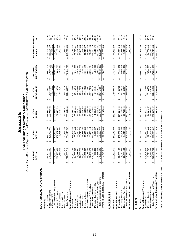|                                                                                                             |                                                                   |                                                                     | Cultent Funcion S Revenues, Experiment Transportation of the S Revenues of the S Revenue of The S Revenues of the S |                                                                  |                                                            |                                                                  |                                      |
|-------------------------------------------------------------------------------------------------------------|-------------------------------------------------------------------|---------------------------------------------------------------------|---------------------------------------------------------------------------------------------------------------------|------------------------------------------------------------------|------------------------------------------------------------|------------------------------------------------------------------|--------------------------------------|
|                                                                                                             | FY 2006<br>ACTUAL                                                 | ACTUAL<br>FY 2007                                                   | FY 2008<br>ACTUAL                                                                                                   | PROBABLE<br>FY 2009                                              | PROPOSED<br>FY 2010                                        | FIVE-YEAR CHANGE<br>Amount                                       | వ్                                   |
| ₹<br>EDUCATIONAL AND GENER.                                                                                 |                                                                   |                                                                     |                                                                                                                     |                                                                  |                                                            |                                                                  |                                      |
| State Appropriations<br>Tuition & Fees<br>Revenues                                                          | 178,253,939<br>184,458,636<br>မာ မာ                               | 196,523,239<br>190,718,086<br>မာ မာ                                 | 211,853,269<br>205,033,532<br>မာ မာ                                                                                 | 218, 149, 255<br>188,047,500<br>မာ မာ                            | 233,613,419<br>159,299,800<br>မာ မာ                        | (18,954,139)<br>49,154,783<br>မှာ မှာ                            | 26.6%<br>$-10.6%$                    |
| Sub-total State Appropriations<br>Grants & Contracts<br>Sales & Services<br>ARRA and MOE                    | 178,253,939<br>7,767,865<br>150,490,061<br>$\boldsymbol{\varphi}$ | 190,718,086<br>161,421,662<br>8,021,307<br>$\boldsymbol{\varphi}$   | 205,033,532<br>167,052,159<br>9,462,371<br>↔                                                                        | 207,067,100<br>19,019,600<br>216,118,590<br>7,533,197<br>↮       | 48,392,400<br>207,692,200<br>6,975,159<br>218,620,000<br>↔ | (792, 706)<br>68,129,939<br>48,392,400<br>29,438,261<br>$\Theta$ | 100.0%<br>16.5%<br>45.3%<br>$-10.2%$ |
| Investment Income<br><b>Total Revenues</b><br>Other Sources                                                 | 31,567,711<br>552,538,211<br>$\boldsymbol{\varphi}$               | 37,456,488<br>594,140,782<br>↔                                      | 630,994,688<br>37,593,357<br>↔                                                                                      | 35,638,735<br>684,506,877<br>↮                                   | 34,345,292<br>701,246,070<br>↔                             | 148,707,859<br>2,777,581<br>↮                                    | 8.8%<br>26.9%                        |
| Expenditures and Transfers<br>Instruction<br>Research                                                       | 84,295,899<br>81,701,123<br>↮                                     | 86,818,036<br>188,493,623<br>↮                                      | 198,392,779<br>86,951,663<br>↮                                                                                      | 130,623,912<br>216,218,456<br>↔                                  | 223,744,286<br>120,191,290<br>↮                            | 42,043,163<br>35,895,391<br>↮                                    | 23.1%<br>42.6%                       |
| Academic Support<br>Public Service                                                                          | 39,111,949<br>50,702,725                                          | 37,624,215<br>55,749,779                                            | 37,481,634<br>59,605,637                                                                                            | 36,302,896<br>60,927,775                                         | 35,616,650<br>71,320,813                                   | (3,495,299)<br>20,618,088                                        | $-8.9%$<br>40.7%                     |
| Institutional Support<br><b>Student Services</b>                                                            | 11,562,533<br>40,700,157                                          | 12,809,584<br>43,948,893                                            | 46,836,309<br>23,459,508                                                                                            | 27,292,308<br>44,508,501                                         | 24,111,410<br>43,295,732                                   | 2,595,575<br>12,548,877                                          | 108.5%<br>36.0%<br>6.4%              |
| Operation & Maintenance of Plant<br>Scholarships & Fellowships<br>Sub-total Expenditures                    | 529,061,087<br>76,967,979<br>44,018,721<br>$\theta$               | 48,854,438<br>88,826,116<br>563, 124, 683<br>$\boldsymbol{\varphi}$ | 50,426,520<br>100,576,019<br>603,730,068<br>$\Theta$                                                                | 697,305,725<br>128,717,916<br>52,713,961<br>$\Theta$             | 708,231,536<br>59,844,971<br>30,106,384<br>$\theta$        | 179,170,449<br>15,826,250<br>53,138,405<br>ക                     | 33.9%<br>69.0%                       |
| <b>Total Expenditures and Transfers</b><br>Non-Mandatory Transfers (In)/Out<br>Mandatory Transfers (In)/Out | 18,327,203<br>548,188,699<br>800,409                              | 1,687,387<br>18,353,907<br>583, 165, 977                            | 1,681,565<br>18,446,208<br>623,857,841                                                                              | (8,740,172)<br>1,949,404<br>690,514,957                          | (3,457,964)<br>1,949,583<br>06,723,155                     | (21, 785, 167)<br>158,534,456<br>1, 149, 174                     | 143.6%<br>$-118.9%$<br>28.9%         |
| Revenues Less Expend. & Transfers                                                                           | 4,349,513<br>$\bullet$<br>↔                                       | 10,974,804<br>⊷<br>↔                                                | 7,136,846<br>$\leftrightarrow$<br>$\Theta$                                                                          | (6,008,080)<br>$\leftrightarrow$<br>$\boldsymbol{\varphi}$       | (5,477,085)<br>$\bullet$<br>$\boldsymbol{\varphi}$         | (9,826,598)<br>↮<br>$\Theta$                                     |                                      |
| AUXILIARIES                                                                                                 |                                                                   |                                                                     |                                                                                                                     |                                                                  |                                                            |                                                                  |                                      |
| Expenditures and Transfers<br>Revenues                                                                      | 122,453,355<br>↮                                                  | 147,673,390<br>↮                                                    | 145,800,743<br>↔                                                                                                    | 154,080,036<br>↮                                                 | 167, 179, 635<br>↮                                         | 44,726,280<br>↮                                                  | 36.5%                                |
| Mandatory Transfers<br>Expenditures                                                                         | 90,663,180<br>9,071,381<br>↮                                      | 109,627,504<br>10,701,296<br>↮                                      | 113,531,066<br>12,749,492<br>↮                                                                                      | 112,960,135<br>21,189,374<br>↮                                   | 122,496,793<br>22,596,706<br>↮                             | 31,833,613<br>13,525,325<br>↮                                    | 149.1%<br>35.1%                      |
| Revenues Less Expend. & Transfers<br>Total Expenditures and Transfers<br>Non-Mandatory Transfers            | 119,974,005<br>20,239,444<br>2,479,350<br>↔<br>$\Theta$           | 24,344,065<br>144,672,865<br>3,000,525<br>↮<br>↔                    | 144,040,156<br>17,759,598<br>1,760,587<br>↮<br>$\Theta$                                                             | 154,080,036<br>19,930,527<br>$\bullet$<br>$\boldsymbol{\varphi}$ | 22,086,136<br>67,179,635<br>⊷<br>↔                         | (2,479,350)<br>47,205,630<br>1,846,692<br>မာ<br>မာ               | 9.1%<br>39.3%                        |
| Expenditures and Transfers<br><b>TOTALS</b><br>Revenues                                                     | 674,991,566<br>↮                                                  | 741,814,171<br>↮                                                    | 776,795,431<br>↮                                                                                                    | 838,586,913<br>↮                                                 | 868,425,705<br>↮                                           | \$193,434,139                                                    | 28.7%                                |

Five-Year Budget Summary Comparison<br>Current Funds Revenues. Expenditures and Transfers - UNRESTRICTED AND RESTRICTED Current Funds Revenues, Expenditures and Transfers - UNRESTRICTED AND RESTRICTED **Five-Year Budget Summary Comparison**

*Knoxville*

Knoxville

\* American Recovery and Reinvestment Act federal stimulus funds and Maintenance of Effort state matching funds \* American Recovery and Reinvestment Act federal stimulus funds and Maintenance of Effort state matching funds

expenditures 619,724,7267 \$ 619,724,267 \$ \$ \$ \$ \$ \$ \$ \$ 34.01,752,1752,1752,1752,172,261,004 \$ 34.004,062 \$ 34 Mandatory Transfers 9,89,1945,454,544,544,545,1930 12,000 12,431,057 23,138,778 24,546,289 148.798 148.7% 24,546,289 148.7% Non-Mandatory Transfers 38,566,647 42,697,972 36,205,806 11,190,355 18,628,172 (19,938,475) -51.7% Total Expenditures and Transfers 668,162,704 \$ 727,838,842 \$ 767,897,997 \$ 844,594,993 \$ 873,902,790 \$ 205,740,086 \$ 30.8%

 $\theta$ 

 $\theta$ 

34.0%<br>148.7%<br>-51.7%<br>30.8%

 $\begin{array}{r} 8 & 830,728,329 \\ 24,546,289 \\ 18,628,172 \\ \hline 8 & 873,902,790 \end{array}$ 

810,265,860<br>23,138,778<br>11,190,355<br>844,594,993

717,261,134<br>14,431,057<br>36,205,806<br>767,897,997

 $$672,752,187$ <br>12,388,683<br>42,697,972<br>**6** 727,838,842

38,566,647<br>668,162,704  $$619,724,267$ <br>9,871,790

 $(19,938,475)$ <br>\$ 205,740,086 \$ 211,004,062<br>14,674,499

 $$(12,305,947)$ 

 $(5,477,085)$ 

 $\theta$ 

 $(6,008,080)$ 

 $\theta$ 

8,897,434

 $\Theta$ 

**Revenues Less Expend. & Transfers** AB 134,434,682 \$ 8,897,434 \$ 8,897,434 \$ \$ (6,800,080,080) \$ (12,305,947) \$ (12,305,947)

\$ 13,975,329

6,828,862

 $\theta$  $\bullet$ 

Revenues Less Expend. & Transfers Non-Mandatory Transfers<br>Total Expenditures and Transfers

Mandatory Transfers Expenditures

 $\theta$ 

 $\Theta$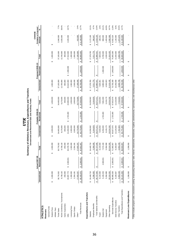|                                  |                       |                        |                               | Unrestricted and Restricted E&G and Auxiliary Funds | UTK              | Summary of Athletics Revenues, Expenditures and Transfers |                        |                  |                  |                                |       |
|----------------------------------|-----------------------|------------------------|-------------------------------|-----------------------------------------------------|------------------|-----------------------------------------------------------|------------------------|------------------|------------------|--------------------------------|-------|
|                                  |                       | Actual 2007-08         |                               |                                                     | Probable 2008-09 |                                                           |                        | Proposed 2009-10 |                  | Probable to Proposed<br>CHANGE |       |
|                                  | Unrestricted          | Restricted             | Total                         | Unrestricted                                        | Restricted       | Total                                                     | Unrestricted           | Restricted       | Total            | Amount                         | ৽ৼ    |
| <b>ATHLETICS</b>                 |                       |                        |                               |                                                     |                  |                                                           |                        |                  |                  |                                |       |
| Revenues                         |                       |                        |                               |                                                     |                  |                                                           |                        |                  |                  |                                |       |
| General Funds                    |                       |                        |                               |                                                     |                  |                                                           |                        |                  |                  |                                |       |
| Student Fees                     | 1,000,000<br>မာ       |                        | 1,000,000<br>6                | 1,000,000<br>↮                                      |                  | 1,000,000<br>↮                                            | 1,000,000<br>↮         |                  | 1,000,000<br>6   | ↮                              |       |
| Athletic Fees                    |                       |                        |                               |                                                     |                  |                                                           |                        |                  |                  |                                |       |
| <b>Ticket Sales</b>              | 30,776,552            |                        | 30,776,552                    | 34,465,000                                          |                  | 34,465,000                                                | 37,105,000             |                  | 37,105,000       | 2,640,000                      | 7.7%  |
| NCAA Conference, Tournaments     | 8,739,132             |                        | 8,739,132                     | 9,175,000                                           |                  | 9,175,000                                                 | 12,700,000             |                  | 12,700,000       | 3,525,000                      | 38.4% |
| Game Guarantees                  | 250,000               |                        | 250,000                       | 300,000                                             |                  | 300,000                                                   | 300,000                |                  | 300,000          |                                |       |
| Gifts                            | 23,997,774            | 931<br>2,380<br>Ø      | 26,378,705                    | 21,260,000                                          | \$1,725,000      | 22,985,000                                                | 25,610,000             | \$1,900,000      | 27,510,000       | 4,525,000                      | 19.7% |
| Licensing Fees                   | 1,300,000             |                        | 1,300,000                     | 1,300,000                                           |                  | 1,300,000                                                 | 1,300,000              |                  | 1,300,000        |                                |       |
| Sports Camps                     | 2,354,181             |                        | 2,354,181                     | 1,500,000                                           |                  | 1,500,000                                                 | 1,500,000              |                  | 1,500,000        |                                |       |
| Other*                           | 17,003,337            |                        | 17,003,337                    | 16,775,000                                          |                  | 16,775,000                                                | 17,185,000             |                  | 17,185,000       | 410,000                        | 2.4%  |
| <b>Total Revenues</b>            | 85,420,976<br>Ø       | ,931<br>\$2,380        | 87,801,907<br>မာ              | 85,775,000<br>69                                    | \$1,725,000      | 87,500,000<br>↮                                           | 96,700,000<br>69       | \$1,900,000      | 98,600,000<br>↮  | \$11,100,000                   | 12.7% |
| Expenditures and Transfers       |                       |                        |                               |                                                     |                  |                                                           |                        |                  |                  |                                |       |
| Salaries                         | 24,440,710            |                        | 24,440,710<br>မာ              | 24,206,582<br>မာ                                    |                  | 24,206,582<br>မာ                                          | 27,378,765<br>မာ       |                  | 27,378,765<br>မာ | \$3,172,183                    | 13.1% |
| Employee Benefits                | 5,286,935             |                        | 5,286,935                     | 5,164,829                                           |                  | 5,164,829                                                 | 5,511,776              |                  | 5,511,776        | 346,947                        | 6.7%  |
| Total Salaries and Benefits      | 29,727,645<br>↮       | ↮                      | 29,727,645<br>မာ              | 29,371,411<br>$\Theta$                              | $\Theta$         | 29,371,411<br>↮                                           | 32,890,541<br>$\omega$ | မာ               | 32,890,541<br>မာ | 3,519,130<br>$\Theta$          | 12.0% |
| Travel                           | 8,144,583             |                        | 8,144,583                     | 7,640,050                                           |                  | 7,640,050                                                 | 7,829,301              |                  | 7,829,301        | 189,251                        | 2.5%  |
| Student Aid                      | 5, 193, 253           | 931<br>2,380           | 7,574,184                     | 6,256,000                                           | 1,725,000        | 7,981,000                                                 | 6,889,000              | 1,900,000        | 8,789,000        | 808,000                        | 10.1% |
| Equipment                        | 5,394,990             |                        | 5,394,990                     | 3,126,179                                           |                  | 3,126,179                                                 | 4,530,023              |                  | 4,530,023        | 1,403,844                      | 44.9% |
| Other Operating                  | 20,524,555            |                        | 20,524,555                    | 19,534,336                                          |                  | 19,534,336                                                | 21,616,435             |                  | 21,616,435       | 2,082,099                      | 10.7% |
| Sub-total Expenditures           | 68,985,026<br>မာ      | 931<br>\$2,380         | 71,365,957<br>မာ              | 65,927,976<br>မာ                                    | \$1,725,000      | 67,652,976<br>Ø                                           | 73,755,300<br>မာ       | \$1,900,000      | 75,655,300<br>မာ | 8,002,324<br>မ                 | 11.8% |
| Debt Service Transfers           | 8,183,667             |                        | 8,183,667                     | 12,125,000                                          |                  | 12, 125,000                                               | 13,250,000             |                  | 13,250,000       | 1,125,000                      | 9.3%  |
| Other Transfers                  | 6,953,233             |                        | 6,953,233                     | 7,722,024                                           |                  | 7,722,024                                                 | 9,694,700              |                  | 9,694,700        | 1,972,676                      | 25.5% |
| Total Expenditures and Transfers | 84,121,926<br>Ø       | .931<br>\$2,380,       | 86,502,857<br>$\pmb{\varphi}$ | 85,775,000<br>$\leftrightarrow$                     | \$1,725,000      | 87,500,000<br>G)                                          | 96,700,000<br>↮        | \$1,900,000      | 98,600,000<br>↮  | \$11,100,000                   | 12.7% |
| Revenues Less Expenditures       | 1,299,050<br>$\theta$ | $\boldsymbol{\varphi}$ | 1,299,050<br>မာ               | $\boldsymbol{\varphi}$                              | ↮                | မာ                                                        | 69                     | ↮                | ↮                | ↮                              |       |

\* Other includes program sales, concessions, parking, broadcasting, television, radio, internet, endowments, myestments, sponsorships, and miscellaneous other \* Other includes program sales, concessions, parking, broadcasting, television, radio, internet, endowments, investments, royalties, advertisements, sponsorships, and miscellaneous other.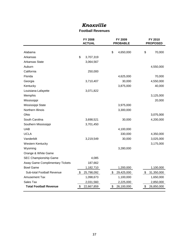#### *Knoxville*

#### **Football Revenues**

|                                 | <b>FY 2008</b><br><b>ACTUAL</b> | FY 2009<br><b>PROBABLE</b> | FY 2010<br><b>PROPOSED</b> |
|---------------------------------|---------------------------------|----------------------------|----------------------------|
| Alabama                         |                                 | \$<br>4,650,000            | \$<br>70,000               |
| Arkansas                        | \$<br>3,707,319                 |                            |                            |
| Arkansas State                  | 3,064,567                       |                            |                            |
| Auburn                          |                                 |                            | 4,550,000                  |
| California                      | 250,000                         |                            |                            |
| Florida                         |                                 | 4,625,000                  | 70,000                     |
| Georgia                         | 3,710,407                       | 30,000                     | 4,550,000                  |
| Kentucky                        |                                 | 3,875,000                  | 40,000                     |
| Louisiana-Lafayette             | 3,071,822                       |                            |                            |
| Memphis                         |                                 |                            | 3,125,000                  |
| Mississippi                     |                                 |                            | 20,000                     |
| Mississippi State               |                                 | 3,975,000                  |                            |
| Northern Illinois               |                                 | 3,300,000                  |                            |
| Ohio                            |                                 |                            | 3,075,000                  |
| South Carolina                  | 3,698,521                       | 30,000                     | 4,200,000                  |
| Southern Mississippi            | 3,701,450                       |                            |                            |
| <b>UAB</b>                      |                                 | 4,100,000                  |                            |
| <b>UCLA</b>                     |                                 | 330,000                    | 4,350,000                  |
| Vanderbilt                      | 3,219,549                       | 30,000                     | 3,025,000                  |
| Western Kentucky                |                                 |                            | 3,175,000                  |
| Wyoming                         |                                 | 3,280,000                  |                            |
| Orange & White Game             |                                 |                            |                            |
| SEC Championship Game           | 4,085                           |                            |                            |
| Away Game Complimentary Tickets | 187,662                         |                            |                            |
| <b>Bowl Game</b>                | 1,182,710                       | 1,200,000                  | 1,100,000                  |
| Sub-total Football Revenue      | \$<br>25,798,092                | \$<br>29,425,000           | \$<br>31,350,000           |
| <b>Amusement Tax</b>            | 1,098,673                       | 1,100,000                  | 1,650,000                  |
| Sales Tax                       | 2,031,560                       | 2,225,000                  | 2,850,000                  |
| <b>Total Football Revenue</b>   | \$<br>22,667,859                | \$<br>26,100,000           | \$<br>26,850,000           |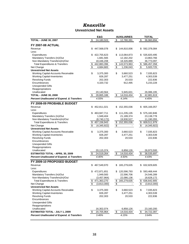#### *Knoxville* **Unrestricted Net Assets**

|                                                                              | E&G                              | <b>AUXILIARIES</b>                           | <b>TOTAL</b>           |
|------------------------------------------------------------------------------|----------------------------------|----------------------------------------------|------------------------|
| <b>TOTAL - JUNE 30, 2007</b>                                                 | \$<br>24,180,503                 | \$<br>12,780,391                             | \$<br>36,960,894       |
| <b>FY 2007-08 ACTUAL</b>                                                     |                                  |                                              |                        |
| Revenue                                                                      | \$<br>447,568,078                | \$<br>144,810,006                            | \$<br>592,378,084      |
| Less:                                                                        |                                  |                                              |                        |
| Expenditures                                                                 | \$<br>422,755,623                | \$<br>113,064,873                            | \$<br>535,820,495      |
| Mandatory Transfers (In)/Out                                                 | 1,681,565                        | 12,182,202                                   | 13,863,766             |
| Non-Mandatory Transfers(In)/Out                                              | 18,446,208                       | 18,326,889                                   | 36,773,097             |
| <b>Total Expenditures &amp; Transfers</b>                                    | \$<br>442,883,396                | \$<br>143,573,963                            | \$<br>586,457,358      |
| Net Change                                                                   | \$<br>4,684,683                  | \$<br>1,236,043                              | \$<br>5,920,725        |
| <b>Unrestricted Net Assets</b>                                               |                                  |                                              |                        |
| <b>Working Capital-Accounts Receivable</b>                                   | \$<br>3,375,300                  | \$<br>3,660,523                              | \$<br>7,035,823        |
| <b>Working Capital-Inventories</b>                                           | 826,287                          | 3,477,251                                    | 4,303,539              |
| <b>Revolving Funds</b>                                                       | 202,303                          | 20,533                                       | 222,836                |
| Encumbrances                                                                 | 4,320,732                        | 912,495                                      | 5,233,228              |
| <b>Unexpended Gifts</b>                                                      |                                  |                                              |                        |
| Reappropriations                                                             |                                  |                                              |                        |
| Unallocated                                                                  | 20,140,564                       | 5,945,631                                    | 26,086,195             |
| <b>TOTAL - JUNE 30, 2008</b>                                                 | \$<br>28,865,186                 | \$<br>14,016,434                             | \$<br>42,881,619       |
| <b>Percent Unallocated of Expend. &amp; Transfers</b>                        | 4.55%                            | 4.14%                                        | 4.45%                  |
| FY 2008-09 PROBABLE BUDGET                                                   |                                  |                                              |                        |
| Revenue                                                                      | \$<br>452,811,021                | \$<br>152,355,036                            | 605,166,057<br>\$      |
| Less:                                                                        |                                  |                                              |                        |
| Expenditures                                                                 | \$<br>463,947,711                | 111,235,135<br>\$                            | \$575,182,846          |
| Mandatory Transfers (In)/Out                                                 | 1,949,404                        | 21,189,374                                   | 23,138,778             |
| Non-Mandatory Transfers(In)/Out                                              | (8,740,172)                      | 19,930,527                                   | 11,190,355             |
| <b>Total Expenditures &amp; Transfers</b>                                    | \$<br>457,156,943                | 152,355,036<br>\$                            | \$<br>609,511,979      |
| Net Change                                                                   | \$<br>(4,345,922)                | \$                                           | \$<br>(4,345,922)      |
| <b>Unrestricted Net Assets</b>                                               |                                  |                                              |                        |
| Working Capital-Accounts Receivable                                          | \$<br>3,375,300                  | \$<br>3,660,523                              | \$<br>7,035,823        |
| <b>Working Capital-Inventories</b>                                           | 826,287                          | 3,477,251                                    | 4,303,539              |
| <b>Revolving Funds</b>                                                       | 202,303                          | 20,533                                       | 222,836                |
| Encumbrances                                                                 |                                  |                                              |                        |
| <b>Unexpended Gifts</b>                                                      |                                  |                                              |                        |
| Reappropriations                                                             |                                  |                                              |                        |
| Unallocated                                                                  | 20,115,374                       | 6,858,126                                    | 26,973,500             |
| <b>ESTIMATED TOTAL - APRIL 30, 2009</b>                                      | \$<br>24,519,264                 | \$<br>14,016,434                             | \$<br>38,535,697       |
| <b>Percent Unallocated of Expend. &amp; Transfers</b>                        | 4.40%                            | 4.50%                                        | 4.43%                  |
|                                                                              |                                  |                                              |                        |
| FY 2009-10 PROPOSED BUDGET                                                   |                                  |                                              |                        |
| Revenue                                                                      | \$<br>467,549,970                | 165,279,635<br>\$                            | 632,829,605<br>\$      |
| Less:<br>Expenditures                                                        | \$                               |                                              |                        |
|                                                                              | 472,871,651                      | \$<br>120,596,793                            | \$593,468,444          |
| Mandatory Transfers (In)/Out<br>Non-Mandatory Transfers(In)/Out              | 1,949,583                        | 22,596,706                                   | 24,546,289             |
|                                                                              | (3,457,964)<br>\$<br>471,363,270 | 22,086,136                                   | 18,628,172<br>\$       |
| <b>Total Expenditures &amp; Transfers</b>                                    | \$                               | \$<br>165,279,635<br>$\overline{\mathbf{e}}$ | 636,642,905            |
| Net Change                                                                   | (3,813,300)                      |                                              | \$<br>(3,813,300)      |
| <b>Unrestricted Net Assets</b><br><b>Working Capital-Accounts Receivable</b> | \$                               | \$<br>3,660,523                              | \$                     |
| <b>Working Capital-Inventories</b>                                           | 3,375,300<br>826,287             | 3,477,251                                    | 7,035,823<br>4,303,539 |
| <b>Revolving Funds</b>                                                       | 202,303                          | 20,533                                       | 222,836                |
| Encumbrances                                                                 |                                  |                                              |                        |
| <b>Unexpended Gifts</b>                                                      |                                  |                                              |                        |
| Reappropriations                                                             |                                  |                                              |                        |
| Unallocated                                                                  | 16,302,074                       | 6,858,126                                    | 23,160,200             |
| <b>ESTIMATED TOTAL - JULY 1, 2009</b>                                        | \$<br>20,705,964                 | \$<br>14,016,434                             | \$<br>34,722,397       |
| <b>Percent Unallocated of Expend. &amp; Transfers</b>                        | 3.46%                            | 4.15%                                        | 3.64%                  |
|                                                                              |                                  |                                              |                        |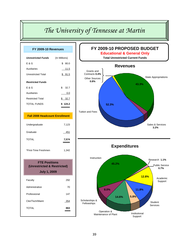#### *The University of Tennessee at Martin*



**Expenditures**

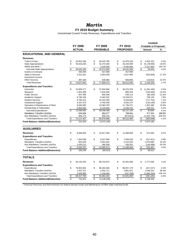#### *Martin*

#### **FY 2010 Budget Summary**

Unrestricted Current Funds Revenues, Expenditures and Transfers

|                                          |                    |    |                 |                           |                 |                         | <b>CHANGE</b>               |           |
|------------------------------------------|--------------------|----|-----------------|---------------------------|-----------------|-------------------------|-----------------------------|-----------|
|                                          | <b>FY 2008</b>     |    | FY 2009         |                           | FY 2010         |                         | <b>Probable to Proposed</b> |           |
|                                          | <b>ACTUAL</b>      |    | <b>PROBABLE</b> |                           | <b>PROPOSED</b> |                         | <b>Amount</b>               | %         |
| <b>EDUCATIONAL AND GENERAL</b>           |                    |    |                 |                           |                 |                         |                             |           |
| <b>Revenues</b>                          |                    |    |                 |                           |                 |                         |                             |           |
| <b>Tuition &amp; Fees</b>                | \$<br>35,952,638   | \$ | 39,425,785      | \$                        | 41,878,100      | \$                      | 2,452,315                   | 6.2%      |
| <b>State Appropriations</b>              | \$<br>35,632,200   | \$ | 31,373,500      | \$                        | 26,194,900      | \$                      | (5, 178, 600)               | $-16.5%$  |
| ARRA and MOE *                           |                    |    | 3,199,300       |                           | 8,436,900       |                         | 5,237,600                   | 163.7%    |
| Sub-total State Appropriations           | \$<br>35,632,200   | \$ | 34,572,800      | \$                        | 34,631,800      | \$                      | 59,000                      | 0.2%      |
| <b>Grants &amp; Contracts</b>            | 333,294            |    | 317,500         |                           | 317,500         |                         |                             |           |
| Sales & Services                         | 2,422,201          |    | 3,053,405       |                           | 2,527,800       |                         | (525, 605)                  | $-17.2%$  |
| Investment Income                        |                    |    |                 |                           |                 |                         |                             |           |
| <b>Other Sources</b>                     | 287,328            |    | 536,982         |                           | 656,800         |                         | 119,818                     | 22.3%     |
| <b>Total Revenues</b>                    | \$<br>74,627,662   | \$ | 77,906,472      | \$                        | 80,012,000      | \$                      | 2,105,528                   | 2.7%      |
| <b>Expenditures and Transfers</b>        |                    |    |                 |                           |                 |                         |                             |           |
| Instruction                              | \$<br>32,859,277   | \$ | 37,504,684      | \$                        | 36,223,249      | \$                      | (1, 281, 435)               | $-3.4%$   |
| Research                                 | 1,001,389          |    | 1,016,639       |                           | 880,333         |                         | (136, 306)                  | $-13.4%$  |
| <b>Public Service</b>                    | 607,408            |    | 605,406         |                           | 539,113         |                         | (66, 293)                   | $-11.0%$  |
| Academic Support                         | 9,790,106          |    | 9,492,522       |                           | 10,228,671      |                         | 736,149                     | 7.8%      |
| <b>Student Services</b>                  | 8,755,213          |    | 10,152,363      |                           | 9,434,662       |                         | (717, 701)                  | $-7.1%$   |
| <b>Institutional Support</b>             | 4,337,373          |    | 4,760,439       |                           | 4,635,270       |                         | (125, 169)                  | $-2.6%$   |
| Operation & Maintenance of Plant         | 9,392,685          |    | 10,383,783      |                           | 11,736,071      |                         | 1,352,288                   | 13.0%     |
| Scholarships & Fellowships               | 5,855,604          |    | 6,120,630       |                           | 6,449,781       |                         | 329,151                     | 5.4%      |
| Sub-total Expenditures                   | \$<br>72,599,055   | \$ | 80,036,466      | \$                        | 80,127,150      | $\mathfrak{L}$          | 90.684                      | 0.1%      |
| Mandatory Transfers (In)/Out             | 534,629            |    | 281,077         |                           | 758,501         |                         | 477,424                     | 169.9%    |
| Non-Mandatory Transfers (In)/Out         | 983,773            |    | 659,125         |                           | (873, 651)      |                         | (1,532,776)                 | $-232.5%$ |
| <b>Total Expenditures and Transfers</b>  | \$<br>74,117,457   | \$ | 80,976,668      | $\overline{\mathfrak{s}}$ | 80,012,000      | \$                      | (964, 668)                  | $-1.2%$   |
| <b>Fund Balance Addition/(Reduction)</b> | \$<br>510,204      | \$ | (3,070,196)     | \$                        |                 | \$                      | 3,070,196                   |           |
| <b>AUXILIARIES</b>                       |                    |    |                 |                           |                 |                         |                             |           |
| <b>Revenues</b>                          | \$<br>9,506,583    | \$ | 10,817,500      | \$                        | 11,489,000      | \$                      | 671,500                     | 6.2%      |
| <b>Expenditures and Transfers</b>        |                    |    |                 |                           |                 |                         |                             |           |
| Expenditures                             | \$<br>7,354,598    | \$ | 8,247,940       | \$                        | 7,930,029       | \$                      | (317, 911)                  | $-3.9%$   |
| Mandatory Transfers (In)/Out             | 902,528            |    | 2,051,634       |                           | 3,122,520       |                         | 1,070,886                   | 52.2%     |
| Non-Mandatory Transfers (In)/Out         | 1,043,212          |    | 585,939         |                           | 436,451         |                         | (149, 488)                  | $-25.5%$  |
| <b>Total Expenditures and Transfers</b>  | \$<br>9,300,337    | s, | 10,885,513      | \$                        | 11,489,000      | \$                      | 603,487                     | 5.5%      |
| <b>Fund Balance Addition/(Reduction)</b> | \$<br>206,246      | \$ | (68, 013)       | $\overline{\mathbb{S}}$   |                 | $\overline{\mathbb{S}}$ | 68,013                      |           |
|                                          |                    |    |                 |                           |                 |                         |                             |           |
| <b>TOTALS</b>                            |                    |    |                 |                           |                 |                         |                             |           |
| <b>Revenues</b>                          | \$<br>84, 134, 245 | \$ | 88,723,972      | \$                        | 91,501,000      | \$                      | 2,777,028                   | 3.1%      |
| <b>Expenditures and Transfers</b>        |                    |    |                 |                           |                 |                         |                             |           |
| Expenditures                             | \$<br>79,953,652   | \$ | 88,284,406      | \$                        | 88,057,179      | \$                      | (227, 227)                  | $-0.3%$   |
| Mandatory Transfers (In)/Out             | 1,437,157          |    | 2,332,711       |                           | 3,881,021       |                         | 1,548,310                   | 66.4%     |
| Non-Mandatory Transfers (In)/Out         | 2,026,985          |    | 1,245,064       |                           | (437, 200)      |                         | (1,682,264)                 | $-135.1%$ |
| <b>Total Expenditures and Transfers</b>  | \$<br>83,417,794   | \$ | 91,862,181      | $\frac{1}{2}$             | 91,501,000      | \$                      | (361, 181)                  | $-0.4%$   |
| <b>Fund Balance Addition/(Reduction)</b> | \$<br>716,451      | \$ | (3, 138, 209)   | \$                        |                 | \$                      | 3,138,209                   |           |

\* American Recovery and Reinvestment Act federal stimulus funds and Maintenance of Effort state matching funds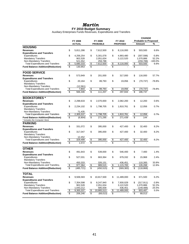#### *Martin*

**FY 2010 Budget Summary** Auxiliary Enterprises Funds Revenues, Expenditures and Transfers

|                                                                           |                         |               |    |                 |                         |                 |                         | <b>CHANGE</b>               |           |
|---------------------------------------------------------------------------|-------------------------|---------------|----|-----------------|-------------------------|-----------------|-------------------------|-----------------------------|-----------|
|                                                                           |                         | FY 2008       |    | FY 2009         |                         | FY 2010         |                         | <b>Probable to Proposed</b> |           |
|                                                                           |                         | <b>ACTUAL</b> |    | <b>PROBABLE</b> |                         | <b>PROPOSED</b> |                         | Amount                      | %         |
| <b>HOUSING</b>                                                            |                         |               |    |                 |                         |                 |                         |                             |           |
| <b>Revenues</b>                                                           | \$                      | 5,811,286     | \$ | 7,612,500       | \$                      | 8,116,000       | \$                      | 503,500                     | 6.6%      |
| <b>Expenditures and Transfers</b>                                         |                         |               |    |                 |                         |                 |                         |                             |           |
| Expenditures                                                              | \$                      | 4,256,254     | \$ | 5,301,078       | \$                      | 4,993,480       | \$                      | (307, 598)                  | $-5.8%$   |
| <b>Mandatory Transfers</b>                                                |                         | 902,528       |    | 2,051,634       |                         | 3,122,520       |                         | 1,070,886                   | 52.2%     |
| Non-Mandatory Transfers                                                   |                         | 521,552       |    | 259,788         |                         |                 |                         | (259, 788)                  | $-100.0%$ |
| <b>Total Expenditures and Transfers</b>                                   | \$                      | 5,680,333     | \$ | 7,612,500       | \$                      | 8,116,000       | \$                      | 503,500                     | 6.6%      |
| <b>Fund Balance Addition/(Reduction)</b>                                  | \$                      | 130,953       | \$ |                 | \$                      |                 | \$                      |                             |           |
| <b>FOOD SERVICE</b>                                                       |                         |               |    |                 |                         |                 |                         |                             |           |
| <b>Revenues</b>                                                           | \$                      | 573,949       | \$ | 201,000         | \$                      | 317,000         | \$                      | 116,000                     | 57.7%     |
| <b>Expenditures and Transfers</b>                                         |                         |               |    |                 |                         |                 |                         |                             |           |
| Expenditures                                                              | \$                      | 20,164        | \$ | 89,793          | \$                      | 19,056          | \$                      | (70, 737)                   | $-78.8%$  |
| <b>Mandatory Transfers</b>                                                |                         |               |    |                 |                         |                 |                         |                             |           |
| Non-Mandatory Transfers                                                   |                         | (12,561)      |    |                 |                         |                 |                         |                             |           |
| <b>Total Expenditures and Transfers</b>                                   | \$                      | 7,603         | \$ | 89,793          | \$                      | 19,056          | \$                      | (70, 737)                   | $-78.8%$  |
| <b>Fund Balance Addition/(Reduction)</b>                                  | \$                      | 566,346       | \$ | 111.207         | \$                      | 297.944         | \$                      | 186.737                     |           |
| <b>BOOKSTORES</b> *                                                       |                         |               |    |                 |                         |                 |                         |                             |           |
| <b>Revenues</b>                                                           | \$                      | 2,298,633     | \$ | 2,070,000       | \$                      | 2,082,200       | \$                      | 12.200                      | 0.6%      |
| <b>Expenditures and Transfers</b>                                         |                         |               |    |                 |                         |                 |                         |                             |           |
| Expenditures                                                              | \$                      | 2,234,102     | \$ | 1,798,705       | \$                      | 1,810,761       | \$                      | 12,056                      | 0.7%      |
| <b>Mandatory Transfers</b>                                                |                         |               |    |                 |                         |                 |                         |                             |           |
| Non-Mandatory Transfers                                                   |                         | 71,435        |    |                 |                         |                 |                         |                             |           |
| <b>Total Expenditures and Transfers</b>                                   | \$                      | 2,305,537     | \$ | 1,798,705       | \$                      | 1,810,761       | \$                      | 12,056                      | 0.7%      |
| <b>Fund Balance Addition/(Reduction)</b><br>* Includes the Computer Store | $\overline{\mathbb{S}}$ | (6,904)       | \$ | 271,295         | $\overline{\mathbb{S}}$ | 271,439         | $\overline{\mathbb{S}}$ | 144                         |           |
| <b>PARKING</b>                                                            |                         |               |    |                 |                         |                 |                         |                             |           |
|                                                                           |                         |               |    |                 |                         |                 |                         |                             |           |
| <b>Revenues</b>                                                           | \$                      | 331,072       | \$ | 395,000         | \$                      | 427,400         | \$                      | 32,400                      | 8.2%      |
| <b>Expenditures and Transfers</b><br>Expenditures                         | \$                      | 317,047       | \$ | 395,000         | \$                      | 427,400         | \$                      | 32,400                      | 8.2%      |
| <b>Mandatory Transfers</b>                                                |                         |               |    |                 |                         |                 |                         |                             |           |
| Non-Mandatory Transfers                                                   |                         | 12,452        |    |                 |                         |                 |                         |                             |           |
| <b>Total Expenditures and Transfers</b>                                   | \$                      | 329,499       | \$ | 395,000         | \$                      | 427,400         | \$                      | 32,400                      | 8.2%      |
| <b>Fund Balance Addition/(Reduction)</b>                                  | \$                      | 1,572         | \$ |                 | \$                      |                 | \$                      |                             |           |
|                                                                           |                         |               |    |                 |                         |                 |                         |                             |           |
| <b>OTHER</b>                                                              |                         |               |    |                 |                         |                 |                         |                             |           |
| <b>Revenues</b>                                                           | \$                      | 491,643       | \$ | 539,000         | \$                      | 546,400         | \$                      | 7,400                       | 1.4%      |
| <b>Expenditures and Transfers</b>                                         |                         |               |    |                 |                         |                 |                         |                             |           |
| Expenditures                                                              | \$                      | 527,031       | \$ | 663,364         | \$                      | 679,332         | \$                      | 15,968                      | 2.4%      |
| <b>Mandatory Transfers</b>                                                |                         |               |    |                 |                         |                 |                         |                             |           |
| Non-Mandatory Transfers                                                   |                         | 450,333       |    | 326,151         |                         | 436,451         |                         | 110,300                     | 33.8%     |
| <b>Total Expenditures and Transfers</b>                                   | \$                      | 977,364       | S  | 989,515         | \$                      | 1,115,783       | \$                      | 126,268                     | 12.8%     |
| <b>Fund Balance Addition/(Reduction)</b>                                  | \$                      | (485, 721)    | \$ | (450,515)       | \$                      | (569, 383)      | \$                      | (118, 868)                  |           |
| <b>TOTAL</b>                                                              |                         |               |    |                 |                         |                 |                         |                             |           |
| <b>Revenues</b>                                                           | \$                      | 9,506,583     | \$ | 10,817,500      | \$                      | 11,489,000      | \$                      | 671,500                     | 6.2%      |
| <b>Expenditures and Transfers</b>                                         |                         |               |    |                 |                         |                 |                         |                             |           |
| Expenditures                                                              | \$                      | 7,354,598     | \$ | 8,247,940       | \$                      | 7,930,029       | \$                      | (317, 911)                  | $-3.9%$   |
| <b>Mandatory Transfers</b>                                                |                         | 902,528       |    | 2,051,634       |                         | 3,122,520       |                         | 1,070,886                   | 52.2%     |
| Non-Mandatory Transfers                                                   |                         | 1,043,212     |    | 585,939         |                         | 436,451         |                         | (149, 488)                  | $-25.5%$  |
| <b>Total Expenditures and Transfers</b>                                   | \$                      | 9,300,337     | \$ | 10,885,513      | \$                      | 11,489,000      | \$                      | 603,487                     | 5.5%      |
| <b>Fund Balance Addition/(Reduction)</b>                                  | \$                      | 206,246       | \$ | (68, 013)       | \$                      |                 | \$                      | 68,013                      |           |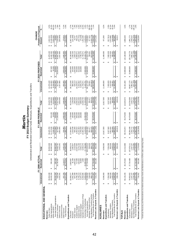|                                                                      |                             |                                   |                                             | Unrestricted and Restricted Current Funds Revenues, Expenditures and Transfers | FY 2010 Budget Summary       |                                   |                                      |                              |                                   |                                |                    |
|----------------------------------------------------------------------|-----------------------------|-----------------------------------|---------------------------------------------|--------------------------------------------------------------------------------|------------------------------|-----------------------------------|--------------------------------------|------------------------------|-----------------------------------|--------------------------------|--------------------|
|                                                                      |                             | FY 2008 ACTUAL                    |                                             |                                                                                | FY 2009 PROBABLE             |                                   |                                      | FY 2010 PROPOSED             |                                   | Probable to Proposed<br>CHANGE |                    |
|                                                                      | Unrestricted                | Restricted                        | Total                                       | <b>Unrestricted</b>                                                            | Restricted                   | Total                             | <b>Unrestricted</b>                  | Restricted                   | Total                             | Amount                         | ৯                  |
| EDUCATIONAL AND GENER AL                                             |                             |                                   |                                             |                                                                                |                              |                                   |                                      |                              |                                   |                                |                    |
| Revenues                                                             |                             |                                   |                                             |                                                                                |                              |                                   |                                      |                              |                                   |                                |                    |
| Tuition & Fees                                                       | 35,952,638<br>မာမာ          |                                   | 35,952,638<br>35,962,300<br>မာမာ            | 39,425,785<br>31,373,500<br>မာမာ                                               |                              | 39,425,785<br>31,688,600<br>မာ-မာ | 41,878,100<br>မှာ မှာ                |                              | 41,878,100<br>26,492,300<br>မာ-မာ | 2,452,315<br>မာမာ              | 6.2%               |
| State Appropriations<br>ARRA and MOE *                               | 35,632,200                  | 330,100<br>မာ                     |                                             | 3,199,300                                                                      | 315,100<br>14,500<br>မာ      | 3,213,800                         | 26,194,900<br>8,436,900              | 297,400<br>32,200<br>မာ      | 8,469,100                         | (5, 196, 300)<br>5,255,300     | $-16.4%$<br>163.5% |
| Sub-total State Appropriations                                       | 35,632,200<br>↮             | 330,100<br>↮                      | 35,962,300<br>↮                             | 34,572,800<br>↮                                                                | 329,600                      | 34,902,400<br>G                   | 34,631,800<br>↮                      | 329,600<br>↮                 | 34,961,400                        | 59,000                         | $0.2\%$            |
| Grants & Contracts                                                   | 333,294                     | 24,730,467                        |                                             | 317,500                                                                        | 27,200,000                   | 27,517,500                        | 317,500                              | 29,350,000                   | 29,667,500                        | 2,150,000                      | 7.8%               |
| Sales & Services                                                     | 2,422,201                   |                                   | 25,063,761<br>2,422,201                     | 3,053,405                                                                      |                              | 3,053,405                         | 2,527,800                            |                              | 2,527,800                         | (525, 605)                     | $-17.2%$           |
| Investment Income                                                    |                             |                                   |                                             |                                                                                |                              |                                   |                                      |                              |                                   |                                |                    |
| <b>Total Revenues</b><br>Other Sources                               | 287,328<br>74,627,662<br>မာ | 8,644<br>3,118,077<br>28.17<br>69 | 3,405,405<br>102,806,306<br>မာ              | 536,982<br>77,906,472<br>↮                                                     | 30,479,600<br>2,950,000<br>↮ | 3,486,982<br>108,386,072<br>မာ    | 656,800<br>80,012,000<br>↮           | 3,009,000<br>32,688,600<br>↮ | 3,665,800<br>112,700,600<br>မာ    | 178,818<br>4,314,528<br>69     | 5.1%<br>4.0%       |
| Expenditures and Transfers                                           |                             |                                   |                                             |                                                                                |                              |                                   |                                      |                              |                                   |                                |                    |
| Instruction                                                          | 32,859,277<br>↮             | 2,803,997<br>↮                    | 35,663,274<br>↮                             | 37,504,684<br>↮                                                                | 2,729,600<br>↮               | 40,234,284<br>↮                   | 36,223,249<br>↮                      | 2,943,600<br>↮               | 39,166,849<br>↮                   | (1,067,435)<br>↮               | $-2.7%$            |
| Research                                                             | 1,001,389                   | 81,439                            | 1,082,827                                   | 1,016,639                                                                      | 150,000                      | 1,166,639                         | 880,333                              | 155,000                      | 1,035,333                         | (131,306)                      | $-11.3%$           |
| Public Service                                                       | 607,408                     | 1,603,541                         | 2,210,949                                   | 605,406                                                                        | 1,200,000                    | 1,805,406                         | 539,113                              | 1,300,000                    | 1,839,113                         | 33,707                         | 1.9%               |
| Academic Support                                                     | 9,790,106                   | 717,586                           | 10,507,692                                  | 9,492,522                                                                      | 600,000                      | 10,092,522                        | 10,228,671                           | 630,000                      | 10,858,671                        | 766,149                        | 7.6%<br>-6.6%      |
| Institutional Support<br>Student Services                            | 8,755,213<br>4,337,373      | 0,942<br>64,800<br>52             | 9,276,156<br>4,402,172                      | 0,152,363<br>4,760,439                                                         | 500,000<br>100,000           | 4,860,439<br>10,652,363           | 4,635,270<br>9,434,662               | 510,000<br>150,000           | 4,785,270<br>9,944,662            | 707,701)<br>(75, 169)          | $-1.5%$            |
| Operation & Maintenance of Plant                                     | 9,392,685                   | 1,690                             | 9,394,375                                   | 0,383,783                                                                      |                              | 10,383,783                        | 11,736,071                           |                              | 11,736,071                        | 1,352,288                      | 13.0%              |
| Scholarships & Fellowships                                           | 5,855,604                   | 21,930,464                        | 27,786,068                                  | 6,120,630                                                                      | 25,200,000                   | 31,320,630                        | 6,449,781                            | 27,000,000                   | 33,449,781                        | ,129,151                       | 6.8%               |
| Sub-total Expenditures                                               | 72,599,055<br>↮             | 27,724,458<br>69                  | 100,323,513<br>↮                            | 80,036,466<br>↮                                                                | 30,479,600<br>မာ             | 110,516,066<br>မာ                 | 80,127,150<br>$\Theta$               | 32,688,600<br>Ø              | 112,815,750<br>Ø                  | 2,299,684<br>↮                 | 2.1%               |
| Mandatory Transfers (In)/Out                                         | 534,629                     |                                   | 534,629                                     | 281,077                                                                        |                              | 281,077                           | 758,501                              |                              | 758,501                           | 477,424                        | 169.9%             |
| Total Expenditures and Transfers<br>Non-Mandatory Transfers (In)/Out | 983,773<br>74,117,457<br>↮  | 27,724,458<br>69                  | 983,773<br>841,916<br>$\overline{101}$<br>↮ | 659,125<br>80,976,68<br>↮                                                      | 30,479,600<br>မာ             | 659,125<br>,456,268<br>↮          | (873, 651)<br>80,012,000<br>$\Theta$ | 32,688,600<br>↮              | (873, 651)<br>112,700,600<br>↮    | (1,532,776)<br>,244,332<br>↮   | 1.1%<br>$-232.5%$  |
| Revenues Less Expend. & Transfers                                    | 510,204<br>69               | 454,186<br>↮                      | 964,390<br>$\boldsymbol{\varphi}$           | (3,070,196)<br>$\theta$                                                        | ↮                            | (3,070,196)<br>မာ                 | $\Theta$                             | $\boldsymbol{\varphi}$       | $\omega$                          | 3,070,196<br>$\theta$          |                    |
|                                                                      |                             |                                   |                                             |                                                                                |                              |                                   |                                      |                              |                                   |                                |                    |
| <b>AUXILIARIES</b>                                                   |                             |                                   |                                             |                                                                                |                              |                                   |                                      |                              |                                   |                                |                    |
| Revenues                                                             | 9,506,583<br>↮              |                                   | 9,506,583<br>↮                              | 10,817,500<br>↮                                                                |                              | 10,817,500<br>↮                   | 11,489,000<br>မာ                     |                              | 11,489,000<br>မာ                  | 671,500<br>↮                   | 6.2%               |
| Expenditures and Transfers                                           |                             |                                   |                                             |                                                                                |                              |                                   |                                      |                              |                                   |                                |                    |
| Expenditures                                                         | 7,354,598<br>69             |                                   | 7,354,598<br>↮                              | 8,247,940<br>မာ                                                                |                              | 8,247,940<br>မာ                   | 7,930,029<br>မာ                      |                              | 7,930,029<br>3,122,520<br>မာ      | (317, 911)<br>↮                | $-3.9%$            |
| Mandatory Transfers                                                  | 902,528<br>1,043,212        |                                   | 902,528<br>,043,212                         | 2,051,634                                                                      |                              | 2,051,634                         | 3,122,520                            |                              | 436,451                           | (149, 488)<br>1,070,886        | 52.2%              |
| Total Expenditures and Transfers<br>Non-Mandatory Transfers          | 9,300,337<br>မာ             | ↮                                 | 9,300,337<br>↮                              | 585,939<br>10,885,513<br>↮                                                     |                              | 585,939<br>10,885,513<br>↮        | 436,451<br>489,000<br>↮              | ↮                            | ,489,000<br>tA                    | 603,487<br>မာ                  | $-25.5%$<br>5.5%   |
| Revenues Less Expend. & Transfers                                    | 206,246<br>မာ               | ↮                                 | 206,246<br>↮                                | (68, 013)<br>↮                                                                 | ↮                            | (68, 013)<br>↮                    | ↮                                    | ↮                            | 69                                | 68,013<br>↮                    |                    |
|                                                                      |                             |                                   |                                             |                                                                                |                              |                                   |                                      |                              |                                   |                                |                    |
| <b>TOTALS</b>                                                        |                             |                                   |                                             |                                                                                |                              |                                   |                                      |                              |                                   |                                |                    |
| Expenditures and Transfers<br>Revenues                               | 84,134,245<br>မာ            | 28,178,644<br>↮                   | 112,312,889<br>↮                            | 88,723,972<br>↮                                                                | 30,479,600<br>↮              | 119,203,572<br>မာ                 | 91,501,000<br>မာ                     | 32,688,600<br>↮              | 124,189,600<br>↮                  | 4,986,028<br>↮                 | 4.2%               |
|                                                                      | 79,953,652<br>မာ            | 27,724,458<br>↮                   | 107,678,111<br>မာ                           | 88,284,406<br>မာ                                                               | မာ                           | 118,764,006                       |                                      |                              | 120,745,779                       | ↮                              | 1.7%               |
| Mandatory Transfers<br>Expenditures                                  | 1,437,157                   |                                   | 1,437,157                                   | 2,332,711                                                                      | 30,479,600                   | 2,332,711<br>မာ                   | 88,057,179<br>3,881,021<br>မာ        | 32,688,600<br>↔              | 3,881,021<br>မာ                   | 1,548,310<br>1,981,773         | 66.4%              |
| Non-Mandatory Transfers                                              | 2,026,985                   |                                   | 2,026,985                                   | 1,245,064                                                                      |                              | 1,245,064                         | (437, 200)                           |                              | (437, 200)                        | (1,682,264)                    | $-135.1%$          |
| Total Expenditures and Transfers                                     | 83,417,794<br>↮             | 27,724,458<br>ĠĤ,                 | 111, 142, 253                               | 91,862,181<br>↮                                                                | 30,479,600                   | 122,341,781                       | 91,501,000<br>ఱ                      | 32,688,600<br>↮              | 124, 189, 600                     | ,847,819<br>↮                  | 1.5%               |
| Revenues Less Expend. & Transfers                                    | 716,451<br>↮                | 454,186<br>↮                      | 1,170,636<br>↮                              | (3, 138, 209)<br>$\Theta$                                                      | ↮                            | (3, 138, 209)<br>↮                | $\boldsymbol{\varphi}$               |                              | ↮                                 | 3,138,209<br>$\Theta$          |                    |

*Marti*

*n*

\* American Recovery and Reinvestment Act federal stimulus funds and Maintenance of Effort state matching funds \* American Recovery and Reinvestment Act federal stimulus funds and Maintenance of Effort state matching funds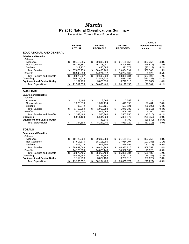#### *Martin*

#### **FY 2010 Natural Classifications Summary**

Unrestricted Current Funds Expenditures

|                                     |                  |                  |                  |                          | <b>CHANGE</b>               |          |
|-------------------------------------|------------------|------------------|------------------|--------------------------|-----------------------------|----------|
|                                     | FY 2008          | FY 2009          | FY 2010          |                          | <b>Probable to Proposed</b> |          |
|                                     | <b>ACTUAL</b>    | <b>PROBABLE</b>  | <b>PROPOSED</b>  |                          | Amount                      | %        |
| <b>EDUCATIONAL AND GENERAL</b>      |                  |                  |                  |                          |                             |          |
| <b>Salaries and Benefits</b>        |                  |                  |                  |                          |                             |          |
| <b>Salaries</b>                     |                  |                  |                  |                          |                             |          |
| Academic                            | \$<br>19.419.285 | \$<br>20,300,300 | \$<br>21,168,052 | \$                       | 867.752                     | 4.3%     |
| Non-Academic                        | 16,347,557       | 16,718,981       | 16,494,409       |                          | (224, 572)                  | $-1.3%$  |
| <b>Students</b>                     | 1,312,137        | 1,446,685        | 1,371,573        |                          | (75, 112)                   | $-5.2%$  |
| <b>Total Salaries</b>               | \$<br>37,078,979 | \$<br>38,465,966 | \$<br>39,034,034 | \$                       | 568,068                     | 1.5%     |
| <b>Benefits</b>                     | 13,549,958       | 14,224,072       | 14,294,000       |                          | 69,928                      | 0.5%     |
| <b>Total Salaries and Benefits</b>  | \$<br>50,628,937 | \$<br>52,690,038 | \$<br>53,328,034 | \$                       | 637,996                     | 1.2%     |
| Operating                           | 20,817,819       | 23,517,830       | 23,022,298       |                          | (495, 532)                  | $-2.1%$  |
| <b>Equipment and Capital Outlay</b> | 1,152,298        | 3,828,598        | 3,776,818        |                          | (51,780)                    | $-1.4%$  |
| <b>Total Expenditures</b>           | \$<br>72,599,055 | \$<br>80.036.466 | \$<br>80,127,150 | \$                       | 90.684                      | 0.1%     |
| <b>AUXILIARIES</b>                  |                  |                  |                  |                          |                             |          |
| <b>Salaries and Benefits</b>        |                  |                  |                  |                          |                             |          |
| Salaries                            |                  |                  |                  |                          |                             |          |
| Academic                            | \$<br>1.409      | \$<br>3.063      | \$<br>3.063      | \$                       |                             |          |
| Non-Academic                        | 1,270,318        | 1,392,114        | 1,419,598        |                          | 27,484                      | 2.0%     |
| <b>Students</b>                     | 496,342          | 563,121          | 527,121          |                          | (36,000)                    | $-6.4%$  |
| <b>Total Salaries</b>               | \$<br>1,768,069  | \$<br>1,958,298  | \$<br>1,949,782  | $\overline{\$}$          | (8,516)                     | $-0.4%$  |
| <b>Benefits</b>                     | 575,400          | 602,068          | 608,068          |                          | 6,000                       | 1.0%     |
| <b>Total Salaries and Benefits</b>  | \$<br>2.343.469  | \$<br>2.560.366  | \$<br>2,557,850  | $\overline{\mathbf{s}}$  | (2,516)                     | $-0.1%$  |
| Operating                           | 5,011,129        | 5,644,034        | 5,365,479        |                          | (278, 555)                  | $-4.9%$  |
| <b>Equipment and Capital Outlay</b> |                  | 43,540           | 6,700            |                          | (36, 840)                   | $-84.6%$ |
| <b>Total Expenditures</b>           | \$<br>7,354,598  | \$<br>8,247,940  | \$<br>7,930,029  | \$                       | (317, 911)                  | $-3.9%$  |
| <b>TOTALS</b>                       |                  |                  |                  |                          |                             |          |
| <b>Salaries and Benefits</b>        |                  |                  |                  |                          |                             |          |
| <b>Salaries</b>                     |                  |                  |                  |                          |                             |          |
| Academic                            | \$<br>19,420,694 | \$<br>20,303,363 | \$<br>21,171,115 | \$                       | 867,752                     | 4.3%     |
| Non-Academic                        | 17,617,875       | 18,111,095       | 17,914,007       |                          | (197,088)                   | $-1.1%$  |
| <b>Students</b>                     | 1,808,479        | 2,009,806        | 1,898,694        |                          | (111, 112)                  | $-5.5%$  |
| <b>Total Salaries</b>               | \$<br>38.847.048 | \$<br>40.424.264 | \$<br>40.983.816 | \$                       | 559.552                     | 1.4%     |
| <b>Benefits</b>                     | 14,125,358       | 14,826,140       | 14,902,068       |                          | 75,928                      | 0.5%     |
| <b>Total Salaries and Benefits</b>  | \$<br>52,972,406 | \$<br>55,250,404 | \$<br>55,885,884 | $\overline{\mathcal{S}}$ | 635,480                     | 1.2%     |
| Operating                           | 25,828,948       | 29,161,864       | 28,387,777       |                          | (774, 087)                  | $-2.7%$  |
| <b>Equipment and Capital Outlay</b> | 1,152,298        | 3,872,138        | 3,783,518        |                          | (88, 620)                   | $-2.3%$  |
| <b>Total Expenditures</b>           | \$<br>79,953,652 | \$<br>88,284,406 | \$<br>88,057,179 | \$                       | (227, 227)                  | $-0.3%$  |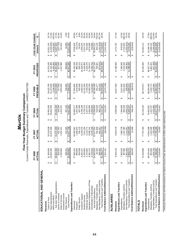|                                                                                                           |                        |                                      |                                    |                                     | Martin                             |                                                                                                          |                               |                                          |                                    |                                       |                                                                       |                              |
|-----------------------------------------------------------------------------------------------------------|------------------------|--------------------------------------|------------------------------------|-------------------------------------|------------------------------------|----------------------------------------------------------------------------------------------------------|-------------------------------|------------------------------------------|------------------------------------|---------------------------------------|-----------------------------------------------------------------------|------------------------------|
|                                                                                                           |                        |                                      |                                    |                                     |                                    | Current Funds Revenues, Expenditures and Transfers - UNRESTRICTED<br>Five-Year Budget Summary Comparison |                               |                                          |                                    |                                       |                                                                       |                              |
|                                                                                                           |                        | FY 2006<br>ACTUAL                    |                                    | ACTUAL<br>FY 2007                   |                                    | FY 2008<br><b>ACTUAL</b>                                                                                 |                               | PROBABLE<br>FY 2009                      |                                    | PROPOSED<br>FY 2010                   | FIVE-YEAR CHANGE<br>Amount                                            | ಸಿ                           |
| EDUCATIONAL AND GENERAL                                                                                   |                        |                                      |                                    |                                     |                                    |                                                                                                          |                               |                                          |                                    |                                       |                                                                       |                              |
| State Appropriations<br>ARRA and MOE<br>Tuition & Fees<br>Revenues                                        | မာ မာ                  | 31,326,958<br>29,604,300             | မာ မာ                              | 33,310,639<br>31,672,300            | မာ မာ                              | 35,952,638<br>35,632,200                                                                                 | မာ မာ                         | 39,425,785<br>31,373,500<br>3,199,300    | မာ မာ                              | 41,878,100<br>26,194,900<br>8,436,900 | (3,409,400)<br>10,551,142<br>8,436,900<br>မာ မာ                       | $-11.5%$<br>100.0%<br>33.7%  |
| Sub-total State Appropriations<br>Grants & Contracts<br>Sales & Services                                  | $\boldsymbol{\varphi}$ | 29,604,300<br>2,205,956<br>425,253   | $\boldsymbol{\varphi}$             | 31,672,300<br>421,432<br>2,261,011  | $\boldsymbol{\varphi}$             | 35,632,200<br>333,294<br>2,422,201                                                                       | $\boldsymbol{\varphi}$        | 34,572,800<br>3,053,405<br>317,500       | $\boldsymbol{\varphi}$             | 34,631,800<br>317,500<br>2,527,800    | 5,027,500<br>(107, 753)<br>321,844<br>$\boldsymbol{\varphi}$          | 17.0%<br>$-25.3%$<br>14.6%   |
| Expenditures and Transfers<br>Investment Income<br><b>Total Revenues</b><br>Other Sources                 | $\boldsymbol{\varphi}$ | 638,201<br>64,200,668                | $\Theta$                           | 212,325<br>67,877,706               | $\boldsymbol{\varphi}$             | 287,328<br>74,627,662                                                                                    | $\Theta$                      | 77,906,472<br>536,982                    | $\boldsymbol{\varphi}$             | 656,800<br>80,012,000                 | 18,599<br>15,811,332<br>$\boldsymbol{\varphi}$                        | 2.9%<br>24.6%                |
| Instruction<br>Research                                                                                   | ↮                      | 27,694,323<br>895,606                | ↮                                  | 30,455,067<br>1,055,831             | ↮                                  | 32,859,277<br>1,001,389                                                                                  | ↮                             | 1,016,639<br>37,504,684                  | ↮                                  | 36,223,249<br>880,333                 | (15, 273)<br>8,528,926<br>↮                                           | $-1.7%$<br>30.8%             |
| Academic Support<br><b>Student Services</b><br>Public Service                                             |                        | 6,919,865<br>504,558<br>8,302,427    |                                    | 9,145,075<br>520,113<br>7,611,254   |                                    | 9,790,106<br>607,408<br>8,755,213                                                                        |                               | 605,406<br>10, 152, 363<br>9,492,522     |                                    | 539,113<br>10,228,671<br>9,434,662    | 34,555<br>1,926,244<br>2,514,797                                      | 6.8%<br>23.2%<br>36.3%       |
| Operation & Maintenance of Plant<br>Scholarships & Fellowships<br>Institutional Support                   |                        | 8,061,472<br>3,721,862<br>5,725,816  |                                    | 5,578,200<br>8,508,241<br>4,143,771 |                                    | 9,392,685<br>5,855,604<br>4,337,373                                                                      |                               | 4,760,439<br>10,383,783<br>6,120,630     |                                    | 4,635,270<br>11,736,071<br>6,449,781  | 3,674,599<br>913,408<br>723,965                                       | 24.5%<br>45.6%<br>12.6%      |
| Mandatory Transfers (In)/Out<br>Sub-total Expenditures                                                    | ↮                      | 61,825,929<br>94,283                 | ↮                                  | 254,658<br>67,017,551               | ↮                                  | 72,599,055<br>534,629                                                                                    | $\varphi$                     | 80,036,466<br>281,077                    | ↮                                  | 80, 127, 150<br>758,501               | 664,218<br>18,301,221<br>$\boldsymbol{\varphi}$                       | 29.6%<br>704.5%              |
| Fund Balance Addition/(Reduction)<br>Total Expenditures and Transfers<br>Non-Mandatory Transfers (In)/Out | $\Theta$<br>↮          | 368,265<br>62,288,477<br>1,912,191   | $\boldsymbol{\varphi}$<br>↮        | (36,009)<br>67,913,715<br>641,507   | $\theta$<br>$\boldsymbol{\varphi}$ | 983,773<br>510,204<br>74,117,457                                                                         | $\Theta$<br>$\theta$          | (3,070,196)<br>80,976,68<br>659,125      | ↔<br>↮                             | (873, 651)<br>80,012,000              | (1,912,191)<br>(1,241,916)<br>17,723,523<br>$\Theta$<br>$\theta$      | $-337.2%$<br>28.5%           |
|                                                                                                           |                        |                                      |                                    |                                     |                                    |                                                                                                          |                               |                                          |                                    |                                       |                                                                       |                              |
| AUXILIARIES<br>Revenues                                                                                   | ↮                      | 9,016,219                            | ↮                                  | 9,919,478                           | ↮                                  | 9,506,583                                                                                                | ↮                             | 10,817,500                               | ↮                                  | 11,489,000                            | 2,472,781<br>↮                                                        | 27.4%                        |
| Expenditures and Transfers<br>Mandatory Transfers (In)/Out<br>Expenditures                                | ↮                      | 7,050,526<br>397,586                 | ↮                                  | 1,167,390<br>7,586,738              | ↮                                  | 902,528<br>7,354,598                                                                                     | ↮                             | 8,247,940<br>2,051,634                   | ↮                                  | 7,930,029<br>3,122,520                | 879,503<br>2,724,934<br>↮                                             | 12.5%<br>685.4%              |
| Fund Balance Addition/(Reduction)<br>Total Expenditures and Transfers<br>Non-Mandatory Transfers (In)/Out | ↮<br>↮                 | 1,461,463<br>8,909,574<br>106,645    | ↮<br>↮                             | 9,868,469<br>51,009<br>1,114,341    | ↮<br>$\Theta$                      | 1,043,212<br>206,246<br>9,300,337                                                                        | ↮<br>$\boldsymbol{\varphi}$   | (68, 013)<br>585,939<br>10,885,513       | ↮<br>↔                             | 1,489,000<br>436,451                  | (1,025,012)<br>(106, 645)<br>2,579,426<br>↮<br>$\boldsymbol{\varphi}$ | $-70.1%$<br>29.0%            |
| <b>TOTALS</b>                                                                                             |                        |                                      |                                    |                                     |                                    |                                                                                                          |                               |                                          |                                    |                                       |                                                                       |                              |
| Expenditures and Transfers<br>Revenues                                                                    | ↮                      | 73,216,888                           | ↮                                  | 77,797,184                          | ↮                                  | 84,134,245                                                                                               | ↮                             | 88,723,972                               | ↮                                  | 91,501,000                            | 18,284,112<br>↮                                                       | 25.0%                        |
| Mandatory Transfers (In)/Out<br>Expenditures                                                              | ↮                      | 68,876,454<br>491,869                | ↮                                  | 74,604,288<br>1,422,048             | ↮                                  | 79,953,652<br>1,437,157                                                                                  | ↮                             | 88,284,406<br>2,332,711                  | ↮                                  | 88,057,179<br>3,881,021               | 19,180,725<br>3,389,152<br>↮                                          | 27.8%<br>689.0%<br>$-123.9%$ |
| Fund Balance Addition/(Reduction)<br>Total Expenditures and Transfers<br>Non-Mandatory Transfers (In)/Out | $\theta$<br>$\Theta$   | 1,829,728<br>71,198,052<br>2,018,836 | $\boldsymbol{\varphi}$<br>$\Theta$ | 1,755,848<br>77,782,184<br>15,000   | $\Theta$<br>$\Theta$               | 2,026,985<br>83,417,794<br>716,451                                                                       | $\Theta$<br>$\leftrightarrow$ | (3, 138, 209)<br>1,245,064<br>91,862,181 | $\Theta$<br>$\boldsymbol{\varphi}$ | (437, 200)<br>91,501,000              | $(2,266,928)$<br>$20,302,948$<br>(2,018,836)<br>$\Theta$<br>$\Theta$  | 28.5%                        |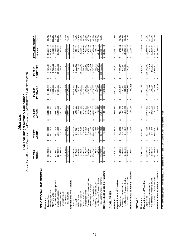| т |
|---|
|   |
|   |
|   |
|   |
|   |
|   |
|   |

## Five-Year Budget Summary Comparison<br>Current Funds Revenues, Expenditures and Transfers - UNRESTRICTED AND RESTRICTED Current Funds Revenues, Expenditures and Transfers - UNRESTRICTED AND RESTRICTED **Five-Year Budget Summary Comparison**

|                                                                                                      |               | FY 2006<br>ACTUAL                     |                        | FY 2007<br>ACTUAL                     |          | FY 2008<br>ACTUAL                     |          | PROBABLE<br>FY 2009                   |                        | PROPOSED<br>FY 2010                   | FIVE-YEAR CHANGE                                 |                             |
|------------------------------------------------------------------------------------------------------|---------------|---------------------------------------|------------------------|---------------------------------------|----------|---------------------------------------|----------|---------------------------------------|------------------------|---------------------------------------|--------------------------------------------------|-----------------------------|
| ₹<br>EDUCATIONAL AND GENER                                                                           |               |                                       |                        |                                       |          |                                       |          |                                       |                        |                                       | Amount                                           | \$                          |
| State Appropriations<br>ARRA and MOE<br>Tuition & Fees<br>Revenues                                   | မာ မာ         | 31,326,958<br>30,468,432              | မှာ မှာ                | 33,310,639<br>32,132,574              | မာမာ     | 35,952,638<br>35,962,300              | မှာ မှာ  | 3,213,800<br>39,425,785<br>31,688,600 | မှာ မှာ                | 41,878,100<br>8,469,100<br>26,492,300 | (3,976,132)<br>8,469,100<br>10,551,142<br>↮<br>↔ | 33.7%<br>$-13.1%$<br>100.0% |
| Sub-total State Appropriations<br>Grants & Contracts<br>Sales & Services                             | ↮             | 30,468,432<br>11,732,303<br>2,205,956 | $\boldsymbol{\varphi}$ | 32,132,574<br>12,525,319<br>2,261,011 | ↔        | 35,962,300<br>25,063,761<br>2,422,201 | ↮        | 34,902,400<br>27,517,500<br>3,053,405 | $\boldsymbol{\varphi}$ | 34,961,400<br>29,667,500<br>2,527,800 | 4,492,968<br>321,844<br>17,935,197<br>↮          | 14.7%<br>152.9%<br>14.6%    |
| Expenditures and Transfers<br>Investment Income<br><b>Total Revenues</b><br><b>Other Sources</b>     | $\Theta$      | 3,207,688<br>78,941,337               | $\Theta$               | 2,880,839<br>83,110,381               | $\Theta$ | 3,405,405<br>102,806,306              | $\Theta$ | 3,486,982<br>108,386,072              | $\bullet$              | 3,665,800<br>112,700,600              | 458,112<br>33,759,263<br>$\Theta$                | 14.3%<br>42.8%              |
| Instruction<br>Research                                                                              | ↮             | 1,085,117<br>30,800,961               | ↮                      | 33,184,338<br>1,163,214               | ↮        | 35,663,274<br>1,082,827               | ↮        | 1,166,639<br>40,234,284               | ↮                      | 39,166,849<br>1,035,333               | (49, 784)<br>8,365,888<br>↮                      | $-4.6%$<br>27.2%            |
| Academic Support<br><b>Student Services</b><br>Public Service                                        |               | 7,960,599<br>2,805,462<br>9,189,154   |                        | 8,288,700<br>2,736,192<br>9,868,758   |          | 2,210,949<br>10,507,692<br>9,276,156  |          | 1,805,406<br>10,652,363<br>10,092,522 |                        | 1,839,113<br>9,944,662<br>10,858,671  | (966,349)<br>1,984,064<br>1,669,517              | 18.2%<br>24.9%<br>$-34.4%$  |
| Operation & Maintenance of Plant<br>Institutional Support                                            |               | 3,790,169<br>8,062,841                |                        | 4,194,825<br>8,508,241                |          | 9,394,375<br>4,402,172                |          | 4,860,439<br>10,383,783               |                        | 4,785,270<br>11,736,071               | 3,673,230<br>995,101                             | 26.3%<br>45.6%              |
| Scholarships & Fellowships<br>Sub-total Expenditures                                                 | ↮             | 13,123,044<br>76,817,347              | $\Theta$               | 81,890,658<br>13,946,390              | $\Theta$ | 00,323,513<br>27,786,068              | ↮        | 31,320,630<br>110,516,066             | $\Theta$               | 112,815,750<br>33,449,781             | 20,326,738<br>35,998,403<br>$\theta$             | 154.9%<br>46.9%             |
| Total Expenditures and Transfers<br>Non-Mandatory Transfers (In)/Out<br>Mandatory Transfers (In)/Out | ↮             | 94,283<br>368,265<br>77,279,895       | ↮                      | 254,658<br>82,786,822<br>641,507      | ↮        | 101,841,916<br>534,629<br>983,773     | ↮        | 111,456,268<br>659,125<br>281,077     | $\boldsymbol{\omega}$  | (873, 651)<br>112,700,600<br>758,501  | (1,241,916)<br>664,218<br>35,420,705<br>မာ       | 704.5%<br>337.2%<br>45.8%   |
| Revenues Less Expend. & Transfer                                                                     | $\Theta$      | 1,661,442                             | ↔                      | 323,559                               | ↔        | 964,390                               | ↮        | (3,070,196)                           | ↔                      |                                       | (1,661,442)<br>မာ                                |                             |
| <b>AUXILIARIES</b>                                                                                   |               |                                       |                        |                                       |          |                                       |          |                                       |                        |                                       |                                                  |                             |
| Expenditures and Transfers<br>Revenues                                                               | ↮             | 9,016,219                             | ↮                      | 9,919,478                             | ↮        | 9,506,583                             | ↮        | 10,817,500                            | ↮                      | 11,489,000                            | 2,472,781<br>↮                                   | 27.4%                       |
| Non-Mandatory Transfers (In)/Out<br>Mandatory Transfers (In)/Out<br>Expenditures                     | ↮             | 7,050,526<br>397,586<br>1,461,463     | ↮                      | 7,586,738<br>1,167,390<br>1,114,341   | ↮        | 7,354,598<br>902,528<br>1,043,212     | ↮        | 585,939<br>8,247,940<br>2,051,634     | ↮                      | 7,930,029<br>3,122,520<br>436,451     | (1,025,012)<br>879,503<br>2,724,934<br>↮         | 685.4%<br>12.5%<br>$-70.1%$ |
| Total Expenditures and Transfers                                                                     | $\theta$      | 8,909,574                             | $\Theta$               | 9,868,469                             | ↮        | 9,300,337                             | ↮        | 10,885,513                            | ↮                      | 11,489,000                            | 2,579,426<br>↔                                   | 29.0%                       |
| Revenues Less Expend. & Transfer                                                                     |               | 106,645                               | $\Theta$               | 51,009                                | $\theta$ | 206,246                               | $\theta$ | (68, 013)                             | ↔                      |                                       | (106, 645)<br>↔                                  |                             |
| <b>TOTALS</b>                                                                                        |               |                                       |                        |                                       |          |                                       |          |                                       |                        |                                       |                                                  |                             |
| Expenditures and Transfers<br>Revenues                                                               | ↔             | 87,957,556                            | ↔                      | 93,029,859                            | ↔        | 112,312,889                           | ↮        | 119,203,572                           | ↔                      | 124,189,600                           | 36,232,044<br>↔                                  | 41.2%                       |
| Mandatory Transfers (In)/Out<br>Expenditures                                                         | ↮             | 491,869<br>83,867,872                 | ↮                      | 89,477,395<br>1,422,048               | ↮        | 107,678,111<br>1,437,157              | ↮        | 118,764,006<br>2,332,711              | ↮                      | 120,745,779<br>3,881,021              | 3,389,152<br>36,877,907<br>↔                     | 44.0%<br>689.0%             |
| Total Expenditures and Transfers<br>Non-Mandatory Transfers (In)/Out                                 |               | 86,189,469<br>1,829,728               |                        | 1,755,848<br>92,655,291               |          | 111, 142, 253<br>2,026,985            | ⇔∥       | 1,245,064<br>122,341,781              |                        | (437, 200)<br>124,189,600             | (2, 266, 928)<br>38,000,131<br>⇔∥                | $-123.9%$<br>44.1%          |
| Revenues Less Expend. & Transfers                                                                    | $\frac{1}{2}$ | 1,768,087                             | $\frac{1}{2}$          | 374,568                               | မှာ      | 1,170,636                             | $\Theta$ | (3, 138, 209)                         | $\frac{1}{2}$          |                                       | (1,768,087)<br>$\theta$                          |                             |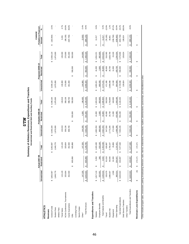|                                  |                                                  |                                   |                                    | Unrestricted and Restricted E&G and Auxiliary Funds |                                   |                                    |                        |                                  |                                     |                                      |          |
|----------------------------------|--------------------------------------------------|-----------------------------------|------------------------------------|-----------------------------------------------------|-----------------------------------|------------------------------------|------------------------|----------------------------------|-------------------------------------|--------------------------------------|----------|
|                                  |                                                  | <b>Actual 2007-08</b>             |                                    |                                                     | Probable 2008-09                  |                                    |                        | Proposed 2009-10                 |                                     | Probable to Proposed<br>CHANGE       |          |
|                                  | Unrestricted                                     | icted<br>Restri                   | Total                              | Unrestricted                                        | Restricted                        | Total                              | Unrestricted           | Restricted                       | Total                               | Amount                               | న్       |
| <b>ATHLETICS</b>                 |                                                  |                                   |                                    |                                                     |                                   |                                    |                        |                                  |                                     |                                      |          |
| Revenues                         |                                                  |                                   |                                    |                                                     |                                   |                                    |                        |                                  |                                     |                                      |          |
| General Funds                    | 3,853,587<br>$\theta$                            |                                   | 3,853,587<br>မာ                    | 4,040,184<br>မာ                                     |                                   | \$4,040,184                        | 3,938,120<br>မာ        |                                  | 3,938,120<br>မာ                     | (102,064)<br>↮                       | $-2.5%$  |
| Student Fees                     | 1,849,776                                        |                                   | 1,849,776                          | 1,875,000                                           |                                   | 1,875,000                          | 1,875,000              |                                  | 1,875,000                           |                                      |          |
| Athletic Fees                    |                                                  |                                   |                                    |                                                     |                                   |                                    |                        |                                  |                                     |                                      |          |
| <b>Ticket Sales</b>              | 115,129                                          |                                   | 115,129                            | 133,019                                             |                                   | 133,019                            | 139,300                |                                  | 139,300                             | 6,281                                | 4.7%     |
| NCAA Conference, Tournaments     | 325,604                                          |                                   | 325,604                            | 359,136                                             |                                   | 359,136                            | 270,000                |                                  | 270,000                             | (89, 136)                            | $-24.8%$ |
| Game Guarantees                  | 352,500                                          |                                   | 352,500                            | 998,706                                             |                                   | 998,706                            | 491,000                |                                  | 491,000                             | (507, 706)                           | $-50.8%$ |
| Gifts                            |                                                  | 605,868<br>↮                      | 605,868                            |                                                     | 550,000<br>↮                      | 550,000                            |                        | 550,000<br>↮                     | 550,000                             |                                      |          |
| Licensing Fees                   |                                                  |                                   |                                    |                                                     |                                   |                                    |                        |                                  |                                     |                                      |          |
| Sports Camps                     |                                                  |                                   |                                    |                                                     |                                   |                                    |                        |                                  |                                     |                                      |          |
| Other*                           | 147,326                                          |                                   | 147,326                            | 144,200                                             | 4,200                             | 148,400                            | 144,900                |                                  | 144,900                             | (3,500)                              | $-2.4%$  |
| <b>Total Revenues</b>            | 6,643,922<br>$\boldsymbol{\omega}$               | 605,868<br>$\boldsymbol{\varphi}$ | 7,249,790<br><del>∽</del>          | 7,550,245<br>$\boldsymbol{\omega}$                  | 554,200<br>↮                      | 8,104,445<br>↮                     | 6,858,320<br>↮         | 550,000<br>$\pmb{\varphi}$       | 7,408,320<br>$\boldsymbol{\varphi}$ | (696, 125)<br>$\boldsymbol{\varphi}$ | $-8.6%$  |
| Expenditures and Transfers       |                                                  |                                   |                                    |                                                     |                                   |                                    |                        |                                  |                                     |                                      |          |
| Salaries                         | 1,817,116<br>မာ                                  | 3,284<br>$\boldsymbol{\varphi}$   | \$1,820,400                        | \$1,882,204                                         | 41,000<br>↮                       | \$1,923,204                        | \$1,893,221            | 41,000<br>↮                      | \$1,934,221                         | 11,017<br>↮                          | 0.6%     |
| Employee Benefits                | 632,801                                          | 348                               | 633,149                            | 680,000                                             | 2,600                             | 682,600                            | 680,000                | 2,600                            | 682,600                             |                                      |          |
| Total Salaries and Benefits      | \$2,449,916                                      | 3,632<br>$\Theta$                 | 2,453,549<br>$\theta$              | 2,562,204<br>↮                                      | 43,600<br>$\theta$                | 2,605,804<br>↔                     | 2,573,221<br>$\theta$  | 43,600<br>$\Theta$               | \$2,616,821                         | 11,017<br>↮                          | 0.4%     |
| Travel                           | 535,079                                          | 91,618                            | 626,697                            | 547,550                                             | 45,000                            | 592,550                            | 471,365                | 45,000                           | 516,365                             | (76, 185)                            | $-12.9%$ |
| Student Aid                      | 2,696,507                                        | 59,640                            | 2,756,147                          | 2,773,205                                           | 20,700                            | 2,793,905                          | 2,808,066              | 20,700                           | 2,828,766                           | 34,861                               | 1.2%     |
| Equipment                        | 1,506                                            | 24,300                            | 25,806                             | 171,000                                             | 11,000                            | 182,000                            | 12,240                 | 11,000                           | 23,240                              | (158, 760)                           | 87.2%    |
| Other Operating                  | 960,914                                          | 254,507                           | 1,215,421                          | 1,496,286                                           | 433,900                           | 1,930,186                          | 864,804                | 429,700                          | 1,294,504                           | (635, 682)                           | $-32.9%$ |
| Sub-total Expenditures           | 6,643,922<br>$\theta$                            | 433,697<br>$\Theta$               | 7,077,620<br>$\theta$              | 7,550,245<br>$\theta$                               | 554,200<br>$\theta$               | 8,104,445<br>$\theta$              | 6,729,696<br>$\theta$  | 550,000<br>$\theta$              | \$7,279,696                         | (824, 749)<br>$\theta$               | $-10.2%$ |
| Debt Service Transfers           |                                                  |                                   |                                    |                                                     |                                   |                                    | 128,624                |                                  | 128,624                             | 128,624                              | 100.0%   |
| Other Transfers                  |                                                  |                                   |                                    |                                                     |                                   |                                    |                        |                                  |                                     |                                      |          |
| Total Expenditures and Transfers | \$ 6,643,922                                     | \$ 433,697                        | 7,077,620<br>$\boldsymbol{\omega}$ | 7,550,245<br>$\boldsymbol{\varphi}$                 | 554,200<br>$\boldsymbol{\varphi}$ | 8,104,445<br>$\boldsymbol{\theta}$ | \$ 6,858,320           | 550,000<br>$\boldsymbol{\omega}$ | \$7,408,320                         | (696, 125)<br>$\omega$               | $-8.6%$  |
| Revenues Less Expenditures       | $\widehat{\mathsf{e}}$<br>$\boldsymbol{\varphi}$ | 72,171<br>Ψ<br>↮                  | 172, 171<br>$\leftrightarrow$      | $\theta$                                            | $\boldsymbol{\varphi}$            | $\boldsymbol{\varphi}$             | $\boldsymbol{\varphi}$ | $\boldsymbol{\varphi}$           | $\boldsymbol{\varphi}$              | $\boldsymbol{\varphi}$               |          |

*UTM*<br>Summary of Athletics Revenues, Expenditures and Transfers **Summary of Athletics Revenues, Expenditures and Transfers**

\* Other includes program sales, concessions, parking, broadcasting, television, radio, internet s, investments, royalties, advertisements, sponsorships, and miscellaneous other.

\* Other includes program sales, concessions, parking, broadcasting, television, radio, internet, endowments, investments, royalties, advertisements, sponsorships, and miscellaneous other.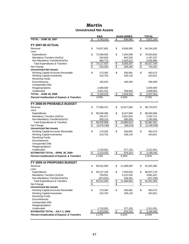|                                                       |                 | <b>E&amp;G</b>           |                         | <b>AUXILIARIES</b> |                         | <b>TOTAL</b>  |
|-------------------------------------------------------|-----------------|--------------------------|-------------------------|--------------------|-------------------------|---------------|
| <b>TOTAL - JUNE 30, 2007</b>                          | $\frac{1}{2}$   | 4,783,018                | $\frac{1}{2}$           | 838,086            | $\frac{1}{2}$           | 5,621,104     |
|                                                       |                 |                          |                         |                    |                         |               |
| <b>FY 2007-08 ACTUAL</b>                              |                 |                          |                         |                    |                         |               |
| Revenue                                               | \$              | 74,627,662               | \$                      | 9,506,583          | \$                      | 84,134,245    |
| Less:                                                 |                 |                          |                         |                    |                         |               |
| Expenditures                                          | \$              | 72,599,055               | \$                      | 7,354,598          | \$                      | 79,953,652    |
| Mandatory Transfers (In)/Out                          |                 | 534,629                  |                         | 902,528            |                         | 1,437,157     |
| Non-Mandatory Transfers(In)/Out                       |                 | 983,773                  |                         | 1,043,212          |                         | 2,026,985     |
| <b>Total Expenditures &amp; Transfers</b>             | \$              | 74,117,457               | \$                      | 9,300,337          | \$                      | 83,417,794    |
| Net Change                                            | \$              | 510,204                  | \$                      | 206,246            | \$                      | 716,451       |
| <b>Unrestricted Net Assets</b>                        |                 |                          |                         |                    |                         |               |
| <b>Working Capital-Accounts Receivable</b>            | \$              | 173,392                  | \$                      | 290,081            | \$                      | 463,473       |
| <b>Working Capital-Inventories</b>                    |                 | 315,703                  |                         | 109,118            |                         | 424,821       |
| <b>Revolving Funds</b>                                |                 |                          |                         |                    |                         |               |
| Encumbrances                                          |                 | 162,815                  |                         | 186,493            |                         | 349,308       |
| <b>Unexpended Gifts</b>                               |                 |                          |                         |                    |                         |               |
| Reappropriations                                      |                 | 2,000,000                |                         |                    |                         | 2,000,000     |
| Unallocated                                           |                 | 2,641,312                |                         | 458,640            |                         | 3,099,952     |
| <b>TOTAL - JUNE 30, 2008</b>                          | \$              | 5,293,222                | $\frac{1}{2}$           | 1,044,332          | \$                      | 6,337,554     |
| <b>Percent Unallocated of Expend. &amp; Transfers</b> |                 | 3.56%                    |                         | 4.93%              |                         | 3.72%         |
|                                                       |                 |                          |                         |                    |                         |               |
| FY 2008-09 PROBABLE BUDGET                            |                 |                          |                         |                    |                         |               |
| Revenue                                               | \$              | 77,906,472               | \$                      | 10,817,500         | \$                      | 88,723,972    |
| Less:                                                 |                 |                          |                         |                    |                         |               |
| Expenditures                                          | \$              | 80,036,466               | \$                      | 8,247,940          | \$                      | 88,284,406    |
| Mandatory Transfers (In)/Out                          |                 | 281,077                  |                         | 2,051,634          |                         | 2,332,711     |
| Non-Mandatory Transfers(In)/Out                       |                 | 659,125                  |                         | 585,939            |                         | 1,245,064     |
| <b>Total Expenditures &amp; Transfers</b>             | \$              | 80,976,668               | \$                      | 10,885,513         | $\frac{1}{2}$           | 91,862,181    |
| Net Change                                            | \$              | (3,070,196)              | $\overline{\mathbf{3}}$ | (68, 013)          | $\overline{\mathbf{e}}$ | (3, 138, 209) |
| <b>Unrestricted Net Assets</b>                        |                 |                          |                         |                    |                         |               |
| Working Capital-Accounts Receivable                   | \$              | 173,392                  | \$                      | 290,081            | \$                      | 463,473       |
| <b>Working Capital-Inventories</b>                    |                 | 315,703                  |                         | 109,118            |                         | 424,821       |
| <b>Revolving Funds</b>                                |                 |                          |                         |                    |                         |               |
| Encumbrances                                          |                 |                          |                         |                    |                         |               |
| <b>Unexpended Gifts</b>                               |                 |                          |                         |                    |                         |               |
| Reappropriations                                      |                 |                          |                         |                    |                         |               |
| Unallocated                                           |                 | 1,733,931                |                         | 577,120            |                         | 2,311,051     |
| <b>ESTIMATED TOTAL - APRIL 30, 2009</b>               | \$              | 2,223,026                | \$                      | 976,319            | $\overline{\mathbf{e}}$ | 3,199,345     |
| <b>Percent Unallocated of Expend. &amp; Transfers</b> |                 | 2.14%                    |                         | 5.30%              |                         | 2.52%         |
|                                                       |                 |                          |                         |                    |                         |               |
| FY 2009-10 PROPOSED BUDGET                            |                 |                          |                         |                    |                         |               |
| Revenue                                               | \$              | 80,012,000               | \$                      | 11,489,000         | \$                      | 91,501,000    |
| Less:                                                 |                 |                          |                         |                    |                         |               |
| Expenditures                                          | \$              | 80,127,150               | \$                      | 7,930,029          | \$                      | 88,057,179    |
| Mandatory Transfers (In)/Out                          |                 | 758,501                  |                         | 3,122,520          |                         | 3,881,021     |
| Non-Mandatory Transfers(In)/Out                       |                 | (873, 651)               |                         | 436,451            |                         | (437, 200)    |
| <b>Total Expenditures &amp; Transfers</b>             | \$              | 80,012,000               | \$                      | 11,489,000         | \$                      | 91,501,000    |
| Net Change                                            | $\overline{\$}$ | $\overline{\phantom{a}}$ | $\sqrt[6]{3}$           | $\blacksquare$     | $\sqrt{2}$              |               |
| <b>Unrestricted Net Assets</b>                        |                 |                          |                         |                    |                         |               |
| <b>Working Capital-Accounts Receivable</b>            | \$              | 173,392                  | \$                      | 290,081            | \$                      | 463,473       |
| <b>Working Capital-Inventories</b>                    |                 | 315,703                  |                         | 109,118            |                         | 424,821       |
| <b>Revolving Funds</b>                                |                 |                          |                         |                    |                         |               |
| Encumbrances                                          |                 |                          |                         |                    |                         |               |
| <b>Unexpended Gifts</b>                               |                 |                          |                         |                    |                         |               |
| Reappropriations                                      |                 |                          |                         |                    |                         |               |
| Unallocated                                           |                 | 1,733,931                |                         | 577,120            |                         | 2,311,051     |
| <b>ESTIMATED TOTAL - JULY 1, 2009</b>                 |                 | 2,223,026                | $\frac{1}{2}$           | 976,319            | $\frac{1}{2}$           | 3,199,345     |
| <b>Percent Unallocated of Expend. &amp; Transfers</b> |                 | 2.17%                    |                         | 5.02%              |                         | 2.53%         |
|                                                       |                 |                          |                         |                    |                         |               |

#### *Martin* **Unrestricted Net Assets**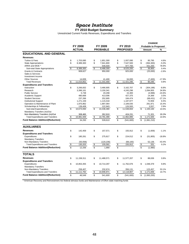#### **FY 2010 Budget Summary**

Unrestricted Current Funds Revenues, Expenditures and Transfers

| <b>FY 2008</b><br>FY 2009<br>FY 2010<br><b>Probable to Proposed</b><br><b>ACTUAL</b><br><b>PROBABLE</b><br><b>PROPOSED</b><br>%<br>Amount<br><b>EDUCATIONAL AND GENERAL</b><br><b>Revenues</b><br><b>Tuition &amp; Fees</b><br>\$<br>1,703,085<br>\$<br>1,851,300<br>\$<br>1,937,095<br>85.795<br>4.6%<br>\$<br>\$<br>\$<br>\$<br>\$<br>$-5.0%$<br>8,389,300<br>7,941,800<br>7,547,500<br>(394, 300)<br><b>State Appropriations</b><br>ARRA and MOE *<br>546,500<br>431,200<br>78.9%<br>977,700<br>\$<br>8,389,300<br>\$<br>\$<br>8.525.200<br>\$<br>36.900<br>0.4%<br>Sub-total State Appropriations<br>8,488,300<br>908,627<br>950,000<br>925,000<br>(25,000)<br>$-2.6%$<br><b>Grants &amp; Contracts</b><br>Sales & Services<br>Investment Income<br><b>Other Sources</b><br>14,839<br>34,000<br>$-17.9%$<br>41,400<br>(7,400)<br>$\overline{\mathcal{S}}$<br>\$<br>11,015,852<br>\$<br>11,331,000<br>11,421,295<br>\$<br>90,295<br><b>Total Revenues</b><br>0.8%<br><b>Expenditures and Transfers</b><br>\$<br>\$<br>\$<br>\$<br>Instruction<br>3,266,832<br>3,466,905<br>3,162,707<br>(304, 198)<br>$-8.8%$<br>Research<br>3,396,161<br>3,150,341<br>4,245,296<br>1,094,955<br>34.8%<br>$-24.6%$<br><b>Public Service</b><br>5,738<br>20,298<br>15,300<br>(4,998)<br>480,668<br>413,006<br>427,375<br>14,369<br>3.5%<br>Academic Support<br>$-27.1%$<br><b>Student Services</b><br>237,266<br>252,905<br>184,474<br>(68, 431)<br>72,959<br>6.5%<br><b>Institutional Support</b><br>1,271,159<br>1,115,018<br>1,187,977<br>Operation & Maintenance of Plant<br>1,875,862<br>1,897,064<br>2,189,035<br>291,971<br>15.4%<br>Scholarships & Fellowships<br>2.9%<br>139,408<br>122,943<br>126,500<br>3,557<br>\$<br>10,673,094<br>\$<br>10,438,480<br>\$<br>11,538,664<br>\$<br>1,100,184<br>Sub-total Expenditures<br>10.5%<br>Mandatory Transfers (In)/Out<br>Non-Mandatory Transfers (In)/Out<br>308,465<br>352,910<br>20.2%<br>424,231<br>71,321<br>\$<br>\$<br>10,791,390<br>$\boldsymbol{\theta}$<br>\$<br><b>Total Expenditures and Transfers</b><br>10,981,559<br>11,962,895<br>1,171,505<br>10.9%<br><b>Fund Balance Addition/(Reduction)</b><br>\$<br>\$<br>$\mathbb{S}$<br>\$<br>34,293<br>539,610<br>(541,600)<br>(1,081,210)<br><b>AUXILIARIES</b><br><b>Revenues</b><br>\$<br>\$<br>\$<br>\$<br>142,459<br>157,571<br>155,912<br>(1,659)<br>$-1.1%$<br><b>Expenditures and Transfers</b><br>\$<br>\$<br>\$<br>\$<br>Expenditures<br>180,261<br>275,817<br>$-18.8%$<br>224,012<br>(51, 805)<br><b>Mandatory Transfers</b><br>Non-Mandatory Transfers<br>$-43.4%$<br>(50,058)<br>(120, 236)<br>(68, 100)<br>52,136<br>$\overline{\mathbf{e}}$<br>$\boldsymbol{\mathsf{s}}$<br>\$<br>\$<br>0.2%<br><b>Total Expenditures and Transfers</b><br>130,203<br>155,581<br>155,912<br>331<br><b>Fund Balance Addition/(Reduction)</b><br>\$<br>\$<br>\$<br>\$<br>12,256<br>1,990<br>(1,990)<br><b>TOTALS</b><br><b>Revenues</b><br>\$<br>11,158,311<br>\$<br>11,488,571<br>\$<br>\$<br>11,577,207<br>88,636<br>0.8%<br><b>Expenditures and Transfers</b><br>\$<br>\$<br>Expenditures<br>10,853,355<br>\$<br>10,714,297<br>11,762,676<br>\$<br>1,048,379<br>9.8%<br><b>Mandatory Transfers</b><br>Non-Mandatory Transfers<br>53.1%<br>258,407<br>232,674<br>356,131<br>123,457<br><b>Total Expenditures and Transfers</b><br>11,111,762<br>10,946,971<br>12,118,807<br>10.7%<br>\$<br>\$<br>ھ<br>1,171,836<br>\$<br><b>Fund Balance Addition/(Reduction)</b><br>\$<br>(1,083,200)<br>\$<br>46,549<br>\$<br>541,600<br>\$<br>(541,600) |  |  |  |  | <b>CHANGE</b> |  |
|------------------------------------------------------------------------------------------------------------------------------------------------------------------------------------------------------------------------------------------------------------------------------------------------------------------------------------------------------------------------------------------------------------------------------------------------------------------------------------------------------------------------------------------------------------------------------------------------------------------------------------------------------------------------------------------------------------------------------------------------------------------------------------------------------------------------------------------------------------------------------------------------------------------------------------------------------------------------------------------------------------------------------------------------------------------------------------------------------------------------------------------------------------------------------------------------------------------------------------------------------------------------------------------------------------------------------------------------------------------------------------------------------------------------------------------------------------------------------------------------------------------------------------------------------------------------------------------------------------------------------------------------------------------------------------------------------------------------------------------------------------------------------------------------------------------------------------------------------------------------------------------------------------------------------------------------------------------------------------------------------------------------------------------------------------------------------------------------------------------------------------------------------------------------------------------------------------------------------------------------------------------------------------------------------------------------------------------------------------------------------------------------------------------------------------------------------------------------------------------------------------------------------------------------------------------------------------------------------------------------------------------------------------------------------------------------------------------------------------------------------------------------------------------------------------------------------------------------------------------------------------------------------------------------------------------------------------------------------------------------------------------------------------------------------------------------------------------------------------------------------------------------------------------------------------------------------------------------------------------------------------------------------------------------------------------------------------------------------------------------------------------------------------------------------------------------------------------------------------------------------------------------------------------|--|--|--|--|---------------|--|
|                                                                                                                                                                                                                                                                                                                                                                                                                                                                                                                                                                                                                                                                                                                                                                                                                                                                                                                                                                                                                                                                                                                                                                                                                                                                                                                                                                                                                                                                                                                                                                                                                                                                                                                                                                                                                                                                                                                                                                                                                                                                                                                                                                                                                                                                                                                                                                                                                                                                                                                                                                                                                                                                                                                                                                                                                                                                                                                                                                                                                                                                                                                                                                                                                                                                                                                                                                                                                                                                                                                                          |  |  |  |  |               |  |
|                                                                                                                                                                                                                                                                                                                                                                                                                                                                                                                                                                                                                                                                                                                                                                                                                                                                                                                                                                                                                                                                                                                                                                                                                                                                                                                                                                                                                                                                                                                                                                                                                                                                                                                                                                                                                                                                                                                                                                                                                                                                                                                                                                                                                                                                                                                                                                                                                                                                                                                                                                                                                                                                                                                                                                                                                                                                                                                                                                                                                                                                                                                                                                                                                                                                                                                                                                                                                                                                                                                                          |  |  |  |  |               |  |
|                                                                                                                                                                                                                                                                                                                                                                                                                                                                                                                                                                                                                                                                                                                                                                                                                                                                                                                                                                                                                                                                                                                                                                                                                                                                                                                                                                                                                                                                                                                                                                                                                                                                                                                                                                                                                                                                                                                                                                                                                                                                                                                                                                                                                                                                                                                                                                                                                                                                                                                                                                                                                                                                                                                                                                                                                                                                                                                                                                                                                                                                                                                                                                                                                                                                                                                                                                                                                                                                                                                                          |  |  |  |  |               |  |
|                                                                                                                                                                                                                                                                                                                                                                                                                                                                                                                                                                                                                                                                                                                                                                                                                                                                                                                                                                                                                                                                                                                                                                                                                                                                                                                                                                                                                                                                                                                                                                                                                                                                                                                                                                                                                                                                                                                                                                                                                                                                                                                                                                                                                                                                                                                                                                                                                                                                                                                                                                                                                                                                                                                                                                                                                                                                                                                                                                                                                                                                                                                                                                                                                                                                                                                                                                                                                                                                                                                                          |  |  |  |  |               |  |
|                                                                                                                                                                                                                                                                                                                                                                                                                                                                                                                                                                                                                                                                                                                                                                                                                                                                                                                                                                                                                                                                                                                                                                                                                                                                                                                                                                                                                                                                                                                                                                                                                                                                                                                                                                                                                                                                                                                                                                                                                                                                                                                                                                                                                                                                                                                                                                                                                                                                                                                                                                                                                                                                                                                                                                                                                                                                                                                                                                                                                                                                                                                                                                                                                                                                                                                                                                                                                                                                                                                                          |  |  |  |  |               |  |
|                                                                                                                                                                                                                                                                                                                                                                                                                                                                                                                                                                                                                                                                                                                                                                                                                                                                                                                                                                                                                                                                                                                                                                                                                                                                                                                                                                                                                                                                                                                                                                                                                                                                                                                                                                                                                                                                                                                                                                                                                                                                                                                                                                                                                                                                                                                                                                                                                                                                                                                                                                                                                                                                                                                                                                                                                                                                                                                                                                                                                                                                                                                                                                                                                                                                                                                                                                                                                                                                                                                                          |  |  |  |  |               |  |
|                                                                                                                                                                                                                                                                                                                                                                                                                                                                                                                                                                                                                                                                                                                                                                                                                                                                                                                                                                                                                                                                                                                                                                                                                                                                                                                                                                                                                                                                                                                                                                                                                                                                                                                                                                                                                                                                                                                                                                                                                                                                                                                                                                                                                                                                                                                                                                                                                                                                                                                                                                                                                                                                                                                                                                                                                                                                                                                                                                                                                                                                                                                                                                                                                                                                                                                                                                                                                                                                                                                                          |  |  |  |  |               |  |
|                                                                                                                                                                                                                                                                                                                                                                                                                                                                                                                                                                                                                                                                                                                                                                                                                                                                                                                                                                                                                                                                                                                                                                                                                                                                                                                                                                                                                                                                                                                                                                                                                                                                                                                                                                                                                                                                                                                                                                                                                                                                                                                                                                                                                                                                                                                                                                                                                                                                                                                                                                                                                                                                                                                                                                                                                                                                                                                                                                                                                                                                                                                                                                                                                                                                                                                                                                                                                                                                                                                                          |  |  |  |  |               |  |
|                                                                                                                                                                                                                                                                                                                                                                                                                                                                                                                                                                                                                                                                                                                                                                                                                                                                                                                                                                                                                                                                                                                                                                                                                                                                                                                                                                                                                                                                                                                                                                                                                                                                                                                                                                                                                                                                                                                                                                                                                                                                                                                                                                                                                                                                                                                                                                                                                                                                                                                                                                                                                                                                                                                                                                                                                                                                                                                                                                                                                                                                                                                                                                                                                                                                                                                                                                                                                                                                                                                                          |  |  |  |  |               |  |
|                                                                                                                                                                                                                                                                                                                                                                                                                                                                                                                                                                                                                                                                                                                                                                                                                                                                                                                                                                                                                                                                                                                                                                                                                                                                                                                                                                                                                                                                                                                                                                                                                                                                                                                                                                                                                                                                                                                                                                                                                                                                                                                                                                                                                                                                                                                                                                                                                                                                                                                                                                                                                                                                                                                                                                                                                                                                                                                                                                                                                                                                                                                                                                                                                                                                                                                                                                                                                                                                                                                                          |  |  |  |  |               |  |
|                                                                                                                                                                                                                                                                                                                                                                                                                                                                                                                                                                                                                                                                                                                                                                                                                                                                                                                                                                                                                                                                                                                                                                                                                                                                                                                                                                                                                                                                                                                                                                                                                                                                                                                                                                                                                                                                                                                                                                                                                                                                                                                                                                                                                                                                                                                                                                                                                                                                                                                                                                                                                                                                                                                                                                                                                                                                                                                                                                                                                                                                                                                                                                                                                                                                                                                                                                                                                                                                                                                                          |  |  |  |  |               |  |
|                                                                                                                                                                                                                                                                                                                                                                                                                                                                                                                                                                                                                                                                                                                                                                                                                                                                                                                                                                                                                                                                                                                                                                                                                                                                                                                                                                                                                                                                                                                                                                                                                                                                                                                                                                                                                                                                                                                                                                                                                                                                                                                                                                                                                                                                                                                                                                                                                                                                                                                                                                                                                                                                                                                                                                                                                                                                                                                                                                                                                                                                                                                                                                                                                                                                                                                                                                                                                                                                                                                                          |  |  |  |  |               |  |
|                                                                                                                                                                                                                                                                                                                                                                                                                                                                                                                                                                                                                                                                                                                                                                                                                                                                                                                                                                                                                                                                                                                                                                                                                                                                                                                                                                                                                                                                                                                                                                                                                                                                                                                                                                                                                                                                                                                                                                                                                                                                                                                                                                                                                                                                                                                                                                                                                                                                                                                                                                                                                                                                                                                                                                                                                                                                                                                                                                                                                                                                                                                                                                                                                                                                                                                                                                                                                                                                                                                                          |  |  |  |  |               |  |
|                                                                                                                                                                                                                                                                                                                                                                                                                                                                                                                                                                                                                                                                                                                                                                                                                                                                                                                                                                                                                                                                                                                                                                                                                                                                                                                                                                                                                                                                                                                                                                                                                                                                                                                                                                                                                                                                                                                                                                                                                                                                                                                                                                                                                                                                                                                                                                                                                                                                                                                                                                                                                                                                                                                                                                                                                                                                                                                                                                                                                                                                                                                                                                                                                                                                                                                                                                                                                                                                                                                                          |  |  |  |  |               |  |
|                                                                                                                                                                                                                                                                                                                                                                                                                                                                                                                                                                                                                                                                                                                                                                                                                                                                                                                                                                                                                                                                                                                                                                                                                                                                                                                                                                                                                                                                                                                                                                                                                                                                                                                                                                                                                                                                                                                                                                                                                                                                                                                                                                                                                                                                                                                                                                                                                                                                                                                                                                                                                                                                                                                                                                                                                                                                                                                                                                                                                                                                                                                                                                                                                                                                                                                                                                                                                                                                                                                                          |  |  |  |  |               |  |
|                                                                                                                                                                                                                                                                                                                                                                                                                                                                                                                                                                                                                                                                                                                                                                                                                                                                                                                                                                                                                                                                                                                                                                                                                                                                                                                                                                                                                                                                                                                                                                                                                                                                                                                                                                                                                                                                                                                                                                                                                                                                                                                                                                                                                                                                                                                                                                                                                                                                                                                                                                                                                                                                                                                                                                                                                                                                                                                                                                                                                                                                                                                                                                                                                                                                                                                                                                                                                                                                                                                                          |  |  |  |  |               |  |
|                                                                                                                                                                                                                                                                                                                                                                                                                                                                                                                                                                                                                                                                                                                                                                                                                                                                                                                                                                                                                                                                                                                                                                                                                                                                                                                                                                                                                                                                                                                                                                                                                                                                                                                                                                                                                                                                                                                                                                                                                                                                                                                                                                                                                                                                                                                                                                                                                                                                                                                                                                                                                                                                                                                                                                                                                                                                                                                                                                                                                                                                                                                                                                                                                                                                                                                                                                                                                                                                                                                                          |  |  |  |  |               |  |
|                                                                                                                                                                                                                                                                                                                                                                                                                                                                                                                                                                                                                                                                                                                                                                                                                                                                                                                                                                                                                                                                                                                                                                                                                                                                                                                                                                                                                                                                                                                                                                                                                                                                                                                                                                                                                                                                                                                                                                                                                                                                                                                                                                                                                                                                                                                                                                                                                                                                                                                                                                                                                                                                                                                                                                                                                                                                                                                                                                                                                                                                                                                                                                                                                                                                                                                                                                                                                                                                                                                                          |  |  |  |  |               |  |
|                                                                                                                                                                                                                                                                                                                                                                                                                                                                                                                                                                                                                                                                                                                                                                                                                                                                                                                                                                                                                                                                                                                                                                                                                                                                                                                                                                                                                                                                                                                                                                                                                                                                                                                                                                                                                                                                                                                                                                                                                                                                                                                                                                                                                                                                                                                                                                                                                                                                                                                                                                                                                                                                                                                                                                                                                                                                                                                                                                                                                                                                                                                                                                                                                                                                                                                                                                                                                                                                                                                                          |  |  |  |  |               |  |
|                                                                                                                                                                                                                                                                                                                                                                                                                                                                                                                                                                                                                                                                                                                                                                                                                                                                                                                                                                                                                                                                                                                                                                                                                                                                                                                                                                                                                                                                                                                                                                                                                                                                                                                                                                                                                                                                                                                                                                                                                                                                                                                                                                                                                                                                                                                                                                                                                                                                                                                                                                                                                                                                                                                                                                                                                                                                                                                                                                                                                                                                                                                                                                                                                                                                                                                                                                                                                                                                                                                                          |  |  |  |  |               |  |
|                                                                                                                                                                                                                                                                                                                                                                                                                                                                                                                                                                                                                                                                                                                                                                                                                                                                                                                                                                                                                                                                                                                                                                                                                                                                                                                                                                                                                                                                                                                                                                                                                                                                                                                                                                                                                                                                                                                                                                                                                                                                                                                                                                                                                                                                                                                                                                                                                                                                                                                                                                                                                                                                                                                                                                                                                                                                                                                                                                                                                                                                                                                                                                                                                                                                                                                                                                                                                                                                                                                                          |  |  |  |  |               |  |
|                                                                                                                                                                                                                                                                                                                                                                                                                                                                                                                                                                                                                                                                                                                                                                                                                                                                                                                                                                                                                                                                                                                                                                                                                                                                                                                                                                                                                                                                                                                                                                                                                                                                                                                                                                                                                                                                                                                                                                                                                                                                                                                                                                                                                                                                                                                                                                                                                                                                                                                                                                                                                                                                                                                                                                                                                                                                                                                                                                                                                                                                                                                                                                                                                                                                                                                                                                                                                                                                                                                                          |  |  |  |  |               |  |
|                                                                                                                                                                                                                                                                                                                                                                                                                                                                                                                                                                                                                                                                                                                                                                                                                                                                                                                                                                                                                                                                                                                                                                                                                                                                                                                                                                                                                                                                                                                                                                                                                                                                                                                                                                                                                                                                                                                                                                                                                                                                                                                                                                                                                                                                                                                                                                                                                                                                                                                                                                                                                                                                                                                                                                                                                                                                                                                                                                                                                                                                                                                                                                                                                                                                                                                                                                                                                                                                                                                                          |  |  |  |  |               |  |
|                                                                                                                                                                                                                                                                                                                                                                                                                                                                                                                                                                                                                                                                                                                                                                                                                                                                                                                                                                                                                                                                                                                                                                                                                                                                                                                                                                                                                                                                                                                                                                                                                                                                                                                                                                                                                                                                                                                                                                                                                                                                                                                                                                                                                                                                                                                                                                                                                                                                                                                                                                                                                                                                                                                                                                                                                                                                                                                                                                                                                                                                                                                                                                                                                                                                                                                                                                                                                                                                                                                                          |  |  |  |  |               |  |
|                                                                                                                                                                                                                                                                                                                                                                                                                                                                                                                                                                                                                                                                                                                                                                                                                                                                                                                                                                                                                                                                                                                                                                                                                                                                                                                                                                                                                                                                                                                                                                                                                                                                                                                                                                                                                                                                                                                                                                                                                                                                                                                                                                                                                                                                                                                                                                                                                                                                                                                                                                                                                                                                                                                                                                                                                                                                                                                                                                                                                                                                                                                                                                                                                                                                                                                                                                                                                                                                                                                                          |  |  |  |  |               |  |
|                                                                                                                                                                                                                                                                                                                                                                                                                                                                                                                                                                                                                                                                                                                                                                                                                                                                                                                                                                                                                                                                                                                                                                                                                                                                                                                                                                                                                                                                                                                                                                                                                                                                                                                                                                                                                                                                                                                                                                                                                                                                                                                                                                                                                                                                                                                                                                                                                                                                                                                                                                                                                                                                                                                                                                                                                                                                                                                                                                                                                                                                                                                                                                                                                                                                                                                                                                                                                                                                                                                                          |  |  |  |  |               |  |
|                                                                                                                                                                                                                                                                                                                                                                                                                                                                                                                                                                                                                                                                                                                                                                                                                                                                                                                                                                                                                                                                                                                                                                                                                                                                                                                                                                                                                                                                                                                                                                                                                                                                                                                                                                                                                                                                                                                                                                                                                                                                                                                                                                                                                                                                                                                                                                                                                                                                                                                                                                                                                                                                                                                                                                                                                                                                                                                                                                                                                                                                                                                                                                                                                                                                                                                                                                                                                                                                                                                                          |  |  |  |  |               |  |
|                                                                                                                                                                                                                                                                                                                                                                                                                                                                                                                                                                                                                                                                                                                                                                                                                                                                                                                                                                                                                                                                                                                                                                                                                                                                                                                                                                                                                                                                                                                                                                                                                                                                                                                                                                                                                                                                                                                                                                                                                                                                                                                                                                                                                                                                                                                                                                                                                                                                                                                                                                                                                                                                                                                                                                                                                                                                                                                                                                                                                                                                                                                                                                                                                                                                                                                                                                                                                                                                                                                                          |  |  |  |  |               |  |
|                                                                                                                                                                                                                                                                                                                                                                                                                                                                                                                                                                                                                                                                                                                                                                                                                                                                                                                                                                                                                                                                                                                                                                                                                                                                                                                                                                                                                                                                                                                                                                                                                                                                                                                                                                                                                                                                                                                                                                                                                                                                                                                                                                                                                                                                                                                                                                                                                                                                                                                                                                                                                                                                                                                                                                                                                                                                                                                                                                                                                                                                                                                                                                                                                                                                                                                                                                                                                                                                                                                                          |  |  |  |  |               |  |
|                                                                                                                                                                                                                                                                                                                                                                                                                                                                                                                                                                                                                                                                                                                                                                                                                                                                                                                                                                                                                                                                                                                                                                                                                                                                                                                                                                                                                                                                                                                                                                                                                                                                                                                                                                                                                                                                                                                                                                                                                                                                                                                                                                                                                                                                                                                                                                                                                                                                                                                                                                                                                                                                                                                                                                                                                                                                                                                                                                                                                                                                                                                                                                                                                                                                                                                                                                                                                                                                                                                                          |  |  |  |  |               |  |
|                                                                                                                                                                                                                                                                                                                                                                                                                                                                                                                                                                                                                                                                                                                                                                                                                                                                                                                                                                                                                                                                                                                                                                                                                                                                                                                                                                                                                                                                                                                                                                                                                                                                                                                                                                                                                                                                                                                                                                                                                                                                                                                                                                                                                                                                                                                                                                                                                                                                                                                                                                                                                                                                                                                                                                                                                                                                                                                                                                                                                                                                                                                                                                                                                                                                                                                                                                                                                                                                                                                                          |  |  |  |  |               |  |
|                                                                                                                                                                                                                                                                                                                                                                                                                                                                                                                                                                                                                                                                                                                                                                                                                                                                                                                                                                                                                                                                                                                                                                                                                                                                                                                                                                                                                                                                                                                                                                                                                                                                                                                                                                                                                                                                                                                                                                                                                                                                                                                                                                                                                                                                                                                                                                                                                                                                                                                                                                                                                                                                                                                                                                                                                                                                                                                                                                                                                                                                                                                                                                                                                                                                                                                                                                                                                                                                                                                                          |  |  |  |  |               |  |
|                                                                                                                                                                                                                                                                                                                                                                                                                                                                                                                                                                                                                                                                                                                                                                                                                                                                                                                                                                                                                                                                                                                                                                                                                                                                                                                                                                                                                                                                                                                                                                                                                                                                                                                                                                                                                                                                                                                                                                                                                                                                                                                                                                                                                                                                                                                                                                                                                                                                                                                                                                                                                                                                                                                                                                                                                                                                                                                                                                                                                                                                                                                                                                                                                                                                                                                                                                                                                                                                                                                                          |  |  |  |  |               |  |
|                                                                                                                                                                                                                                                                                                                                                                                                                                                                                                                                                                                                                                                                                                                                                                                                                                                                                                                                                                                                                                                                                                                                                                                                                                                                                                                                                                                                                                                                                                                                                                                                                                                                                                                                                                                                                                                                                                                                                                                                                                                                                                                                                                                                                                                                                                                                                                                                                                                                                                                                                                                                                                                                                                                                                                                                                                                                                                                                                                                                                                                                                                                                                                                                                                                                                                                                                                                                                                                                                                                                          |  |  |  |  |               |  |
|                                                                                                                                                                                                                                                                                                                                                                                                                                                                                                                                                                                                                                                                                                                                                                                                                                                                                                                                                                                                                                                                                                                                                                                                                                                                                                                                                                                                                                                                                                                                                                                                                                                                                                                                                                                                                                                                                                                                                                                                                                                                                                                                                                                                                                                                                                                                                                                                                                                                                                                                                                                                                                                                                                                                                                                                                                                                                                                                                                                                                                                                                                                                                                                                                                                                                                                                                                                                                                                                                                                                          |  |  |  |  |               |  |
|                                                                                                                                                                                                                                                                                                                                                                                                                                                                                                                                                                                                                                                                                                                                                                                                                                                                                                                                                                                                                                                                                                                                                                                                                                                                                                                                                                                                                                                                                                                                                                                                                                                                                                                                                                                                                                                                                                                                                                                                                                                                                                                                                                                                                                                                                                                                                                                                                                                                                                                                                                                                                                                                                                                                                                                                                                                                                                                                                                                                                                                                                                                                                                                                                                                                                                                                                                                                                                                                                                                                          |  |  |  |  |               |  |
|                                                                                                                                                                                                                                                                                                                                                                                                                                                                                                                                                                                                                                                                                                                                                                                                                                                                                                                                                                                                                                                                                                                                                                                                                                                                                                                                                                                                                                                                                                                                                                                                                                                                                                                                                                                                                                                                                                                                                                                                                                                                                                                                                                                                                                                                                                                                                                                                                                                                                                                                                                                                                                                                                                                                                                                                                                                                                                                                                                                                                                                                                                                                                                                                                                                                                                                                                                                                                                                                                                                                          |  |  |  |  |               |  |
|                                                                                                                                                                                                                                                                                                                                                                                                                                                                                                                                                                                                                                                                                                                                                                                                                                                                                                                                                                                                                                                                                                                                                                                                                                                                                                                                                                                                                                                                                                                                                                                                                                                                                                                                                                                                                                                                                                                                                                                                                                                                                                                                                                                                                                                                                                                                                                                                                                                                                                                                                                                                                                                                                                                                                                                                                                                                                                                                                                                                                                                                                                                                                                                                                                                                                                                                                                                                                                                                                                                                          |  |  |  |  |               |  |
|                                                                                                                                                                                                                                                                                                                                                                                                                                                                                                                                                                                                                                                                                                                                                                                                                                                                                                                                                                                                                                                                                                                                                                                                                                                                                                                                                                                                                                                                                                                                                                                                                                                                                                                                                                                                                                                                                                                                                                                                                                                                                                                                                                                                                                                                                                                                                                                                                                                                                                                                                                                                                                                                                                                                                                                                                                                                                                                                                                                                                                                                                                                                                                                                                                                                                                                                                                                                                                                                                                                                          |  |  |  |  |               |  |
|                                                                                                                                                                                                                                                                                                                                                                                                                                                                                                                                                                                                                                                                                                                                                                                                                                                                                                                                                                                                                                                                                                                                                                                                                                                                                                                                                                                                                                                                                                                                                                                                                                                                                                                                                                                                                                                                                                                                                                                                                                                                                                                                                                                                                                                                                                                                                                                                                                                                                                                                                                                                                                                                                                                                                                                                                                                                                                                                                                                                                                                                                                                                                                                                                                                                                                                                                                                                                                                                                                                                          |  |  |  |  |               |  |
|                                                                                                                                                                                                                                                                                                                                                                                                                                                                                                                                                                                                                                                                                                                                                                                                                                                                                                                                                                                                                                                                                                                                                                                                                                                                                                                                                                                                                                                                                                                                                                                                                                                                                                                                                                                                                                                                                                                                                                                                                                                                                                                                                                                                                                                                                                                                                                                                                                                                                                                                                                                                                                                                                                                                                                                                                                                                                                                                                                                                                                                                                                                                                                                                                                                                                                                                                                                                                                                                                                                                          |  |  |  |  |               |  |
|                                                                                                                                                                                                                                                                                                                                                                                                                                                                                                                                                                                                                                                                                                                                                                                                                                                                                                                                                                                                                                                                                                                                                                                                                                                                                                                                                                                                                                                                                                                                                                                                                                                                                                                                                                                                                                                                                                                                                                                                                                                                                                                                                                                                                                                                                                                                                                                                                                                                                                                                                                                                                                                                                                                                                                                                                                                                                                                                                                                                                                                                                                                                                                                                                                                                                                                                                                                                                                                                                                                                          |  |  |  |  |               |  |
|                                                                                                                                                                                                                                                                                                                                                                                                                                                                                                                                                                                                                                                                                                                                                                                                                                                                                                                                                                                                                                                                                                                                                                                                                                                                                                                                                                                                                                                                                                                                                                                                                                                                                                                                                                                                                                                                                                                                                                                                                                                                                                                                                                                                                                                                                                                                                                                                                                                                                                                                                                                                                                                                                                                                                                                                                                                                                                                                                                                                                                                                                                                                                                                                                                                                                                                                                                                                                                                                                                                                          |  |  |  |  |               |  |

\* American Recovery and Reinvestment Act federal stimulus funds and Maintenance of Effort state matching funds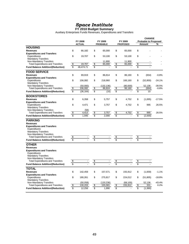**FY 2010 Budget Summary**

Auxiliary Enterprises Funds Revenues, Expenditures and Transfers

|                                                                    |                          |                          |                                |                        | <b>CHANGE</b>                  |          |
|--------------------------------------------------------------------|--------------------------|--------------------------|--------------------------------|------------------------|--------------------------------|----------|
|                                                                    |                          | FY 2008                  | FY 2009                        | FY 2009                | <b>Probable to Proposed</b>    |          |
|                                                                    |                          | <b>ACTUAL</b>            | <b>PROBABLE</b>                | <b>PROPOSED</b>        | Amount                         | %        |
| <b>HOUSING</b>                                                     |                          |                          |                                |                        |                                |          |
| <b>Revenues</b>                                                    | \$                       | 66,182                   | \$<br>65,000                   | \$<br>65.000           | \$                             |          |
| <b>Expenditures and Transfers</b>                                  |                          |                          |                                |                        |                                |          |
| Expenditures                                                       | \$                       | 19,707                   | \$<br>53,100                   | \$<br>53,100           | \$                             |          |
| <b>Mandatory Transfers</b>                                         |                          |                          |                                |                        |                                |          |
| Non-Mandatory Transfers                                            | \$                       | 19.707                   | \$<br>11,900<br>65,000         | \$<br>11,900<br>65,000 | \$                             |          |
| <b>Total Expenditures and Transfers</b>                            | \$                       |                          | \$                             | \$                     |                                |          |
| <b>Fund Balance Addition/(Reduction)</b>                           |                          | 46,474.71                |                                |                        | \$                             |          |
| <b>FOOD SERVICE</b>                                                |                          |                          |                                |                        |                                |          |
| <b>Revenues</b>                                                    | \$                       | 69,919                   | \$<br>86,814                   | \$<br>86,160           | \$<br>(654)                    | $-0.8%$  |
| <b>Expenditures and Transfers</b>                                  |                          |                          |                                |                        |                                |          |
| Expenditures                                                       | \$                       | 156,082                  | \$<br>218,960                  | \$<br>166,160          | \$<br>(52, 800)                | $-24.1%$ |
| <b>Mandatory Transfers</b>                                         |                          |                          |                                |                        |                                |          |
| Non-Mandatory Transfers                                            |                          | (50,000)                 | (132, 136)                     | (80,000)               | 52,136                         | $-39.5%$ |
| <b>Total Expenditures and Transfers</b>                            | \$                       | 106,082                  | \$<br>86,824                   | \$<br>86,160           | \$<br>(664)                    | $-0.8%$  |
| <b>Fund Balance Addition/(Reduction)</b>                           | \$                       | (36, 164)                | \$<br>(10)                     | \$                     | \$<br>10                       |          |
| <b>BOOKSTORES</b>                                                  |                          |                          |                                |                        |                                |          |
| <b>Revenues</b>                                                    | \$                       | 6,358                    | \$<br>5,757                    | \$<br>4,752            | \$<br>(1,005)                  | $-17.5%$ |
| <b>Expenditures and Transfers</b>                                  |                          |                          |                                |                        |                                |          |
| Expenditures                                                       | \$                       | 4,471                    | \$<br>3,757                    | \$<br>4,752            | \$<br>995                      | 26.5%    |
| <b>Mandatory Transfers</b>                                         |                          |                          |                                |                        |                                |          |
| Non-Mandatory Transfers                                            |                          | (58)                     |                                |                        |                                |          |
| <b>Total Expenditures and Transfers</b>                            | \$                       | 4,413                    | \$<br>3,757                    | \$<br>4,752            | \$<br>995                      | 26.5%    |
| <b>Fund Balance Addition/(Reduction)</b>                           | \$                       | 1,945                    | \$<br>2,000                    | \$                     | \$<br>(2,000)                  |          |
| <b>PARKING</b>                                                     |                          |                          |                                |                        |                                |          |
| <b>Revenues</b>                                                    |                          |                          |                                |                        |                                |          |
| <b>Expenditures and Transfers</b>                                  |                          |                          |                                |                        |                                |          |
| Expenditures                                                       |                          |                          |                                |                        |                                |          |
| <b>Mandatory Transfers</b>                                         |                          |                          |                                |                        |                                |          |
| Non-Mandatory Transfers                                            |                          |                          |                                |                        |                                |          |
| <b>Total Expenditures and Transfers</b>                            | \$                       | $\blacksquare$           | \$<br>$\blacksquare$           | \$                     | \$<br>$\overline{\phantom{a}}$ |          |
| <b>Fund Balance Addition/(Reduction)</b>                           | \$                       |                          | \$                             | \$                     | \$                             |          |
| <b>OTHER</b>                                                       |                          |                          |                                |                        |                                |          |
| <b>Revenues</b>                                                    |                          |                          |                                |                        |                                |          |
| <b>Expenditures and Transfers</b>                                  |                          |                          |                                |                        |                                |          |
| Expenditures                                                       |                          |                          |                                |                        |                                |          |
| <b>Mandatory Transfers</b>                                         |                          |                          |                                |                        |                                |          |
| Non-Mandatory Transfers<br><b>Total Expenditures and Transfers</b> | $\overline{\mathcal{S}}$ | $\overline{\phantom{a}}$ | \$<br>$\overline{\phantom{0}}$ | \$                     | \$                             |          |
| <b>Fund Balance Addition/(Reduction)</b>                           | \$                       |                          | \$                             | \$                     | \$                             |          |
|                                                                    |                          |                          |                                |                        |                                |          |
| <b>TOTAL</b><br><b>Revenues</b>                                    | \$                       |                          | \$                             | \$                     | \$                             | $-1.1%$  |
| <b>Expenditures and Transfers</b>                                  |                          | 142,459                  | 157,571                        | 155,912                | (1,659)                        |          |
| Expenditures                                                       | \$                       | 180,261                  | \$<br>275,817                  | \$<br>224,012          | \$<br>(51, 805)                | $-18.8%$ |
| <b>Mandatory Transfers</b>                                         |                          |                          |                                |                        |                                |          |
| Non-Mandatory Transfers                                            |                          | (50,058)                 | (120, 236)                     | (68, 100)              | 52,136                         | $-43.4%$ |
| <b>Total Expenditures and Transfers</b>                            | \$                       | 130,203                  | \$<br>155,581                  | \$<br>155,912          | \$<br>331                      | 0.2%     |
| <b>Fund Balance Addition/(Reduction)</b>                           | \$                       | 12.256                   | \$<br>1.990                    | \$                     | \$<br>(1,990)                  |          |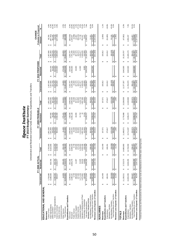|                                                                       |                               |                             |                                    | Unrestricted and Restricted Current Funds Revenues, Expenditures and Transfers | FY 2010 Budget Summary |                   |                             |                                   |                         |                             |                                         |                                          |
|-----------------------------------------------------------------------|-------------------------------|-----------------------------|------------------------------------|--------------------------------------------------------------------------------|------------------------|-------------------|-----------------------------|-----------------------------------|-------------------------|-----------------------------|-----------------------------------------|------------------------------------------|
|                                                                       |                               | FY 2008 ACTUAL              |                                    |                                                                                | FY 2009 PROBABLE       |                   |                             |                                   | FY 2010 PROPOSED        |                             | Probable to Proposed<br>CHANGE          |                                          |
|                                                                       | Unrestricted                  | Restricted                  | Total                              | Unrestricted                                                                   | Restricted             |                   | Total                       | Unrestricted                      | Restricted              | Total                       | Amount                                  | ಸಿ                                       |
| EDUCATIONAL AND GENERAI                                               |                               |                             |                                    |                                                                                |                        |                   |                             |                                   |                         |                             |                                         |                                          |
| Tuition & Fees<br>Revenues                                            | 1,703,085<br>↮                |                             |                                    | 1,851,300                                                                      |                        |                   | 1,851,300                   |                                   |                         | 1,937,095                   |                                         |                                          |
| State Appropriations                                                  | 8,389,300<br>€                | 925,700<br>↮                | 1,703,085<br>9,315,000<br>မှာ မှာ  | 7,941,800<br>မာမာ                                                              | 69                     | 907,582<br>40,600 | 8,849,382<br>မာ-မာ          | 1,937,095<br>7,547,500<br>မှာ မှာ | 834,100<br>69           | 8,381,600<br>မှာ မှာ        | 85,795<br>(467,782)<br>မှာ မှာ          | နိ ့<br>နိ ့ ့ ့ ့ ့ ့<br>နိ ့ ့ ့ ့ ့ ့ |
| Sub-total State Appropriations<br>ARRA and MOE *                      | 8,389,300<br>↮                | $\boldsymbol{\varphi}$      | ↮                                  | 8,488,300<br>546,500<br>$\boldsymbol{\varphi}$                                 | 948,182                |                   | 9,436,482<br>587,100<br>↮   | 8,525,200<br>977,700<br>↮         | 924,500<br>90,400<br>မာ | 9,449,700<br>,068,100<br>↮  | 13,218<br>481,000<br>G <sub>O</sub>     |                                          |
| Grants & Contracts                                                    | 908,627                       | 925,700<br>2,530,377        | 9,315,000                          | 950,000                                                                        | 2,556,365              |                   | 3,506,365                   | 925,000                           | 2,444,000               | 3,369,000                   | (137, 365)                              |                                          |
| Investment Income<br>Sales & Services                                 |                               |                             |                                    |                                                                                |                        |                   |                             |                                   |                         |                             |                                         |                                          |
| Other Sources                                                         | 14,839                        | 266,495<br>3,722,573        | 281,335                            | 41,400                                                                         | 275,441                |                   | 316,841                     | 34,000<br>11,421,295              | 275,000                 | 309,000                     | (7, 841)                                | $-2.5%$<br>$-0.3%$                       |
| Expenditures and Transfers<br><b>Total Revenues</b>                   | 11,015,852<br>↮               | ↮                           | 14,738,425<br>↮                    | 11,331,000<br><b>⊌</b>                                                         | 3,779,988<br>↮         |                   | 15,110,988<br>↮             | ↮                                 | 3,643,500<br>↮          | 15,064,795<br>€             | (46, 193)<br><b>⊌</b>                   |                                          |
| Instruction                                                           | 3,266,832<br>မာ               | 181,160<br>69               | မာ                                 | မာ                                                                             | 128,635                |                   | မာ                          | 3,162,707<br>↮                    | မာ                      | 3,292,707<br>မာ             | မာ                                      |                                          |
| Research                                                              | 3,396,161                     | 3,594,279                   | 3,447,992<br>6,990,440             | 3,466,905<br>3,150,341                                                         | 3,445,128              |                   | 3,595,540<br>6,595,469      | 4,245,296                         | 130,000<br>3,456,000    | 7,701,296                   | $(302, 833)$<br>1, 105, 827             | 8.4%<br>16.8%<br>-24.6%                  |
| Public Service                                                        | 5,738                         |                             | 5,738                              | 20,298                                                                         |                        |                   | 20,298                      | 15,300                            |                         | 15,300                      | (4,998)                                 |                                          |
| Academic Support<br>Student Services                                  | 480,668<br>237,266            | 11,397                      | 492,066<br>237,266                 | 413,006<br>252,905                                                             |                        | 44,065            | 252,905<br>457,071          | 427,375<br>184,474                | 40,000                  | 467,375<br>184,474          | (68, 431)<br>10,304                     | 2.3%                                     |
| Institutional Support                                                 | 1,271,159                     | 21,925                      | ,293,083                           | 1,115,018                                                                      |                        | 11,710            | 1,126,728                   | 1,187,977                         | 11,500                  | 1,199,477                   | 72,749                                  |                                          |
| Operation & Maintenance of Plant                                      | 1,875,862                     | 26,634                      | ,902,496                           | 1,897,064                                                                      |                        | $\overline{2}$    | 1,897,088                   | 2,189,035                         |                         | 2,189,035                   | 291,947                                 |                                          |
| Scholarships & Fellowships                                            | 139.408                       | 13,900<br>3,849,295         | 153.308                            | 122,943                                                                        |                        | 6,110             | 129,053                     | 126.500                           | 6,000                   | 132,500                     | 3,447                                   | $77.1%$<br>6.5%<br>6.4%<br>7.7%<br>7.9%  |
| Mandatory Transfers (In)/Out<br>Sub-total Expenditures                | 10,673,094<br>↮               | ↮                           | 14,522,389<br>မာ                   | 10,438,480<br>မာ                                                               | 3,635,672<br>မာ        |                   | 14,074,152<br>မာ            | 11,538,664<br>မာ                  | 3,643,500<br>မာ         | 15,182,164<br>$\Theta$      | 1,108,012<br>↮                          |                                          |
| Non-Mandatory Transfers (In)/Out                                      | 308,465                       |                             | 308,465                            | 352,910                                                                        |                        |                   | 352,910                     | 424,231                           |                         | 424,231                     | 71,321                                  | 20.2%<br>8.2%                            |
| Total Expenditures and Transfers                                      | 10,981,559<br>မာ              | 3,849,295<br>(126,722)<br>↮ | 14,830,854<br>↮                    | 10,791,390<br>ఱ<br>$\Theta$                                                    | 3,635,672<br>မာ        |                   | 14,427,062<br>↮             | 11,962,895<br>↮                   | 3,643,500<br>↮          | 15,606,395<br>↮<br>69       | 1,179,333<br><b>SA</b><br><b>GB</b>     |                                          |
| Revenues Less Expend. & Transfers                                     | 34,293<br>↮                   | ↮                           | (92, 430)<br>↮                     | 539,610                                                                        | 144,316                |                   | 683,926<br>↮                | (541, 600)<br>↮                   | ↮                       | (541,600)                   | (1,225,526)                             |                                          |
| <b>AUXILIARIES</b>                                                    |                               |                             |                                    |                                                                                |                        |                   |                             |                                   |                         |                             |                                         |                                          |
| Expenditures and Transfers<br>Revenues                                | 142,459<br>↮                  |                             | 142,459<br>69                      | 157,571<br>မာ                                                                  |                        |                   | 157,571<br>69               | 155,912<br>↮                      |                         | 155,912<br>မာ               | (1,659)<br>G <sub>O</sub>               | $-1.1%$                                  |
| Expenditures                                                          | 180,261<br>↮                  |                             | 180,261<br>↮                       | 275,817<br>↮                                                                   |                        |                   | 275,817<br>မာ               | 224,012<br>↮                      |                         | 224,012<br>↮                | (51, 805)<br>↮                          | $-18.8%$                                 |
| Non-Mandatory Transfers<br>Mandatory Transfers                        | (50,058)                      |                             | (50,058)                           | (120, 236)                                                                     |                        |                   | (120, 236)                  | (68, 100)                         |                         | (68, 100)                   | 52,136                                  | $-43.4%$<br>0.2%                         |
| Revenues Less Expend. & Transfers<br>Total Expenditures and Transfers | 12,256<br>130,203<br>↮<br>မာ  | $\Theta$<br>↮               | 130,203<br>12,256<br>$\Theta$<br>5 | 1,990<br>155,581<br>$\Theta$<br>↮                                              | ↮                      |                   | 1,990<br>155,581<br>↮<br>69 | 155,912<br>$\Theta$<br>မာ         | ↮<br>မာ                 | 155,912<br>$\Theta$<br>5    | (1,990)<br>331<br>$\Theta$<br>မာ        |                                          |
|                                                                       |                               |                             |                                    |                                                                                |                        |                   |                             |                                   |                         |                             |                                         |                                          |
| <b>TOTALS</b><br>Revenues                                             |                               | 3,722,573<br>↮              | 14,880,883                         |                                                                                |                        |                   |                             |                                   |                         |                             | မာ                                      |                                          |
| Expenditures and Transfers                                            | 11,158,311<br>↮               |                             | ↮                                  | 11,488,571<br>↮                                                                | 3,779,988<br>↮         |                   | 15,268,559<br>↮             | 11,577,207<br>↮                   | 3,643,500<br>↮          | 15,220,707<br>↮             | (47, 852)                               | $-0.3%$                                  |
| Mandatory Transfers<br>Expenditures                                   | 10,853,355<br>↮               | 3,849,295<br>↮              | 14,702,650<br>↮                    | 10,714,297<br>↮                                                                | 3,635,672<br>မာ        |                   | 14,349,969<br>↮             | 11,762,676<br>မာ                  | 3,643,500<br>မာ         | 15,406,176<br>69            | 1,056,207<br>69                         | 7.4%                                     |
| Total Expenditures and Transfers<br>Non-Mandatory Transfers           | 11, 111, 762<br>258,407<br>မာ | 3,849,295<br>69             | 258,407<br>14,961,057              | 232,674<br>10,946,97<br>↮<br>↮                                                 | 3,635,672              |                   | 232,674<br>14,582,643       | 356,131<br>12,118,807             | 3,643,500               | 356,131<br>15,762,307<br>မာ | 1,179,664<br>123,457<br>$\omega$<br>GG. | 53.1%<br>8.1%                            |
| Revenues Less Expend. & Transfers                                     | 46,549<br>↮                   | (126, 722)<br>↮             | (80, 174)<br>↮                     | 541,600                                                                        | 144,316<br>↮           |                   | 685,916<br>$\Theta$         | (541, 600)<br>$\Theta$            | ↮                       | (541,600)<br>$\Theta$       | (1,227,516)                             |                                          |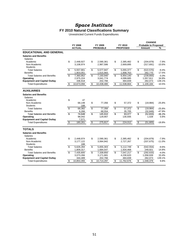#### **FY 2010 Natural Classifications Summary**

Unrestricted Current Funds Expenditures

|                                     |                                  |               |                                  |                 |                         |                 |                          | <b>CHANGE</b>               |          |
|-------------------------------------|----------------------------------|---------------|----------------------------------|-----------------|-------------------------|-----------------|--------------------------|-----------------------------|----------|
|                                     |                                  | FY 2008       |                                  | FY 2009         |                         | FY 2010         |                          | <b>Probable to Proposed</b> |          |
|                                     |                                  | <b>ACTUAL</b> |                                  | <b>PROBABLE</b> |                         | <b>PROPOSED</b> |                          | Amount                      | %        |
| <b>EDUCATIONAL AND GENERAL</b>      |                                  |               |                                  |                 |                         |                 |                          |                             |          |
| <b>Salaries and Benefits</b>        |                                  |               |                                  |                 |                         |                 |                          |                             |          |
| Salaries                            |                                  |               |                                  |                 |                         |                 |                          |                             |          |
| Academic                            | \$                               | 2,448,927     | \$                               | 2,590,361       | \$                      | 2,385,482       | \$                       | (204, 879)                  | $-7.9%$  |
| Non-Academic                        |                                  | 3,108,974     |                                  | 2,987,586       |                         | 2,669,895       |                          | (317, 691)                  | $-10.6%$ |
| <b>Students</b>                     |                                  |               |                                  |                 |                         |                 |                          |                             |          |
| <b>Total Salaries</b>               | \$                               | 5,557,901     | \$                               | 5,577,947       | \$                      | 5,055,377       | \$                       | (522, 570)                  | $-9.4%$  |
| <b>Benefits</b>                     |                                  | 1,803,051     |                                  | 1,615,993       |                         | 1,898,763       |                          | 282,770                     | 17.5%    |
| <b>Total Salaries and Benefits</b>  | \$                               | 7,360,952     | \$                               | 7,193,940       | \$                      | 6,954,140       | \$                       | (239, 800)                  | $-3.3%$  |
| Operating                           |                                  | 2,975,224     |                                  | 3,041,774       |                         | 4,099,685       |                          | 1,057,911                   | 34.8%    |
| <b>Equipment and Capital Outlay</b> |                                  | 336,918       |                                  | 202,766         |                         | 484,839         |                          | 282,073                     | 139.1%   |
| <b>Total Expenditures</b>           | \$                               | 10,673,094    | \$                               | 10,438,480      | \$                      | 11,538,664      | \$                       | 1,100,184                   | 10.5%    |
|                                     |                                  |               |                                  |                 |                         |                 |                          |                             |          |
| <b>AUXILIARIES</b>                  |                                  |               |                                  |                 |                         |                 |                          |                             |          |
| <b>Salaries and Benefits</b>        |                                  |               |                                  |                 |                         |                 |                          |                             |          |
| <b>Salaries</b>                     |                                  |               |                                  |                 |                         |                 |                          |                             |          |
| Academic                            | \$                               | 47            |                                  |                 |                         |                 |                          |                             |          |
| Non-Academic                        |                                  | 68,148        | \$                               | 77,356          | \$                      | 57,372          | \$                       | (19, 984)                   | $-25.8%$ |
| <b>Students</b>                     |                                  | 188           |                                  |                 |                         |                 |                          |                             |          |
| <b>Total Salaries</b>               | \$                               | 68,382        | \$                               | 77,356          | \$                      | 57,372          | \$                       | (19, 984)                   | $-25.8%$ |
| <b>Benefits</b>                     |                                  | 6,266         |                                  | 68,554          |                         | 35,705          |                          | (32, 849)                   | $-47.9%$ |
| <b>Total Salaries and Benefits</b>  | \$                               | 74.648        | \$                               | 145.910         | $\overline{\mathbf{S}}$ | 93.077          | \$                       | (52, 833)                   | $-36.2%$ |
| Operating                           |                                  | 98,042        |                                  | 129,907         |                         | 130,935         |                          | 1,028                       | 0.8%     |
| <b>Equipment and Capital Outlay</b> |                                  | 7,571         |                                  |                 |                         |                 |                          |                             |          |
| <b>Total Expenditures</b>           | $\overline{\boldsymbol{\theta}}$ | 180,261       | $\overline{\boldsymbol{\theta}}$ | 275,817         | $\overline{\mathbf{e}}$ | 224,012         | $\overline{\mathcal{E}}$ | (51, 805)                   | $-18.8%$ |
| <b>TOTALS</b>                       |                                  |               |                                  |                 |                         |                 |                          |                             |          |
| <b>Salaries and Benefits</b>        |                                  |               |                                  |                 |                         |                 |                          |                             |          |
| Salaries                            |                                  |               |                                  |                 |                         |                 |                          |                             |          |
| Academic                            | \$                               | 2,448,974     | \$                               | 2,590,361       | \$                      | 2,385,482       | \$                       | (204, 879)                  | $-7.9%$  |
| Non-Academic                        |                                  | 3,177,122     |                                  | 3,064,942       |                         | 2,727,267       |                          | (337, 675)                  | $-11.0%$ |
| <b>Students</b>                     |                                  | 188           |                                  |                 |                         |                 |                          |                             |          |
| <b>Total Salaries</b>               | \$                               | 5,626,284     | \$                               | 5,655,303       | \$                      | 5.112.749       | \$                       | (542, 554)                  | $-9.6%$  |
| <b>Benefits</b>                     |                                  | 1,809,317     |                                  | 1,684,547       |                         | 1,934,468       |                          | 249,921                     | 14.8%    |
| <b>Total Salaries and Benefits</b>  | \$                               | 7,435,600     | \$                               | 7,339,850       | \$                      | 7,047,217       | \$                       | (292, 633)                  | $-4.0%$  |
| Operating                           |                                  | 3,073,266     |                                  | 3,171,681       |                         | 4,230,620       |                          | 1,058,939                   | 33.4%    |
| <b>Equipment and Capital Outlay</b> |                                  | 344,489       |                                  | 202,766         |                         | 484,839         |                          | 282,073                     | 139.1%   |
| <b>Total Expenditures</b>           | \$                               | 10,853,355    | \$                               | 10,714,297      | \$                      | 11,762,676      | \$                       | 1,048,379                   | 9.8%     |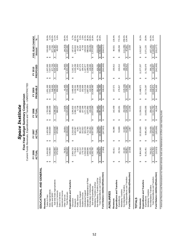| ı |
|---|
|   |
|   |
|   |
|   |
|   |
|   |
|   |
|   |

**Five-Year Budget Summary Comparison**<br>Current Funds Revenues, Expenditures and Transfers - UNRESTRICTED Current Funds Revenues, Expenditures and Transfers - UNRESTRICTED **Five-Year Budget Summary Comparison**

|                                                             |                            | FY 2006<br>ACTUAL      |                            | FY 2007<br>ACTUAL      |                            | FY 2008<br>ACTUAL     |                        | PROBABLE<br>FY 2009   |                        | PROPOSED<br>FY 2010               | Amount                | FIVE-YEAR CHANGE        | %                   |
|-------------------------------------------------------------|----------------------------|------------------------|----------------------------|------------------------|----------------------------|-----------------------|------------------------|-----------------------|------------------------|-----------------------------------|-----------------------|-------------------------|---------------------|
| ₹<br>EDUCATIONAL AND GENER                                  |                            |                        |                            |                        |                            |                       |                        |                       |                        |                                   |                       |                         |                     |
| Tuition & Fees<br>Revenues                                  |                            |                        |                            |                        |                            | 1,703,085             |                        | 1,851,300             |                        |                                   |                       | 533,069                 | 38.0%               |
| State Appropriations<br>ARRA and MOE *                      | မှာ မှာ                    | 1,404,026<br>7,540,900 | မှာ မှာ                    | 1,429,366<br>7,919,600 | မာ မာ                      | 8,389,300             | မာမာ                   | 7,941,800<br>546,500  | မာ မာ                  | 1,937,095<br>7,547,500<br>977,700 | မှာ မှာ               | 6,600<br>977,700        | 0.1%<br>100.0%      |
| Sub-total State Appropriations                              | ↮                          | 7,540,900              | ↮                          | 7,919,600              | ↮                          | 8,389,300             | ↮                      | 8,488,300             | $\boldsymbol{\varphi}$ | 8,525,200                         | ↮                     | 984,300                 | 13.1%               |
| Grants & Contracts                                          |                            | 875,550                |                            | 870,999                |                            | 908,627               |                        | 950,000               |                        | 925,000                           |                       | 49,450                  | 5.6%                |
| Investment Income<br>Sales & Services                       |                            |                        |                            |                        |                            |                       |                        |                       |                        |                                   |                       |                         |                     |
| Other Sources                                               |                            | 78,353                 |                            | 28,654                 |                            | 14,839                |                        | 41,400                |                        | 34,000                            |                       | (44, 353)               | -56.6%<br>15.4%     |
| Expenditures and Transfers<br><b>Total Revenues</b>         | $\boldsymbol{\varphi}$     | 9,898,829              | $\Theta$                   | 10,248,618             | $\boldsymbol{\varphi}$     | 11,015,852            | ↮                      | 11,331,000            | $\boldsymbol{\varphi}$ | 11,421,295                        | $\boldsymbol{\omega}$ | 1,522,466               |                     |
| Instruction                                                 | ↮                          | 2,964,733              | ↮                          | 3,218,455              | ↮                          | 3,266,832             | ↮                      | 3,466,905             | ↮                      | 3,162,707                         | ↮                     | 197,974                 | 6.7%                |
| Research                                                    |                            | 2,778,453              |                            | 3,020,587              |                            | 3,396,161             |                        | 3,150,341             |                        | 4,245,296                         |                       | 1,466,843               | 52.8%               |
| Academic Support<br><b>Public Service</b>                   |                            | 2,003<br>391,112       |                            | 9,291<br>381,237       |                            | 5,738<br>480,668      |                        | 20,298<br>413,006     |                        | 15,300<br>427,375                 |                       | 36,263<br>13,297        | 663.7%<br>9.3%      |
| <b>Student Services</b>                                     |                            | 179,716                |                            | 222,622                |                            | 237,266               |                        | 252,905               |                        | 184,474                           |                       | 4,758                   | 2.6%                |
| Institutional Support                                       |                            | 1,058,048              |                            | 920,378                |                            | ,271,159              |                        | 1,115,018             |                        | 1,187,977                         |                       | 129,929                 | 12.3%               |
| Operation & Maintenance of Plant                            |                            | 1,608,506              |                            | ,712,760               |                            | ,875,862              |                        | ,897,064              |                        | 2,189,035                         |                       | 580,529                 | 36.1%               |
| Scholarships & Fellowships<br>Sub-total Expenditures        | $\Theta$                   | 9,165,706<br>183,135   | $\Theta$                   | 9,637,593<br>152,262   | $\Theta$                   | 10,673,094<br>139,408 | $\boldsymbol{\varphi}$ | 122,943<br>10,438,480 | $\Theta$               | 126,500<br>11,538,664             | $\Theta$              | (56, 635)<br>2,372,958  | 30.9%<br>25.9%      |
| Mandatory Transfers (In)/Out                                |                            |                        |                            |                        |                            |                       |                        |                       |                        |                                   |                       |                         |                     |
| Non-Mandatory Transfers (In)/Out                            |                            | 740,206                |                            | 718,949                |                            | 308,465               |                        | 352,910               |                        | 424,231                           |                       | (315, 975)              | $-42.7%$            |
| Total Expenditures and Transfers                            | ↮                          | 9,905,912              | $\boldsymbol{\omega}$      | 0,356,542              | $\Theta$                   | 10,981,559            | $\boldsymbol{\omega}$  | 10,791,390            | $\boldsymbol{\varphi}$ | 1,962,895                         | $\leftrightarrow$     | 2,056,983               | 20.8%               |
| Fund Balance Addition/(Reduction)                           | ∗∥⇔                        | (7,083)                | ↮                          | (107, 923)             | ↮                          | 34,293                | ↔                      | 539,610               | ↮                      | (541,600)                         | ↔                     | (534, 517)              |                     |
| AUXILIARIES                                                 |                            |                        |                            |                        |                            |                       |                        |                       |                        |                                   |                       |                         |                     |
| Revenues                                                    | ↮                          | 65,411                 | ↮                          | 66,386                 | ↮                          | 142,459               | ↮                      | 157,571               | ↮                      | 155,912                           | ↮                     | 90,501                  | 138.4%              |
| Expenditures and Transfers                                  | $\Theta$                   | 25,744                 | ↮                          | 53,809                 | ↮                          | 180,261               | ↮                      | 275,817               | ↮                      | 224,012                           | ↮                     | 198,268                 | 770.1%              |
| Mandatory Transfers<br>Expenditures                         |                            |                        |                            |                        |                            |                       |                        |                       |                        |                                   |                       |                         |                     |
| Total Expenditures and Transfers<br>Non-Mandatory Transfers |                            | 43,106<br>68,851       |                            | 10,490<br>64,299       |                            | (50,058)<br>130,203   | ⊷                      | (120, 236)<br>155,581 |                        | (68, 100)<br>155,912              |                       | (111, 206)<br>87,061    | $-258.0%$<br>126.4% |
| Fund Balance Addition/(Reduction)                           | $\boldsymbol{\omega}$<br>↮ | (3, 439)               | $\boldsymbol{\omega}$<br>↮ | 2,087                  | $\boldsymbol{\omega}$<br>↮ | 12,256                | ↮                      | 1,990                 | $\Theta$<br>မျ         |                                   | ↮<br>⊷                | 3,439                   |                     |
| <b>TOTALS</b>                                               |                            |                        |                            |                        |                            |                       |                        |                       |                        |                                   |                       |                         |                     |
| Revenues                                                    | ↮                          | 9,964,240              | ↮                          | 10,315,005             | ↮                          | 11,158,311            | ↮                      | 11,488,571            | ↮                      | 11,577,207                        | ↮                     | 1,612,967               | 16.2%               |
| Expenditures and Transfers<br>Expenditures                  | ↮                          | 9,191,451              | ↮                          | 9,691,402              | ↮                          | 10,853,355            | ↮                      | 10,714,297            | ↮                      | 11,762,676                        | ↮                     | 2,571,225               | 28.0%               |
| Mandatory Transfers                                         |                            |                        |                            |                        |                            |                       |                        |                       |                        |                                   |                       |                         |                     |
| Total Expenditures and Transfers<br>Non-Mandatory Transfers | ↔                          | 783,312<br>9,974,763   | $\bullet$                  | 729,439<br>10,420,841  | $\Theta$                   | 11,111,762<br>258,407 | $\varphi$              | 232,674<br>10,946,971 | $\Theta$               | 356,131<br>12,118,807             | ↮                     | (427, 181)<br>2,144,044 | -54.5%<br>21.5%     |
| Fund Balance Addition/(Reduction)                           | $\boldsymbol{\varphi}$     | (10, 523)              | $\Theta$                   | (105, 836)             | $\boldsymbol{\varphi}$     | 46,549                | $\Theta$               | 541,600               | $\Theta$               | (541,600)                         | $\Theta$              | (531, 077)              |                     |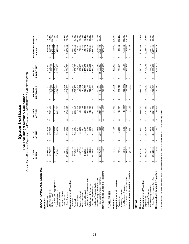| J |
|---|
|   |
|   |
|   |
|   |
|   |

Five-Year Budget Summary Comparison<br>Current Funds Revenues, Expenditures and Transfers - UNRESTRICTED AND RESTRICTED Current Funds Revenues, Expenditures and Transfers - UNRESTRICTED AND RESTRICTED **Five-Year Budget Summary Comparison**

|                                                                |                             | FY 2006<br>ACTUAL    |                         | ACTUAL<br>FY 2007     |          | FY 2008<br>ACTUAL      |                       | PROBABLE<br>FY 2009  |                       | PROPOSED<br>FY 2010    | Amount                  | FIVE-YEAR CHANGE     | ℅                 |
|----------------------------------------------------------------|-----------------------------|----------------------|-------------------------|-----------------------|----------|------------------------|-----------------------|----------------------|-----------------------|------------------------|-------------------------|----------------------|-------------------|
| ₹<br>EDUCATIONAL AND GENER                                     |                             |                      |                         |                       |          |                        |                       |                      |                       |                        |                         |                      |                   |
| Revenues                                                       |                             |                      |                         |                       |          |                        |                       |                      |                       |                        |                         |                      |                   |
| Tuition & Fees                                                 | မာ မာ                       | 1,404,026            | မာ မာ                   | 1,429,366             | မာ မာ    | 1,703,085<br>9,315,000 | မာမာ                  | 1,851,300            | မှာ မှာ               | 1,937,095              | မာ မာ                   | 533,069              | 38.0%             |
| State Appropriations<br>ARRA and MOE *                         |                             | 8,392,200            |                         | 8,808,900             |          |                        |                       | 8,849,382<br>587,100 |                       | 8,381,600<br>1,068,100 |                         | (10, 600)<br>068,100 | $-0.1%$<br>100.0% |
| Sub-total State Appropriations                                 | $\boldsymbol{\varphi}$      | 8,392,200            | ↮                       | 8,808,900             | $\Theta$ | 9,315,000              | ↮                     | 9,436,482            | ↮                     | 9,449,700              | ↔                       | 1,057,500            | 12.6%             |
| Grants & Contracts<br>Sales & Services                         |                             | 3,023,491            |                         | 3,318,990             |          | 3,439,005              |                       | 3,506,365            |                       | 3,369,000              |                         | 345,509              | 11.4%             |
| Investment Income                                              |                             |                      |                         |                       |          |                        |                       |                      |                       |                        |                         |                      |                   |
| Other Sources                                                  |                             | 187,214              |                         | 172,450               |          | 281,335                |                       | 316,841              |                       | 309.000                |                         | 121,786              |                   |
| <b>Total Revenues</b>                                          | $\boldsymbol{\varphi}$      | 3,006,930            | $\pmb{\leftrightarrow}$ | 13,729,706            | $\Theta$ | 14,738,425             | ↔                     | 5,110,988            | $\boldsymbol{\omega}$ | 5,064,795              | $\varphi$               | 2,057,865            | 65.1%<br>15.8%    |
| Expenditures and Transfers                                     |                             |                      |                         |                       |          |                        |                       |                      |                       |                        |                         |                      |                   |
| Instruction                                                    | ↔                           | 3,067,229            | ↔                       | 3,285,367             | ↮        | 3,447,992              | ↔                     | 3,595,540            | ↔                     | 3,292,707              | ↮                       | 225,478              | 7.4%              |
| Research                                                       |                             | 5,745,692            |                         | 6,504,934             |          | 6,990,440              |                       | 6,595,469            |                       | 7,701,296              |                         | ,955,604             | 34.0%             |
| Public Service                                                 |                             | 2,003                |                         | 9,291                 |          | 5,738                  |                       | 20,298               |                       | 15,300                 |                         | 13,297               | 663.7%            |
| Academic Support                                               |                             | 397,174              |                         | 393,253               |          | 492,066                |                       | 457,071              |                       | 467,375                |                         | 70,201               | 17.7%             |
| <b>Student Services</b>                                        |                             | 179,716              |                         | 222,622               |          | 237,266                |                       | 252,905              |                       | 184,474                |                         | 4,758                | 2.6%              |
| Institutional Support                                          |                             | 1,060,301            |                         | 946,497               |          | ,293,083               |                       | 1,126,728            |                       | 1,199,477              |                         | 139,176              | 13.1%             |
| Operation & Maintenance of Plant<br>Scholarships & Fellowships |                             | 1,608,506<br>194,835 |                         | ,712,760<br>160,612   |          | ,902,496<br>153,308    |                       | 1,897,088<br>129,053 |                       | 2,189,035<br>132,500   |                         | (62, 335)<br>580,529 | 36.1%<br>$-32.0%$ |
| Sub-total Expenditures                                         | ↔                           | 12,255,457           | $\boldsymbol{\varphi}$  | 13,235,337            | $\Theta$ | 14,522,389             | $\Theta$              | 14,074,152           | $\Theta$              | 15,182,164             | $\Theta$                | 2,926,707            | 23.9%             |
| Mandatory Transfers (In)/Out                                   |                             |                      |                         |                       |          |                        |                       |                      |                       |                        |                         |                      |                   |
| Non-Mandatory Transfers (In)/Out                               |                             | 740,206              |                         | 718,949               |          | 308,465                |                       | 352,910              |                       | 424,231                |                         | (315, 975)           | $-42.7%$          |
| Total Expenditures and Transfers                               | $\mathfrak{S}_{\mathbb{Z}}$ | 12,995,663           | $ \omega $              | 13,954,286            | $\Theta$ | 14,830,854             | $\boldsymbol{\omega}$ | 14,427,062           | $\bullet$             | 15,606,395             | $ \boldsymbol{\omega} $ | 2,610,732            | 20.1%             |
| Revenues Less Expend. & Transfer                               | ↔                           | 11,267               | ↮                       | (224, 580)            | $\Theta$ | (92, 430)              | $\Theta$              | 683,926              | $\Theta$              | (541, 600)             | $\Theta$                | (552,867)            |                   |
| <b>AUXILIARIES</b>                                             |                             |                      |                         |                       |          |                        |                       |                      |                       |                        |                         |                      |                   |
| Revenues                                                       | ↮                           | 65,411               | ↮                       | 66,386                | ↔        | 142,459                | ↔                     | 157,571              | ↔                     | 155,912                | ↮                       | 90,501               | 138.4%            |
| Expenditures and Transfers                                     |                             |                      |                         |                       |          |                        |                       |                      |                       |                        |                         |                      |                   |
| Expenditures                                                   | ↮                           | 25,744               | ↮                       | 53,809                | ↮        | 180,261                | ↮                     | 275,817              | ↮                     | 224,012                | ↮                       | 198,268              | 770.1%            |
| Non-Mandatory Transfers<br>Mandatory Transfers                 |                             | 43,106               |                         | 10,490                |          | (50,058)               |                       | (120, 236)           |                       | (68, 100)              |                         | (111, 206)           | $-258.0%$         |
| Total Expenditures and Transfers                               | ↮                           | 68,851               | $\boldsymbol{\varphi}$  | 64,299                | ↮        | 30,203                 | ↮                     | 155,581              | ↔                     | 155,912                | ↔                       | 87,061               | 126.4%            |
| Revenues Less Expend. & Transfers                              | $\theta$                    | (3, 439)             | ↔                       | 2,087                 | ↔        | 12,256                 | $\theta$              | 1,990                | $\Theta$              |                        | $\Theta$                | 3,439                |                   |
| <b>TOTALS</b>                                                  |                             |                      |                         |                       |          |                        |                       |                      |                       |                        |                         |                      |                   |
| Revenues                                                       | ↮                           | 13,072,341           | ↮                       | 13,796,092            | ↮        | 14,880,883             | ↮                     | 15,268,559           | ↮                     | 15,220,707             | ↮                       | 2,148,366            | 16.4%             |
| Expenditures and Transfers                                     |                             |                      |                         |                       |          |                        |                       |                      |                       |                        |                         |                      |                   |
| Expenditures                                                   | ↮                           | 12,281,201           | ↔                       | 13,289,146            | ↮        | 14,702,650             | ↔                     | 14,349,969           | ↔                     | 15,406,176             | ↮                       | 3,124,975            | 25.4%             |
| Non-Mandatory Transfers<br>Mandatory Transfers                 |                             | 783,312              |                         |                       |          | 258,407                |                       | 232,674              |                       | 356,131                |                         | (427, 181)           | $-54.5%$          |
| Total Expenditures and Transfers                               | $\frac{1}{2}$               | 13,064,513           | $\frac{1}{2}$           | 729,439<br>14,018,585 | မှာ မှာ  | 14,961,057             | မာ မာ                 | 14,582,643           | $\frac{1}{2}$         | 15,762,307             | မာ မာ                   | 2,697,794            | 20.6%             |
| Revenues Less Expend. & Transfers                              |                             | 7,828                |                         | (222, 493)            |          | (80, 174)              |                       | 685,916              |                       | (541, 600)             |                         | (549, 428)           |                   |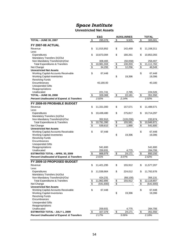#### *Space Institute* **Unrestricted Net Assets**

|                                                       |                 | E&G        |                                  | <b>AUXILIARIES</b> |                                  | <b>TOTAL</b> |
|-------------------------------------------------------|-----------------|------------|----------------------------------|--------------------|----------------------------------|--------------|
| <b>TOTAL - JUNE 30, 2007</b>                          | \$              | 295,076    | $\frac{1}{2}$                    | 9,925              | $\frac{1}{2}$                    | 305,001      |
| <b>FY 2007-08 ACTUAL</b>                              |                 |            |                                  |                    |                                  |              |
| Revenue                                               | \$              | 11,015,852 | \$                               | 142,459            | \$                               | 11,158,311   |
| Less:                                                 |                 |            |                                  |                    |                                  |              |
| Expenditures                                          | \$              | 10,673,094 | \$                               | 180,261            | \$                               | 10,853,355   |
| Mandatory Transfers (In)/Out                          |                 |            |                                  |                    |                                  |              |
| Non-Mandatory Transfers(In)/Out                       |                 | 308,465    |                                  | (50,058)           |                                  | 258,407      |
| <b>Total Expenditures &amp; Transfers</b>             | \$              | 10,981,559 | $\frac{1}{2}$                    | 130,203            | \$                               | 11,111,762   |
| Net Change                                            | \$              | 34,293     | $\overline{\boldsymbol{\theta}}$ | 12,256             | $\overline{\boldsymbol{\theta}}$ | 46,549       |
| <b>Unrestricted Net Assets</b>                        |                 |            |                                  |                    |                                  |              |
| <b>Working Capital-Accounts Receivable</b>            | \$              | 67,448     |                                  |                    | \$                               | 67,448       |
| <b>Working Capital-Inventories</b>                    |                 |            | \$                               | 19,396             |                                  | 19,396       |
| <b>Revolving Funds</b>                                |                 |            |                                  |                    |                                  |              |
| Encumbrances                                          |                 | 40,180.00  |                                  |                    |                                  | 40,180       |
| <b>Unexpended Gifts</b>                               |                 |            |                                  |                    |                                  |              |
| Reappropriations                                      |                 |            |                                  |                    |                                  |              |
| Unallocated                                           |                 | 221,741    |                                  | 2,785              |                                  | 224,526      |
| <b>TOTAL - JUNE 30, 2008</b>                          | \$              | 329,369    | $\frac{1}{2}$                    | 22,181             | \$                               | 351,550      |
| <b>Percent Unallocated of Expend. &amp; Transfers</b> |                 | 2.02%      |                                  | 2.14%              |                                  | 2.02%        |
| FY 2008-09 PROBABLE BUDGET                            |                 |            |                                  |                    |                                  |              |
| Revenue                                               | \$              | 11,331,000 | \$                               | 157,571            | \$                               | 11,488,571   |
| Less:                                                 |                 |            |                                  |                    |                                  |              |
| Expenditures                                          | \$              | 10,438,480 | \$                               | 275,817            | \$                               | 10,714,297   |
| Mandatory Transfers (In)/Out                          |                 |            |                                  |                    |                                  |              |
| Non-Mandatory Transfers(In)/Out                       |                 | 352,910    |                                  | (120, 236)         |                                  | 232,674      |
| <b>Total Expenditures &amp; Transfers</b>             | \$              | 10,791,390 | $\frac{1}{2}$                    | 155,581            | \$                               | 10,946,971   |
| Net Change                                            | \$              | 539,610    | $\overline{\$}$                  | 1,990              | \$                               | 541,600      |
| <b>Unrestricted Net Assets</b>                        |                 |            |                                  |                    |                                  |              |
| Working Capital-Accounts Receivable                   | \$              | 67,448     |                                  |                    | \$                               | 67,448       |
| <b>Working Capital-Inventories</b>                    |                 |            | \$                               | 19,396             |                                  | 19,396       |
| <b>Revolving Funds</b>                                |                 |            |                                  |                    |                                  |              |
| Encumbrances                                          |                 |            |                                  |                    |                                  |              |
| <b>Unexpended Gifts</b>                               |                 |            |                                  |                    |                                  |              |
| Reappropriations                                      |                 | 541,600    |                                  |                    |                                  | 541,600      |
| Unallocated                                           |                 | 259,931    |                                  | 4,775              |                                  | 264,706      |
| <b>ESTIMATED TOTAL - APRIL 30, 2009</b>               | \$              | 868,979    | \$                               | 24,171             | \$                               | 893,150      |
| <b>Percent Unallocated of Expend. &amp; Transfers</b> |                 | 2.41%      |                                  | 3.07%              |                                  | 2.42%        |
| FY 2009-10 PROPOSED BUDGET                            |                 |            |                                  |                    |                                  |              |
| Revenue                                               | \$              | 11,421,295 | \$                               | 155,912            | \$                               | 11,577,207   |
| Less:                                                 |                 |            |                                  |                    |                                  |              |
| Expenditures                                          | \$              | 11,538,664 | \$                               | 224,012            | \$                               | 11,762,676   |
| Mandatory Transfers (In)/Out                          |                 |            |                                  |                    |                                  |              |
| Non-Mandatory Transfers(In)/Out                       |                 | 424,231    |                                  | (68, 100)          |                                  | 356,131      |
| <b>Total Expenditures &amp; Transfers</b>             | \$              | 11,962,895 | $\boldsymbol{\$}$                | 155,912            | \$                               | 12,118,807   |
| Net Change                                            | $\overline{\$}$ | (541, 600) | $\overline{\mathbf{e}}$          |                    | $\overline{\mathbf{e}}$          | (541, 600)   |
| <b>Unrestricted Net Assets</b>                        |                 |            |                                  |                    |                                  |              |
| Working Capital-Accounts Receivable                   | \$              | 67,448     |                                  |                    | \$                               | 67,448       |
| <b>Working Capital-Inventories</b>                    |                 |            | \$                               | 19,396             |                                  | 19,396       |
| <b>Revolving Funds</b>                                |                 |            |                                  |                    |                                  |              |
| Encumbrances                                          |                 |            |                                  |                    |                                  |              |
| <b>Unexpended Gifts</b>                               |                 |            |                                  |                    |                                  |              |
| Reappropriations                                      |                 |            |                                  |                    |                                  |              |
| Unallocated                                           |                 | 259,931    |                                  | 4,775              |                                  | 264,706      |
| <b>ESTIMATED TOTAL - JULY 1, 2009</b>                 | \$              | 327,379    | \$                               | 24.171             | \$                               | 351,550      |
| <b>Percent Unallocated of Expend. &amp; Transfers</b> |                 | 2.17%      |                                  | 3.06%              |                                  | 2.18%        |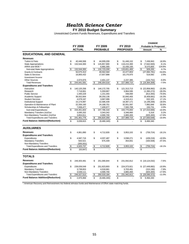#### *Health Science Center*

#### **FY 2010 Budget Summary**

Unrestricted Current Funds Revenues, Expenditures and Transfers

|                                                       |                   |                          |                          | <b>CHANGE</b>               |                      |
|-------------------------------------------------------|-------------------|--------------------------|--------------------------|-----------------------------|----------------------|
|                                                       | <b>FY 2008</b>    | FY 2009                  | FY 2010                  | <b>Probable to Proposed</b> |                      |
|                                                       | <b>ACTUAL</b>     | <b>PROBABLE</b>          | <b>PROPOSED</b>          | Amount                      | %                    |
| <b>EDUCATIONAL AND GENERAL</b>                        |                   |                          |                          |                             |                      |
| <b>Revenues</b>                                       |                   |                          |                          |                             |                      |
| <b>Tuition &amp; Fees</b>                             | \$<br>40,446,568  | \$<br>44,009,209         | \$<br>51,446,152         | \$<br>7,436,943             | 16.9%                |
| <b>State Appropriations</b>                           | \$<br>132,544,300 | \$<br>125,857,900        | \$<br>118,215,300        | \$<br>(7,642,600)           | $-6.1%$              |
| ARRA and MOE *                                        |                   | 6,865,300                | 15,436,100               | 8,570,800                   | 124.8%               |
| Sub-total State Appropriations                        | \$<br>132,544,300 | \$<br>132,723,200        | \$<br>133,651,400        | \$<br>928,200               | 0.7%                 |
| <b>Grants &amp; Contracts</b>                         | 50,575,313        | 49,562,584               | 22,477,803               | (27,084,781)                | $-54.6%$             |
| Sales & Services                                      | 18,800,432        | 17,657,888               | 18,176,970               | 519,082                     | 2.9%                 |
| Investment Income                                     |                   |                          |                          |                             |                      |
| <b>Other Sources</b>                                  | 2,074,979         | 2,401,137                | 2,237,385                | (163, 752)                  | $-6.8%$              |
| <b>Total Revenues</b>                                 | 244,441,591       | \$<br>246,354,018        | \$<br>227,989,710        | \$<br>(18, 364, 308)        | $-7.5%$              |
| <b>Expenditures and Transfers</b>                     |                   |                          |                          |                             |                      |
| Instruction                                           | \$<br>140,120,268 | \$<br>144, 172, 705      | \$<br>121,313,713        | $$$ (22,858,992)            | $-15.9%$             |
| Research                                              | 7,719,661         | 5,359,867                | 3,964,595                | (1, 395, 272)               | $-26.0%$             |
| <b>Public Service</b>                                 | 1,440,229         | 1,151,355                | 338,000                  | (813, 355)                  | $-70.6%$             |
| Academic Support                                      | 36,552,844        | 39,250,136               | 32,840,455               | (6,409,681)                 | $-16.3%$             |
| <b>Student Services</b>                               | 4,079,197         | 3,687,086                | 4,319,411                | 632,325                     | 17.1%                |
| <b>Institutional Support</b>                          | 15,174,997        | 22,586,439               | 18,387,171               | (4, 199, 268)               | $-18.6%$             |
| Operation & Maintenance of Plant                      | 22,356,160        | 24,168,751               | 32,051,597               | 7,882,846                   | 32.6%                |
| Scholarships & Fellowships                            | 7,008,477         | 7,409,977                | 7,560,708                | 150,731                     | 2.0%                 |
| Sub-total Expenditures                                | \$<br>234,451,833 | \$<br>247,786,316        | \$<br>220,775,650        | \$ (27,010,666)             | $-10.9%$             |
| Mandatory Transfers (In)/Out                          | 3,095,332         | 3,343,342                | 3,348,660                | 5,318                       | 0.2%                 |
| Non-Mandatory Transfers (In)/Out                      | 3,854,611         | 4,690,700                | 3,865,400                | (825, 300)                  | $-17.6%$             |
| <b>Total Expenditures and Transfers</b>               | \$<br>241,401,776 | \$<br>255,820,358        | \$<br>227,989,710        | \$(27,830,648)              | $-10.9%$             |
| <b>Fund Balance Addition/(Reduction)</b>              | \$<br>3,039,815   | \$<br>(9,466,340)        | \$                       | \$<br>9,466,340             |                      |
| <b>AUXILIARIES</b>                                    |                   |                          |                          |                             |                      |
| <b>Revenues</b>                                       | \$                | \$<br>4,712,826          | \$<br>3,953,102          | \$<br>(759, 724)            | $-16.1%$             |
|                                                       | 4,861,890         |                          |                          |                             |                      |
| <b>Expenditures and Transfers</b>                     |                   |                          |                          |                             |                      |
| Expenditures                                          | \$<br>4,587,716   | \$<br>4,037,487          | \$<br>3,598,271          | \$<br>(439, 216)            | $-10.9%$             |
| <b>Mandatory Transfers</b>                            | 643,521           | 675,339                  | 354,831                  | (320, 508)                  | $-47.5%$             |
| Non-Mandatory Transfers                               | (305, 501)        |                          |                          |                             |                      |
| <b>Total Expenditures and Transfers</b>               | \$<br>4,925,737   | \$<br>4,712,826          | \$<br>3,953,102          | \$<br>(759,724)             | $-16.1%$             |
| <b>Fund Balance Addition/(Reduction)</b>              | \$<br>(63, 847)   | \$                       | \$                       | \$                          |                      |
| <b>TOTALS</b>                                         |                   |                          |                          |                             |                      |
| <b>Revenues</b>                                       | \$<br>249,303,481 | \$<br>251,066,844        | \$<br>231,942,812        | \$(19, 124, 032)            | $-7.6%$              |
| <b>Expenditures and Transfers</b>                     |                   |                          |                          |                             |                      |
|                                                       |                   |                          |                          |                             |                      |
| Expenditures                                          | \$<br>239,039,549 | \$<br>251,823,803        | \$<br>224,373,921        | $$$ (27,449,882)            | $-10.9%$<br>$-7.8%$  |
| <b>Mandatory Transfers</b><br>Non-Mandatory Transfers | 3,738,853         | 4,018,681                | 3,703,491                | (315, 190)                  |                      |
|                                                       | 3,549,111         | 4,690,700<br>260,533,184 | 3,865,400<br>231,942,812 | (825, 300)                  | $-17.6%$<br>$-11.0%$ |
| <b>Total Expenditures and Transfers</b>               | \$<br>246,327,513 | \$                       | \$                       | \$<br>(28, 590, 372)        |                      |
| <b>Fund Balance Addition/(Reduction)</b>              | \$<br>2,975,968   | \$<br>(9,466,340)        | \$                       | \$<br>9,466,340             |                      |

\* American Recovery and Reinvestment Act federal stimulus funds and Maintenance of Effort state matching funds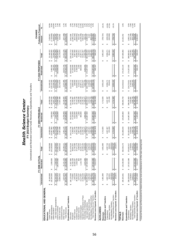| $\ddot{\bm{r}}$<br>֦֧֢ׅ֚  |  |
|---------------------------|--|
| ono<br>ì<br>$\frac{1}{2}$ |  |
| $\overline{a}$<br>ì<br>٢  |  |

**FY 2010 Budget Summar y** Unrestricted and Restricted Current Funds Revenues, Expenditures and Transfers

|                                        |                                       | FY 2008 ACTUAL                                      |                                |                               | FY 2009 PROBABLE                      |                                |                                | FY 2010 PROPOSED   |                                | CHANGE                         |                              |
|----------------------------------------|---------------------------------------|-----------------------------------------------------|--------------------------------|-------------------------------|---------------------------------------|--------------------------------|--------------------------------|--------------------|--------------------------------|--------------------------------|------------------------------|
|                                        | Unrestricted                          | Restricted                                          | Total                          | Unrestricted                  | Restricted                            | Total                          | Unrestricted                   | Restricted         | Total                          | Probable to Proposed<br>Amount | ಸಿ                           |
| EDUCATIONAL AND GENERAL                |                                       |                                                     |                                |                               |                                       |                                |                                |                    |                                |                                |                              |
| Revenues                               |                                       |                                                     |                                |                               |                                       |                                |                                |                    |                                |                                |                              |
| Tuition & Fees                         | 40,446,568<br>မာမာ                    |                                                     | 40,446,568<br>↮                | 44,009,209<br>မာမာ            |                                       | 44,009,209                     | 51,446,152<br>↮                |                    | 51,446,152<br>မာမာ             | 7,436,943<br>မာမာ              | 16.9%                        |
| State Appropriations                   | 132,544,300                           | 1,639,500<br>↮                                      | 134, 183, 800                  | 125,857,900                   | 2,568,500<br>မာ                       | 128,426,400<br>$\theta$        | 118,215,300                    | 2,480,300<br>↮     | 120,695,600                    | (7, 730, 800)                  | $-6.0%$                      |
| ARRA and MOE *                         |                                       |                                                     |                                | 6,865,300                     | 71,900                                | 6,937,200                      | 15,436,100                     | 160,100            | 15,596,200                     | 8,659,000                      | 124.8%                       |
| Sub-total State Appropriations         | 132,544,300<br>$\boldsymbol{\varphi}$ | 1,639,500<br>120,476,062<br>↮                       | 134,183,800<br>မာ              | 132,723,200<br>$\Theta$       | 2,640,400                             | 135,363,600<br>မာ              | 133,651,400<br>Ø               | 2,640,400<br>မာ    | 136,291,800<br>မာ              | 928,200<br>↮                   | 0.7%                         |
| Grants & Contracts<br>Sales & Services | 50,575,313<br>18,800,432              |                                                     | 171,051,375<br>18,800,432      | 49,562,584<br>17,657,888      | 123,438,000                           | 173,000,584<br>17,657,888      | 22,477,803<br>18,176,970       | 152,838,000        | 175,315,803<br>18,176,970      | 2,315,219<br>519,082           | $1.3%$<br>2.9%               |
| Investment Income                      |                                       |                                                     |                                |                               |                                       |                                |                                |                    |                                |                                |                              |
| Other Sources                          | 2.074.979                             |                                                     | 23,196,111                     | 2,401,137                     | 19,758,460                            | 22,159,597                     | 2,237,385                      | 19,674,744         | 21,912,129                     | (247, 468)                     | $-1.1%$                      |
| <b>Total Revenues</b>                  | 244,441,591<br>↮                      | 21,121,133<br>143,236,695<br>$\Theta$               | 387,678,286<br>↮               | 246,354,018<br>↮              | 145,836,860<br>↮                      | 392,190,878<br>↮               | 227,989,710<br>↮               | 175, 153, 144<br>↮ | 403, 142, 854<br>↮             | 10,951,976<br>↮                | 2.8%                         |
| Expenditures and Transfers             |                                       |                                                     |                                |                               |                                       |                                |                                |                    |                                |                                |                              |
| Instruction                            | 140, 120, 268<br>↮                    | <b>GB</b>                                           | 211,478,234<br>69              | 144, 172, 705<br>69           | 80,019,000<br>69                      | 224,191,705<br>↮               | 121,313,713<br>69              | 106,819,000<br>မာ  | 228, 132, 713<br>မာ            | 3,941,008<br>G                 |                              |
| Research                               | 7,719,661                             |                                                     | 58,951,821                     | 5,359,867                     | 47,100,000                            | 52,459,867                     | 3,964,595                      | 47,100,000         | 51,064,595                     | (1,395,272)                    | $7.8%$<br>$-2.7%$<br>$-7.6%$ |
| <b>Public Service</b>                  | 1,440,229                             | 71,357,965<br>51,232,159<br>10,325,257<br>1,018,334 | 11,765,486                     | 1,151,355                     | 9,619,000                             | 10,770,355                     | 338,000                        | 9,619,000          | 9,957,000                      | (813,355)                      |                              |
| Academic Support                       | 36,552,844                            |                                                     | 37,571,178                     | 39,250,136                    | 3,168,000                             | 42,418,136                     | 32,840,455                     | 5,768,000          | 38,608,455                     | (3,809,681)                    | $-9.0%$                      |
| <b>Student Services</b>                | 4,079,197                             | 853                                                 | 4,080,050                      | 3,687,086                     | 1,000                                 | 3,688,086                      | 4,319,411                      | 1,000              | 4,320,411                      | 632,325                        | 17.1%                        |
| Institutional Support                  | 15,174,997                            | 1,116,730                                           | 16,291,727                     | 22,586,439                    | 900,000                               | 23,486,439                     | 18,387,171                     | 900,000            | 19,287,171                     | (4, 199, 268)                  | $-17.9%$<br>32.6%<br>1.3%    |
| Operation & Maintenance of Plant       | 22,356,160                            |                                                     | 22,356,160                     | 24,168,751                    |                                       | 24,168,751                     | 32,051,597                     |                    | 32,051,597                     | 7,882,846                      |                              |
| Scholarships & Fellowships             | 7.008.47                              | 2,572,069                                           | 9,580,546                      | 7.409.977                     | 4,000,000                             | 11,409,977                     | 7,560,708                      | 4.000.000          | 11,560,708                     | 150,731                        |                              |
| Sub-total Expenditures                 | 234,451,833<br>↮                      | 137,623,368<br>မာ                                   | 372,075,201<br>မာ              | 247,786,316<br>မာ             | 144,807,000<br>မာ                     | 392,593,316<br>မာ              | 220,775,650<br>↮               | 174,207,000<br>မာ  | 394,982,650<br>မာ              | 2,389,334<br>မာ                | 0.6%                         |
| Mandatory Transfers (In)/Out           | 3,095,332                             |                                                     | 3,095,332                      | 3,343,342                     |                                       | 3,343,342                      | 3,348,660                      |                    | 3,348,660                      | 5,318                          | 0.2%                         |
| Non-Mandatory Transfers (In)/Out       | 3,854,611                             |                                                     | 3,854,611                      | 4,690,700                     |                                       | 4,690,700                      | 3,865,400                      |                    | 3,865,400                      | (825, 300)                     | $-17.6\%$<br>0.4%            |
| Total Expenditures and Transfers       | 241,401,776<br>↮                      | 137,623,368<br>5,613,327<br>$\Theta$                | 379,025,144                    | 255,820,358<br>↮              | 144,807,000<br>↮                      | 400,627,358<br>69              | 227,989,710<br>↮               | 174,207,000<br>မာ  | 402,196,710<br>↮               | 569,352<br>↮                   |                              |
| Revenues Less Expend. & Transfers      | 3,039,815<br>$\boldsymbol{\varphi}$   | 69                                                  | 8,653,142<br>မာ                | (9,466,340)<br>↮              | 1,029,860<br>↮                        | (8,436,480)<br>69              |                                | 946,144<br>69      | 946,144<br>↮                   | 9,382,624<br>↮                 |                              |
| <b>AUXILIARIES</b>                     |                                       |                                                     |                                |                               |                                       |                                |                                |                    |                                |                                |                              |
| Revenues                               | 4,861,890<br>↮                        |                                                     | 4,861,890<br>G,                | 4,712,826<br>မာ               |                                       | 4,712,826<br>မာ                | 3,953,102<br>မာ                |                    | 3,953,102<br>မာ                | (759, 724)<br>မာ               | $-16.1%$                     |
| Expenditures and Transfers             |                                       |                                                     |                                |                               |                                       |                                |                                |                    |                                |                                |                              |
| Expenditures                           | 4,587,716<br>မာ                       |                                                     | 4,587,716<br>မာ                | 4,037,487<br>မာ               |                                       | 4,037,487<br>69                | 3,598,271<br>မာ                |                    | 3,598,271<br>မာ                | (439, 216)<br>မာ               | $-10.9%$                     |
| Mandatory Transfers                    | 643,521                               |                                                     | 643,521                        | 675,339                       |                                       | 675,339                        | 354,831                        |                    | 354,831                        | 320,508)                       | $-47.5%$                     |
| Non-Mandatory Transfers                | (305, 501)                            |                                                     | 305,501                        |                               |                                       |                                |                                |                    |                                |                                |                              |
| Total Expenditures and Transfers       | 4.925.737<br>G,                       | 66                                                  | 4.925.737<br>မာ                | 4,712,826<br>↮                | G,                                    | 4,712,826<br>69                | 3,953,102<br>↮                 | 69                 | 3,953,102<br>မာ                | (759, 724)<br>S                | $-16.1%$                     |
| Revenues Less Expend. & Transfers      | (63, 847)<br>မာ                       | ↮                                                   | (63, 847)<br>↮                 | ↮                             | ↮                                     | $\Theta$                       | ↮                              | ↮                  | မာ                             | 69                             |                              |
| <b>TOTALS</b>                          |                                       |                                                     |                                |                               |                                       |                                |                                |                    |                                |                                |                              |
| Revenues                               | 249,303,481<br>↮                      | 95<br>143,236,6<br>မာ                               | 392,540,176<br>မာ              | 251,066,844<br>မာ             | 145,836,860<br>$\boldsymbol{\varphi}$ | 396,903,704<br>Ø               | 231,942,812<br>မာ              | \$ 175,153,144     | 407,095,956<br>Ø               | 10, 192, 252<br>Ø              | 2.6%                         |
| Expenditures and Transfers             |                                       |                                                     |                                |                               |                                       |                                |                                |                    |                                |                                |                              |
| Mandatory Transfers<br>Expenditures    | 239,039,549<br>3,738,853<br>↮         | 8<br>137,623,3<br>မာ                                | 3,738,853<br>376,662,917<br>မာ | 251,823,803<br>4,018,681<br>↮ | 144,807,000<br>မာ                     | 396,630,803<br>4,018,681<br>မာ | 224,373,921<br>3,703,491<br>မာ | \$174,207,000      | 398,580,921<br>3,703,491<br>မာ | (315, 190)<br>1,950,118<br>မာ  | 0.5%                         |
| Non-Mandatory Transfers                | 3,549,111                             |                                                     | 3,549,111                      | 4,690,700                     |                                       | 4,690,700                      | 3,865,400                      |                    | 3,865,400                      | (825, 300)                     | $-7.8%$<br>$-17.6%$<br>0.2%  |
| Total Expenditures and Transfers       | 246,327,513<br>↮                      | 137,623,368<br>5,613,327<br>Ø                       | 383,950,881                    | 260,533,184<br>↮              | 144,807,000<br><b>SA</b>              | 405,340,184                    | 231,942,812<br>↮               | 174,207,000<br>↮   | 406,149,812<br>ω,              | 809,628<br>↮                   |                              |
| Revenues Less Expend. & Transfers      | 2,975,968<br>မာ                       | ↮                                                   | 8,589,295<br>မာ                | (9,466,340)<br>မာ             | 1,029,860<br>မာ                       | (8,436,480)<br>↮               |                                | 946,144<br>↮       | 946,144<br>မာ                  | 9,382,624<br>မာ                |                              |

\* American Recovery and Reinvestment Act federal stimulus funds and Maintenance of Effort state matching funds \* American Recovery and Reinvestment Act federal stimulus funds and Maintenance of Effort state matching funds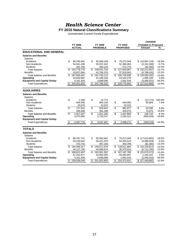#### *Health Science Center*

#### **FY 2010 Natural Classifications Summary**

Unrestricted Current Funds Expenditures

|                                     |                                 |                            |                            | <b>CHANGE</b>                              |
|-------------------------------------|---------------------------------|----------------------------|----------------------------|--------------------------------------------|
|                                     | <b>FY 2008</b><br><b>ACTUAL</b> | FY 2009<br><b>PROBABLE</b> | FY 2010<br><b>PROPOSED</b> | <b>Probable to Proposed</b><br>%<br>Amount |
| <b>EDUCATIONAL AND GENERAL</b>      |                                 |                            |                            |                                            |
| <b>Salaries and Benefits</b>        |                                 |                            |                            |                                            |
| <b>Salaries</b>                     |                                 |                            |                            |                                            |
| Academic                            | \$<br>88,785,581                | \$<br>92.069.168           | \$<br>75.072.049           | \$(16,997,119)<br>$-18.5%$                 |
| Non-Academic                        | 54,541,439                      | 55,537,432                 | 52,385,064                 | $-5.7%$<br>(3, 152, 368)                   |
| <b>Students</b>                     | 451,756                         | 435,134                    | 372,774                    | $-14.3%$<br>(62, 360)                      |
| <b>Total Salaries</b>               | 143,778,776<br>\$               | \$<br>148,041,734          | \$<br>127,829,887          | $\sqrt{$(20,211,847)}$<br>$-13.7%$         |
| <b>Benefits</b>                     | 43,827,664                      | 43,708,378                 | 37,919,943                 | (5,788,435)<br>$-13.2%$                    |
| <b>Total Salaries and Benefits</b>  | 187,606,441<br>\$.              | \$<br>191,750,112          | \$<br>165,749,830          | \$ (26,000,282)<br>$-13.6%$                |
| Operating                           | 43,683,987                      | 51,338,108                 | 53,334,276                 | 3.9%<br>1,996,168                          |
| <b>Equipment and Capital Outlay</b> | 3,161,405                       | 4,698,096                  | 1,691,544                  | (3,006,552)<br>$-64.0%$                    |
| <b>Total Expenditures</b>           | 234,451,833                     | 247,786,316<br>\$          | 220,775,650<br>\$          | $$$ (27,010,666)<br>$-10.9%$               |
| <b>AUXILIARIES</b>                  |                                 |                            |                            |                                            |
| <b>Salaries and Benefits</b>        |                                 |                            |                            |                                            |
| Salaries                            |                                 |                            |                            |                                            |
| Academic                            | \$<br>2.160                     | \$<br>13.774               |                            | \$<br>$(13,774) -100.0\%$                  |
| Non-Academic                        | 694,405                         | 884,146                    | \$<br>949,955              | 65,809<br>7.4%                             |
| <b>Students</b>                     | 20,976                          | 32,022                     | 32,022                     |                                            |
| <b>Total Salaries</b>               | \$<br>717,541                   | \$<br>929,942              | \$<br>981,977              | \$<br>52,035<br>5.6%                       |
| <b>Benefits</b>                     | 299,486                         | 381,298                    | 455,973                    | 19.6%<br>74,675                            |
| <b>Total Salaries and Benefits</b>  | \$<br>1,017,027                 | \$<br>1,311,240            | \$<br>1,437,950            | \$<br>126,710<br>9.7%                      |
| Operating                           | 3,570,690                       | 2,726,247                  | 2,160,321                  | $-20.8%$<br>(565, 926)                     |
| <b>Equipment and Capital Outlay</b> |                                 |                            |                            |                                            |
| <b>Total Expenditures</b>           | 4,587,716                       | \$<br>4,037,487            | \$<br>3,598,271            | $-10.9%$                                   |
|                                     | \$                              |                            |                            | \$<br>(439, 216)                           |
| <b>TOTALS</b>                       |                                 |                            |                            |                                            |
| <b>Salaries and Benefits</b>        |                                 |                            |                            |                                            |
| Salaries                            |                                 |                            |                            |                                            |
| Academic                            | \$<br>88,787,741                | \$<br>92,082,942           | \$<br>75,072,049           | \$(17,010,893)<br>$-18.5%$                 |
| Non-Academic                        | 55,235,844                      | 56,421,578                 | 53,335,019                 | (3,086,559)<br>$-5.5%$                     |
| <b>Students</b>                     | 472,732                         | 467,156                    | 404,796                    | (62, 360)<br>$-13.3%$                      |
| <b>Total Salaries</b>               | 144,496,317<br>\$               | 148,971,676<br>\$          | 128,811,864                | \$ (20, 159, 812)<br>$-13.5%$              |
| <b>Benefits</b>                     | 44,127,150                      | 44,089,676                 | 38,375,916                 | (5,713,760)<br>$-13.0%$                    |
| <b>Total Salaries and Benefits</b>  | 188,623,467<br>\$               | \$193,061,352              | \$<br>167,187,780          | $$$ (25,873,572)<br>$-13.4%$               |
| Operating                           | 47,254,677                      | 54,064,355                 | 55,494,597                 | 1,430,242<br>2.6%                          |
| <b>Equipment and Capital Outlay</b> | 3,161,405                       | 4,698,096                  | 1,691,544                  | (3,006,552)<br>$-64.0%$                    |
| <b>Total Expenditures</b>           | 239,039,549<br>\$               | \$<br>251,823,803          | \$<br>224,373,921          | $$$ (27,449,882)<br>$-10.9%$               |
|                                     |                                 |                            |                            |                                            |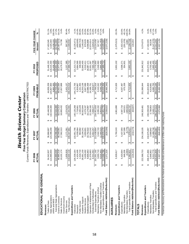|                                                                                                           |                                                      | <b>Health Science</b>                                                                  | Center                                                                                                   |                                                                        |                                                                              |                                                             |                                    |
|-----------------------------------------------------------------------------------------------------------|------------------------------------------------------|----------------------------------------------------------------------------------------|----------------------------------------------------------------------------------------------------------|------------------------------------------------------------------------|------------------------------------------------------------------------------|-------------------------------------------------------------|------------------------------------|
|                                                                                                           |                                                      |                                                                                        | Current Funds Revenues, Expenditures and Transfers - UNRESTRICTED<br>Five-Year Budget Summary Comparison |                                                                        |                                                                              |                                                             |                                    |
|                                                                                                           | FY 2006<br><b>ACTUAL</b>                             | ACTUAL<br>FY 2007                                                                      | FY 2008<br><b>ACTUAL</b>                                                                                 | PROBABLE<br>FY 2009                                                    | PROPOSED<br>FY 2010                                                          | FIVE-YEAR CHANGE<br>Amount                                  | న్                                 |
| EDUCATIONAL AND GENERAL                                                                                   |                                                      |                                                                                        |                                                                                                          |                                                                        |                                                                              |                                                             |                                    |
| State Appropriations<br>ARRA and MOE<br>Tuition & Fees<br>Revenues                                        | 113,890,000<br>34,042,807                            | 123,396,200<br>36,868,907<br>မှာ မှာ                                                   | 40,446,568<br>132,544,300<br>မာမာ                                                                        | 125,857,900<br>6,865,300<br>44,009,209<br>မာမာ                         | 118,215,300<br>15,436,100<br>51,446,152<br>မာမာ                              | 17,403,345<br>4,325,300<br>15,436,100<br>မာမာ               | 100.0%<br>51.1%<br>3.8%            |
| Sub-total State Appropriations<br>Grants & Contracts<br>Sales & Services                                  | 113,890,000<br>48,965,318<br>18,102,174<br>$\bullet$ | 123,396,200<br>17,562,313<br>48,349,081<br>$\boldsymbol{\varphi}$                      | 32,544,300<br>50,575,313<br>18,800,432<br>$\boldsymbol{\varphi}$                                         | 32,723,200<br>49,562,584<br>17,657,888<br>↮                            | 33,651,400<br>22,477,803<br>18,176,970<br>$\boldsymbol{\varphi}$             | (26,487,515)<br>19,761,400<br>74,796<br>↮                   | 17.4%<br>$-54.1%$<br>0.4%          |
| Expenditures and Transfers<br>Investment Income<br><b>Total Revenues</b><br>Other Sources                 | 216,640,116<br>1,639,818<br>$ \omega $               | 2,171,361<br>228,347,861<br>↮                                                          | 2,074,979<br>244,441,591<br>↮                                                                            | 246,354,018<br>2,401,137<br>↮                                          | 2,237,385<br>227,989,710<br>↔                                                | 11,349,594<br>597,567<br>↮                                  | 36.4%<br>5.2%                      |
| Instruction                                                                                               | 126,539,184                                          | 133,951,795<br>↮                                                                       | 140,120,268<br>မာ                                                                                        | 144, 172, 705<br>↮                                                     | 121,313,713<br>မာ                                                            | (5,225,471)<br>↮                                            | $-4.1%$                            |
| Academic Support<br>Public Service<br>Research                                                            | 28,691,150<br>4,424,495<br>1,018,744                 | 5,030,064<br>963,982<br>30,194,241                                                     | 1,440,229<br>36,552,844<br>7,719,661                                                                     | 1,151,355<br>39,250,136<br>5,359,867                                   | 338,000<br>32,840,455<br>3,964,595                                           | (459, 900)<br>(680, 744)<br>4,149,305                       | $-10.4%$<br>$-66.8%$<br>14.5%      |
| Operation & Maintenance of Plant<br>Institutional Support<br><b>Student Services</b>                      | 21,076,683<br>3,439,482<br>9,830,363                 | 22,024,242<br>3,859,801<br>10,752,522                                                  | 22,356,160<br>4,079,197<br>15,174,997                                                                    | 3,687,086<br>22,586,439<br>24,168,751                                  | 4,319,411<br>32,051,597<br>18,387,171                                        | 879,929<br>8,556,808<br>10,974,914                          | 25.6%<br>87.0%<br>52.1%            |
| Mandatory Transfers (In)/Out<br>Scholarships & Fellowships<br>Sub-total Expenditures                      | 201,551,192<br>3,000,743<br>6,531,092                | 213,438,904<br>3,042,743<br>6,662,257<br>$\Theta$                                      | 234,451,833<br>3,095,332<br>7.008,477<br>$\boldsymbol{\varphi}$                                          | 247,786,316<br>3,343,342<br>7,409,977<br>$\Theta$                      | 7,560,708<br>220,775,650<br>3,348,660<br>$\boldsymbol{\varphi}$              | 1,029,616<br>19,224,458<br>347,917<br>↔                     | 15.8%<br>9.5%<br>11.6%             |
| Fund Balance Addition/(Reduction)<br>Total Expenditures and Transfers<br>Non-Mandatory Transfers (In)/Out | 9,016,853<br>213,568,788<br>3,071,328<br> မှ  မ      | (628, 309)<br>12,494,523<br>228,976,170<br>$\pmb{\leftrightarrow}$<br>↔                | 3,039,815<br>241,401,776<br>3.854,611<br>↮<br>↮                                                          | (9,466,340)<br>4,690,700<br>255,820,358<br>$\boldsymbol{\varphi}$<br>↮ | 3,865,400<br>227,989,710<br>$\boldsymbol{\varphi}$<br>$\boldsymbol{\varphi}$ | (5, 151, 453)<br>(3,071,328)<br>14,420,922<br>↔<br>ക        | $-57.1%$<br>6.8%                   |
| AUXILIARIES                                                                                               |                                                      |                                                                                        |                                                                                                          |                                                                        |                                                                              |                                                             |                                    |
| Expenditures and Transfers<br>Revenues                                                                    | 5,928,617                                            | 5,760,243<br>↮                                                                         | 4,861,890<br>↮                                                                                           | 4,712,826<br>↮                                                         | 3,953,102<br>↮                                                               | (1,975,515)<br>$\boldsymbol{\varphi}$                       | $-33.3%$                           |
| Mandatory Transfers<br>Expenditures                                                                       | 646,209<br>5,420,694                                 | 5,437,093<br>547,099<br>↮                                                              | 4,587,716<br>643,521<br>↮                                                                                | 675,339<br>4,037,487<br>↮                                              | 3,598,271<br>354,831<br>↮                                                    | (1,822,423)<br>(291, 378)<br>↮                              | $-33.6%$<br>$-45.1%$<br>$-100.0\%$ |
| Fund Balance Addition/(Reduction)<br>Total Expenditures and Transfers<br>Non-Mandatory Transfers          | (134, 204)<br>(4,083)<br>6,062,821<br>$\mathbf{e}$   | (218, 173)<br>(5, 775)<br>5,978,417<br>မာ မာ                                           | (305, 501)<br>(63, 847)<br>4,925,737<br>$\boldsymbol{\omega}$                                            | 4,712,826<br>$\Theta$<br>↮                                             | 3,953,102<br>မာ $\parallel$<br>↔                                             | (2, 109, 719)<br>4,083<br>134,204<br>∞∥<br>↮                | $-34.8%$                           |
| <b>TOTALS</b>                                                                                             |                                                      |                                                                                        |                                                                                                          |                                                                        |                                                                              |                                                             |                                    |
| Expenditures and Transfers<br>Revenues                                                                    | 222,568,733                                          | 234,108,105<br>↮                                                                       | 249,303,481<br>↮                                                                                         | 251,066,844<br>↮                                                       | 231,942,812<br>↮                                                             | 9,374,079<br>↮                                              | 4.2%                               |
| Mandatory Transfers<br>Expenditures                                                                       | 206,971,886<br>3,646,952                             | 3,589,842<br>218,875,997<br>↮                                                          | 239,039,549<br>3,738,853<br>↮                                                                            | 251,823,803<br>4,018,681<br>↮                                          | 3,703,491<br>224,373,921<br>↮                                                | 17,402,035<br>56,539<br>↮                                   | 8.4%<br>1.6%                       |
| Fund Balance Addition/(Reduction)<br>Total Expenditures and Transfers<br>Non-Mandatory Transfers          | 2,937,125<br>219,631,609<br>9,012,770                | (846, 483)<br>12,488,748<br>234,954,587<br>$\boldsymbol{\varphi}$<br>$\leftrightarrow$ | 246,327,513<br>2,975,968<br>3,549,111<br>$\boldsymbol{\varphi}$<br>$\boldsymbol{\varphi}$                | (9,466,340)<br>260,533,184<br>4,690,700<br>$\Theta$<br>$\pmb{\varphi}$ | 231,942,812<br>3,865,400<br>$\boldsymbol{\omega}$<br>$\Theta$                | (5, 147, 370)<br>(2,937,125)<br>12,311,203<br>$\theta$<br>↮ | $-57.1\%$<br>5.6%                  |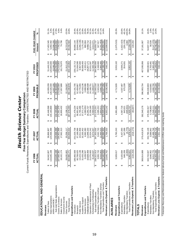| ì<br>ć                     |  |
|----------------------------|--|
| ¢<br>ľ<br>$\boldsymbol{c}$ |  |
| C<br>t<br>Ū                |  |

Five-Year Budget Summary Comparison<br>Current Funds Revenues, Expenditures and Transfers - UNRESTRICTED AND RESTRICTED Current Funds Revenues, Expenditures and Transfers - UNRESTRICTED AND RESTRICTED **Five-Year Budget Summary Comparison**

|                                                                    | FY 2006<br>ACTUAL                    | <b>FY 2007</b><br>ACTUAI              | <b>FY 2008</b><br><b>ACTUAL</b>        | PROBABLE<br>FY 2009                   | PROPOSED<br>FY 2010                    | FIVE-YEAR CHANGE<br>Amount           | న                  |
|--------------------------------------------------------------------|--------------------------------------|---------------------------------------|----------------------------------------|---------------------------------------|----------------------------------------|--------------------------------------|--------------------|
| EDUCATIONAL AND GENERAL                                            |                                      |                                       |                                        |                                       |                                        |                                      |                    |
| Revenues                                                           |                                      |                                       |                                        |                                       |                                        |                                      |                    |
| Tuition & Fees                                                     | 34,042,807                           | 36,868,907                            | 40,446,568                             | 44,009,209                            | 51,446,152                             | 17,403,345                           | 51.1%              |
| <b>State Appropriations</b>                                        | 115,645,108                          | 25,568,399<br>မှာ မှာ                 | 34,183,800<br>မှာ မှာ                  | 128,426,400<br>မှာ မှာ                | 120,695,600<br>မှာ မှာ                 | 5,050,492<br>မှာ မှာ                 | 4.4%               |
| ARRA and MOE*                                                      |                                      |                                       |                                        | 6,937,200                             | 15,596,200                             | 15,596,200                           | 100.0%             |
| Sub-total State Appropriations                                     | 115,645,108<br>$\boldsymbol{\omega}$ | 125,568,399<br>↮                      | 134,183,800<br>↮                       | 135,363,600<br>↮                      | 136,291,800<br>↮                       | 20,646,692<br>↮                      | 17.9%              |
| Grants & Contracts                                                 | 167,560,381                          | 164,401,898                           | 71,051,375                             | 173,000,584                           | 175,315,803                            | 7,755,422                            | 4.6%               |
| Sales & Services                                                   | 8,102,174                            | 17,562,313                            | 8,800,432                              | 17,657,888                            | 18,176,970                             | 74,796                               | 0.4%               |
| Investment Income                                                  |                                      |                                       |                                        |                                       |                                        |                                      |                    |
| Other Sources                                                      | 28,635,802                           | 20,258,117                            | 23,196,111                             | 22,159,597                            | 21,912,129                             | (6,723,673)                          | 23.5%              |
| <b>Total Revenues</b>                                              | 363,986,271<br>$\bullet$             | 364,659,634<br>$\boldsymbol{\varphi}$ | 387,678,286<br>$\boldsymbol{\varphi}$  | 392,190,878<br>$\boldsymbol{\varphi}$ | 403,142,854<br>$\boldsymbol{\varphi}$  | 39,156,583<br>$\boldsymbol{\varphi}$ | 10.8%              |
| Expenditures and Transfers                                         |                                      |                                       |                                        |                                       |                                        |                                      |                    |
| Instruction                                                        | 89,466,569                           | 201,029,738<br>↮                      | 211,478,234<br>↮                       | 224,191,705<br>↮                      | 228, 132, 713<br>↮                     | 38,666,144<br>↮                      | 20.4%              |
| Research                                                           | 30,708,625                           | 57,168,066                            | 58,951,821                             | 52,459,867                            | 51,064,595                             | (9,644,030)                          | $-15.9%$           |
| Public Service                                                     | 13,223,136                           | 10,011,958                            | 11,765,486                             | 10,770,355                            | 9,957,000                              | (3,266,136)                          | $-24.7%$           |
| Academic Support                                                   | 31,433,296                           | 32,335,452                            | 37,571,178                             | 42,418,136                            | 38,608,455                             | 7,175,159                            |                    |
| <b>Student Services</b>                                            | 3,439,507                            | 4,060,380                             | 4,080,050                              | 3,688,086                             | 4,320,411                              | 880,904                              | 22.8%<br>25.6%     |
| Institutional Support                                              | 0,828,459                            | 11,649,153                            | 16,291,727                             | 23,486,439                            | 19,287,171                             | 8,458,712                            | 78.1%              |
| Operation & Maintenance of Plant                                   | 21,076,683                           | 22,024,242                            | 22,356,160                             | 24,168,751                            | 32,051,597                             | 10,974,914                           | 52.1%              |
| Scholarships & Fellowships                                         | 8,146,637                            | 9.074.047                             | 9,580,546                              | 11,409.977                            | 11,560,708                             | 3,414,071                            | 41.9%              |
| Sub-total Expenditures                                             | 338,322,913<br>$\theta$              | 347,353,035<br>↮                      | 372,075,201<br>↔                       | 392,593,316<br>↔                      | 394,982,650<br>↮                       | 56,659,737<br>↔                      | 16.7%              |
| Mandatory Transfers (In)/Out                                       | 3,000,743                            | 3,042,743                             | 3,095,332                              | 3,343,342                             | 3,348,660                              | 347,917                              | 11.6%              |
| Non-Mandatory Transfers (In)/Out                                   | 9,016,853                            | 2,494,523                             | 3.854,611                              | 4,690,700                             | 3.865,400                              | (5, 151, 453)                        | 57.1%              |
| Total Expenditures and Transfers                                   | 350,340,509<br>$\theta$              | 362,890,302<br>$\leftrightarrow$      | 379,025,144<br>$\pmb{\leftrightarrow}$ | 400,627,358<br>↮                      | 402,196,710<br>$\qquad \qquad \varphi$ | 51,856,201<br>$\Theta$               | 14.8%              |
| Revenues Less Expend. & Transfers                                  | 13,645,762                           | 1,769,333<br>$\Theta$                 | 8,653,142<br>$\theta$                  | (8,436,480)<br>↔                      | 946,144<br>↔                           | (12,699,618)<br>↮                    |                    |
| AUXILIARIES                                                        |                                      |                                       |                                        |                                       |                                        |                                      |                    |
| Revenues                                                           | 5,928,617                            | 5,760,243<br>↮                        | 4,861,890<br>↮                         | 4,712,826<br>↔                        | 3,953,102<br>↮                         | (1,975,515)<br>↮                     | 33.3%              |
| Expenditures and Transfers                                         |                                      |                                       |                                        |                                       |                                        |                                      |                    |
| Expenditures                                                       | 5,420,694                            | 5,437,093<br>↮                        | 4,587,716<br>↮                         | 4,037,487<br>↮                        | 3,598,271<br>↮                         | (1,822,423)<br>↮                     | $-33.6%$           |
| Vandatory Transfers                                                | 646,209                              | 547,099                               | 643,521                                | 675,339                               | 354,831                                | (291, 378)                           | $-45.1%$<br>100.0% |
| Total Expenditures and Transfers<br><b>Non-Mandatory Transfers</b> | (4,083)<br>6,062,821                 | (5,775)<br>5,978,417<br>↮             | 305,501)<br>4,925,737<br>69            | 4,712,826<br>69                       | 3,953,102<br>69                        | (2, 109, 719)<br>4,083<br>6          | $-34.8%$           |
| Revenues Less Expend. & Transfers                                  | (134, 204)<br>မာ                     | (218, 173)<br>↔                       | (63, 847)<br>↔                         | 69                                    | 69                                     | 134,204<br>↮                         |                    |
| <b>TOTALS</b>                                                      |                                      |                                       |                                        |                                       |                                        |                                      |                    |
| Revenues                                                           | 369,914,889                          | 370,419,878<br>↮                      | 392,540,176<br>↮                       | 396,903,704<br>↮                      | 407,095,956<br>မာ                      | 37,181,067<br>ക                      | 10.1%              |
| Expenditures and Transfers                                         |                                      |                                       |                                        |                                       |                                        |                                      |                    |
| Expenditures                                                       | 343,743,607                          | 352,790,128<br>↮                      | 376,662,917<br>↮                       | 396,630,803<br>↮                      | 398,580,921<br>↮                       | 54,837,314<br>မာ                     | 16.0%              |
| Mandatory Transfers                                                | 9,012,770<br>3,646,952               | 12,488,748<br>3,589,842               | 3,738,853<br>3,549,111                 | 4.690.700<br>4,018,681                | 3,865,400<br>3,703,491                 | (5, 147, 370)<br>56,539              | 1.6%<br>$-57.1%$   |
| Total Expenditures and Transfers<br>Non-Mandatory Transfers        | 356,403,330                          | 368,868,718                           | 383,950,881                            | 405,340,184                           | 406,149,812                            | 49,746,482                           | 14.0%              |
| Revenues Less Expend. & Transfers                                  | 13,511,559<br>မာ မာ                  | 1,551,159<br>မာ မာ                    | 8,589,295<br>မာ မာ                     | (8,436,480)<br>မာ မာ                  | 946,144<br>မှာ မှာ                     | (12,565,415)<br>မှာ မှာ              |                    |
|                                                                    |                                      |                                       |                                        |                                       |                                        |                                      |                    |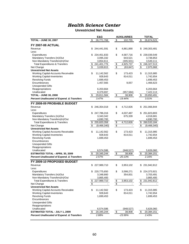#### *Health Science Center*

#### **Unrestricted Net Assets**

|                                                       | E&G                  | <b>AUXILIARIES</b>                            | <b>TOTAL</b>      |
|-------------------------------------------------------|----------------------|-----------------------------------------------|-------------------|
| <b>TOTAL - JUNE 30, 2007</b>                          | \$<br>26,771,768     | \$<br>102,755                                 | \$<br>26,874,523  |
| <b>FY 2007-08 ACTUAL</b>                              |                      |                                               |                   |
| Revenue                                               | \$<br>244,441,591    | \$<br>4,861,890                               | \$<br>249,303,481 |
| Less:                                                 |                      |                                               |                   |
| Expenditures                                          | 234,451,833<br>\$    | \$<br>4,587,716                               | \$<br>239,039,549 |
| Mandatory Transfers (In)/Out                          | 3,095,332            | 643,521                                       | 3,738,853         |
| Non-Mandatory Transfers(In)/Out                       | 3,854,611            | (305, 501)                                    | 3,549,111         |
| <b>Total Expenditures &amp; Transfers</b>             | \$<br>241,401,776    | \$<br>4,925,737                               | \$<br>246,327,513 |
| Net Change                                            | \$<br>3,039,815      | $\overline{\boldsymbol{\theta}}$<br>(63, 847) | \$<br>2,975,968   |
| <b>Unrestricted Net Assets</b>                        |                      |                                               |                   |
| Working Capital-Accounts Receivable                   | \$<br>11,142,562     | \$<br>173,423                                 | \$<br>11,315,985  |
| <b>Working Capital-Inventories</b>                    | 928,643              | 814,011                                       | 1,742,654         |
| <b>Revolving Funds</b>                                | 1,699,453            |                                               | 1,699,453         |
| Encumbrances                                          | 1,457,565            | 9,057                                         | 1,466,623         |
| <b>Unexpended Gifts</b>                               |                      |                                               |                   |
| Reappropriations                                      | 6,203,664            |                                               | 6,203,664         |
| Unallocated                                           | 8,379,697            | (957, 584)                                    | 7,422,113         |
| <b>TOTAL - JUNE 30, 2008</b>                          | \$<br>29,811,584     | \$<br>38,908                                  | \$<br>29,850,491  |
| <b>Percent Unallocated of Expend. &amp; Transfers</b> | 3.47%                | $-19.44%$                                     | 3.01%             |
|                                                       |                      |                                               |                   |
| FY 2008-09 PROBABLE BUDGET                            |                      |                                               |                   |
| Revenue                                               | 246,354,018<br>\$    | \$<br>4,712,826                               | 251,066,844<br>\$ |
| Less:                                                 |                      |                                               |                   |
| Expenditures                                          | \$<br>247,786,316    | \$<br>4,037,487                               | \$251,823,803     |
| Mandatory Transfers (In)/Out                          | 3,343,342            | 675,339                                       | 4,018,681         |
| Non-Mandatory Transfers(In)/Out                       | 4,690,700            |                                               | 4,690,700         |
| <b>Total Expenditures &amp; Transfers</b>             | \$<br>255,820,358    | $\overline{4,}712,826$<br>\$                  | \$<br>260,533,184 |
| Net Change                                            | \$<br>(9,466,340)    | \$                                            | \$<br>(9,466,340) |
| <b>Unrestricted Net Assets</b>                        |                      |                                               |                   |
| Working Capital-Accounts Receivable                   | \$<br>11,142,562     | \$<br>173,423                                 | \$<br>11,315,985  |
| <b>Working Capital-Inventories</b>                    | 928,643              | 814,011                                       | 1,742,654         |
| <b>Revolving Funds</b>                                | 1,699,453            |                                               | 1,699,453         |
| Encumbrances                                          |                      |                                               |                   |
| <b>Unexpended Gifts</b>                               |                      |                                               |                   |
| Reappropriations                                      |                      |                                               |                   |
| Unallocated                                           | 6,574,586            | (948, 527)                                    | 5,626,060         |
| <b>ESTIMATED TOTAL - APRIL 30, 2009</b>               | 20,345,244<br>\$     | \$<br>38,908                                  | 20,384,151<br>\$  |
| <b>Percent Unallocated of Expend. &amp; Transfers</b> | 2.57%                | $-20.13%$                                     | 2.16%             |
| FY 2009-10 PROPOSED BUDGET                            |                      |                                               |                   |
| Revenue                                               | 227,989,710<br>\$    | \$<br>3,953,102                               | 231,942,812<br>\$ |
| Less:                                                 |                      |                                               |                   |
| Expenditures                                          | \$<br>220,775,650    | \$<br>3,598,271                               | \$224,373,921     |
| Mandatory Transfers (In)/Out                          | 3,348,660            | 354,831                                       | 3,703,491         |
| Non-Mandatory Transfers(In)/Out                       | 3,865,400            |                                               | 3,865,400         |
| <b>Total Expenditures &amp; Transfers</b>             | 227,989,710<br>\$    | $\frac{1}{2}$<br>3,953,102                    | \$<br>231,942,812 |
| Net Change                                            | \$<br>$\blacksquare$ | $\frac{1}{2}$                                 | \$                |
| <b>Unrestricted Net Assets</b>                        |                      |                                               |                   |
| <b>Working Capital-Accounts Receivable</b>            | \$<br>11,142,562     | \$<br>173,423                                 | \$<br>11,315,985  |
| <b>Working Capital-Inventories</b>                    | 928,643              | 814,011                                       | 1,742,654         |
| <b>Revolving Funds</b>                                | 1,699,453            |                                               | 1,699,453         |
| Encumbrances                                          |                      |                                               |                   |
| <b>Unexpended Gifts</b>                               |                      |                                               |                   |
| Reappropriations                                      |                      |                                               |                   |
| Unallocated                                           | 6,574,586            | (948, 527)                                    | 5,626,060         |
| <b>ESTIMATED TOTAL - JULY 1, 2009</b>                 | \$<br>20,345,244     | $$\mathfrak{F}$$<br>38,908                    | \$<br>20,384,151  |
| <b>Percent Unallocated of Expend. &amp; Transfers</b> | 2.88%                | -23.99%                                       | 2.43%             |
|                                                       |                      |                                               |                   |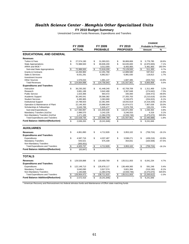#### *Health Science Center - Memphis Other Specialized Units*

#### **FY 2010 Budget Summary**

Unrestricted Current Funds Revenues, Expenditures and Transfers

|                                          |                     |                         |                 |                   | <b>CHANGE</b>               |          |
|------------------------------------------|---------------------|-------------------------|-----------------|-------------------|-----------------------------|----------|
|                                          | <b>FY 2008</b>      |                         | FY 2009         | FY 2010           | <b>Probable to Proposed</b> |          |
|                                          | <b>ACTUAL</b>       |                         | <b>PROBABLE</b> | <b>PROPOSED</b>   | Amount                      | %        |
| <b>EDUCATIONAL AND GENERAL</b>           |                     |                         |                 |                   |                             |          |
| <b>Revenues</b>                          |                     |                         |                 |                   |                             |          |
| <b>Tuition &amp; Fees</b>                | \$<br>27,574,190    | \$                      | 31,093,021      | \$<br>36,869,806  | \$<br>5,776,785             | 18.6%    |
| <b>State Appropriations</b>              | \$<br>72,988,500    | \$                      | 69,606,200      | \$<br>64,635,600  | \$<br>(4,970,600)           | $-7.1%$  |
| ARRA and MOE *                           |                     |                         | 3,012,000       | 8,493,900         | 5,481,900                   | 182.0%   |
| Sub-total State Appropriations           | \$<br>72,988,500    | $\overline{\mathbf{e}}$ | 72,618,200      | \$<br>73,129,500  | \$<br>511,300               | 0.7%     |
| <b>Grants &amp; Contracts</b>            | 14,494,984          |                         | 12,291,768      | 12,889,580        | 597,812                     | 4.9%     |
| Sales & Services                         | 8,031,291           |                         | 6,862,817       | 6,981,630         | 118,813                     | 1.7%     |
| Investment Income                        |                     |                         |                 |                   |                             |          |
| <b>Other Sources</b>                     | 1,576,033           |                         | 1,891,137       | 1,687,385         | (203, 752)                  | $-10.8%$ |
| <b>Total Revenues</b>                    | \$<br>124,664,998   | \$                      | 124,756,943     | \$<br>131,557,901 | \$<br>6,800,958             | 5.5%     |
| <b>Expenditures and Transfers</b>        |                     |                         |                 |                   |                             |          |
| Instruction                              | \$<br>36,230,282    | \$                      | 41,448,240      | \$<br>42,759,709  | \$<br>1,311,469             | 3.2%     |
| Research                                 | 3,881,188           |                         | 3,642,490       | 3,367,848         | (274, 642)                  | $-7.5%$  |
| <b>Public Service</b>                    | 1,023,366           |                         | 664,472         | 335,000           | (329, 472)                  | -49.6%   |
| Academic Support                         | 30,345,541          |                         | 30,566,382      | 27,355,763        | (3,210,619)                 | $-10.5%$ |
| <b>Student Services</b>                  | 3,495,965           |                         | 3,363,690       | 3,158,875         | (204, 815)                  | $-6.1%$  |
| <b>Institutional Support</b>             | 14,788,503          |                         | 22,361,945      | 18,042,619        | (4,319,326)                 | $-19.3%$ |
| Operation & Maintenance of Plant         | 22,146,363          |                         | 23,966,934      | 31,874,572        | 7,907,638                   | 33.0%    |
| Scholarships & Fellowships               | 5,649,789           |                         | 5,826,477       | 5,976,708         | 150,231                     | 2.6%     |
| Sub-total Expenditures                   | \$<br>117,560,997   | \$                      | 131,840,630     | \$<br>132,871,094 | \$<br>1,030,464             | 0.8%     |
| Mandatory Transfers (In)/Out             | 2,996,570           |                         | 3,242,235       | 3,246,553         | 4,318                       | 0.1%     |
| Non-Mandatory Transfers (In)/Out         | 1,471,169           |                         | (1,084,076)     | (4,559,746)       | (3,475,670)                 | 320.6%   |
| <b>Total Expenditures and Transfers</b>  | \$<br>122,028,735   | \$                      | 133,998,789     | \$<br>131,557,901 | \$<br>(2, 440, 888)         | $-1.8%$  |
| <b>Fund Balance Addition/(Reduction)</b> | \$<br>2,636,263     | \$                      | (9, 241, 846)   | \$                | \$<br>9,241,846             |          |
|                                          |                     |                         |                 |                   |                             |          |
| <b>AUXILIARIES</b>                       |                     |                         |                 |                   |                             |          |
| <b>Revenues</b>                          | \$<br>4,861,890     | \$                      | 4,712,826       | \$<br>3,953,102   | \$<br>(759, 724)            | $-16.1%$ |
| <b>Expenditures and Transfers</b>        |                     |                         |                 |                   |                             |          |
| Expenditures                             | \$<br>4,587,716     | \$                      | 4,037,487       | \$<br>3,598,271   | \$<br>(439, 216)            | $-10.9%$ |
| <b>Mandatory Transfers</b>               | 643,521             |                         | 675,339         | 354,831           | (320, 508)                  | $-47.5%$ |
| Non-Mandatory Transfers                  | (305, 501)          |                         |                 |                   |                             |          |
| <b>Total Expenditures and Transfers</b>  | \$<br>4,925,737     | \$                      | 4,712,826       | \$<br>3,953,102   | \$<br>(759, 724)            | $-16.1%$ |
| <b>Fund Balance Addition/(Reduction)</b> | \$<br>(63, 847)     | \$                      |                 | \$                | \$                          |          |
| <b>TOTALS</b>                            |                     |                         |                 |                   |                             |          |
|                                          |                     |                         |                 |                   |                             |          |
| <b>Revenues</b>                          | \$<br>129,526,888   | \$                      | 129,469,769     | \$<br>135,511,003 | \$<br>6,041,234             | 4.7%     |
| <b>Expenditures and Transfers</b>        |                     |                         |                 |                   |                             |          |
| Expenditures                             | \$<br>122, 148, 713 | \$                      | 135,878,117     | \$<br>136,469,365 | \$<br>591,248               | 0.4%     |
| <b>Mandatory Transfers</b>               | 3,640,090           |                         | 3,917,574       | 3,601,384         | (316, 190)                  | $-8.1%$  |
| Non-Mandatory Transfers                  | 1,165,668           |                         | (1,084,076)     | (4,559,746)       | (3,475,670)                 | 320.6%   |
| <b>Total Expenditures and Transfers</b>  | 126,954,472         | \$                      | 138,711,615     | \$<br>135,511,003 | \$<br>(3,200,612)           | $-2.3%$  |
| <b>Fund Balance Addition/(Reduction)</b> | \$<br>2,572,416     | \$                      | (9, 241, 846)   | \$                | \$<br>9,241,846             |          |
|                                          |                     |                         |                 |                   |                             |          |

\* American Recovery and Reinvestment Act federal stimulus funds and Maintenance of Effort state matching funds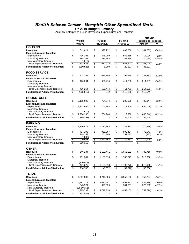#### *Health Science Center - Memphis Other Specialized Units*

**FY 2010 Budget Summary**

Auxiliary Enterprises Funds Revenues, Expenditures and Transfers

|                                          |                          |               |    |                 |                         |                 |                         | <b>CHANGE</b>               |          |
|------------------------------------------|--------------------------|---------------|----|-----------------|-------------------------|-----------------|-------------------------|-----------------------------|----------|
|                                          |                          | FY 2008       |    | FY 2009         |                         | FY 2010         |                         | <b>Probable to Proposed</b> |          |
|                                          |                          | <b>ACTUAL</b> |    | <b>PROBABLE</b> |                         | <b>PROPOSED</b> |                         | Amount                      | %        |
| <b>HOUSING</b>                           |                          |               |    |                 |                         |                 |                         |                             |          |
| <b>Revenues</b>                          | \$                       | 642,021       | \$ | 978,232         | \$                      | 637,000         | \$                      | (341, 232)                  | $-34.9%$ |
| <b>Expenditures and Transfers</b>        |                          |               |    |                 |                         |                 |                         |                             |          |
| Expenditures                             | \$                       | 495,298       | \$ | 548,289         | \$                      | 562,385         | \$                      | 14,096                      | 2.6%     |
| <b>Mandatory Transfers</b>               |                          | 398,261       |    | 423,943         |                         | 103,818         |                         | (320, 125)                  | $-75.5%$ |
| Non-Mandatory Transfers                  |                          | (1,016)       |    |                 |                         |                 |                         |                             |          |
| <b>Total Expenditures and Transfers</b>  | \$                       | 892,543       | \$ | 972,232         | \$                      | 666,203         | \$                      | (306, 029)                  | $-31.5%$ |
| <b>Fund Balance Addition/(Reduction)</b> | \$                       | (250, 523)    | \$ | 6,000           | \$                      | (29, 203)       | \$                      | (35, 203)                   |          |
| <b>FOOD SERVICE</b>                      |                          |               |    |                 |                         |                 |                         |                             |          |
| <b>Revenues</b>                          | \$                       | 221,254       | \$ | 626,846         | \$                      | 295,514         | \$                      | (331, 332)                  | $-52.9%$ |
| <b>Expenditures and Transfers</b>        |                          |               |    |                 |                         |                 |                         |                             |          |
| Expenditures                             | \$                       | 426,264       | \$ | 626,474         | \$                      | 411,783         | \$                      | (214, 691)                  | $-34.3%$ |
| <b>Mandatory Transfers</b>               |                          |               |    |                 |                         |                 |                         |                             |          |
| Non-Mandatory Transfers                  |                          |               |    |                 |                         |                 |                         |                             |          |
| <b>Total Expenditures and Transfers</b>  | \$                       | 426,264       | S  | 626,474         | \$                      | 411,783         | \$                      | (214, 691)                  | $-34.3%$ |
| <b>Fund Balance Addition/(Reduction)</b> | $\overline{\mathbb{S}}$  | (205, 010)    | \$ | 372             | \$                      | (116, 269)      | \$                      | (116, 641)                  |          |
| <b>BOOKSTORES</b>                        |                          |               |    |                 |                         |                 |                         |                             |          |
| <b>Revenues</b>                          | \$                       | 2,115,602     | \$ | 704,944         | \$                      | 205,000         | \$                      | (499, 944)                  | $-70.9%$ |
| <b>Expenditures and Transfers</b>        |                          |               |    |                 |                         |                 |                         |                             |          |
| Expenditures                             | \$                       | 2,207,665     | \$ | 704,944         | \$                      | 19,900          | \$                      | (685, 044)                  | $-97.2%$ |
| <b>Mandatory Transfers</b>               |                          |               |    |                 |                         |                 |                         |                             |          |
| Non-Mandatory Transfers                  |                          | (2,670)       |    |                 |                         |                 |                         |                             |          |
| <b>Total Expenditures and Transfers</b>  | \$                       | 2,204,995     | \$ | 704,944         | S                       | 19,900          | \$                      | (685,044)                   | $-97.2%$ |
| <b>Fund Balance Addition/(Reduction)</b> | $\overline{\mathcal{S}}$ | (89, 393)     | \$ |                 | $\overline{\mathbf{s}}$ | 185,100         | $\overline{\mathbb{S}}$ | 185,100                     |          |
| <b>PARKING</b>                           |                          |               |    |                 |                         |                 |                         |                             |          |
| <b>Revenues</b>                          | \$                       | 1,236,879     | \$ | 1,220,363       | \$                      | 1,149,437       | \$                      | (70, 926)                   | $-5.8%$  |
| <b>Expenditures and Transfers</b>        |                          |               |    |                 |                         |                 |                         |                             |          |
| Expenditures                             | \$                       | 727,108       | \$ | 968,967         | \$                      | 898,424         | \$                      | (70, 543)                   | $-7.3%$  |
| <b>Mandatory Transfers</b>               |                          | 245,259       |    | 251,396         |                         | 251,013         |                         | (383)                       | $-0.2%$  |
| Non-Mandatory Transfers                  |                          | (1,803)       |    |                 |                         |                 |                         |                             |          |
| <b>Total Expenditures and Transfers</b>  | \$                       | 970,565       | \$ | 1,220,363       | \$                      | 1,149,437       | \$                      | (70, 926)                   | $-5.8%$  |
| <b>Fund Balance Addition/(Reduction)</b> | \$                       | 266,315       | \$ |                 | \$                      |                 | \$                      |                             |          |
| <b>OTHER</b>                             |                          |               |    |                 |                         |                 |                         |                             |          |
| <b>Revenues</b>                          | \$                       | 646.134       | \$ | 1,182,441       | \$                      | 1,666,151       | \$                      | 483.710                     | 40.9%    |
| <b>Expenditures and Transfers</b>        |                          |               |    |                 |                         |                 |                         |                             |          |
| Expenditures                             | \$                       | 731,381       | \$ | 1,188,813       | \$                      | 1,705,779       | \$                      | 516,966                     | 43.5%    |
| <b>Mandatory Transfers</b>               |                          |               |    |                 |                         |                 |                         |                             |          |
| Non-Mandatory Transfers                  |                          | (300, 012)    |    |                 |                         |                 |                         |                             |          |
| <b>Total Expenditures and Transfers</b>  | \$                       | 431,370       | \$ | 1,188,813       | \$                      | 1,705,779       | \$                      | 516,966                     | 43.5%    |
| <b>Fund Balance Addition/(Reduction)</b> | \$                       | 214,765       | \$ | (6, 372)        | \$                      | (39, 628)       | \$                      | (33, 256)                   |          |
| <b>TOTAL</b>                             |                          |               |    |                 |                         |                 |                         |                             |          |
| <b>Revenues</b>                          | \$                       | 4,861,890     | \$ | 4,712,826       | \$                      | 3,953,102       | \$                      | (759,724)                   | $-16.1%$ |
| <b>Expenditures and Transfers</b>        |                          |               |    |                 |                         |                 |                         |                             |          |
| Expenditures                             | \$                       | 4,587,716     | \$ | 4,037,487       | \$                      | 3,598,271       | \$                      | (439, 216)                  | $-10.9%$ |
| <b>Mandatory Transfers</b>               |                          | 643,521       |    | 675,339         |                         | 354,831         |                         | (320, 508)                  | $-47.5%$ |
| Non-Mandatory Transfers                  |                          | (305, 500.51) |    |                 |                         |                 |                         |                             |          |
| <b>Total Expenditures and Transfers</b>  | \$                       | 4,925,737     | \$ | 4,712,826       | \$                      | 3,953,102       | \$                      | (759, 724)                  | $-16.1%$ |
| <b>Fund Balance Addition/(Reduction)</b> | \$                       | (63, 847)     | \$ |                 | \$                      |                 | \$                      | $\overline{a}$              |          |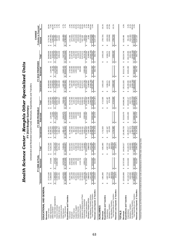|                                                                      |                                   |                                   |                                     |                                 | FY 2010 Budget Summary                | Unrestricted and Restricted Current Funds Revenues, Expenditures and Transfers |                                     |                              |                                  |                                       |                                |
|----------------------------------------------------------------------|-----------------------------------|-----------------------------------|-------------------------------------|---------------------------------|---------------------------------------|--------------------------------------------------------------------------------|-------------------------------------|------------------------------|----------------------------------|---------------------------------------|--------------------------------|
|                                                                      |                                   | FY 2008 ACTUAL                    |                                     |                                 | FY 2009 PROBABLE                      |                                                                                |                                     | FY 2010 PROPOSED             |                                  | <b>Probable to Proposed</b><br>CHANGE |                                |
|                                                                      | Unrestricted                      | Restricted                        | Total                               | Unrestricted                    | Restricted                            | Total                                                                          | Unrestricted                        | Restricted                   | Total                            | Amount                                | $\infty$                       |
| EDUCATIONAL AND GENERAL                                              |                                   |                                   |                                     |                                 |                                       |                                                                                |                                     |                              |                                  |                                       |                                |
| Revenues                                                             |                                   |                                   |                                     |                                 |                                       |                                                                                |                                     |                              |                                  |                                       |                                |
| Tuition & Fees                                                       | 27,574,190<br>မှာ မှာ             |                                   | 27,574,190<br>73,262,100<br>မှာ မှာ | 31,093,021<br>မှာ မှာ           |                                       | 31,093,021                                                                     | 36,869,806<br>64,635,600<br>မှာ မှာ |                              | 36,869,806<br>65,882,500<br>မာမာ | 5,776,785<br>မာမာ                     | 18.6%<br>-7.0%                 |
| State Appropriations<br>ARRA and MOE *                               | 72,988,500                        | 600<br>273,<br>မာ                 |                                     | 69,606,200<br>3,012,000         | 1,261,600<br>12,000<br>G <sub>O</sub> | 70,867,800<br>3,024,000                                                        | 8,493,900                           | 1,246,900<br>26,700<br>69    | 8,520,600                        | (4,985,300)<br>5,496,600              | 181.8%                         |
| Sub-total State Appropriations                                       | 72,988,500<br>↮                   | 600<br>273,<br>မာ                 | 73,262,100<br>မာ                    | 72,618,200<br>↮                 | 1,273,600                             | 73,891,800<br>6Ĥ                                                               | 73,129,500<br>ΘĤ,                   | 1,273,600                    | 74,403,100                       | 511,300<br>မာ                         | 0.7%                           |
| Grants & Contracts                                                   | 14,494,984                        | 13,884,062                        | 28,379,046                          | 12,291,768                      | 13,300,000                            | 25,591,768                                                                     | 12,889,580                          | 13,300,000                   | 26,189,580                       | 597,812                               | 2.3%<br>1.7%                   |
| Sales & Services                                                     | 8,031,291                         |                                   | 8,031,291                           | 6,862,817                       |                                       | 6,862,817                                                                      | 6,981,630                           |                              | 6,981,630                        | 118,813                               |                                |
| Investment Income                                                    |                                   |                                   |                                     |                                 |                                       |                                                                                |                                     |                              |                                  |                                       |                                |
| Total Revenues<br>Other Sources                                      | 1,576,033<br>124,664,998<br>↮     | 5,579,968<br>.630<br>19,737,<br>↮ | 7,156,001<br>144,402,627<br>↮       | \$124,756,943<br>1,891,137      | 5,944,879<br>20,518,479<br>Ø          | 7,836,016<br>145,275,422<br>s                                                  | 1,687,385<br>131,557,901<br>s       | 5,940,143<br>20,513,743<br>€ | 7,627,528<br>152,071,644<br>Ø    | (208, 488)<br>6,796,222<br>S          | $-2.7%$<br>4.7%                |
| Expenditures and Transfers                                           |                                   |                                   |                                     |                                 |                                       |                                                                                |                                     |                              |                                  |                                       |                                |
| Instruction                                                          | 36,230,282<br>Θ                   | 3,693,<br>↮                       | 39,923,842<br>မာ                    | 41,448,240<br>↮                 | 3,700,000<br>69                       | 45,148,240<br>Θ                                                                | 42,759,709<br>69                    | 3,700,000<br>မာ              | 46,459,709<br>69                 | 1,311,469<br>မာ                       |                                |
| Research                                                             | 3,881,188                         | 560<br>856<br>8,349,              | 12,231,044                          | 3,642,490                       | 8,100,000                             | 1,742,490                                                                      | 3,367,848                           | 3,100,000                    | 11,467,848                       | (274, 642)                            | 2.9%<br>-2.3%                  |
| Public Service                                                       | 1,023,366                         | 2,991,306                         | 4,014,672                           | 664,472                         | 2,800,000                             | 3,464,472                                                                      | 335,000                             | 2,800,000                    | 3,135,000                        | (329, 472)                            | $-9.5\%$<br>-10.0%             |
| Academic Support                                                     | 30,345,541                        | 1,653,186                         | 31,998,728                          | 30,566,382                      | 1,650,000                             | 32,216,382                                                                     | 27,355,763                          | 1,650,000                    | 29,005,763                       | (3,210,619)                           |                                |
| Institutional Support<br><b>Student Services</b>                     | 3,495,965<br>14,788,503           | 853<br>730<br>1,116,              | 3,496,818<br>15,905,233             | 22,361,945<br>3,363,690         | 1,000<br>900,000                      | 3,364,690<br>23,261,945                                                        | 3,158,875<br>8,042,619              | 1,000<br>900,000             | 3,159,875<br>18,942,619          | (204, 815)<br>(4,319,326              | $-6.1\%$<br>$-18.6\%$<br>33.0% |
| Operation & Maintenance of Plant                                     | 22,146,363                        |                                   | 22,146,363                          | 23,966,934                      |                                       | 23,966,934                                                                     | 31,874,572                          |                              | 31,874,572                       | 7,907,638                             |                                |
| Scholarships & Fellowships                                           | 5,649,789                         |                                   | 7,158,960                           | 5,826,477                       | 2,500,000                             | 8,326,477                                                                      | 5,976,708                           | 2,500,000                    | 8,476,708                        | 150,231                               | 1.8%                           |
| Sub-total Expenditures                                               | 117,560,997<br>Ø                  | 1,509,171<br>19,314,662<br>s      | 136,875,659<br>မာ                   | 131,840,630<br>မာ               | 19,651,000<br>မာ                      | 151,491,630<br>မာ                                                              | 132,871,094<br>မာ                   | 19,651,000<br>↮              | 152,522,094<br>မာ                | 1,030,464<br>↮                        | 0.7%                           |
| Mandatory Transfers (In)/Out                                         | 2,996,570                         |                                   | 2,996,570                           | 3,242,235                       |                                       | 3,242,235                                                                      | 3,246,553                           |                              | 3,246,553                        | 4,318                                 | 0.1%                           |
| Total Expenditures and Transfers<br>Non-Mandatory Transfers (In)/Out | 1,471,169<br>122,028,735<br>↮     | 19,314,662<br>↮                   | 1,471,169<br>141,343,397            | (1,084,076)<br>133,998,789<br>↮ | 19,651,000<br>69                      | (1,084,076)<br>153,649,789<br>↮                                                | (4,559,746)<br>131,557,901<br>⇔∥    | 19,651,000<br><b>SA</b>      | (4,559,746)<br>151,208,901<br>↮  | (3,475,670)<br>(2,440,888)            | 320.6%<br>-1.6%                |
| Revenues Less Expend. & Transfers                                    | 2,636,263<br>↮                    | ,967<br>422<br>↮                  | 3,059,230                           | (9,241,846)<br>↮                | 867,479<br>ക                          | (8,374,367)<br><b>SA</b>                                                       | $\Theta$                            | 862,743<br>↮                 | 862,743<br>↮                     | 9,237,110<br>↮                        |                                |
|                                                                      |                                   |                                   |                                     |                                 |                                       |                                                                                |                                     |                              |                                  |                                       |                                |
| <b>AUXILIARIES</b>                                                   |                                   |                                   |                                     |                                 |                                       |                                                                                |                                     |                              |                                  |                                       |                                |
| Revenues                                                             | 4,861,890<br>$\Theta$             |                                   | 4,861,890<br>69                     | 4,712,826<br>69                 |                                       | 4,712,826<br><b>SA</b>                                                         | 3,953,102<br>မာ                     |                              | 3,953,102<br>မာ                  | (759, 724)<br>မာ                      | $-16.1%$                       |
| Expenditures and Transfers                                           |                                   |                                   |                                     |                                 |                                       |                                                                                |                                     |                              |                                  |                                       |                                |
| Mandatory Transfers<br>Expenditures                                  | 4,587,716<br>643,521<br><b>SA</b> |                                   | 4,587,716<br>643,521<br>မာ          | 675,339<br>4,037,487<br>မာ      |                                       | 675,339<br>4,037,487<br>6Ĥ                                                     | 3,598,271<br>354,831<br>↮           |                              | 3,598,271<br>354,831<br>မာ       | $(439,216)$<br>$(320,508)$<br>မာ      | $-10.9%$<br>47.5%              |
| Non-Mandatory Transfers                                              | (305, 501)                        |                                   | (305, 501)                          |                                 |                                       |                                                                                |                                     |                              |                                  |                                       |                                |
| Total Expenditures and Transfers                                     | 4,925,737<br>↮                    | ⇔∥                                | 925,737<br>s                        | 4,712,826<br>ω                  | ω                                     | 4,712,826<br>ω,                                                                | 3,953,102<br>↮                      | ω∥                           | 3,953,102<br>6                   | (759, 724)<br>∞∥                      | $-16.1%$                       |
| Revenues Less Expend. & Transfers                                    | (63, 847)<br>69                   | ↮                                 | (63, 847)<br>↮                      | ↮                               | $\Theta$                              | $\Theta$                                                                       | $\Theta$                            | ↮                            | $\Theta$                         | ↮                                     |                                |
| <b>TOTALS</b>                                                        |                                   |                                   |                                     |                                 |                                       |                                                                                |                                     |                              |                                  |                                       |                                |
| Revenues                                                             | 129,526,888<br>မာ                 | 630<br>19,737<br>↮                | 149,264,517<br>မာ                   | \$ 129,469,769                  | 20,518,479<br>↔                       | \$149,988,248                                                                  | 135,511,003<br>မာ                   | 20,513,743<br>မာ             | \$156,024,746                    | 6,036,498<br>↮                        | 4.0%                           |
| Expenditures and Transfers                                           |                                   |                                   |                                     |                                 |                                       |                                                                                |                                     |                              |                                  |                                       |                                |
| Mandatory Transfers<br>Expenditures                                  | 122, 148, 713<br>3,640,090<br>Ø   | 662<br>19,314,<br>69              | 141,463,375<br>3,640,090<br>မာ      | 135,878,117<br>3,917,574<br>↮   | 19,651,000<br>Ø                       | 3,917,574<br>155,529,117<br>↮                                                  | 136,469,365<br>3,601,384<br>မာ      | 19,651,000<br>Ø              | 156,120,365<br>3,601,384<br>Ø    | (316, 190)<br>591,248<br>မာ           | 0.4%<br>$-8.1%$                |
| Non-Mandatory Transfers                                              | 1.165.668                         |                                   | 1,165,668                           | (1.084.076)                     |                                       | (1,084,076)                                                                    | (4,559,746)                         |                              | (4.559.746)                      | (3,475,670)                           | 320.6%<br>-2.0%                |
| Total Expenditures and Transfers                                     | 126,954,472<br>မာ                 | 19,314,662<br>G                   | 146,269,134                         | 138,711,615<br>5                | 19,651,000<br>Ø                       | 158,362,615<br>6                                                               | 135,511,003<br>မာ                   | \$ 19,651,000                | 155,162,003<br>S                 | (3,200,612)<br>S                      |                                |
| Revenues Less Expend. & Transfers                                    | 2,572,416<br>69                   | 422,967<br>မာ                     | 2,995,383<br>69                     | (9,241,846)<br>မာ               | 867,479<br>မာ                         | (8,374,367)<br>မာ                                                              | $\Theta$                            | 862,743<br>မာ                | 862,743<br>မာ                    | 9,237,110<br>s,                       |                                |

*Health Science Center - Memphis Other Specialized Unit*

*s*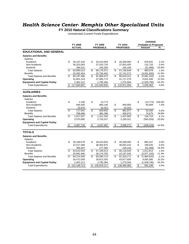#### *Health Science Center- Memphis Other Specialized Units*

**FY 2010 Natural Classifications Summary**

Unrestricted Current Funds Expenditures

|                                     |    |               |           |                 |                   |     | <b>CHANGE</b>               |          |
|-------------------------------------|----|---------------|-----------|-----------------|-------------------|-----|-----------------------------|----------|
|                                     |    | FY 2008       |           | FY 2009         | FY 2010           |     | <b>Probable to Proposed</b> |          |
|                                     |    | <b>ACTUAL</b> |           | <b>PROBABLE</b> | <b>PROPOSED</b>   |     | <b>Amount</b>               | %        |
| <b>EDUCATIONAL AND GENERAL</b>      |    |               |           |                 |                   |     |                             |          |
| <b>Salaries and Benefits</b>        |    |               |           |                 |                   |     |                             |          |
| <b>Salaries</b>                     |    |               |           |                 |                   |     |                             |          |
| Academic                            | \$ | 26, 197, 418  | \$        | 28,410,059      | \$<br>29,289,000  | \$  | 878,941                     | 3.1%     |
| Non-Academic                        |    | 36,323,063    |           | 37,520,729      | 37,653,455        |     | 132,726                     | 0.4%     |
| <b>Students</b>                     |    | 284,531       |           | 245,283         | 194,194           |     | (51,089)                    | $-20.8%$ |
| <b>Total Salaries</b>               | \$ | 62,805,012    | \$        | 66,176,071      | \$<br>67,136,649  | \$  | 960,578                     | 1.5%     |
| <b>Benefits</b>                     |    | 20,392,454    |           | 25,793,402      | 22,741,572        |     | (3,051,830)                 | $-11.8%$ |
| <b>Total Salaries and Benefits</b>  | \$ | 83,197,466    | \$        | 91,969,473      | \$<br>89,878,221  | \$. | (2,091,252)                 | $-2.3%$  |
| Operating                           |    | 31,901,319    |           | 37,085,773      | 41,717,279        |     | 4,631,506                   | 12.5%    |
| <b>Equipment and Capital Outlay</b> |    | 2,462,212     |           | 2,785,384       | 1,275,594         |     | (1,509,790)                 | $-54.2%$ |
| <b>Total Expenditures</b>           | \$ | 117,560,997   | \$        | 131,840,630     | \$<br>132,871,094 | \$  | 1,030,464                   | 0.8%     |
|                                     |    |               |           |                 |                   |     |                             |          |
| <b>AUXILIARIES</b>                  |    |               |           |                 |                   |     |                             |          |
| <b>Salaries and Benefits</b>        |    |               |           |                 |                   |     |                             |          |
| <b>Salaries</b>                     |    |               |           |                 |                   |     |                             |          |
| Academic                            | \$ | 2.160         | \$        | 13.774          |                   | \$  | $(13,774) -100.0\%$         |          |
| Non-Academic                        |    | 694,405       |           | 884,146         | \$<br>949.955     |     | 65,809                      | 7.4%     |
| <b>Students</b>                     |    | 20,976        |           | 32,022          | 32,022            |     |                             |          |
| <b>Total Salaries</b>               | \$ | 717,541       | \$        | 929.942         | \$<br>981,977     | \$  | 52,035                      | 5.6%     |
| <b>Benefits</b>                     |    | 299,486       |           | 381,298         | 455,973           |     | 74,675                      | 19.6%    |
| <b>Total Salaries and Benefits</b>  | \$ | 1,017,027     | \$        | 1,311,240       | \$<br>1,437,950   | \$  | 126,710                     | 9.7%     |
| Operating                           |    | 3,570,690     |           | 2,726,247       | 2,160,321         |     | (565, 926)                  | $-20.8%$ |
| <b>Equipment and Capital Outlay</b> |    |               |           |                 |                   |     |                             |          |
| <b>Total Expenditures</b>           | \$ | 4,587,716     | $\bullet$ | 4,037,487       | \$<br>3,598,271   | \$  | (439, 216)                  | $-10.9%$ |
| <b>TOTALS</b>                       |    |               |           |                 |                   |     |                             |          |
| <b>Salaries and Benefits</b>        |    |               |           |                 |                   |     |                             |          |
| <b>Salaries</b>                     |    |               |           |                 |                   |     |                             |          |
| Academic                            | \$ | 26,199,578    | \$        | 28,423,833      | \$<br>29,289,000  | \$  | 865,167                     | 3.0%     |
| Non-Academic                        |    | 37,017,468    |           | 38,404,875      | 38,603,410        | \$  | 198,535                     | 0.5%     |
| <b>Students</b>                     |    | 305,507       |           | 277,305         | 226,216           |     | (51,089)                    | $-18.4%$ |
| <b>Total Salaries</b>               | \$ | 63,522,553    | \$        | 67,106,013      | \$<br>68,118,626  | \$  | 1,012,613                   | 1.5%     |
| <b>Benefits</b>                     |    | 20,691,940    |           | 26,174,700      | 23,197,545        |     | (2,977,155)                 | $-11.4%$ |
| <b>Total Salaries and Benefits</b>  | \$ | 84,214,493    | \$        | 93,280,713      | \$<br>91,316,171  | \$  | (1,964,542)                 | $-2.1%$  |
| Operating                           |    | 35,472,009    |           | 39,812,020      | 43,877,600        |     | 4,065,580                   | 10.2%    |
| <b>Equipment and Capital Outlay</b> |    | 2.462.212     |           | 2,785,384       | 1,275,594         |     | (1,509,790)                 | $-54.2%$ |
| <b>Total Expenditures</b>           | S  | 122.148.713   | \$        | 135,878,117     | \$<br>136,469,365 | s,  | 591.248                     | 0.4%     |
|                                     |    |               |           |                 |                   |     |                             |          |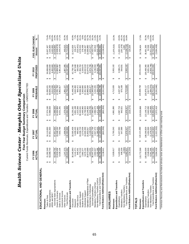| $\ddot{\phantom{0}}$<br>くちょうさくりょう コール・エー<br>l<br>יטונטו<br>ג<br>.<br>?<br>י |                       |
|-----------------------------------------------------------------------------|-----------------------|
| $\frac{1}{2}$                                                               |                       |
| į                                                                           | י<br>זי               |
| $\mathbf{I}$                                                                | <b>Tive-Year Budy</b> |
| ・クートへ<br>ייי                                                                |                       |
| ・・・・・・・・                                                                    |                       |
| 、<br>į<br>.<br>E                                                            |                       |
|                                                                             |                       |

**The Time Carry School School Transfers - UNRESTRICTED**<br>Current Funds Revenues, Expenditures and Transfers - UNRESTRICTED Current Funds Revenues, Expenditures and Transfers - UNRESTRICTED

|                                                                       |                             | ACTUAL                   |                        | ACTUAL                       |                             | ACTUAL                     |                        | PROBABLE                  |                                             |                              | Amount                                            | ×                    |
|-----------------------------------------------------------------------|-----------------------------|--------------------------|------------------------|------------------------------|-----------------------------|----------------------------|------------------------|---------------------------|---------------------------------------------|------------------------------|---------------------------------------------------|----------------------|
| ₹<br>EDUCATIONAL AND GENER                                            |                             |                          |                        |                              |                             |                            |                        |                           |                                             |                              |                                                   |                      |
| Revenues                                                              |                             |                          |                        |                              |                             |                            |                        |                           |                                             |                              |                                                   |                      |
| Tuition & Fees                                                        | မှာ မှာ                     | 21,262,349<br>63,089,700 | မာ မာ                  | 24,110,830<br>67,851,500     | မာ မာ                       | 27,574,190<br>72,988,500   | မာ မာ                  | 69,606,200<br>31,093,021  | မာ မာ                                       | 36,869,806<br>64,635,600     | 1,545,900<br>15,607,457<br>မှာ မှာ                | 2.5%<br>73.4%        |
| State Appropriations<br>ARRA and MOE *                                |                             |                          |                        |                              |                             |                            |                        | 3.012.000                 |                                             | 8,493,900                    | 8,493,900                                         | 100.0%               |
| Sub-total State Appropriations                                        | $\boldsymbol{\varphi}$      | 63,089,700               | ↮                      | 67,851,500                   | ↮                           | 72,988,500                 | $\boldsymbol{\varphi}$ | 72,618,200                | $\boldsymbol{\varphi}$                      | 73,129,500                   | 10,039,800<br>$\Theta$                            | 15.9%                |
| Grants & Contracts<br>Sales & Services                                |                             | 15,818,458               |                        | 15,048,184                   |                             | 14,494,984                 |                        | 12,291,768                |                                             | 12,889,580                   | (2,928,878)                                       | $-18.5%$<br>$-17.1%$ |
| Investment Income                                                     |                             | 8,426,104                |                        | 7,653,788                    |                             | 8,031,291                  |                        | 6,862,817                 |                                             | 6,981,630                    | (1,444,474)                                       |                      |
| <b>Other Sources</b>                                                  |                             | 1,247,370                |                        | 1,696,544                    |                             | 1,576,033                  |                        | 1,891,137                 |                                             | 1,687,385                    | 440,015                                           | 35.3%<br>19.8%       |
| <b>Total Revenues</b>                                                 | $\varphi$                   | 109,843,982              | $\boldsymbol{\varphi}$ | 116,360,846                  | ↮                           | 124,664,998                | $\varphi$              | 124,756,943               | ↮                                           | 131,557,901                  | 21,713,919<br>↮                                   |                      |
| Expenditures and Transfers                                            |                             |                          |                        |                              |                             |                            |                        |                           |                                             |                              |                                                   |                      |
| Instruction<br>Research                                               | ↮                           | 30,345,883<br>3,141,371  | ↮                      | 33,585,458<br>3,409,445      | ↮                           | 3,881,188<br>36,230,282    | ↮                      | 41,448,240<br>3,642,490   | ↮                                           | 42,759,709<br>3,367,848      | 12,413,826<br>226,477<br>↮                        | 40.9%<br>7.2%        |
| Public Service                                                        |                             | 845,401                  |                        | 963,982                      |                             | 1,023,366                  |                        | 664,472                   |                                             | 335,000                      | (510, 401)                                        | $-60.4%$             |
| Academic Support                                                      |                             | 22,779,210               |                        | 24,036,729                   |                             | 30,345,541                 |                        | 30,566,382                |                                             | 27,355,763                   | 4,576,553                                         | 20.1%                |
| <b>Student Services</b>                                               |                             | 2,882,377                |                        | 3,273,058                    |                             | 3,495,965                  |                        | 3,363,690                 |                                             | 3,158,875                    | 276,498                                           | 9.6%                 |
| Operation & Maintenance of Plant<br>Institutional Support             |                             | 20,873,689<br>9,676,152  |                        | 10,600,389<br>21,832,017     |                             | 14,788,503<br>22,146,363   |                        | 22,361,945<br>23,966,934  |                                             | 18,042,619<br>31,874,572     | 11,000,883<br>8,366,467                           | 52.7%<br>86.5%       |
| Scholarships & Fellowships                                            |                             | 4,903,231                |                        | 5,130,658                    |                             | 5,649,789                  |                        | 5,826,477                 |                                             | 5,976,708                    | 1,073,477                                         | 21.9%                |
| Sub-total Expenditures                                                | $\Theta$                    | 95,447,315               | $\Theta$               | 102,831,736                  | $\Theta$                    | 117,560,997                | $\boldsymbol{\varphi}$ | 31,840,630                | $\boldsymbol{\varphi}$                      | 32,871,094                   | 37,423,779<br>$\Theta$                            | 39.2%                |
| Mandatory Transfers (In)/Out                                          |                             | 2,902,637                |                        | 2,947,470                    |                             | 2,996,570                  |                        | 3,242,235                 |                                             | 3,246,553                    | 343,916                                           | 11.8%                |
| Total Expenditures and Transfers<br>Non-Mandatory Transfers (In)/Out  | $\qquad \qquad \varphi$     | 106,705,340<br>8,355,389 | $\leftrightarrow$      | 117,164,205<br>11,385,000    | ↮                           | 1,471,169<br>122,028,735   | $\boldsymbol{\varphi}$ | (1,084,076)<br>33,998,789 |                                             | (4,559,746)<br>31,557,901    | (12, 915, 135)<br>24,852,561<br>$\leftrightarrow$ | $-154.6%$<br>23.3%   |
| Fund Balance Addition/(Reduction)                                     | $\Theta$                    | 3,138,641                | $\Theta$               | (803, 359)                   | ↮                           | (803, 359)                 | $\boldsymbol{\varphi}$ | (9,241,846)               | $\boldsymbol{\varphi}$<br>$\leftrightarrow$ |                              | (3, 138, 641)<br>$\Theta$                         |                      |
|                                                                       |                             |                          |                        |                              |                             |                            |                        |                           |                                             |                              |                                                   |                      |
| <b>AUXILIARIES</b>                                                    |                             |                          |                        |                              |                             |                            |                        |                           |                                             |                              |                                                   |                      |
| Revenues                                                              | ↮                           | 5,928,617                | ↮                      | 5,760,243                    | ↮                           | 4,861,890                  | ↮                      | 4,712,826                 | ↮                                           | 3,953,102                    | (1,975,515)<br>↮                                  | $-33.3%$             |
| Expenditures and Transfers                                            |                             |                          |                        |                              |                             |                            |                        |                           |                                             |                              |                                                   |                      |
| Mandatory Transfers<br>Expenditures                                   | ↮                           | 646,209<br>5,420,694     | ↮                      | 5,437,093<br>547,099         | ↮                           | 4,587,716<br>643,521       | ↮                      | 675,339<br>4,037,487      | ↮                                           | 354,831<br>3,598,271         | (1,822,423)<br>(291, 378)<br>↮                    | $-33.6%$<br>$-45.1%$ |
| Non-Mandatory Transfers                                               |                             | (4,083)                  |                        |                              |                             |                            |                        |                           |                                             |                              | 4,083                                             | 100.0%               |
| Total Expenditures and Transfers                                      | ↮                           | 6,062,821                | ↮                      | 5,978,417                    | ↮                           | 5,978,417                  | ↮                      | 4,712,826                 | ↮                                           | 3,953,102                    | (2,109,719)<br>$\boldsymbol{\varphi}$             | $-34.8%$             |
| Fund Balance Addition/(Reduction)                                     | ↮                           | (134, 204)               | ↮                      | (218, 173)                   | ↮                           | (218, 173)                 | ↮                      |                           | ↮                                           |                              | 134,204<br>↮                                      |                      |
| <b>TOTALS</b>                                                         |                             |                          |                        |                              |                             |                            |                        |                           |                                             |                              |                                                   |                      |
| Revenues                                                              | ↮                           | 115,772,599              | ↮                      | 122, 121, 089                | ↮                           | 129,526,888                | ↮                      | 129,469,769               | ↮                                           | 135,511,003                  | 19,738,404<br>↮                                   | 17.0%                |
| Expenditures and Transfers                                            |                             |                          |                        |                              |                             |                            |                        |                           |                                             |                              |                                                   |                      |
| Mandatory Transfers<br>Expenditures                                   | ↮                           | 3,548,846<br>100,868,009 | ↮                      | 108,268,829<br>3,494,569     | ↔                           | 122, 148, 713<br>3,640,090 | ↔                      | 3,917,574<br>135,878,117  | ↔                                           | 136,469,365<br>3,601,384     | 35,601,356<br>52,538<br>$\Theta$                  | 1.5%<br>35.3%        |
| Non-Mandatory Transfers                                               |                             | 8,351,306                |                        | 11,379,224                   |                             | 1,165,668                  | $\Theta$               | (1,084,076)<br>38,711,615 |                                             | $(4,559,746)$<br>135,511,003 | (12, 911, 052)                                    | 154.6%               |
| Fund Balance Addition/(Reduction)<br>Total Expenditures and Transfers | $\boldsymbol{\varphi}$<br>↮ | 3,004,438<br>112,768,161 | $\theta$               | (1,021,533)<br>123, 142, 622 | $\boldsymbol{\varphi}$<br>↮ | 2,572,416<br>26,954,472    | - မ                    | (9,241,846)               | $\frac{1}{2}$                               |                              | (3,004,438)<br>22,742,842<br>$\Theta$<br>$\Theta$ | 20.2%                |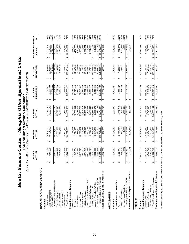| Memphis Other Specialized Un <sup>;</sup> |                                                  |
|-------------------------------------------|--------------------------------------------------|
|                                           |                                                  |
|                                           | $\begin{bmatrix} 1 \\ 1 \\ 1 \\ 1 \end{bmatrix}$ |
|                                           |                                                  |
|                                           |                                                  |
|                                           |                                                  |
| Health Science Center - I                 |                                                  |
|                                           |                                                  |

Five-Year Budget Summary Comparison<br>Current Funds Revenues, Expenditures and Transfers - UNRESTRICTED AND RESTRICTED Current Funds Revenues, Expenditures and Transfers - UNRESTRICTED AND RESTRICTED **Five-Year Budget Summary Comparison**

|                                                             |                        | FY 2006<br>ACTUAL |                        | FY 2007<br>ACTUAI |                        | FY 2008<br>ACTUAI       |                        | PROBABLE<br>FY 2009       |                         | PROPOSED<br>FY 2010       | FIVE-YEAR CHANGE<br>Amount             | $\epsilon$         |
|-------------------------------------------------------------|------------------------|-------------------|------------------------|-------------------|------------------------|-------------------------|------------------------|---------------------------|-------------------------|---------------------------|----------------------------------------|--------------------|
| ₹<br>EDUCATIONAL AND GENER                                  |                        |                   |                        |                   |                        |                         |                        |                           |                         |                           |                                        |                    |
| Revenues                                                    |                        |                   |                        |                   |                        |                         |                        |                           |                         |                           |                                        |                    |
| Tuition & Fees                                              |                        | 21,262,349        |                        | 24,110,830        |                        | 27,574,190              |                        | 31,093,021                |                         | 36,869,806                | 15,607,457                             |                    |
| <b>State Appropriations</b>                                 | မာ မာ                  | 63,583,208        | မာ မာ                  | 68,708,799        | မှာ မှာ                | 73,262,100              | မာ မာ                  | 70,867,800                | မာ မာ                   | 65,882,500                | 2,299,292<br>မှာ မှာ                   | 73.4%<br>3.6%      |
| ARRA and MOE *                                              |                        |                   |                        |                   |                        |                         |                        | 3,024,000                 |                         | 8,520,600                 | 8,520,600                              | 100.0%             |
| Sub-total State Appropriations                              | ↮                      | 63,583,208        | $\boldsymbol{\varphi}$ | 68,708,799        | ↮                      | 73,262,100              | $\boldsymbol{\varphi}$ | 73,891,800                | ↮                       | 74,403,100                | 10,819,892<br>↮                        | 17.0%              |
| Grants & Contracts                                          |                        | 29,466,442        |                        | 27,601,399        |                        | 28,379,046              |                        | 25,591,768                |                         | 26,189,580                | (3, 276, 862)                          | $-11.1%$           |
| Sales & Services                                            |                        | 8,426,104         |                        | 7,653,788         |                        | 8,031,291               |                        | 6,862,817                 |                         | 6,981,630                 | (1,444,474)                            | $-17.1%$           |
| Investment Income                                           |                        |                   |                        |                   |                        |                         |                        |                           |                         |                           |                                        |                    |
| <b>Other Sources</b>                                        |                        | 6,928,784         |                        | 8,151,122         |                        | 7,156,001               |                        | 7,836,016                 |                         | 7.627.528                 | 698,744                                | 10.1%              |
| <b>Total Revenues</b>                                       | ↮                      | 129,666,888       | <del>∽</del>           | 136,225,939       | ↮                      | 144,402,627             | ↮                      | 145,275,422               | $\leftrightarrow$       | 152,071,644               | 22,404,757<br><del>∽</del>             | 17.3%              |
| Expenditures and Transfers                                  |                        |                   |                        |                   |                        |                         |                        |                           |                         |                           |                                        |                    |
| Instruction                                                 | ↮                      | 34,073,410        | ↮                      | 37,258,621        | ↮                      | 39,923,842              | ↮                      | 45,148,240                | ↮                       | 46,459,709                | 12,386,299<br>↮                        | 36.4%              |
| Research                                                    |                        | 11,647,934        |                        | 11,824,976        |                        | 12,231,044              |                        | 11,742,490                |                         | 11,467,848                | (180, 086)                             | $-1.5%$            |
| Public Service                                              |                        | 4,104,367         |                        | 3,145,790         |                        | 4,014,672               |                        | 3,464,472                 |                         | 3,135,000                 | (969, 367)                             | 23.6%              |
| Academic Support                                            |                        | 24,217,073        |                        | 25,501,371        |                        | 31,998,728              |                        | 32,216,382                |                         | 29,005,763                | 4,788,690                              | 19.8%              |
| <b>Student Services</b>                                     |                        | 2,882,402         |                        | 3,473,636         |                        | 3,496,818               |                        | 3,364,690                 |                         | 3,159,875                 | 277,473                                | 9.6%               |
| Institutional Support                                       |                        | 10,674,248        |                        | 11,497,019        |                        | 15,905,233              |                        | 23,261,945                |                         | 18,942,619                | 8,268,371                              | 77.5%              |
| Operation & Maintenance of Plant                            |                        | 20,873,689        |                        | 21,832,017        |                        | 22,146,363              |                        | 23,966,934                |                         | 31,874,572                | 11,000,883                             | 52.7%              |
| Scholarships & Fellowships                                  |                        | 5,836,878         |                        | 6,597,116         |                        | 7,158,960               |                        | 8,326,477                 |                         | 8,476,708                 | 2,639,830                              | 45.2%              |
| Sub-total Expenditures                                      | $\boldsymbol{\varphi}$ | 114,310,001       | $\Theta$               | 121,130,547       | $\Theta$               | 136,875,659             | $\Theta$               | 51,491,630                | $\Theta$                | 52,522,094                | 38,212,093<br>$\Theta$                 | 33.4%              |
| Mandatory Transfers (In)/Out                                |                        | 2,902,637         |                        | 2,947,470         |                        | 2,996,570               |                        | 3,242,235                 |                         | 3,246,553                 | 343.916                                | 11.8%              |
| Non-Mandatory Transfers (In)/Out                            |                        | 8,355,389         |                        | 11,385,000        |                        | 1,471,169               |                        | (1,084,076)               |                         | (4,559,746)               | (12, 915, 135)                         | $-154.6%$          |
| Total Expenditures and Transfers                            | ↮                      | 125,568,027       | $\Theta$               | 135,463,017       | $\boldsymbol{\varphi}$ | 141,343,397             | $\boldsymbol{\varphi}$ | 53,649,789                | $\Theta$                | 51,208,901                | 25,640,874<br>$\boldsymbol{\varphi}$   | 20.4%              |
| Revenues Less Expend. & Transfers                           | ↔                      | 4,098,860         | ↔                      | 762,923           | $\boldsymbol{\varphi}$ | 3,059,230               | ↔                      | (8,374,367)               | $\Theta$                | 862,743                   | (3,236,117)<br>မာ                      |                    |
| AUXILIARIES                                                 |                        |                   |                        |                   |                        |                         |                        |                           |                         |                           |                                        |                    |
| Revenues                                                    | ↮                      | 5,928,617         | ↔                      | 5,760,243         | ↮                      | 4,861,890               | ↮                      | 4,712,826                 | ↮                       | 3,953,102                 | (1,975,515)<br>↮                       | $-33.3%$           |
| Expenditures and Transfers                                  |                        |                   |                        |                   |                        |                         |                        |                           |                         |                           |                                        |                    |
| Expenditures                                                | ↮                      | 5,420,694         | ↮                      | 5,437,093         | ↮                      | 4,587,716               | ↮                      | 4,037,487                 | ↮                       | 3,598,271                 | (1,822,423)<br>↮                       | $-33.6%$           |
| Mandatory Transfers                                         |                        | 646,209           |                        | 547,099           |                        | 643,521                 |                        | 675,339                   |                         | 354,831                   | (291, 378)                             | $-45.1%$           |
| Non-Mandatory Transfers                                     |                        | (4,083)           |                        | (5,775)           |                        | (305, 501)              |                        |                           |                         |                           | 4,083                                  | 100.0%             |
| Total Expenditures and Transfers                            | ↮                      | 6,062,821         | $\Theta$               | 5,978,417         | $\boldsymbol{\omega}$  | 4,925,737               | $\boldsymbol{\omega}$  | 4,712,826                 | $ \boldsymbol{\omega} $ | 3,953,102                 | (2, 109, 719)<br>$\boldsymbol{\omega}$ | $-34.8%$           |
| Revenues Less Expend. & Transfers                           | ↔                      | (134, 204)        | ↔                      | (218, 173)        | ↮                      | (63, 847)               | ↮                      |                           | ↮                       |                           | 134,204<br>↮                           |                    |
| <b>TOTALS</b>                                               |                        |                   |                        |                   |                        |                         |                        |                           |                         |                           |                                        |                    |
| Revenues                                                    | ↮                      | 135,595,505       | ↮                      | 141,986,183       | ↮                      | 149,264,517             | ↮                      | 149,988,248               | ↮                       | 156,024,746               | 20,429,241<br>↮                        | 15.1%              |
| Expenditures and Transfers                                  |                        |                   |                        |                   |                        |                         |                        |                           |                         |                           |                                        |                    |
| Expenditures                                                | ↮                      | 119,730,696       | ↮                      | 126,567,640       | ↮                      | 141,463,375             | ↮                      | 155,529,117               | ↮                       | 156, 120, 365             | 36,389,669<br>↮                        | 30.4%              |
| Mandatory Transfers                                         |                        | 3,548,846         |                        | 3,494,569         |                        | 3,640,090               |                        | 3,917,574                 |                         | 3,601,384                 | 52,538                                 | 1.5%               |
| Total Expenditures and Transfers<br>Non-Mandatory Transfers |                        | 8,351,306         |                        | 11,379,224        |                        | 1,165,668<br>46,269,134 |                        | (1,084,076)<br>58,362,615 |                         | (4,559,746)<br>55,162,003 | (12, 911, 052)                         | $-154.6%$<br>17.9% |
|                                                             | $\leftrightarrow$      | 31,630,848        | မှ မ                   | ,441,433<br>14    | $\frac{1}{2}$          |                         | $\frac{1}{2}$          |                           | မှ မ                    |                           | 23,531,155<br>$\Theta$                 |                    |
| Revenues Less Expend. & Transfers                           | $\Theta$               | 3,964,657         |                        | 544,749           |                        | 2,995,383               |                        | (8,374,367)               |                         | 862,743                   | (3,101,914)<br>$\theta$                |                    |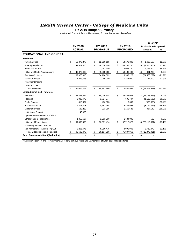#### *Health Science Center - College of Medicine Units*

#### **FY 2010 Budget Summary**

Unrestricted Current Funds Revenues, Expenditures and Transfers

|                                          |                  |                  |              |                 | <b>CHANGE</b>               |          |
|------------------------------------------|------------------|------------------|--------------|-----------------|-----------------------------|----------|
|                                          | <b>FY 2008</b>   | FY 2009          |              | FY 2010         | <b>Probable to Proposed</b> |          |
|                                          | <b>ACTUAL</b>    | <b>PROBABLE</b>  |              | <b>PROPOSED</b> | Amount                      | %        |
| <b>EDUCATIONAL AND GENERAL</b>           |                  |                  |              |                 |                             |          |
| <b>Revenues</b>                          |                  |                  |              |                 |                             |          |
| <b>Tuition &amp; Fees</b>                | \$<br>12,872,378 | \$<br>12,916,188 | \$           | 14,576,346      | \$<br>1,660,158             | 12.9%    |
| <b>State Appropriations</b>              | \$<br>49,379,400 | \$<br>46,578,100 | \$           | 44,162,700      | \$<br>(2,415,400)           | $-5.2%$  |
| ARRA and MOE *                           |                  | 3,247,100        |              | 6,023,700       | 2,776,600                   | 85.5%    |
| Sub-total State Appropriations           | \$<br>49,379,400 | \$<br>49,825,200 | $\mathbf{s}$ | 50,186,400      | \$<br>361,200               | 0.7%     |
| <b>Grants &amp; Contracts</b>            | 32,976,016       | 34,166,502       |              | 9,588,223       | (24, 578, 279)              | $-71.9%$ |
| Sales & Services                         | 1,378,685        | 1,280,000        |              | 1,457,000       | 177,000                     | 13.8%    |
| Investment Income                        |                  |                  |              |                 |                             |          |
| <b>Other Sources</b>                     |                  |                  |              |                 |                             |          |
| <b>Total Revenues</b>                    | \$<br>96,606,478 | \$<br>98,187,890 | \$           | 75,807,969      | \$ (22, 379, 921)           | $-22.8%$ |
| <b>Expenditures and Transfers</b>        |                  |                  |              |                 |                             |          |
| Instruction                              | \$<br>81,848,644 | \$<br>80,036,504 | \$           | 58,883,048      | $$$ (21,153,456)            | $-26.4%$ |
| Research                                 | 3,838,473        | 1,717,377        |              | 596,747         | (1, 120, 630)               | $-65.3%$ |
| <b>Public Service</b>                    | 416.864          | 486.883          |              | 3,000           | (483, 883)                  | $-99.4%$ |
| Academic Support                         | 6,207,303        | 8,683,754        |              | 5.484.692       | (3, 199, 062)               | $-36.8%$ |
| <b>Student Services</b>                  | 583,232          | 323,396          |              | 1,160,536       | 837,140                     | 258.9%   |
| <b>Institutional Support</b>             | 146,800          |                  |              |                 |                             |          |
| Operation & Maintenance of Plant         |                  |                  |              |                 |                             |          |
| Scholarships & Fellowships               | 1,358,687        | 1,583,500        |              | 1,584,000       | 500                         | 0.0%     |
| Sub-total Expenditures                   | \$<br>94,400,003 | \$<br>92,831,414 | \$           | 67,712,023      | $$$ (25,119,391)            | $-27.1%$ |
| Mandatory Transfers (In)/Out             |                  |                  |              |                 |                             |          |
| Non-Mandatory Transfers (In)/Out         | 2,206,475        | 5,356,476        |              | 8,095,946       | 2,739,470                   | 51.1%    |
| <b>Total Expenditures and Transfers</b>  | \$<br>96,606,478 | \$<br>98,187,890 | \$           | 75,807,969      | \$<br>(22, 379, 921)        | $-22.8%$ |
| <b>Fund Balance Addition/(Reduction)</b> | \$               | \$               | \$           |                 | \$                          |          |

\* American Recovery and Reinvestment Act federal stimulus funds and Maintenance of Effort state matching funds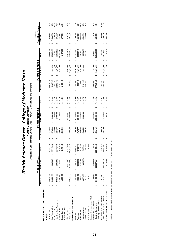| Health Science Center - College of Medicine L |  |
|-----------------------------------------------|--|
|                                               |  |
|                                               |  |
|                                               |  |
|                                               |  |
|                                               |  |

**FY 2010 Budget Summar y** Unrestricted and Restricted Current Funds Revenues, Expenditures and Transfers

**FY 2009 PROBABLE Probable to Proposed FY 2010 PROPOSED** Total FY 2010 PROPOSED<br>ad Restricted Unrestricted Total FY 2009 PROBABLE<br>d Restricted **Unrestricted** Total FY 2008 ACTUAL<br>1 Restricted **FY 2008 ACTUAL** Unrestricted

**Unrestricted Restricted Total Unrestricted Restricted Total Unrestricted Restricted Total Amount**

**%**

**CHANGE**

### EDUCATIONAL AND GENERAL **EDUCATIONAL AND GENERAL**

| בני המוני שני המוני שנו המוני שבו                |                  |    |                |    |             |                         |    |             |                   |                         |       |                      |                         |                 |               |
|--------------------------------------------------|------------------|----|----------------|----|-------------|-------------------------|----|-------------|-------------------|-------------------------|-------|----------------------|-------------------------|-----------------|---------------|
| Revenues                                         |                  |    |                |    |             |                         |    |             |                   |                         |       |                      |                         |                 |               |
| Tuition & Fees                                   | 12,872,378       |    |                |    | 12,872,378  | 12,916,188              |    |             | 12,916,188        | 14,576,346              |       |                      | 14,576,346              | 1,660,158       | 12.9%         |
| State Appropriations                             | 49,379,400       | 69 | 1,365,900      |    | 50,745,300  | 46,578,100              | မာ | 1,306,900   | 47,885,000        | 44,162,700              | မာ    | 1,233,400            | 45,396,100              | (2,488,900)     | $-5.2%$       |
| ARRA and MOE *<br>Sub-total State Appropriations |                  |    |                |    |             | 3,247,100<br>49,825,200 |    | 59,900      | 3,307,000         | 6,023,700<br>50,186,400 |       |                      | 6,157,100<br>51,553,200 | 2,850,100       |               |
|                                                  | 49,379,400<br>မာ | ω  | 1,365,900      | မာ | 50,745,300  | ω                       |    | 1,366,800   | 51,192,000<br>မာ  | မာ                      | ω     | 133,400<br>1,366,800 |                         | 361,200<br>ω    | 96.2%<br>0.7% |
| Grants & Contracts                               | 32,976,016       |    | 106,592,000    |    | 139,568,016 | 34,166,502              |    | 110,138,000 | 144,304,502       | 9,588,223               |       | 136,438,000          | 146,026,223             | ,721,721        | 1.2%          |
| Sales & Services                                 | 1,378,685        |    |                |    | 1,378,685   | 1,280,000               |    |             | 1,280,000         | 1,457,000               |       |                      | 1,457,000               | 177,000         | 13.8%         |
| Investment Income                                |                  |    |                |    |             |                         |    |             |                   |                         |       |                      |                         |                 |               |
| Other Sources                                    |                  |    | 15,412,300     |    | 15,412,300  |                         |    | 13,754,581  | 13,754,581        |                         |       | 13,675,601           | 13,675,601              | (78, 980)       | $-0.6%$       |
| <b>Total Revenues</b>                            | 96,606,478       |    | \$ 123,370,200 | မာ | 219,976,678 | 98,187,890              |    | 125,259,381 | 223,447,271<br>မာ | 75,807,969<br>↮         | မာ    | 151,480,401          | 227,288,370             | 3,841,099       | 1.7%          |
| Expenditures and Transfers                       |                  |    |                |    |             |                         |    |             |                   |                         |       |                      |                         |                 |               |
| Instruction                                      | 81,848,644       | မာ | 67,645,011     |    | 149,493,655 | 80,036,504<br>မာ        | ω  | 76,300,000  | 156,336,504       | 58,883,048              |       | 100,000,000          | 158,883,048             | 2,546,544       | 1.6%          |
| Research                                         | 3,838,473        |    | 42,882,303     |    | 46,720,776  | 1,717,377               |    | 39,000,000  | 40,717,377        | 596,747                 |       | 39,000,000           | 39,596,747              | (1, 120, 630)   | $-2.8%$       |
| Public Service                                   | 416,864          |    | 7,305,281      |    | 7,722,144   | 486,883                 |    | 6,800,000   | 7,286,883         |                         | 3,000 | 6,800,000            | 6,803,000               | (483, 883)      | $-6.6%$       |
| Academic Support                                 | 6,207,303        |    | (638, 378)     |    | 5,568,924   | 8,683,754               |    | ,500,000    | 10,183,754        | 484,692                 |       | 4,100,000            | 9,584,692               | (599, 062)      | $-5.9%$       |
| Student Services                                 | 583,232          |    |                |    | 583,232     | 323,396                 |    |             | 323,396           | 1,160,536               |       |                      | 1,160,536               | 837,140         | 258.9%        |
| Institutional Support                            | 146,800          |    |                |    | 146,800     |                         |    |             |                   |                         |       |                      |                         |                 |               |
| Operation & Maintenance of Plant                 |                  |    |                |    |             |                         |    |             |                   |                         |       |                      |                         |                 |               |
| Scholarships & Fellowships                       | 1,358,687        |    | 1,062,898      |    | 2,421,586   | 1,583,500               |    | 1,500,000   | 3,083,500         | 1,584,000               |       | 1,500,000            | 3,084,000               | 500             | 0.0%          |
| Sub-total Expenditures                           | 94,400,003       |    | \$118,257,114  | မာ | 212,657,118 | 92,831,414<br>မာ        | မာ | 125,100,000 | 217,931,414<br>s, | 67,712,023<br>ω         | မာ    | 151,400,000          | 219,112,023<br>ø        | 1,180,609<br>မာ | 0.5%          |
| Mandatory Transfers (In)/Out                     |                  |    |                |    |             |                         |    |             |                   |                         |       |                      |                         |                 |               |
| Non-Mandatory Transfers (In)/Out                 | 2,206,475        |    |                |    | 2,206,475   | 5,356,476               |    |             | 5,356,476         | 8,095,946               |       |                      | 8,095,946               | 2,739,470       | 51.1%         |
| Total Expenditures and Transfers                 | 96,606,478       |    | \$118,257,114  | မာ | 214,863,593 | 98,187,890              |    | 125,100,000 | 223,287,890<br>မာ | 75,807,969<br>↮         | မာ    | 151,400,000          | 227,207,969             | 3,920,079       | 1.8%          |
| Revenues Less Expend. & Transfers                |                  |    | 5,113,086      | 69 | 5,113,086   | ω                       | G, | 159,381     | 159,381<br>69     | မာ                      | မာ    | 80,401               | 80,401<br>မာ            | (78, 980)<br>69 |               |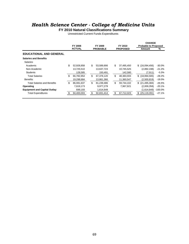#### *Health Science Center - College of Medicine Units*

**FY 2010 Natural Classifications Summary**

Unrestricted Current Funds Expenditures

|                                     |     | <b>FY 2008</b> | FY 2009          | FY 2010          | <b>CHANGE</b><br><b>Probable to Proposed</b> |           |
|-------------------------------------|-----|----------------|------------------|------------------|----------------------------------------------|-----------|
|                                     |     | <b>ACTUAL</b>  | <b>PROBABLE</b>  | <b>PROPOSED</b>  | Amount                                       | ℅         |
| <b>EDUCATIONAL AND GENERAL</b>      |     |                |                  |                  |                                              |           |
| <b>Salaries and Benefits</b>        |     |                |                  |                  |                                              |           |
| <b>Salaries</b>                     |     |                |                  |                  |                                              |           |
| Academic                            | \$  | 52,928,858     | \$<br>53,589,906 | \$<br>37,495,450 | \$(16,094,456)                               | $-30.0%$  |
| Non-Academic                        |     | 13,725,510     | 13,637,723       | 10,745,525       | (2,892,198)                                  | $-21.2%$  |
| <b>Students</b>                     |     | 128,585        | 150,491          | 142,580          | (7,911)                                      | $-5.3%$   |
| <b>Total Salaries</b>               | \$  | 66,782,954     | \$<br>67,378,120 | \$<br>48,383,555 | \$(18,994,565)                               | $-28.2%$  |
| <b>Benefits</b>                     |     | 19,298,684     | 13,861,366       | 11,360,547       | (2,500,819)                                  | $-18.0%$  |
| <b>Total Salaries and Benefits</b>  | \$. | 86,081,637     | \$<br>81,239,486 | \$<br>59,744,102 | $$$ (21,495,384)                             | $-26.5%$  |
| Operating                           |     | 7,619,173      | 9,977,279        | 7,967,921        | (2,009,358)                                  | $-20.1%$  |
| <b>Equipment and Capital Outlay</b> |     | 699,193        | 1,614,649        |                  | (1,614,649)                                  | $-100.0%$ |
| <b>Total Expenditures</b>           |     | 94,400,003     | \$<br>92,831,414 | \$<br>67,712,023 | \$<br>(25, 119, 391)                         | $-27.1%$  |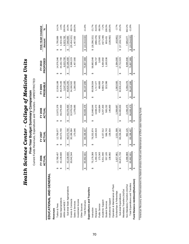|                                   | Current Funds Revenues, Expenditures and Transfers - UNRESTRICTED |              |            |                        |            |                   |                |                        |            |                            |           |
|-----------------------------------|-------------------------------------------------------------------|--------------|------------|------------------------|------------|-------------------|----------------|------------------------|------------|----------------------------|-----------|
|                                   | FY 2006                                                           |              | FY 2007    |                        | FY 2008    |                   | <b>FY 2009</b> |                        | FY 2010    | FIVE-YEAR CHANGE           |           |
|                                   | ACTUAL                                                            |              | ACTUAL     |                        | ACTUAL     |                   | PROBABLE       |                        | PROPOSED   | Amount                     | వ్        |
| EDUCATIONAL AND GENERAI           |                                                                   |              |            |                        |            |                   |                |                        |            |                            |           |
| Revenues                          |                                                                   |              |            |                        |            |                   |                |                        |            |                            |           |
| Tuition & Fees                    | 12,780,457                                                        | ↮            | 2,758,077  | ↮                      | 12,872,378 | ↮                 | 12,916,188     | ↮                      | 14,576,346 | 1,795,889<br>↮             | 14.1%     |
| State Appropriations              | 43,139,600                                                        | ↮            | 46,073,700 | $\boldsymbol{\varphi}$ | 49,379,400 | ↔                 | 46,578,100     | ↔                      | 44,162,700 | 1,023,100<br>↮             | 2.4%      |
| ARRA and MOE *                    |                                                                   |              |            |                        |            |                   | 3,247,100      |                        | 6,023,700  | 6,023,700                  | 100.0%    |
| Sub-total State Appropriations    | 43,139,600                                                        | ↮            | 46,073,700 | ↮                      | 49,379,400 | ↮                 | 49,825,200     | ↮                      | 50,186,400 | 7,046,800<br>↔             | 16.3%     |
| Grants & Contracts                | 30,042,544                                                        |              | 30,196,584 |                        | 32,976,016 |                   | 34,166,502     |                        | 9,588,223  | (20, 454, 321)             | $-68.1%$  |
| Sales & Services                  |                                                                   |              | 170,046    |                        | 1,378,685  |                   | 1,280,000      |                        | 1,457,000  | 1,457,000                  | 100.0%    |
| Investment Income                 |                                                                   |              |            |                        |            |                   |                |                        |            |                            |           |
| Other Sources                     |                                                                   |              |            |                        |            |                   |                |                        |            |                            |           |
| <b>Total Revenues</b>             | 85,962,601                                                        | <del>∽</del> | 89,198,407 | $\boldsymbol{\omega}$  | 96,606,478 | \$                | 98,187,890     | ↮                      | 75,807,969 | \$(10, 154, 632)           | $-11.8%$  |
| Expenditures and Transfers        |                                                                   |              |            |                        |            |                   |                |                        |            |                            |           |
| Instruction                       | 75, 179, 369                                                      | ↮            | 78,202,874 | ↮                      | 81,848,644 | ↮                 | 80,036,504     | ക                      | 58,883,048 | \$(16, 296, 321)           | $-21.7%$  |
| Research                          | ,283,123                                                          |              | 1,620,619  |                        | 3,838,473  |                   | 1,717,377      |                        | 596,747    | (686,376)                  | $-53.5%$  |
| Public Service                    | 173,343                                                           |              |            |                        | 416,864    |                   | 486,883        |                        | 3,000      | (170, 343)                 | $-98.3%$  |
| Academic Support                  | 911,940                                                           |              | 6,157,512  |                        | 6,207,303  |                   | 8,683,754      |                        | 5,484,692  | (427, 248)                 | $-7.2%$   |
| <b>Student Services</b>           | 557,105                                                           |              | 586,743    |                        | 583,232    |                   | 323,396        |                        | 1,160,536  | 603,431                    | 108.3%    |
| Institutional Support             | 138,992                                                           |              | 136,934    |                        | 146,800    |                   |                |                        |            | (138, 992)                 | $-100.0%$ |
| Operation & Maintenance of Plant  |                                                                   |              |            |                        |            |                   |                |                        |            |                            |           |
| Scholarships & Fellowships        | ,627,861                                                          |              | 1,531,599  |                        | 1,358,687  |                   | 1,583,500      |                        | 1,584,000  | (43, 861)                  | $-2.7%$   |
| Sub-total Expenditures            | 871,733<br>$\alpha$                                               | ↮            | 88,236,282 | ↮                      | 94,400,003 | ↮                 | 92,831,414     | ↮                      | 67,712,023 | \$(17, 159, 710)           | $-20.2%$  |
| Mandatory Transfers (In)/Out      |                                                                   |              |            |                        |            |                   |                |                        |            |                            |           |
| Non-Mandatory Transfers (In)/Out  | ,090,869                                                          |              | 962,125    |                        | 2,206,475  |                   | 5,356,476      |                        | 8,095,946  | 7,005,077                  | 642.2%    |
| Total Expenditures and Transfers  | 85,962,601                                                        | S            | 89,198,407 | $\boldsymbol{\omega}$  | 96,606,478 | $\leftrightarrow$ | 98,187,890     | ⊕∥                     | 75,807,969 | $\frac{1}{2}$ (10,154,632) | $-11.8%$  |
| Fund Balance Addition/(Reduction) |                                                                   | ↮            |            | $\boldsymbol{\varphi}$ |            | ↮                 |                | $\boldsymbol{\varphi}$ |            | ക                          |           |
|                                   |                                                                   |              |            |                        |            |                   |                |                        |            |                            |           |

\* American Recovery and Reinvestment Act federal stimulus funds and Maintenance of Effort state matching funds \* American Recovery and Reinvestment Act federal stimulus funds and Maintenance of Effort state matching funds

# Health Science Center - College of Medicine Units<br>Five-Year Budget Summary Comparison *Health Science Center - College of Medicine Units* **Five-Year Budget Summary Comparison**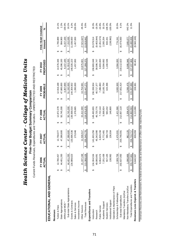|                                                                                                                |   | FY 2006     |   | FY 2007     |   | FY 2008     |              | <b>FY 2009</b> |   | FY 2010       |   | FIVE-YEAR CHANGE |           |
|----------------------------------------------------------------------------------------------------------------|---|-------------|---|-------------|---|-------------|--------------|----------------|---|---------------|---|------------------|-----------|
|                                                                                                                |   | ACTUAL      |   | ACTUAI      |   | ACTUAL      |              | PROBABLE       |   | PROPOSED      |   | Amount           | వ్        |
| EDUCATIONAL AND GENERAL                                                                                        |   |             |   |             |   |             |              |                |   |               |   |                  |           |
| Revenues                                                                                                       |   |             |   |             |   |             |              |                |   |               |   |                  |           |
| Tuition & Fees                                                                                                 | ↮ | 12,780,457  | ക | 12,758,077  | ക | 2,872,378   | ക            | 12,916,188     | ഗ | 14,576,346    | ക | 1,795,889        | 14.1%     |
| State Appropriations                                                                                           |   | 44,401,200  | ↔ | 47,388,600  | ↔ | 50,745,300  | ↔            | 47,885,000     | ↔ | 45,396,100    | ↔ | 994,900          | 2.2%      |
| ARRA and MOE *                                                                                                 |   |             |   |             |   |             |              | 3.307.000      |   | 6.157.100     |   | 6,157,100        | 100.0%    |
| Sub-total State Appropriations                                                                                 |   | 44,401,200  | ↮ | 47,388,600  | ↔ | 50,745,300  | ↮            | 51,192,000     | ↮ | 51,553,200    | ↮ | 7,152,000        | 16.1%     |
| Grants & Contracts                                                                                             |   | 134,989,623 |   | 133,696,536 |   | 139,568,016 |              | 144,304,502    |   | 146,026,223   |   | 11,036,600       | 8.2%      |
| Sales & Services                                                                                               |   |             |   | 170,046     |   | 1,378,685   |              | 1,280,000      |   | 1,457,000     |   | 1,457,000        | 100.0%    |
| Investment Income                                                                                              |   |             |   |             |   |             |              |                |   |               |   |                  |           |
| Other Sources                                                                                                  |   | 21,197,248  |   | 11,536,517  |   | 15,412,300  |              | 13,754,581     |   | 13,675,601    |   | (7,521,647)      | $-35.5%$  |
| <b>Total Revenues</b>                                                                                          | ↮ | 213,368,528 | ↮ | 205,549,776 | ↮ | 219,976,678 | <del>∽</del> | 223,447,271    | ↮ | 227,288,370   | ക | 13,919,842       | 6.5%      |
| Expenditures and Transfers                                                                                     |   |             |   |             |   |             |              |                |   |               |   |                  |           |
| Instruction                                                                                                    | ↮ | 134,304,534 | ↮ | 141,603,256 | ↮ | 149,493,655 | ↮            | 156,336,504    | ↮ | 158,883,048   | ↮ | 24,578,514       | 18.3%     |
| Research                                                                                                       |   | 49,060,691  |   | 45,343,090  |   | 46,720,776  |              | 40,717,377     |   | 39,596,747    |   | (9,463,944)      | $-19.3%$  |
| Public Service                                                                                                 |   | 9,064,574   |   | 6,829,156   |   | 7,722,144   |              | 7,286,883      |   | 6,803,000     |   | (2,261,574)      | $-24.9%$  |
| Academic Support                                                                                               |   | 7,201,438   |   | 6,772,481   |   | 5,568,924   |              | 10,183,754     |   | 9,584,692     |   | 2,383,254        | 33.1%     |
| <b>Student Services</b>                                                                                        |   | 557,105     |   | 586,743     |   | 583,232     |              | 323,396        |   | 1,160,536     |   | 603,431          | 108.3%    |
| Institutional Support                                                                                          |   | 138,992     |   | 136,934     |   | 146,800     |              |                |   |               |   | (138, 992)       | $-100.0%$ |
| Operation & Maintenance of Plant                                                                               |   |             |   |             |   |             |              |                |   |               |   |                  |           |
| Scholarships & Fellowships                                                                                     |   | 2,309,759   |   | 2,476,931   |   | 2,421,586   |              | 3.083.500      |   | 3,084,000     |   | 774.241          | 33.5%     |
| Sub-total Expenditures                                                                                         |   | 202,637,093 | ↮ | 203,748,591 | ↔ | 212,657,118 | ↮            | 217,931,414    | ↮ | 219, 112, 023 | ↔ | 16,474,930       | 8.1%      |
| Mandatory Transfers (In)/Out                                                                                   |   |             |   |             |   |             |              |                |   |               |   |                  |           |
| Non-Mandatory Transfers (In)/Out                                                                               |   | 1,090,869   |   | 962,125     |   | 2,206,475   |              | 5,356,476      |   | 8.095.946     |   | 7,005,077        | 642.2%    |
| Total Expenditures and Transfers                                                                               | ↮ | 203,727,961 | ↮ | 204,710,717 | ↮ | 214,863,593 | ↮            | 223,287,890    | ↔ | 227,207,969   | ↮ | 23,480,008       | 11.5%     |
| Revenues Less Expend. & Transfers                                                                              |   | 9,640,567   |   | 839,059     |   | 5,113,086   |              | 159,381        |   | 80,401        |   | (9,560,166)      |           |
| * American Recovery and Reinvestment Act federal stimulus funds and Maintenance of Effort state matching funds |   |             |   |             |   |             |              |                |   |               |   |                  |           |

Health Science Center - College of Medicine Units *Health Science Center - College of Medicine Units* **Five-Year Budget Summary Comparison**<br>Current Funds Revenues, Expenditures and Transfers - UNRESTRICTED AND RESTRICTED **Five-Year Budget Summary Comparison**

Current Funds Revenues, Expenditures and Transfers - UNRESTRICTED AND RESTRICTED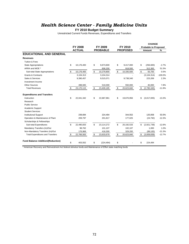#### **FY 2010 Budget Summary**

Unrestricted Current Funds Revenues, Expenditures and Transfers

|                                          |    |                |                  |                  | <b>CHANGE</b>               |           |
|------------------------------------------|----|----------------|------------------|------------------|-----------------------------|-----------|
|                                          |    | <b>FY 2008</b> | FY 2009          | FY 2010          | <b>Probable to Proposed</b> |           |
|                                          |    | <b>ACTUAL</b>  | <b>PROBABLE</b>  | <b>PROPOSED</b>  | Amount                      | %         |
| <b>EDUCATIONAL AND GENERAL</b>           |    |                |                  |                  |                             |           |
| <b>Revenues</b>                          |    |                |                  |                  |                             |           |
| <b>Tuition &amp; Fees</b>                |    |                |                  |                  |                             |           |
| <b>State Appropriations</b>              | \$ | 10,176,400     | \$<br>9,673,600  | \$<br>9,417,000  | \$<br>(256, 600)            | $-2.7%$   |
| ARRA and MOE *                           |    |                | 606,200          | 918,500          | 312,300                     | 51.5%     |
| Sub-total State Appropriations           | \$ | 10,176,400     | \$<br>10,279,800 | \$<br>10,335,500 | \$<br>55,700                | 0.5%      |
| <b>Grants &amp; Contracts</b>            |    | 3,104,313      | 3,104,314        |                  | (3, 104, 314)               | $-100.0%$ |
| Sales & Services                         |    | 9,390,457      | 9,515,071        | 9,738,340        | 223,269                     | 2.3%      |
| Investment Income                        |    |                |                  |                  |                             |           |
| <b>Other Sources</b>                     |    | 498,945        | 510,000          | 550,000          | 40,000                      | 7.8%      |
| <b>Total Revenues</b>                    | \$ | 23,170,115     | \$<br>23,409,185 | \$<br>20,623,840 | \$<br>(2,785,345)           | $-11.9%$  |
| <b>Expenditures and Transfers</b>        |    |                |                  |                  |                             |           |
| Instruction                              | \$ | 22,041,342     | \$<br>22,687,961 | \$<br>19,670,956 | \$<br>(3,017,005)           | $-13.3%$  |
| Research                                 |    |                |                  |                  |                             |           |
| <b>Public Service</b>                    |    |                |                  |                  |                             |           |
| Academic Support                         |    |                |                  |                  |                             |           |
| <b>Student Services</b>                  |    |                |                  |                  |                             |           |
| <b>Institutional Support</b>             |    | 239,694        | 224.494          | 344.552          | 120.058                     | 53.5%     |
| Operation & Maintenance of Plant         |    | 209,797        | 201,817          | 177,025          | (24, 792)                   | $-12.3%$  |
| Scholarships & Fellowships               |    |                |                  |                  |                             |           |
| Sub-total Expenditures                   | \$ | 22,490,833     | \$<br>23,114,272 | \$<br>20,192,533 | \$<br>(2,921,739)           | $-12.6%$  |
| Mandatory Transfers (In)/Out             |    | 98,762         | 101,107          | 102,107          | 1,000                       | 1.0%      |
| Non-Mandatory Transfers (In)/Out         |    | 176,968        | 418,300          | 329,200          | (89, 100)                   | $-21.3%$  |
| <b>Total Expenditures and Transfers</b>  | S  | 22,766,563     | \$<br>23,633,679 | \$<br>20,623,840 | \$<br>(3,009,839)           | $-12.7%$  |
| <b>Fund Balance Addition/(Reduction)</b> | \$ | 403,552        | \$<br>(224, 494) | \$               | \$<br>224,494               |           |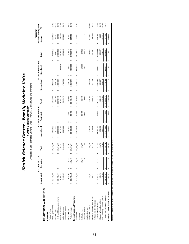|                                                                                    |                   | 홍<br>FY 2008 ACT       |                               |                   | FY 2009 PROBABLE |        |                  |                  | FY 2010 PROPOSED |            |            | Probable to Proposed<br>CHANGE |          |
|------------------------------------------------------------------------------------|-------------------|------------------------|-------------------------------|-------------------|------------------|--------|------------------|------------------|------------------|------------|------------|--------------------------------|----------|
|                                                                                    | Unrestricted      | Restricted             | Total                         | Unrestricted      | Restricted       |        | Total            | Unrestricted     | Restricted       |            | Total      | Amount                         | వ్       |
| EDUCATIONAL AND GENERAL                                                            |                   |                        |                               |                   |                  |        |                  |                  |                  |            |            |                                |          |
| Revenues                                                                           |                   |                        |                               |                   |                  |        |                  |                  |                  |            |            |                                |          |
| Tuition & Fees                                                                     |                   |                        |                               |                   |                  |        |                  |                  |                  |            |            |                                |          |
| State Appropriations                                                               | 10,176,400<br>tf, |                        | 10,176,400<br>မာ              | 9,673,600<br>မာ   |                  |        | 9,673,600        | 9,417,000<br>မာ  |                  | tf,        | 9,417,000  | (256, 600)<br>69               | $-2.7%$  |
| ARRA and MOE *                                                                     |                   |                        |                               | 606,200           |                  |        | 606,200          | 918,500          |                  |            | 918,500    | 312,300                        | 51.5%    |
| Sub-total State Appropriations                                                     | 10,176,400<br>s   | $\boldsymbol{\varphi}$ | 10,176,400<br>↮               | 10,279,800<br>Ø   | G                |        | 10,279,800<br>မာ | 10,335,500<br>Ø  | ↮                | 69         | 10,335,500 | 55,700<br>↮                    | 0.5%     |
| Grants & Contracts                                                                 | 3,104,313         |                        | 3,104,313                     | 3,104,314         |                  |        | 3,104,314        |                  | 3100000          |            | 3,100,000  | (4,314)                        | $-0.1%$  |
| Sales & Services                                                                   | 9,390,457         |                        | 9,390,457                     | 9,515,071         |                  |        | 9,515,071        | 9,738,340        |                  |            | 9,738,340  | 223,269                        | 2.3%     |
| Investment Income                                                                  |                   |                        |                               |                   |                  |        |                  |                  |                  |            |            |                                |          |
| Other Sources                                                                      | 498,945           | 128,865<br>↮           | 627,811                       | 510,000           | ↮                | 59,000 | 569,000          | 550,000          | မာ               | 59,000     | 609,000    | 40,000                         | 7.0%     |
| <b>Total Revenues</b>                                                              | 23,170,115<br>↮   | 128,865<br>↮           | 23,298,980<br>↮               | 23,409,185<br>↮   | ↮                | 59,000 | 23,468,185<br>↮  | 20,623,840<br>↮  | 3,159,000<br>↮   | ↮          | 23,782,840 | 314,655<br>↮                   | 1.3%     |
| Expenditures and Transfers                                                         |                   |                        |                               |                   |                  |        |                  |                  |                  |            |            |                                |          |
| Instruction                                                                        | 22,041,342<br>မာ  | 19,395<br>မာ           | 22,060,737<br>မာ              | 22,687,961<br>မာ  | မာ               | 19,000 | 22,706,961<br>မာ | 19,670,956<br>မာ | 3,119,000<br>Ø   | Ø          | 22,789,956 | 82,995<br>မာ                   | 0.4%     |
| Research                                                                           |                   |                        |                               |                   |                  |        |                  |                  |                  |            |            |                                |          |
| Public Service                                                                     |                   | 28,670                 | 28,670                        |                   |                  | 19,000 | 19,000           |                  |                  | 19,000     | 19,000     |                                |          |
| Academic Support                                                                   |                   | 3,526                  | 3,526                         |                   |                  | 18,000 | 18,000           |                  |                  | 18,000     | 18,000     |                                |          |
| <b>Student Services</b>                                                            |                   |                        |                               |                   |                  |        |                  |                  |                  |            |            |                                |          |
| Institutional Support                                                              | 239,694           |                        | 239,694                       | 224,494           |                  |        | 224,494          | 344,552          |                  |            | 344,552    | 120,058                        | 100.0%   |
| Operation & Maintenance of Plant                                                   | 209,797           |                        | 209,797                       | 201,817           |                  |        | 201,817          | 177,025          |                  |            | 177,025    | 24,792)                        | $-12.3%$ |
| Scholarships & Fellowships                                                         |                   |                        |                               |                   |                  |        |                  |                  |                  |            |            |                                |          |
| Sub-total Expenditures                                                             | 22,490,833<br>မာ  | 51,591<br>↮            | 22,542,424<br>မာ              | 23, 114, 272<br>↮ | 69               | 56,000 | 23,170,272<br>G  | 20,192,533<br>↮  | 3,156,000<br>69  | Ø          | 23,348,533 | 178,261<br>မာ                  | 0.8%     |
| Mandatory Transfers (In)/Out                                                       | 98,762            |                        | 98,762                        | 101,107           |                  |        | 101,107          | 102,107          |                  |            | 102,107    | 1,000                          | 1.0%     |
| Non-Mandatory Transfers (In)/Out                                                   | 176,968           |                        | 176,968                       | 418,300           |                  |        | 418,300          | 329,200          |                  |            | 329,200    | (89, 100)                      | 21.3%    |
| Total Expenditures and Transfers                                                   | 22,766,563<br>↮   | 51,591<br>69           | 22,818,154<br>မာ              | 23,633,679<br>↮   | မာ               | 56,000 | 23,689,679<br>မာ | 20,623,840<br>↮  | 3,156,000<br>↮   | ↮          | 23,779,840 | 90,161<br>69                   | 0.4%     |
| Revenues Less Expend. & Transfers                                                  | 403,552<br>↮      | 77,274<br>မာ           | 480,826<br>မာ                 | (224, 494)<br>↮   | မာ               | 3,000  | (221, 494)<br>မာ | ↮                | ↮                | ↮<br>3,000 | 3,000      | 224,494<br>↮                   |          |
| * American Recovery and Reinvestment Act federal stimulus funds and Maintenance of |                   |                        | f Effort state matching funds |                   |                  |        |                  |                  |                  |            |            |                                |          |
|                                                                                    |                   |                        |                               |                   |                  |        |                  |                  |                  |            |            |                                |          |

**FY 2010 Budget Summar**

Unrestricted and Restricted Current Funds Revenues, Expenditures and Transfers

**y**

*s*

### 73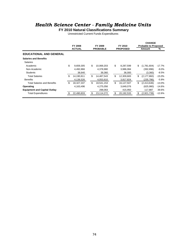**FY 2010 Natural Classifications Summary**

Unrestricted Current Funds Expenditures

|                                     | FY 2008          |     | FY 2009         | FY 2010          | <b>CHANGE</b><br><b>Probable to Proposed</b> |          |
|-------------------------------------|------------------|-----|-----------------|------------------|----------------------------------------------|----------|
|                                     | <b>ACTUAL</b>    |     | <b>PROBABLE</b> | <b>PROPOSED</b>  | Amount                                       | %        |
| <b>EDUCATIONAL AND GENERAL</b>      |                  |     |                 |                  |                                              |          |
| <b>Salaries and Benefits</b>        |                  |     |                 |                  |                                              |          |
| <b>Salaries</b>                     |                  |     |                 |                  |                                              |          |
| Academic                            | \$<br>9,659,305  | \$  | 10,069,203      | \$<br>8,287,599  | \$<br>(1,781,604)                            | $-17.7%$ |
| Non-Academic                        | 4,492,866        |     | 4,378,980       | 3,986,084        | (392, 896)                                   | $-9.0%$  |
| <b>Students</b>                     | 38.640           |     | 39.360          | 36,000           | (3,360)                                      | $-8.5%$  |
| <b>Total Salaries</b>               | \$<br>14,190,811 | \$  | 14,487,543      | \$<br>12,309,683 | \$<br>(2, 177, 860)                          | $-15.0%$ |
| <b>Benefits</b>                     | 4,136,526        |     | 4,053,610       | 3,817,824        | (235, 786)                                   | $-5.8%$  |
| <b>Total Salaries and Benefits</b>  | \$<br>18,327,337 | \$  | 18.541.153      | \$<br>16.127.507 | \$<br>(2,413,646)                            | $-13.0%$ |
| Operating                           | 4,163,496        |     | 4,275,056       | 3,649,076        | (625,980)                                    | $-14.6%$ |
| <b>Equipment and Capital Outlay</b> |                  |     | 298,063         | 415,950          | 117,887                                      | 39.6%    |
| <b>Total Expenditures</b>           | 22,490,833       | \$. | 23,114,272      | \$<br>20,192,533 | \$<br>(2,921,739)                            | $-12.6%$ |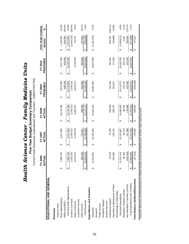|                                   |   | 2006<br>EY.                 |                   | FY 2007    |                | FY 2008      |                       | FY 2009    |   | FY 2010    |                       | FIVE-YEAR CHANGE |           |
|-----------------------------------|---|-----------------------------|-------------------|------------|----------------|--------------|-----------------------|------------|---|------------|-----------------------|------------------|-----------|
| EDUCATIONAL AND GENERAL           |   | l<br>S<br><b>ACT</b>        |                   | ACTUAL     |                | ACTUAL       |                       | PROBABLE   |   | PROPOSED   |                       | Amount           | $\aleph$  |
| Revenues                          |   |                             |                   |            |                |              |                       |            |   |            |                       |                  |           |
| Tuition & Fees                    |   |                             |                   |            |                |              |                       |            |   |            |                       |                  |           |
| State Appropriations              | ഗ | 660,700                     | ↔                 | 9,471,000  | ↮              | 10,176,400   | ↮                     | 9,673,600  | ↮ | 9,417,000  | ↮                     | 1,756,300        | 22.9%     |
| ARRA and MOE *                    |   |                             |                   |            |                |              |                       | 606,200    |   | 918,500    |                       | 918,500          | 100.0%    |
| Sub-total State Appropriations    |   | ,660,700                    | ↮                 | 9,471,000  | ↮              | 0,176,400    | ↔                     | 10,279,800 | ↮ | 10,335,500 | ↮                     | 2,674,800        | 34.9%     |
| Grants & Contracts                |   | 3,104,315                   |                   | 3,104,313  |                | 3,104,313    |                       | 3,104,314  |   |            |                       | (3, 104, 315)    | $-100.0%$ |
| Sales & Services                  |   | 676,070<br>σ                |                   | 9,738,478  |                | 9,390,457    |                       | 9,515,071  |   | 9,738,340  |                       | 62,270           | 0.6%      |
| Investment Income                 |   |                             |                   |            |                |              |                       |            |   |            |                       |                  |           |
| Other Sources                     |   | 392,448                     |                   | 474,817    |                | 498,945      |                       | 510,000    |   | 550,000    |                       | 157,552          | 40.1%     |
| <b>Total Revenues</b>             |   | ,833,533<br>20,             | $\leftrightarrow$ | 22,788,608 | ↮              | 23, 170, 115 | ↔                     | 23,409,185 | ↮ | 20,623,840 | ↮                     | (209, 693)       | $-1.0%$   |
| Expenditures and Transfers        |   |                             |                   |            |                |              |                       |            |   |            |                       |                  |           |
| Instruction                       | ↮ | 013,932<br><u>ដ</u>         | ↮                 | 22,163,462 | ↮              | 22,041,342   | ↮                     | 22,687,961 | ↮ | 19,670,956 | ↮                     | (1,342,976)      | $-6.4%$   |
| Research                          |   |                             |                   |            |                |              |                       |            |   |            |                       |                  |           |
| Public Service                    |   |                             |                   |            |                |              |                       |            |   |            |                       |                  |           |
| Academic Support                  |   |                             |                   |            |                |              |                       |            |   |            |                       |                  |           |
| Student Services                  |   |                             |                   |            |                |              |                       |            |   |            |                       |                  |           |
| Institutional Support             |   | 15,218                      |                   | 15,200     |                | 239,694      |                       | 224,494    |   | 344,552    |                       | 329,334          | 2164.1%   |
| Operation & Maintenance of Plant  |   | 202,994                     |                   | 192,224    |                | 209,797      |                       | 201,817    |   | 177,025    |                       | (25, 969)        | $-12.8%$  |
| Scholarships & Fellowships        |   |                             |                   |            |                |              |                       |            |   |            |                       |                  |           |
| Sub-total Expenditures            | ↔ | ,232,144<br><u>ম</u>        | ↔                 | 22,370,887 | ↮              | 22,490,833   | ↮                     | 23,114,272 | ↮ | 20,192,533 | ↮                     | (1,039,611)      | $-4.9%$   |
| Mandatory Transfers (In)/Out      |   | 98,106                      |                   | 95,273     |                | 98,762       |                       | 101,107    |   | 102,107    |                       | 4,001            | 4.1%      |
| Non-Mandatory Transfers (In)/Out  |   | 429,404)                    |                   | 147,398    |                | 176,968      |                       | 418,300    |   | 329,200    |                       | 758,604          | $-176.7%$ |
| Total Expenditures and Transfers  |   | ,900,846<br>$\overline{20}$ | ⇔∥                | 22,613,558 | $\pmb{\omega}$ | 22,766,563   | $\boldsymbol{\omega}$ | 23,633,679 | ↮ | 20,623,840 | $\boldsymbol{\omega}$ | (277,006)        | $-1.3%$   |
| Fund Balance Addition/(Reduction) |   | (67, 313)                   | ↮                 | 175,050    | ↮              | 403,552      | ↔                     | (224, 494) | ↮ |            | ↮                     | 67,313           |           |
|                                   |   |                             |                   |            |                |              |                       |            |   |            |                       |                  |           |

Health Science Center - Family Medicine Units

Current Funds Revenues, Expenditures and Transfers - UNRESTRICTED **Five-Year Budget Summary Comparison**

**Five-Year Budget Summary Comparison**<br>Current Funds Revenues, Expenditures and Transfers - UNRESTRICTED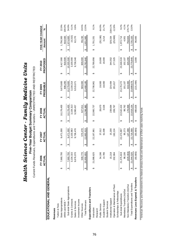|                                   |   |                           |   | FY 2007       |    | FY 2008    |   | FY 2009    |                       | FY 2010    |    | FIVE-YEAR CHANGE |           |
|-----------------------------------|---|---------------------------|---|---------------|----|------------|---|------------|-----------------------|------------|----|------------------|-----------|
|                                   |   | FY 2006<br>ACTUAL         |   | <b>ACTUAL</b> |    | ACTUAL     |   | PROBABLE   |                       | PROPOSED   |    | Amount           | \$        |
| EDUCATIONAL AND GENERAL           |   |                           |   |               |    |            |   |            |                       |            |    |                  |           |
| Revenues                          |   |                           |   |               |    |            |   |            |                       |            |    |                  |           |
| Tuition & Fees                    |   |                           |   |               |    |            |   |            |                       |            |    |                  |           |
| State Appropriations              | ↔ | ,660,700                  | ↔ | 9,471,000     | ↮  | 10,176,400 | ↔ | 9,673,600  | ↮                     | 9,417,000  | ↮  | 1,756,300        | 22.9%     |
| ARRA and MOE *                    |   |                           |   |               |    |            |   | 606,200    |                       | 918,500    |    | 918,500          | 100.0%    |
| Sub-total State Appropriations    |   | ,660,700                  | ↮ | 9,471,000     | ↮  | 10,176,400 | ↮ | 10,279,800 | ↔                     | 10,335,500 | ↔  | 2,674,800        | 34.9%     |
| Grants & Contracts                |   | 3,104,315                 |   | 3,103,963     |    | 3,104,313  |   | 3,104,314  |                       | 3,100,000  |    | (4,315)          | $-0.1%$   |
| Sales & Services                  |   | 9,676,070                 |   | 9,738,478     |    | 9,390,457  |   | 9,515,071  |                       | 9,738,340  |    | 62,270           | 0.6%      |
| Investment Income                 |   |                           |   |               |    |            |   |            |                       |            |    |                  |           |
| Other Sources                     |   | 509,770                   |   | 570,478       |    | 627,811    |   | 569.000    |                       | 609.000    |    | 99,230           | 19.5%     |
| <b>Total Revenues</b>             |   | 0,950,855<br>୍ମା          |   | 22,883,919    | ↮  | 23,298,980 | ↮ | 23,468,185 | ↮                     | 23,782,840 | ↮  | 2,831,985        | 13.5%     |
| Expenditures and Transfers        |   |                           |   |               |    |            |   |            |                       |            |    |                  |           |
| Instruction                       |   | ,088,625<br>ন             | ↮ | 22,167,861    | ↔  | 22,060,737 | ↔ | 22,706,961 | ↮                     | 22,789,956 | ↮  | 1,701,331        | 8.1%      |
| Research                          |   |                           |   |               |    |            |   |            |                       |            |    |                  |           |
| Public Service                    |   | 54,196                    |   | 37,012        |    | 28,670     |   | 19,000     |                       | 19,000     |    | (35, 196)        | $-64.9%$  |
| Academic Support                  |   | 14,786                    |   | 61,599        |    | 3,526      |   | 18,000     |                       | 18,000     |    | 3,214            | 21.7%     |
| Student Services                  |   |                           |   |               |    |            |   |            |                       |            |    |                  |           |
| Institutional Support             |   | 15,218                    |   | 15,200        |    | 239,694    |   | 224,494    |                       | 344,552    |    | 329,334          | 2164.1%   |
| Operation & Maintenance of Plant  |   | 202,994                   |   | 192,224       |    | 209,797    |   | 201,817    |                       | 177,025    |    | (25, 969)        | $-12.8%$  |
| Scholarships & Fellowships        |   |                           |   |               |    |            |   |            |                       |            |    |                  |           |
| Sub-total Expenditures            |   | ,375,819<br>$\tilde{z}$   | ↮ | 22,473,897    | ↮  | 22,542,424 | ↮ | 23,170,272 | ↮                     | 23,348,533 | ↮  | 1,972,714        | 9.2%      |
| Mandatory Transfers (In)/Out      |   | 98,106                    |   | 95,273        |    | 98,762     |   | 101,107    |                       | 102,107    |    | 4,001            | 4.1%      |
| Non-Mandatory Transfers (In)/Out  |   | (429, 404)                |   | 147,398       |    | 176,968    |   | 418,300    |                       | 329,200    |    | 758,604          | $-176.7%$ |
| Total Expenditures and Transfers  |   | ,044,520<br>$\frac{1}{2}$ | ↮ | 22,716,568    | ⇔∥ | 22,818,154 | ↮ | 23,689,679 | $\boldsymbol{\omega}$ | 23,779,840 | ⇔∥ | 2,735,320        | 13.0%     |
| Revenues Less Expend. & Transfers |   | (93, 665)                 | ↔ | (93, 665)     | ↮  | 480,826    | ↮ | (221, 494) | ↔                     | 3,000      | ↮  | 96,665           |           |
|                                   |   |                           |   |               |    |            |   |            |                       |            |    |                  |           |

**Health Science Center - Family Medicine Units** 

Current Funds Revenues, Expenditures and Transfers - UNRESTRICTED AND RESTRICTED **Five-Year Budget Summary Comparison**

**Five-Year Budget Summary Comparison**<br>Current Funds Revenues, Expenditures and Transfers - UNRESTRICTED AND RESTRICTED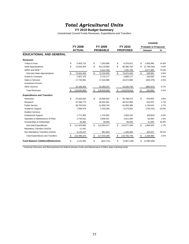#### **FY 2010 Budget Summary**

Unrestricted Current Funds Revenues, Expenditures and Transfers

|                                          |                               |                   |                   | <b>CHANGE</b>                |
|------------------------------------------|-------------------------------|-------------------|-------------------|------------------------------|
|                                          | <b>FY 2008</b>                | FY 2009           | FY 2010           | <b>Probable to Proposed</b>  |
|                                          | <b>ACTUAL</b>                 | <b>PROBABLE</b>   | <b>PROPOSED</b>   | %<br>Amount                  |
| <b>EDUCATIONAL AND GENERAL</b>           |                               |                   |                   |                              |
| <b>Revenues</b>                          |                               |                   |                   |                              |
| <b>Tuition &amp; Fees</b>                | \$<br>5,953,715               | \$<br>7,292,666   | \$<br>8,376,612   | \$<br>1,083,946<br>14.9%     |
| <b>State Appropriations</b>              | \$<br>72,816,400              | \$<br>69,118,800  | \$<br>66,380,700  | \$<br>$-4.0%$<br>(2,738,100) |
| ARRA and MOE *                           |                               | 4,214,700         | 7,291,700         | 3,077,000<br>73.0%           |
| Sub-total State Appropriations           | \$<br>72,816,400              | \$<br>73,333,500  | \$<br>73,672,400  | \$<br>0.5%<br>338,900        |
| <b>Grants &amp; Contracts</b>            | 2,957,379                     | 2,710,177         | 2,860,177         | 150,000<br>5.5%              |
| Sales & Services                         | 17,734,591                    | 17,016,968        | 16,672,589        | (344, 379)<br>$-2.0%$        |
| Investment Income                        |                               |                   |                   |                              |
| <b>Other Sources</b>                     | 20,168,305                    | 16,280,247        | 15,294,740        | (985, 507)<br>$-6.1%$        |
| <b>Total Revenues</b>                    | \$<br>119,630,389             | \$<br>116,633,558 | \$<br>116,876,518 | 0.2%<br>- \$<br>242,960      |
| <b>Expenditures and Transfers</b>        |                               |                   |                   |                              |
| Instruction                              | \$<br>24,918,292              | \$<br>25,809,620  | \$<br>26,788,573  | \$<br>978,953<br>3.8%        |
| Research                                 | 37,048,774                    | 36,302,361        | 36,912,984        | 1.7%<br>610,623              |
| <b>Public Service</b>                    | 38,763,518                    | 41,839,743        | 42,966,386        | 1,126,643<br>2.7%            |
| Academic Support                         | 7,068,478                     | 7,019,284         | 6,273,853         | $-10.6%$<br>(745, 431)       |
| <b>Student Services</b>                  |                               |                   |                   |                              |
| <b>Institutional Support</b>             | 1,771,963                     | 1,724,002         | 1,664,150         | (59, 852)<br>$-3.5%$         |
| Operation & Maintenance of Plant         | 2,742,832                     | 3,848,407         | 3,911,400         | 1.6%<br>62,993               |
| Scholarships & Fellowships               | 30.000                        | 39,000            | 60.000            | 53.8%<br>21,000              |
| Sub-total Expenditures                   | $\mathfrak{s}$<br>112,343,856 | \$<br>116,582,417 | \$<br>118,577,346 | \$<br>1,994,929<br>1.7%      |
| Mandatory Transfers (In)/Out             | 11,041                        |                   |                   |                              |
| Non-Mandatory Transfers (In)/Out         | 6,144,427                     | 861,863           | 1,206,400         | 344,537<br>40.0%             |
| <b>Total Expenditures and Transfers</b>  | 118,499,324<br>\$             | \$<br>117,444,280 | 119,783,746<br>\$ | 2.0%<br>2,339,466<br>\$      |
| <b>Fund Balance Addition/(Reduction)</b> | \$<br>1,131,065               | \$<br>(810, 722)  | \$<br>(2,907,228) | (2,096,506)<br>\$            |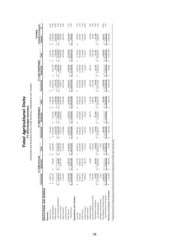|                                   |                   | ℥<br>FY 2008 ACT    |                   |                   | FY 2009 PROBABLE            |                   |                   | FY 2010 PROPOSED |                   | Probable to Proposed<br>CHANGE |          |
|-----------------------------------|-------------------|---------------------|-------------------|-------------------|-----------------------------|-------------------|-------------------|------------------|-------------------|--------------------------------|----------|
|                                   | Unrestricted      | Restricted          | Total             | Unrestricted      | Restricted                  | Total             | Unrestricted      | Restricted       | Total             | Amount                         | న్       |
| EDUCATIONAL AND GENERAL           |                   |                     |                   |                   |                             |                   |                   |                  |                   |                                |          |
| Revenues                          |                   |                     |                   |                   |                             |                   |                   |                  |                   |                                |          |
| Tuition & Fees                    | 5,953,715<br>မာ   |                     | 5,953,715         | 7,292,666         |                             | 7,292,666         | 8,376,612         |                  | 8,376,612         | 1,083,946                      | 14.9%    |
| State Appropriations              | \$72,816,400      | 565,600<br>↮        | 73,382,000        | 69,118,800<br>မာ  | 4,541,600<br>G <sub>O</sub> | 73,660,400        | 66,380,700<br>ΘĤ, | 4,511,100<br>69  | 70,891,800<br>69  | (2,768,600)                    | $-3.8%$  |
| ARRA and MOE *                    |                   |                     |                   | 4,214,700         | 24,800                      | 4,239,500         | 7,291,700         | 55,300           | 7,347,000         | 3,107,500                      | 73.3%    |
| Sub-total State Appropriations    | 72,816,400<br>↮   | 565,600<br>Ø        | 73,382,000<br>မာ  | 73,333,500<br>↮   | 4,566,400<br>မာ             | 77,899,900<br>မာ  | 73,672,400<br>မာ  | 4,566,400<br>မာ  | 78,238,800<br>↮   | 338,900<br>မာ                  | 0.4%     |
| Grants & Contracts                | 2,957,379         | 28,233,762          | 31,191,141        | 2,710,177         | 27,860,356                  | 30,570,533        | 2,860,177         | 27,994,856       | 30,855,033        | 284,500                        | 0.9%     |
| Sales & Services                  | 17,734,591        |                     | 17,734,591        | 17,016,968        |                             | 17,016,968        | 16,672,589        |                  | 16,672,589        | (344,379)                      | $-2.0%$  |
| Investment Income                 |                   |                     |                   |                   |                             |                   |                   |                  |                   |                                |          |
| Other Sources                     | 20,168,305        | 4,028,076           | 24,196,381        | 16,280,247        | 5,218,784                   | 21,499,031        | 15,294,740        | 5,184,945        | 20,479,685        | (1,019,346)                    | $-4.7%$  |
| <b>Total Revenues</b>             | \$19,630,389      | 32,827,438<br>ω     | 152,457,827<br>θĤ | \$16,633,558      | 37,645,540<br>Ø             | 154,279,098<br>မာ | 116,876,518<br>Ø  | 37,746,201<br>Ø  | 154,622,719<br>မာ | 343,621<br>Ø                   | 0.2%     |
| Expenditures and Transfers        |                   |                     |                   |                   |                             |                   |                   |                  |                   |                                |          |
| Instruction                       | 24,918,292<br>↮   | 1,175,720<br>G)     | 26,094,012<br>မာ  | 25,809,620<br>↮   | 1,004,719<br>↮              | 26,814,339<br>မာ  | 26,788,573<br>မာ  | 1,004,719<br>↮   | 27,793,292<br>69  | 978,953<br>69                  | 3.7%     |
| Research                          | 37,048,774        | 15,096,215          | 52,144,989        | 36,302,361        | 21,633,869                  | 57,936,230        | 36,912,984        | 21,633,869       | 58,546,853        | 610,623                        | 1.1%     |
| <b>Public Service</b>             | 38,763,518        | 16,767,129          | 55,530,646        | 41,839,743        | 14,158,070                  | 55,997,813        | 42,966,386        | 14,192,520       | 57,158,906        | 1,161,093                      | 2.1%     |
| Academic Support                  | 7,068,478         | 169,133             | 7,237,611         | 7,019,284         | 101,818                     | 7,121,102         | 6,273,853         | 101,818          | 6,375,671         | (745, 431)                     | $-10.5%$ |
| <b>Student Services</b>           |                   |                     |                   |                   |                             |                   |                   |                  |                   |                                |          |
| Institutional Support             | 1,771,963         | 69,00               | 1,840,972         | 1,724,002         | 395,778                     | 2,119,780         | 1,664,150         | 395,778          | 2,059,928         | (59, 852)                      | $-2.8%$  |
| Operation & Maintenance of Plant  | 2,742,832         |                     | 2,742,832         | 3,848,407         |                             | 3,848,407         | 3,911,400         |                  | 3,911,400         | 62,993                         | 1.6%     |
| Scholarships & Fellowships        | 30,000            | 206.60              | 236,609           | 39,000            | 351,286                     | 390,286           | 60,000            | 317,497          | 377,497           | (12, 789)                      | $-3.3%$  |
| Sub-total Expenditures            | 112,343,856<br>မာ | 33,483,81<br>မာ     | 145,827,671<br>မာ | 116,582,417<br>မာ | 37,645,540<br>မာ            | 154,227,957<br>မာ | 118,577,346<br>မာ | 37,646,201<br>မာ | 156,223,547<br>မာ | 1,995,590<br>မာ                | 1.3%     |
| Mandatory Transfers (In)/Out      | 11,041            |                     | 11,041            |                   |                             |                   |                   |                  |                   |                                |          |
| Non-Mandatory Transfers (In)/Out  | 6,144,427         |                     | 6,144,427         | 861,863           |                             | 861,863           | 1,206,400         |                  | 1,206,400         | 344,537                        | 40.0%    |
| Total Expenditures and Transfers  | 118,499,324<br>↮  | 췍<br>33,483,81<br>↮ | 151,983,138       | 117,444,280<br>မာ | 37,645,540<br>↮             | 155,089,820<br>↮  | 119,783,746<br>မာ | 37,646,201<br>↮  | 157,429,947<br>↮  | 2,340,127<br>မာ                | 1.5%     |
| Revenues Less Expend. & Transfers | 1,131,065         | (656,376)           | 474,689<br>မာ     | (810, 722)<br>မာ  | မာ                          | (810, 722)<br>မာ  | (2,907,228)<br>69 | 100,000<br>မာ    | (2,807,228)<br>မာ | (1,996,506)<br>မာ              |          |
|                                   |                   |                     |                   |                   |                             |                   |                   |                  |                   |                                |          |

**FY 2010 Budget Summar**

Unrestricted and Restricted Current Funds Revenues, Expenditures and Transfers

*Total Agricultural Unit*

*s*

**y**

\* American Recovery and Reinvestment Act federal stimulus funds and Maintenance of Effort state matching funds \* American Recovery and Reinvestment Act federal stimulus funds and Maintenance of Effort state matching funds

### 78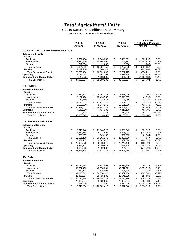**FY 2010 Natural Classifications Summary**

Unrestricted Current Funds Expenditures

|                                                  |                        |                        |                       | <b>CHANGE</b>               |                   |
|--------------------------------------------------|------------------------|------------------------|-----------------------|-----------------------------|-------------------|
|                                                  | FY 2008                | FY 2009                | FY 2010               | <b>Probable to Proposed</b> |                   |
|                                                  | <b>ACTUAL</b>          | <b>PROBABLE</b>        | <b>PROPOSED</b>       | Amount                      | %                 |
| <b>AGRICULTURAL EXPERIMENT STATION</b>           |                        |                        |                       |                             |                   |
| <b>Salaries and Benefits</b>                     |                        |                        |                       |                             |                   |
| <b>Salaries</b>                                  |                        |                        |                       |                             |                   |
| Academic                                         | \$<br>7,962,434        | \$<br>8,943,365        | \$<br>9,468,661       | \$<br>525,296               | 5.9%              |
| Non-Academic                                     | 11,450,339             | 10,896,090             | 9,793,542             | (1, 102, 548)               | $-10.1%$          |
| <b>Students</b>                                  | 211,506                | 12,000                 | 5,000                 | (7,000)                     | $-58.3%$          |
| <b>Total Salaries</b>                            | \$<br>19,624,280       | \$<br>19,851,455       | \$<br>19,267,203      | \$<br>(584, 252)            | $-2.9%$           |
| <b>Benefits</b>                                  | 7,112,206              | 7,080,241              | 6,970,272             | (109, 969)                  | $-1.6%$           |
| <b>Total Salaries and Benefits</b>               | \$<br>26,736,486       | \$<br>26,931,696       | \$<br>26,237,475      | \$<br>(694, 221)            | $-2.6%$           |
| Operating                                        | 8,187,053              | 7,403,702              | 9,911,250             | 2,507,548                   | 33.9%             |
| <b>Equipment and Capital Outlay</b>              | 2,140,075              | 1,623,885              | 431,352               | (1, 192, 533)               | $-73.4%$          |
| <b>Total Expenditures</b>                        | 37,063,614<br>S        | \$<br>35,959,283       | 36,580,077<br>\$      | \$<br>620,794               | 1.7%              |
| <b>EXTENSION</b>                                 |                        |                        |                       |                             |                   |
| <b>Salaries and Benefits</b>                     |                        |                        |                       |                             |                   |
| <b>Salaries</b>                                  |                        |                        |                       |                             |                   |
| Academic                                         | \$<br>4,469,612        | \$<br>5,362,116        | \$<br>5,286,415       | \$<br>(75, 701)             | $-1.4%$           |
| Non-Academic                                     | 18,197,476             | 20,426,550             | 20,378,955            | (47, 595)                   | $-0.2%$           |
| <b>Students</b>                                  | 77,789                 | 148,846                | 193,965               | 45,119                      | 30.3%             |
| <b>Total Salaries</b>                            | \$<br>22,744,877       | \$<br>25,937,512       | \$<br>25,859,335      | \$<br>(78, 177)             | $-0.3%$           |
| <b>Benefits</b>                                  | 9,580,620              | 9,747,246              | 10,181,986            | 434,740                     | 4.5%              |
| <b>Total Salaries and Benefits</b>               | \$<br>32.325.497       | \$<br>35.684.758       | \$<br>36.041.321      | \$<br>356,563               | 1.0%<br>5.4%      |
| Operating<br><b>Equipment and Capital Outlay</b> | 7,643,330<br>100,218   | 7,414,385<br>11,713    | 7,817,180<br>310,500  | 402,795<br>298,787          | 2550.9%           |
| <b>Total Expenditures</b>                        | \$<br>40,069,045       | \$<br>43,110,856       | \$<br>44,169,001      | \$<br>1,058,145             | 2.5%              |
|                                                  |                        |                        |                       |                             |                   |
| <b>VETERINARY MEDICINE</b>                       |                        |                        |                       |                             |                   |
| <b>Salaries and Benefits</b>                     |                        |                        |                       |                             |                   |
| <b>Salaries</b>                                  |                        |                        |                       |                             |                   |
| Academic                                         | \$<br>10,640,740       | \$<br>11,168,525       | \$<br>11,508,243      | \$<br>339,718               | 3.0%              |
| Non-Academic                                     | 8,659,588              | 8,747,591              | 8,545,424             | (202, 167)                  | $-2.3%$           |
| <b>Students</b>                                  | 350,837                | 365,157                | 302,253               | (62, 904)                   | $-17.2%$          |
| <b>Total Salaries</b>                            | \$<br>19,651,165       | \$<br>20,281,273       | \$<br>20,355,920      | \$<br>74,647                | 0.4%              |
| <b>Benefits</b>                                  | 6,371,107              | 6,587,645              | 6,389,570             | (198, 075)                  | $-3.0%$           |
| <b>Total Salaries and Benefits</b>               | \$<br>26.022.272       | \$<br>26.868.918       | \$<br>26.745.490      | \$<br>(123.428)             | $-0.5%$           |
| Operating<br><b>Equipment and Capital Outlay</b> | 7,499,701<br>1,689,225 | 9,140,978<br>1,502,382 | 10,328,124<br>754,654 | 1,187,146                   | 13.0%<br>$-49.8%$ |
| <b>Total Expenditures</b>                        | 35,211,198<br>\$       | 37,512,278<br>\$       | \$<br>37,828,268      | (747, 728)<br>\$<br>315,990 | 0.8%              |
|                                                  |                        |                        |                       |                             |                   |
| <b>TOTALS</b>                                    |                        |                        |                       |                             |                   |
| <b>Salaries and Benefits</b>                     |                        |                        |                       |                             |                   |
| <b>Salaries</b>                                  |                        |                        |                       |                             |                   |
| Academic                                         | \$<br>23,072,787       | \$<br>25,474,006       | \$<br>26,263,319      | \$<br>789,313               | 3.1%              |
| Non-Academic                                     | 38,307,403             | 40,070,231             | 38,717,921            | (1,352,310)                 | $-3.4%$           |
| <b>Students</b>                                  | 640,131                | 526,003                | 501,218               | (24, 785)                   | $-4.7%$           |
| <b>Total Salaries</b>                            | \$<br>62,020,321       | \$<br>66,070,240       | \$<br>65,482,458      | \$<br>(587, 782)            | $-0.9%$           |
| <b>Benefits</b>                                  | 23,063,934             | 23,415,132             | 23,541,828            | 126,696                     | 0.5%              |
| <b>Total Salaries and Benefits</b>               | \$<br>85.084.255       | \$<br>89,485,372       | \$<br>89.024.286      | \$<br>(461, 086)            | $-0.5%$           |
| Operating                                        | 23,330,084             | 23,959,065             | 28,056,554            | 4,097,489                   | 17.1%             |
| <b>Equipment and Capital Outlay</b>              | 3,929,518              | 3,137,980              | 1,496,506             | (1,641,474)                 | $-52.3%$          |
| <b>Total Expenditures</b>                        | 112,343,856<br>\$      | \$<br>116,582,417      | \$<br>118,577,346     | \$<br>1,994,929             | 1.7%              |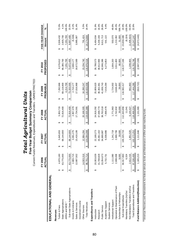|                                   |   | FY 2006<br>렃<br>ACTU     |   | FY 2007<br>ACTUAL |   | FY 2008<br>ACTUAL |   | PROBABLE<br>FY 2009 |   | PROPOSED<br>FY 2010 | FIVE-YEAR CHANGE<br>Amount | \$         |
|-----------------------------------|---|--------------------------|---|-------------------|---|-------------------|---|---------------------|---|---------------------|----------------------------|------------|
| EDUCATIONAL AND GENERAL           |   |                          |   |                   |   |                   |   |                     |   |                     |                            |            |
| Revenues                          |   |                          |   |                   |   |                   |   |                     |   |                     |                            |            |
| Tuition & Fees                    |   | 4,870,180                | ↔ | 5,645,653         | ↮ | 5,953,715         | ക | 7,292,666           | ↮ | 8,376,612           | 3,506,432<br>↮             | 72.0%      |
| State Appropriations              |   | 63,775,000               | ↮ | 68,144,800        | ക | 72,816,400        | ↔ | 69,118,800          | ↮ | 66,380,700          | 2,605,700<br>ഗ             | 4.1%       |
| ARRA and MOE *                    |   |                          |   |                   |   |                   |   | 4.214.700           |   | 7.291.700           | 7,291,700                  | 100.0%     |
| Sub-total State Appropriations    | ↮ | 63,775,000               | ↮ | 68,144,800        | ↮ | 72,816,400        | ↮ | 73,333,500          | ↮ | 73,672,400          | 9,897,400<br>↔             | 15.5%      |
| Grants & Contracts                |   | 2,865,715                |   | 3,091,275         |   | 2,957,379         |   | 2,710,177           |   | 2,860,177           | (5,538)                    | $-0.2%$    |
| Sales & Services                  |   | 12,687,502               |   | 13,418,106        |   | 17,734,591        |   | 17,016,968          |   | 16,672,589          | 3,985,087                  | 31.4%      |
| Investment Income                 |   |                          |   |                   |   |                   |   |                     |   |                     |                            |            |
| Other Sources                     |   | 14,503,316               |   | 12,984,264        |   | 20,168,305        |   | 16,280,247          |   | 15.294.740          | 791,424                    | 5.5%       |
| <b>Total Revenues</b>             | ↮ | 98,701,714               | ↮ | 103,284,098       | ↮ | 119,630,389       | ↮ | 116,633,558         | ↮ | 116,876,518         | 18,174,804<br>↮            | 18.4%      |
| Expenditures and Transfers        |   |                          |   |                   |   |                   |   |                     |   |                     |                            |            |
| Instruction                       | ↮ |                          | ↮ | 22,168,273        | ↮ | 24,918,292        | ↮ | 25,809,620          | ക | 26,788,573          | 6,484,934<br>↔             | 31.9%      |
| Research                          |   | 20,303,639<br>31,708,828 |   | 33,461,162        |   | 37,048,774        |   | 36,302,361          |   | 36,912,984          | 5,204,156                  | 16.4%      |
| Public Service                    |   | 33,354,673               |   | 34,689,987        |   | 38,763,518        |   | 41,839,743          |   | 42,966,386          | 9,611,713                  | 28.8%      |
| Academic Support                  |   | 5,732,731                |   | 6,038,886         |   | 7,068,478         |   | 7,019,284           |   | 6,273,853           | 541,122                    | 9.4%       |
| <b>Student Services</b>           |   |                          |   |                   |   |                   |   |                     |   |                     |                            |            |
| Institutional Support             |   | 1,111,080                |   | 1,241,719         |   | 1,771,963         |   | 1,724,002           |   | 1,664,150           | 553,070                    | 49.8%      |
| Operation & Maintenance of Plant  |   | 2,698,008                |   | 2,690,706         |   | 2,742,832         |   | 3,848,407           |   | 3,911,400           | 1,213,392                  | 45.0%      |
| Scholarships & Fellowships        |   | 9,000                    |   | 30,000            |   | 30,000            |   | 39,000              |   | 60,000              | 51,000                     | 566.7%     |
| Sub-total Expenditures            | ↮ | 94,917,960               | ↔ | 100,320,733       | ↔ | 112,343,856       | ↮ | 116,582,417         | ↮ | 118,577,346         | 23,659,386<br>↮            | 24.9%      |
| Mandatory Transfers (In)/Out      |   | 6,324                    |   |                   |   | 11,041            |   |                     |   |                     | (6, 324)                   | $-100.0\%$ |
| Non-Mandatory Transfers (In)/Out  |   | 12,215<br>2,6            |   | 1,851,520         |   | 6,144,427         |   | 861,863             |   | 1,206,400           | (1,405,815)                | $-53.8%$   |
| Total Expenditures and Transfers  |   | 97,536,499               | ക | 102, 172, 252     | ↮ | 118,499,324       | ക | 117,444,280         | ↮ | 119,783,746         | 22,247,247<br>↮            | 22.8%      |
| Fund Balance Addition/(Reduction) |   | 65,215                   | ↔ | 1,111,846         | ↔ | 1,131,065         | ക | (810, 722)          | ↔ | (2,907,228)         | (4,072,443)<br>↔           |            |

Total Agricultural Units

Current Funds Revenues, Expenditures and Transfers - UNRESTRICTED **Five-Year Budget Summary Comparison**

**Five-Year Budget Summary Comparison**<br>Current Funds Revenues, Expenditures and Transfers - UNRESTRICTED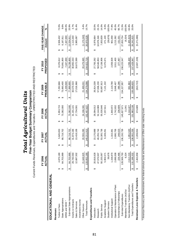|                                   |   | Current Funds            |    |                   |    | Revenues, Expenditures and Transfers - UNRESTRICTED AND RESTRICTED<br>Five-Year Budget Summary Comparison |    |                     |    |                     |    |                            |           |
|-----------------------------------|---|--------------------------|----|-------------------|----|-----------------------------------------------------------------------------------------------------------|----|---------------------|----|---------------------|----|----------------------------|-----------|
|                                   |   | <b>FY 2006</b><br>ACTUAL |    | FY 2007<br>ACTUAL |    | FY 2008<br>ACTUAL                                                                                         |    | PROBABLE<br>FY 2009 |    | PROPOSED<br>FY 2010 |    | FIVE-YEAR CHANGE<br>Amount | ಸಿ        |
| EDUCATIONAL AND GENERAL           |   |                          |    |                   |    |                                                                                                           |    |                     |    |                     |    |                            |           |
| Revenues                          |   |                          |    |                   |    |                                                                                                           |    |                     |    |                     |    |                            |           |
| Tuition & Fees                    |   | 4,870,180                | ക  | 5,645,653         | ക  | 5,953,715                                                                                                 | ↮  | 7,292,666           | ക  | 8,376,612           | ↮  | 3,506,432                  | 72.0%     |
| State Appropriations              | ഗ | 64,703,989               | ↮  | 68,718,702        | ↔  | 73,382,000                                                                                                | ↔  | 73,660,400          | ↮  | 70,891,800          | ↮  | 6,187,811                  | 9.6%      |
| ARRA and MOE *                    |   |                          |    |                   |    |                                                                                                           |    | 4,239,500           |    | 7,347,000           |    | 7,347,000                  | 100.0%    |
| Sub-total State Appropriations    | ↔ | 64,703,989               | ↔  | 68,718,702        | ↮  | 73,382,000                                                                                                | ↮  | 77,899,900          | ↮  | 78,238,800          | ↮  | 13,534,811                 | 20.9%     |
| Grants & Contracts                |   | 29,740,593               |    | 31,874,166        |    | 31,191,141                                                                                                |    | 30,570,533          |    | 30,855,033          |    | 1,114,440                  | 3.7%      |
| Sales & Services                  |   | 12,687,502               |    | 13,418,106        |    | 17,734,591                                                                                                |    | 17,016,968          |    | 16,672,589          |    | 3,985,087                  | 31.4%     |
| Investment Income                 |   |                          |    |                   |    |                                                                                                           |    |                     |    |                     |    |                            |           |
| Other Sources                     |   | 21,649,925               |    | 20,555,285        |    | 24,196,381                                                                                                |    | 21,499,031          |    | 20,479,685          |    | (1,170,240)                | $-5.4%$   |
| <b>Total Revenues</b>             | ↮ | 133,652,190              | ๛∥ | 140,211,913       | ⇔∥ | 152,457,827                                                                                               | ∞∥ | 154,279,098         | ⇔∥ | 154,622,719         | ∥⊶ | 20,970,529                 | 15.7%     |
| Expenditures and Transfers        |   |                          |    |                   |    |                                                                                                           |    |                     |    |                     |    |                            |           |
| Instruction                       | ഗ | 20,816,628               | ↮  | 23,170,888        | ↮  | 26,094,012                                                                                                |    | 26,814,339          | ↮  | 27,793,292          | ↔  | 6,976,664                  | 33.5%     |
| Research                          |   | 47,570,507               |    | 49,255,744        |    | 52,144,989                                                                                                |    | 57,936,230          |    | 58,546,853          |    | 10,976,346                 | 23.1%     |
| Public Service                    |   | 50,155,067               |    | 53,305,736        |    | 55,530,646                                                                                                |    | 55,997,813          |    | 57,158,906          |    | 7,003,839                  | 14.0%     |
| Academic Support                  |   | 5,904,571                |    | 6,169,261         |    | 7,237,611                                                                                                 |    | 7,121,102           |    | 6,375,671           |    | 471,100                    | 8.0%      |
| <b>Student Services</b>           |   | 39,676                   |    |                   |    |                                                                                                           |    |                     |    |                     |    | (39, 676)                  | $-100.0%$ |
| Institutional Support             |   | 1,158,870                |    | 1,310,381         |    | 1,840,972                                                                                                 |    | 2,119,780           |    | 2,059,928           |    | 901,058                    | 77.8%     |
| Operation & Maintenance of Plant  |   | 2,698,008                |    | 2,690,706         |    | 2,742,832                                                                                                 |    | 3,848,407           |    | 3,911,400           |    | 1,213,392                  | 45.0%     |
| Scholarships & Fellowships        |   | 226,466                  |    | 248,023           |    | 236,609                                                                                                   |    | 390,286             |    | 377,497             |    | 151,031                    | 66.7%     |
| Sub-total Expenditures            |   | 128,569,793              | ↔  | 136, 150, 739     | ↮  | 145,827,671                                                                                               | ↮  | 154,227,957         | ↮  | 156,223,547         | ↮  | 27,653,754                 | 21.5%     |
| Mandatory Transfers (In)/Out      |   | 6,324                    |    |                   |    | 11,041                                                                                                    |    |                     |    |                     |    | (6, 324)                   | $-100.0%$ |
| Non-Mandatory Transfers (In)/Out  |   | 2,612,215                |    | 1,851,520         |    | 6,144,427                                                                                                 |    | 861,863             |    | 1,206,400           |    | (1,405,815)                | $-53.8%$  |
| Total Expenditures and Transfers  | ↮ | 131, 188, 332            | ๛∥ | 138,002,259       | ↮  | 151,983,138                                                                                               | ↮  | 155,089,820         | ↮  | 157,429,947         |    | $\frac{$26,241,615}{}$     | 20.0%     |
| Revenues Less Expend. & Transfers |   | 463,858                  | ↮  | 2,209,654         | ↮  | 474,689                                                                                                   | ↮  | (810, 722)          | ↮  | (2,807,228)         | ↮  | (5,271,086)                |           |
|                                   |   |                          |    |                   |    |                                                                                                           |    |                     |    |                     |    |                            |           |

**Total Agricultural Units**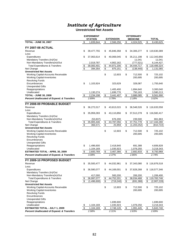### *Institute of Agriculture*

#### **Unrestricted Net Assets**

|                                                       |                | <b>EXPERIMENT</b> |               |                  |                 | <b>VETERINARY</b> |               |              |
|-------------------------------------------------------|----------------|-------------------|---------------|------------------|-----------------|-------------------|---------------|--------------|
|                                                       |                | <b>STATION</b>    |               | <b>EXTENSION</b> |                 | <b>MEDICINE</b>   |               | <b>TOTAL</b> |
| <b>TOTAL - JUNE 30, 2007</b>                          | \$             | 1,839,844         | \$            | 2,566,256        | \$              | 4,024,525         | \$            | 8,430,625    |
| <b>FY 2007-08 ACTUAL</b>                              |                |                   |               |                  |                 |                   |               |              |
| Revenue                                               | \$             | 39,477,755        | \$            | 45,846,358       | \$              | 34,306,277        | \$            | 119,630,389  |
| Less:                                                 |                |                   |               |                  |                 |                   |               |              |
| Expenditures                                          | \$             | 37,063,614        | \$            | 40,069,045       | \$              | 35,211,198        | \$            | 112,343,856  |
| Mandatory Transfers (In)/Out                          |                |                   |               |                  |                 | 11,041            |               | 11,041       |
| Non-Mandatory Transfers(In)/Out                       |                | 2,019,787         |               | 4,902,162        |                 | (777, 521)        |               | 6,144,427    |
| <b>Total Expenditures &amp; Transfers</b>             | \$             | 39,083,401        | $\frac{1}{2}$ | 44,971,206       | \$              | 34,444,717        | \$            | 118,499,324  |
| Net Change                                            | $\mathbf S$    | 394,354           | \$            | 875,151          | \$              | (138, 440)        | \$            | 1,131,065    |
| <b>Unrestricted Net Assets</b>                        |                |                   |               |                  |                 |                   |               |              |
| Working Capital-Accounts Receivable                   |                |                   | \$            | 12,603           | \$              | 712,500           | \$            | 725,102      |
| <b>Working Capital-Inventories</b>                    |                |                   |               |                  |                 | 200,695           |               | 200,695      |
| <b>Revolving Funds</b>                                |                |                   |               |                  |                 |                   |               |              |
| Encumbrances                                          | \$             | 1,103,924         |               | 323,629          |                 | 328,087           |               | 1,755,640    |
| <b>Unexpended Gifts</b>                               |                |                   |               |                  |                 |                   |               |              |
| Reappropriations                                      |                |                   |               | 1,405,400        |                 | 1,894,640         |               | 3,300,040    |
| Unallocated                                           |                | 1,130,274         |               | 1,699,776        |                 | 750,163           |               | 3,580,213    |
| <b>TOTAL - JUNE 30, 2008</b>                          | $\frac{1}{2}$  | 2,234,198         | \$            | 3,441,407        | $\frac{1}{2}$   | 3,886,085         | $\frac{1}{2}$ | 9,561,690    |
| <b>Percent Unallocated of Expend. &amp; Transfers</b> |                | 2.89%             |               | 3.78%            |                 | 2.18%             |               | 3.02%        |
| FY 2008-09 PROBABLE BUDGET                            |                |                   |               |                  |                 |                   |               |              |
| Revenue                                               | \$             | 36,272,017        | \$            | 43,813,015       | \$              | 36,548,526        | \$            | 116,633,558  |
| Less:                                                 |                |                   |               |                  |                 |                   |               |              |
| Expenditures                                          | \$             | 35,959,283        | \$            | 43,110,856       | \$              | 37,512,278        | \$            | 116,582,417  |
| Mandatory Transfers (In)/Out                          |                |                   |               |                  |                 |                   |               |              |
| Non-Mandatory Transfers(In)/Out                       |                | (53, 837)         |               | 676,200          |                 | 239,500           |               | 861,863      |
| <b>Total Expenditures &amp; Transfers</b>             | \$             | 35,905,446        | \$            | 43,787,056       | \$              | 37,751,778        | $\bullet$     | 117,444,280  |
| Net Change                                            | \$             | 366,571           | \$            | 25,959           | \$              | (1,203,252)       | \$            | (810, 722)   |
| <b>Unrestricted Net Assets</b>                        |                |                   |               |                  |                 |                   |               |              |
| Working Capital-Accounts Receivable                   |                |                   | \$            | 12,603           | \$              | 712,500           | \$            | 725,102      |
| <b>Working Capital-Inventories</b>                    |                |                   |               |                  |                 | 200,695           |               | 200,695      |
| <b>Revolving Funds</b>                                |                |                   |               |                  |                 |                   |               |              |
| Encumbrances                                          |                |                   |               |                  |                 |                   |               |              |
| <b>Unexpended Gifts</b>                               |                |                   |               |                  |                 |                   |               |              |
| Reappropriations                                      | \$             | 1,496,600         |               | 2,418,840        |                 | 691,388           |               | 4,606,828    |
| Unallocated                                           |                | 1,104,169         |               | 1,035,923        |                 | 1,078,250         |               | 3,218,343    |
| <b>ESTIMATED TOTAL - APRIL 30, 2009</b>               | \$             | 2,600,769         | \$            | 3,467,366        | \$              | 2,682,833         | \$            | 8,750,968    |
| <b>Percent Unallocated of Expend. &amp; Transfers</b> |                | 3.08%             |               | 2.37%            |                 | 2.86%             |               | 2.74%        |
| FY 2009-10 PROPOSED BUDGET                            |                |                   |               |                  |                 |                   |               |              |
| Revenue                                               | \$             | 35,500,477        | \$            | 44,032,961       | \$              | 37,343,080        | \$            | 116,876,518  |
| Less:                                                 |                |                   |               |                  |                 |                   |               |              |
| Expenditures                                          | \$             | 36,580,077        | \$            | 44,169,001       | \$              | 37,828,268        | \$            | 118,577,346  |
| Mandatory Transfers (In)/Out                          |                |                   |               |                  |                 |                   |               |              |
| Non-Mandatory Transfers(In)/Out                       |                | 417,000           |               | 583,200          |                 | 206,200           |               | 1,206,400    |
| <b>Total Expenditures &amp; Transfers</b>             | \$             | 36,997,077        | \$            | 44,752,201       | \$              | 38,034,468        | \$            | 119,783,746  |
| Net Change                                            | $\mathfrak{s}$ | (1,496,600)       | \$            | (719, 240)       | $\overline{\$}$ | (691, 388)        | \$            | (2,907,228)  |
| <b>Unrestricted Net Assets</b>                        |                |                   |               |                  |                 |                   |               |              |
| Working Capital-Accounts Receivable                   |                |                   | \$            | 12,603           | \$              | 712,500           | \$            | 725,102      |
| <b>Working Capital-Inventories</b>                    |                |                   |               |                  |                 | 200,695           |               | 200,695      |
| <b>Revolving Funds</b>                                |                |                   |               |                  |                 |                   |               |              |
| Encumbrances                                          |                |                   |               |                  |                 |                   |               |              |
| <b>Unexpended Gifts</b>                               |                |                   |               |                  |                 |                   |               |              |
| Reappropriations                                      |                |                   |               | 1,699,600        |                 |                   |               | 1,699,600    |
| Unallocated                                           | \$             | 1,104,169         |               | 1,035,923        |                 | 1,078,250         |               | 3,218,343    |
| <b>ESTIMATED TOTAL - JULY 1, 2009</b>                 | \$             | 1,104,169         | $\frac{1}{2}$ | 2,748,126        | $\frac{1}{2}$   | 1,991,445         | $\frac{1}{2}$ | 5,843,740    |
|                                                       |                | 2.98%             |               |                  |                 |                   |               |              |
| Percent Unallocated of Expend. & Transfers            |                |                   |               | 2.31%            |                 | 2.83%             |               | 2.69%        |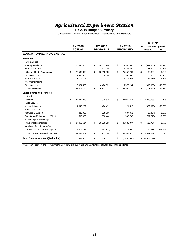## *Agricultural Experiment Station*

#### **FY 2010 Budget Summary**

Unrestricted Current Funds Revenues, Expenditures and Transfers

|                                          |                  |                  |                   | <b>CHANGE</b>               |           |
|------------------------------------------|------------------|------------------|-------------------|-----------------------------|-----------|
|                                          | <b>FY 2008</b>   | FY 2009          | FY 2010           | <b>Probable to Proposed</b> |           |
|                                          | <b>ACTUAL</b>    | <b>PROBABLE</b>  | <b>PROPOSED</b>   | Amount                      | %         |
| <b>EDUCATIONAL AND GENERAL</b>           |                  |                  |                   |                             |           |
| <b>Revenues</b>                          |                  |                  |                   |                             |           |
| <b>Tuition &amp; Fees</b>                |                  |                  |                   |                             |           |
| <b>State Appropriations</b>              | \$<br>25,530,000 | \$<br>24,015,900 | \$<br>23,366,000  | \$<br>(649,900)             | $-2.7%$   |
| ARRA and MOE *                           |                  | 1,503,000        | 2,286,200         | 783,200                     | 52.1%     |
| Sub-total State Appropriations           | \$<br>25,530,000 | \$<br>25,518,900 | \$<br>25,652,200  | \$<br>133,300               | 0.5%      |
| <b>Grants &amp; Contracts</b>            | 1,493,459        | 1,350,000        | 1,500,000         | 150,000                     | 11.1%     |
| Sales & Services                         | 3,779,707        | 2,927,078        | 2,771,043         | (156, 035)                  | $-5.3%$   |
| Investment Income                        |                  |                  |                   |                             |           |
| <b>Other Sources</b>                     | 8,674,589        | 6,476,039        | 5,577,234         | (898, 805)                  | $-13.9%$  |
| <b>Total Revenues</b>                    | \$<br>39,477,755 | \$<br>36,272,017 | \$<br>35,500,477  | \$<br>(771, 540)            | $-2.1%$   |
| <b>Expenditures and Transfers</b>        |                  |                  |                   |                             |           |
| Instruction                              |                  |                  |                   |                             |           |
| Research                                 | \$<br>34,082,313 | \$<br>33,030,535 | \$<br>34,060,473  | \$<br>1,029,938             | 3.1%      |
| <b>Public Service</b>                    |                  |                  |                   |                             |           |
| Academic Support                         | 1,645,262        | 1,474,491        | 1,121,516         | (352, 975)                  | $-23.9%$  |
| <b>Student Services</b>                  |                  |                  |                   |                             |           |
| <b>Institutional Support</b>             | 826.963          | 915.809          | 897.352           | (18, 457)                   | $-2.0%$   |
| Operation & Maintenance of Plant         | 509,076          | 538,448          | 500,736           | (37, 712)                   | $-7.0%$   |
| Scholarships & Fellowships               |                  |                  |                   |                             |           |
| Sub-total Expenditures                   | \$<br>37,063,614 | \$<br>35,959,283 | \$<br>36,580,077  | \$<br>620,794               | 1.7%      |
| Mandatory Transfers (In)/Out             |                  |                  |                   |                             |           |
| Non-Mandatory Transfers (In)/Out         | 2,019,787        | (53, 837)        | 417,000           | 470,837                     | $-874.6%$ |
| <b>Total Expenditures and Transfers</b>  | \$<br>39,083,401 | \$<br>35,905,446 | \$<br>36,997,077  | \$<br>1,091,631             | 3.0%      |
| <b>Fund Balance Addition/(Reduction)</b> | \$<br>394,354    | \$<br>366,571    | \$<br>(1,496,600) | \$<br>(1,863,171)           |           |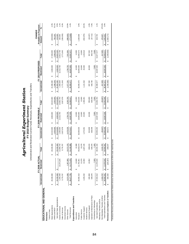|                                   |                  | ℥<br>FY 2008 ACT |                  |                  | FY 2009 PROBABLE |                  |                   | FY 2010 PROPOSED |                   | Probable to Proposed<br>CHANGE |          |
|-----------------------------------|------------------|------------------|------------------|------------------|------------------|------------------|-------------------|------------------|-------------------|--------------------------------|----------|
|                                   | Unrestricted     | Restricted       | Total            | Unrestricted     | Restricted       | Total            | Unrestricted      | Restricted       | Total             | Amount                         | న్       |
| EDUCATIONAL AND GENERAL           |                  |                  |                  |                  |                  |                  |                   |                  |                   |                                |          |
| Revenues                          |                  |                  |                  |                  |                  |                  |                   |                  |                   |                                |          |
| Tuition & Fees                    |                  |                  |                  |                  |                  |                  |                   |                  |                   |                                |          |
| State Appropriations              | 25,530,000<br>မာ |                  | 25,530,000<br>မာ | 24,015,900<br>မာ | 4,000,000<br>မာ  | 28,015,900<br>မာ | 23,366,000<br>မာ  | 4,000,000<br>မာ  | 27,366,000<br>မာ  | (649, 900)<br>Θ                | $-2.3%$  |
| ARRA and MOE *                    |                  |                  |                  | 1,503,000        |                  | 1,503,000        | 2,286,200         |                  | 2,286,200         | 783,200                        | 52.1%    |
| Sub-total State Appropriations    | 25,530,000<br>H  | H                | 25,530,000<br>မာ | 25,518,900<br>69 | 4,000,000<br>69  | 29,518,900<br>H  | 25,652,200<br>69  | 4,000,000<br>69  | 29,652,200<br>69  | 133,300<br>H                   | 0.5%     |
| Grants & Contracts                | 1,493,459        | 10,373,245       | 11,866,703       | 1,350,000        | 12,312,750       | 13,662,750       | 1,500,000         | 12,312,750       | 13,812,750        | 150,000                        | 1.1%     |
| Sales & Services                  | 3,779,707        |                  | 3,779,707        | 2,927,078        |                  | 2,927,078        | 2,771,043         |                  | 2,771,043         | (156, 035)                     | $-5.3%$  |
| Investment Income                 |                  |                  |                  |                  |                  |                  |                   |                  |                   |                                |          |
| Other Sources                     | 8,674,589        | 1,397,989        | 10,072,578       | 6,476,039        | 1.784.750        | 8,260,789        | 5,577,234         | 1.784.750        | 7,361,984         | 898,805)                       | $-10.9%$ |
| <b>Total Revenues</b>             | 39,477,755<br>S  | 11,771,233<br>s) | 51,248,988<br>s  | 36,272,017<br>s  | 18,097,500<br>↮  | 54,369,517<br>↮  | 35,500,477<br>↮   | 18,097,500<br>↮  | 53,597,977<br>↮   | (771, 540)<br>မာ               | $-1.4%$  |
| Expenditures and Transfers        |                  |                  |                  |                  |                  |                  |                   |                  |                   |                                |          |
| Instruction                       |                  | 12,848<br>G      | 12,848<br>G      |                  | 12,000<br>မာ     | 12,000<br>G      |                   | 12,000<br>မာ     | 12,000<br>G)      | G)                             |          |
| Research                          | 34,082,313<br>↮  | 11,750,36        | 45,832,673       | 33,030,535<br>69 | 18,000,000       | 51,030,535       | 34,060,473<br>ω   | 18,000,000       | 52,060,473        | 1,029,938                      | 2.0%     |
| Public Service                    |                  | 21,07            | 21,076           |                  | 13,000           | 13,000           |                   | 13,000           | 13,000            |                                |          |
| Academic Support                  | 1,645,262        | 42,084           | 1,687,345        | 1,474,491        | 25,000           | 1,499,491        | 1,121,516         | 25,000           | 1,146,516         | (352, 975)                     | $-23.5%$ |
| Student Services                  |                  |                  |                  |                  |                  |                  |                   |                  |                   |                                |          |
| Institutional Support             | 826,963          | 42,852           | 869,815          | 915,809          | 40,000           | 955,809          | 897,352           | 40,000           | 937,352           | (18, 457)                      | $-1.9%$  |
| Operation & Maintenance of Plant  | 509,076          |                  | 509,076          | 538,448          |                  | 538,448          | 500,736           |                  | 500,736           | (37, 712)                      | $-7.0%$  |
| Scholarships & Fellowships        |                  | 7,320            | 7,320            |                  | 7,500            | 7,500            |                   | 7,500            | 7,500             |                                |          |
| Sub-total Expenditures            | 37,063,614<br>မာ | 11,876,540<br>G  | 48,940,154<br>မာ | 35,959,283<br>မာ | 18,097,500<br>မာ | 54,056,783<br>မာ | 36,580,077<br>မာ  | 18,097,500<br>မာ | 54,677,577<br>မာ  | 620,794<br>မာ                  | 1.1%     |
| Mandatory Transfers (In)/Out      |                  |                  |                  |                  |                  |                  |                   |                  |                   |                                |          |
| Non-Mandatory Transfers (In)/Out  | 2,019,787        |                  | 2,019,787        | (53, 837)        |                  | (53, 837)        | 417,000           |                  | 417,000           | 470,837                        | 874.6%   |
| Total Expenditures and Transfers  | 39,083,401<br>↮  | 11,876,540       | 50,959,941       | 35,905,446       | 18,097,500<br>69 | 54,002,946       | 36,997,077        | 18,097,500<br>မာ | 55,094,577<br>↮   | 1,091,631<br>↮                 | 2.0%     |
| Revenues Less Expend. & Transfers | 394,354          | (105, 307)       | 289,047<br>မာ    | 366,571<br>မာ    | မာ               | 366,571<br>မာ    | (1,496,600)<br>မာ | 69               | (1,496,600)<br>69 | (1,863,171)<br>Ģ               |          |
|                                   |                  |                  |                  |                  |                  |                  |                   |                  |                   |                                |          |

*Agricultural Experiment Statio*

**FY 2010 Budget Summar**

Unrestricted and Restricted Current Funds Revenues, Expenditures and Transfers

**y**

*n*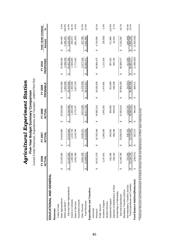|                                        |   |                                                   |                       |                        |                         | Current Funds Revenues, Expenditures and Transfers - UNRESTRICTED<br>Five-Year Budget Summary Comparison |                         |                         |                        |                         |                            |                   |
|----------------------------------------|---|---------------------------------------------------|-----------------------|------------------------|-------------------------|----------------------------------------------------------------------------------------------------------|-------------------------|-------------------------|------------------------|-------------------------|----------------------------|-------------------|
|                                        |   | $\frac{6}{2}$<br>₹<br><b>FY 20</b><br><b>ACTU</b> |                       | FY 2007<br>ACTUAL      |                         | FY 2008<br>ACTUAL                                                                                        |                         | PROBABLE<br>FY 2009     |                        | PROPOSED<br>FY 2010     | FIVE-YEAR CHANGE<br>Amount | న్                |
| EDUCATIONAL AND GENERAL                |   |                                                   |                       |                        |                         |                                                                                                          |                         |                         |                        |                         |                            |                   |
| Revenues                               |   |                                                   |                       |                        |                         |                                                                                                          |                         |                         |                        |                         |                            |                   |
| Tuition & Fees                         |   |                                                   |                       |                        |                         |                                                                                                          |                         |                         |                        |                         |                            |                   |
| State Appropriations<br>ARRA and MOE * | ↔ | 22,432,000                                        | ↮                     | 24,024,900             | ↔                       | 25,530,000                                                                                               | ↮                       | 24,015,900<br>1,503,000 | ↮                      | 23,366,000<br>2,286,200 | 934,000<br>2,286,200<br>↔  | 4.2%<br>100.0%    |
| Sub-total State Appropriations         |   | 22,432,000                                        | ↮                     | 24,024,900             | ↮                       | 25,530,000                                                                                               | ↮                       | 25,518,900              | ↮                      | 25,652,200              | 3,220,200<br>↮             | 14.4%             |
|                                        |   |                                                   |                       |                        |                         |                                                                                                          |                         |                         |                        |                         |                            |                   |
| Grants & Contracts<br>Sales & Services |   | 1,269,926<br>3,052,298                            |                       | 3,243,764<br>1,415,734 |                         | 1,493,459<br>3,779,707                                                                                   |                         | 1,350,000<br>2,927,078  |                        | 2,771,043<br>1,500,000  | (281, 255)<br>230,074      | $-9.2%$<br>18.1%  |
| Investment Income                      |   |                                                   |                       |                        |                         |                                                                                                          |                         |                         |                        |                         |                            |                   |
| Other Sources                          |   | 5,054,448                                         |                       | 5,626,257              |                         | 8,674,589                                                                                                |                         | 6,476,039               |                        | 5,577,234               | 522,786                    | 10.3%             |
| <b>Total Revenues</b>                  | ക | 31,808,672                                        | ↮                     | 34,310,655             | $\pmb{\leftrightarrow}$ | 39,477,755                                                                                               | $\pmb{\leftrightarrow}$ | 36,272,017              | ↮                      | 35,500,477              | 3,691,805<br>↮             | 11.6%             |
| Expenditures and Transfers             |   |                                                   |                       |                        |                         |                                                                                                          |                         |                         |                        |                         |                            |                   |
| Instruction                            |   |                                                   |                       |                        |                         |                                                                                                          |                         |                         |                        |                         |                            |                   |
| Research                               | ↮ | 29,317,379                                        | ↮                     | 30,762,446             | ↮                       | 34,082,313                                                                                               | ↮                       | 33,030,535              | ↮                      | 34,060,473              | 4,743,094<br>↮             | 16.2%             |
| Public Service                         |   |                                                   |                       |                        |                         |                                                                                                          |                         |                         |                        |                         |                            |                   |
| Academic Support                       |   | 1,147,542                                         |                       | 1,269,285              |                         | 1,645,262                                                                                                |                         | 1,474,491               |                        | 1,121,516               | (26, 026)                  | $-2.3%$           |
| <b>Student Services</b>                |   |                                                   |                       |                        |                         |                                                                                                          |                         |                         |                        |                         |                            |                   |
| Institutional Support                  |   | 425,456                                           |                       | 562,692                |                         | 826,963                                                                                                  |                         | 915,809                 |                        | 897,352                 | 471,896                    | 110.9%            |
| Operation & Maintenance of Plant       |   | 456,418                                           |                       | 498,196                |                         | 509,076                                                                                                  |                         | 538,448                 |                        | 500,736                 | 44,318                     | 9.7%              |
| Scholarships & Fellowships             |   |                                                   |                       |                        |                         |                                                                                                          |                         |                         |                        |                         |                            |                   |
| Sub-total Expenditures                 | ക | 31,346,795                                        | ↮                     | 33,092,619             | ↮                       | 37,063,614                                                                                               | ↮                       | 35,959,283              | ↮                      | 36,580,077              | 5,233,282<br>↮             | 16.7%             |
| Mandatory Transfers (In)/Out           |   |                                                   |                       |                        |                         |                                                                                                          |                         |                         |                        |                         |                            |                   |
| Non-Mandatory Transfers (In)/Out       |   | 757,949                                           |                       | 630,762                |                         | 2,019,787                                                                                                |                         | (53, 837)               |                        | 417,000                 | (340, 949)                 | $-45.0%$<br>15.2% |
| Total Expenditures and Transfers       | ↮ | 32, 104, 743                                      | $\boldsymbol{\omega}$ | 33,723,381             | $\boldsymbol{\omega}$   | 39,083,401                                                                                               | $\pmb{\varphi}$         | 35,905,446              | $\boldsymbol{\varphi}$ | 36,997,077              | 4,892,334<br>↮             |                   |
| Fund Balance Addition/(Reduction)      |   | (296, 072)                                        | ↮                     | 587,274                | ↔                       | 394,354                                                                                                  | ↔                       | 366,571                 | ↔                      | (1,496,600)             | (1,200,528)<br>↔           |                   |
|                                        |   |                                                   |                       |                        |                         |                                                                                                          |                         |                         |                        |                         |                            |                   |

*Agricultural Experiment Station* **Five-Year Budget Summary Comparison**

Agricultural Experiment Station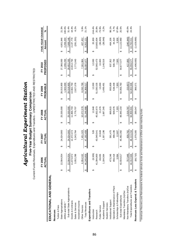|                                   |   | FY 2006    |    | FY 2007      |    | FY 2008    |               | FY 2009    |    | FY 2010     | FIVE-YEAR CHANGE  |          |
|-----------------------------------|---|------------|----|--------------|----|------------|---------------|------------|----|-------------|-------------------|----------|
|                                   |   | ACTUAL     |    | ACTUAI       |    | ACTUAL     |               | PROBABLE   |    | PROPOSED    | Amount            | న్       |
| EDUCATIONAL AND GENERAL           |   |            |    |              |    |            |               |            |    |             |                   |          |
| Revenues                          |   |            |    |              |    |            |               |            |    |             |                   |          |
| Tuition & Fees                    |   |            |    |              |    |            |               |            |    |             |                   |          |
| State Appropriations              |   | 22,564,054 | ↮  | 24,024,900   | ↮  | 25,530,000 | ↮             | 28,015,900 | ↔  | 27,366,000  | 4,801,946<br>↔    | 21.3%    |
| ARRA and MOE *                    |   |            |    |              |    |            |               | 1,503,000  |    | 2,286,200   | 2,286,200         | 100.0%   |
| Sub-total State Appropriations    |   | 22,564,054 | ↔  | 24,024,900   | မာ | 25,530,000 | ↔             | 29.518.900 | ↔  | 29,652,200  | 7,088,146<br>မာ   | 31.4%    |
| Grants & Contracts                |   | 1,674,972  |    | 12,472,472   |    | 11,866,703 |               | 13,662,750 |    | 13,812,750  | 2,137,778         | 18.3%    |
| Sales & Services                  |   | 3,052,298  |    | 3,243,764    |    | 3,779,707  |               | 2,927,078  |    | 2,771,043   | (281, 255)        | $-9.2%$  |
| Investment Income                 |   |            |    |              |    |            |               |            |    |             |                   |          |
| Other Sources                     |   | 6,954,532  |    | 7,451,323    |    | 10,072,578 |               | 8.260.789  |    | 7,361,984   | 407,452           | 5.9%     |
| <b>Total Revenues</b>             |   | 44,245,856 | ↔  | 47, 192, 459 | ↮  | 51,248,988 | $\bm{\omega}$ | 54,369,517 | ↮  | 53,597,977  | 9,352,121<br>⊷    | 21.1%    |
| Expenditures and Transfers        |   |            |    |              |    |            |               |            |    |             |                   |          |
| Instruction                       | ക | (8,309)    | ↔  | 528          | ↔  | 12,848     | ↔             | 12,000     | ↔  | 12,000      | 20,309<br>ഗ       | 244.4%   |
| Research                          |   | ,394,869   |    | 43,049,541   |    | 45,832,673 |               | 51,030,535 |    | 52,060,473  | 10,665,604        | 25.8%    |
| Public Service                    |   | 49,835     |    | 22,849       |    | 21,076     |               | 13,000     |    | 13,000      | (36, 835)         | $-73.9%$ |
| Academic Support                  |   | ,184,564   |    | 1,307,196    |    | 1,687,345  |               | 1,499,491  |    | 1,146,516   | (38,048)          | $-3.2%$  |
| <b>Student Services</b>           |   |            |    |              |    |            |               |            |    |             |                   |          |
| Institutional Support             |   | 473,246    |    | 591,475      |    | 869,815    |               | 955,809    |    | 937,352     | 464,106           | 98.1%    |
| Operation & Maintenance of Plant  |   | 456,418    |    | 498,196      |    | 509,076    |               | 538,448    |    | 500,736     | 44,318            | 9.7%     |
| Scholarships & Fellowships        |   | 3,994      |    | 12,607       |    | 7,320      |               | 7.500      |    | 7,500       | 3,506             | 87.8%    |
| Sub-total Expenditures            |   | 43,554,617 | ↔  | 45,482,392   | ↮  | 48,940,154 | ↔             | 54,056,783 | ↔  | 54,677,577  | \$11,122,960      | 25.5%    |
| Mandatory Transfers (In)/Out      |   |            |    |              |    |            |               |            |    |             |                   |          |
| Non-Mandatory Transfers (In)/Out  |   | 757,949    |    | 630,762      |    | 2,019,787  |               | (53, 837)  |    | 417,000     | (340, 949)        | $-45.0%$ |
| Total Expenditures and Transfers  |   | 44,312,566 | ↮  | 46,113,154   | ↮  | 50,959,941 | ↮             | 54,002,946 | ക  | 55,094,577  | 10,782,011<br>↮   | 24.3%    |
| Revenues Less Expend. & Transfers |   | (66, 710)  | မာ | 1,079,305    | ↔  | 289,047    | ക             | 366,571    | မာ | (1,496,600) | (1,429,890)<br>မာ |          |

*Agricultural Experiment Station* **Five-Year Budget Summary Comparison** Current Funds Revenues, Expenditures and Transfers - UNRESTRICTED AND RESTRICTED

**Agricultural Experiment Station** 

**Five-Year Budget Summary Comparison**<br>Current Funds Revenues, Expenditures and Transfers - UNRESTRICTED AND RESTRICTED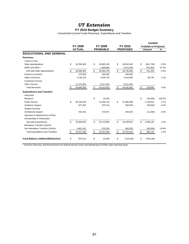#### **FY 2010 Budget Summary**

Unrestricted Current Funds Revenues, Expenditures and Transfers

|                                          |     |                |                  |                  | <b>CHANGE</b>               |           |
|------------------------------------------|-----|----------------|------------------|------------------|-----------------------------|-----------|
|                                          |     | <b>FY 2008</b> | FY 2009          | FY 2010          | <b>Probable to Proposed</b> |           |
|                                          |     | <b>ACTUAL</b>  | <b>PROBABLE</b>  | <b>PROPOSED</b>  | Amount                      | %         |
| <b>EDUCATIONAL AND GENERAL</b>           |     |                |                  |                  |                             |           |
| <b>Revenues</b>                          |     |                |                  |                  |                             |           |
| <b>Tuition &amp; Fees</b>                |     |                |                  |                  |                             |           |
| <b>State Appropriations</b>              | \$  | 30,258,300     | \$<br>28,885,100 | \$<br>28,063,400 | \$<br>(821,700)             | $-2.8%$   |
| ARRA and MOE *                           |     |                | 1,699,600        | 2,672,500        | 972,900                     | 57.2%     |
| Sub-total State Appropriations           | \$  | 30,258,300     | \$<br>30,584,700 | \$<br>30,735,900 | \$<br>151,200               | 0.5%      |
| <b>Grants &amp; Contracts</b>            |     | 578,558        | 460,000          | 460,000          |                             |           |
| Sales & Services                         |     | 3,736,219      | 3,250,754        | 3,319,500        | 68,746                      | 2.1%      |
| Investment Income                        |     |                |                  |                  |                             |           |
| <b>Other Sources</b>                     |     | 11,273,281     | 9,517,561        | 9,517,561        |                             |           |
| <b>Total Revenues</b>                    | -\$ | 45,846,358     | \$<br>43,813,015 | \$<br>44,032,961 | \$<br>219,946               | 0.5%      |
| <b>Expenditures and Transfers</b>        |     |                |                  |                  |                             |           |
| Instruction                              |     |                |                  |                  |                             |           |
| Research                                 |     |                | \$<br>20,000     |                  | \$<br>(20,000)              | $-100.0%$ |
| <b>Public Service</b>                    | \$  | 38,763,518     | 41,839,743       | \$<br>42,966,386 | 1,126,643                   | 2.7%      |
| Academic Support                         |     | 873,202        | 875,242          | 838,590          | (36, 652)                   | $-4.2%$   |
| <b>Student Services</b>                  |     |                |                  |                  |                             |           |
| <b>Institutional Support</b>             |     | 432,326        | 375,871          | 364,025          | (11, 846)                   | $-3.2%$   |
| Operation & Maintenance of Plant         |     |                |                  |                  |                             |           |
| Scholarships & Fellowships               |     |                |                  |                  |                             |           |
| Sub-total Expenditures                   | \$  | 40,069,045     | \$<br>43,110,856 | \$<br>44,169,001 | \$<br>1,058,145             | 2.5%      |
| Mandatory Transfers (In)/Out             |     |                |                  |                  |                             |           |
| Non-Mandatory Transfers (In)/Out         |     | 4,902,162      | 676,200          | 583,200          | (93,000)                    | $-13.8%$  |
| <b>Total Expenditures and Transfers</b>  | \$  | 44,971,206     | \$<br>43,787,056 | \$<br>44,752,201 | \$<br>965,145               | 2.2%      |
| <b>Fund Balance Addition/(Reduction)</b> | \$  | 875,151        | \$<br>25,959     | \$<br>(719, 240) | \$<br>(745, 199)            |           |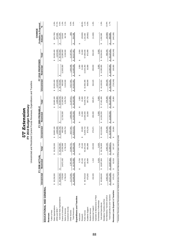|                                   |                     | ₹<br><b>FY 2008 ACTU</b> |                  |                  | FY 2009 PROBABLE |                  |                  | FY 2010 PROPOSED |                  | Probable to Proposed<br>CHANGE |          |
|-----------------------------------|---------------------|--------------------------|------------------|------------------|------------------|------------------|------------------|------------------|------------------|--------------------------------|----------|
|                                   | <b>Unrestricted</b> | Restricted               | Total            | Unrestricted     | Restricted       | Total            | Unrestricted     | Restricted       | Total            | Amount                         | వ్       |
| EDUCATIONAL AND GENERAL           |                     |                          |                  |                  |                  |                  |                  |                  |                  |                                |          |
| Revenues                          |                     |                          |                  |                  |                  |                  |                  |                  |                  |                                |          |
| Tuition & Fees                    |                     |                          |                  |                  |                  |                  |                  |                  |                  |                                |          |
| State Appropriations              | \$ 30,258,300       |                          | 30,258,300<br>မာ | 28,885,100<br>G  |                  | 28,885,100<br>G  | 28,063,400<br>G  |                  | \$28,063,400     | (821, 700)<br>Θ                | $-2.8%$  |
| ARRA and MOE *                    |                     |                          |                  | 1,699,600        |                  | 1,699,600        | 2,672,500        |                  | 2,672,500        | 972,900                        | 57.2%    |
| Sub-total State Appropriations    | \$30,258,300        |                          | 30,258,300<br>6  | 30,584,700<br>6  |                  | 30,584,700<br>မာ | 30,735,900<br>မာ | မာ               | 30,735,900<br>မာ | 151,200<br>မာ                  | 0.5%     |
| Grants & Contracts                | 578,558             | 14,972,430               | 15,550,988       | 460,000          | 12,700,500       | 13,160,500       | 460,000          | 12,835,000       | 13,295,000       | 134,500                        | 1.0%     |
| Sales & Services                  | 3,736,219           |                          | 3,736,219        | 3,250,754        |                  | 3,250,754        | 3,319,500        |                  | 3,319,500        | 68,746                         | 2.1%     |
| Investment Income                 |                     |                          |                  |                  |                  |                  |                  |                  |                  |                                |          |
| Other Sources                     | 11,273,281          | 1,787,449                | 13,060,731       | 9,517,561        | 1,650,050        | 11,167,611       | 9,517,561        | 1,650,000        | 11,167,561       | (50)                           | $0.0\%$  |
| <b>Total Revenues</b>             | \$45,846,358        | 16,759,880<br>Ø          | 62,606,238<br>∞  | 43,813,015<br>↮  | 14,350,550<br>↮  | 58,163,565<br>↮  | 44,032,961<br>↮  | 14,485,000<br>↮  | 58,517,961<br>မာ | 354,396<br>↮                   | 0.6%     |
| Expenditures and Transfers        |                     |                          |                  |                  |                  |                  |                  |                  |                  |                                |          |
| Instruction                       |                     | 5,750<br>မာ              | 5,750<br>မာ      |                  | 2,050<br>မာ      | 2,050<br>မာ      |                  | 2,050<br>မာ      | 2,050<br>မာ      | မာ                             |          |
| Research                          |                     | 25,146                   | 25,146           | 20,000<br>↮      | 21,000           | 41,000           |                  | 21,000           | 21,000           | (20,000)                       | $-48.8%$ |
| Public Service                    | \$38,763,518        | 16,640,741               | 55,404,258       | 41,839,743       | 14,000,000       | 55,839,743       | 42,966,386<br>မာ | 14,034,450       | 57,000,836       | 1,161,093                      | 2.1%     |
| Academic Support                  | 873,202             | 18,484                   | 891,686          | 875,242          | 32,500           | 907,742          | 838,590          | 32,500           | 871,090          | (36, 652)                      | $-4.0%$  |
| <b>Student Services</b>           |                     |                          |                  |                  |                  |                  |                  |                  |                  |                                |          |
| Institutional Support             | 432,326             | 1,310                    | 433,636          | 375,871          | 290,000          | 665,871          | 364,025          | 290,000          | 654,025          | (11, 846)                      | $-1.8%$  |
| Operation & Maintenance of Plant  |                     |                          |                  |                  |                  |                  |                  |                  |                  |                                |          |
| Scholarships & Fellowships        |                     | 6,434                    | 6,434            |                  | 5,000            | 5,000            |                  | 5,000            | 5,000            |                                |          |
| Sub-total Expenditures            | \$40,069,045        | 16,697,864<br>69         | 56,766,909<br>မာ | 43,110,856<br>မာ | 14,350,550<br>မာ | 57,461,406<br>မာ | 44,169,001<br>မာ | \$14,385,000     | 58,554,001<br>မာ | 1,092,595<br>မာ                | 1.9%     |
| Mandatory Transfers (In)/Out      |                     |                          |                  |                  |                  |                  |                  |                  |                  |                                |          |
| Non-Mandatory Transfers (In)/Out  | 4,902,162           |                          | 4,902,162        | 676,200          |                  | 676,200          | 583,200          |                  | 583,200          | (93,000)                       | $-13.8%$ |
| Total Expenditures and Transfers  | \$44,971,206        | 16,697,864<br>Ø          | 61,669,071<br>မာ | 43,787,056<br>မာ | \$ 14,350,550    | 58,137,606<br>မာ | 44,752,201<br>မာ | \$ 14,385,000    | 59,137,201<br>မာ | 999,595<br>Θ                   | 1.7%     |
| Revenues Less Expend. & Transfers | 875,151             | 62,016<br>မာ             | 937,167<br>↮     | 25,959<br>↮      | ↔                | 25,959<br>€      | (719, 240)<br>↮  | 100,000<br>↮     | (619, 240)<br>↮  | (645, 199)<br>↮                |          |
|                                   |                     |                          |                  |                  |                  |                  |                  |                  |                  |                                |          |

Unrestricted and Restricted Current Funds Revenues, Expenditures and Transfers

**FY 2010 Budget Summary**

 $\textit{UT} \textit{Ext}_{\textit{end}} \textit{C1} \textit{Ext}_{\textit{end}} \textit{E4} \textit{C1} \textit{C2} \textit{I} \textit{O} \textit{n} \textit{O} \textit{n} \textit{O} \textit{n} \textit{O} \textit{n} \textit{O} \textit{n} \textit{O} \textit{o} \textit{O} \textit{O} \textit{O} \textit{O} \textit{O} \textit{O} \textit{O} \textit{O} \textit{O} \textit{O} \textit{O} \textit{O} \textit{O} \textit{O}$ 

\* American Recovery and Reinvestment Act federal stimulus funds and Maintenance of Effort state matching funds \* American Recovery and Reinvestment Act federal stimulus funds and Maintenance of Effort state matching funds

### 88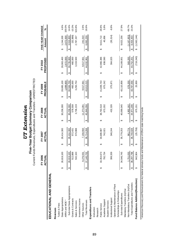|                                   |   | FY 2006<br><b>ACTUAL</b> |   | FY 2007<br>ACTUAL |   | FY 2008<br>ACTUAL |   | <b>PROBABLE</b><br>FY 2009 |   | PROPOSED<br>FY 2010 |   | FIVE-YEAR CHANGE<br>Amount | ℅        |
|-----------------------------------|---|--------------------------|---|-------------------|---|-------------------|---|----------------------------|---|---------------------|---|----------------------------|----------|
| EDUCATIONAL AND GENERAL           |   |                          |   |                   |   |                   |   |                            |   |                     |   |                            |          |
| Revenues                          |   |                          |   |                   |   |                   |   |                            |   |                     |   |                            |          |
| Tuition & Fees                    |   |                          |   |                   |   |                   |   |                            |   |                     |   |                            |          |
| State Appropriations              |   | 26,819,100               | ↔ | 28,414,300        | ↔ | 30,258,300        | ↔ | 28,885,100                 | ക | 28,063,400          | ↮ | 1,244,300                  | 4.6%     |
| ARRA and MOE *                    |   |                          |   |                   |   |                   |   | 1,699,600                  |   | 2,672,500           |   | 2,672,500                  | 100.0%   |
| Sub-total State Appropriations    |   | 26,819,100               | ↮ | 28,414,300        | ↮ | 30,258,300        | ↮ | 30,584,700                 | ↮ | 30,735,900          | ↮ | 3,916,800                  | 14.6%    |
| Grants & Contracts                |   | 512,888                  |   | 572,431           |   | 578,558           |   | 460,000                    |   | 460,000             |   | (52, 888)                  | $-10.3%$ |
| Sales & Services                  |   | 532,163                  |   | 570,988           |   | 3,736,219         |   | 3,250,754                  |   | 3,319,500           |   | 2,787,337                  | 523.8%   |
| Investment Income                 |   |                          |   |                   |   |                   |   |                            |   |                     |   |                            |          |
| Other Sources                     |   | 9,276,551                |   | 7,156,550         |   | 11,273,281        |   | 9,517,561                  |   | 9,517,561           |   | 241,010                    | 2.6%     |
| <b>Total Revenues</b>             |   | 37,140,702               | ↮ | 36,714,268        | ↮ | 45,846,358        | ↮ | 43,813,015                 | ↮ | 44,032,961          | ↮ | 6,892,259                  | 18.6%    |
| Expenditures and Transfers        |   |                          |   |                   |   |                   |   |                            |   |                     |   |                            |          |
| Instruction                       |   |                          |   |                   |   |                   |   |                            |   |                     |   |                            |          |
| Research                          |   |                          |   |                   |   |                   |   |                            |   |                     |   |                            |          |
| Public Service                    | ക | 33,354,673               | ↮ | 34,689,987        | ↮ | 38,763,518        | ↔ | 41,839,743                 | ↮ | 42,966,386          | ↔ | 9,611,713                  | 28.8%    |
| Academic Support                  |   | 792,734                  |   | 742,021           |   | 873,202           |   | 875,242                    |   | 838,590             |   | 45,856                     | 5.8%     |
| <b>Student Services</b>           |   |                          |   |                   |   |                   |   |                            |   |                     |   |                            |          |
| Institutional Support             |   | 399,339                  |   | 346,244           |   | 432,326           |   | 375,871                    |   | 364,025             |   | (35, 314)                  | $-8.8%$  |
| Operation & Maintenance of Plant  |   |                          |   |                   |   |                   |   |                            |   |                     |   |                            |          |
| Scholarships & Fellowships        |   |                          |   |                   |   |                   |   |                            |   |                     |   |                            |          |
| Sub-total Expenditures            |   | 34,546,745               | ↮ | 35,778,253        | ↮ | 40,069,045        | ↮ | 43,110,856                 | ↔ | 44,169,001          | ↮ | 9,622,256                  | 27.9%    |
| Mandatory Transfers (In)/Out      |   |                          |   |                   |   |                   |   |                            |   |                     |   |                            |          |
| Non-Mandatory Transfers (In)/Out  |   | .751,053                 |   | 961,774           |   | 4.902.162         |   | 676.200                    |   | 583,200             |   | (1, 167, 853)              | $-66.7%$ |
| Total Expenditures and Transfers  |   | 36,297,798               | ↮ | 36,740,028        | ↮ | 44,971,206        | ↮ | 43,787,056                 | ↮ | 44,752,201          | ↮ | 8,454,403                  | 23.3%    |
| Fund Balance Addition/(Reduction) |   | 842,904                  | ↔ | (25, 759)         | ↔ | 875,151           | ↮ | 25,959                     | ↮ | (719, 240)          | Ø | (1,562,144)                |          |

**UT Extension** 

Current Funds Revenues, Expenditures and Transfers - UNRESTRICTED **Five-Year Budget Summary Comparison**

**Five-Year Budget Summary Comparison**<br>Current Funds Revenues, Expenditures and Transfers - UNRESTRICTED

\* American Recovery and Reinvestment Act federal stimulus funds and Maintenance of Effort state matching funds \* American Recovery and Reinvestment Act federal stimulus funds and Maintenance of Effort state matching funds

### 89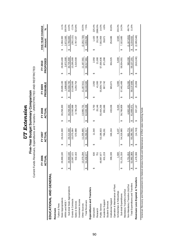|                                   |   | 2006<br>ř      |   | FY 2007    |   | FY 2008    |              | FY 2009    |   | FY 2010      | FIVE-YEAR CHANGE                    |            |          |
|-----------------------------------|---|----------------|---|------------|---|------------|--------------|------------|---|--------------|-------------------------------------|------------|----------|
|                                   |   | ACTUAL         |   | ACTUAL     |   | ACTUAL     |              | PROBABLE   |   | PROPOSED     | Amount                              |            | వ్       |
| EDUCATIONAL AND GENERAL           |   |                |   |            |   |            |              |            |   |              |                                     |            |          |
| Revenues                          |   |                |   |            |   |            |              |            |   |              |                                     |            |          |
| Tuition & Fees                    |   |                |   |            |   |            |              |            |   |              |                                     |            |          |
| State Appropriations              |   | 26,969,100     | ↔ | 28,414,300 | ↮ | 30,258,300 | ↔            | 28,885,100 | ↮ | 28,063,400   | ↔                                   | 1,094,300  | 4.1%     |
| ARRA and MOE *                    |   |                |   |            |   |            |              | 1,699,600  |   | 2,672,500    | 2,672,500                           |            | 100.0%   |
| Sub-total State Appropriations    |   | 26,969,100     | ↔ | 28,414,300 | ↮ | 30,258,300 | ↮            | 30,584,700 | ↮ | 30,735,900   | 3,766,800<br>↮                      |            | 14.0%    |
| Grants & Contracts                |   | 13,587,121     |   | 5,075,064  |   | 5,550,988  |              | 13,160,500 |   | 13,295,000   |                                     | (292, 121) | $-2.1%$  |
| Sales & Services                  |   | 532,163        |   | 570,988    |   | 3,736,219  |              | 3,250,754  |   | 3,319,500    | 2,787,337                           |            | 523.8%   |
| Investment Income                 |   |                |   |            |   |            |              |            |   |              |                                     |            |          |
| Other Sources                     |   | 3,370,294      |   | 11,205,665 |   | 13,060,731 |              | 11,167,611 |   | 11,167,561   | (2,202,733)                         |            | $-16.5%$ |
| <b>Total Revenues</b>             |   | 54,458,677     | ↮ | 55,266,017 | ↔ | 62,606,238 | ↮            | 58,163,565 | ↮ | 58,517,961   | 4,059,284<br>$\boldsymbol{\varphi}$ |            | 7.5%     |
| Expenditures and Transfers        |   |                |   |            |   |            |              |            |   |              |                                     |            |          |
| Instruction                       | ക | 630            | ക | 11,540     | ക | 5,750      | ↮            | 2,050      | ↮ | 2,050        | ക                                   | 1,420      | 225.4%   |
| Research                          |   | 751            |   |            |   | 25,146     |              | 41,000     |   | 21,000       |                                     | 20,249     | 2696.0%  |
| Public Service                    |   | 49,997,877     |   | 53,188,833 |   | 55,404,258 |              | 55,839,743 |   | 57,000,836   | 7,002,959                           |            | 14.0%    |
| Academic Support                  |   | 831,219        |   | 766,261    |   | 891,686    |              | 907,742    |   | 871,090      |                                     | 39,871     | 4.8%     |
| <b>Student Services</b>           |   |                |   |            |   |            |              |            |   |              |                                     |            |          |
| Institutional Support             |   | 399,339        |   | 346,244    |   | 433,636    |              | 665,871    |   | 654,025      |                                     | 254,686    | 63.8%    |
| Operation & Maintenance of Plant  |   |                |   |            |   |            |              |            |   |              |                                     |            |          |
| Scholarships & Fellowships        |   | 1,500          |   | 6,107      |   | 6,434      |              | 5,000      |   | 5,000        |                                     | 3,500      | 233.3%   |
| Sub-total Expenditures            |   | 1,231,316<br>Ю | ↮ | 54,318,985 | ↮ | 56,766,909 | ↮            | 57,461,406 | ↮ | 58,554,001   | 7,322,685<br>↮                      |            | 14.3%    |
| Mandatory Transfers (In)/Out      |   |                |   |            |   |            |              |            |   |              |                                     |            |          |
| Non-Mandatory Transfers (In)/Out  |   | 1,751,053      |   | 961,774    |   | 4,902,162  |              | 676,200    |   | 583,200      | (1, 167, 853)                       |            | $-66.7%$ |
| Total Expenditures and Transfers  |   | 52,982,369     | ↔ | 55,280,760 | ↮ | 61,669,071 | <del>∽</del> | 58,137,606 | ↮ | 59, 137, 201 | 6,154,832<br>ക                      |            | 11.6%    |
| Revenues Less Expend. & Transfers |   | 1,476,308      | ↮ | (14, 743)  | ↔ | 937,167    | ↔            | 25,959     | ↔ | (619, 240)   | (2,095,548)<br>ക                    |            |          |
|                                   |   |                |   |            |   |            |              |            |   |              |                                     |            |          |

**UT Extension** 

Current Funds Revenues, Expenditures and Transfers - UNRESTRICTED AND RESTRICTED **Five-Year Budget Summary Comparison**

**Five-Year Budget Summary Comparison**<br>Current Funds Revenues, Expenditures and Transfers - UNRESTRICTED AND RESTRICTED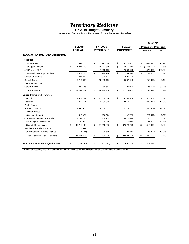## *Veterinary Medicine*

#### **FY 2010 Budget Summary**

Unrestricted Current Funds Revenues, Expenditures and Transfers

|                                          |                  |                   |                  | <b>CHANGE</b>               |          |
|------------------------------------------|------------------|-------------------|------------------|-----------------------------|----------|
|                                          | <b>FY 2008</b>   | FY 2009           | FY 2010          | <b>Probable to Proposed</b> |          |
|                                          | <b>ACTUAL</b>    | <b>PROBABLE</b>   | <b>PROPOSED</b>  | Amount                      | %        |
| <b>EDUCATIONAL AND GENERAL</b>           |                  |                   |                  |                             |          |
| <b>Revenues</b>                          |                  |                   |                  |                             |          |
| <b>Tuition &amp; Fees</b>                | \$<br>5,953,715  | \$<br>7,292,666   | \$<br>8,376,612  | \$<br>1,083,946             | 14.9%    |
| <b>State Appropriations</b>              | \$<br>17,028,100 | \$<br>16,217,800  | \$<br>14,951,300 | \$<br>(1,266,500)           | $-7.8%$  |
| ARRA and MOE *                           |                  | 1,012,100         | 2,333,000        | 1,320,900                   | 130.5%   |
| Sub-total State Appropriations           | \$<br>17,028,100 | \$<br>17,229,900  | \$<br>17,284,300 | \$<br>54,400                | 0.3%     |
| <b>Grants &amp; Contracts</b>            | 885,362          | 900,177           | 900,177          |                             |          |
| Sales & Services                         | 10,218,665       | 10,839,136        | 10,582,046       | (257,090)                   | $-2.4%$  |
| Investment Income                        |                  |                   |                  |                             |          |
| <b>Other Sources</b>                     | 220,435          | 286,647           | 199,945          | (86, 702)                   | $-30.2%$ |
| <b>Total Revenues</b>                    | \$<br>34,306,277 | \$<br>36,548,526  | \$<br>37,343,080 | \$<br>794,554               | 2.2%     |
| <b>Expenditures and Transfers</b>        |                  |                   |                  |                             |          |
| Instruction                              | \$<br>24,918,292 | \$<br>25,809,620  | \$<br>26,788,573 | \$<br>978,953               | 3.8%     |
| Research                                 | 2,966,461        | 3,251,826         | 2,852,511        | (399, 315)                  | $-12.3%$ |
| <b>Public Service</b>                    |                  |                   |                  |                             |          |
| Academic Support                         | 4,550,015        | 4,669,551         | 4,313,747        | (355, 804)                  | $-7.6%$  |
| <b>Student Services</b>                  |                  |                   |                  |                             |          |
| <b>Institutional Support</b>             | 512,674          | 432,322           | 402,773          | (29, 549)                   | $-6.8%$  |
| Operation & Maintenance of Plant         | 2,233,756        | 3,309,959         | 3,410,664        | 100,705                     | 3.0%     |
| Scholarships & Fellowships               | 30,000           | 39,000            | 60,000           | 21,000                      | 53.8%    |
| Sub-total Expenditures                   | \$<br>35,211,198 | \$<br>37,512,278  | \$<br>37,828,268 | \$<br>315,990               | 0.8%     |
| Mandatory Transfers (In)/Out             | 11,041           |                   |                  |                             |          |
| Non-Mandatory Transfers (In)/Out         | (777, 521)       | 239,500           | 206,200          | (33, 300)                   | $-13.9%$ |
| <b>Total Expenditures and Transfers</b>  | \$<br>34,444,717 | \$<br>37,751,778  | \$<br>38,034,468 | \$<br>282,690               | 0.7%     |
| <b>Fund Balance Addition/(Reduction)</b> | \$<br>(138, 440) | \$<br>(1,203,252) | \$<br>(691, 388) | \$<br>511,864               |          |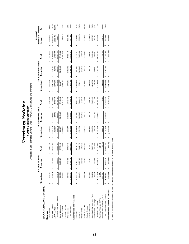| $\ddot{\phantom{a}}$<br>Ś |  |
|---------------------------|--|
| ;<br>;<br>;<br>ù,<br>ί    |  |
| ist of<br>į<br>ز<br>د     |  |

Unrestricted and Restricted Current Funds Revenues, Expenditures and Transfers Unrestricted and Restricted Current Funds Revenues, Expenditures and Transfers **y FY 2010 Budget Summar**

**CHANGE**

CHANGE

 $0.3\%$  $-2.4%$   $-5.8%$  $1.8%$   $3.7%$  $-5.8%$  $-7.5%$  $-5.9%$  $3.0\%$  $0.7%$ 

14.9%  $-7.7%$ 

130.3% 11.0.18. Pees 5,953,715 \$ 5,953,715 \$ 5,953,715 \$ 7,292,666 \$ 7,292,666 \$ 8,376,612 \$ 9,376,612 \$ 8,376,612 \$ الكات Apple Appropriations and Society and Society and Society and Society and Society and Society and Society and Society and Society and Society and Society and Society and Society and Society and Society and Society an ARRA and MOE \* 1,012,100 24,800 1,036,900 2,333,000 55,300 2,388,300 1,351,400 130.3% S.670 \$ \$ 500,038,100 \$ 500,039,00 \$ 566,600,100 \$ 566,600,000 \$ 17,200 \$ 566,600,000 \$ 17,200,000 \$ 17,299,500 \$ 39,095,092,18,665 10,218,665 10,218,665 10,839,136 10,839,136 10,839,136 10,839,136 10,830,136 10,582,046 10,582,046 10,216,090 10,582,046 10,582,046 10,582,046 10,582,046 10,582,046 10,582,046 10,582,046 10,582,046 10,21 Cources 220,135 842,638 1,020,073 1,083,073 1,783,073 1,783,073 1,783,073 1,750,070,195 1,750,070,195 1,070,08<br>CDG-07 20,070,075 1,070,070,075 1,750,070,071 1,783,070,071 1,789,070,117 1,750,070,140 1,070,070,070,070,070, Total Revenues 34,306,727 \$ 37,345,000 \$ 5,07,49,546,916 \$ 5,07,49,646,526 \$ 5,197,490 \$ 36,526,367,527 \$ 37,581 \$ 37,581 \$ 37,581 \$ 37,581 \$ 41,250,701 \$ 37,581 \$ 37,581 \$ 5,163,701 \$ 5,163,701 \$ 1.746,91 \$ 1.8% Instruction 24,918,212,024,0114,012 \$ 26,078,090,000 \$ 26,090,000 \$ 26,900,000 \$ 26,900,000 \$ 26,789,000 \$ 26,800,000 \$ 26,800,000 \$ 978,000,000 \$ 26,800,000 \$ 26,800,000 \$ 990,000 \$ 990,000 \$ 978,779,242 \$ 978,000 \$ 3.7%, Research 2,966,461 3,320,709 6,287,170 3,612,87,18969 3,612,869 3,612,869 3,612,869 2852511 3,612,869 8,461 8,460,315) -5.8% Academic Support 4,550,015 4,550,015 4,668,551 4,688,551 4,689,551 4,4318 4,688,551 4,313,747 4,358,065 4,318,580,055 44,318 4,358,065 4,313,747 4,358,065 4,358,065 4,358,065 4,358,065 4,358,065 4,358,065 4,358,005 4,358,0 Institutional Support 512,674 34,847 512,6773,522 537,522 65,778 65,778 65,773 65,773 65,773 65,778 55,778 55,778 65,778 65,778 65,778 65,778 65,778 65,778 65,778 65,778 65,778 65,778 65,778 65,778 65,778 65,778 65,778 65, Operation & Plant 2,233,756 2,233,756 2,233,756 2,233,756 3,309,959 3,309,959 3,309,959 3,309,959 3,410,664 100,705 3,410,664 2,233,756 3,410,664 2,233,756 3,410,664 2,233,756 3,410,664 3,410,664 3,410,664 2,233,756 3,410, المائي 20,000 20,000 20,000 30,000 30,000 30,000 39,000 39,000 39,000 30,000 30,000 30,000 30,000 36,000 37,78<br>مادة 20,000 30,000 30,000 30,000 30,000 30,000 30,000 30,000 30,000 30,000 30,000 30,000 30,000 30,000 30,000 **Probable to Proposed**<br>Amount % erants & Contracts 885,362 3,773,472,882 3,888,5362 3,773,449 9,773,449 9,773,449 9,773,449 9,773,449 9,835 9,883,362 9,883,362 9,747,283 9,883,362 9,747,283 9,885,583 9,747,283 9,885,583 9,885,583 9,885,583 9,885,583 9,88 Public Service 105,312 105,312 105,312 145,070 145,070 145,070 145,070 145,070 145,070 145,070 145,070 145,070 **FY 2009 PROBABLE Probable to Proposed**  $(29, 549)$  $(1, 297, 000)$  $(257,090)$ 978,953  $(399, 315)$  $(355, 804)$ 100,705  $(12, 789)$  $(120, 491)$ 1,083,946 1,351,400 54.400 760,765 **Unrestricted Restricted Total Unrestricted Restricted Total Unrestricted Restricted Total Amount**  $\omega$ 145,070 8,376,612 15,462,400 2,388,300 \$ 17,850,700 3,747,283 10,582,046 1,950,140 6,465,380 468,551 27,779,242 4,358,065 3,410,664 364,997 42,506,781 Total  $\theta$ FY 2010 PROPOSED  $\epsilon$ Ø **FY 2010 PROPOSED** 511,100 566,400 2,847,106 1,750,195 5,163,701 145,070 44,318 65,778 304,997 55,300 990,669 3,612,869 Restricted  $\omega$ ٠Ä 199,945 2852511 Unrestricted 900,177 402,773 8,376,612 14,951,300 2,333,000 17,284,300 10,582,046 26,788,573 60,000 37,343,080 4,313,747 3,410,664  $\theta$ Ø **G** 1,036,900 498,100 377,786 7,292,666 16,759,400 17,796,300 3,747,283 10,839,136 2,070,631 41,746,016 26,800,289 6,864,695 145,070 4,713,869 3,309,959 Total  $\epsilon$  $\boldsymbol{\omega}$ FY 2009 PROBABLE<br>ad Restricted  $\epsilon$  $\epsilon$  $\omega$ 24,800 145,070 44,318 65,778 338,786 541,600 566,400 2,847,106 1.783.984 990,669 3,612,869 5,197,490  $\omega$ ↮ Unrestricted 16,217,800 900,177 25,809,620 39,000 1,012,100 17,229,900 10,839,136 432,322 7,292,666 286,647 3,251,826 3,309,959 36,548,526 4,669,551 Ø 537,522 5,953,715 17,593,700 17,593,700 3,773,449 10,218,665 1,063,073 26,075,414 6,287,170 105,312 4,658,580 2,233,756 222,855 38,602,601 Total ↮ G e.  $\epsilon$ **FY 2008 ACTUAL FY 2008 ACTUAL** 192,855 565,600 565,600 1,157,122 3,320,709 105,312 108,565 24,847 2,888,087 842,638 4,296,325  $\boldsymbol{\omega}$ s<br>S Unrestricted 17,028,100 17,028,100 512,674 30,000 5,953,715 885,362 10,218,665 220,435 24,918,292 4,550,015 2,233,756 2,966,461 34,306,277 မှာ မှာ  $\omega$  $\omega$ EDUCATIONAL AND GENERAL **EDUCATIONAL AND GENERAL** Operation & Maintenance of Plant Expenditures and Transfers **Expenditures and Transfers** Sub-total State Appropriations Scholarships & Fellowships Institutional Support State Appropriations Grants & Contracts Investment Income Investment Income Academic Support ARRA and MOE \* Sales & Services **Total Revenues Student Services** Student Services Tuition & Fees Public Service Other Sources Revenues Instruction **Revenues** Research

" American Recovery and Reinvestment Act federal stimulus funds and Maintenance of Effort state matching funds \* American Recovery and Reinvestment Act federal stimulus funds and Maintenance of Effort state matching funds

Mandatory Transfers (In)/Out 11,041 11,041

 $(777, 521)$ 

Non-Mandatory Transfers (In)/Out

Mandatory Transfers (In)/Out

Sub-total Expenditures

34,444,717

 $\theta$  $\theta$ 

Sub-total Expenditures 35,211,198 \$ 4,909,410 \$ 40,120,608 \$ 37,512,278 \$ 5,197,490 \$ 42,709,768 \$ 37,828,268 \$ 5,163,701 \$ 42,991,969 \$ 282,201 \$ 0.7%

.<br>په

37,512,278 239,500 37,751,778

 $\epsilon$ 

40,120,608

⇔

4,909,410

s<br>S

35,211,198 11,041

 $\omega$ 

5,197,490

 $-3.4%$ 

282,201

s<br>S

42,991,969

G

5,163,701

 $\overline{a}$ 

37,828,268

 $\theta$ 

42,709,768 239,500 42,949,268  $(1,203,252)$ 

 $\boldsymbol{\omega}$ 

 $-13.9%$ 

 $(33, 300)$ 

206,200  $(691, 388)$ 

43,198,169

 $\bullet$ 

\$ 5,163,701

206,200 38,034,468

 $\bullet$ 

 $\bullet$  $\theta$ 

\$ 5,197,490

 $0.6%$ 

248,901

511,864

 $\epsilon$ 

Ø

 $\omega$ 

 $(691, 388)$ 

 $\theta$ 

Non-Mandatory Transfers (In)/Out (777,521) 200,300,000 200,500,000 239,500 239,500 206,200 206,200 206,200 206,200 206,200 206,200 206,200 206,200 206,200 206,200 206,200 206,200 206,200 206,200 206,200 206,200 206,200 206 Total Expenditures and Transfers 34,444,717 \$ 4,909,410 \$ 39,354,127 \$ 37,751,778 \$ 5,197,490 \$ 42,949,268 \$ 38,034,468 \$ 5,163,701 \$ 43,198,169 \$ 248,901 \$ 0.6%

777,521)

39,354,127

 $\epsilon$ 

4,909,410

 $11,041$ 

Revenues Sames and the second of the second of the second of the second of the second of the second of the second of the second of the second of the second of the second of the second of the second of the second of the se

 $(1,203,252)$ 

 $\epsilon$ 

 $(751, 525)$ 

Ø

 $(613, 085)$ 

ø

 $(138, 440)$ 

Revenues Less Expend. & Transfers Total Expenditures and Transfers

Ø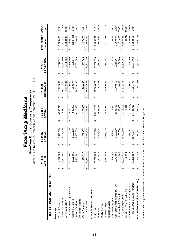|                                   |    | FY 2006<br>ACTUAI         |   | FY 2007<br>ACTUAI |   | <b>FY 2008</b><br>ACTUAL |   | PROBABLE<br><b>FY 2009</b> |   | PROPOSED<br>FY 2010 |   | FIVE-YEAR CHANGE<br>Amount | Š,        |
|-----------------------------------|----|---------------------------|---|-------------------|---|--------------------------|---|----------------------------|---|---------------------|---|----------------------------|-----------|
| EDUCATIONAL AND GENERAL           |    |                           |   |                   |   |                          |   |                            |   |                     |   |                            |           |
| Revenues                          |    |                           |   |                   |   |                          |   |                            |   |                     |   |                            |           |
| Tuition & Fees                    |    | 870,180                   | ↔ | 5,645,653         | ↮ | 5,953,715                | ↔ | 7,292,666                  | ക | 8,376,612           | ↮ | 3,506,432                  | 72.0%     |
| State Appropriations              |    | 523,900                   | ↮ | 15,705,600        | ↮ | 17,028,100               | ↮ | 16,217,800                 | ↔ | 14,951,300          | ↔ | 427,400                    | 2.9%      |
| ARRA and MOE *                    |    |                           |   |                   |   |                          |   | 1,012,100                  |   | 2,333,000           |   | 2,333,000                  | 100.0%    |
| Sub-total State Appropriations    |    | 523,900<br>$\frac{4}{3}$  | ↮ | 15,705,600        | ↮ | 17,028,100               | ↮ | 17,229,900                 | ↔ | 17,284,300          | ↔ | 2,760,400                  | 19.0%     |
| Grants & Contracts                |    | ,082,901                  |   | 1,103,109         |   | 885,362                  |   | 900,177                    |   | 900,177             |   | (182, 724)                 | $-16.9%$  |
| Sales & Services                  |    | ,103,042                  |   | 9,603,355         |   | 10,218,665               |   | 10,839,136                 |   | 10,582,046          |   | 1,479,004                  | 16.2%     |
| Investment Income                 |    |                           |   |                   |   |                          |   |                            |   |                     |   |                            |           |
| Other Sources                     |    | 172,317                   |   | 201,457           |   | 220,435                  |   | 286,647                    |   | 199,945             |   | 27,628                     | 16.0%     |
| <b>Total Revenues</b>             |    | ,752,340<br>$\frac{8}{2}$ | ↮ | 32,259,175        | ↮ | 34,306,277               | ↮ | 36,548,526                 | ↮ | 37,343,080          | ↮ | 7,590,740                  | 25.5%     |
| Expenditures and Transfers        |    |                           |   |                   |   |                          |   |                            |   |                     |   |                            |           |
| Instruction                       | မာ | 0,303,639<br>$\approx$    | ↔ | 22,168,273        | ↮ | 24,918,292               | ↮ | 25,809,620                 | ↮ | 26,788,573          | ↮ | 6,484,934                  | 31.9%     |
| Research                          |    | ,391,449                  |   | 2,698,716         |   | 2,966,461                |   | 3,251,826                  |   | 2,852,511           |   | 461,062                    | 19.3%     |
| Public Service                    |    |                           |   |                   |   |                          |   |                            |   |                     |   |                            |           |
| Academic Support                  |    | 792,455                   |   | 4,027,579         |   | 4,550,015                |   | 4,669,55                   |   | 4,313,747           |   | 521,292                    | 13.7%     |
| Student Services                  |    |                           |   |                   |   |                          |   |                            |   |                     |   |                            |           |
| Institutional Support             |    | 286,286                   |   | 332,782           |   | 512,674                  |   | 432,322                    |   | 402,773             |   | 116,487                    | 40.7%     |
| Operation & Maintenance of Plant  |    | 241,590                   |   | 2,192,510         |   | 2,233,756                |   | 3,309,959                  |   | 3,410,664           |   | 1,169,074                  | 52.2%     |
| Scholarships & Fellowships        |    | 9,000                     |   | 30,000            |   | 30,000                   |   | 39,000                     |   | 60,000              |   | 51,000                     | 566.7%    |
| Sub-total Expenditures            |    | 024,420<br>$\mathbf{S}$   | ↮ | 31,449,860        | ക | 35,211,198               | ↮ | 37,512,278                 | ↮ | 37,828,268          | ↔ | 8,803,848                  | 30.3%     |
| Mandatory Transfers (In)/Out      |    | 6,324                     |   |                   |   | 11,041                   |   |                            |   |                     |   | (6, 324)                   | $-100.0%$ |
| Non-Mandatory Transfers (In)/Out  |    | 103,214                   |   | 258,983           |   | (777, 521)               |   | 239,500                    |   | 206,200             |   | 102,986                    | 99.8%     |
| Total Expenditures and Transfers  |    | ,133,957<br>$\frac{8}{2}$ | ↮ | 31,708,844        | ↮ | 34,444,717               | ↮ | 37,751,778                 | ↮ | 38,034,468          | ↮ | 8,900,511                  | 30.6%     |
| Fund Balance Addition/(Reduction) |    | 618,383                   | ↮ | 550,331           | ↮ | (138, 440)               | ↮ | (1,203,252)                | ↮ | (691, 388)          | ↮ | (1,309,771)                |           |

*Veterinary Medicine*

Veterinary Medicine

Current Funds Revenues, Expenditures and Transfers - UNRESTRICTED **Five-Year Budget Summary Comparison**

**Five-Year Budget Summary Comparison**<br>Current Funds Revenues, Expenditures and Transfers - UNRESTRICTED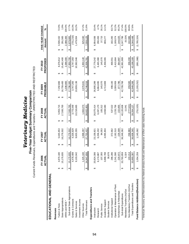|                                   |   | 2006<br><b>ACTUAI</b><br>ِ<br>۳ |   | FY 2007<br>ACTUAL |                       | FY 2008<br>ACTUAL |    | PROBABLE<br>FY 2009 |   | PROPOSED<br>FY 2010 | FIVE-YEAR CHANGE<br>Amount | ℅         |
|-----------------------------------|---|---------------------------------|---|-------------------|-----------------------|-------------------|----|---------------------|---|---------------------|----------------------------|-----------|
| EDUCATIONAL AND GENERAL           |   |                                 |   |                   |                       |                   |    |                     |   |                     |                            |           |
| Revenues                          |   |                                 |   |                   |                       |                   |    |                     |   |                     |                            |           |
| Tuition & Fees                    |   | 4,870,180                       | ↔ | 5,645,653         | ↮                     | 5,953,715         | ఱ  | 7,292,666           | ↔ | 8,376,612           | 3,506,432<br>↮             | 72.0%     |
| State Appropriations              |   | 5,170,835                       | ⊷ | 16,279,502        | ↮                     | 17,593,700        | ₩  | 16,759,400          | ക | 5,462,400           | 291,565<br>↔               | 1.9%      |
| ARRA and MOE *                    |   |                                 |   |                   |                       |                   |    | 1,036.900           |   | 2,388,300           | 2,388,300                  | 100.0%    |
| Sub-total State Appropriations    |   | 15,170,835                      | ↮ | 16,279,502        | ↮                     | 17,593,700        | ↮  | 17,796,300          | ↮ | 17,850,700          | 2,679,865<br>↔             | 17.7%     |
| Grants & Contracts                |   | 4,478,499                       |   | 4,326,629         |                       | 3,773,449         |    | 3,747,283           |   | 3,747,283           | (731, 216)                 | $-16.3%$  |
| Sales & Services                  |   | 9,103,042                       |   | 9,603,355         |                       | 10,218,665        |    | 10,839,136          |   | 10,582,046          | 1,479,004                  | 16.2%     |
| Investment Income                 |   |                                 |   |                   |                       |                   |    |                     |   |                     |                            |           |
| Other Sources                     |   | 1,325,100                       |   | 1,898.297         |                       | 1,063,073         |    | 2.070.631           |   | 1,950,140           | 625.040                    | 47.2%     |
| Total Revenues                    |   | 34,947,656                      | ↮ | 37,753,437        | $\boldsymbol{\omega}$ | 38,602,601        | ⇔∥ | 41,746,016          | ↮ | 42,506,781          | 7,559,125<br>↮             | 21.6%     |
| Expenditures and Transfers        |   |                                 |   |                   |                       |                   |    |                     |   |                     |                            |           |
| Instruction                       |   | 20,824,306                      | ക | 23,158,821        | ക                     | 26,075,414        | ക  | 26,800,289          | ക | 27,779,242          | 6,954,936<br>ക             | 33.4%     |
| Research                          |   | 6,174,887                       |   | 6,206,202         |                       | 6,287,170         |    | 6,864,695           |   | 6,465,380           | 290,493                    | 4.7%      |
| Public Service                    |   | 107,355                         |   | 94,053            |                       | 105,312           |    | 145,070             |   | 145,070             | 37,715                     | 35.1%     |
| Academic Support                  |   | 3,888,788                       |   | 4,095,804         |                       | 4,658,580         |    | 4,713,869           |   | 4,358,065           | 469,277                    | 12.1%     |
| Student Services                  |   | 39,676                          |   |                   |                       |                   |    |                     |   |                     |                            |           |
| Institutional Support             |   | 286,286                         |   | 372,662           |                       | 537,522           |    | 498,100             |   | 468,551             | 182,265                    | 63.7%     |
| Operation & Maintenance of Plant  |   | 2,241,590                       |   | 2,192,510         |                       | 2,233,756         |    | 3,309,959           |   | 3,410,664           | 1,169,074                  | 52.2%     |
| Scholarships & Fellowships        |   | 220,972                         |   | 229,309           |                       | 222,855           |    | 377.786             |   | 364,997             | 144,025                    | 65.2%     |
| Sub-total Expenditures            |   | 3,783,859<br>6                  | ↮ | 36,349,362        | ↮                     | 40,120,608        | ↮  | 42,709,768          | ↮ | 42,991,969          | 9,247,786<br>↮             | 27.4%     |
| Mandatory Transfers (In)/Out      |   | 6,324                           |   |                   |                       | 11,041            |    |                     |   |                     | (6, 324)                   | $-100.0%$ |
| Non-Mandatory Transfers (In)/Out  |   | 103,214                         |   | 258,983           |                       | (777,521)         |    | 239,500             |   | 206,200             | 102,986                    | 99.8%     |
| Total Expenditures and Transfers  | ↔ | 33,893,397                      | ക | 36,608,345        | ↮                     | 39,354,127        | ↮  | 42,949,268          | ↮ | 43, 198, 169        | 9,344,448<br>\$            | 27.6%     |
| Fund Balance Addition/(Reduction) |   | 1,054,259                       | ↔ | 1,145,092         | ↔                     | (751, 525)        | ↔  | (1,203,252)         | ↮ | (691,388)           | (1,785,324)<br>မာ          |           |
|                                   |   |                                 |   |                   |                       |                   |    |                     |   |                     |                            |           |

*Veterinary Medicine*

Veterinary Medicine

Current Funds Revenues, Expenditures and Transfers - UNRESTRICTED AND RESTRICTED **Five-Year Budget Summary Comparison**

Five-Year Budget Summary Comparison<br>Current Funds Revenues, Expenditures and Transfers - UNRESTRICTED AND RESTRICTED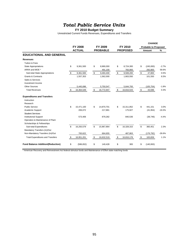#### **FY 2010 Budget Summary**

Unrestricted Current Funds Revenues, Expenditures and Transfers

|                                          |                  |                  |                  |      | <b>CHANGE</b>               |          |
|------------------------------------------|------------------|------------------|------------------|------|-----------------------------|----------|
|                                          | <b>FY 2008</b>   | FY 2009          | FY 2010          |      | <b>Probable to Proposed</b> |          |
|                                          | <b>ACTUAL</b>    | <b>PROBABLE</b>  | <b>PROPOSED</b>  |      | Amount                      | %        |
| <b>EDUCATIONAL AND GENERAL</b>           |                  |                  |                  |      |                             |          |
| <b>Revenues</b>                          |                  |                  |                  |      |                             |          |
| <b>Tuition &amp; Fees</b>                |                  |                  |                  |      |                             |          |
| <b>State Appropriations</b>              | \$<br>9,361,500  | \$<br>8,969,300  | \$<br>8,724,300  | \$   | (245,000)                   | $-2.7%$  |
| ARRA and MOE *                           |                  | 491,100          | 783,900          |      | 292,800                     | 59.6%    |
| Sub-total State Appropriations           | \$<br>9,361,500  | \$<br>9,460,400  | \$<br>9,508,200  | \$   | 47,800                      | 0.5%     |
| <b>Grants &amp; Contracts</b>            | 1,557,353        | 1,562,000        | 1,663,550        |      | 101,550                     | 6.5%     |
| Sales & Services                         |                  |                  |                  |      |                             |          |
| Investment Income                        |                  |                  |                  |      |                             |          |
| <b>Other Sources</b>                     | 5,445,696        | 5,750,547        | 5,644,793        |      | (105, 754)                  | $-1.8%$  |
| <b>Total Revenues</b>                    | \$<br>16,364,549 | \$<br>16,772,947 | \$<br>16,816,543 | - \$ | 43,596                      | 0.3%     |
| <b>Expenditures and Transfers</b>        |                  |                  |                  |      |                             |          |
| Instruction                              |                  |                  |                  |      |                             |          |
| Research                                 |                  |                  |                  |      |                             |          |
| <b>Public Service</b>                    | \$<br>15,471,100 | \$<br>14,870,701 | \$<br>15,311,852 | \$   | 441,151                     | 3.0%     |
| Academic Support                         | 206,072          | 217,881          | 175,927          |      | (41, 954)                   | $-19.3%$ |
| <b>Student Services</b>                  |                  |                  |                  |      |                             |          |
| <b>Institutional Support</b>             | 573,406          | 879,282          | 840,536          |      | (38, 746)                   | $-4.4%$  |
| Operation & Maintenance of Plant         |                  |                  |                  |      |                             |          |
| Scholarships & Fellowships               |                  |                  |                  |      |                             |          |
| Sub-total Expenditures                   | \$<br>16,250,579 | \$<br>15,967,864 | \$<br>16,328,315 | \$   | 360,451                     | 2.3%     |
| Mandatory Transfers (In)/Out             |                  |                  |                  |      |                             |          |
| Non-Mandatory Transfers (In)/Out         | 700,622          | 664,655          | 487,863          |      | (176, 792)                  | $-26.6%$ |
| <b>Total Expenditures and Transfers</b>  | \$<br>16,951,201 | \$<br>16,632,519 | \$<br>16,816,178 | -\$  | 183,659                     | 1.1%     |
| <b>Fund Balance Addition/(Reduction)</b> | \$<br>(586, 652) | \$<br>140,428    | \$<br>365        | \$   | (140, 063)                  |          |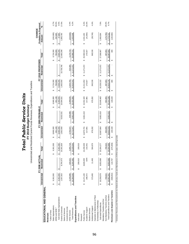|                                                                                                                |                 |                |                 | Unrestricted and Restricted Current Funds Revenues, Expenditures and Transfers<br><b>Total Public Service Units</b><br>FY 2010 Budget Summary |                  |                 |                 |                  |                  |                                |          |
|----------------------------------------------------------------------------------------------------------------|-----------------|----------------|-----------------|-----------------------------------------------------------------------------------------------------------------------------------------------|------------------|-----------------|-----------------|------------------|------------------|--------------------------------|----------|
|                                                                                                                |                 | FY 2008 ACTUAL |                 |                                                                                                                                               | FY 2009 PROBABLE |                 |                 | FY 2010 PROPOSED |                  | Probable to Proposed<br>CHANGE |          |
|                                                                                                                | Unrestricted    | Restricted     | Total           | Unrestricted                                                                                                                                  | Restricted       | Total           | Unrestricted    | Restricted       | Total            | Amount                         | వ్       |
| EDUCATIONAL AND GENERAL                                                                                        |                 |                |                 |                                                                                                                                               |                  |                 |                 |                  |                  |                                |          |
| Revenues                                                                                                       |                 |                |                 |                                                                                                                                               |                  |                 |                 |                  |                  |                                |          |
| Tuition & Fees                                                                                                 |                 |                |                 |                                                                                                                                               |                  |                 |                 |                  |                  |                                |          |
| State Appropriations                                                                                           | 9,361,500<br>မာ |                | 9,361,500<br>မာ | 8,969,300<br>မာ                                                                                                                               |                  | 8,969,300<br>မာ | 8,724,300<br>မာ |                  | 8,724,300<br>မာ  | (245,000)<br>↮                 | $-2.7%$  |
| ARRA and MOE *                                                                                                 |                 |                |                 | 491,100                                                                                                                                       |                  | 491,100         | 783,900         |                  | 783,900          | 292,800                        | 59.6%    |
| Sub-total State Appropriations                                                                                 | 9,361,500<br>ക  | မာ             | 9,361,500<br>6  | 9,460,400<br>ക                                                                                                                                | G.               | 9,460,400<br>6  | 9,508,200<br>မာ | G)               | 9,508,200<br>Θ   | 47,800<br>မာ                   | $0.5\%$  |
| Grants & Contracts                                                                                             | 1,557,353       | 8,744,473      | 10,301,826      | 1,562,000                                                                                                                                     | 9,032,531        | 10,594,531      | 1,663,550       | 10,736,746       | 12,400,296       | 1,805,765                      | 17.0%    |
| Sales & Services                                                                                               |                 |                |                 |                                                                                                                                               |                  |                 |                 |                  |                  |                                |          |
| Investment Income                                                                                              |                 |                |                 |                                                                                                                                               |                  |                 |                 |                  |                  |                                |          |
| Other Sources                                                                                                  | 5,445,696       | 420,022        | 5,865,718       | 5,750,547                                                                                                                                     | 649,088          | 6,399,635       | 5,644,793       | 534,926          | 6,179,719        | (219, 916)                     | $-3.4%$  |
| <b>Total Revenues</b>                                                                                          | 16,364,549<br>↮ | 9,164,495<br>↮ | 25,529,044<br>Ø | 16,772,947<br>Ø                                                                                                                               | 9,681,619<br>ω,  | 26,454,566<br>Θ | 16,816,543<br>Ø | 11,271,672<br>↔  | 28,088,215<br>မာ | 1,633,649<br>↮                 | 6.2%     |
| Expenditures and Transfers                                                                                     |                 |                |                 |                                                                                                                                               |                  |                 |                 |                  |                  |                                |          |
| Instruction                                                                                                    |                 | 209,010<br>မာ  | 209,010<br>Θ    |                                                                                                                                               |                  |                 |                 |                  |                  |                                |          |
| Research                                                                                                       |                 |                |                 |                                                                                                                                               |                  |                 |                 |                  |                  |                                |          |
| Public Service                                                                                                 | \$15,471,100    | 8,828,839      | 24,299,939      | \$ 14,870,701                                                                                                                                 | 9,681,619<br>↮   | 24,552,320<br>မ | \$ 15,311,852   | \$11,271,672     | \$ 26,583,524    | 2,031,204<br>မာ                | 8.3%     |
| Academic Support                                                                                               | 206,072         | 4379           | 210,451         | 217,881                                                                                                                                       |                  | 217,881         | 175,927         |                  | 175,927          | (41, 954)                      | $-19.3%$ |
| Student Services                                                                                               |                 |                |                 |                                                                                                                                               |                  |                 |                 |                  |                  |                                |          |
| Institutional Support                                                                                          | 573,406         | 11,469         | 584,876         | 879,282                                                                                                                                       |                  | 879,282         | 840,536         |                  | 840,536          | (38, 746)                      | $-4.4%$  |
| Operation & Maintenance of Plant                                                                               |                 |                |                 |                                                                                                                                               |                  |                 |                 |                  |                  |                                |          |
| Scholarships & Fellowships                                                                                     |                 |                |                 |                                                                                                                                               |                  |                 |                 |                  |                  |                                |          |
| Sub-total Expenditures                                                                                         | 16,250,579<br>မ | 9,053,698<br>↮ | 25,304,277<br>Ø | \$ 15,967,864                                                                                                                                 | 9,681,619<br>↮   | \$ 25,649,483   | \$16,328,315    | \$11,271,672     | \$ 27,599,987    | 1,950,504<br>↮                 | 7.6%     |
| Mandatory Transfers (In)/Out                                                                                   |                 |                |                 |                                                                                                                                               |                  |                 |                 |                  |                  |                                |          |
| Non-Mandatory Transfers (In)/Out                                                                               | 700,622         |                | 700,622         | 664,655                                                                                                                                       |                  | 664,655         | 487,863         |                  | 487,863          | (176, 792)                     | $-26.6%$ |
| Total Expenditures and Transfers                                                                               | 16,951,201<br>↮ | 9,053,698<br>↮ | 26,004,899<br>↮ | 16,632,519<br>↮                                                                                                                               | 9,681,619<br>↮   | 26,314,138<br>↮ | 16,816,178<br>↮ | \$11,271,672     | 28,087,850<br>Ø  | 1,773,712<br>↮                 | 6.7%     |
| Revenues Less Expend. & Transfers                                                                              | (586,652)       | 110,797<br>မာ  | (475, 855)<br>Θ | 140,428<br>↮                                                                                                                                  | ↮                | 140,428<br>မာ   | 365<br>6        | မာ               | 365<br>မာ        | (140,063)<br>↮                 |          |
| * American Recovery and Reinvestment Act federal stimulus funds and Maintenance of Effort state matching funds |                 |                |                 |                                                                                                                                               |                  |                 |                 |                  |                  |                                |          |

### 96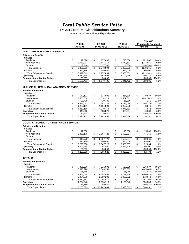**FY 2010 Natural Classifications Summary**

Unrestricted Current Funds Expenditures

|                                                 |                            |                           |                      |               |                      |                         | <b>CHANGE</b>               |                    |
|-------------------------------------------------|----------------------------|---------------------------|----------------------|---------------|----------------------|-------------------------|-----------------------------|--------------------|
|                                                 | FY 2008                    |                           | FY 2009              |               | FY 2010              |                         | <b>Probable to Proposed</b> |                    |
|                                                 | <b>ACTUAL</b>              |                           | <b>PROBABLE</b>      |               | <b>PROPOSED</b>      |                         | Amount                      | %                  |
| <b>INSTITUTE FOR PUBLIC SERVICE</b>             |                            |                           |                      |               |                      |                         |                             |                    |
| <b>Salaries and Benefits</b>                    |                            |                           |                      |               |                      |                         |                             |                    |
| <b>Salaries</b>                                 |                            |                           |                      |               |                      |                         |                             |                    |
| Academic                                        | \$<br>147,570              | \$                        | 177.000              | \$            | 298,000              | \$                      | 121.000                     | 68.4%              |
| Non-Academic                                    | 2,731,237                  |                           | 2,844,114            |               | 2,570,533            |                         | (273, 581)                  | $-9.6%$            |
| <b>Students</b>                                 | 7,446                      |                           | 27,780               |               | 1,000                |                         | (26, 780)                   | $-96.4%$           |
| <b>Total Salaries</b>                           | \$<br>2,886,253            | \$                        | 3.048.894            | \$            | 2,869,533            | \$                      | (179, 361)                  | $-5.9%$            |
| <b>Benefits</b>                                 | 941,396                    |                           | 909,000              |               | 969,000              |                         | 60,000                      | 6.6%               |
| <b>Total Salaries and Benefits</b>              | \$<br>3,827,649            | \$                        | 3,957,894            | \$            | 3.838.533            | \$                      | (119, 361)                  | $-3.0%$            |
| Operating                                       | 2,270,715                  |                           | 1,662,592            |               | 2,102,939            |                         | 440,347                     | 26.5%              |
| <b>Equipment and Capital Outlay</b>             | 68,087                     |                           | 20,000               |               |                      |                         |                             | $(20,000)$ -100.0% |
| <b>Total Expenditures</b>                       | \$<br>6,166,451            | \$                        | 5,640,486            | \$            | 5,941,472            | \$                      | 300,986                     | 5.3%               |
| <b>MUNICIPAL TECHNICAL ADVISORY SERVICE</b>     |                            |                           |                      |               |                      |                         |                             |                    |
|                                                 |                            |                           |                      |               |                      |                         |                             |                    |
| <b>Salaries and Benefits</b><br><b>Salaries</b> |                            |                           |                      |               |                      |                         |                             |                    |
| Academic                                        | \$<br>140,121              | \$                        | 134,801              | \$            | 214,338              | \$                      | 79,537                      | 59.0%              |
| Non-Academic                                    | 3.484.504                  |                           | 3.634.114            |               | 3.509.612            |                         | (124, 502)                  | $-3.4%$            |
| <b>Students</b>                                 | 29,409                     |                           | 19,330               |               | 15,080               |                         | (4,250)                     | $-22.0%$           |
| <b>Total Salaries</b>                           | \$<br>3,654,033            | \$                        | 3,788,245            | \$            | 3,739,030            | \$                      | (49, 215)                   | $-1.3%$            |
| <b>Benefits</b>                                 | 1,203,151                  |                           | 1,191,209            |               | 1,239,852            |                         | 48.643                      | 4.1%               |
| <b>Total Salaries and Benefits</b>              | \$<br>4.857.185            | \$                        | 4.979.454            | \$            | 4.978.882            | \$                      | (572)                       | 0.0%               |
| Operating                                       | 949,265                    |                           | 923,321              |               | 969,704              |                         | 46,383                      | 5.0%               |
| <b>Equipment and Capital Outlay</b>             | 17,713                     |                           | 39,080               |               |                      |                         |                             | (39,080) -100.0%   |
| <b>Total Expenditures</b>                       | \$<br>5,824,162            | \$                        | 5,941,855            | \$            | 5,948,586            | \$                      | 6,731                       | 0.1%               |
| <b>COUNTY TECHNICAL ASSISTANCE SERVICE</b>      |                            |                           |                      |               |                      |                         |                             |                    |
| <b>Salaries and Benefits</b>                    |                            |                           |                      |               |                      |                         |                             |                    |
| <b>Salaries</b>                                 |                            |                           |                      |               |                      |                         |                             |                    |
| Academic                                        | \$<br>17,600               |                           |                      | \$            | 15.000               | \$                      | 15,000                      | 100.0%             |
| Non-Academic                                    | 2,398,178                  | \$                        | 2,567,723            | \$            | 2,520,357            |                         | (47, 366)                   | $-1.8%$            |
| <b>Students</b>                                 |                            |                           |                      |               |                      |                         |                             |                    |
| <b>Total Salaries</b>                           | \$<br>2,415,778            | \$                        | 2,567,723            | \$            | 2,535,357            | \$                      | (32, 366)                   | $-1.3%$            |
| <b>Benefits</b>                                 | 810,130                    |                           | 780,000              |               | 845,000              |                         | 65,000                      | 8.3%               |
| <b>Total Salaries and Benefits</b>              | \$<br>3,225,908            | \$                        | 3,347,723            | \$            | 3,380,357            | \$                      | 32,634                      | 1.0%               |
| Operating                                       | 1,004,968                  |                           | 1,007,800            |               | 1,057,900            |                         | 50,100                      | 5.0%               |
| <b>Equipment and Capital Outlay</b>             | 29,089                     |                           | 30,000               |               |                      |                         |                             | $(30,000)$ -100.0% |
| <b>Total Expenditures</b>                       | \$<br>4,259,965            | \$                        | 4,385,523            | $\sqrt[6]{2}$ | 4,438,257            | \$                      | 52,734                      | 1.2%               |
| <b>TOTALS</b>                                   |                            |                           |                      |               |                      |                         |                             |                    |
|                                                 |                            |                           |                      |               |                      |                         |                             |                    |
| <b>Salaries and Benefits</b>                    |                            |                           |                      |               |                      |                         |                             |                    |
| <b>Salaries</b>                                 |                            |                           |                      |               |                      |                         |                             |                    |
| Academic<br>Non-Academic                        | \$<br>305,290<br>8,613,920 | \$                        | 311.801<br>9,045,951 | \$            | 527,338<br>8,600,502 | \$                      | 215.537<br>(445, 449)       | 69.1%<br>$-4.9%$   |
| <b>Students</b>                                 | 36,855                     |                           | 47,110               |               | 16,080               |                         | (31,030)                    | $-65.9%$           |
| <b>Total Salaries</b>                           | \$<br>8,956,065            | \$                        | 9,404,862            | \$            | 9,143,920            | \$                      | (260, 942)                  | $-2.8%$            |
| <b>Benefits</b>                                 | 2,954,678                  |                           | 2,880,209            |               | 3,053,852            |                         | 173,643                     | 6.0%               |
| <b>Total Salaries and Benefits</b>              | 11,910,742                 | \$                        | 12,285,071           | \$            | 12,197,772           | \$                      | (87, 299)                   | $-0.7%$            |
| Operating                                       | 4,224,948                  |                           | 3,593,713            |               | 4,130,543            |                         | 536,830                     | 14.9%              |
| <b>Equipment and Capital Outlay</b>             | 114,889                    |                           | 89,080               |               |                      |                         |                             | (89,080) -100.0%   |
| <b>Total Expenditures</b>                       | \$<br>16,250,579           | $\boldsymbol{\mathsf{S}}$ | 15,967,864           | \$            | 16,328,315           | $\overline{\mathbf{3}}$ | 360,451                     | 2.3%               |
|                                                 |                            |                           |                      |               |                      |                         |                             |                    |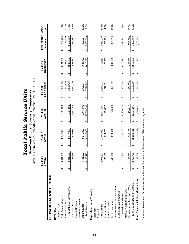|                                   |   | Current Funds Revenues, Expenditures and Transfers - UNRESTRICTED |                         | <b>Total Public Service Units</b><br>Five-Year Budget Summary Comparison |                   |                          |                       |                     |                        |                     |                                    |    |          |
|-----------------------------------|---|-------------------------------------------------------------------|-------------------------|--------------------------------------------------------------------------|-------------------|--------------------------|-----------------------|---------------------|------------------------|---------------------|------------------------------------|----|----------|
|                                   |   | <b>FY 2006</b><br>ACTUAL                                          |                         | FY 2007<br>ACTUAL                                                        |                   | FY 2008<br><b>ACTUAL</b> |                       | PROBABLE<br>FY 2009 |                        | PROPOSED<br>FY 2010 | FIVE-YEAR CHANGE<br>Amount         | Š, |          |
| EDUCATIONAL AND GENERAL           |   |                                                                   |                         |                                                                          |                   |                          |                       |                     |                        |                     |                                    |    |          |
| Revenues                          |   |                                                                   |                         |                                                                          |                   |                          |                       |                     |                        |                     |                                    |    |          |
| Tuition & Fees                    |   |                                                                   |                         |                                                                          |                   |                          |                       |                     |                        |                     |                                    |    |          |
| State Appropriations              | ↮ | 8,001,600                                                         | ↮                       | 8,147,800                                                                | ↮                 | 9,361,500                | ↮                     | 8,969,300           | ↮                      | 8,724,300           | 722,700<br>↮                       |    | 9.0%     |
| ARRA and MOE *                    |   |                                                                   |                         |                                                                          |                   |                          |                       | 491,100             |                        | 783,900             | 783,900                            |    | 100.0%   |
| Sub-total State Appropriations    | ↮ | 8,001,600                                                         | $\theta$                | 8,147,800                                                                | ↮                 | 9,361,500                | ↮                     | 9,460,400           | $\boldsymbol{\varphi}$ | 9,508,200           | ,506,600<br>↮                      |    | 18.8%    |
| Grants & Contracts                |   | 1,443,668                                                         |                         | 1,548,086                                                                |                   | 1,557,353                |                       | 1,562,000           |                        | 1,663,550           | 219,882                            |    | 15.2%    |
| Sales & Services                  |   |                                                                   |                         |                                                                          |                   |                          |                       |                     |                        |                     |                                    |    |          |
| Investment Income                 |   |                                                                   |                         |                                                                          |                   |                          |                       |                     |                        |                     |                                    |    |          |
| Other Sources                     |   | 4,691,209                                                         |                         | 5,241,202                                                                |                   | 5,445,696                |                       | 5,750,547           |                        | 5.644.793           | 953,584                            |    | 20.3%    |
| <b>Total Revenues</b>             |   | 136,477<br>ᆁ                                                      | $\pmb{\leftrightarrow}$ | 14,937,088                                                               | $\leftrightarrow$ | 16,364,549               | $\boldsymbol{\omega}$ | 16,772,947          | $\boldsymbol{\omega}$  | 16,816,543          | 2,680,066<br>$\boldsymbol{\omega}$ |    | 19.0%    |
| Expenditures and Transfers        |   |                                                                   |                         |                                                                          |                   |                          |                       |                     |                        |                     |                                    |    |          |
| Instruction                       |   |                                                                   |                         |                                                                          |                   |                          |                       |                     |                        |                     |                                    |    |          |
| Research                          |   |                                                                   |                         |                                                                          |                   |                          |                       |                     |                        |                     |                                    |    |          |
| Public Service                    | ↮ | 001,623<br>ă                                                      | ↮                       | 12,855,929                                                               | ↮                 | 15,471,100               | ↮                     | 14,870,701          | ↮                      | 15,311,852          | 3,310,229<br>↮                     |    | 27.6%    |
| Academic Support                  |   | 205,136                                                           |                         | 224,725                                                                  |                   | 206,072                  |                       | 217,881             |                        | 175,927             | (29, 209)                          |    | $-14.2%$ |
| <b>Student Services</b>           |   |                                                                   |                         |                                                                          |                   |                          |                       |                     |                        |                     |                                    |    |          |
| Institutional Support             |   | 509,626                                                           |                         | 514,601                                                                  |                   | 573,406                  |                       | 879,282             |                        | 840,536             | 330,910                            |    | 64.9%    |
| Operation & Maintenance of Plant  |   |                                                                   |                         |                                                                          |                   |                          |                       |                     |                        |                     |                                    |    |          |
| Scholarships & Fellowships        |   |                                                                   |                         |                                                                          |                   |                          |                       |                     |                        |                     |                                    |    |          |
| Sub-total Expenditures            | ↮ | 716,384<br><u>ʻz</u>                                              | $\boldsymbol{\varphi}$  | 13,595,255                                                               | ↮                 | 16,250,579               | ↮                     | 15,967,864          | ↮                      | 16,328,315          | 3,611,931<br>↔                     |    | 28.4%    |
| Mandatory Transfers (In)/Out      |   |                                                                   |                         |                                                                          |                   |                          |                       |                     |                        |                     |                                    |    |          |
| Non-Mandatory Transfers (In)/Out  |   | ,236,383                                                          |                         | 1,733,256                                                                |                   | 700,622                  |                       | 664,655             |                        | 487,863             | (748, 520)                         |    | $-60.5%$ |
| Total Expenditures and Transfers  | ↮ | 13,952,768                                                        | $\Theta$                | 15,328,511                                                               | ↮                 | 16,951,201               | $\bigoplus$           | 16,632,519          | $\boldsymbol{\omega}$  | 16,816,178          | 2,863,410<br>$\boldsymbol{\omega}$ |    | 20.5%    |
| Fund Balance Addition/(Reduction) |   | 83,709                                                            | ↔                       | (391, 423)                                                               | ↔                 | (586,652)                | ↮                     | 140,428             | ↔                      | 365                 | (183, 344)<br>↔                    |    |          |
| Act forders                       |   |                                                                   |                         | inde and Maintenance of Effort state                                     |                   | matching funds           |                       |                     |                        |                     |                                    |    |          |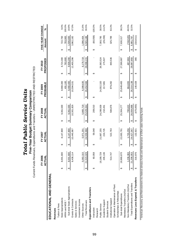|                                   |   | FY 2006<br><b>ACTUAL</b>  |   | FY 2007<br>ACTUAL |   | FY 2008<br>ACTUAL |   | PROBABLE<br>FY 2009 |   | PROPOSED<br>FY 2010 |   | FIVE-YEAR CHANGE<br><b>Amount</b> | వ్        |
|-----------------------------------|---|---------------------------|---|-------------------|---|-------------------|---|---------------------|---|---------------------|---|-----------------------------------|-----------|
| EDUCATIONAL AND GENERAL           |   |                           |   |                   |   |                   |   |                     |   |                     |   |                                   |           |
| Revenues                          |   |                           |   |                   |   |                   |   |                     |   |                     |   |                                   |           |
| Tuition & Fees                    |   |                           |   |                   |   |                   |   |                     |   |                     |   |                                   |           |
| State Appropriations              |   | 001,600                   | ↮ | 8,147,800         | ↮ | 9,361,500         | ↮ | 8,969,300           | ↮ | 8,724,300           | ↮ | 722,700                           | 9.0%      |
| ARRA and MOE *                    |   |                           |   |                   |   |                   |   | 491,100             |   | 783,900             |   | 783,900                           | 100.0%    |
| Sub-total State Appropriations    |   | 001,600                   | ↮ | 8,147,800         | ↮ | 9,361,500         | ↔ | 9,460,400           | ↔ | 9,508,200           | ↮ | 1,506,600                         | 18.8%     |
| Grants & Contracts                |   | ,438,114                  |   | 10,440,967        |   | 10,301,826        |   | 10,594,531          |   | 12,400,296          |   | 3,962,182                         | 47.0%     |
| Sales & Services                  |   |                           |   |                   |   |                   |   |                     |   |                     |   |                                   |           |
| Investment Income                 |   |                           |   |                   |   |                   |   |                     |   |                     |   |                                   |           |
| Other Sources                     |   | 083,315                   |   | 5,971,201         |   | 5,865,718         |   | 6,399,635           |   | 6,179,719           |   | 1,096,404                         | 21.6%     |
| <b>Total Revenues</b>             |   | 523,029<br>$\frac{21}{2}$ | ↮ | 24,559,968        | ↮ | 25,529,044        | ↮ | 26,454,566          | ↮ | 28,088,215          | ↔ | 6,565,186                         | 30.5%     |
| Expenditures and Transfers        |   |                           |   |                   |   |                   |   |                     |   |                     |   |                                   |           |
| Instruction                       | ക | 60,058                    | ↮ | 59,048            | ↮ | 209,010           | ↮ |                     | ↮ |                     | ↮ | (60,058)                          | $-100.0%$ |
| Research                          |   |                           |   |                   |   |                   |   |                     |   |                     |   |                                   |           |
| Public Service                    |   | ,189,729<br>စ္            |   | 21,887,255        |   | 24,299,939        |   | 24,552,320          |   | 26,583,524          |   | 7,393,795                         | 38.5%     |
| Academic Support                  |   | 205,136                   |   | 224,725           |   | 210,451           |   | 217,881             |   | 175,927             |   | (29, 209)                         | $-14.2%$  |
| Student Services                  |   |                           |   |                   |   |                   |   |                     |   |                     |   |                                   |           |
| Institutional Support             |   | 514,747                   |   | 522,763           |   | 584,876           |   | 879,282             |   | 840,536             |   | 325,789                           | 63.3%     |
| Operation & Maintenance of Plant  |   |                           |   |                   |   |                   |   |                     |   |                     |   |                                   |           |
| Scholarships & Fellowships        |   |                           |   |                   |   |                   |   |                     |   |                     |   |                                   |           |
| Sub-total Expenditures            |   | 969,670<br>$\frac{9}{2}$  | ↔ | 22,693,791        | ↮ | 25,304,277        | ↮ | 25,649,483          | ↮ | 27,599,987          | ↮ | 7,630,317                         | 38.2%     |
| Mandatory Transfers (In)/Out      |   |                           |   |                   |   |                   |   |                     |   |                     |   |                                   |           |
| Non-Mandatory Transfers (In)/Out  |   | ,236,383                  |   | 1,733,256         |   | 700,622           |   | 664.655             |   | 487,863             |   | (748, 520)                        | $-60.5%$  |
| Total Expenditures and Transfers  |   | ,206,053<br>$\frac{1}{2}$ | ↮ | 24,427,047        | ↮ | 26,004,899        | ക | 26,314,138          | ↮ | 28,087,850          | ↮ | 6,881,797                         | 32.5%     |
| Revenues Less Expend. & Transfers |   | 316,976                   | ↔ | 132,921           | ↮ | (475, 855)        | ↔ | 140,428             | ↔ | 365                 | ↮ | (316, 611)                        |           |
|                                   |   |                           |   |                   |   |                   |   |                     |   |                     |   |                                   |           |

**Total Public Service Units** 

Current Funds Revenues, Expenditures and Transfers - UNRESTRICTED AND RESTRICTED **Five-Year Budget Summary Comparison**

Five-Year Budget Summary Comparison<br>Current Funds Revenues, Expenditures and Transfers - UNRESTRICTED AND RESTRICTED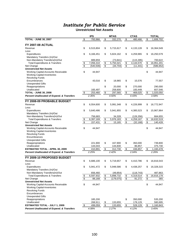### **Unrestricted Net Assets**

| $\overline{\boldsymbol{\theta}}$<br>\$<br>\$<br>\$<br><b>TOTAL - JUNE 30, 2007</b><br>793,966<br>480,466<br>1,606,702<br>332,270<br><b>FY 2007-08 ACTUAL</b><br>\$<br>\$<br>6,515,804<br>\$<br>5,715,617<br>4,133,128<br>\$<br>16,364,549<br>Revenue<br>Less:<br>\$<br>\$<br>Expenditures<br>6,166,451<br>\$<br>5,824,162<br>4,259,965<br>\$<br>16,250,579<br>Mandatory Transfers (In)/Out<br>Non-Mandatory Transfers(In)/Out<br>700,622<br>889,859<br>(73, 841)<br>(115, 395)<br>\$<br><b>Total Expenditures &amp; Transfers</b><br>$\frac{3}{3}$<br>7,056,310<br>$\frac{1}{2}$<br>5,750,321<br>4,144,570<br>\$<br>16,951,201<br>$\overline{\$}$<br>$\overline{\$}$<br>$\overline{\mathcal{L}}$<br>Net Change<br>(540, 506)<br>(34, 704)<br>(11, 441)<br>(586, 652)<br><b>Unrestricted Net Assets</b><br>\$<br>44,947<br>\$<br>Working Capital-Accounts Receivable<br>44,947<br><b>Working Capital-Inventories</b><br><b>Revolving Funds</b><br>Encumbrances<br>\$<br>43,016<br>\$<br>15,576<br>18,965<br>77,557<br><b>Unexpended Gifts</b><br>\$<br>\$<br>Reappropriations<br>20,000<br>270,000<br>290,000<br>Unallocated<br>258,600<br>183,449<br>607,546<br>165,497<br>$\frac{1}{2}$<br>$\pmb{\mathfrak{S}}$<br>$\frac{1}{2}$<br>469,025<br>\$<br><b>TOTAL - JUNE 30, 2008</b><br>253,460<br>297,565<br>1,020,050<br><b>Percent Unallocated of Expend. &amp; Transfers</b><br>2.35%<br>4.50%<br>4.43%<br>3.58%<br>FY 2008-09 PROBABLE BUDGET<br>\$<br>6,554,600<br>\$<br>5,991,348<br>\$<br>4,226,999<br>\$<br>16,772,947<br>Revenue<br>Less:<br>\$<br>Expenditures<br>\$<br>\$<br>\$<br>15,967,864<br>5,640,486<br>5,941,855<br>4,385,523<br>Mandatory Transfers (In)/Out<br>Non-Mandatory Transfers(In)/Out<br>756,683<br>34,328<br>(126, 356)<br>664,655<br>\$<br>\$<br>\$<br>\$<br>6,397,169<br>5,976,183<br>4,259,167<br>16,632,519<br><b>Total Expenditures &amp; Transfers</b><br>\$<br>$\overline{\$}$<br>\$<br>$\overline{\$}$<br>157,431<br>15,165<br>(32, 168)<br>140,428<br>Net Change<br><b>Unrestricted Net Assets</b><br>\$<br>44,947<br>\$<br>Working Capital-Accounts Receivable<br>44,947<br><b>Working Capital-Inventories</b><br><b>Revolving Funds</b><br>Encumbrances<br><b>Unexpended Gifts</b><br>221,900<br>\$<br>167,900<br>\$<br>Reappropriations<br>350,000<br>739,800<br>Unallocated<br>144,830<br>86,857<br>375,730<br>144,043<br>$\overline{\mathbf{e}}$<br>$\overline{\mathbf{3}}$<br>\$<br>\$<br>410,891<br>312,730<br>436,857<br>1,160,478<br><b>ESTIMATED TOTAL - APRIL 30, 2009</b><br>2.25%<br>2.42%<br>2.04%<br>2.26%<br>Percent Unallocated of Expend. & Transfers<br>FY 2009-10 PROPOSED BUDGET<br>Revenue<br>\$<br>6,686,100<br>5,719,657<br>\$<br>4,410,786<br>16,816,543<br>\$<br>\$<br>Less:<br>\$<br>\$<br>5,948,586<br>\$<br>4,438,257<br>16,328,315<br><b>Expenditures</b><br>5,941,472<br>S<br>Mandatory Transfers (In)/Out<br>Non-Mandatory Transfers(In)/Out<br>656,460<br>(49, 854)<br>(118, 743)<br>487,863<br>\$<br>$\frac{1}{2}$<br>$\frac{1}{2}$<br>$\frac{1}{2}$<br><b>Total Expenditures &amp; Transfers</b><br>6,597,932<br>5,898,732<br>4,319,514<br>16,816,178<br>\$<br>\$<br>\$<br>\$<br>Net Change<br>88,168<br>(179, 075)<br>91,272<br>365<br><b>Unrestricted Net Assets</b><br>\$<br>Working Capital-Accounts Receivable<br>\$<br>44,947<br>44,947<br><b>Working Capital-Inventories</b><br>Revolving Funds<br>Encumbrances<br><b>Unexpended Gifts</b><br>\$<br>185,200<br>350,000<br>Reappropriations<br>535,200<br>Unallocated<br>268,911<br>\$<br>133,655<br>178,129<br>580,695 |  | <b>IPS</b> | <b>MTAS</b> | <b>CTAS</b> | <b>TOTAL</b> |
|--------------------------------------------------------------------------------------------------------------------------------------------------------------------------------------------------------------------------------------------------------------------------------------------------------------------------------------------------------------------------------------------------------------------------------------------------------------------------------------------------------------------------------------------------------------------------------------------------------------------------------------------------------------------------------------------------------------------------------------------------------------------------------------------------------------------------------------------------------------------------------------------------------------------------------------------------------------------------------------------------------------------------------------------------------------------------------------------------------------------------------------------------------------------------------------------------------------------------------------------------------------------------------------------------------------------------------------------------------------------------------------------------------------------------------------------------------------------------------------------------------------------------------------------------------------------------------------------------------------------------------------------------------------------------------------------------------------------------------------------------------------------------------------------------------------------------------------------------------------------------------------------------------------------------------------------------------------------------------------------------------------------------------------------------------------------------------------------------------------------------------------------------------------------------------------------------------------------------------------------------------------------------------------------------------------------------------------------------------------------------------------------------------------------------------------------------------------------------------------------------------------------------------------------------------------------------------------------------------------------------------------------------------------------------------------------------------------------------------------------------------------------------------------------------------------------------------------------------------------------------------------------------------------------------------------------------------------------------------------------------------------------------------------------------------------------------------------------------------------------------------------------------------------------------------------------------------------------------------------------------------------------------------------------------------------------------------------------------------------------------------------------------------------------------------------------------------------------------------------------------------------------------------------------------------|--|------------|-------------|-------------|--------------|
|                                                                                                                                                                                                                                                                                                                                                                                                                                                                                                                                                                                                                                                                                                                                                                                                                                                                                                                                                                                                                                                                                                                                                                                                                                                                                                                                                                                                                                                                                                                                                                                                                                                                                                                                                                                                                                                                                                                                                                                                                                                                                                                                                                                                                                                                                                                                                                                                                                                                                                                                                                                                                                                                                                                                                                                                                                                                                                                                                                                                                                                                                                                                                                                                                                                                                                                                                                                                                                                                                                                                                        |  |            |             |             |              |
|                                                                                                                                                                                                                                                                                                                                                                                                                                                                                                                                                                                                                                                                                                                                                                                                                                                                                                                                                                                                                                                                                                                                                                                                                                                                                                                                                                                                                                                                                                                                                                                                                                                                                                                                                                                                                                                                                                                                                                                                                                                                                                                                                                                                                                                                                                                                                                                                                                                                                                                                                                                                                                                                                                                                                                                                                                                                                                                                                                                                                                                                                                                                                                                                                                                                                                                                                                                                                                                                                                                                                        |  |            |             |             |              |
|                                                                                                                                                                                                                                                                                                                                                                                                                                                                                                                                                                                                                                                                                                                                                                                                                                                                                                                                                                                                                                                                                                                                                                                                                                                                                                                                                                                                                                                                                                                                                                                                                                                                                                                                                                                                                                                                                                                                                                                                                                                                                                                                                                                                                                                                                                                                                                                                                                                                                                                                                                                                                                                                                                                                                                                                                                                                                                                                                                                                                                                                                                                                                                                                                                                                                                                                                                                                                                                                                                                                                        |  |            |             |             |              |
|                                                                                                                                                                                                                                                                                                                                                                                                                                                                                                                                                                                                                                                                                                                                                                                                                                                                                                                                                                                                                                                                                                                                                                                                                                                                                                                                                                                                                                                                                                                                                                                                                                                                                                                                                                                                                                                                                                                                                                                                                                                                                                                                                                                                                                                                                                                                                                                                                                                                                                                                                                                                                                                                                                                                                                                                                                                                                                                                                                                                                                                                                                                                                                                                                                                                                                                                                                                                                                                                                                                                                        |  |            |             |             |              |
|                                                                                                                                                                                                                                                                                                                                                                                                                                                                                                                                                                                                                                                                                                                                                                                                                                                                                                                                                                                                                                                                                                                                                                                                                                                                                                                                                                                                                                                                                                                                                                                                                                                                                                                                                                                                                                                                                                                                                                                                                                                                                                                                                                                                                                                                                                                                                                                                                                                                                                                                                                                                                                                                                                                                                                                                                                                                                                                                                                                                                                                                                                                                                                                                                                                                                                                                                                                                                                                                                                                                                        |  |            |             |             |              |
|                                                                                                                                                                                                                                                                                                                                                                                                                                                                                                                                                                                                                                                                                                                                                                                                                                                                                                                                                                                                                                                                                                                                                                                                                                                                                                                                                                                                                                                                                                                                                                                                                                                                                                                                                                                                                                                                                                                                                                                                                                                                                                                                                                                                                                                                                                                                                                                                                                                                                                                                                                                                                                                                                                                                                                                                                                                                                                                                                                                                                                                                                                                                                                                                                                                                                                                                                                                                                                                                                                                                                        |  |            |             |             |              |
|                                                                                                                                                                                                                                                                                                                                                                                                                                                                                                                                                                                                                                                                                                                                                                                                                                                                                                                                                                                                                                                                                                                                                                                                                                                                                                                                                                                                                                                                                                                                                                                                                                                                                                                                                                                                                                                                                                                                                                                                                                                                                                                                                                                                                                                                                                                                                                                                                                                                                                                                                                                                                                                                                                                                                                                                                                                                                                                                                                                                                                                                                                                                                                                                                                                                                                                                                                                                                                                                                                                                                        |  |            |             |             |              |
|                                                                                                                                                                                                                                                                                                                                                                                                                                                                                                                                                                                                                                                                                                                                                                                                                                                                                                                                                                                                                                                                                                                                                                                                                                                                                                                                                                                                                                                                                                                                                                                                                                                                                                                                                                                                                                                                                                                                                                                                                                                                                                                                                                                                                                                                                                                                                                                                                                                                                                                                                                                                                                                                                                                                                                                                                                                                                                                                                                                                                                                                                                                                                                                                                                                                                                                                                                                                                                                                                                                                                        |  |            |             |             |              |
|                                                                                                                                                                                                                                                                                                                                                                                                                                                                                                                                                                                                                                                                                                                                                                                                                                                                                                                                                                                                                                                                                                                                                                                                                                                                                                                                                                                                                                                                                                                                                                                                                                                                                                                                                                                                                                                                                                                                                                                                                                                                                                                                                                                                                                                                                                                                                                                                                                                                                                                                                                                                                                                                                                                                                                                                                                                                                                                                                                                                                                                                                                                                                                                                                                                                                                                                                                                                                                                                                                                                                        |  |            |             |             |              |
|                                                                                                                                                                                                                                                                                                                                                                                                                                                                                                                                                                                                                                                                                                                                                                                                                                                                                                                                                                                                                                                                                                                                                                                                                                                                                                                                                                                                                                                                                                                                                                                                                                                                                                                                                                                                                                                                                                                                                                                                                                                                                                                                                                                                                                                                                                                                                                                                                                                                                                                                                                                                                                                                                                                                                                                                                                                                                                                                                                                                                                                                                                                                                                                                                                                                                                                                                                                                                                                                                                                                                        |  |            |             |             |              |
|                                                                                                                                                                                                                                                                                                                                                                                                                                                                                                                                                                                                                                                                                                                                                                                                                                                                                                                                                                                                                                                                                                                                                                                                                                                                                                                                                                                                                                                                                                                                                                                                                                                                                                                                                                                                                                                                                                                                                                                                                                                                                                                                                                                                                                                                                                                                                                                                                                                                                                                                                                                                                                                                                                                                                                                                                                                                                                                                                                                                                                                                                                                                                                                                                                                                                                                                                                                                                                                                                                                                                        |  |            |             |             |              |
|                                                                                                                                                                                                                                                                                                                                                                                                                                                                                                                                                                                                                                                                                                                                                                                                                                                                                                                                                                                                                                                                                                                                                                                                                                                                                                                                                                                                                                                                                                                                                                                                                                                                                                                                                                                                                                                                                                                                                                                                                                                                                                                                                                                                                                                                                                                                                                                                                                                                                                                                                                                                                                                                                                                                                                                                                                                                                                                                                                                                                                                                                                                                                                                                                                                                                                                                                                                                                                                                                                                                                        |  |            |             |             |              |
|                                                                                                                                                                                                                                                                                                                                                                                                                                                                                                                                                                                                                                                                                                                                                                                                                                                                                                                                                                                                                                                                                                                                                                                                                                                                                                                                                                                                                                                                                                                                                                                                                                                                                                                                                                                                                                                                                                                                                                                                                                                                                                                                                                                                                                                                                                                                                                                                                                                                                                                                                                                                                                                                                                                                                                                                                                                                                                                                                                                                                                                                                                                                                                                                                                                                                                                                                                                                                                                                                                                                                        |  |            |             |             |              |
|                                                                                                                                                                                                                                                                                                                                                                                                                                                                                                                                                                                                                                                                                                                                                                                                                                                                                                                                                                                                                                                                                                                                                                                                                                                                                                                                                                                                                                                                                                                                                                                                                                                                                                                                                                                                                                                                                                                                                                                                                                                                                                                                                                                                                                                                                                                                                                                                                                                                                                                                                                                                                                                                                                                                                                                                                                                                                                                                                                                                                                                                                                                                                                                                                                                                                                                                                                                                                                                                                                                                                        |  |            |             |             |              |
|                                                                                                                                                                                                                                                                                                                                                                                                                                                                                                                                                                                                                                                                                                                                                                                                                                                                                                                                                                                                                                                                                                                                                                                                                                                                                                                                                                                                                                                                                                                                                                                                                                                                                                                                                                                                                                                                                                                                                                                                                                                                                                                                                                                                                                                                                                                                                                                                                                                                                                                                                                                                                                                                                                                                                                                                                                                                                                                                                                                                                                                                                                                                                                                                                                                                                                                                                                                                                                                                                                                                                        |  |            |             |             |              |
|                                                                                                                                                                                                                                                                                                                                                                                                                                                                                                                                                                                                                                                                                                                                                                                                                                                                                                                                                                                                                                                                                                                                                                                                                                                                                                                                                                                                                                                                                                                                                                                                                                                                                                                                                                                                                                                                                                                                                                                                                                                                                                                                                                                                                                                                                                                                                                                                                                                                                                                                                                                                                                                                                                                                                                                                                                                                                                                                                                                                                                                                                                                                                                                                                                                                                                                                                                                                                                                                                                                                                        |  |            |             |             |              |
|                                                                                                                                                                                                                                                                                                                                                                                                                                                                                                                                                                                                                                                                                                                                                                                                                                                                                                                                                                                                                                                                                                                                                                                                                                                                                                                                                                                                                                                                                                                                                                                                                                                                                                                                                                                                                                                                                                                                                                                                                                                                                                                                                                                                                                                                                                                                                                                                                                                                                                                                                                                                                                                                                                                                                                                                                                                                                                                                                                                                                                                                                                                                                                                                                                                                                                                                                                                                                                                                                                                                                        |  |            |             |             |              |
|                                                                                                                                                                                                                                                                                                                                                                                                                                                                                                                                                                                                                                                                                                                                                                                                                                                                                                                                                                                                                                                                                                                                                                                                                                                                                                                                                                                                                                                                                                                                                                                                                                                                                                                                                                                                                                                                                                                                                                                                                                                                                                                                                                                                                                                                                                                                                                                                                                                                                                                                                                                                                                                                                                                                                                                                                                                                                                                                                                                                                                                                                                                                                                                                                                                                                                                                                                                                                                                                                                                                                        |  |            |             |             |              |
|                                                                                                                                                                                                                                                                                                                                                                                                                                                                                                                                                                                                                                                                                                                                                                                                                                                                                                                                                                                                                                                                                                                                                                                                                                                                                                                                                                                                                                                                                                                                                                                                                                                                                                                                                                                                                                                                                                                                                                                                                                                                                                                                                                                                                                                                                                                                                                                                                                                                                                                                                                                                                                                                                                                                                                                                                                                                                                                                                                                                                                                                                                                                                                                                                                                                                                                                                                                                                                                                                                                                                        |  |            |             |             |              |
|                                                                                                                                                                                                                                                                                                                                                                                                                                                                                                                                                                                                                                                                                                                                                                                                                                                                                                                                                                                                                                                                                                                                                                                                                                                                                                                                                                                                                                                                                                                                                                                                                                                                                                                                                                                                                                                                                                                                                                                                                                                                                                                                                                                                                                                                                                                                                                                                                                                                                                                                                                                                                                                                                                                                                                                                                                                                                                                                                                                                                                                                                                                                                                                                                                                                                                                                                                                                                                                                                                                                                        |  |            |             |             |              |
|                                                                                                                                                                                                                                                                                                                                                                                                                                                                                                                                                                                                                                                                                                                                                                                                                                                                                                                                                                                                                                                                                                                                                                                                                                                                                                                                                                                                                                                                                                                                                                                                                                                                                                                                                                                                                                                                                                                                                                                                                                                                                                                                                                                                                                                                                                                                                                                                                                                                                                                                                                                                                                                                                                                                                                                                                                                                                                                                                                                                                                                                                                                                                                                                                                                                                                                                                                                                                                                                                                                                                        |  |            |             |             |              |
|                                                                                                                                                                                                                                                                                                                                                                                                                                                                                                                                                                                                                                                                                                                                                                                                                                                                                                                                                                                                                                                                                                                                                                                                                                                                                                                                                                                                                                                                                                                                                                                                                                                                                                                                                                                                                                                                                                                                                                                                                                                                                                                                                                                                                                                                                                                                                                                                                                                                                                                                                                                                                                                                                                                                                                                                                                                                                                                                                                                                                                                                                                                                                                                                                                                                                                                                                                                                                                                                                                                                                        |  |            |             |             |              |
|                                                                                                                                                                                                                                                                                                                                                                                                                                                                                                                                                                                                                                                                                                                                                                                                                                                                                                                                                                                                                                                                                                                                                                                                                                                                                                                                                                                                                                                                                                                                                                                                                                                                                                                                                                                                                                                                                                                                                                                                                                                                                                                                                                                                                                                                                                                                                                                                                                                                                                                                                                                                                                                                                                                                                                                                                                                                                                                                                                                                                                                                                                                                                                                                                                                                                                                                                                                                                                                                                                                                                        |  |            |             |             |              |
|                                                                                                                                                                                                                                                                                                                                                                                                                                                                                                                                                                                                                                                                                                                                                                                                                                                                                                                                                                                                                                                                                                                                                                                                                                                                                                                                                                                                                                                                                                                                                                                                                                                                                                                                                                                                                                                                                                                                                                                                                                                                                                                                                                                                                                                                                                                                                                                                                                                                                                                                                                                                                                                                                                                                                                                                                                                                                                                                                                                                                                                                                                                                                                                                                                                                                                                                                                                                                                                                                                                                                        |  |            |             |             |              |
|                                                                                                                                                                                                                                                                                                                                                                                                                                                                                                                                                                                                                                                                                                                                                                                                                                                                                                                                                                                                                                                                                                                                                                                                                                                                                                                                                                                                                                                                                                                                                                                                                                                                                                                                                                                                                                                                                                                                                                                                                                                                                                                                                                                                                                                                                                                                                                                                                                                                                                                                                                                                                                                                                                                                                                                                                                                                                                                                                                                                                                                                                                                                                                                                                                                                                                                                                                                                                                                                                                                                                        |  |            |             |             |              |
|                                                                                                                                                                                                                                                                                                                                                                                                                                                                                                                                                                                                                                                                                                                                                                                                                                                                                                                                                                                                                                                                                                                                                                                                                                                                                                                                                                                                                                                                                                                                                                                                                                                                                                                                                                                                                                                                                                                                                                                                                                                                                                                                                                                                                                                                                                                                                                                                                                                                                                                                                                                                                                                                                                                                                                                                                                                                                                                                                                                                                                                                                                                                                                                                                                                                                                                                                                                                                                                                                                                                                        |  |            |             |             |              |
|                                                                                                                                                                                                                                                                                                                                                                                                                                                                                                                                                                                                                                                                                                                                                                                                                                                                                                                                                                                                                                                                                                                                                                                                                                                                                                                                                                                                                                                                                                                                                                                                                                                                                                                                                                                                                                                                                                                                                                                                                                                                                                                                                                                                                                                                                                                                                                                                                                                                                                                                                                                                                                                                                                                                                                                                                                                                                                                                                                                                                                                                                                                                                                                                                                                                                                                                                                                                                                                                                                                                                        |  |            |             |             |              |
|                                                                                                                                                                                                                                                                                                                                                                                                                                                                                                                                                                                                                                                                                                                                                                                                                                                                                                                                                                                                                                                                                                                                                                                                                                                                                                                                                                                                                                                                                                                                                                                                                                                                                                                                                                                                                                                                                                                                                                                                                                                                                                                                                                                                                                                                                                                                                                                                                                                                                                                                                                                                                                                                                                                                                                                                                                                                                                                                                                                                                                                                                                                                                                                                                                                                                                                                                                                                                                                                                                                                                        |  |            |             |             |              |
|                                                                                                                                                                                                                                                                                                                                                                                                                                                                                                                                                                                                                                                                                                                                                                                                                                                                                                                                                                                                                                                                                                                                                                                                                                                                                                                                                                                                                                                                                                                                                                                                                                                                                                                                                                                                                                                                                                                                                                                                                                                                                                                                                                                                                                                                                                                                                                                                                                                                                                                                                                                                                                                                                                                                                                                                                                                                                                                                                                                                                                                                                                                                                                                                                                                                                                                                                                                                                                                                                                                                                        |  |            |             |             |              |
|                                                                                                                                                                                                                                                                                                                                                                                                                                                                                                                                                                                                                                                                                                                                                                                                                                                                                                                                                                                                                                                                                                                                                                                                                                                                                                                                                                                                                                                                                                                                                                                                                                                                                                                                                                                                                                                                                                                                                                                                                                                                                                                                                                                                                                                                                                                                                                                                                                                                                                                                                                                                                                                                                                                                                                                                                                                                                                                                                                                                                                                                                                                                                                                                                                                                                                                                                                                                                                                                                                                                                        |  |            |             |             |              |
|                                                                                                                                                                                                                                                                                                                                                                                                                                                                                                                                                                                                                                                                                                                                                                                                                                                                                                                                                                                                                                                                                                                                                                                                                                                                                                                                                                                                                                                                                                                                                                                                                                                                                                                                                                                                                                                                                                                                                                                                                                                                                                                                                                                                                                                                                                                                                                                                                                                                                                                                                                                                                                                                                                                                                                                                                                                                                                                                                                                                                                                                                                                                                                                                                                                                                                                                                                                                                                                                                                                                                        |  |            |             |             |              |
|                                                                                                                                                                                                                                                                                                                                                                                                                                                                                                                                                                                                                                                                                                                                                                                                                                                                                                                                                                                                                                                                                                                                                                                                                                                                                                                                                                                                                                                                                                                                                                                                                                                                                                                                                                                                                                                                                                                                                                                                                                                                                                                                                                                                                                                                                                                                                                                                                                                                                                                                                                                                                                                                                                                                                                                                                                                                                                                                                                                                                                                                                                                                                                                                                                                                                                                                                                                                                                                                                                                                                        |  |            |             |             |              |
|                                                                                                                                                                                                                                                                                                                                                                                                                                                                                                                                                                                                                                                                                                                                                                                                                                                                                                                                                                                                                                                                                                                                                                                                                                                                                                                                                                                                                                                                                                                                                                                                                                                                                                                                                                                                                                                                                                                                                                                                                                                                                                                                                                                                                                                                                                                                                                                                                                                                                                                                                                                                                                                                                                                                                                                                                                                                                                                                                                                                                                                                                                                                                                                                                                                                                                                                                                                                                                                                                                                                                        |  |            |             |             |              |
|                                                                                                                                                                                                                                                                                                                                                                                                                                                                                                                                                                                                                                                                                                                                                                                                                                                                                                                                                                                                                                                                                                                                                                                                                                                                                                                                                                                                                                                                                                                                                                                                                                                                                                                                                                                                                                                                                                                                                                                                                                                                                                                                                                                                                                                                                                                                                                                                                                                                                                                                                                                                                                                                                                                                                                                                                                                                                                                                                                                                                                                                                                                                                                                                                                                                                                                                                                                                                                                                                                                                                        |  |            |             |             |              |
|                                                                                                                                                                                                                                                                                                                                                                                                                                                                                                                                                                                                                                                                                                                                                                                                                                                                                                                                                                                                                                                                                                                                                                                                                                                                                                                                                                                                                                                                                                                                                                                                                                                                                                                                                                                                                                                                                                                                                                                                                                                                                                                                                                                                                                                                                                                                                                                                                                                                                                                                                                                                                                                                                                                                                                                                                                                                                                                                                                                                                                                                                                                                                                                                                                                                                                                                                                                                                                                                                                                                                        |  |            |             |             |              |
|                                                                                                                                                                                                                                                                                                                                                                                                                                                                                                                                                                                                                                                                                                                                                                                                                                                                                                                                                                                                                                                                                                                                                                                                                                                                                                                                                                                                                                                                                                                                                                                                                                                                                                                                                                                                                                                                                                                                                                                                                                                                                                                                                                                                                                                                                                                                                                                                                                                                                                                                                                                                                                                                                                                                                                                                                                                                                                                                                                                                                                                                                                                                                                                                                                                                                                                                                                                                                                                                                                                                                        |  |            |             |             |              |
|                                                                                                                                                                                                                                                                                                                                                                                                                                                                                                                                                                                                                                                                                                                                                                                                                                                                                                                                                                                                                                                                                                                                                                                                                                                                                                                                                                                                                                                                                                                                                                                                                                                                                                                                                                                                                                                                                                                                                                                                                                                                                                                                                                                                                                                                                                                                                                                                                                                                                                                                                                                                                                                                                                                                                                                                                                                                                                                                                                                                                                                                                                                                                                                                                                                                                                                                                                                                                                                                                                                                                        |  |            |             |             |              |
|                                                                                                                                                                                                                                                                                                                                                                                                                                                                                                                                                                                                                                                                                                                                                                                                                                                                                                                                                                                                                                                                                                                                                                                                                                                                                                                                                                                                                                                                                                                                                                                                                                                                                                                                                                                                                                                                                                                                                                                                                                                                                                                                                                                                                                                                                                                                                                                                                                                                                                                                                                                                                                                                                                                                                                                                                                                                                                                                                                                                                                                                                                                                                                                                                                                                                                                                                                                                                                                                                                                                                        |  |            |             |             |              |
|                                                                                                                                                                                                                                                                                                                                                                                                                                                                                                                                                                                                                                                                                                                                                                                                                                                                                                                                                                                                                                                                                                                                                                                                                                                                                                                                                                                                                                                                                                                                                                                                                                                                                                                                                                                                                                                                                                                                                                                                                                                                                                                                                                                                                                                                                                                                                                                                                                                                                                                                                                                                                                                                                                                                                                                                                                                                                                                                                                                                                                                                                                                                                                                                                                                                                                                                                                                                                                                                                                                                                        |  |            |             |             |              |
|                                                                                                                                                                                                                                                                                                                                                                                                                                                                                                                                                                                                                                                                                                                                                                                                                                                                                                                                                                                                                                                                                                                                                                                                                                                                                                                                                                                                                                                                                                                                                                                                                                                                                                                                                                                                                                                                                                                                                                                                                                                                                                                                                                                                                                                                                                                                                                                                                                                                                                                                                                                                                                                                                                                                                                                                                                                                                                                                                                                                                                                                                                                                                                                                                                                                                                                                                                                                                                                                                                                                                        |  |            |             |             |              |
|                                                                                                                                                                                                                                                                                                                                                                                                                                                                                                                                                                                                                                                                                                                                                                                                                                                                                                                                                                                                                                                                                                                                                                                                                                                                                                                                                                                                                                                                                                                                                                                                                                                                                                                                                                                                                                                                                                                                                                                                                                                                                                                                                                                                                                                                                                                                                                                                                                                                                                                                                                                                                                                                                                                                                                                                                                                                                                                                                                                                                                                                                                                                                                                                                                                                                                                                                                                                                                                                                                                                                        |  |            |             |             |              |
|                                                                                                                                                                                                                                                                                                                                                                                                                                                                                                                                                                                                                                                                                                                                                                                                                                                                                                                                                                                                                                                                                                                                                                                                                                                                                                                                                                                                                                                                                                                                                                                                                                                                                                                                                                                                                                                                                                                                                                                                                                                                                                                                                                                                                                                                                                                                                                                                                                                                                                                                                                                                                                                                                                                                                                                                                                                                                                                                                                                                                                                                                                                                                                                                                                                                                                                                                                                                                                                                                                                                                        |  |            |             |             |              |
|                                                                                                                                                                                                                                                                                                                                                                                                                                                                                                                                                                                                                                                                                                                                                                                                                                                                                                                                                                                                                                                                                                                                                                                                                                                                                                                                                                                                                                                                                                                                                                                                                                                                                                                                                                                                                                                                                                                                                                                                                                                                                                                                                                                                                                                                                                                                                                                                                                                                                                                                                                                                                                                                                                                                                                                                                                                                                                                                                                                                                                                                                                                                                                                                                                                                                                                                                                                                                                                                                                                                                        |  |            |             |             |              |
|                                                                                                                                                                                                                                                                                                                                                                                                                                                                                                                                                                                                                                                                                                                                                                                                                                                                                                                                                                                                                                                                                                                                                                                                                                                                                                                                                                                                                                                                                                                                                                                                                                                                                                                                                                                                                                                                                                                                                                                                                                                                                                                                                                                                                                                                                                                                                                                                                                                                                                                                                                                                                                                                                                                                                                                                                                                                                                                                                                                                                                                                                                                                                                                                                                                                                                                                                                                                                                                                                                                                                        |  |            |             |             |              |
|                                                                                                                                                                                                                                                                                                                                                                                                                                                                                                                                                                                                                                                                                                                                                                                                                                                                                                                                                                                                                                                                                                                                                                                                                                                                                                                                                                                                                                                                                                                                                                                                                                                                                                                                                                                                                                                                                                                                                                                                                                                                                                                                                                                                                                                                                                                                                                                                                                                                                                                                                                                                                                                                                                                                                                                                                                                                                                                                                                                                                                                                                                                                                                                                                                                                                                                                                                                                                                                                                                                                                        |  |            |             |             |              |
|                                                                                                                                                                                                                                                                                                                                                                                                                                                                                                                                                                                                                                                                                                                                                                                                                                                                                                                                                                                                                                                                                                                                                                                                                                                                                                                                                                                                                                                                                                                                                                                                                                                                                                                                                                                                                                                                                                                                                                                                                                                                                                                                                                                                                                                                                                                                                                                                                                                                                                                                                                                                                                                                                                                                                                                                                                                                                                                                                                                                                                                                                                                                                                                                                                                                                                                                                                                                                                                                                                                                                        |  |            |             |             |              |
|                                                                                                                                                                                                                                                                                                                                                                                                                                                                                                                                                                                                                                                                                                                                                                                                                                                                                                                                                                                                                                                                                                                                                                                                                                                                                                                                                                                                                                                                                                                                                                                                                                                                                                                                                                                                                                                                                                                                                                                                                                                                                                                                                                                                                                                                                                                                                                                                                                                                                                                                                                                                                                                                                                                                                                                                                                                                                                                                                                                                                                                                                                                                                                                                                                                                                                                                                                                                                                                                                                                                                        |  |            |             |             |              |
|                                                                                                                                                                                                                                                                                                                                                                                                                                                                                                                                                                                                                                                                                                                                                                                                                                                                                                                                                                                                                                                                                                                                                                                                                                                                                                                                                                                                                                                                                                                                                                                                                                                                                                                                                                                                                                                                                                                                                                                                                                                                                                                                                                                                                                                                                                                                                                                                                                                                                                                                                                                                                                                                                                                                                                                                                                                                                                                                                                                                                                                                                                                                                                                                                                                                                                                                                                                                                                                                                                                                                        |  |            |             |             |              |
|                                                                                                                                                                                                                                                                                                                                                                                                                                                                                                                                                                                                                                                                                                                                                                                                                                                                                                                                                                                                                                                                                                                                                                                                                                                                                                                                                                                                                                                                                                                                                                                                                                                                                                                                                                                                                                                                                                                                                                                                                                                                                                                                                                                                                                                                                                                                                                                                                                                                                                                                                                                                                                                                                                                                                                                                                                                                                                                                                                                                                                                                                                                                                                                                                                                                                                                                                                                                                                                                                                                                                        |  |            |             |             |              |
|                                                                                                                                                                                                                                                                                                                                                                                                                                                                                                                                                                                                                                                                                                                                                                                                                                                                                                                                                                                                                                                                                                                                                                                                                                                                                                                                                                                                                                                                                                                                                                                                                                                                                                                                                                                                                                                                                                                                                                                                                                                                                                                                                                                                                                                                                                                                                                                                                                                                                                                                                                                                                                                                                                                                                                                                                                                                                                                                                                                                                                                                                                                                                                                                                                                                                                                                                                                                                                                                                                                                                        |  |            |             |             |              |
|                                                                                                                                                                                                                                                                                                                                                                                                                                                                                                                                                                                                                                                                                                                                                                                                                                                                                                                                                                                                                                                                                                                                                                                                                                                                                                                                                                                                                                                                                                                                                                                                                                                                                                                                                                                                                                                                                                                                                                                                                                                                                                                                                                                                                                                                                                                                                                                                                                                                                                                                                                                                                                                                                                                                                                                                                                                                                                                                                                                                                                                                                                                                                                                                                                                                                                                                                                                                                                                                                                                                                        |  |            |             |             |              |
|                                                                                                                                                                                                                                                                                                                                                                                                                                                                                                                                                                                                                                                                                                                                                                                                                                                                                                                                                                                                                                                                                                                                                                                                                                                                                                                                                                                                                                                                                                                                                                                                                                                                                                                                                                                                                                                                                                                                                                                                                                                                                                                                                                                                                                                                                                                                                                                                                                                                                                                                                                                                                                                                                                                                                                                                                                                                                                                                                                                                                                                                                                                                                                                                                                                                                                                                                                                                                                                                                                                                                        |  |            |             |             |              |
|                                                                                                                                                                                                                                                                                                                                                                                                                                                                                                                                                                                                                                                                                                                                                                                                                                                                                                                                                                                                                                                                                                                                                                                                                                                                                                                                                                                                                                                                                                                                                                                                                                                                                                                                                                                                                                                                                                                                                                                                                                                                                                                                                                                                                                                                                                                                                                                                                                                                                                                                                                                                                                                                                                                                                                                                                                                                                                                                                                                                                                                                                                                                                                                                                                                                                                                                                                                                                                                                                                                                                        |  |            |             |             |              |
|                                                                                                                                                                                                                                                                                                                                                                                                                                                                                                                                                                                                                                                                                                                                                                                                                                                                                                                                                                                                                                                                                                                                                                                                                                                                                                                                                                                                                                                                                                                                                                                                                                                                                                                                                                                                                                                                                                                                                                                                                                                                                                                                                                                                                                                                                                                                                                                                                                                                                                                                                                                                                                                                                                                                                                                                                                                                                                                                                                                                                                                                                                                                                                                                                                                                                                                                                                                                                                                                                                                                                        |  |            |             |             |              |
|                                                                                                                                                                                                                                                                                                                                                                                                                                                                                                                                                                                                                                                                                                                                                                                                                                                                                                                                                                                                                                                                                                                                                                                                                                                                                                                                                                                                                                                                                                                                                                                                                                                                                                                                                                                                                                                                                                                                                                                                                                                                                                                                                                                                                                                                                                                                                                                                                                                                                                                                                                                                                                                                                                                                                                                                                                                                                                                                                                                                                                                                                                                                                                                                                                                                                                                                                                                                                                                                                                                                                        |  |            |             |             |              |
| $\boldsymbol{\$}$<br>$\frac{1}{2}$<br><b>ESTIMATED TOTAL - JULY 1, 2009</b><br>$\frac{1}{2}$<br>499,059<br>528,129<br>133,655<br>$\frac{3}{2}$<br>1,160,843                                                                                                                                                                                                                                                                                                                                                                                                                                                                                                                                                                                                                                                                                                                                                                                                                                                                                                                                                                                                                                                                                                                                                                                                                                                                                                                                                                                                                                                                                                                                                                                                                                                                                                                                                                                                                                                                                                                                                                                                                                                                                                                                                                                                                                                                                                                                                                                                                                                                                                                                                                                                                                                                                                                                                                                                                                                                                                                                                                                                                                                                                                                                                                                                                                                                                                                                                                                            |  |            |             |             |              |
| <b>Percent Unallocated of Expend. &amp; Transfers</b><br>4.08%<br>2.27%<br>4.12%<br>3.45%                                                                                                                                                                                                                                                                                                                                                                                                                                                                                                                                                                                                                                                                                                                                                                                                                                                                                                                                                                                                                                                                                                                                                                                                                                                                                                                                                                                                                                                                                                                                                                                                                                                                                                                                                                                                                                                                                                                                                                                                                                                                                                                                                                                                                                                                                                                                                                                                                                                                                                                                                                                                                                                                                                                                                                                                                                                                                                                                                                                                                                                                                                                                                                                                                                                                                                                                                                                                                                                              |  |            |             |             |              |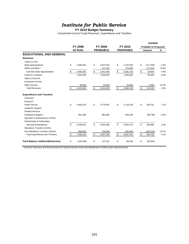#### **FY 2010 Budget Summary**

Unrestricted Current Funds Revenues, Expenditures and Transfers

|                                          |                  |                |                 |                 | <b>CHANGE</b>               |          |
|------------------------------------------|------------------|----------------|-----------------|-----------------|-----------------------------|----------|
|                                          | <b>FY 2008</b>   |                | FY 2009         | FY 2010         | <b>Probable to Proposed</b> |          |
|                                          | <b>ACTUAL</b>    |                | <b>PROBABLE</b> | <b>PROPOSED</b> | <b>Amount</b>               | %        |
| <b>EDUCATIONAL AND GENERAL</b>           |                  |                |                 |                 |                             |          |
| <b>Revenues</b>                          |                  |                |                 |                 |                             |          |
| <b>Tuition &amp; Fees</b>                |                  |                |                 |                 |                             |          |
| <b>State Appropriations</b>              | \$<br>4,995,500  | \$             | 4,819,700       | \$<br>4,702,200 | \$<br>(117,500)             | $-2.4%$  |
| ARRA and MOE *                           |                  |                | 221,900         | 378,900         | 157,000                     | 70.8%    |
| Sub-total State Appropriations           | \$<br>4,995,500  | \$             | 5,041,600       | \$<br>5,081,100 | \$<br>39,500                | 0.8%     |
| <b>Grants &amp; Contracts</b>            | 1,500,299        |                | 1,500,000       | 1,590,000       | 90,000                      | 6.0%     |
| Sales & Services                         |                  |                |                 |                 |                             |          |
| Investment Income                        |                  |                |                 |                 |                             |          |
| <b>Other Sources</b>                     | 20,005           |                | 13,000          | 15,000          | 2,000                       | 15.4%    |
| <b>Total Revenues</b>                    | \$<br>6,515,804  | \$             | 6,554,600       | \$<br>6,686,100 | \$<br>131,500               | 2.0%     |
| <b>Expenditures and Transfers</b>        |                  |                |                 |                 |                             |          |
| Instruction                              |                  |                |                 |                 |                             |          |
| Research                                 |                  |                |                 |                 |                             |          |
| <b>Public Service</b>                    | \$<br>5,605,253  | \$             | 4,778,504       | \$<br>5,118,236 | \$<br>339,732               | 7.1%     |
| Academic Support                         |                  |                |                 |                 |                             |          |
| <b>Student Services</b>                  |                  |                |                 |                 |                             |          |
| <b>Institutional Support</b>             | 561.198          |                | 861,982         | 823,236         | (38, 746)                   | $-4.5%$  |
| Operation & Maintenance of Plant         |                  |                |                 |                 |                             |          |
| Scholarships & Fellowships               |                  |                |                 |                 |                             |          |
| Sub-total Expenditures                   | \$<br>6,166,451  | $\mathfrak{L}$ | 5,640,486       | \$<br>5,941,472 | \$<br>300,986               | 5.3%     |
| Mandatory Transfers (In)/Out             |                  |                |                 |                 |                             |          |
| Non-Mandatory Transfers (In)/Out         | 889,859          |                | 756,683         | 656,460         | (100, 223)                  | $-13.2%$ |
| <b>Total Expenditures and Transfers</b>  | \$<br>7,056,310  | \$             | 6,397,169       | \$<br>6,597,932 | \$<br>200,763               | 3.1%     |
| <b>Fund Balance Addition/(Reduction)</b> | \$<br>(540, 506) | \$             | 157,431         | \$<br>88,168    | \$<br>(69, 263)             |          |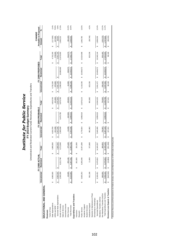|                                        |              | <b>FY 2008 ACTUAL</b>     |                  |                 | FY 2009 PROBABLE |    |            |                 | FY 2009 PROPOSED |                  | Probable to Proposed<br>CHANGE |          |
|----------------------------------------|--------------|---------------------------|------------------|-----------------|------------------|----|------------|-----------------|------------------|------------------|--------------------------------|----------|
|                                        | Unrestricted | Restricted                | Total            | Unrestricted    | Restricted       |    | Total      | Unrestricted    | Restricted       | Total            | Amount                         | ℅        |
| EDUCATIONAL AND GENERAL                |              |                           |                  |                 |                  |    |            |                 |                  |                  |                                |          |
| Revenues                               |              |                           |                  |                 |                  |    |            |                 |                  |                  |                                |          |
| Tuition & Fees                         |              |                           |                  |                 |                  |    |            |                 |                  |                  |                                |          |
| မာ<br>State Appropriations             | 4,995,500    |                           | 4,995,500<br>↮   | 4,819,700<br>မာ |                  | မာ | 4,819,700  | 4,702,200<br>မာ |                  | 4,702,200<br>မာ  | (117,500)<br>မာ                | $-2.4%$  |
| ARRA and MOE *                         |              |                           |                  | 221,900         |                  |    | 221,900    | 378,900         |                  | 378,900          | 157,000                        | 70.8%    |
| မာ<br>Sub-total State Appropriations   | 4,995,500    | G                         | 4,995,500<br>မာ  | 5,041,600<br>မာ |                  | မာ | 5,041,600  | 5,081,100<br>မာ | €,               | 5,081,100<br>69  | 39,500<br>မာ                   | 0.8%     |
| Grants & Contracts                     | ,500,299     | 12,748<br>8.21            | 9,713,046        | 1,500,000       | 8,476,785        |    | 9,976,785  | 1,590,000       | 10,080,000       | 11,670,000       | 1,693,215                      | 17.0%    |
| Sales & Services                       |              |                           |                  |                 |                  |    |            |                 |                  |                  |                                |          |
| Investment Income                      |              |                           |                  |                 |                  |    |            |                 |                  |                  |                                |          |
| Other Sources                          | 20,005       | 255,184                   | 275,189          | 13,000          | 422,834          |    | 435,834    | 15,000          | 326,672          | 341,672          | (94, 162)                      | $-21.6%$ |
| ↮<br><b>Total Revenues</b>             | 6,515,804    | 8,467,932<br>↮            | 14,983,736<br>↮  | 6,554,600<br>↮  | 8,899,619<br>↮   | ↮  | 15,454,219 | 6,686,100<br>↮  | 10,406,672<br>↮  | 17,092,772<br>↮  | 1,638,553<br>↮                 | 10.6%    |
| Expenditures and Transfers             |              |                           |                  |                 |                  |    |            |                 |                  |                  |                                |          |
| Instruction                            |              | 201,500<br>G <sub>O</sub> | 201,500<br>မာ    |                 |                  |    |            |                 |                  |                  |                                |          |
| Research                               |              |                           |                  |                 |                  |    |            |                 |                  |                  |                                |          |
| မာ<br>Public Service                   | 5,605,253    | 8,265,846                 | 13,871,099       | 4,778,504<br>မာ | 8,899,619<br>မာ  | မာ | 13,678,123 | 5,118,236<br>↮  | \$ 10,406,672    | 15,524,908<br>မာ | 1,846,785<br>မာ                | 13.5%    |
| Academic Support                       |              |                           |                  |                 |                  |    |            |                 |                  |                  |                                |          |
| Student Services                       |              |                           |                  |                 |                  |    |            |                 |                  |                  |                                |          |
| Institutional Support                  | 561,198      | 11,469                    | 572,668          | 861,982         |                  |    | 861,982    | 823,236         |                  | 823,236          | (38, 746)                      | $-4.5%$  |
| Operation & Maintenance of Plant       |              |                           |                  |                 |                  |    |            |                 |                  |                  |                                |          |
| Scholarships & Fellowships             |              |                           |                  |                 |                  |    |            |                 |                  |                  |                                |          |
| 69<br>Sub-total Expenditures           | 6,166,451    | 8,478,816<br>↮            | 14,645,267<br>↮  | 5,640,486<br>↮  | 8,899,619<br>မာ  | မာ | 14,540,105 | 5,941,472<br>↮  | 10,406,672<br>4  | 16,348,144<br>↮  | 1,808,039<br>↮                 | 12.4%    |
| Mandatory Transfers (In)/Out           |              |                           |                  |                 |                  |    |            |                 |                  |                  |                                |          |
| Non-Mandatory Transfers (In)/Out       | 889,859      |                           | 889,859          | 756,683         |                  |    | 756,683    | 656,460         |                  | 656,460          | (100, 223)                     | $-13.2%$ |
| ↮<br>Total Expenditures and Transfers  | 7,056,310    | 78,816<br>8,47<br>↮       | 15,535,126<br>မာ | 6,397,169<br>↮  | 8,899,619<br>↮   | 69 | 15,296,788 | 6,597,932<br>မာ | 10,406,672<br>↮  | 17,004,604<br>↮  | 1,707,816<br>↮                 | 11.2%    |
| G<br>Revenues Less Expend. & Transfers | (540,506)    | 10,884)                   | (551, 390)<br>မာ | 157,431<br>↮    | ↮                | မာ | 157,431    | 88,168<br>↮     | ↮                | 88,168<br>↮      | (69, 263)<br>မာ                |          |

\* American Recovery and Reinvestment Act federal stimulus funds and Maintenance of Effort state matching funds ng fu ε ζίε

### 102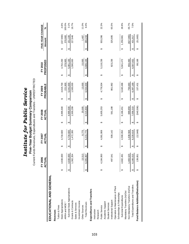|                                        |    |                       |                       | Current Funds Revenues, Expenditures and Transfers - UNRESTRICTED<br>Five-Year Budget Summary Comparison |                        |                   |                         |                      |   |                      |   |                            |                   |
|----------------------------------------|----|-----------------------|-----------------------|----------------------------------------------------------------------------------------------------------|------------------------|-------------------|-------------------------|----------------------|---|----------------------|---|----------------------------|-------------------|
|                                        |    | ؈<br>ACTUAL<br>FY 200 |                       | FY 2007<br>ACTUAL                                                                                        |                        | FY 2008<br>ACTUAL |                         | PROBABLE<br>FY 2009  |   | PROPOSED<br>FY 2010  |   | FIVE-YEAR CHANGE<br>Amount | \$                |
| EDUCATIONAL AND GENERAL                |    |                       |                       |                                                                                                          |                        |                   |                         |                      |   |                      |   |                            |                   |
| Revenues                               |    |                       |                       |                                                                                                          |                        |                   |                         |                      |   |                      |   |                            |                   |
| Tuition & Fees                         |    |                       |                       |                                                                                                          |                        |                   |                         |                      |   |                      |   |                            |                   |
| State Appropriations<br>ARRA and MOE * | ↮  | 4,930,000             | ↔                     | 4,734,600                                                                                                | ↮                      | 4,995,500         | ↔                       | 4,819,700<br>221,900 | ↔ | 4,702,200<br>378,900 | ↔ | (227, 800)<br>378,900      | $-4.6%$<br>100.0% |
| Sub-total State Appropriations         |    | 4,930,000             | ↮                     | 4,734,600                                                                                                | ↮                      | 4,995,500         | $\pmb{\leftrightarrow}$ | 5,041,600            | ↮ | 5,081,100            | ↮ | 151,100                    | 3.1%              |
| Grants & Contracts                     |    | 1,362,354             |                       | 1,472,395                                                                                                |                        | 1,500,299         |                         | 1,500,000            |   | 1,590,000            |   | 227,646                    | 16.7%             |
| Sales & Services                       |    |                       |                       |                                                                                                          |                        |                   |                         |                      |   |                      |   |                            |                   |
| Investment Income                      |    |                       |                       |                                                                                                          |                        |                   |                         |                      |   |                      |   |                            |                   |
| Other Sources                          |    | 3,513                 |                       | 8,775                                                                                                    |                        | 20,005            |                         | 13,000               |   | 15,000               |   | 1,487                      | 11.0%             |
| <b>Total Revenues</b>                  |    | 6,305,867             | $\boldsymbol{\omega}$ | 6,215,770                                                                                                | ↮                      | 6,515,804         | $\leftrightarrow$       | 6,554,600            | ↔ | 6,686,100            | ↮ | 380,233                    | 6.0%              |
| Expenditures and Transfers             |    |                       |                       |                                                                                                          |                        |                   |                         |                      |   |                      |   |                            |                   |
| Instruction                            |    |                       |                       |                                                                                                          |                        |                   |                         |                      |   |                      |   |                            |                   |
| Research                               |    |                       |                       |                                                                                                          |                        |                   |                         |                      |   |                      |   |                            |                   |
| Public Service                         | ↮  | 4,184,950             | ↮                     | 4,081,908                                                                                                | ↔                      | 5,605,253         | ↮                       | 4,778,504            | ↔ | 5,118,236            | ↔ | 933,286                    | 22.3%             |
| Academic Support                       |    |                       |                       |                                                                                                          |                        |                   |                         |                      |   |                      |   |                            |                   |
| Student Services                       |    |                       |                       |                                                                                                          |                        |                   |                         |                      |   |                      |   |                            |                   |
| Institutional Support                  |    | 497,541               |                       | 508,142                                                                                                  |                        | 561,198           |                         | 861,982              |   | 823,236              |   | 325,695                    | 65.5%             |
| Operation & Maintenance of Plant       |    |                       |                       |                                                                                                          |                        |                   |                         |                      |   |                      |   |                            |                   |
| Scholarships & Fellowships             |    |                       |                       |                                                                                                          |                        |                   |                         |                      |   |                      |   |                            |                   |
| Sub-total Expenditures                 | မာ | 4,682,491             | ↔                     | 4,590,050                                                                                                | ↔                      | 6,166,451         | ↮                       | 5,640,486            | ↮ | 5,941,472            | ↮ | 1,258,981                  | 26.9%             |
| Mandatory Transfers (In)/Out           |    |                       |                       |                                                                                                          |                        |                   |                         |                      |   |                      |   |                            |                   |
| Non-Mandatory Transfers (In)/Out       |    | 1,483,525             |                       | 1,638,568                                                                                                |                        | 889,859           |                         | 756,683              |   | 656,460              |   | (827,065)                  | $-55.7%$          |
| Total Expenditures and Transfers       | ↔  | 6,166,015             | ↮                     | 6,228,618                                                                                                | $\boldsymbol{\varphi}$ | 7,056,310         | ↮                       | 6,397,169            | ↮ | 6,597,932            | ↮ | 431,917                    | 7.0%              |
| Fund Balance Addition/(Reduction)      |    | 139,851               | ↮                     | (12, 848)                                                                                                | ↮                      | (540, 506)        | ↮                       | 157,431              | ↮ | 88,168               | ↮ | (51, 683)                  |                   |
|                                        |    |                       |                       |                                                                                                          |                        |                   |                         |                      |   |                      |   |                            |                   |

Institute for Public Service

103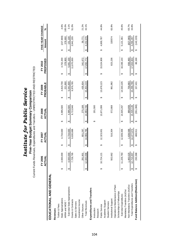|                                   |   |                      |   | FY 2007    |   |                   |                       | FY 2009    |                        | FY 2010    | FIVE-YEAR CHANGE |          |
|-----------------------------------|---|----------------------|---|------------|---|-------------------|-----------------------|------------|------------------------|------------|------------------|----------|
|                                   |   | FY 2006<br>₫<br>ACTU |   | ACTUAL     |   | FY 2008<br>ACTUAL |                       | PROBABLE   |                        | PROPOSED   | Amount           | \$       |
| EDUCATIONAL AND GENERAL           |   |                      |   |            |   |                   |                       |            |                        |            |                  |          |
| Revenues                          |   |                      |   |            |   |                   |                       |            |                        |            |                  |          |
| Tuition & Fees                    |   |                      |   |            |   |                   |                       |            |                        |            |                  |          |
| State Appropriations              | ക | 30,000               | ↔ | 4,734,600  | ↮ | 4,995,500         | ↔                     | 4,819,700  | ↮                      | 4,702,200  | (227, 800)<br>↮  | $-4.6%$  |
| ARRA and MOE *                    |   |                      |   |            |   |                   |                       | 221,900    |                        | 378,900    | 378,900          | 100.0%   |
| Sub-total State Appropriations    |   | 4,930,000            | ↮ | 4,734,600  | ↮ | 4,995,500         | ↮                     | 5,041,600  | ↔                      | 5,081,100  | 151,100<br>↮     | 3.1%     |
| Grants & Contracts                |   | 28,795               |   | 9,630,888  |   | 9,713,046         |                       | 9,976,785  |                        | 11,670,000 | 3,941,205        | 51.0%    |
| Sales & Services                  |   |                      |   |            |   |                   |                       |            |                        |            |                  |          |
| Investment Income                 |   |                      |   |            |   |                   |                       |            |                        |            |                  |          |
| Other Sources                     |   | 106,18               |   | 601,297    |   | 275,189           |                       | 435,834    |                        | 341,672    | 59,771           | 21.2%    |
| <b>Total Revenues</b>             |   | 940,696<br>12,9      | ↮ | 14,966,785 | ↮ | 14,983,736        | ↔                     | 15,454,219 | ↮                      | 17,092,772 | 4,152,076<br>↮   | 32.1%    |
| Expenditures and Transfers        |   |                      |   |            |   |                   |                       |            |                        |            |                  |          |
| Instruction                       |   |                      |   |            | ↮ | 201,500           |                       |            |                        |            |                  |          |
| Research                          |   |                      |   |            |   |                   |                       |            |                        |            |                  |          |
| Public Service                    | ↔ | 24,121<br>10,7       | ↮ | 12,323,001 |   | 13,871,099        | ↮                     | 13,678,123 | ↮                      | 15,524,908 | 4,800,787<br>↮   | 44.8%    |
| Academic Support                  |   |                      |   |            |   |                   |                       |            |                        |            |                  |          |
| <b>Student Services</b>           |   |                      |   |            |   |                   |                       |            |                        |            |                  |          |
| Institutional Support             |   | 02,662               |   | 516,304    |   | 572,668           |                       | 861,982    |                        | 823,236    | 320574           | 63.8%    |
| Operation & Maintenance of Plant  |   |                      |   |            |   |                   |                       |            |                        |            |                  |          |
| Scholarships & Fellowships        |   |                      |   |            |   |                   |                       |            |                        |            |                  |          |
| Sub-total Expenditures            | ↮ | 26,783<br>11,2       | ↮ | 12,839,306 | ↮ | 14,645,267        | ↮                     | 14,540,105 | ↮                      | 16,348,144 | 5,121,361<br>↮   | 45.6%    |
| Mandatory Transfers (In)/Out      |   |                      |   |            |   |                   |                       |            |                        |            |                  |          |
| Non-Mandatory Transfers (In)/Out  |   | 83,525               |   | 1,638,568  |   | 889,859           |                       | 756,683    |                        | 656,460    | (827,065)        | $-55.7%$ |
| Total Expenditures and Transfers  | ↮ | 12,710,307           | ↮ | 14,477,873 | ↮ | 15,535,126        | $\boldsymbol{\omega}$ | 15,296,788 | $\boldsymbol{\varphi}$ | 17,004,604 | 4,294,297<br>⇔∥  | 33.8%    |
| Fund Balance Addition/(Reduction) |   | 230,388              | ↮ | 488,911    | ↮ | (551, 390)        | ↔                     | 157,431    | ↔                      | 88,168     | (142, 220)<br>↮  |          |
|                                   |   |                      |   |            |   |                   |                       |            |                        |            |                  |          |

Institute for Public Service *Institute for Public Service* **Five-Year Budget Summary Comparison**

**Five-Year Budget Summary Comparison**<br>Current Funds Revenues, Expenditures and Transfers - UNRESTRICTED AND RESTRICTED Current Funds Revenues, Expenditures and Transfers - UNRESTRICTED AND RESTRICTED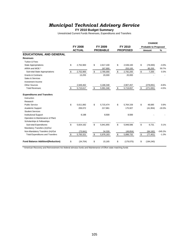## *Municipal Technical Advisory Service*

**FY 2010 Budget Summary**

Unrestricted Current Funds Revenues, Expenditures and Transfers

|                                          |                 |                 |                  | <b>CHANGE</b>               |           |
|------------------------------------------|-----------------|-----------------|------------------|-----------------------------|-----------|
|                                          | <b>FY 2008</b>  | FY 2009         | FY 2010          | <b>Probable to Proposed</b> |           |
|                                          | <b>ACTUAL</b>   | <b>PROBABLE</b> | <b>PROPOSED</b>  | Amount                      | $\%$      |
| <b>EDUCATIONAL AND GENERAL</b>           |                 |                 |                  |                             |           |
| <b>Revenues</b>                          |                 |                 |                  |                             |           |
| <b>Tuition &amp; Fees</b>                |                 |                 |                  |                             |           |
| <b>State Appropriations</b>              | \$<br>2,752,900 | \$<br>2,617,100 | \$<br>2,539,100  | \$<br>(78,000)              | $-3.0%$   |
| ARRA and MOE *                           |                 | 167,900         | 253,100          | 85,200                      | 50.7%     |
| Sub-total State Appropriations           | \$<br>2,752,900 | \$<br>2,785,000 | \$<br>2,792,200  | \$<br>7,200                 | 0.3%      |
| <b>Grants &amp; Contracts</b>            | 13,255          | 20,000          | 20,000           |                             |           |
| Sales & Services                         |                 |                 |                  |                             |           |
| Investment Income                        |                 |                 |                  |                             |           |
| <b>Other Sources</b>                     | 2,949,462       | 3,186,348       | 2,907,457        | (278, 891)                  | $-8.8%$   |
| <b>Total Revenues</b>                    | \$<br>5,715,617 | \$<br>5,991,348 | \$<br>5,719,657  | \$<br>(271, 691)            | $-4.5%$   |
| <b>Expenditures and Transfers</b>        |                 |                 |                  |                             |           |
| Instruction                              |                 |                 |                  |                             |           |
| Research                                 |                 |                 |                  |                             |           |
| <b>Public Service</b>                    | \$<br>5,611,892 | \$<br>5,715,474 | \$<br>5,764,159  | \$<br>48.685                | 0.9%      |
| Academic Support                         | 206,072         | 217,881         | 175,927          | (41, 954)                   | $-19.3%$  |
| <b>Student Services</b>                  |                 |                 |                  |                             |           |
| <b>Institutional Support</b>             | 6,198           | 8,500           | 8,500            |                             |           |
| Operation & Maintenance of Plant         |                 |                 |                  |                             |           |
| Scholarships & Fellowships               |                 |                 |                  |                             |           |
| Sub-total Expenditures                   | \$<br>5,824,162 | \$<br>5,941,855 | \$<br>5,948,586  | \$<br>6.731                 | 0.1%      |
| Mandatory Transfers (In)/Out             |                 |                 |                  |                             |           |
| Non-Mandatory Transfers (In)/Out         | (73, 841)       | 34,328          | (49, 854)        | (84, 182)                   | $-245.2%$ |
| <b>Total Expenditures and Transfers</b>  | \$<br>5,750,321 | \$<br>5,976,183 | \$<br>5,898,732  | \$<br>(77, 451)             | $-1.3%$   |
| <b>Fund Balance Addition/(Reduction)</b> | \$<br>(34, 704) | \$<br>15,165    | \$<br>(179, 075) | \$<br>(194, 240)            |           |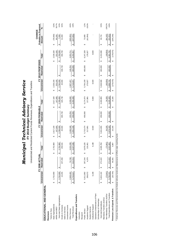|                                                                                                                |                                     | FY 2008 ACTUAL |                              |                                     | FY 2009 PROBABLE |                 |                       | FY 2010 PROPOSED |                                     | Probable to Proposed<br>CHANGE |           |
|----------------------------------------------------------------------------------------------------------------|-------------------------------------|----------------|------------------------------|-------------------------------------|------------------|-----------------|-----------------------|------------------|-------------------------------------|--------------------------------|-----------|
|                                                                                                                | Unrestricted                        | Restricted     | Total                        | Unrestricted                        | Restricted       | Total           | Unrestricted          | Restricted       | Total                               | Amount                         | \$        |
| EDUCATIONAL AND GENERAL                                                                                        |                                     |                |                              |                                     |                  |                 |                       |                  |                                     |                                |           |
| Revenues                                                                                                       |                                     |                |                              |                                     |                  |                 |                       |                  |                                     |                                |           |
| Tuition & Fees                                                                                                 |                                     |                |                              |                                     |                  |                 |                       |                  |                                     |                                |           |
| State Appropriations                                                                                           | 2,752,900<br>မာ                     |                | 2,752,900<br>↮               | 2,617,100<br>↮                      |                  | 2,617,100<br>↮  | 2,539,100<br>↮        |                  | 2,539,100<br>Θ                      | (78,000)<br>Θ                  | $-3.0%$   |
| ARRA and MOE *                                                                                                 |                                     |                |                              | 167,900                             |                  | 167,900         | 253,100               |                  | 253,100                             | 85,200                         | 50.7%     |
| Sub-total State Appropriations                                                                                 | 2,752,900<br>$\boldsymbol{\varphi}$ | မာ             | 2,752,900<br>မာ              | 2,785,000<br>မာ                     | G,               | 2,785,000<br>မာ | 2,792,200<br>မာ       | G                | 2,792,200<br>↔                      | 7,200<br>69                    | 0.3%      |
| Grants & Contracts                                                                                             | 13,255                              | 237,266        | 250,521                      | 20,000                              | 305,746          | 325,746         | 20,000                | 336,746          | 356,746                             | 31,000                         | 9.5%      |
| Sales & Services                                                                                               |                                     |                |                              |                                     |                  |                 |                       |                  |                                     |                                |           |
| Investment Income                                                                                              |                                     |                |                              |                                     |                  |                 |                       |                  |                                     |                                |           |
| Other Sources                                                                                                  | 2,949,462                           | 748<br>74,     | 3,024,209                    | 3,186,348                           | 153,254          | 3,339,602       | 2,907,457             | 146,254          | 3,053,711                           | (285, 891)                     | $-8.6%$   |
| <b>Total Revenues</b>                                                                                          | 5,715,617<br>↮                      | 312,013        | 6,027,630<br>$\pmb{\varphi}$ | 5,991,348<br>↮                      | 459,000<br>↮     | 6,450,348<br>↮  | 5,719,657<br><b>S</b> | 483,000<br>↮     | 6,202,657<br>↮                      | (247, 691)<br>↮                | $-3.8%$   |
| Expenditures and Transfers                                                                                     |                                     |                |                              |                                     |                  |                 |                       |                  |                                     |                                |           |
| Instruction                                                                                                    |                                     |                |                              |                                     |                  |                 |                       |                  |                                     |                                |           |
| Research                                                                                                       |                                     |                |                              |                                     |                  |                 |                       |                  |                                     |                                |           |
| <b>Public Service</b>                                                                                          | 5,611,892<br>မာ                     | 267,244<br>G)  | 5,879,135<br>မာ              | 5,715,474<br>Θ                      | 459,000<br>မာ    | 6,174,474<br>6  | 5,764,159<br>မာ       | 483,000<br>မာ    | 6,247,159<br>6                      | 72,685<br>မာ                   | 1.2%      |
| Academic Support                                                                                               | 206,072                             | 4,379          | 210,451                      | 217,881                             |                  | 217,881         | 175,927               |                  | 175,927                             | (41, 954)                      | $-19.3%$  |
| <b>Student Services</b>                                                                                        |                                     |                |                              |                                     |                  |                 |                       |                  |                                     |                                |           |
| Institutional Support                                                                                          | 6,198                               |                | 6,198                        | 8,500                               |                  | 8,500           | 8,500                 |                  | 8,500                               |                                |           |
| Operation & Maintenance of Plant                                                                               |                                     |                |                              |                                     |                  |                 |                       |                  |                                     |                                |           |
| Scholarships & Fellowships                                                                                     |                                     |                |                              |                                     |                  |                 |                       |                  |                                     |                                |           |
| Sub-total Expenditures                                                                                         | 5,824,162<br>မာ                     | 271,622        | 6,095,784<br>↮               | 5,941,855<br>↮                      | 459,000<br>↮     | 6,400,855<br>မာ | 5,948,586<br>မာ       | 483,000<br>↮     | 6,431,586<br>မာ                     | 30,731<br>↮                    | 0.5%      |
| Mandatory Transfers (In)/Out                                                                                   |                                     |                |                              |                                     |                  |                 |                       |                  |                                     |                                |           |
| Non-Mandatory Transfers (In)/Out                                                                               | (73, 841)                           |                | (73, 841)                    | 34,328                              |                  | 34,328          | (49, 854)             |                  | (49, 854)                           | (84, 182)                      | $-245.2%$ |
| Total Expenditures and Transfers                                                                               | 5,750,321<br>$\boldsymbol{\varphi}$ | 271,622        | 6,021,943<br>မာ              | 5,976,183<br>$\boldsymbol{\varphi}$ | 459,000<br>↮     | 6,435,183<br>↮  | 5,898,732<br>↮        | 483,000<br>↮     | 6,381,732<br>$\boldsymbol{\varphi}$ | (53, 451)<br>↮                 | $-0.8%$   |
| Revenues Less Expend. & Transfers                                                                              | (34, 704)<br>မာ                     | 40,391         | 5,687<br>မာ                  | 15,165<br>↮                         | ↮                | 15,165<br>↮     | (179, 075)<br>↮       | ↮                | (179, 075)<br>↮                     | (194, 240)<br>မာ               |           |
| * American Recovery and Reinvestment Act federal stimulus funds and Maintenance of Effort state matching funds |                                     |                |                              |                                     |                  |                 |                       |                  |                                     |                                |           |

*Municipal Tec*

*h*

*nical A*

**d** 

*visory Servic*

*e*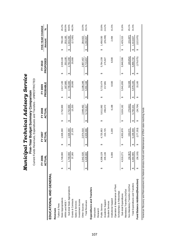|                                        |   | <b>Surr</b>              |                       | ent Funds Revenues, Expenditures and Transfers - UNRESTRICTED<br>Five-Year Budget Summary Comparison |                         |                   |                         |                      |   |                      |                   |                    |                 |
|----------------------------------------|---|--------------------------|-----------------------|------------------------------------------------------------------------------------------------------|-------------------------|-------------------|-------------------------|----------------------|---|----------------------|-------------------|--------------------|-----------------|
|                                        |   | FY 2006<br><b>ACTUAL</b> |                       | FY 2007<br>ACTUAL                                                                                    |                         | FY 2008<br>ACTUAL |                         | PROBABLE<br>FY 2009  |   | PROPOSED<br>FY 2010  | Amount            | FIVE-YEAR CHANGE   | న్              |
| EDUCATIONAL AND GENERAL                |   |                          |                       |                                                                                                      |                         |                   |                         |                      |   |                      |                   |                    |                 |
| Revenues                               |   |                          |                       |                                                                                                      |                         |                   |                         |                      |   |                      |                   |                    |                 |
| Tuition & Fees                         |   |                          |                       |                                                                                                      |                         |                   |                         |                      |   |                      |                   |                    |                 |
| State Appropriations<br>ARRA and MOE * | ↔ | ,749,000                 | ↮                     | 1,928,300                                                                                            | ↮                       | 2,752,900         | ↮                       | 2,617,100<br>167,900 | ↮ | 2,539,100<br>253,100 | ↮                 | 790,100<br>253,100 | 100.0%<br>45.2% |
| Sub-total State Appropriations         | ↮ | ,749,000                 | ↮                     | 1,928,300                                                                                            | $\pmb{\leftrightarrow}$ | 2,752,900         | $\pmb{\leftrightarrow}$ | 2,785,000            | ↮ | 2,792,200            | ↮                 | 1,043,200          | 59.6%           |
| Grants & Contracts                     |   | 37,265                   |                       | 27,378                                                                                               |                         | 13,255            |                         | 20,000               |   | 20,000               |                   | (17,265)           | $-46.3%$        |
| Sales & Services                       |   |                          |                       |                                                                                                      |                         |                   |                         |                      |   |                      |                   |                    |                 |
| Investment Income                      |   |                          |                       |                                                                                                      |                         |                   |                         |                      |   |                      |                   |                    |                 |
| Other Sources                          |   | 642,535                  |                       | 2,974,018                                                                                            |                         | 2,949,462         |                         | 3,186,348            |   | 2,907,457            |                   | 264,922            | 10.0%           |
| <b>Total Revenues</b>                  |   | ,428,800                 | $\boldsymbol{\omega}$ | 4,929,696                                                                                            | ↮                       | 5,715,617         | ↮                       | 5,991,348            | ↮ | 5,719,657            | $\leftrightarrow$ | 1,290,857          | 29.1%           |
| Expenditures and Transfers             |   |                          |                       |                                                                                                      |                         |                   |                         |                      |   |                      |                   |                    |                 |
| Instruction                            |   |                          |                       |                                                                                                      |                         |                   |                         |                      |   |                      |                   |                    |                 |
| Research                               |   |                          |                       |                                                                                                      |                         |                   |                         |                      |   |                      |                   |                    |                 |
| Public Service                         | ↔ | ,308,129                 | ↮                     | 4,725,953                                                                                            | ↮                       | 5,611,892         | ↮                       | 5,715,474            | ↮ | 5,764,159            | ↮                 | 1,456,030          | 33.8%           |
| Academic Support                       |   | 205,136                  |                       | 224,725                                                                                              |                         | 206,072           |                         | 217,881              |   | 175,927              |                   | (29, 209)          | $-14.2%$        |
| Student Services                       |   |                          |                       |                                                                                                      |                         |                   |                         |                      |   |                      |                   |                    |                 |
| Institutional Support                  |   | 6,006                    |                       | 3,200                                                                                                |                         | 6,198             |                         | 8,500                |   | 8,500                |                   | 2,494              | 41.5%           |
| Operation & Maintenance of Plant       |   |                          |                       |                                                                                                      |                         |                   |                         |                      |   |                      |                   |                    |                 |
| Scholarships & Fellowships             |   |                          |                       |                                                                                                      |                         |                   |                         |                      |   |                      |                   |                    |                 |
| Sub-total Expenditures                 |   | 519,271                  | ↮                     | 4,953,878                                                                                            | ↮                       | 5,824,162         | ↮                       | 5,941,855            | ↮ | 5,948,586            | ↮                 | 1,429,315          | 31.6%           |
| Mandatory Transfers (In)/Out           |   |                          |                       |                                                                                                      |                         |                   |                         |                      |   |                      |                   |                    |                 |
| Non-Mandatory Transfers (In)/Out       |   | (34, 367)                |                       | 153,071                                                                                              |                         | (73, 841)         |                         | 34,328               |   | (49, 854)            |                   | (15, 487)          | 45.1%           |
| Total Expenditures and Transfers       | ↔ | 484,905                  | $\Theta$              | 5,106,949                                                                                            | $\Theta$                | 5,750,321         | $\Theta$                | 5,976,183            | ↮ | 5,898,732            | ↮                 | 1,413,827          | 31.5%           |
| Fund Balance Addition/(Reduction)      |   | (56, 105)                | ↮                     | (177, 253)                                                                                           | ↔                       | (34, 704)         | ↮                       | 15,165               | ↮ | (179, 075)           | ↔                 | (122, 970)         |                 |
|                                        |   |                          |                       |                                                                                                      |                         |                   |                         |                      |   |                      |                   |                    |                 |

*Municipal Technical Advisory Service*

Municipal Technical Advisory Service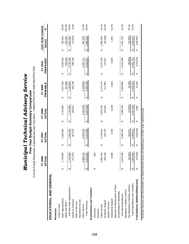|                                        | Current Funds |                            |   | Five-Year Budget Summary Comparison |   |                   |                        | Revenues, Expenditures and Transfers - UNRESTRICTED AND RESTRICTED |   |                      |                            |                 |
|----------------------------------------|---------------|----------------------------|---|-------------------------------------|---|-------------------|------------------------|--------------------------------------------------------------------|---|----------------------|----------------------------|-----------------|
|                                        |               | 900<br>Ч<br>$FY$ 2<br>ACTL |   | FY 2007<br>ACTUAL                   |   | FY 2008<br>ACTUAL |                        | PROBABLE<br>FY 2009                                                |   | PROPOSED<br>FY 2010  | FIVE-YEAR CHANGE<br>Amount | న్              |
| EDUCATIONAL AND GENERAL                |               |                            |   |                                     |   |                   |                        |                                                                    |   |                      |                            |                 |
| Revenues                               |               |                            |   |                                     |   |                   |                        |                                                                    |   |                      |                            |                 |
| Tuition & Fees                         |               |                            |   |                                     |   |                   |                        |                                                                    |   |                      |                            |                 |
| State Appropriations<br>ARRA and MOE * | ↮             | 749,000                    | ↮ | 1,928,300                           | ↮ | 2,752,900         | ↮                      | 2,617,100<br>167,900                                               | ↮ | 2,539,100<br>253,100 | 790,100<br>253,100<br>↮    | 45.2%<br>100.0% |
| Sub-total State Appropriations         | ↮             | 749,000                    | ↮ | 1,928,300                           | ↮ | 2,752,900         | $\boldsymbol{\varphi}$ | 2,785,000                                                          | ↮ | 2,792,200            | 1,043,200<br>↮             | 59.6%           |
| Grants & Contracts                     |               | 371,370                    |   | 447,673                             |   | 250,521           |                        | 325,746                                                            |   | 356,746              | (14, 624)                  | $-3.9%$         |
| Sales & Services                       |               |                            |   |                                     |   |                   |                        |                                                                    |   |                      |                            |                 |
| Investment Income                      |               |                            |   |                                     |   |                   |                        |                                                                    |   |                      |                            |                 |
| Other Sources                          |               | 696,132<br>2,              |   | 3,035,022                           |   | 3,024,209         |                        | 3,339,602                                                          |   | 3,053,711            | 357,579                    | 13.3%           |
| <b>Total Revenues</b>                  | ↔             | 816,502<br>4.              | ↮ | 5,410,995                           | ↮ | 6,027,630         | ↮                      | 6,450,348                                                          | ↔ | 6,202,657            | 1,386,155<br>↮             | 28.8%           |
| Expenditures and Transfers             |               |                            |   |                                     |   |                   |                        |                                                                    |   |                      |                            |                 |
| Instruction                            | ക             | 950                        |   |                                     |   |                   |                        |                                                                    |   |                      |                            |                 |
| Research                               |               |                            |   |                                     |   |                   |                        |                                                                    |   |                      |                            |                 |
| Public Service                         |               | 4,658,704                  | ↮ | 5,178,616                           | ↮ | 5,879,135         | $\boldsymbol{\varphi}$ | 6,174,474                                                          | ↮ | 6,247,159            | 1,588,455<br>↮             | 34.1%           |
| Academic Support                       |               | 205,136                    |   | 224,725                             |   | 210,451           |                        | 217,881                                                            |   | 175,927              | (29, 209)                  | $-14.2%$        |
| <b>Student Services</b>                |               |                            |   |                                     |   |                   |                        |                                                                    |   |                      |                            |                 |
| Institutional Support                  |               | 6,006                      |   | 3,200                               |   | 6,198             |                        | 8,500                                                              |   | 8,500                | 2,494                      | 41.5%           |
| Operation & Maintenance of Plant       |               |                            |   |                                     |   |                   |                        |                                                                    |   |                      |                            |                 |
| Scholarships & Fellowships             |               |                            |   |                                     |   |                   |                        |                                                                    |   |                      |                            |                 |
| Sub-total Expenditures                 | ↔             | 870,796<br>4               | ↔ | 5,406,540                           | ↔ | 6,095,784         | ↮                      | 6,400,855                                                          | ↮ | 6,431,586            | 1,561,740<br>↮             | 32.1%           |
| Mandatory Transfers (In)/Out           |               |                            |   |                                     |   |                   |                        |                                                                    |   |                      |                            |                 |
| Non-Mandatory Transfers (In)/Out       |               | (34, 367)                  |   | 153,071                             |   | (73, 841)         |                        | 34,328                                                             |   | (49, 854)            | (15, 487)                  | 45.1%           |
| Total Expenditures and Transfers       | ↮             | ,836,430<br>4              | ↮ | 5,559,611                           | ↮ | 6,021,943         | ↮                      | 6,435,183                                                          | ↮ | 6,381,732            | 1,546,252<br>↮             | 32.0%           |
| Fund Balance Addition/(Reduction)      |               | (19, 928)                  | ↔ | (148, 616)                          | ↮ | 5,687             | ↮                      | 15,165                                                             | ↔ | (179, 075)           | (160, 097)<br>↔            |                 |
|                                        |               |                            |   |                                     |   |                   |                        |                                                                    |   |                      |                            |                 |

*Municipal Technical Advisory Service*

Municipal Technical Advisory Service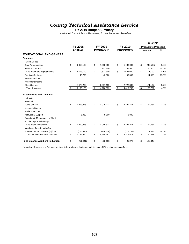## *County Technical Assistance Service*

#### **FY 2010 Budget Summary**

Unrestricted Current Funds Revenues, Expenditures and Transfers

|                                          |                 |                 |                 |    | <b>CHANGE</b>               |         |
|------------------------------------------|-----------------|-----------------|-----------------|----|-----------------------------|---------|
|                                          | <b>FY 2008</b>  | FY 2009         | FY 2010         |    | <b>Probable to Proposed</b> |         |
|                                          | <b>ACTUAL</b>   | <b>PROBABLE</b> | <b>PROPOSED</b> |    | Amount                      | %       |
| <b>EDUCATIONAL AND GENERAL</b>           |                 |                 |                 |    |                             |         |
| <b>Revenues</b>                          |                 |                 |                 |    |                             |         |
| <b>Tuition &amp; Fees</b>                |                 |                 |                 |    |                             |         |
| <b>State Appropriations</b>              | \$<br>1,613,100 | \$<br>1,532,500 | \$<br>1,483,000 | \$ | (49, 500)                   | $-3.2%$ |
| ARRA and MOE *                           |                 | 101,300         | 151,900         |    | 50,600                      | 50.0%   |
| Sub-total State Appropriations           | \$<br>1,613,100 | \$<br>1,633,800 | \$<br>1,634,900 | \$ | 1,100                       | 0.1%    |
| <b>Grants &amp; Contracts</b>            | 43,799          | 42,000          | 53,550          |    | 11,550                      | 27.5%   |
| Sales & Services                         |                 |                 |                 |    |                             |         |
| Investment Income                        |                 |                 |                 |    |                             |         |
| Other Sources                            | 2,476,230       | 2,551,199       | 2,722,336       |    | 171,137                     | 6.7%    |
| <b>Total Revenues</b>                    | \$<br>4,133,128 | \$<br>4,226,999 | \$<br>4,410,786 | S  | 183,787                     | 4.3%    |
| <b>Expenditures and Transfers</b>        |                 |                 |                 |    |                             |         |
| Instruction                              |                 |                 |                 |    |                             |         |
| Research                                 |                 |                 |                 |    |                             |         |
| <b>Public Service</b>                    | \$<br>4,253,955 | \$<br>4,376,723 | \$<br>4,429,457 | \$ | 52,734                      | 1.2%    |
| Academic Support                         |                 |                 |                 |    |                             |         |
| <b>Student Services</b>                  |                 |                 |                 |    |                             |         |
| <b>Institutional Support</b>             | 6,010           | 8,800           | 8,800           |    |                             |         |
| Operation & Maintenance of Plant         |                 |                 |                 |    |                             |         |
| Scholarships & Fellowships               |                 |                 |                 |    |                             |         |
| Sub-total Expenditures                   | \$<br>4,259,965 | \$<br>4,385,523 | \$<br>4,438,257 | \$ | 52,734                      | 1.2%    |
| Mandatory Transfers (In)/Out             |                 |                 |                 |    |                             |         |
| Non-Mandatory Transfers (In)/Out         | (115, 395)      | (126, 356)      | (118, 743)      |    | 7,613                       | $-6.0%$ |
| <b>Total Expenditures and Transfers</b>  | \$<br>4,144,570 | \$<br>4,259,167 | \$<br>4,319,514 | \$ | 60,347                      | 1.4%    |
| <b>Fund Balance Addition/(Reduction)</b> | \$<br>(11, 441) | \$<br>(32, 168) | \$<br>91,272    | \$ | 123,440                     |         |

\* American Recovery and Reinvestment Act federal stimulus funds and Maintenance of Effort state matching funds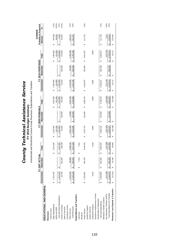|                                   |                        |                                 |                 | Unrestricted and Restricted Current Funds Revenues, Expenditures and Transfers |                                   |                             |                             |                  |                             |                                |         |
|-----------------------------------|------------------------|---------------------------------|-----------------|--------------------------------------------------------------------------------|-----------------------------------|-----------------------------|-----------------------------|------------------|-----------------------------|--------------------------------|---------|
|                                   |                        | <b>NAT</b><br><b>FY 2007 AC</b> |                 |                                                                                | FY 2009 PROBABLE                  |                             |                             | FY 2010 PROPOSED |                             | Probable to Proposed<br>CHANGE |         |
|                                   | Unrestricted           | Restricted                      | Total           | Unrestricted                                                                   | Restricted                        | Total                       | Unrestricted                | Restricted       | Total                       | Amount                         | వ్      |
| EDUCATIONAL AND GENERAL           |                        |                                 |                 |                                                                                |                                   |                             |                             |                  |                             |                                |         |
| Revenues                          |                        |                                 |                 |                                                                                |                                   |                             |                             |                  |                             |                                |         |
| Tuition & Fees                    |                        |                                 |                 |                                                                                |                                   |                             |                             |                  |                             |                                |         |
| State Appropriations              | \$ 1,613,100           |                                 | 1,613,100<br>မာ | 1,532,500<br>မာ                                                                |                                   | 1,532,500<br>မာ             | 1,483,000<br>မာ             |                  | 1,483,000<br>မာ             | (49,500)<br>မာ                 | $-3.2%$ |
| ARRA and MOE *                    |                        |                                 |                 | 101,300                                                                        |                                   | 101,300                     | 151,900                     |                  | 151,900                     | 50,600                         | 50.0%   |
| Sub-total State Appropriations    | 1,613,100<br>Ø         | ↮                               | 1,613,100<br>↮  | 1,633,800<br>Ø                                                                 | $\boldsymbol{\varphi}$            | 1,633,800<br>မာ             | 1,634,900<br>Ø              | ↮                | 1,634,900<br>↮              | 1,100<br>↮                     | 0.1%    |
| Grants & Contracts                | 43,799                 | 294,460                         | 338,259         | 42,000                                                                         | 250,000                           | 292,000                     | 53,550                      | 320,000          | 373,550                     | 81,550                         | 27.9%   |
| Sales & Services                  |                        |                                 |                 |                                                                                |                                   |                             |                             |                  |                             |                                |         |
| Investment Income                 |                        |                                 |                 |                                                                                |                                   |                             |                             |                  |                             |                                |         |
| Other Sources                     | 2,476,230              | 90,090                          | 2,566,319       | 2,551,199                                                                      | 73,000                            | 2,624,199                   | 2,722,336                   | 62,000           | 2,784,336                   | 160,137                        | 6.1%    |
| <b>Total Revenues</b>             | 4,133,128<br>$\bullet$ | 384,550<br>∞                    | 4,517,678<br>↮  | 4,226,999<br>↮                                                                 | 323,000<br>$\boldsymbol{\varphi}$ | 4,549,999<br>↮              | 4,410,786<br>Ø              | 382,000<br>Ø     | 4,792,786<br>$\Theta$       | 242,787<br>မာ                  | 5.3%    |
| Expenditures and Transfers        |                        |                                 |                 |                                                                                |                                   |                             |                             |                  |                             |                                |         |
| Instruction                       |                        | 7,510                           | 7,510<br>မာ     |                                                                                |                                   |                             |                             |                  |                             |                                |         |
| Research                          |                        |                                 |                 |                                                                                |                                   |                             |                             |                  |                             |                                |         |
| Public Service                    | 4,253,955<br>မာ        | 295,750                         | 4,549,705       | 4,376,723<br>မာ                                                                | 323,000                           | 4,699,723<br><sub>c</sub> o | 4,429,457<br><sub>c</sub> o | 382,000          | 4,811,457<br><sub>c</sub> o | 111,734<br>↮                   | 2.4%    |
| Academic Support                  |                        |                                 |                 |                                                                                |                                   |                             |                             |                  |                             |                                |         |
| Student Services                  |                        |                                 |                 |                                                                                |                                   |                             |                             |                  |                             |                                |         |
| Institutional Support             | 6,010                  |                                 | 6,010           | 8,800                                                                          |                                   | 8,800                       | 8,800                       |                  | 8,800                       |                                |         |
| Operation & Maintenance of Plant  |                        |                                 |                 |                                                                                |                                   |                             |                             |                  |                             |                                |         |
| Scholarships & Fellowships        |                        |                                 |                 |                                                                                |                                   |                             |                             |                  |                             |                                |         |
| Sub-total Expenditures            | 4,259,965<br>မာ        | 303,260<br>မာ                   | 4,563,225<br>မာ | 4,385,523<br>မာ                                                                | 323,000<br>မာ                     | 4,708,523<br>မာ             | 4,438,257<br>Ø              | 382,000<br>မာ    | 4,820,257<br>မာ             | 111,734<br>မာ                  | 2.4%    |
| Mandatory Transfers (In)/Out      |                        |                                 |                 |                                                                                |                                   |                             |                             |                  |                             |                                |         |
| Non-Mandatory Transfers (In)/Out  | (115, 395)             |                                 | (115, 395)      | (126, 356)                                                                     |                                   | (126, 356)                  | (118, 743)                  |                  | (118, 743)                  | 7,613                          | $-6.0%$ |
| Total Expenditures and Transfers  | 4,144,570<br>↮         | 303,260<br>Θ                    | 4,447,830<br>မာ | 4,259,167<br>မာ                                                                | 323,000<br>↮                      | 4,582,167<br>မာ             | 4,319,514<br>မာ             | 382,000<br>↮     | 4,701,514<br>မာ             | 119,347<br>မာ                  | 2.6%    |
| Revenues Less Expend. & Transfers | (11,441)<br>မာ         | 81,289                          | 69,848<br>↮     | (32, 168)<br>↮                                                                 | ↮                                 | (32, 168)<br>↮              | 91,272<br>↮                 | ↮                | 91,272<br>↮                 | 123,440<br>4                   |         |

*County Tec h nical Assistance Servic e*

**FY 2010 Budget Summary**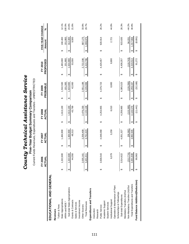|                                   |   | UUMPEN FUNGS Revenues, EXPenues and Transfers - UNRES I RIU I ED |                         |           |   |            |   |            |   |            |   |                  |          |
|-----------------------------------|---|------------------------------------------------------------------|-------------------------|-----------|---|------------|---|------------|---|------------|---|------------------|----------|
|                                   |   | FY 2006                                                          |                         | FY 2007   |   | FY 2008    |   | FY 2009    |   | FY 2010    |   | FIVE-YEAR CHANGE |          |
| EDUCATIONAL AND GENERAL           |   | ₹<br>ACTU                                                        |                         | ACTUAL    |   | ACTUAL     |   | PROBABLE   |   | PROPOSED   |   | Amount           | వ్       |
| Revenues                          |   |                                                                  |                         |           |   |            |   |            |   |            |   |                  |          |
| Tuition & Fees                    |   |                                                                  |                         |           |   |            |   |            |   |            |   |                  |          |
| State Appropriations              | ↔ | 1,322,600                                                        | ↔                       | 1,484,900 | ↮ | 1,613,100  | ↔ | 1,532,500  | ↮ | 1,483,000  | ↮ | 160,400          | 12.1%    |
| ARRA and MOE *                    |   |                                                                  |                         |           |   |            |   | 101,300    |   | 151,900    |   | 151,900          | 100.0%   |
| Sub-total State Appropriations    | ↮ | 1,322,600                                                        | ↮                       | 1,484,900 | ↔ | 1,613,100  | ↔ | 1,633,800  | ↮ | 1,634,900  | ↮ | 312,300          | 23.6%    |
| Grants & Contracts                |   | 44,050                                                           |                         | 48,313    |   | 43,799     |   | 42,000     |   | 53,550     |   | 9,500            | 21.6%    |
| Sales & Services                  |   |                                                                  |                         |           |   |            |   |            |   |            |   |                  |          |
| Investment Income                 |   |                                                                  |                         |           |   |            |   |            |   |            |   |                  |          |
| Other Sources                     |   | 2,035,161                                                        |                         | 2,258,409 |   | 2,476,230  |   | 2,551,199  |   | 2,722,336  |   | 687,175          | 33.8%    |
| <b>Total Revenues</b>             | ക | 3,401,811                                                        | $\Theta$                | 3,791,623 | ↮ | 4,133,128  | ↮ | 4,226,999  | ↔ | 4,410,786  | ↮ | 1,008,975        | 29.7%    |
| Expenditures and Transfers        |   |                                                                  |                         |           |   |            |   |            |   |            |   |                  |          |
| Instruction                       |   |                                                                  |                         |           |   |            |   |            |   |            |   |                  |          |
| Research                          |   |                                                                  |                         |           |   |            |   |            |   |            |   |                  |          |
| Public Service                    | ↔ | 3,508,543                                                        | ↮                       | 4,048,068 | ↮ | 4,253,955  | ↮ | 4,376,723  | ↮ | 4,429,457  | ↮ | 920,914          | 26.2%    |
| Academic Support                  |   |                                                                  |                         |           |   |            |   |            |   |            |   |                  |          |
| Student Services                  |   |                                                                  |                         |           |   |            |   |            |   |            |   |                  |          |
| Institutional Support             |   | 6,079                                                            |                         | 3,259     |   | 6,010      |   | 8,800      |   | 8,800      |   | 2,721            | 44.8%    |
| Operation & Maintenance of Plant  |   |                                                                  |                         |           |   |            |   |            |   |            |   |                  |          |
| Scholarships & Fellowships        |   |                                                                  |                         |           |   |            |   |            |   |            |   |                  |          |
| Sub-total Expenditures            | ↔ | 14,622<br>.<br>ფ                                                 | ↔                       | 4,051,327 | ↮ | 4,259,965  | ↮ | 4,385,523  | ↮ | 4,438,257  | ↮ | 923,635          | 26.3%    |
| Mandatory Transfers (In)/Out      |   |                                                                  |                         |           |   |            |   |            |   |            |   |                  |          |
| Non-Mandatory Transfers (In)/Out  |   | 2,774<br>$\tilde{\varrho}$                                       |                         | (58, 382) |   | (115, 395) |   | (126, 356) |   | (118, 743) |   | 94,031           | $-44.2%$ |
| Total Expenditures and Transfers  | ↮ | 01,848<br>3,30                                                   | $\qquad \qquad \bullet$ | 3,992,945 | ↔ | 4,144,570  | ↮ | 4,259,167  | ↮ | 4,319,514  | ↮ | 1,017,666        | 30.8%    |
| Fund Balance Addition/(Reduction) |   | 99,963                                                           |                         |           | ↮ | (11,441)   | ↮ | (32, 168)  | ↮ | 91,272     | ↮ | (8,691)          |          |
|                                   |   |                                                                  |                         |           |   |            |   |            |   |            |   |                  |          |

**County Technical Assistance Service**<br>Five-Year Budget Summary Comparison<br>Current Funds Revenues, Expenditures and Transfers - UNRESTRICTED *County Technical Assistance Service* **Five-Year Budget Summary Comparison**

Current Funds Revenues, Expenditures and Transfers - UNRESTRICTED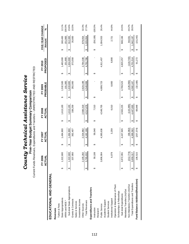|                                   | Current Funds |                   |                         | Revenues, Expenditures and Transfers - UNRESTRICTED AND RESTRICTED |                        |                   |                       |                     |   |                     |                       |                            |           |
|-----------------------------------|---------------|-------------------|-------------------------|--------------------------------------------------------------------|------------------------|-------------------|-----------------------|---------------------|---|---------------------|-----------------------|----------------------------|-----------|
|                                   |               | FY 2006<br>ACTUAL |                         | FY 2007<br>ACTUAL                                                  |                        | FY 2008<br>ACTUAL |                       | PROBABLE<br>FY 2009 |   | PROPOSED<br>FY 2010 |                       | FIVE-YEAR CHANGE<br>Amount | వ్        |
| EDUCATIONAL AND GENERAL           |               |                   |                         |                                                                    |                        |                   |                       |                     |   |                     |                       |                            |           |
| Revenues                          |               |                   |                         |                                                                    |                        |                   |                       |                     |   |                     |                       |                            |           |
| Tuition & Fees                    |               |                   |                         |                                                                    |                        |                   |                       |                     |   |                     |                       |                            |           |
| State Appropriations              | ↔             | 322,600           | ↮                       | 1,484,900                                                          | ↮                      | 1,613,100         | ↮                     | 1,532,500           | ↔ | 1,483,000           | ↮                     | 160,400                    | 12.1%     |
| ARRA and MOE *                    |               |                   |                         |                                                                    |                        |                   |                       | 101,300             |   | 151,900             |                       | 151,900                    | 100.0%    |
| Sub-total State Appropriations    | ↔             | 322,600           | ↮                       | 1,484,900                                                          | ↮                      | 1,613,100         | ↔                     | 1,633,800           | ↮ | 1,634,900           | ↮                     | 312,300                    | 23.6%     |
| Grants & Contracts                |               | 337,950           |                         | 362,407                                                            |                        | 338,259           |                       | 292,000             |   | 373,550             |                       | 35,600                     | 10.5%     |
| Sales & Services                  |               |                   |                         |                                                                    |                        |                   |                       |                     |   |                     |                       |                            |           |
| Investment Income                 |               |                   |                         |                                                                    |                        |                   |                       |                     |   |                     |                       |                            |           |
| Other Sources                     |               | 105,282<br>N      |                         | 2,334,882                                                          |                        | 2,566,319         |                       | 2,624,199           |   | 2,784,336           |                       | 679,054                    | 32.3%     |
| <b>Total Revenues</b>             | ക             | 765,832<br>က      | $\pmb{\leftrightarrow}$ | 4,182,188                                                          | ↮                      | 4,517,678         | ↮                     | 4,549,999           | ↮ | 4,792,786           | ↮                     | 1,026,954                  | 27.3%     |
| Expenditures and Transfers        |               |                   |                         |                                                                    |                        |                   |                       |                     |   |                     |                       |                            |           |
| Instruction                       | ക             | 59,108            | ↮                       | 59,048                                                             | ↮                      | 7,510             | ↮                     |                     | ↮ |                     | ↮                     | (59, 108)                  | $-100.0%$ |
| Research                          |               |                   |                         |                                                                    |                        |                   |                       |                     |   |                     |                       |                            |           |
| Public Service                    |               | 806,904<br>ო      |                         | 4,385,638                                                          |                        | 4,549,705         |                       | 4,699,723           |   | 4,811,457           |                       | 1,004,553                  | 26.4%     |
| Academic Support                  |               |                   |                         |                                                                    |                        |                   |                       |                     |   |                     |                       |                            |           |
| <b>Student Services</b>           |               |                   |                         |                                                                    |                        |                   |                       |                     |   |                     |                       |                            |           |
| Institutional Support             |               | 6,079             |                         | 3,259                                                              |                        | 6,010             |                       | 8,800               |   | 8,800               |                       | 2,721                      | 44.8%     |
| Operation & Maintenance of Plant  |               |                   |                         |                                                                    |                        |                   |                       |                     |   |                     |                       |                            |           |
| Scholarships & Fellowships        |               |                   |                         |                                                                    |                        |                   |                       |                     |   |                     |                       |                            |           |
| Sub-total Expenditures            |               | 872,091<br>ო      | $\boldsymbol{\varphi}$  | 4,447,945                                                          | $\boldsymbol{\varphi}$ | 4,563,225         | ↮                     | 4,708,523           | ↮ | 4,820,257           | ↮                     | 948,166                    | 24.5%     |
| Mandatory Transfers (In)/Out      |               |                   |                         |                                                                    |                        |                   |                       |                     |   |                     |                       |                            |           |
| Non-Mandatory Transfers (In)/Out  |               | 212,774)          |                         | (58, 382)                                                          |                        | (115, 395)        |                       | (126, 356)          |   | (118.743)           |                       | 94,031                     | $-44.2%$  |
| Total Expenditures and Transfers  | ↮             | 1,659,317<br>ω.   | ↮                       | 4,389,563                                                          | ⇔∥                     | 4,447,830         | $\boldsymbol{\omega}$ | 4,582,167           | ↮ | 4,701,514           | $\boldsymbol{\omega}$ | 1,042,197                  | 28.5%     |
| Fund Balance Addition/(Reduction) |               | 106,515           | ↔                       | (207, 374)                                                         | ↮                      | 69,848            | ↔                     | (32, 168)           | ↮ | 91,272              | ↮                     | (15,243)                   |           |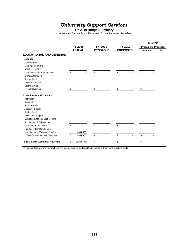# *University Support Services*

#### **FY 2010 Budget Summary**

Unrestricted Current Funds Revenues, Expenditures and Transfers

|                                          |                |             |                 |                 |        | <b>CHANGE</b>               |      |
|------------------------------------------|----------------|-------------|-----------------|-----------------|--------|-----------------------------|------|
|                                          | <b>FY 2008</b> |             | FY 2009         | FY 2010         |        | <b>Probable to Proposed</b> |      |
|                                          | <b>ACTUAL</b>  |             | <b>PROBABLE</b> | <b>PROPOSED</b> | Amount |                             | $\%$ |
| <b>EDUCATIONAL AND GENERAL</b>           |                |             |                 |                 |        |                             |      |
| <b>Revenues</b>                          |                |             |                 |                 |        |                             |      |
| <b>Tuition &amp; Fees</b>                |                |             |                 |                 |        |                             |      |
| <b>State Appropriations</b>              |                |             |                 |                 |        |                             |      |
| ARRA and MOE *                           |                |             |                 |                 |        |                             |      |
| Sub-total State Appropriations           | \$             |             | $\mathfrak s$   | \$              | \$     |                             |      |
| <b>Grants &amp; Contracts</b>            |                |             |                 |                 |        |                             |      |
| Sales & Services                         |                |             |                 |                 |        |                             |      |
| Investment Income                        |                |             |                 |                 |        |                             |      |
| <b>Other Sources</b>                     |                |             |                 |                 |        |                             |      |
| <b>Total Revenues</b>                    | \$             |             | \$              | \$              | \$     |                             |      |
| <b>Expenditures and Transfers</b>        |                |             |                 |                 |        |                             |      |
| Instruction                              |                |             |                 |                 |        |                             |      |
| Research                                 |                |             |                 |                 |        |                             |      |
| <b>Public Service</b>                    |                |             |                 |                 |        |                             |      |
| Academic Support                         |                |             |                 |                 |        |                             |      |
| <b>Student Services</b>                  |                |             |                 |                 |        |                             |      |
| <b>Institutional Support</b>             |                |             |                 |                 |        |                             |      |
| Operation & Maintenance of Plant         |                |             |                 |                 |        |                             |      |
| Scholarships & Fellowships               |                |             |                 |                 |        |                             |      |
| Sub-total Expenditures                   | $\mathbb{S}$   |             | \$              | \$              | \$     |                             |      |
| Mandatory Transfers (In)/Out             |                |             |                 |                 |        |                             |      |
| Non-Mandatory Transfers (In)/Out         |                | 1,844,578   |                 |                 |        |                             |      |
| <b>Total Expenditures and Transfers</b>  | \$             | 1,844,578   | \$              | \$              | \$     |                             |      |
| <b>Fund Balance Addition/(Reduction)</b> | \$             | (1,844,578) | \$              | \$              | \$     |                             |      |

\* American Recovery and Reinvestment Act federal stimulus funds and Maintenance of Effort state matching funds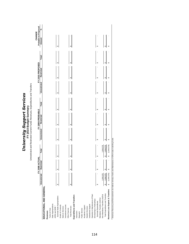| Unrestricted<br>EDUCATIONAL AND GENERAL<br><b>State Appropriations</b><br>ARRA and MOE *<br>Tuition & Fees<br>Revenues |    | FY 2008 ACTUAL |       |             |              | FY 2009 PROBABLE |    |       |              | FY 2010 PROPOSED |       | Probable to Proposed<br>CHANGE |          |
|------------------------------------------------------------------------------------------------------------------------|----|----------------|-------|-------------|--------------|------------------|----|-------|--------------|------------------|-------|--------------------------------|----------|
|                                                                                                                        |    | Restricted     | Total |             | Unrestricted | Restricted       |    | Total | Unrestricted | Restricted       | Total | Amount                         | $\infty$ |
|                                                                                                                        |    |                |       |             |              |                  |    |       |              |                  |       |                                |          |
|                                                                                                                        |    |                |       |             |              |                  |    |       |              |                  |       |                                |          |
|                                                                                                                        |    |                |       |             |              |                  |    |       |              |                  |       |                                |          |
|                                                                                                                        |    |                |       |             |              |                  |    |       |              |                  |       |                                |          |
|                                                                                                                        |    |                |       |             |              |                  |    |       |              |                  |       |                                |          |
| Sub-total State Appropriations                                                                                         | ↮  |                | ↮     |             | ↮            | ↮                | ↮  |       | ↮            | ↮                | ↮     | ↮                              |          |
| Grants & Contracts                                                                                                     |    |                |       |             |              |                  |    |       |              |                  |       |                                |          |
| Sales & Services                                                                                                       |    |                |       |             |              |                  |    |       |              |                  |       |                                |          |
| Investment Income                                                                                                      |    |                |       |             |              |                  |    |       |              |                  |       |                                |          |
| Other Sources                                                                                                          |    |                |       |             |              |                  |    |       |              |                  |       |                                |          |
| <b>Total Revenues</b>                                                                                                  |    | ł              | ↮     |             | ↮            | ↮                | ↮  |       | $\omega$     | ↮                | ↮     | ↮                              |          |
| Expenditures and Transfers                                                                                             |    |                |       |             |              |                  |    |       |              |                  |       |                                |          |
| Instruction                                                                                                            |    |                |       |             |              |                  |    |       |              |                  |       |                                |          |
| Research                                                                                                               |    |                |       |             |              |                  |    |       |              |                  |       |                                |          |
| Public Service                                                                                                         |    |                |       |             |              |                  |    |       |              |                  |       |                                |          |
| Academic Support                                                                                                       |    |                |       |             |              |                  |    |       |              |                  |       |                                |          |
| Student Services                                                                                                       |    |                |       |             |              |                  |    |       |              |                  |       |                                |          |
| Institutional Support                                                                                                  |    |                |       |             |              |                  |    |       |              |                  |       |                                |          |
| Operation & Maintenance of Plant                                                                                       |    |                |       |             |              |                  |    |       |              |                  |       |                                |          |
| Scholarships & Fellowships                                                                                             |    |                |       |             |              |                  |    |       |              |                  |       |                                |          |
| မာ<br>Sub-total Expenditures                                                                                           | မာ |                | Ø     |             | ↮            | ↮                | မာ |       | မာ           | ↮                | ↮     | Ø                              |          |
| Mandatory Transfers (In)/Out                                                                                           |    |                |       |             |              |                  |    |       |              |                  |       |                                |          |
| 1,844,578<br>Non-Mandatory Transfers (In)/Out                                                                          |    |                |       | 1,844,578   |              |                  |    |       |              |                  |       |                                |          |
| 1,844,578<br>Ø<br>Total Expenditures and Transfers                                                                     | S  |                | မာ    | 1,844,578   | ↮            | 69               | မာ |       | ↮            | 69               | ↮     | 69                             |          |
| (1, 844, 578)<br>69<br>Revenues Less Expend. & Transfers                                                               | 69 |                | G     | (1,844,578) | G            | 69               | မာ |       | မာ           | မာ               | မာ    | မာ                             |          |

*University Support Service*

**FY 2010 Budget Summar**

**y**

*s*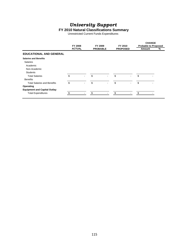# *University Support*

#### **FY 2010 Natural Classifications Summary**

Unrestricted Current Funds Expenditures

|                                     | <b>FY 2008</b> |                          | FY 2009         |                          | FY 2010         |    | <b>CHANGE</b><br><b>Probable to Proposed</b> |   |
|-------------------------------------|----------------|--------------------------|-----------------|--------------------------|-----------------|----|----------------------------------------------|---|
|                                     | <b>ACTUAL</b>  |                          | <b>PROBABLE</b> |                          | <b>PROPOSED</b> |    | Amount                                       | % |
| <b>EDUCATIONAL AND GENERAL</b>      |                |                          |                 |                          |                 |    |                                              |   |
| <b>Salaries and Benefits</b>        |                |                          |                 |                          |                 |    |                                              |   |
| <b>Salaries</b>                     |                |                          |                 |                          |                 |    |                                              |   |
| Academic                            |                |                          |                 |                          |                 |    |                                              |   |
| Non-Academic                        |                |                          |                 |                          |                 |    |                                              |   |
| <b>Students</b>                     |                |                          |                 |                          |                 |    |                                              |   |
| <b>Total Salaries</b>               | \$             | $\overline{\phantom{0}}$ | \$              |                          | \$              | \$ |                                              |   |
| <b>Benefits</b>                     |                |                          |                 |                          |                 |    |                                              |   |
| <b>Total Salaries and Benefits</b>  | \$             | $\overline{\phantom{a}}$ | \$              | $\overline{\phantom{0}}$ | \$              | \$ |                                              |   |
| Operating                           |                |                          |                 |                          |                 |    |                                              |   |
| <b>Equipment and Capital Outlay</b> |                |                          |                 |                          |                 |    |                                              |   |
| <b>Total Expenditures</b>           |                |                          | \$.             |                          |                 |    |                                              |   |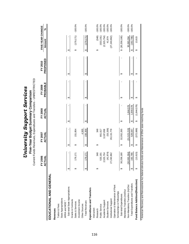Current Funds Revenues, Expenditures and Transfers - UNRESTRICTED Current Funds Revenues, Expenditures and Transfers - UNRESTRICTED

|                                        |   | FY 2006<br><b>ACTUAL</b> |                       | FY 2007<br>ACTUAL |   | FY 2008<br>ACTUAL | PROBABLE<br><b>FY 2009</b> | PROPOSED<br>FY 2010 | FIVE-YEAR CHANGE<br>Amount          | ಸ್ಥೆ      |
|----------------------------------------|---|--------------------------|-----------------------|-------------------|---|-------------------|----------------------------|---------------------|-------------------------------------|-----------|
| EDUCATIONAL AND GENERAL                |   |                          |                       |                   |   |                   |                            |                     |                                     |           |
| Revenues                               |   |                          |                       |                   |   |                   |                            |                     |                                     |           |
| Tuition & Fees                         |   |                          |                       |                   |   |                   |                            |                     |                                     |           |
| State Appropriations<br>ARRA and MOE * |   |                          |                       |                   |   |                   |                            |                     |                                     |           |
| Sub-total State Appropriations         | ↮ |                          | ↮                     |                   | ↮ |                   | ↮                          | ↮                   | ↮                                   |           |
| Grants & Contracts                     |   |                          |                       |                   |   |                   |                            |                     |                                     |           |
| Sales & Services                       | ക | 179,171                  | ↮                     | 151,854           |   |                   |                            |                     | (179, 171)<br>↮                     | $-100.0%$ |
| Investment Income                      |   |                          |                       |                   |   |                   |                            |                     |                                     |           |
| Other Sources                          |   |                          |                       | 4,505             |   |                   |                            |                     |                                     |           |
| <b>Total Revenues</b>                  |   | 179,171                  | $\boldsymbol{\omega}$ | 156,359           | ↮ |                   | ↮                          | ↮                   | (179, 171)<br>$\boldsymbol{\omega}$ | $-100.0%$ |
| Expenditures and Transfers             |   |                          |                       |                   |   |                   |                            |                     |                                     |           |
| Instruction                            |   |                          |                       |                   |   |                   |                            |                     |                                     |           |
| Research                               | ↮ | 348                      | ↮                     | 348               |   |                   |                            |                     | (348)<br>↔                          | $-100.0%$ |
| Public Service                         |   | 533,191                  |                       | 801,617           |   |                   |                            |                     | (533, 191)                          | $-100.0%$ |
| Academic Support                       |   | .,525,754                |                       | 3,187,858         |   |                   |                            |                     | (2,525,754)                         | $-100.0%$ |
| Student Services                       |   | (41, 974)                |                       | (53, 336)         |   |                   |                            |                     | 41,974                              | $-100.0%$ |
| Institutional Support                  |   | ,240,862<br>27           |                       | 28,115,778        |   |                   |                            |                     | (27, 240, 862)                      | $-100.0%$ |
| Operation & Maintenance of Plant       |   |                          |                       |                   |   |                   |                            |                     |                                     |           |
| Scholarships & Fellowships             |   |                          |                       |                   |   |                   |                            |                     |                                     |           |
| Sub-total Expenditures                 |   | ,258,180<br>8            | ↮                     | 32,052,265        | ↮ |                   | ↔                          | ↔                   | $$^{(30,258,180)}$                  | $-100.0%$ |
| Mandatory Transfers (In)/Out           |   |                          |                       |                   |   |                   |                            |                     |                                     |           |
| Non-Mandatory Transfers (In)/Out       |   | 1,065,394)<br>80         |                       | (31,523,219)      |   | 1,844,578         |                            |                     | 30,065,394                          | $-100.0%$ |
| Total Expenditures and Transfers       |   | 192,786                  | ↮                     | 529,047           | ↮ | 1,844,578         | $\boldsymbol{\omega}$      | ക                   | (192, 786)<br>↔                     | $-100.0%$ |
| Fund Balance Addition/(Reduction)      |   | (13, 615)                | ↮                     | (372, 688)        | ↔ | (1,844,578)       | ↮                          | ↔                   | 13,615<br>↮                         |           |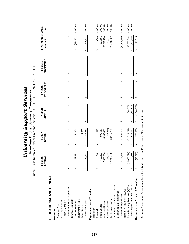|                                   |    | FY 2006<br><b>JAL</b><br>ACT |   | FY 2007<br>ACTUAL |   | FY 2008<br>ACTUAL | PROBABLE<br>FY 2009 | PROPOSED<br>FY 2010 | FIVE-YEAR CHANGE<br>Amount | $\mathbf{S}^{\mathbf{c}}$ |
|-----------------------------------|----|------------------------------|---|-------------------|---|-------------------|---------------------|---------------------|----------------------------|---------------------------|
| EDUCATIONAL AND GENERAL           |    |                              |   |                   |   |                   |                     |                     |                            |                           |
| Revenues                          |    |                              |   |                   |   |                   |                     |                     |                            |                           |
| Tuition & Fees                    |    |                              |   |                   |   |                   |                     |                     |                            |                           |
| State Appropriations              |    |                              |   |                   |   |                   |                     |                     |                            |                           |
| ARRA and MOE *                    |    |                              |   |                   |   |                   |                     |                     |                            |                           |
| Sub-total State Appropriations    | မာ |                              | ↔ |                   | ↮ |                   | ↮                   | ↮                   | ↮                          |                           |
| Grants & Contracts                |    |                              |   |                   |   |                   |                     |                     |                            |                           |
| Sales & Services                  |    | 179,171                      | ↔ | 151,854           |   |                   |                     |                     | (179, 171)<br>↮            | $-100.0%$                 |
| Investment Income                 |    |                              |   |                   |   |                   |                     |                     |                            |                           |
| Other Sources                     |    |                              |   | 4,505             |   |                   |                     |                     |                            |                           |
| <b>Total Revenues</b>             |    | 179,171                      | ↮ | 156,359           | ↮ |                   | ↔                   | မာ                  | (179, 171)<br>↮            | $-100.0%$                 |
| Expenditures and Transfers        |    |                              |   |                   |   |                   |                     |                     |                            |                           |
| Instruction                       |    |                              |   |                   |   |                   |                     |                     |                            |                           |
| Research                          | ↮  | 348                          | ↮ | 348               |   |                   |                     |                     | (348)<br>↔                 | $-100.0%$                 |
| Public Service                    |    | 533,191                      |   | 801,617           |   |                   |                     |                     | (533, 191)                 | $-100.0%$                 |
| Academic Support                  |    | 525,754<br>ςi                |   | 3,187,858         |   |                   |                     |                     | (2,525,754)                | $-100.0%$                 |
| Student Services                  |    | (41, 974)                    |   | (53, 336)         |   |                   |                     |                     | 41,974                     | $-100.0%$                 |
| Institutional Support             |    | 240,862<br>27.               |   | 28,115,778        |   |                   |                     |                     | (27, 240, 862)             | $-100.0%$                 |
| Operation & Maintenance of Plant  |    |                              |   |                   |   |                   |                     |                     |                            |                           |
| Scholarships & Fellowships        |    |                              |   |                   |   |                   |                     |                     |                            |                           |
| Sub-total Expenditures            |    | ,258,180<br>30,              | ↔ | 32,052,265        | ↔ |                   | ↮                   | ↮                   | $$^{(30,258,180)}$         | $-100.0%$                 |
| Mandatory Transfers (In)/Out      |    |                              |   |                   |   |                   |                     |                     |                            |                           |
| Non-Mandatory Transfers (In)/Out  |    | (065, 394)<br><b>90,</b>     |   | (31, 523, 219)    |   | 1,844,578         |                     |                     | 30,065,394                 | $-100.0%$                 |
| Total Expenditures and Transfers  |    | 192,786                      | ↔ | 529,047           | ↮ | 1,844,578         | ↮                   | ↮                   | (192, 786)<br>$\Theta$     | $-100.0%$                 |
| Revenues Less Expend. & Transfers |    | (13, 615)                    | ↔ | (372, 688)        | ↮ | (1,844,578)       | ↮                   | ↮                   | 13,615<br>↔                |                           |

*University Support Services*

**University Support Services** 

Current Funds Revenues, Expenditures and Transfers - UNRESTRICTED AND RESTRICTED **Five-Year Budget Summary Comparison**

Five-Year Budget Summary Comparison<br>Current Funds Revenues, Expenditures and Transfers - UNRESTRICTED AND RESTRICTED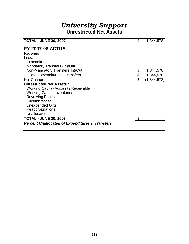# *University Support* **Unrestricted Net Assets**

| <b>TOTAL - JUNE 30, 2007</b>                               |                | 1,844,578   |
|------------------------------------------------------------|----------------|-------------|
| <b>FY 2007-08 ACTUAL</b>                                   |                |             |
| Revenue                                                    |                |             |
| Less:                                                      |                |             |
| <b>Expenditures</b>                                        |                |             |
| Mandatory Transfers (In)/Out                               |                |             |
| Non-Mandatory Transfers(In)/Out                            |                | 1,844,578   |
| <b>Total Expenditures &amp; Transfers</b>                  | $\frac{1}{2}$  | 1,844,578   |
| Net Change                                                 | $\mathfrak{L}$ | (1,844,578) |
| <b>Unrestricted Net Assets *</b>                           |                |             |
| <b>Working Capital-Accounts Receivable</b>                 |                |             |
| <b>Working Capital-Inventories</b>                         |                |             |
| <b>Revolving Funds</b>                                     |                |             |
| Encumbrances                                               |                |             |
| <b>Unexpended Gifts</b>                                    |                |             |
| Reappropriations                                           |                |             |
| Unallocated                                                |                |             |
| <b>TOTAL - JUNE 30, 2008</b>                               |                |             |
| <b>Percent Unallocated of Expenditures &amp; Transfers</b> |                |             |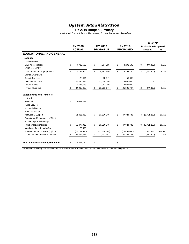#### **FY 2010 Budget Summary**

Unrestricted Current Funds Revenues, Expenditures and Transfers

|                                          |                  |                  |                  | <b>CHANGE</b>               |          |
|------------------------------------------|------------------|------------------|------------------|-----------------------------|----------|
|                                          | <b>FY 2008</b>   | FY 2009          | FY 2010          | <b>Probable to Proposed</b> |          |
|                                          | <b>ACTUAL</b>    | <b>PROBABLE</b>  | <b>PROPOSED</b>  | Amount                      | %        |
| <b>EDUCATIONAL AND GENERAL</b>           |                  |                  |                  |                             |          |
| <b>Revenues</b>                          |                  |                  |                  |                             |          |
| <b>Tuition &amp; Fees</b>                |                  |                  |                  |                             |          |
| <b>State Appropriations</b>              | \$<br>4,736,600  | \$<br>4,667,500  | \$<br>4,293,100  | \$<br>(374, 400)            | $-8.0%$  |
| ARRA and MOE *                           |                  |                  |                  |                             |          |
| Sub-total State Appropriations           | \$<br>4,736,600  | \$<br>4,667,500  | \$<br>4,293,100  | \$<br>(374, 400)            | $-8.0%$  |
| <b>Grants &amp; Contracts</b>            |                  |                  |                  |                             |          |
| Sales & Services                         | 126,404          | 50,647           | 50,647           |                             |          |
| Investment Income                        | 24,460,896       | 13,000,000       | 13,000,000       |                             |          |
| <b>Other Sources</b>                     | 4,744,783        | 3,983,000        | 3,983,000        |                             |          |
| <b>Total Revenues</b>                    | \$<br>34,068,683 | \$<br>21,701,147 | \$<br>21,326,747 | \$<br>(374, 400)            | $-1.7%$  |
| <b>Expenditures and Transfers</b>        |                  |                  |                  |                             |          |
| Instruction                              |                  |                  |                  |                             |          |
| Research                                 | \$<br>1,061,499  |                  |                  |                             |          |
| <b>Public Service</b>                    |                  |                  |                  |                             |          |
| Academic Support                         |                  |                  |                  |                             |          |
| <b>Student Services</b>                  |                  |                  |                  |                             |          |
| <b>Institutional Support</b>             | 51,416,413       | \$<br>53,526,046 | \$<br>47,824,783 | \$<br>(5,701,263)           | $-10.7%$ |
| Operation & Maintenance of Plant         |                  |                  |                  |                             |          |
| Scholarships & Fellowships               |                  |                  |                  |                             |          |
| Sub-total Expenditures                   | \$<br>52,477,912 | \$<br>53,526,046 | \$<br>47,824,783 | \$<br>(5,701,263)           | $-10.7%$ |
| Mandatory Transfers (In)/Out             | 176,598          |                  |                  |                             |          |
| Non-Mandatory Transfers (In)/Out         | (24, 181, 946)   | (31, 824, 899)   | (26, 498, 036)   | 5,326,863                   | $-16.7%$ |
| <b>Total Expenditures and Transfers</b>  | \$<br>28,472,563 | \$<br>21,701,147 | \$<br>21,326,747 | \$<br>(374, 400)            | $-1.7%$  |
| <b>Fund Balance Addition/(Reduction)</b> | \$<br>5,596,120  | \$               | \$               | \$                          |          |

\* American Recovery and Reinvestment Act federal stimulus funds and Maintenance of Effort state matching funds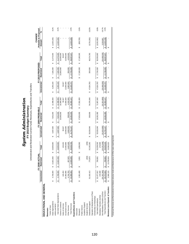**FY 2010 Budget Summar y** Unrestricted and Restricted Current Funds Revenues, Expenditures and Transfers

|                                   |                  | FY 2008 ACTUAL          |                  |                  | FY 2009 PROBABLE |                  |                                      | FY 2010 PROPOSED       |                  | <b>Probable to Proposed</b><br>CHANGE |          |
|-----------------------------------|------------------|-------------------------|------------------|------------------|------------------|------------------|--------------------------------------|------------------------|------------------|---------------------------------------|----------|
|                                   | Unrestricted     | Restricted              | Total            | Unrestricted     | Restricted       | Total            | Unrestricted                         | Restricted             | Total            | Amount                                | ৯        |
| EDUCATIONAL AND GENERAL           |                  |                         |                  |                  |                  |                  |                                      |                        |                  |                                       |          |
| Revenues                          |                  |                         |                  |                  |                  |                  |                                      |                        |                  |                                       |          |
| Tuition & Fees                    |                  |                         |                  |                  |                  |                  |                                      |                        |                  |                                       |          |
| State Appropriations              | 4,736,600<br>မာ  | 13,922,460<br>မာ        | 18,659,060<br>G  | 4,667,500<br>69  | 7,831,000<br>69  | 12,498,500<br>S  | 4,293,100<br>69                      | 7,180,300<br>မာ        | \$ 11,473,400    | \$(1,025,100)                         | $-8.2%$  |
| ARRA and MOE *                    |                  |                         |                  |                  |                  |                  |                                      |                        |                  |                                       |          |
| Sub-total State Appropriations    | 4,736,600<br>G   | 13,922,460<br>$\theta$  | 18,659,060<br>မာ | 4,667,500<br>မာ  | 7,831,000<br>69  | 12,498,500<br>မာ | 4,293,100<br>မာ                      | 7,180,300<br>69        | 11,473,400<br>မာ | \$(1,025,100)                         | $-8.2%$  |
| Grants & Contracts                |                  |                         |                  |                  | 10,000,000       | 10,000,000       |                                      | 10,000,000             | 10,000,000       |                                       |          |
| Sales & Services                  | 126,404          |                         | 126,404          | 50,647           |                  | 50,647           | 50,647                               |                        | 50,647           |                                       |          |
| Investment Income                 | 24,460,896       |                         | 24,460,896       | 13,000,000       |                  | 13,000,000       | 13,000,000                           |                        | 13,000,000       |                                       |          |
| Other Sources                     | 4,744,783        | 657,625                 | 5,402,408        | 3,983,000        | 550,000          | 4,533,000        | 3,983,000                            | 550,000                | 4,533,000        |                                       |          |
| <b>Total Revenues</b>             | \$ 34,068,683    | 14,580,085<br>$\bullet$ | 48,648,768<br>69 | 21,701,147<br>မာ | 18,381,000<br>↮  | 40,082,147<br>↮  | 21,326,747<br>$\boldsymbol{\varphi}$ | 17,730,300<br>$\Theta$ | 39,057,047<br>↮  | \$(1,025,100)                         | $-2.6%$  |
| Expenditures and Transfers        |                  |                         |                  |                  |                  |                  |                                      |                        |                  |                                       |          |
| Instruction                       |                  |                         |                  |                  |                  |                  |                                      |                        |                  |                                       |          |
| Research                          | 1,061,499<br>မာ  | 5,061<br>↮              | 1,066,560<br>မာ  |                  | \$ 17,831,000    | \$ 17,831,000    |                                      | \$ 17,180,300          | 17,180,300<br>s  | (650, 700)<br>4                       | $-3.6%$  |
| Public Service                    |                  |                         |                  |                  |                  |                  |                                      |                        |                  |                                       |          |
| Academic Support                  |                  |                         |                  |                  |                  |                  |                                      |                        |                  |                                       |          |
| <b>Student Services</b>           |                  | (250)                   | (250)            |                  |                  |                  |                                      |                        |                  |                                       |          |
| Institutional Support             | 51,416,413       | 775,870                 | 52,192,283       | 53,526,046<br>ω  | 550,000          | 54,076,046       | 47,824,783<br>မာ                     | 550,000                | 48,374,783       | (5,701,263)                           | $-10.5%$ |
| Operation & Maintenance of Plant  |                  |                         |                  |                  |                  |                  |                                      |                        |                  |                                       |          |
| Scholarships & Fellowships        |                  |                         |                  |                  |                  |                  |                                      |                        |                  |                                       |          |
| Sub-total Expenditures            | 52,477,912<br>မာ | 780,681<br>↮            | 53,258,592<br>မာ | 53,526,046<br>မာ | 18,381,000<br>မာ | 71,907,046<br>မာ | 47,824,783<br>မာ                     | 17,730,300<br>မာ       | 65,555,083<br>မာ | (6,351,963)<br>မာ                     | $-8.8%$  |
| Mandatory Transfers (In)/Out      | 176,598          |                         | 176,598          |                  |                  |                  |                                      |                        |                  |                                       |          |
| Non-Mandatory Transfers (In)/Out  | (24, 181, 946)   |                         | (24, 181, 946)   | (31, 824, 899)   |                  | (31, 824, 899)   | (26, 498, 036)                       |                        | (26, 498, 036)   | 5,326,863                             | $-16.7%$ |
| Total Expenditures and Transfers  | 28,472,563<br>↮  | 780,681<br>ക            | 29,253,244<br>↮  | 21,701,147<br>မာ | 18,381,000       | 40,082,147       | 21,326,747<br>↮                      | 17,730,300<br>↮        | 39,057,047<br>မာ | (1,025,100)<br>မာ                     | $-2.6%$  |
| Revenues Less Expend. & Transfers | \$ 5,596,120     | 13,799,404<br>မာ        | \$ 19,395,525    | မာ               |                  |                  | မာ                                   | θĤ                     |                  | မာ                                    |          |
|                                   |                  |                         |                  |                  |                  |                  |                                      |                        |                  |                                       |          |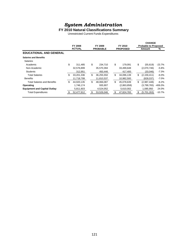### **FY 2010 Natural Classifications Summary**

Unrestricted Current Funds Expenditures

|                                     | <b>FY 2008</b>   |    | FY 2009         | FY 2010          |    | <b>CHANGE</b><br><b>Probable to Proposed</b> |           |
|-------------------------------------|------------------|----|-----------------|------------------|----|----------------------------------------------|-----------|
|                                     | <b>ACTUAL</b>    |    | <b>PROBABLE</b> | <b>PROPOSED</b>  |    | Amount                                       | %         |
| <b>EDUCATIONAL AND GENERAL</b>      |                  |    |                 |                  |    |                                              |           |
| <b>Salaries and Benefits</b>        |                  |    |                 |                  |    |                                              |           |
| <b>Salaries</b>                     |                  |    |                 |                  |    |                                              |           |
| Academic                            | \$<br>311,485    | \$ | 234,710         | \$<br>179,091    | \$ | (55, 619)                                    | $-23.7%$  |
| Non-Academic                        | 32,576,899       |    | 35,570,394      | 33,499,648       |    | (2,070,746)                                  | $-5.8%$   |
| <b>Students</b>                     | 312,951          |    | 450,446         | 417,400          |    | (33,046)                                     | $-7.3%$   |
| <b>Total Salaries</b>               | \$<br>33,201,336 | \$ | 36,255,550      | \$<br>34,096,139 | \$ | (2, 159, 411)                                | $-6.0%$   |
| <b>Benefits</b>                     | 11.718.799       |    | 11.810.537      | 10.982.500       |    | (828, 037)                                   | $-7.0%$   |
| <b>Total Salaries and Benefits</b>  | \$<br>44,920,135 | \$ | 48,066,087      | \$<br>45,078,639 | \$ | (2,987,448)                                  | $-6.2%$   |
| Operating                           | 1,746,174        |    | 935,907         | (2,863,858)      |    | (3,799,765)                                  | $-406.0%$ |
| <b>Equipment and Capital Outlay</b> | 5,811,603        |    | 4,524,052       | 5,610,002        |    | 1,085,950                                    | 24.0%     |
| <b>Total Expenditures</b>           | 52,477,912       | S  | 53,526,046      | \$<br>47,824,783 | S  | (5,701,263)                                  | $-10.7%$  |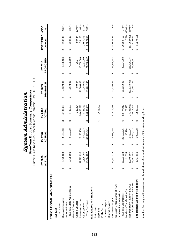|                                   | <b>ACT</b> | FY 2006<br>$\overline{a}$ |                        | FY 2007<br>ACTUAL |                        | FY 2008<br>ACTUAL |                         | PROBABLE<br>FY 2009 |                        | PROPOSED<br>FY 2010 |                        | FIVE-YEAR CHANGE<br>Amount | న్              |
|-----------------------------------|------------|---------------------------|------------------------|-------------------|------------------------|-------------------|-------------------------|---------------------|------------------------|---------------------|------------------------|----------------------------|-----------------|
| EDUCATIONAL AND GENERAL           |            |                           |                        |                   |                        |                   |                         |                     |                        |                     |                        |                            |                 |
| Revenues                          |            |                           |                        |                   |                        |                   |                         |                     |                        |                     |                        |                            |                 |
| Tuition & Fees                    |            |                           |                        |                   |                        |                   |                         |                     |                        |                     |                        |                            |                 |
| State Appropriations              | မာ         | 3,775,000                 | ↔                      | 4,193,200         | ↔                      | 4,736,600         | ↔                       | 4,667,500           | ↔                      | 4,293,100           | ↔                      | 518,100                    | 13.7%           |
| ARRA and MOE *                    |            |                           |                        |                   |                        |                   |                         |                     |                        |                     |                        |                            |                 |
| Sub-total State Appropriations    |            | 775,000                   | ↮                      | 4,193,200         | ↮                      | 4,736,600         | ↮                       | 4,667,500           | ↮                      | 4,293,100           | ↮                      | 518,100                    | 13.7%           |
| Grants & Contracts                |            |                           |                        |                   |                        |                   |                         |                     |                        |                     |                        |                            |                 |
| Sales & Services                  |            |                           |                        |                   |                        | 126,404           |                         | 50,647              |                        | 50,647              |                        | 50,647                     | 100.0%          |
| Investment Income                 |            | ,923,895<br>$\frac{2}{3}$ |                        | 22,178,708        |                        | 24,460,896        |                         | 13,000,000          |                        | 13,000,000          |                        | 76,105                     | 0.6%            |
| Other Sources                     |            | 525,797                   |                        | 4,603,333         |                        | 4,744,783         |                         | 3,983,000           |                        | 3,983,000           |                        | 1,457,203                  | 57.7%           |
| <b>Total Revenues</b>             |            | 224,692<br>$\frac{9}{2}$  | ↮                      | 30,975,241        | ↮                      | 34,068,683        | ↮                       | 21,701,147          | ↮                      | 21,326,747          | $\boldsymbol{\varphi}$ | 2,102,055                  | 10.9%           |
| Expenditures and Transfers        |            |                           |                        |                   |                        |                   |                         |                     |                        |                     |                        |                            |                 |
| Instruction                       |            |                           |                        |                   |                        |                   |                         |                     |                        |                     |                        |                            |                 |
| Research                          |            |                           |                        |                   | ↔                      | 1,061,499         |                         |                     |                        |                     |                        |                            |                 |
| Public Service                    |            |                           |                        |                   |                        |                   |                         |                     |                        |                     |                        |                            |                 |
| Academic Support                  |            |                           |                        |                   |                        |                   |                         |                     |                        |                     |                        |                            |                 |
| Student Services                  |            |                           |                        |                   |                        |                   |                         |                     |                        |                     |                        |                            |                 |
| Institutional Support             | ക          | 931,324<br>$\frac{8}{2}$  | ↮                      | 29,528,535        |                        | 51,416,413        | ↮                       | 53,526,046          | ↮                      | 47,824,783          | မာ                     | 20,893,459                 | 77.6%           |
| Operation & Maintenance of Plant  |            |                           |                        |                   |                        |                   |                         |                     |                        |                     |                        |                            |                 |
| Scholarships & Fellowships        |            |                           |                        |                   |                        |                   |                         |                     |                        |                     |                        |                            |                 |
| Sub-total Expenditures            |            | ,931,324<br>26            | $\boldsymbol{\varphi}$ | 29,528,535        | ↔                      | 52,477,912        | ↮                       | 53,526,046          | $\boldsymbol{\varphi}$ | 47,824,783          | ↔                      | 20,893,459                 | 77.6%           |
| Mandatory Transfers (In)/Out      |            | 11,754                    |                        | 46,794            |                        | 176,598           |                         |                     |                        |                     |                        | (11,754)                   | $-100.0%$       |
| Non-Mandatory Transfers (In)/Out  |            | 445,997)                  |                        | (8,530,926)       |                        | (24, 181, 946)    |                         | (31, 824, 899)      |                        | (26, 498, 036)      |                        | (17,052,039)               |                 |
| Total Expenditures and Transfers  |            | 497,082                   | ↔                      | 21,044,403        | $\boldsymbol{\varphi}$ | 28,472,563        | $ \boldsymbol{\omega} $ | 21,701,147          | $\boldsymbol{\varphi}$ | 21,326,747          | $\Theta$               | 3,829,665                  | 180.5%<br>21.9% |
| Fund Balance Addition/(Reduction) |            | ,727,610                  | ↮                      | 9,930,838         | ↔                      | 5,596,120         | ↮                       |                     | ↮                      |                     | ↔                      | (1,727,610)                |                 |
|                                   |            |                           |                        |                   |                        |                   |                         |                     |                        |                     |                        |                            |                 |

**System Administration** 

Current Funds Revenues, Expenditures and Transfers - UNRESTRICTED **Five-Year Budget Summary Comparison**

**Five-Year Budget Summary Comparison**<br>Current Funds Revenues, Expenditures and Transfers - UNRESTRICTED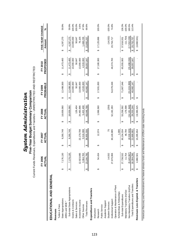|                                        | Current Funds |                    |           | Revenues, Expenditures and Transfers - UNRESTRICTED AND RESTRICTED<br>Five-Year Budget Summary Comparison |           |                   |                       |                     |                       |                     |                            |           |
|----------------------------------------|---------------|--------------------|-----------|-----------------------------------------------------------------------------------------------------------|-----------|-------------------|-----------------------|---------------------|-----------------------|---------------------|----------------------------|-----------|
|                                        |               | FY 2006<br>ACTUAL  |           | FY 2007<br>ACTUAL                                                                                         |           | FY 2008<br>ACTUAL |                       | PROBABLE<br>FY 2009 |                       | PROPOSED<br>FY 2010 | FIVE-YEAR CHANGE<br>Amount | ℅         |
| EDUCATIONAL AND GENERAL                |               |                    |           |                                                                                                           |           |                   |                       |                     |                       |                     |                            |           |
| Revenues                               |               |                    |           |                                                                                                           |           |                   |                       |                     |                       |                     |                            |           |
| Tuition & Fees                         |               |                    |           |                                                                                                           |           |                   |                       |                     |                       |                     |                            |           |
| State Appropriations<br>ARRA and MOE * | ↔             | 76,130             | ↮         | 9,260,749                                                                                                 | ↮         | 18,659,060        | ↮                     | 12,498,500          | ↮                     | 11,473,400          | 4,297,270<br>↮             | 59.9%     |
|                                        |               |                    |           |                                                                                                           |           |                   |                       |                     |                       |                     |                            |           |
| Sub-total State Appropriations         |               | 76,130<br>71       | ↮         | 9,260,749                                                                                                 | ↮         | 18,659,060        | ↔                     | 12,498,500          | ↮                     | 11,473,400          | 4,297,270<br>↮             | 59.9%     |
| Grants & Contracts                     |               |                    |           |                                                                                                           |           |                   |                       | 10,000,000          |                       | 10,000,000          | 10,000,000                 | 100.0%    |
| Sales & Services                       |               |                    |           |                                                                                                           |           | 126,404           |                       | 50,647              |                       | 50,647              | 50,647                     | 100.0%    |
| Investment Income                      |               | 12,923,895         |           | 22,178,708                                                                                                |           | 24,460,896        |                       | 13,000,000          |                       | 13,000,000          | 76,105                     | 0.6%      |
| Other Sources                          |               | 3,064,765          |           | 5,516,099                                                                                                 |           | 5,402,408         |                       | 4,533,000           |                       | 4,533,000           | 1,468,235                  | 47.9%     |
| <b>Total Revenues</b>                  |               | 164,790<br>23,1    | $\bullet$ | 36,955,556                                                                                                | $\bullet$ | 48,648,768        | $\bullet$             | 40,082,147          | $\bullet$             | 39,057,047          | $\frac{15.892,257}{2}$     | 68.6%     |
| Expenditures and Transfers             |               |                    |           |                                                                                                           |           |                   |                       |                     |                       |                     |                            |           |
| Instruction                            |               |                    |           |                                                                                                           |           |                   |                       |                     |                       |                     |                            |           |
| Research                               | ↮             | 54,434             | ↔         | 12,074                                                                                                    | ↔         | 1,066,560         | ↮                     | 17,831,000          | ↮                     | 17,180,300          | \$17,125,866               | 100.0%    |
| Public Service                         |               |                    |           |                                                                                                           |           |                   |                       |                     |                       |                     |                            |           |
| Academic Support                       |               |                    |           |                                                                                                           |           |                   |                       |                     |                       |                     |                            |           |
| Student Services                       |               | 14,032             |           | 75                                                                                                        |           | (250)             |                       |                     |                       |                     | (14, 032)                  | $-100.0%$ |
| Institutional Support                  |               | 27,670,066         |           | 30,140,885                                                                                                |           | 52,192,283        |                       | 54,076,046          |                       | 48,374,783          | 20,704,717                 | 74.8%     |
| Operation & Maintenance of Plant       |               |                    |           |                                                                                                           |           |                   |                       |                     |                       |                     |                            |           |
| Scholarships & Fellowships             |               |                    |           | 1,000                                                                                                     |           |                   |                       |                     |                       |                     |                            |           |
| Sub-total Expenditures                 | ക             | 738,532<br>27,7    | ↮         | 30, 154, 034                                                                                              | ↮         | 53,258,592        | ↮                     | 71,907,046          | ↮                     | 65,555,083          | 37,816,551<br>↔            | 136.3%    |
| Mandatory Transfers (In)/Out           |               | 11,754             |           | 46,794                                                                                                    |           | 176,598           |                       |                     |                       |                     | (11,754)                   | $-100.0%$ |
| Non-Mandatory Transfers (In)/Out       |               | 145,997)<br>्<br>व |           | (8,530,926)                                                                                               |           | (24, 181, 946)    |                       | (31, 824, 899)      |                       | (26, 498, 036)      | (17,052,039)               | 180.5%    |
| Total Expenditures and Transfers       |               | 18,304,290         | ↮         | 21,669,902                                                                                                | ↮         | 29,253,244        | $\boldsymbol{\omega}$ | 40,082,147          | $\boldsymbol{\omega}$ | 39,057,047          | 20,752,757<br>$\theta$     | 113.4%    |
| Revenues Less Expend. & Transfers      |               | 4,860,501          | ↔         | 15,285,654                                                                                                | ↔         | 19,395,525        | ↮                     |                     | ↔                     |                     | (4,860,501)<br>ക           |           |
|                                        |               |                    |           |                                                                                                           |           |                   |                       |                     |                       |                     |                            |           |

**System Administration**